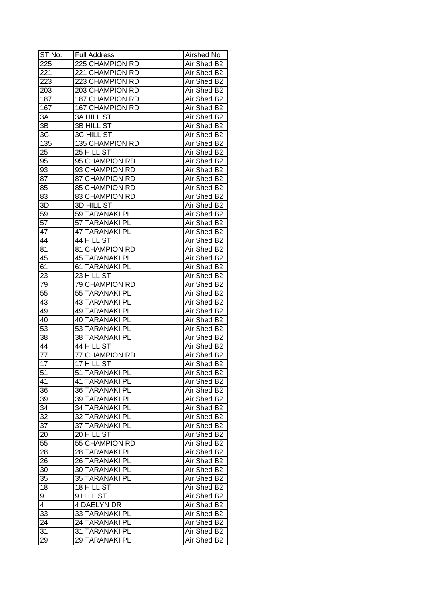| ST No.          | <b>Full Address</b>             | Airshed No  |
|-----------------|---------------------------------|-------------|
| 225             | 225 CHAMPION RD                 | Air Shed B2 |
| 221             | 221 CHAMPION RD                 | Air Shed B2 |
| 223             | 223 CHAMPION RD                 | Air Shed B2 |
| 203             | 203 CHAMPION RD                 | Air Shed B2 |
| 187             | 187 CHAMPION RD                 | Air Shed B2 |
| 167             | <b>167 CHAMPION RD</b>          | Air Shed B2 |
| 3A              | <b>3A HILL ST</b>               | Air Shed B2 |
| 3B              | <b>3B HILL ST</b>               | Air Shed B2 |
| 3C              | <b>3C HILL ST</b>               | Air Shed B2 |
| 135             | 135 CHAMPION RD                 | Air Shed B2 |
| 25              | 25 HILL ST                      | Air Shed B2 |
| 95              | 95 CHAMPION RD                  | Air Shed B2 |
| 93              | 93 CHAMPION RD                  | Air Shed B2 |
| 87              | 87 CHAMPION RD                  | Air Shed B2 |
| 85              | <b>85 CHAMPION RD</b>           | Air Shed B2 |
| 83              | 83 CHAMPION RD                  | Air Shed B2 |
| 3D              | 3D HILL ST                      | Air Shed B2 |
| 59              | 59 TARANAKI PL                  | Air Shed B2 |
| $\overline{57}$ | 57 TARANAKI PL                  | Air Shed B2 |
| 47              | <b>47 TARANAKI PL</b>           | Air Shed B2 |
| 44              | 44 HILL ST                      | Air Shed B2 |
| 81              | 81 CHAMPION RD                  | Air Shed B2 |
| 45              | <b>45 TARANAKI PL</b>           | Air Shed B2 |
| 61              | 61 TARANAKI PL                  | Air Shed B2 |
| 23              | 23 HILL ST                      | Air Shed B2 |
| 79              | 79 CHAMPION RD                  | Air Shed B2 |
| 55              | 55 TARANAKI PL                  | Air Shed B2 |
| 43              | <b>43 TARANAKI PL</b>           | Air Shed B2 |
| 49              | <b>49 TARANAKI PL</b>           | Air Shed B2 |
| 40              | <b>40 TARANAKI PL</b>           | Air Shed B2 |
| 53              | 53 TARANAKI PL                  | Air Shed B2 |
| 38              | <b>38 TARANAKI PL</b>           | Air Shed B2 |
| 44              | 44 HILL ST                      | Air Shed B2 |
| $\overline{77}$ | <b>77 CHAMPION RD</b>           | Air Shed B2 |
| $\overline{17}$ | 17 HILL ST                      | Air Shed B2 |
| $\overline{51}$ | 51 TARANAKI PL                  | Air Shed B2 |
| 41              | <b>41 TARANAKI PL</b>           | Air Shed B2 |
| 36              | <b>36 TARANAKI PL</b>           | Air Shed B2 |
| 39              | <b>39 TARANAKI PL</b>           | Air Shed B2 |
| 34              | <b>34 TARANAKI PL</b>           | Air Shed B2 |
| 32              | 32 TARANAKI PL                  | Air Shed B2 |
| 37              | 37 TARANAKI PL                  | Air Shed B2 |
| 20              | 20 HILL ST                      | Air Shed B2 |
| 55              | 55 CHAMPION RD                  | Air Shed B2 |
| 28              | <b>28 TARANAKI PL</b>           | Air Shed B2 |
| 26              | <b>26 TARANAKI PL</b>           | Air Shed B2 |
| 30              | <b>30 TARANAKI PL</b>           | Air Shed B2 |
| 35              | <b>35 TARANAKI PL</b>           | Air Shed B2 |
|                 | 18 HILL ST                      | Air Shed B2 |
| 18              |                                 |             |
| 9<br>4          | 9 HILL ST<br><b>4 DAELYN DR</b> | Air Shed B2 |
|                 |                                 | Air Shed B2 |
| 33              | <b>33 TARANAKI PL</b>           | Air Shed B2 |
| 24              | <b>24 TARANAKI PL</b>           | Air Shed B2 |
| 31              | 31 TARANAKI PL                  | Air Shed B2 |
| 29              | 29 TARANAKI PL                  | Air Shed B2 |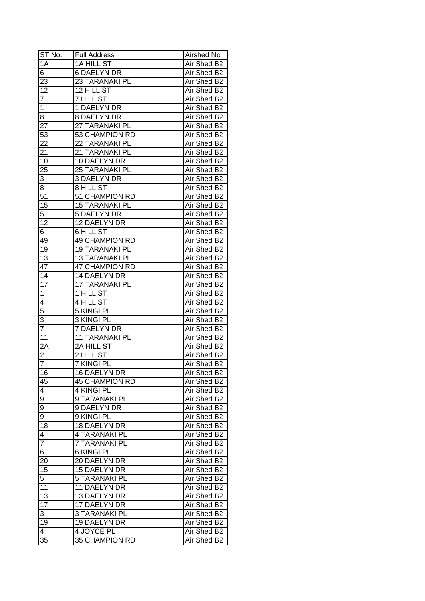| ST No.          | <b>Full Address</b>   | Airshed No  |
|-----------------|-----------------------|-------------|
| 1A              | 1A HILL ST            | Air Shed B2 |
| 6               | <b>6 DAELYN DR</b>    | Air Shed B2 |
| 23              | 23 TARANAKI PL        | Air Shed B2 |
| $\overline{12}$ | 12 HILL ST            | Air Shed B2 |
| $\overline{7}$  | 7 HILL ST             | Air Shed B2 |
| $\mathbf 1$     | 1 DAELYN DR           | Air Shed B2 |
| 8               | 8 DAELYN DR           | Air Shed B2 |
| 27              | 27 TARANAKI PL        | Air Shed B2 |
| 53              | 53 CHAMPION RD        | Air Shed B2 |
| 22              | 22 TARANAKI PL        | Air Shed B2 |
| 21              | 21 TARANAKI PL        | Air Shed B2 |
| 10              | 10 DAELYN DR          | Air Shed B2 |
| 25              | 25 TARANAKI PL        | Air Shed B2 |
| 3               | 3 DAELYN DR           | Air Shed B2 |
| 8               | 8 HILL ST             | Air Shed B2 |
| $\overline{51}$ | 51 CHAMPION RD        | Air Shed B2 |
| 15              | <b>15 TARANAKI PL</b> | Air Shed B2 |
| 5               | <b>5 DAELYN DR</b>    | Air Shed B2 |
| 12              | 12 DAELYN DR          | Air Shed B2 |
| 6               | <b>6 HILL ST</b>      | Air Shed B2 |
| 49              | <b>49 CHAMPION RD</b> | Air Shed B2 |
| 19              | <b>19 TARANAKI PL</b> | Air Shed B2 |
| 13              | <b>13 TARANAKI PL</b> | Air Shed B2 |
| 47              | <b>47 CHAMPION RD</b> | Air Shed B2 |
| 14              | 14 DAELYN DR          | Air Shed B2 |
| $1\overline{7}$ | 17 TARANAKI PL        | Air Shed B2 |
| $\mathbf 1$     | 1 HILL ST             | Air Shed B2 |
| 4               | 4 HILL $ST$           | Air Shed B2 |
| 5               | 5 KINGI PL            | Air Shed B2 |
| $\overline{3}$  | 3 KINGI PL            | Air Shed B2 |
| $\overline{7}$  | 7 DAELYN DR           | Air Shed B2 |
| 11              | <b>11 TARANAKI PL</b> | Air Shed B2 |
| 2A              | 2A HILL ST            | Air Shed B2 |
| $\overline{2}$  | 2 HILL ST             | Air Shed B2 |
| $\overline{7}$  | <b>7 KINGI PL</b>     | Air Shed B2 |
| 16              | <b>16 DAELYN DR</b>   | Air Shed B2 |
| 45              | <b>45 CHAMPION RD</b> | Air Shed B2 |
| $\overline{4}$  | 4 KINGI PL            | Air Shed B2 |
| $\overline{9}$  | 9 TARANAKI PL         | Air Shed B2 |
| $\overline{9}$  | 9 DAELYN DR           | Air Shed B2 |
| 9               | 9 KINGI PL            | Air Shed B2 |
| 18              | 18 DAELYN DR          | Air Shed B2 |
| 4               | 4 TARANAKI PL         | Air Shed B2 |
| $\overline{7}$  | 7 TARANAKI PL         | Air Shed B2 |
| 6               | <b>6 KINGI PL</b>     | Air Shed B2 |
| 20              | 20 DAELYN DR          | Air Shed B2 |
| 15              | 15 DAELYN DR          | Air Shed B2 |
| $\overline{5}$  | <b>5 TARANAKI PL</b>  | Air Shed B2 |
| 11              | 11 DAELYN DR          | Air Shed B2 |
|                 |                       |             |
| 13              | 13 DAELYN DR          | Air Shed B2 |
| 17              | 17 DAELYN DR          | Air Shed B2 |
| 3               | <b>3 TARANAKI PL</b>  | Air Shed B2 |
| 19              | 19 DAELYN DR          | Air Shed B2 |
| 4               | 4 JOYCE PL            | Air Shed B2 |
| 35              | 35 CHAMPION RD        | Air Shed B2 |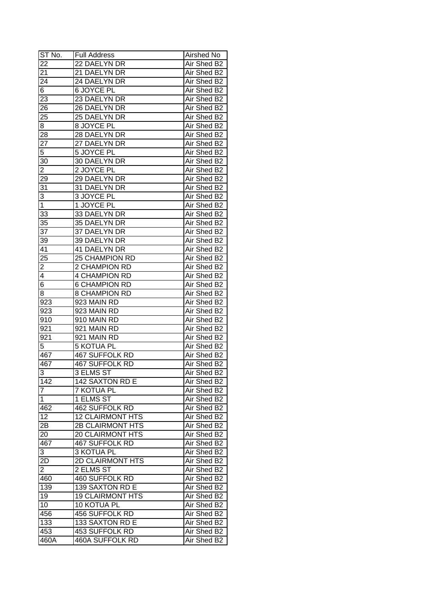| ST No.          | <b>Full Address</b>     | Airshed No  |
|-----------------|-------------------------|-------------|
| 22              | 22 DAELYN DR            | Air Shed B2 |
| 21              | 21 DAELYN DR            | Air Shed B2 |
| $2\overline{4}$ | 24 DAELYN DR            | Air Shed B2 |
| 6               | 6 JOYCE PL              | Air Shed B2 |
| 23              | 23 DAELYN DR            | Air Shed B2 |
| 26              | 26 DAELYN DR            | Air Shed B2 |
| 25              | 25 DAELYN DR            | Air Shed B2 |
| 8               | 8 JOYCE PL              | Air Shed B2 |
| 28              | 28 DAELYN DR            | Air Shed B2 |
| 27              | 27 DAELYN DR            | Air Shed B2 |
| 5               | 5 JOYCE PL              | Air Shed B2 |
| 30              | 30 DAELYN DR            | Air Shed B2 |
| $\overline{2}$  | 2 JOYCE PL              | Air Shed B2 |
| 29              | 29 DAELYN DR            | Air Shed B2 |
| 31              | 31 DAELYN DR            | Air Shed B2 |
| 3               | 3 JOYCE PL              | Air Shed B2 |
| $\overline{1}$  | 1 JOYCE PL              | Air Shed B2 |
| 33              | 33 DAELYN DR            | Air Shed B2 |
| 35              | 35 DAELYN DR            | Air Shed B2 |
| $3\overline{7}$ | 37 DAELYN DR            | Air Shed B2 |
| 39              | 39 DAELYN DR            | Air Shed B2 |
| 41              | 41 DAELYN DR            | Air Shed B2 |
| 25              | <b>25 CHAMPION RD</b>   | Air Shed B2 |
| $\overline{2}$  | 2 CHAMPION RD           | Air Shed B2 |
| $\overline{4}$  | <b>4 CHAMPION RD</b>    | Air Shed B2 |
| 6               | <b>6 CHAMPION RD</b>    | Air Shed B2 |
| 8               | 8 CHAMPION RD           | Air Shed B2 |
| 923             | 923 MAIN RD             | Air Shed B2 |
| 923             | 923 MAIN RD             | Air Shed B2 |
| 910             | 910 MAIN RD             | Air Shed B2 |
| 921             | 921 MAIN RD             | Air Shed B2 |
| 921             | 921 MAIN RD             | Air Shed B2 |
| 5               | <b>5 KOTUA PL</b>       | Air Shed B2 |
| 467             | <b>467 SUFFOLK RD</b>   | Air Shed B2 |
| 467             | <b>467 SUFFOLK RD</b>   | Air Shed B2 |
| $\overline{3}$  | 3 ELMS ST               | Air Shed B2 |
| 142             | 142 SAXTON RD E         | Air Shed B2 |
| 7               | 7 KOTUA PL              | Air Shed B2 |
| 1               | 1 ELMS ST               | Air Shed B2 |
| 462             | 462 SUFFOLK RD          | Air Shed B2 |
| 12              | <b>12 CLAIRMONT HTS</b> | Air Shed B2 |
| 2B              | 2B CLAIRMONT HTS        | Air Shed B2 |
| 20              | <b>20 CLAIRMONT HTS</b> | Air Shed B2 |
| 467             | 467 SUFFOLK RD          | Air Shed B2 |
| 3               | 3 KOTUA PL              | Air Shed B2 |
| 2D              | 2D CLAIRMONT HTS        | Air Shed B2 |
| $\overline{2}$  | 2 ELMS ST               | Air Shed B2 |
| 460             | 460 SUFFOLK RD          | Air Shed B2 |
| 139             | 139 SAXTON RD E         | Air Shed B2 |
| 19              | <b>19 CLAIRMONT HTS</b> | Air Shed B2 |
| 10              | 10 KOTUA PL             | Air Shed B2 |
| 456             | 456 SUFFOLK RD          | Air Shed B2 |
| 133             | 133 SAXTON RD E         | Air Shed B2 |
| 453             | 453 SUFFOLK RD          | Air Shed B2 |
| 460A            | 460A SUFFOLK RD         | Air Shed B2 |
|                 |                         |             |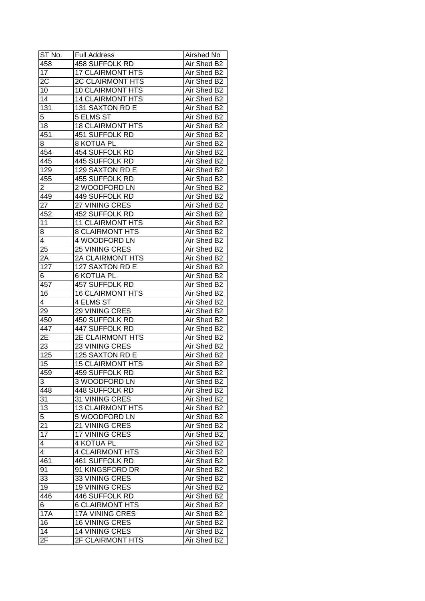| ST No.           | <b>Full Address</b>     | Airshed No  |
|------------------|-------------------------|-------------|
| 458              | 458 SUFFOLK RD          | Air Shed B2 |
| 17               | <b>17 CLAIRMONT HTS</b> | Air Shed B2 |
| 2C               | 2C CLAIRMONT HTS        | Air Shed B2 |
| 10               | <b>10 CLAIRMONT HTS</b> | Air Shed B2 |
| 14               | <b>14 CLAIRMONT HTS</b> | Air Shed B2 |
| $13\overline{1}$ | 131 SAXTON RD E         | Air Shed B2 |
| 5                | 5 ELMS ST               | Air Shed B2 |
| 18               | <b>18 CLAIRMONT HTS</b> | Air Shed B2 |
| 451              | 451 SUFFOLK RD          | Air Shed B2 |
| 8                | <b>8 KOTUA PL</b>       | Air Shed B2 |
| 454              | 454 SUFFOLK RD          | Air Shed B2 |
| 445              | 445 SUFFOLK RD          | Air Shed B2 |
| 129              | 129 SAXTON RD E         | Air Shed B2 |
| 455              | 455 SUFFOLK RD          | Air Shed B2 |
| $\overline{c}$   | 2 WOODFORD LN           | Air Shed B2 |
| 449              | 449 SUFFOLK RD          | Air Shed B2 |
| $2\overline{7}$  | 27 VINING CRES          | Air Shed B2 |
| 452              | 452 SUFFOLK RD          | Air Shed B2 |
| 11               | <b>11 CLAIRMONT HTS</b> | Air Shed B2 |
| 8                | <b>8 CLAIRMONT HTS</b>  | Air Shed B2 |
| 4                | 4 WOODFORD LN           | Air Shed B2 |
| 25               | 25 VINING CRES          | Air Shed B2 |
| 2A               | 2A CLAIRMONT HTS        | Air Shed B2 |
| 127              | 127 SAXTON RD E         | Air Shed B2 |
| 6                | <b>6 KOTUA PL</b>       | Air Shed B2 |
| 457              | 457 SUFFOLK RD          | Air Shed B2 |
| 16               | <b>16 CLAIRMONT HTS</b> | Air Shed B2 |
| 4                | 4 ELMS ST               | Air Shed B2 |
| 29               | 29 VINING CRES          | Air Shed B2 |
| 450              | 450 SUFFOLK RD          | Air Shed B2 |
| 447              | 447 SUFFOLK RD          | Air Shed B2 |
| 2Ε               | 2E CLAIRMONT HTS        | Air Shed B2 |
| 23               | 23 VINING CRES          | Air Shed B2 |
| 125              | 125 SAXTON RD E         | Air Shed B2 |
| 15               | <b>15 CLAIRMONT HTS</b> | Air Shed B2 |
| 459              | 459 SUFFOLK RD          | Air Shed B2 |
| 3                | 3 WOODFORD LN           | Air Shed B2 |
| 448              | 448 SUFFOLK RD          | Air Shed B2 |
| 31               | 31 VINING CRES          | Air Shed B2 |
| 13               | <b>13 CLAIRMONT HTS</b> | Air Shed B2 |
| 5                | 5 WOODFORD LN           | Air Shed B2 |
| 21               | 21 VINING CRES          | Air Shed B2 |
| $1\overline{7}$  | 17 VINING CRES          | Air Shed B2 |
| 4                | 4 KOTUA PL              | Air Shed B2 |
| 4                | <b>4 CLAIRMONT HTS</b>  | Air Shed B2 |
| 461              | 461 SUFFOLK RD          | Air Shed B2 |
| 91               | 91 KINGSFORD DR         | Air Shed B2 |
| 33               | 33 VINING CRES          | Air Shed B2 |
| 19               | 19 VINING CRES          | Air Shed B2 |
| 446              | 446 SUFFOLK RD          | Air Shed B2 |
| 6                | <b>6 CLAIRMONT HTS</b>  | Air Shed B2 |
| <b>17A</b>       | <b>17A VINING CRES</b>  | Air Shed B2 |
| 16               | 16 VINING CRES          | Air Shed B2 |
| 14               | <b>14 VINING CRES</b>   | Air Shed B2 |
| 2F               | 2F CLAIRMONT HTS        | Air Shed B2 |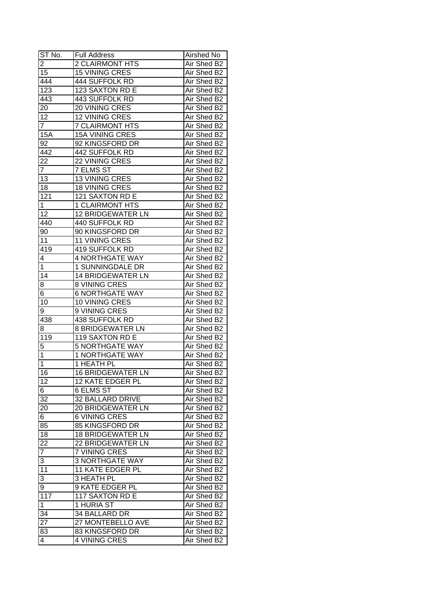| ST No.           | <b>Full Address</b>           | Airshed No                 |
|------------------|-------------------------------|----------------------------|
| $\overline{2}$   | <b>2 CLAIRMONT HTS</b>        | Air Shed B2                |
| 15               | <b>15 VINING CRES</b>         | Air Shed B2                |
| 444              | 444 SUFFOLK RD                | Air Shed B2                |
| $\overline{123}$ | 123 SAXTON RD E               | Air Shed B2                |
| 443              | 443 SUFFOLK RD                | Air Shed B2                |
| 20               | 20 VINING CRES                | Air Shed B2                |
| 12               | 12 VINING CRES                | Air Shed B2                |
| $\overline{7}$   | <b>7 CLAIRMONT HTS</b>        | Air Shed B2                |
| 15A              | 15A VINING CRES               | Air Shed B2                |
| 92               | 92 KINGSFORD DR               | Air Shed B2                |
| 442              | 442 SUFFOLK RD                | Air Shed B2                |
| 22               | 22 VINING CRES                | Air Shed B2                |
| $\overline{7}$   | 7 ELMS ST                     | Air Shed B2                |
| 13               | 13 VINING CRES                | Air Shed B2                |
| 18               | <b>18 VINING CRES</b>         | Air Shed B2                |
| 121              | 121 SAXTON RD E               | Air Shed B2                |
| $\mathbf{1}$     | <b>1 CLAIRMONT HTS</b>        | Air Shed B2                |
| 12               | <b>12 BRIDGEWATER LN</b>      | Air Shed B2                |
| 440              | 440 SUFFOLK RD                | Air Shed B2                |
| 90               | 90 KINGSFORD DR               | Air Shed B2                |
| 11               | 11 VINING CRES                | Air Shed B2                |
| 419              | 419 SUFFOLK RD                | Air Shed B2                |
| 4                | 4 NORTHGATE WAY               | Air Shed B2                |
| 1                | 1 SUNNINGDALE DR              | Air Shed B2                |
| 14               | <b>14 BRIDGEWATER LN</b>      | Air Shed B2                |
|                  | 8 VINING CRES                 | Air Shed B2                |
| 8<br>6           | <b>6 NORTHGATE WAY</b>        | Air Shed B2                |
| 10               | 10 VINING CRES                | Air Shed B2                |
| 9                | 9 VINING CRES                 | Air Shed B2                |
| 438              | 438 SUFFOLK RD                | Air Shed B2                |
| 8                | <b>8 BRIDGEWATER LN</b>       | Air Shed B2                |
| 119              | 119 SAXTON RD E               | Air Shed B2                |
| $\overline{5}$   | <b>5 NORTHGATE WAY</b>        | Air Shed B2                |
| $\overline{1}$   | <b>1 NORTHGATE WAY</b>        | Air Shed B2                |
| $\overline{1}$   | <b>1 HEATH PL</b>             | Air Shed B2                |
| 16               | <b>16 BRIDGEWATER LN</b>      | Air Shed B2                |
| 12               | <b>12 KATE EDGER PL</b>       | Air Shed B2                |
| 6                | 6 ELMS ST                     | Air Shed B2                |
| 32               | 32 BALLARD DRIVE              | Air Shed B2                |
| 20               | 20 BRIDGEWATER LN             | Air Shed B2                |
|                  | <b>6 VINING CRES</b>          | Air Shed B2                |
| 6<br>85          | 85 KINGSFORD DR               | Air Shed B2                |
| 18               | <b>18 BRIDGEWATER LN</b>      | Air Shed B2                |
| 22               | 22 BRIDGEWATER LN             | Air Shed B2                |
| $\overline{7}$   | 7 VINING CRES                 | Air Shed B2                |
|                  | <b>3 NORTHGATE WAY</b>        | Air Shed B2                |
| 3<br>11          | 11 KATE EDGER PL              | Air Shed B2                |
|                  | 3 HEATH PL                    | Air Shed B2                |
| 3                | 9 KATE EDGER PL               |                            |
| 9<br>117         |                               | Air Shed B2                |
| $\mathbf 1$      | 117 SAXTON RD E<br>1 HURIA ST | Air Shed B2<br>Air Shed B2 |
| 34               | 34 BALLARD DR                 | Air Shed B2                |
|                  |                               |                            |
| 27               | 27 MONTEBELLO AVE             | Air Shed B2                |
| 83               | 83 KINGSFORD DR               | Air Shed B2                |
| 4                | 4 VINING CRES                 | Air Shed B2                |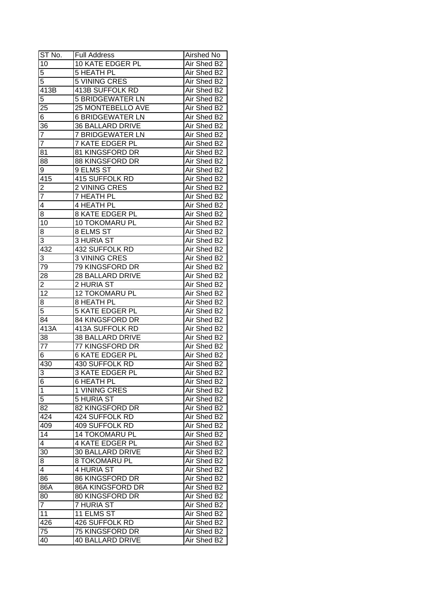| ST No.               | <b>Full Address</b>     | Airshed No  |
|----------------------|-------------------------|-------------|
| 10                   | 10 KATE EDGER PL        | Air Shed B2 |
| 5                    | 5 HEATH PL              | Air Shed B2 |
| 5                    | 5 VINING CRES           | Air Shed B2 |
| 413B                 | <b>413B SUFFOLK RD</b>  | Air Shed B2 |
| 5                    | <b>5 BRIDGEWATER LN</b> | Air Shed B2 |
| 25                   | 25 MONTEBELLO AVE       | Air Shed B2 |
| 6                    | <b>6 BRIDGEWATER LN</b> | Air Shed B2 |
| 36                   | <b>36 BALLARD DRIVE</b> | Air Shed B2 |
| $\overline{7}$       | 7 BRIDGEWATER LN        | Air Shed B2 |
| $\overline{7}$       | <b>7 KATE EDGER PL</b>  | Air Shed B2 |
| 81                   | 81 KINGSFORD DR         | Air Shed B2 |
| 88                   | <b>88 KINGSFORD DR</b>  | Air Shed B2 |
| 9                    | 9 ELMS ST               | Air Shed B2 |
| 415                  | 415 SUFFOLK RD          | Air Shed B2 |
|                      | 2 VINING CRES           | Air Shed B2 |
| $\frac{2}{7}$        | 7 HEATH PL              | Air Shed B2 |
| $\overline{4}$       | 4 HEATH PL              | Air Shed B2 |
| 8                    | <b>8 KATE EDGER PL</b>  | Air Shed B2 |
| 10                   | 10 TOKOMARU PL          | Air Shed B2 |
| 8                    | 8 ELMS ST               | Air Shed B2 |
| 3                    | <b>3 HURIA ST</b>       | Air Shed B2 |
| 432                  | 432 SUFFOLK RD          | Air Shed B2 |
| 3                    | 3 VINING CRES           | Air Shed B2 |
| 79                   | 79 KINGSFORD DR         | Air Shed B2 |
| 28                   | 28 BALLARD DRIVE        | Air Shed B2 |
| 2                    | 2 HURIA ST              | Air Shed B2 |
| 12                   | 12 TOKOMARU PL          | Air Shed B2 |
| 8                    | 8 HEATH PL              | Air Shed B2 |
| 5                    | <b>5 KATE EDGER PL</b>  | Air Shed B2 |
| 84                   | 84 KINGSFORD DR         | Air Shed B2 |
| 413A                 | 413A SUFFOLK RD         | Air Shed B2 |
| 38                   | 38 BALLARD DRIVE        | Air Shed B2 |
| $\overline{77}$      | 77 KINGSFORD DR         | Air Shed B2 |
| 6                    | <b>6 KATE EDGER PL</b>  | Air Shed B2 |
| 430                  | 430 SUFFOLK RD          | Air Shed B2 |
| 3                    | 3 KATE EDGER PL         | Air Shed B2 |
| 6                    | <b>6 HEATH PL</b>       | Air Shed B2 |
| $\overline{1}$       | 1 VINING CRES           | Air Shed B2 |
| 5                    | <b>5 HURIA ST</b>       | Air Shed B2 |
| 82                   | 82 KINGSFORD DR         | Air Shed B2 |
| 424                  | 424 SUFFOLK RD          | Air Shed B2 |
| 409                  | 409 SUFFOLK RD          | Air Shed B2 |
| 14                   | <b>14 TOKOMARU PL</b>   | Air Shed B2 |
| $\overline{4}$       | <b>4 KATE EDGER PL</b>  | Air Shed B2 |
| 30                   | 30 BALLARD DRIVE        | Air Shed B2 |
| 8                    | 8 TOKOMARU PL           | Air Shed B2 |
| 4                    | 4 HURIA ST              | Air Shed B2 |
| 86                   | 86 KINGSFORD DR         | Air Shed B2 |
| 86A                  | 86A KINGSFORD DR        | Air Shed B2 |
|                      | 80 KINGSFORD DR         | Air Shed B2 |
| 80<br>$\overline{7}$ |                         |             |
|                      | 7 HURIA ST              | Air Shed B2 |
| 11                   | 11 ELMS ST              | Air Shed B2 |
| 426                  | 426 SUFFOLK RD          | Air Shed B2 |
| 75                   | 75 KINGSFORD DR         | Air Shed B2 |
| 40                   | 40 BALLARD DRIVE        | Air Shed B2 |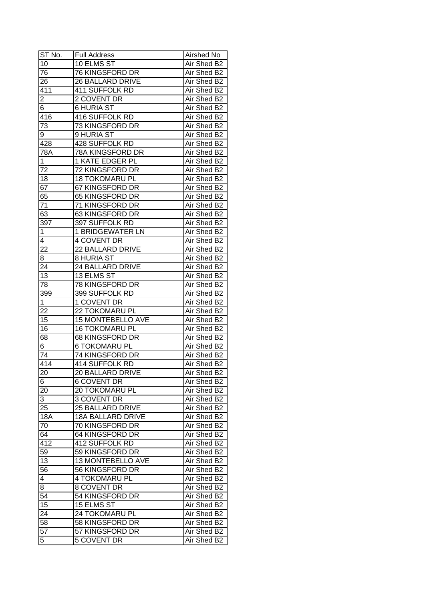| ST No.                  | <b>Full Address</b>      | Airshed No  |
|-------------------------|--------------------------|-------------|
| 10                      | 10 ELMS ST               | Air Shed B2 |
| 76                      | 76 KINGSFORD DR          | Air Shed B2 |
| $2\overline{6}$         | 26 BALLARD DRIVE         | Air Shed B2 |
| 411                     | 411 SUFFOLK RD           | Air Shed B2 |
| $\overline{\mathbf{c}}$ | 2 COVENT DR              | Air Shed B2 |
| 6                       | <b>6 HURIA ST</b>        | Air Shed B2 |
| 416                     | 416 SUFFOLK RD           | Air Shed B2 |
| 73                      | 73 KINGSFORD DR          | Air Shed B2 |
| 9                       | 9 HURIA ST               | Air Shed B2 |
| 428                     | 428 SUFFOLK RD           | Air Shed B2 |
| 78A                     | 78A KINGSFORD DR         | Air Shed B2 |
| $\mathbf{1}$            | <b>1 KATE EDGER PL</b>   | Air Shed B2 |
| 72                      | 72 KINGSFORD DR          | Air Shed B2 |
| 18                      | <b>18 TOKOMARU PL</b>    | Air Shed B2 |
| 67                      | 67 KINGSFORD DR          | Air Shed B2 |
| 65                      | 65 KINGSFORD DR          | Air Shed B2 |
| 71                      | 71 KINGSFORD DR          | Air Shed B2 |
| 63                      | 63 KINGSFORD DR          | Air Shed B2 |
| 397                     | 397 SUFFOLK RD           | Air Shed B2 |
| $\mathbf{1}$            | <b>1 BRIDGEWATER LN</b>  | Air Shed B2 |
| 4                       | 4 COVENT DR              | Air Shed B2 |
| 22                      | 22 BALLARD DRIVE         | Air Shed B2 |
| 8                       | 8 HURIA ST               | Air Shed B2 |
| 24                      | 24 BALLARD DRIVE         | Air Shed B2 |
| 13                      | 13 ELMS ST               | Air Shed B2 |
| 78                      | 78 KINGSFORD DR          | Air Shed B2 |
| 399                     | 399 SUFFOLK RD           | Air Shed B2 |
| $\mathbf 1$             | 1 COVENT DR              | Air Shed B2 |
| 22                      | 22 TOKOMARU PL           | Air Shed B2 |
| 15                      | 15 MONTEBELLO AVE        | Air Shed B2 |
| 16                      | <b>16 TOKOMARU PL</b>    | Air Shed B2 |
| 68                      | <b>68 KINGSFORD DR</b>   | Air Shed B2 |
| 6                       | <b>6 TOKOMARU PL</b>     | Air Shed B2 |
| $\overline{74}$         | <b>74 KINGSFORD DR</b>   | Air Shed B2 |
| 414                     | 414 SUFFOLK RD           | Air Shed B2 |
| 20                      | 20 BALLARD DRIVE         | Air Shed B2 |
| 6                       | <b>6 COVENT DR</b>       | Air Shed B2 |
| 20                      | 20 TOKOMARU PL           | Air Shed B2 |
| 3                       | 3 COVENT DR              | Air Shed B2 |
| 25                      | 25 BALLARD DRIVE         | Air Shed B2 |
| 18A                     | 18A BALLARD DRIVE        | Air Shed B2 |
| 70                      | 70 KINGSFORD DR          | Air Shed B2 |
| 64                      | 64 KINGSFORD DR          | Air Shed B2 |
| 412                     | 412 SUFFOLK RD           | Air Shed B2 |
| 59                      | 59 KINGSFORD DR          | Air Shed B2 |
| 13                      | <b>13 MONTEBELLO AVE</b> | Air Shed B2 |
| 56                      | 56 KINGSFORD DR          | Air Shed B2 |
| 4                       | 4 TOKOMARU PL            | Air Shed B2 |
| 8                       | 8 COVENT DR              | Air Shed B2 |
| 54                      | 54 KINGSFORD DR          | Air Shed B2 |
| 15                      | 15 ELMS ST               | Air Shed B2 |
| 24                      | 24 TOKOMARU PL           | Air Shed B2 |
| 58                      | 58 KINGSFORD DR          | Air Shed B2 |
| 57                      | 57 KINGSFORD DR          | Air Shed B2 |
| 5                       | 5 COVENT DR              | Air Shed B2 |
|                         |                          |             |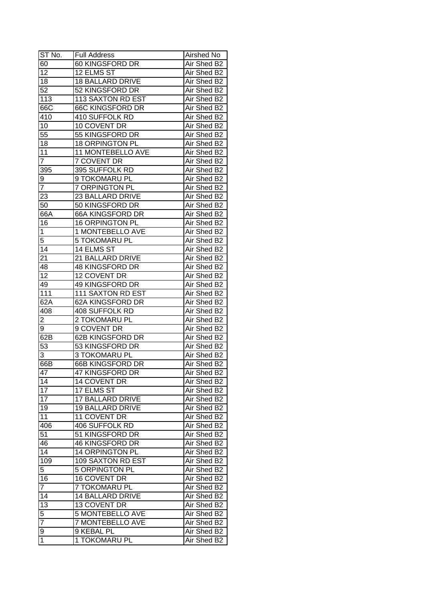| ST No.              | <b>Full Address</b>     | Airshed No  |
|---------------------|-------------------------|-------------|
| 60                  | 60 KINGSFORD DR         | Air Shed B2 |
| $\overline{12}$     | 12 ELMS ST              | Air Shed B2 |
| 18                  | <b>18 BALLARD DRIVE</b> | Air Shed B2 |
| 52                  | 52 KINGSFORD DR         | Air Shed B2 |
| 113                 | 113 SAXTON RD EST       | Air Shed B2 |
| 66C                 | <b>66C KINGSFORD DR</b> | Air Shed B2 |
| 410                 | 410 SUFFOLK RD          | Air Shed B2 |
| 10                  | 10 COVENT DR            | Air Shed B2 |
| 55                  | 55 KINGSFORD DR         | Air Shed B2 |
| 18                  | <b>18 ORPINGTON PL</b>  | Air Shed B2 |
| 11                  | 11 MONTEBELLO AVE       | Air Shed B2 |
| $\overline{7}$      | 7 COVENT DR             | Air Shed B2 |
| 395                 | 395 SUFFOLK RD          | Air Shed B2 |
| 9                   | 9 TOKOMARU PL           | Air Shed B2 |
| $\overline{7}$      | 7 ORPINGTON PL          | Air Shed B2 |
| 23                  | 23 BALLARD DRIVE        | Air Shed B2 |
| 50                  | 50 KINGSFORD DR         | Air Shed B2 |
| 66A                 | 66A KINGSFORD DR        | Air Shed B2 |
| 16                  | <b>16 ORPINGTON PL</b>  | Air Shed B2 |
| 1                   | 1 MONTEBELLO AVE        | Air Shed B2 |
| 5                   | 5 TOKOMARU PL           | Air Shed B2 |
| 14                  | 14 ELMS ST              | Air Shed B2 |
| 21                  | 21 BALLARD DRIVE        | Air Shed B2 |
| 48                  | 48 KINGSFORD DR         | Air Shed B2 |
| 12                  | 12 COVENT DR            | Air Shed B2 |
| 49                  | 49 KINGSFORD DR         | Air Shed B2 |
| 111                 | 111 SAXTON RD EST       | Air Shed B2 |
| 62A                 | 62A KINGSFORD DR        | Air Shed B2 |
| 408                 | 408 SUFFOLK RD          | Air Shed B2 |
| 2                   | 2 TOKOMARU PL           | Air Shed B2 |
| 9                   | 9 COVENT DR             | Air Shed B2 |
| 62B                 | 62B KINGSFORD DR        | Air Shed B2 |
| 53                  | 53 KINGSFORD DR         | Air Shed B2 |
| 3                   | 3 TOKOMARU PL           | Air Shed B2 |
| 66B                 | 66B KINGSFORD DR        | Air Shed B2 |
| 47                  | 47 KINGSFORD DR         | Air Shed B2 |
| 14                  | 14 COVENT DR            | Air Shed B2 |
| $\overline{17}$     | 17 ELMS ST              | Air Shed B2 |
| 17                  | <b>17 BALLARD DRIVE</b> | Air Shed B2 |
| 19                  | <b>19 BALLARD DRIVE</b> | Air Shed B2 |
| 11                  | 11 COVENT DR            | Air Shed B2 |
| 406                 | 406 SUFFOLK RD          | Air Shed B2 |
| 51                  | 51 KINGSFORD DR         | Air Shed B2 |
| 46                  | 46 KINGSFORD DR         | Air Shed B2 |
| 14                  | 14 ORPINGTON PL         | Air Shed B2 |
| 109                 | 109 SAXTON RD EST       | Air Shed B2 |
| 5                   | <b>5 ORPINGTON PL</b>   | Air Shed B2 |
| 16                  | 16 COVENT DR            | Air Shed B2 |
| $\overline{7}$      | 7 TOKOMARU PL           | Air Shed B2 |
| $1\overline{4}$     | <b>14 BALLARD DRIVE</b> | Air Shed B2 |
| 13                  | 13 COVENT DR            | Air Shed B2 |
|                     | 5 MONTEBELLO AVE        | Air Shed B2 |
| 5<br>$\overline{7}$ | 7 MONTEBELLO AVE        | Air Shed B2 |
|                     |                         |             |
| 9                   | 9 KEBAL PL              | Air Shed B2 |
| 1                   | 1 TOKOMARU PL           | Air Shed B2 |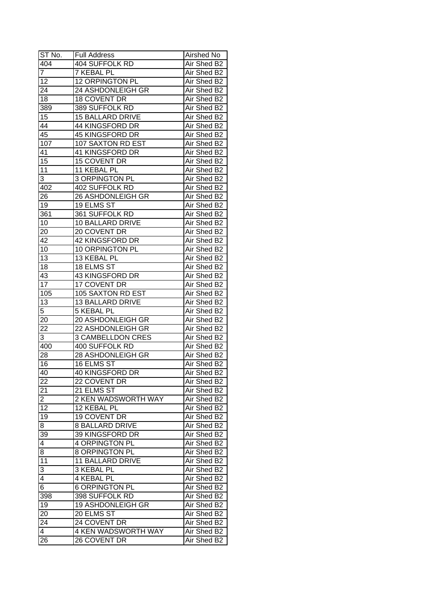| ST No.          | <b>Full Address</b>                       | Airshed No                 |
|-----------------|-------------------------------------------|----------------------------|
| 404             | 404 SUFFOLK RD                            | Air Shed B2                |
| $\overline{7}$  | <b>7 KEBAL PL</b>                         | Air Shed B2                |
| 12              | 12 ORPINGTON PL                           | Air Shed B2                |
| $2\overline{4}$ | 24 ASHDONLEIGH GR                         | Air Shed B2                |
| 18              | <b>18 COVENT DR</b>                       | Air Shed B2                |
| 389             | 389 SUFFOLK RD                            | Air Shed B2                |
| 15              | <b>15 BALLARD DRIVE</b>                   | Air Shed B2                |
| 44              | 44 KINGSFORD DR                           | Air Shed B2                |
| 45              | 45 KINGSFORD DR                           | Air Shed B2                |
| 107             | 107 SAXTON RD EST                         | Air Shed B2                |
| 41              | 41 KINGSFORD DR                           | Air Shed B2                |
| 15              | 15 COVENT DR                              | Air Shed B2                |
| 11              | 11 KEBAL PL                               | Air Shed B2                |
| 3               | <b>3 ORPINGTON PL</b>                     | Air Shed B2                |
| 402             | 402 SUFFOLK RD                            | Air Shed B2                |
| 26              | 26 ASHDONLEIGH GR                         | Air Shed B2                |
| 19              | 19 ELMS ST                                | Air Shed B2                |
| 361             | 361 SUFFOLK RD                            | Air Shed B2                |
| 10              | 10 BALLARD DRIVE                          | Air Shed B2                |
| 20              | 20 COVENT DR                              | Air Shed B2                |
| 42              | 42 KINGSFORD DR                           | Air Shed B2                |
| 10              | 10 ORPINGTON PL                           | Air Shed B2                |
| 13              | 13 KEBAL PL                               | Air Shed B2                |
| 18              | 18 ELMS ST                                | Air Shed B2                |
| 43              | 43 KINGSFORD DR                           | Air Shed B2                |
| 17              | 17 COVENT DR                              |                            |
| 105             | 105 SAXTON RD EST                         | Air Shed B2<br>Air Shed B2 |
| 13              | 13 BALLARD DRIVE                          | Air Shed B2                |
| 5               | <b>5 KEBAL PL</b>                         | Air Shed B2                |
| 20              | 20 ASHDONLEIGH GR                         | Air Shed B2                |
| 22              | 22 ASHDONLEIGH GR                         | Air Shed B2                |
| 3               | <b>3 CAMBELLDON CRES</b>                  | Air Shed B2                |
| 400             | 400 SUFFOLK RD                            | Air Shed B2                |
| 28              | <b>28 ASHDONLEIGH GR</b>                  | Air Shed B2                |
| 16              | <b>16 ELMS ST</b>                         | Air Shed B2                |
| 40              | 40 KINGSFORD DR                           | Air Shed B2                |
| $2\overline{2}$ | 22 COVENT DR                              | Air Shed B2                |
| 21              | 21 ELMS ST                                | Air Shed B2                |
| $\overline{c}$  | 2 KEN WADSWORTH WAY                       | Air Shed B2                |
| 12              | 12 KEBAL PL                               | Air Shed B2                |
| 19              | 19 COVENT DR                              | Air Shed B2                |
| 8               | <b>8 BALLARD DRIVE</b>                    |                            |
|                 | 39 KINGSFORD DR                           | Air Shed B2                |
| 39              | 4 ORPINGTON PL                            | Air Shed B2<br>Air Shed B2 |
| 4               |                                           |                            |
| 8               | 8 ORPINGTON PL<br><b>11 BALLARD DRIVE</b> | Air Shed B2                |
| 11              | 3 KEBAL PL                                | Air Shed B2                |
| 3               | <b>4 KEBAL PL</b>                         | Air Shed B2<br>Air Shed B2 |
| 4<br>6          |                                           |                            |
|                 | <b>6 ORPINGTON PL</b>                     | Air Shed B2                |
| 398             | 398 SUFFOLK RD                            | Air Shed B2                |
| 19              | 19 ASHDONLEIGH GR                         | Air Shed B2                |
| 20              | 20 ELMS ST                                | Air Shed B2                |
| 24              | 24 COVENT DR                              | Air Shed B2                |
| 4               | 4 KEN WADSWORTH WAY                       | Air Shed B2                |
| 26              | 26 COVENT DR                              | Air Shed B2                |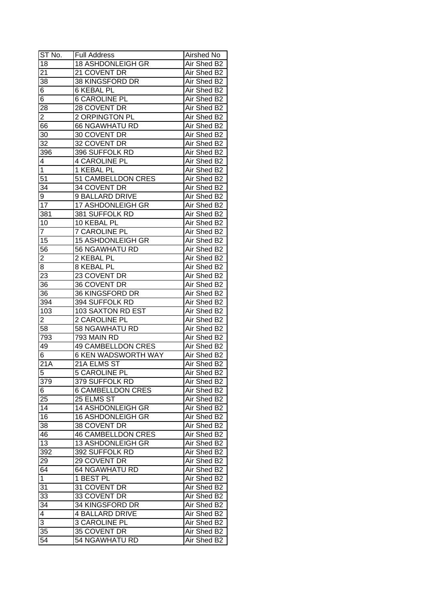| ST No.          | <b>Full Address</b>        | Airshed No  |
|-----------------|----------------------------|-------------|
| 18              | <b>18 ASHDONLEIGH GR</b>   | Air Shed B2 |
| 21              | 21 COVENT DR               | Air Shed B2 |
| 38              | 38 KINGSFORD DR            | Air Shed B2 |
| 6               | 6 KEBAL PL                 | Air Shed B2 |
| 6               | <b>6 CAROLINE PL</b>       | Air Shed B2 |
| 28              | 28 COVENT DR               | Air Shed B2 |
| 2               | 2 ORPINGTON PL             | Air Shed B2 |
| 66              | <b>66 NGAWHATU RD</b>      | Air Shed B2 |
| 30              | 30 COVENT DR               | Air Shed B2 |
| $\overline{32}$ | 32 COVENT DR               | Air Shed B2 |
| 396             | 396 SUFFOLK RD             | Air Shed B2 |
| 4               | 4 CAROLINE PL              | Air Shed B2 |
| $\mathbf{1}$    | 1 KEBAL PL                 | Air Shed B2 |
| 51              | 51 CAMBELLDON CRES         | Air Shed B2 |
| 34              | 34 COVENT DR               | Air Shed B2 |
| 9               | 9 BALLARD DRIVE            | Air Shed B2 |
| 17              | 17 ASHDONLEIGH GR          | Air Shed B2 |
| 381             | 381 SUFFOLK RD             | Air Shed B2 |
| 10              | 10 KEBAL PL                | Air Shed B2 |
| $\overline{7}$  | <b>7 CAROLINE PL</b>       | Air Shed B2 |
| 15              | <b>15 ASHDONLEIGH GR</b>   | Air Shed B2 |
| 56              | 56 NGAWHATU RD             | Air Shed B2 |
| $\overline{2}$  | 2 KEBAL PL                 | Air Shed B2 |
| 8               | 8 KEBAL PL                 | Air Shed B2 |
| 23              | 23 COVENT DR               | Air Shed B2 |
| 36              | 36 COVENT DR               | Air Shed B2 |
| 36              | 36 KINGSFORD DR            | Air Shed B2 |
| 394             | 394 SUFFOLK RD             | Air Shed B2 |
| 103             | 103 SAXTON RD EST          | Air Shed B2 |
| 2               | 2 CAROLINE PL              | Air Shed B2 |
| 58              | 58 NGAWHATU RD             | Air Shed B2 |
| 793             | 793 MAIN RD                | Air Shed B2 |
| 49              | <b>49 CAMBELLDON CRES</b>  | Air Shed B2 |
| 6 <sup>7</sup>  | <b>6 KEN WADSWORTH WAY</b> | Air Shed B2 |
| 21A             | 21A ELMS ST                | Air Shed B2 |
| 5               | <b>5 CAROLINE PL</b>       | Air Shed B2 |
| 379             | 379 SUFFOLK RD             | Air Shed B2 |
| 6               | 6 CAMBELLDON CRES          | Air Shed B2 |
| 25              | 25 ELMS ST                 | Air Shed B2 |
| 14              | 14 ASHDONLEIGH GR          | Air Shed B2 |
| 16              | <b>16 ASHDONLEIGH GR</b>   | Air Shed B2 |
| 38              | 38 COVENT DR               | Air Shed B2 |
| 46              | <b>46 CAMBELLDON CRES</b>  | Air Shed B2 |
| 13              | 13 ASHDONLEIGH GR          | Air Shed B2 |
| 392             | 392 SUFFOLK RD             | Air Shed B2 |
| 29              | 29 COVENT DR               | Air Shed B2 |
| 64              | <b>64 NGAWHATU RD</b>      | Air Shed B2 |
| $\mathbf 1$     | 1 BEST PL                  | Air Shed B2 |
| 31              | 31 COVENT DR               | Air Shed B2 |
| 33              | 33 COVENT DR               | Air Shed B2 |
| 34              | 34 KINGSFORD DR            | Air Shed B2 |
| 4               | <b>4 BALLARD DRIVE</b>     | Air Shed B2 |
| $\overline{3}$  | 3 CAROLINE PL              | Air Shed B2 |
| 35              | 35 COVENT DR               | Air Shed B2 |
| 54              | 54 NGAWHATU RD             | Air Shed B2 |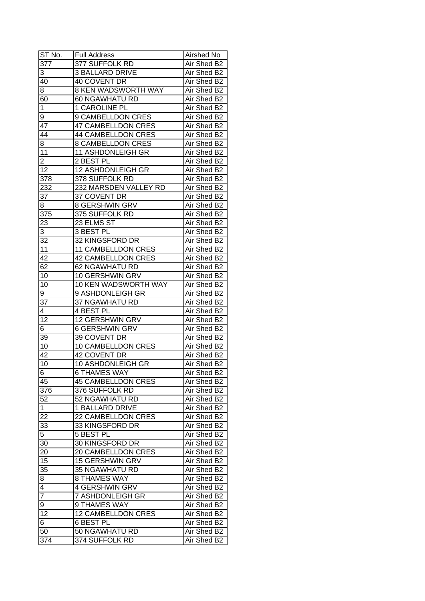| 377<br>377 SUFFOLK RD<br>Air Shed B2<br><b>3 BALLARD DRIVE</b><br>Air Shed B2<br>3<br>Air Shed B2<br>40<br><b>40 COVENT DR</b><br>8 KEN WADSWORTH WAY<br>Air Shed B2<br>8<br>60<br>60 NGAWHATU RD<br>Air Shed B2<br>1<br><b>1 CAROLINE PL</b><br>Air Shed B2<br>9 CAMBELLDON CRES<br>Air Shed B2<br>9<br><b>47 CAMBELLDON CRES</b><br>Air Shed B2<br>47<br><b>44 CAMBELLDON CRES</b><br>44<br>Air Shed B2<br>8 CAMBELLDON CRES<br>Air Shed B2<br>8<br>11<br>11 ASHDONLEIGH GR<br>Air Shed B2<br>$\overline{2}$<br>2 BEST PL<br>Air Shed B2<br>12<br>12 ASHDONLEIGH GR<br>Air Shed B2<br>378<br>378 SUFFOLK RD<br>Air Shed B2<br>232<br>232 MARSDEN VALLEY RD<br>Air Shed B2<br>37 COVENT DR<br>37<br>Air Shed B2<br>8 GERSHWIN GRV<br>Air Shed B2<br>8<br>375<br>375 SUFFOLK RD<br>Air Shed B2<br>23 ELMS ST<br>Air Shed B2<br>23<br>3<br>3 BEST PL<br>Air Shed B2<br>32<br>32 KINGSFORD DR<br>Air Shed B2<br>11<br><b>11 CAMBELLDON CRES</b><br>Air Shed B2<br>42<br><b>42 CAMBELLDON CRES</b><br>Air Shed B2<br>62<br>62 NGAWHATU RD<br>Air Shed B2<br>10 GERSHWIN GRV<br>10<br>Air Shed B2<br>10 KEN WADSWORTH WAY<br>10<br>Air Shed B2<br>9<br>9 ASHDONLEIGH GR<br>Air Shed B2<br>37 NGAWHATU RD<br>Air Shed B2<br>$3\overline{7}$<br>4 BEST PL<br>Air Shed B2<br>4<br>12<br>12 GERSHWIN GRV<br>Air Shed B2<br><b>6 GERSHWIN GRV</b><br>Air Shed B2<br>6<br>39 COVENT DR<br>39<br>Air Shed B2<br>$\overline{10}$<br>10 CAMBELLDON CRES<br>Air Shed B2<br>42<br>42 COVENT DR<br>Air Shed B2<br>10<br><b>10 ASHDONLEIGH GR</b><br>Air Shed B2<br>6 THAMES WAY<br>Air Shed B2<br>6<br>Air Shed B2<br><b>45 CAMBELLDON CRES</b><br>45<br>376<br>376 SUFFOLK RD<br>Air Shed B2<br>52<br>52 NGAWHATU RD<br>Air Shed B2<br>1 BALLARD DRIVE<br>$\mathbf{1}$<br>Air Shed B2<br>22 CAMBELLDON CRES<br>22<br>Air Shed B2<br>33<br>33 KINGSFORD DR<br>Air Shed B2<br>5<br>5 BEST PL<br>Air Shed B2<br>30<br>30 KINGSFORD DR<br>Air Shed B2<br>20 CAMBELLDON CRES<br>Air Shed B2<br>20<br>15<br>15 GERSHWIN GRV<br>Air Shed B2<br>35<br><b>35 NGAWHATU RD</b><br>Air Shed B2<br>8 THAMES WAY<br>Air Shed B2<br>8<br>$\overline{4}$<br><b>4 GERSHWIN GRV</b><br>Air Shed B2<br>$\overline{7}$<br>Air Shed B2<br>7 ASHDONLEIGH GR<br>9 THAMES WAY<br>Air Shed B2<br>9<br>12<br>Air Shed B2<br><b>12 CAMBELLDON CRES</b><br>Air Shed B2<br>6<br>6 BEST PL<br>50<br>Air Shed B2<br>50 NGAWHATU RD<br>374 SUFFOLK RD | ST No. | <b>Full Address</b> | Airshed No  |
|--------------------------------------------------------------------------------------------------------------------------------------------------------------------------------------------------------------------------------------------------------------------------------------------------------------------------------------------------------------------------------------------------------------------------------------------------------------------------------------------------------------------------------------------------------------------------------------------------------------------------------------------------------------------------------------------------------------------------------------------------------------------------------------------------------------------------------------------------------------------------------------------------------------------------------------------------------------------------------------------------------------------------------------------------------------------------------------------------------------------------------------------------------------------------------------------------------------------------------------------------------------------------------------------------------------------------------------------------------------------------------------------------------------------------------------------------------------------------------------------------------------------------------------------------------------------------------------------------------------------------------------------------------------------------------------------------------------------------------------------------------------------------------------------------------------------------------------------------------------------------------------------------------------------------------------------------------------------------------------------------------------------------------------------------------------------------------------------------------------------------------------------------------------------------------------------------------------------------------------------------------------------------------------------------------------------------------------------------------------------------------------------------------|--------|---------------------|-------------|
|                                                                                                                                                                                                                                                                                                                                                                                                                                                                                                                                                                                                                                                                                                                                                                                                                                                                                                                                                                                                                                                                                                                                                                                                                                                                                                                                                                                                                                                                                                                                                                                                                                                                                                                                                                                                                                                                                                                                                                                                                                                                                                                                                                                                                                                                                                                                                                                                        |        |                     |             |
|                                                                                                                                                                                                                                                                                                                                                                                                                                                                                                                                                                                                                                                                                                                                                                                                                                                                                                                                                                                                                                                                                                                                                                                                                                                                                                                                                                                                                                                                                                                                                                                                                                                                                                                                                                                                                                                                                                                                                                                                                                                                                                                                                                                                                                                                                                                                                                                                        |        |                     |             |
|                                                                                                                                                                                                                                                                                                                                                                                                                                                                                                                                                                                                                                                                                                                                                                                                                                                                                                                                                                                                                                                                                                                                                                                                                                                                                                                                                                                                                                                                                                                                                                                                                                                                                                                                                                                                                                                                                                                                                                                                                                                                                                                                                                                                                                                                                                                                                                                                        |        |                     |             |
|                                                                                                                                                                                                                                                                                                                                                                                                                                                                                                                                                                                                                                                                                                                                                                                                                                                                                                                                                                                                                                                                                                                                                                                                                                                                                                                                                                                                                                                                                                                                                                                                                                                                                                                                                                                                                                                                                                                                                                                                                                                                                                                                                                                                                                                                                                                                                                                                        |        |                     |             |
|                                                                                                                                                                                                                                                                                                                                                                                                                                                                                                                                                                                                                                                                                                                                                                                                                                                                                                                                                                                                                                                                                                                                                                                                                                                                                                                                                                                                                                                                                                                                                                                                                                                                                                                                                                                                                                                                                                                                                                                                                                                                                                                                                                                                                                                                                                                                                                                                        |        |                     |             |
|                                                                                                                                                                                                                                                                                                                                                                                                                                                                                                                                                                                                                                                                                                                                                                                                                                                                                                                                                                                                                                                                                                                                                                                                                                                                                                                                                                                                                                                                                                                                                                                                                                                                                                                                                                                                                                                                                                                                                                                                                                                                                                                                                                                                                                                                                                                                                                                                        |        |                     |             |
|                                                                                                                                                                                                                                                                                                                                                                                                                                                                                                                                                                                                                                                                                                                                                                                                                                                                                                                                                                                                                                                                                                                                                                                                                                                                                                                                                                                                                                                                                                                                                                                                                                                                                                                                                                                                                                                                                                                                                                                                                                                                                                                                                                                                                                                                                                                                                                                                        |        |                     |             |
|                                                                                                                                                                                                                                                                                                                                                                                                                                                                                                                                                                                                                                                                                                                                                                                                                                                                                                                                                                                                                                                                                                                                                                                                                                                                                                                                                                                                                                                                                                                                                                                                                                                                                                                                                                                                                                                                                                                                                                                                                                                                                                                                                                                                                                                                                                                                                                                                        |        |                     |             |
|                                                                                                                                                                                                                                                                                                                                                                                                                                                                                                                                                                                                                                                                                                                                                                                                                                                                                                                                                                                                                                                                                                                                                                                                                                                                                                                                                                                                                                                                                                                                                                                                                                                                                                                                                                                                                                                                                                                                                                                                                                                                                                                                                                                                                                                                                                                                                                                                        |        |                     |             |
|                                                                                                                                                                                                                                                                                                                                                                                                                                                                                                                                                                                                                                                                                                                                                                                                                                                                                                                                                                                                                                                                                                                                                                                                                                                                                                                                                                                                                                                                                                                                                                                                                                                                                                                                                                                                                                                                                                                                                                                                                                                                                                                                                                                                                                                                                                                                                                                                        |        |                     |             |
|                                                                                                                                                                                                                                                                                                                                                                                                                                                                                                                                                                                                                                                                                                                                                                                                                                                                                                                                                                                                                                                                                                                                                                                                                                                                                                                                                                                                                                                                                                                                                                                                                                                                                                                                                                                                                                                                                                                                                                                                                                                                                                                                                                                                                                                                                                                                                                                                        |        |                     |             |
|                                                                                                                                                                                                                                                                                                                                                                                                                                                                                                                                                                                                                                                                                                                                                                                                                                                                                                                                                                                                                                                                                                                                                                                                                                                                                                                                                                                                                                                                                                                                                                                                                                                                                                                                                                                                                                                                                                                                                                                                                                                                                                                                                                                                                                                                                                                                                                                                        |        |                     |             |
|                                                                                                                                                                                                                                                                                                                                                                                                                                                                                                                                                                                                                                                                                                                                                                                                                                                                                                                                                                                                                                                                                                                                                                                                                                                                                                                                                                                                                                                                                                                                                                                                                                                                                                                                                                                                                                                                                                                                                                                                                                                                                                                                                                                                                                                                                                                                                                                                        |        |                     |             |
|                                                                                                                                                                                                                                                                                                                                                                                                                                                                                                                                                                                                                                                                                                                                                                                                                                                                                                                                                                                                                                                                                                                                                                                                                                                                                                                                                                                                                                                                                                                                                                                                                                                                                                                                                                                                                                                                                                                                                                                                                                                                                                                                                                                                                                                                                                                                                                                                        |        |                     |             |
|                                                                                                                                                                                                                                                                                                                                                                                                                                                                                                                                                                                                                                                                                                                                                                                                                                                                                                                                                                                                                                                                                                                                                                                                                                                                                                                                                                                                                                                                                                                                                                                                                                                                                                                                                                                                                                                                                                                                                                                                                                                                                                                                                                                                                                                                                                                                                                                                        |        |                     |             |
|                                                                                                                                                                                                                                                                                                                                                                                                                                                                                                                                                                                                                                                                                                                                                                                                                                                                                                                                                                                                                                                                                                                                                                                                                                                                                                                                                                                                                                                                                                                                                                                                                                                                                                                                                                                                                                                                                                                                                                                                                                                                                                                                                                                                                                                                                                                                                                                                        |        |                     |             |
|                                                                                                                                                                                                                                                                                                                                                                                                                                                                                                                                                                                                                                                                                                                                                                                                                                                                                                                                                                                                                                                                                                                                                                                                                                                                                                                                                                                                                                                                                                                                                                                                                                                                                                                                                                                                                                                                                                                                                                                                                                                                                                                                                                                                                                                                                                                                                                                                        |        |                     |             |
|                                                                                                                                                                                                                                                                                                                                                                                                                                                                                                                                                                                                                                                                                                                                                                                                                                                                                                                                                                                                                                                                                                                                                                                                                                                                                                                                                                                                                                                                                                                                                                                                                                                                                                                                                                                                                                                                                                                                                                                                                                                                                                                                                                                                                                                                                                                                                                                                        |        |                     |             |
|                                                                                                                                                                                                                                                                                                                                                                                                                                                                                                                                                                                                                                                                                                                                                                                                                                                                                                                                                                                                                                                                                                                                                                                                                                                                                                                                                                                                                                                                                                                                                                                                                                                                                                                                                                                                                                                                                                                                                                                                                                                                                                                                                                                                                                                                                                                                                                                                        |        |                     |             |
|                                                                                                                                                                                                                                                                                                                                                                                                                                                                                                                                                                                                                                                                                                                                                                                                                                                                                                                                                                                                                                                                                                                                                                                                                                                                                                                                                                                                                                                                                                                                                                                                                                                                                                                                                                                                                                                                                                                                                                                                                                                                                                                                                                                                                                                                                                                                                                                                        |        |                     |             |
|                                                                                                                                                                                                                                                                                                                                                                                                                                                                                                                                                                                                                                                                                                                                                                                                                                                                                                                                                                                                                                                                                                                                                                                                                                                                                                                                                                                                                                                                                                                                                                                                                                                                                                                                                                                                                                                                                                                                                                                                                                                                                                                                                                                                                                                                                                                                                                                                        |        |                     |             |
|                                                                                                                                                                                                                                                                                                                                                                                                                                                                                                                                                                                                                                                                                                                                                                                                                                                                                                                                                                                                                                                                                                                                                                                                                                                                                                                                                                                                                                                                                                                                                                                                                                                                                                                                                                                                                                                                                                                                                                                                                                                                                                                                                                                                                                                                                                                                                                                                        |        |                     |             |
|                                                                                                                                                                                                                                                                                                                                                                                                                                                                                                                                                                                                                                                                                                                                                                                                                                                                                                                                                                                                                                                                                                                                                                                                                                                                                                                                                                                                                                                                                                                                                                                                                                                                                                                                                                                                                                                                                                                                                                                                                                                                                                                                                                                                                                                                                                                                                                                                        |        |                     |             |
|                                                                                                                                                                                                                                                                                                                                                                                                                                                                                                                                                                                                                                                                                                                                                                                                                                                                                                                                                                                                                                                                                                                                                                                                                                                                                                                                                                                                                                                                                                                                                                                                                                                                                                                                                                                                                                                                                                                                                                                                                                                                                                                                                                                                                                                                                                                                                                                                        |        |                     |             |
|                                                                                                                                                                                                                                                                                                                                                                                                                                                                                                                                                                                                                                                                                                                                                                                                                                                                                                                                                                                                                                                                                                                                                                                                                                                                                                                                                                                                                                                                                                                                                                                                                                                                                                                                                                                                                                                                                                                                                                                                                                                                                                                                                                                                                                                                                                                                                                                                        |        |                     |             |
|                                                                                                                                                                                                                                                                                                                                                                                                                                                                                                                                                                                                                                                                                                                                                                                                                                                                                                                                                                                                                                                                                                                                                                                                                                                                                                                                                                                                                                                                                                                                                                                                                                                                                                                                                                                                                                                                                                                                                                                                                                                                                                                                                                                                                                                                                                                                                                                                        |        |                     |             |
|                                                                                                                                                                                                                                                                                                                                                                                                                                                                                                                                                                                                                                                                                                                                                                                                                                                                                                                                                                                                                                                                                                                                                                                                                                                                                                                                                                                                                                                                                                                                                                                                                                                                                                                                                                                                                                                                                                                                                                                                                                                                                                                                                                                                                                                                                                                                                                                                        |        |                     |             |
|                                                                                                                                                                                                                                                                                                                                                                                                                                                                                                                                                                                                                                                                                                                                                                                                                                                                                                                                                                                                                                                                                                                                                                                                                                                                                                                                                                                                                                                                                                                                                                                                                                                                                                                                                                                                                                                                                                                                                                                                                                                                                                                                                                                                                                                                                                                                                                                                        |        |                     |             |
|                                                                                                                                                                                                                                                                                                                                                                                                                                                                                                                                                                                                                                                                                                                                                                                                                                                                                                                                                                                                                                                                                                                                                                                                                                                                                                                                                                                                                                                                                                                                                                                                                                                                                                                                                                                                                                                                                                                                                                                                                                                                                                                                                                                                                                                                                                                                                                                                        |        |                     |             |
|                                                                                                                                                                                                                                                                                                                                                                                                                                                                                                                                                                                                                                                                                                                                                                                                                                                                                                                                                                                                                                                                                                                                                                                                                                                                                                                                                                                                                                                                                                                                                                                                                                                                                                                                                                                                                                                                                                                                                                                                                                                                                                                                                                                                                                                                                                                                                                                                        |        |                     |             |
|                                                                                                                                                                                                                                                                                                                                                                                                                                                                                                                                                                                                                                                                                                                                                                                                                                                                                                                                                                                                                                                                                                                                                                                                                                                                                                                                                                                                                                                                                                                                                                                                                                                                                                                                                                                                                                                                                                                                                                                                                                                                                                                                                                                                                                                                                                                                                                                                        |        |                     |             |
|                                                                                                                                                                                                                                                                                                                                                                                                                                                                                                                                                                                                                                                                                                                                                                                                                                                                                                                                                                                                                                                                                                                                                                                                                                                                                                                                                                                                                                                                                                                                                                                                                                                                                                                                                                                                                                                                                                                                                                                                                                                                                                                                                                                                                                                                                                                                                                                                        |        |                     |             |
|                                                                                                                                                                                                                                                                                                                                                                                                                                                                                                                                                                                                                                                                                                                                                                                                                                                                                                                                                                                                                                                                                                                                                                                                                                                                                                                                                                                                                                                                                                                                                                                                                                                                                                                                                                                                                                                                                                                                                                                                                                                                                                                                                                                                                                                                                                                                                                                                        |        |                     |             |
|                                                                                                                                                                                                                                                                                                                                                                                                                                                                                                                                                                                                                                                                                                                                                                                                                                                                                                                                                                                                                                                                                                                                                                                                                                                                                                                                                                                                                                                                                                                                                                                                                                                                                                                                                                                                                                                                                                                                                                                                                                                                                                                                                                                                                                                                                                                                                                                                        |        |                     |             |
|                                                                                                                                                                                                                                                                                                                                                                                                                                                                                                                                                                                                                                                                                                                                                                                                                                                                                                                                                                                                                                                                                                                                                                                                                                                                                                                                                                                                                                                                                                                                                                                                                                                                                                                                                                                                                                                                                                                                                                                                                                                                                                                                                                                                                                                                                                                                                                                                        |        |                     |             |
|                                                                                                                                                                                                                                                                                                                                                                                                                                                                                                                                                                                                                                                                                                                                                                                                                                                                                                                                                                                                                                                                                                                                                                                                                                                                                                                                                                                                                                                                                                                                                                                                                                                                                                                                                                                                                                                                                                                                                                                                                                                                                                                                                                                                                                                                                                                                                                                                        |        |                     |             |
|                                                                                                                                                                                                                                                                                                                                                                                                                                                                                                                                                                                                                                                                                                                                                                                                                                                                                                                                                                                                                                                                                                                                                                                                                                                                                                                                                                                                                                                                                                                                                                                                                                                                                                                                                                                                                                                                                                                                                                                                                                                                                                                                                                                                                                                                                                                                                                                                        |        |                     |             |
|                                                                                                                                                                                                                                                                                                                                                                                                                                                                                                                                                                                                                                                                                                                                                                                                                                                                                                                                                                                                                                                                                                                                                                                                                                                                                                                                                                                                                                                                                                                                                                                                                                                                                                                                                                                                                                                                                                                                                                                                                                                                                                                                                                                                                                                                                                                                                                                                        |        |                     |             |
|                                                                                                                                                                                                                                                                                                                                                                                                                                                                                                                                                                                                                                                                                                                                                                                                                                                                                                                                                                                                                                                                                                                                                                                                                                                                                                                                                                                                                                                                                                                                                                                                                                                                                                                                                                                                                                                                                                                                                                                                                                                                                                                                                                                                                                                                                                                                                                                                        |        |                     |             |
|                                                                                                                                                                                                                                                                                                                                                                                                                                                                                                                                                                                                                                                                                                                                                                                                                                                                                                                                                                                                                                                                                                                                                                                                                                                                                                                                                                                                                                                                                                                                                                                                                                                                                                                                                                                                                                                                                                                                                                                                                                                                                                                                                                                                                                                                                                                                                                                                        |        |                     |             |
|                                                                                                                                                                                                                                                                                                                                                                                                                                                                                                                                                                                                                                                                                                                                                                                                                                                                                                                                                                                                                                                                                                                                                                                                                                                                                                                                                                                                                                                                                                                                                                                                                                                                                                                                                                                                                                                                                                                                                                                                                                                                                                                                                                                                                                                                                                                                                                                                        |        |                     |             |
|                                                                                                                                                                                                                                                                                                                                                                                                                                                                                                                                                                                                                                                                                                                                                                                                                                                                                                                                                                                                                                                                                                                                                                                                                                                                                                                                                                                                                                                                                                                                                                                                                                                                                                                                                                                                                                                                                                                                                                                                                                                                                                                                                                                                                                                                                                                                                                                                        |        |                     |             |
|                                                                                                                                                                                                                                                                                                                                                                                                                                                                                                                                                                                                                                                                                                                                                                                                                                                                                                                                                                                                                                                                                                                                                                                                                                                                                                                                                                                                                                                                                                                                                                                                                                                                                                                                                                                                                                                                                                                                                                                                                                                                                                                                                                                                                                                                                                                                                                                                        |        |                     |             |
|                                                                                                                                                                                                                                                                                                                                                                                                                                                                                                                                                                                                                                                                                                                                                                                                                                                                                                                                                                                                                                                                                                                                                                                                                                                                                                                                                                                                                                                                                                                                                                                                                                                                                                                                                                                                                                                                                                                                                                                                                                                                                                                                                                                                                                                                                                                                                                                                        |        |                     |             |
|                                                                                                                                                                                                                                                                                                                                                                                                                                                                                                                                                                                                                                                                                                                                                                                                                                                                                                                                                                                                                                                                                                                                                                                                                                                                                                                                                                                                                                                                                                                                                                                                                                                                                                                                                                                                                                                                                                                                                                                                                                                                                                                                                                                                                                                                                                                                                                                                        |        |                     |             |
|                                                                                                                                                                                                                                                                                                                                                                                                                                                                                                                                                                                                                                                                                                                                                                                                                                                                                                                                                                                                                                                                                                                                                                                                                                                                                                                                                                                                                                                                                                                                                                                                                                                                                                                                                                                                                                                                                                                                                                                                                                                                                                                                                                                                                                                                                                                                                                                                        |        |                     |             |
|                                                                                                                                                                                                                                                                                                                                                                                                                                                                                                                                                                                                                                                                                                                                                                                                                                                                                                                                                                                                                                                                                                                                                                                                                                                                                                                                                                                                                                                                                                                                                                                                                                                                                                                                                                                                                                                                                                                                                                                                                                                                                                                                                                                                                                                                                                                                                                                                        |        |                     |             |
|                                                                                                                                                                                                                                                                                                                                                                                                                                                                                                                                                                                                                                                                                                                                                                                                                                                                                                                                                                                                                                                                                                                                                                                                                                                                                                                                                                                                                                                                                                                                                                                                                                                                                                                                                                                                                                                                                                                                                                                                                                                                                                                                                                                                                                                                                                                                                                                                        |        |                     |             |
|                                                                                                                                                                                                                                                                                                                                                                                                                                                                                                                                                                                                                                                                                                                                                                                                                                                                                                                                                                                                                                                                                                                                                                                                                                                                                                                                                                                                                                                                                                                                                                                                                                                                                                                                                                                                                                                                                                                                                                                                                                                                                                                                                                                                                                                                                                                                                                                                        |        |                     |             |
|                                                                                                                                                                                                                                                                                                                                                                                                                                                                                                                                                                                                                                                                                                                                                                                                                                                                                                                                                                                                                                                                                                                                                                                                                                                                                                                                                                                                                                                                                                                                                                                                                                                                                                                                                                                                                                                                                                                                                                                                                                                                                                                                                                                                                                                                                                                                                                                                        |        |                     |             |
|                                                                                                                                                                                                                                                                                                                                                                                                                                                                                                                                                                                                                                                                                                                                                                                                                                                                                                                                                                                                                                                                                                                                                                                                                                                                                                                                                                                                                                                                                                                                                                                                                                                                                                                                                                                                                                                                                                                                                                                                                                                                                                                                                                                                                                                                                                                                                                                                        |        |                     |             |
|                                                                                                                                                                                                                                                                                                                                                                                                                                                                                                                                                                                                                                                                                                                                                                                                                                                                                                                                                                                                                                                                                                                                                                                                                                                                                                                                                                                                                                                                                                                                                                                                                                                                                                                                                                                                                                                                                                                                                                                                                                                                                                                                                                                                                                                                                                                                                                                                        |        |                     |             |
|                                                                                                                                                                                                                                                                                                                                                                                                                                                                                                                                                                                                                                                                                                                                                                                                                                                                                                                                                                                                                                                                                                                                                                                                                                                                                                                                                                                                                                                                                                                                                                                                                                                                                                                                                                                                                                                                                                                                                                                                                                                                                                                                                                                                                                                                                                                                                                                                        |        |                     |             |
|                                                                                                                                                                                                                                                                                                                                                                                                                                                                                                                                                                                                                                                                                                                                                                                                                                                                                                                                                                                                                                                                                                                                                                                                                                                                                                                                                                                                                                                                                                                                                                                                                                                                                                                                                                                                                                                                                                                                                                                                                                                                                                                                                                                                                                                                                                                                                                                                        |        |                     |             |
|                                                                                                                                                                                                                                                                                                                                                                                                                                                                                                                                                                                                                                                                                                                                                                                                                                                                                                                                                                                                                                                                                                                                                                                                                                                                                                                                                                                                                                                                                                                                                                                                                                                                                                                                                                                                                                                                                                                                                                                                                                                                                                                                                                                                                                                                                                                                                                                                        | 374    |                     | Air Shed B2 |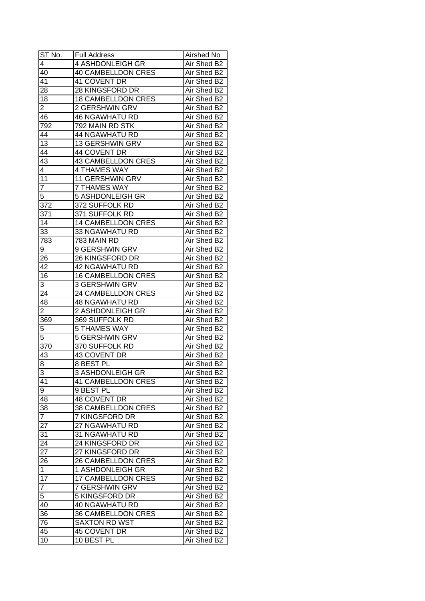| ST No.           | <b>Full Address</b>       | Airshed No  |
|------------------|---------------------------|-------------|
| 4                | 4 ASHDONLEIGH GR          | Air Shed B2 |
| 40               | <b>40 CAMBELLDON CRES</b> | Air Shed B2 |
| 41               | 41 COVENT DR              | Air Shed B2 |
| $\overline{28}$  | 28 KINGSFORD DR           | Air Shed B2 |
| 18               | <b>18 CAMBELLDON CRES</b> | Air Shed B2 |
| $\overline{2}$   | 2 GERSHWIN GRV            | Air Shed B2 |
| 46               | <b>46 NGAWHATU RD</b>     | Air Shed B2 |
| 792              | 792 MAIN RD STK           | Air Shed B2 |
| 44               | <b>44 NGAWHATU RD</b>     | Air Shed B2 |
| 13               | 13 GERSHWIN GRV           | Air Shed B2 |
| 44               | 44 COVENT DR              | Air Shed B2 |
| 43               | <b>43 CAMBELLDON CRES</b> | Air Shed B2 |
| 4                | <b>4 THAMES WAY</b>       | Air Shed B2 |
| 11               | 11 GERSHWIN GRV           | Air Shed B2 |
| 7                | <b>7 THAMES WAY</b>       | Air Shed B2 |
| $\overline{5}$   | 5 ASHDONLEIGH GR          | Air Shed B2 |
| 372              | 372 SUFFOLK RD            | Air Shed B2 |
| 371              | 371 SUFFOLK RD            | Air Shed B2 |
| 14               | <b>14 CAMBELLDON CRES</b> | Air Shed B2 |
| 33               | 33 NGAWHATU RD            | Air Shed B2 |
| 783              | 783 MAIN RD               | Air Shed B2 |
| 9                | 9 GERSHWIN GRV            | Air Shed B2 |
| 26               | 26 KINGSFORD DR           | Air Shed B2 |
| 42               | 42 NGAWHATU RD            | Air Shed B2 |
| 16               | <b>16 CAMBELLDON CRES</b> | Air Shed B2 |
| 3                | 3 GERSHWIN GRV            | Air Shed B2 |
| 24               | 24 CAMBELLDON CRES        | Air Shed B2 |
| 48               | <b>48 NGAWHATU RD</b>     | Air Shed B2 |
| 2                | 2 ASHDONLEIGH GR          | Air Shed B2 |
| 369              | 369 SUFFOLK RD            | Air Shed B2 |
| 5                | <b>5 THAMES WAY</b>       | Air Shed B2 |
| $\overline{5}$   | 5 GERSHWIN GRV            | Air Shed B2 |
| $\overline{370}$ | 370 SUFFOLK RD            | Air Shed B2 |
| 43               | 43 COVENT DR              | Air Shed B2 |
| 8                | <b>8 BEST PL</b>          | Air Shed B2 |
| $\overline{3}$   | 3 ASHDONLEIGH GR          | Air Shed B2 |
| 41               | <b>41 CAMBELLDON CRES</b> | Air Shed B2 |
| 9                | 9 BEST PL                 | Air Shed B2 |
| 48               | <b>48 COVENT DR</b>       | Air Shed B2 |
| 38               | 38 CAMBELLDON CRES        | Air Shed B2 |
| $\overline{7}$   | 7 KINGSFORD DR            | Air Shed B2 |
| 27               | 27 NGAWHATU RD            | Air Shed B2 |
| 31               | 31 NGAWHATU RD            | Air Shed B2 |
| 24               | 24 KINGSFORD DR           | Air Shed B2 |
| 27               | 27 KINGSFORD DR           | Air Shed B2 |
| 26               | 26 CAMBELLDON CRES        | Air Shed B2 |
| $\mathbf{1}$     | 1 ASHDONLEIGH GR          | Air Shed B2 |
| 17               | <b>17 CAMBELLDON CRES</b> | Air Shed B2 |
| $\overline{7}$   | 7 GERSHWIN GRV            | Air Shed B2 |
| 5                | 5 KINGSFORD DR            | Air Shed B2 |
| 40               | <b>40 NGAWHATU RD</b>     | Air Shed B2 |
| 36               | 36 CAMBELLDON CRES        | Air Shed B2 |
| 76               | <b>SAXTON RD WST</b>      | Air Shed B2 |
| 45               | 45 COVENT DR              | Air Shed B2 |
| 10               | 10 BEST PL                | Air Shed B2 |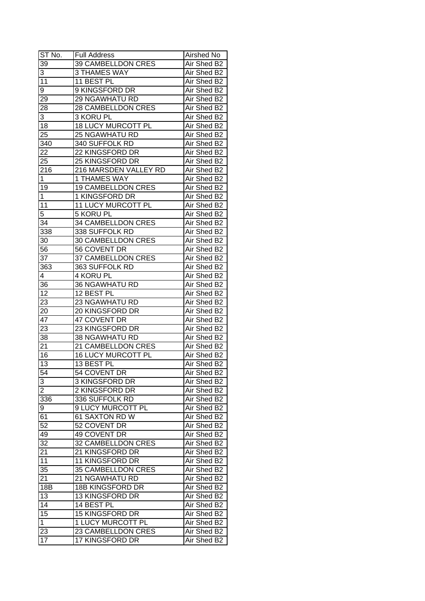| ST No.          | <b>Full Address</b>       | Airshed No  |
|-----------------|---------------------------|-------------|
| 39              | 39 CAMBELLDON CRES        | Air Shed B2 |
| 3               | <b>3 THAMES WAY</b>       | Air Shed B2 |
| 11              | 11 BEST PL                | Air Shed B2 |
| 9               | 9 KINGSFORD DR            | Air Shed B2 |
| 29              | <b>29 NGAWHATU RD</b>     | Air Shed B2 |
| 28              | 28 CAMBELLDON CRES        | Air Shed B2 |
| 3               | 3 KORU PL                 | Air Shed B2 |
| 18              | <b>18 LUCY MURCOTT PL</b> | Air Shed B2 |
| 25              | <b>25 NGAWHATU RD</b>     | Air Shed B2 |
| 340             | 340 SUFFOLK RD            | Air Shed B2 |
| 22              | 22 KINGSFORD DR           | Air Shed B2 |
| 25              | <b>25 KINGSFORD DR</b>    | Air Shed B2 |
| 216             | 216 MARSDEN VALLEY RD     | Air Shed B2 |
| 1               | <b>1 THAMES WAY</b>       | Air Shed B2 |
| 19              | <b>19 CAMBELLDON CRES</b> | Air Shed B2 |
| $\mathbf{1}$    | 1 KINGSFORD DR            | Air Shed B2 |
| 11              | 11 LUCY MURCOTT PL        | Air Shed B2 |
| 5               | 5 KORU PL                 | Air Shed B2 |
| 34              | 34 CAMBELLDON CRES        | Air Shed B2 |
| 338             | 338 SUFFOLK RD            | Air Shed B2 |
| 30              | 30 CAMBELLDON CRES        | Air Shed B2 |
| 56              | 56 COVENT DR              | Air Shed B2 |
| 37              | 37 CAMBELLDON CRES        | Air Shed B2 |
| 363             | 363 SUFFOLK RD            | Air Shed B2 |
| 4               | 4 KORU PL                 | Air Shed B2 |
| 36              | <b>36 NGAWHATU RD</b>     | Air Shed B2 |
| 12              | 12 BEST PL                | Air Shed B2 |
| 23              | 23 NGAWHATU RD            | Air Shed B2 |
| 20              | 20 KINGSFORD DR           | Air Shed B2 |
| 47              | 47 COVENT DR              | Air Shed B2 |
| 23              | 23 KINGSFORD DR           | Air Shed B2 |
| 38              | 38 NGAWHATU RD            | Air Shed B2 |
| 21              | 21 CAMBELLDON CRES        | Air Shed B2 |
| 16              | <b>16 LUCY MURCOTT PL</b> | Air Shed B2 |
| 13              | 13 BEST PL                | Air Shed B2 |
| 54              | 54 COVENT DR              | Air Shed B2 |
| 3               | 3 KINGSFORD DR            | Air Shed B2 |
| $\overline{2}$  | 2 KINGSFORD DR            | Air Shed B2 |
| 336             | 336 SUFFOLK RD            | Air Shed B2 |
| 9               | 9 LUCY MURCOTT PL         | Air Shed B2 |
| 61              | <b>61 SAXTON RD W</b>     | Air Shed B2 |
| 52              | 52 COVENT DR              | Air Shed B2 |
| 49              | 49 COVENT DR              | Air Shed B2 |
| $\overline{32}$ | 32 CAMBELLDON CRES        | Air Shed B2 |
| 21              | 21 KINGSFORD DR           | Air Shed B2 |
| 11              | <b>11 KINGSFORD DR</b>    | Air Shed B2 |
| 35              | 35 CAMBELLDON CRES        | Air Shed B2 |
| 21              | 21 NGAWHATU RD            | Air Shed B2 |
| 18B             | 18B KINGSFORD DR          | Air Shed B2 |
| 13              | 13 KINGSFORD DR           | Air Shed B2 |
| 14              | 14 BEST PL                | Air Shed B2 |
| 15              | 15 KINGSFORD DR           | Air Shed B2 |
| $\mathbf 1$     | <b>1 LUCY MURCOTT PL</b>  | Air Shed B2 |
| 23              | 23 CAMBELLDON CRES        | Air Shed B2 |
| 17              | 17 KINGSFORD DR           | Air Shed B2 |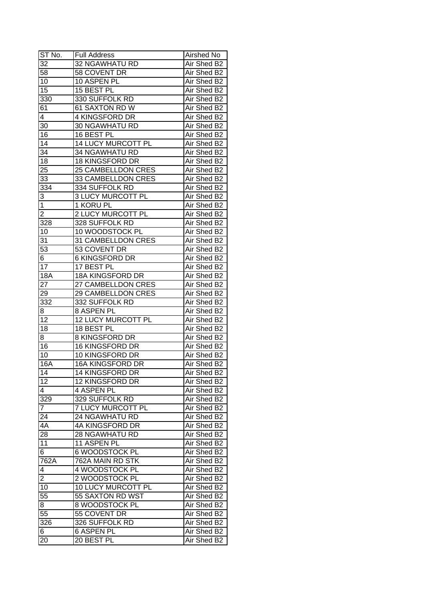| ST No.                  | <b>Full Address</b>      | Airshed No  |
|-------------------------|--------------------------|-------------|
| 32                      | 32 NGAWHATU RD           | Air Shed B2 |
| 58                      | 58 COVENT DR             | Air Shed B2 |
| 10                      | 10 ASPEN PL              | Air Shed B2 |
| 15                      | 15 BEST PL               | Air Shed B2 |
| 330                     | 330 SUFFOLK RD           | Air Shed B2 |
| 61                      | 61 SAXTON RD W           | Air Shed B2 |
| 4                       | 4 KINGSFORD DR           | Air Shed B2 |
| 30                      | <b>30 NGAWHATU RD</b>    | Air Shed B2 |
| 16                      | 16 BEST PL               | Air Shed B2 |
| 14                      | 14 LUCY MURCOTT PL       | Air Shed B2 |
| 34                      | <b>34 NGAWHATU RD</b>    | Air Shed B2 |
| 18                      | 18 KINGSFORD DR          | Air Shed B2 |
| 25                      | 25 CAMBELLDON CRES       | Air Shed B2 |
| $\overline{33}$         | 33 CAMBELLDON CRES       | Air Shed B2 |
| 334                     | 334 SUFFOLK RD           | Air Shed B2 |
| 3                       | <b>3 LUCY MURCOTT PL</b> | Air Shed B2 |
| $\overline{1}$          | 1 KORU PL                | Air Shed B2 |
| $\overline{\mathbf{c}}$ | 2 LUCY MURCOTT PL        | Air Shed B2 |
| 328                     | 328 SUFFOLK RD           | Air Shed B2 |
| 10                      | 10 WOODSTOCK PL          | Air Shed B2 |
| 31                      | 31 CAMBELLDON CRES       | Air Shed B2 |
| 53                      | 53 COVENT DR             | Air Shed B2 |
| 6                       | <b>6 KINGSFORD DR</b>    | Air Shed B2 |
| 17                      | 17 BEST PL               | Air Shed B2 |
| <b>18A</b>              | 18A KINGSFORD DR         | Air Shed B2 |
| 27                      | 27 CAMBELLDON CRES       | Air Shed B2 |
| 29                      | 29 CAMBELLDON CRES       | Air Shed B2 |
| 332                     | 332 SUFFOLK RD           | Air Shed B2 |
| 8                       | 8 ASPEN PL               | Air Shed B2 |
| 12                      | 12 LUCY MURCOTT PL       | Air Shed B2 |
| 18                      | 18 BEST PL               | Air Shed B2 |
| 8                       | <b>8 KINGSFORD DR</b>    | Air Shed B2 |
| 16                      | 16 KINGSFORD DR          | Air Shed B2 |
| 10                      | 10 KINGSFORD DR          | Air Shed B2 |
| 16A                     | <b>16A KINGSFORD DR</b>  | Air Shed B2 |
| 14                      | <b>14 KINGSFORD DR</b>   | Air Shed B2 |
| 12                      | 12 KINGSFORD DR          | Air Shed B2 |
| 4                       | 4 ASPEN PL               | Air Shed B2 |
| 329                     | 329 SUFFOLK RD           | Air Shed B2 |
| $\overline{7}$          | <b>7 LUCY MURCOTT PL</b> | Air Shed B2 |
| 24                      | <b>24 NGAWHATU RD</b>    | Air Shed B2 |
| 4A                      | 4A KINGSFORD DR          | Air Shed B2 |
| 28                      | <b>28 NGAWHATU RD</b>    | Air Shed B2 |
| 11                      | 11 ASPEN PL              | Air Shed B2 |
| $\overline{6}$          | 6 WOODSTOCK PL           | Air Shed B2 |
| 762A                    | 762A MAIN RD STK         | Air Shed B2 |
| 4                       | 4 WOODSTOCK PL           | Air Shed B2 |
| $\overline{2}$          | 2 WOODSTOCK PL           | Air Shed B2 |
| 10                      | 10 LUCY MURCOTT PL       | Air Shed B2 |
| 55                      | 55 SAXTON RD WST         | Air Shed B2 |
| 8                       | 8 WOODSTOCK PL           | Air Shed B2 |
| 55                      | 55 COVENT DR             | Air Shed B2 |
| 326                     | 326 SUFFOLK RD           | Air Shed B2 |
|                         | <b>6 ASPEN PL</b>        | Air Shed B2 |
| 6                       |                          |             |
| 20                      | 20 BEST PL               | Air Shed B2 |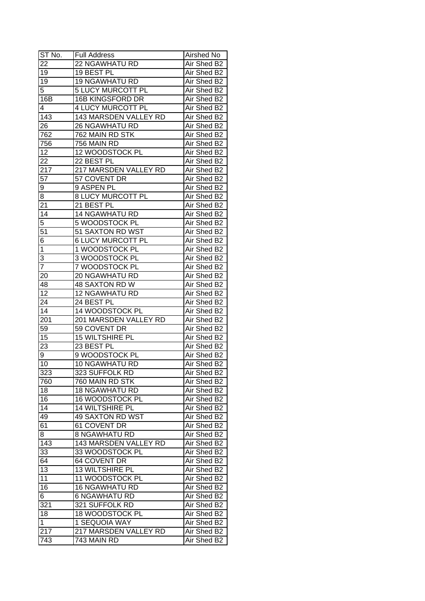| ST No.           | <b>Full Address</b>      | Airshed No  |
|------------------|--------------------------|-------------|
| 22               | 22 NGAWHATU RD           | Air Shed B2 |
| 19               | 19 BEST PL               | Air Shed B2 |
| 19               | <b>19 NGAWHATU RD</b>    | Air Shed B2 |
| 5                | 5 LUCY MURCOTT PL        | Air Shed B2 |
| 16B              | <b>16B KINGSFORD DR</b>  | Air Shed B2 |
| 4                | <b>4 LUCY MURCOTT PL</b> | Air Shed B2 |
| 143              | 143 MARSDEN VALLEY RD    | Air Shed B2 |
| 26               | <b>26 NGAWHATU RD</b>    | Air Shed B2 |
| 762              | 762 MAIN RD STK          | Air Shed B2 |
| 756              | 756 MAIN RD              | Air Shed B2 |
| $1\overline{2}$  | 12 WOODSTOCK PL          | Air Shed B2 |
| 22               | 22 BEST PL               | Air Shed B2 |
| 217              | 217 MARSDEN VALLEY RD    | Air Shed B2 |
| 57               | 57 COVENT DR             | Air Shed B2 |
| 9                | 9 ASPEN PL               | Air Shed B2 |
| $\overline{8}$   | 8 LUCY MURCOTT PL        | Air Shed B2 |
| 21               | 21 BEST PL               | Air Shed B2 |
| 14               | <b>14 NGAWHATU RD</b>    | Air Shed B2 |
| 5                | 5 WOODSTOCK PL           | Air Shed B2 |
| 51               | 51 SAXTON RD WST         | Air Shed B2 |
| 6                | <b>6 LUCY MURCOTT PL</b> | Air Shed B2 |
| $\mathbf{1}$     | 1 WOODSTOCK PL           | Air Shed B2 |
| 3                | 3 WOODSTOCK PL           | Air Shed B2 |
| $\overline{7}$   | 7 WOODSTOCK PL           | Air Shed B2 |
| 20               | <b>20 NGAWHATU RD</b>    | Air Shed B2 |
| 48               | 48 SAXTON RD W           | Air Shed B2 |
| $\overline{12}$  | <b>12 NGAWHATU RD</b>    | Air Shed B2 |
| 24               | 24 BEST PL               | Air Shed B2 |
| 14               | 14 WOODSTOCK PL          | Air Shed B2 |
| 201              | 201 MARSDEN VALLEY RD    | Air Shed B2 |
| 59               | 59 COVENT DR             | Air Shed B2 |
| 15               | <b>15 WILTSHIRE PL</b>   | Air Shed B2 |
| 23               | 23 BEST PL               | Air Shed B2 |
| 9                | 9 WOODSTOCK PL           | Air Shed B2 |
| 10               | <b>10 NGAWHATU RD</b>    | Air Shed B2 |
| 323              | 323 SUFFOLK RD           | Air Shed B2 |
| 760              | 760 MAIN RD STK          | Air Shed B2 |
| 18               | <b>18 NGAWHATU RD</b>    | Air Shed B2 |
| 16               | 16 WOODSTOCK PL          | Air Shed B2 |
| 14               | 14 WILTSHIRE PL          | Air Shed B2 |
| 49               | <b>49 SAXTON RD WST</b>  | Air Shed B2 |
| 61               | 61 COVENT DR             | Air Shed B2 |
| 8                | <b>8 NGAWHATU RD</b>     | Air Shed B2 |
| 143              | 143 MARSDEN VALLEY RD    | Air Shed B2 |
| 33               | 33 WOODSTOCK PL          | Air Shed B2 |
| 64               | 64 COVENT DR             | Air Shed B2 |
| 13               | 13 WILTSHIRE PL          | Air Shed B2 |
| 11               | 11 WOODSTOCK PL          | Air Shed B2 |
| 16               | <b>16 NGAWHATU RD</b>    | Air Shed B2 |
| $6 \overline{6}$ | 6 NGAWHATU RD            | Air Shed B2 |
| 321              | 321 SUFFOLK RD           | Air Shed B2 |
| 18               | 18 WOODSTOCK PL          | Air Shed B2 |
| $\mathbf 1$      | 1 SEQUOIA WAY            | Air Shed B2 |
| 217              | 217 MARSDEN VALLEY RD    | Air Shed B2 |
| 743              | 743 MAIN RD              | Air Shed B2 |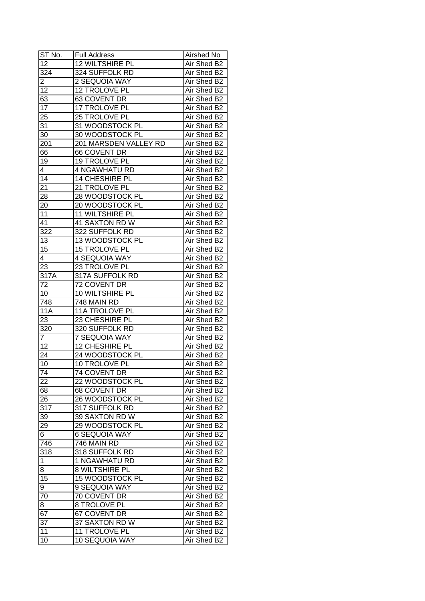| ST No.           | <b>Full Address</b>    | Airshed No  |
|------------------|------------------------|-------------|
| $\overline{12}$  | <b>12 WILTSHIRE PL</b> | Air Shed B2 |
| $\overline{324}$ | 324 SUFFOLK RD         | Air Shed B2 |
| 2                | 2 SEQUOIA WAY          | Air Shed B2 |
| 12               | 12 TROLOVE PL          | Air Shed B2 |
| 63               | 63 COVENT DR           | Air Shed B2 |
| 17               | 17 TROLOVE PL          | Air Shed B2 |
| 25               | 25 TROLOVE PL          | Air Shed B2 |
| 31               | 31 WOODSTOCK PL        | Air Shed B2 |
| 30               | 30 WOODSTOCK PL        | Air Shed B2 |
| 201              | 201 MARSDEN VALLEY RD  | Air Shed B2 |
| 66               | 66 COVENT DR           | Air Shed B2 |
| 19               | 19 TROLOVE PL          | Air Shed B2 |
| $\overline{4}$   | <b>4 NGAWHATU RD</b>   | Air Shed B2 |
| 14               | 14 CHESHIRE PL         | Air Shed B2 |
| 21               | 21 TROLOVE PL          | Air Shed B2 |
| 28               | 28 WOODSTOCK PL        | Air Shed B2 |
| 20               | 20 WOODSTOCK PL        | Air Shed B2 |
| 11               | 11 WILTSHIRE PL        | Air Shed B2 |
| 41               | 41 SAXTON RD W         | Air Shed B2 |
| 322              | 322 SUFFOLK RD         | Air Shed B2 |
| 13               | 13 WOODSTOCK PL        | Air Shed B2 |
| 15               | 15 TROLOVE PL          | Air Shed B2 |
| 4                | 4 SEQUOIA WAY          | Air Shed B2 |
| 23               | 23 TROLOVE PL          | Air Shed B2 |
| 317A             | 317A SUFFOLK RD        | Air Shed B2 |
| 72               | 72 COVENT DR           | Air Shed B2 |
| 10               | 10 WILTSHIRE PL        | Air Shed B2 |
| 748              | 748 MAIN RD            | Air Shed B2 |
| <b>11A</b>       | 11A TROLOVE PL         | Air Shed B2 |
| 23               | 23 CHESHIRE PL         | Air Shed B2 |
| 320              | 320 SUFFOLK RD         | Air Shed B2 |
| 7                | <b>7 SEQUOIA WAY</b>   | Air Shed B2 |
| 12               | 12 CHESHIRE PL         | Air Shed B2 |
| 24               | 24 WOODSTOCK PL        | Air Shed B2 |
| 10               | 10 TROLOVE PL          | Air Shed B2 |
| $\overline{74}$  | 74 COVENT DR           | Air Shed B2 |
| 22               | 22 WOODSTOCK PL        | Air Shed B2 |
| 68               | 68 COVENT DR           | Air Shed B2 |
| 26               | 26 WOODSTOCK PL        | Air Shed B2 |
| 317              | 317 SUFFOLK RD         | Air Shed B2 |
| 39               | 39 SAXTON RD W         | Air Shed B2 |
| 29               | 29 WOODSTOCK PL        | Air Shed B2 |
| 6                | <b>6 SEQUOIA WAY</b>   | Air Shed B2 |
| 746              | 746 MAIN RD            | Air Shed B2 |
| 318              | 318 SUFFOLK RD         | Air Shed B2 |
| $\mathbf{1}$     | 1 NGAWHATU RD          | Air Shed B2 |
| 8                | 8 WILTSHIRE PL         | Air Shed B2 |
| 15               | 15 WOODSTOCK PL        | Air Shed B2 |
| 9                | 9 SEQUOIA WAY          | Air Shed B2 |
| 70               | 70 COVENT DR           | Air Shed B2 |
| 8                | <b>8 TROLOVE PL</b>    | Air Shed B2 |
| 67               | 67 COVENT DR           | Air Shed B2 |
| 37               | 37 SAXTON RD W         | Air Shed B2 |
| 11               | 11 TROLOVE PL          | Air Shed B2 |
| 10               | 10 SEQUOIA WAY         | Air Shed B2 |
|                  |                        |             |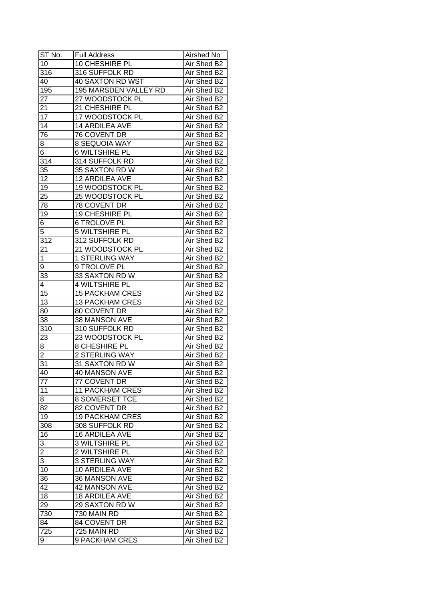| ST No.           | <b>Full Address</b>    | Airshed No  |
|------------------|------------------------|-------------|
| 10               | 10 CHESHIRE PL         | Air Shed B2 |
| 316              | 316 SUFFOLK RD         | Air Shed B2 |
| 40               | 40 SAXTON RD WST       | Air Shed B2 |
| 195              | 195 MARSDEN VALLEY RD  | Air Shed B2 |
| 27               | 27 WOODSTOCK PL        | Air Shed B2 |
| 21               | 21 CHESHIRE PL         | Air Shed B2 |
| 17               | 17 WOODSTOCK PL        | Air Shed B2 |
| 14               | 14 ARDILEA AVE         | Air Shed B2 |
| 76               | 76 COVENT DR           | Air Shed B2 |
| 8                | <b>8 SEQUOIA WAY</b>   | Air Shed B2 |
| 6                | <b>6 WILTSHIRE PL</b>  | Air Shed B2 |
| $31\overline{4}$ | 314 SUFFOLK RD         | Air Shed B2 |
| 35               | 35 SAXTON RD W         | Air Shed B2 |
| 12               | 12 ARDILEA AVE         | Air Shed B2 |
| 19               | 19 WOODSTOCK PL        | Air Shed B2 |
| $2\overline{5}$  | 25 WOODSTOCK PL        | Air Shed B2 |
| 78               | 78 COVENT DR           | Air Shed B2 |
| 19               | 19 CHESHIRE PL         | Air Shed B2 |
| 6                | <b>6 TROLOVE PL</b>    | Air Shed B2 |
| 5                | 5 WILTSHIRE PL         | Air Shed B2 |
| 312              | 312 SUFFOLK RD         | Air Shed B2 |
| 21               | 21 WOODSTOCK PL        | Air Shed B2 |
| 1                | <b>1 STERLING WAY</b>  | Air Shed B2 |
| 9                | 9 TROLOVE PL           | Air Shed B2 |
| 33               | 33 SAXTON RD W         | Air Shed B2 |
| 4                | 4 WILTSHIRE PL         | Air Shed B2 |
| 15               | <b>15 PACKHAM CRES</b> | Air Shed B2 |
| 13               | <b>13 PACKHAM CRES</b> | Air Shed B2 |
| 80               | 80 COVENT DR           | Air Shed B2 |
| 38               | 38 MANSON AVE          | Air Shed B2 |
| 310              | 310 SUFFOLK RD         | Air Shed B2 |
| 23               | 23 WOODSTOCK PL        | Air Shed B2 |
| 8                | 8 CHESHIRE PL          | Air Shed B2 |
| $\overline{2}$   | 2 STERLING WAY         | Air Shed B2 |
| $\overline{31}$  | 31 SAXTON RD W         | Air Shed B2 |
| 40               | <b>40 MANSON AVE</b>   | Air Shed B2 |
| 77               | 77 COVENT DR           | Air Shed B2 |
| 11               | <b>11 PACKHAM CRES</b> | Air Shed B2 |
| 8                | <b>8 SOMERSET TCE</b>  | Air Shed B2 |
| 82               | 82 COVENT DR           | Air Shed B2 |
| 19               | <b>19 PACKHAM CRES</b> | Air Shed B2 |
| 308              | 308 SUFFOLK RD         | Air Shed B2 |
| 16               | 16 ARDILEA AVE         | Air Shed B2 |
| 3                | 3 WILTSHIRE PL         | Air Shed B2 |
| $\overline{2}$   | 2 WILTSHIRE PL         | Air Shed B2 |
| $\overline{3}$   | 3 STERLING WAY         | Air Shed B2 |
| 10               | 10 ARDILEA AVE         | Air Shed B2 |
| 36               | 36 MANSON AVE          | Air Shed B2 |
| 42               | 42 MANSON AVE          | Air Shed B2 |
| 18               |                        |             |
|                  | 18 ARDILEA AVE         | Air Shed B2 |
| 29               | 29 SAXTON RD W         | Air Shed B2 |
| 730              | 730 MAIN RD            | Air Shed B2 |
| 84               | 84 COVENT DR           | Air Shed B2 |
| 725              | 725 MAIN RD            | Air Shed B2 |
| 9                | 9 PACKHAM CRES         | Air Shed B2 |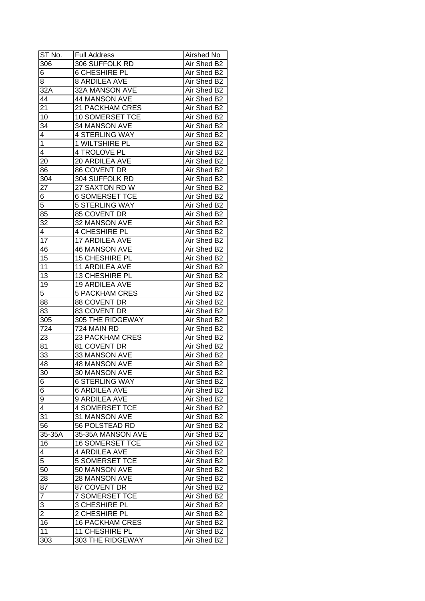| ST No.          | <b>Full Address</b>    | Airshed No  |
|-----------------|------------------------|-------------|
| 306             | 306 SUFFOLK RD         | Air Shed B2 |
| 6               | <b>6 CHESHIRE PL</b>   | Air Shed B2 |
| 8               | <b>8 ARDILEA AVE</b>   | Air Shed B2 |
| 32A             | 32A MANSON AVE         | Air Shed B2 |
| 44              | 44 MANSON AVE          | Air Shed B2 |
| 21              | 21 PACKHAM CRES        | Air Shed B2 |
| 10              | 10 SOMERSET TCE        | Air Shed B2 |
| 34              | 34 MANSON AVE          | Air Shed B2 |
| 4               | <b>4 STERLING WAY</b>  | Air Shed B2 |
| $\mathbf 1$     | 1 WILTSHIRE PL         | Air Shed B2 |
| 4               | 4 TROLOVE PL           | Air Shed B2 |
| 20              | 20 ARDILEA AVE         | Air Shed B2 |
| 86              | 86 COVENT DR           | Air Shed B2 |
| 304             | 304 SUFFOLK RD         | Air Shed B2 |
| 27              | 27 SAXTON RD W         | Air Shed B2 |
| 6               | <b>6 SOMERSET TCE</b>  | Air Shed B2 |
| $\overline{5}$  | <b>5 STERLING WAY</b>  | Air Shed B2 |
| 85              | 85 COVENT DR           | Air Shed B2 |
| 32              | 32 MANSON AVE          | Air Shed B2 |
| 4               | 4 CHESHIRE PL          | Air Shed B2 |
| 17              | 17 ARDILEA AVE         | Air Shed B2 |
| 46              | <b>46 MANSON AVE</b>   | Air Shed B2 |
| 15              | 15 CHESHIRE PL         | Air Shed B2 |
| 11              | 11 ARDILEA AVE         | Air Shed B2 |
| 13              | 13 CHESHIRE PL         | Air Shed B2 |
| 19              | 19 ARDILEA AVE         | Air Shed B2 |
| 5 <sup>2</sup>  | <b>5 PACKHAM CRES</b>  | Air Shed B2 |
| 88              | 88 COVENT DR           | Air Shed B2 |
| 83              | 83 COVENT DR           | Air Shed B2 |
| 305             | 305 THE RIDGEWAY       | Air Shed B2 |
| 724             | 724 MAIN RD            | Air Shed B2 |
| 23              | <b>23 PACKHAM CRES</b> | Air Shed B2 |
| 81              | 81 COVENT DR           | Air Shed B2 |
| 33              | 33 MANSON AVE          | Air Shed B2 |
| 48              | <b>48 MANSON AVE</b>   | Air Shed B2 |
| 30              | 30 MANSON AVE          | Air Shed B2 |
| 6               | <b>6 STERLING WAY</b>  | Air Shed B2 |
| 6               | <b>6 ARDILEA AVE</b>   | Air Shed B2 |
| 9               | 9 ARDILEA AVE          | Air Shed B2 |
| 4               | <b>4 SOMERSET TCE</b>  | Air Shed B2 |
| 31              | 31 MANSON AVE          | Air Shed B2 |
| 56              | 56 POLSTEAD RD         | Air Shed B2 |
| 35-35A          | 35-35A MANSON AVE      | Air Shed B2 |
| 16              | <b>16 SOMERSET TCE</b> | Air Shed B2 |
| 4               | 4 ARDILEA AVE          | Air Shed B2 |
| 5               | <b>5 SOMERSET TCE</b>  | Air Shed B2 |
| 50              | 50 MANSON AVE          | Air Shed B2 |
| 28              | 28 MANSON AVE          | Air Shed B2 |
| $8\overline{7}$ | 87 COVENT DR           | Air Shed B2 |
| $\overline{7}$  | <b>7 SOMERSET TCE</b>  | Air Shed B2 |
| 3               | 3 CHESHIRE PL          | Air Shed B2 |
| $\overline{2}$  | 2 CHESHIRE PL          | Air Shed B2 |
| 16              | <b>16 PACKHAM CRES</b> | Air Shed B2 |
| 11              | 11 CHESHIRE PL         | Air Shed B2 |
| 303             | 303 THE RIDGEWAY       | Air Shed B2 |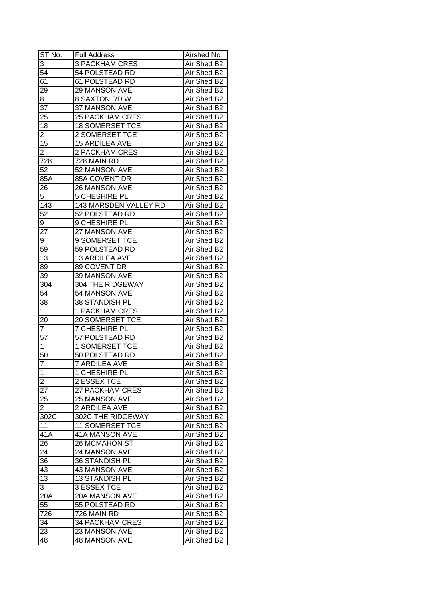| $ST N0$ .       | <b>Full Address</b>    | Airshed No  |
|-----------------|------------------------|-------------|
| 3               | <b>3 PACKHAM CRES</b>  | Air Shed B2 |
| 54              | 54 POLSTEAD RD         | Air Shed B2 |
| 61              | 61 POLSTEAD RD         | Air Shed B2 |
| $2\overline{9}$ | 29 MANSON AVE          | Air Shed B2 |
| 8               | 8 SAXTON RD W          | Air Shed B2 |
| 37              | 37 MANSON AVE          | Air Shed B2 |
| 25              | <b>25 PACKHAM CRES</b> | Air Shed B2 |
| 18              | 18 SOMERSET TCE        | Air Shed B2 |
| $\overline{2}$  | 2 SOMERSET TCE         | Air Shed B2 |
| 15              | 15 ARDILEA AVE         | Air Shed B2 |
| $\overline{2}$  | 2 PACKHAM CRES         | Air Shed B2 |
| 728             | 728 MAIN RD            | Air Shed B2 |
| 52              | 52 MANSON AVE          | Air Shed B2 |
| 85A             | 85A COVENT DR          | Air Shed B2 |
| 26              | 26 MANSON AVE          | Air Shed B2 |
| 5               | 5 CHESHIRE PL          | Air Shed B2 |
| 143             | 143 MARSDEN VALLEY RD  | Air Shed B2 |
| 52              | 52 POLSTEAD RD         | Air Shed B2 |
| 9               | 9 CHESHIRE PL          | Air Shed B2 |
| 27              | 27 MANSON AVE          | Air Shed B2 |
| 9               | 9 SOMERSET TCE         | Air Shed B2 |
| 59              | 59 POLSTEAD RD         | Air Shed B2 |
| 13              | 13 ARDILEA AVE         | Air Shed B2 |
| 89              | 89 COVENT DR           | Air Shed B2 |
| 39              | 39 MANSON AVE          | Air Shed B2 |
| 304             | 304 THE RIDGEWAY       | Air Shed B2 |
| 54              | 54 MANSON AVE          | Air Shed B2 |
| 38              | 38 STANDISH PL         | Air Shed B2 |
| 1               | 1 PACKHAM CRES         | Air Shed B2 |
| 20              | 20 SOMERSET TCE        | Air Shed B2 |
| 7               | 7 CHESHIRE PL          | Air Shed B2 |
| $\overline{57}$ | 57 POLSTEAD RD         | Air Shed B2 |
| $\overline{1}$  | <b>1 SOMERSET TCE</b>  | Air Shed B2 |
| $\overline{50}$ | 50 POLSTEAD RD         | Air Shed B2 |
| $\overline{7}$  | <b>7 ARDILEA AVE</b>   | Air Shed B2 |
| $\overline{1}$  | 1 CHESHIRE PL          | Air Shed B2 |
| $\overline{2}$  | 2 ESSEX TCE            | Air Shed B2 |
| 27              | 27 PACKHAM CRES        | Air Shed B2 |
| 25              | 25 MANSON AVE          | Air Shed B2 |
| $\overline{2}$  | 2 ARDILEA AVE          | Air Shed B2 |
| 302C            | 302C THE RIDGEWAY      | Air Shed B2 |
| 11              | <b>11 SOMERSET TCE</b> | Air Shed B2 |
| 41A             | 41A MANSON AVE         | Air Shed B2 |
| 26              | 26 MCMAHON ST          | Air Shed B2 |
| $2\overline{4}$ | 24 MANSON AVE          | Air Shed B2 |
| 36              | 36 STANDISH PL         | Air Shed B2 |
| 43              | 43 MANSON AVE          | Air Shed B2 |
| 13              | 13 STANDISH PL         | Air Shed B2 |
| 3               | 3 ESSEX TCE            | Air Shed B2 |
| 20A             | 20A MANSON AVE         | Air Shed B2 |
| 55              | 55 POLSTEAD RD         | Air Shed B2 |
| 726             | 726 MAIN RD            | Air Shed B2 |
| 34              | <b>34 PACKHAM CRES</b> | Air Shed B2 |
| 23              | 23 MANSON AVE          | Air Shed B2 |
| 48              | <b>48 MANSON AVE</b>   | Air Shed B2 |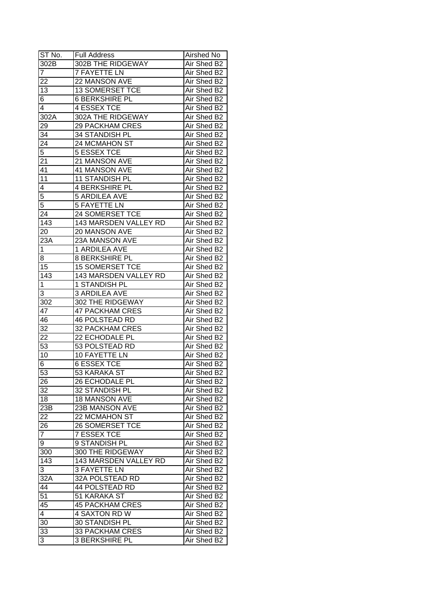| ST No.           | <b>Full Address</b>    | Airshed No  |
|------------------|------------------------|-------------|
| 302B             | 302B THE RIDGEWAY      | Air Shed B2 |
| $\overline{7}$   | <b>7 FAYETTE LN</b>    | Air Shed B2 |
| $2\overline{2}$  | 22 MANSON AVE          | Air Shed B2 |
| $\overline{13}$  | 13 SOMERSET TCE        | Air Shed B2 |
| 6                | 6 BERKSHIRE PL         | Air Shed B2 |
| 4                | <b>4 ESSEX TCE</b>     | Air Shed B2 |
| 302A             | 302A THE RIDGEWAY      | Air Shed B2 |
| 29               | <b>29 PACKHAM CRES</b> | Air Shed B2 |
| $3\overline{4}$  | 34 STANDISH PL         | Air Shed B2 |
| $2\overline{4}$  | 24 MCMAHON ST          | Air Shed B2 |
| $\overline{5}$   | 5 ESSEX TCE            | Air Shed B2 |
| 21               | 21 MANSON AVE          | Air Shed B2 |
| 41               | 41 MANSON AVE          | Air Shed B2 |
| 11               | 11 STANDISH PL         | Air Shed B2 |
| 4                | <b>4 BERKSHIRE PL</b>  | Air Shed B2 |
| $\overline{5}$   | <b>5 ARDILEA AVE</b>   | Air Shed B2 |
| $\overline{5}$   | <b>5 FAYETTE LN</b>    | Air Shed B2 |
| 24               | 24 SOMERSET TCE        | Air Shed B2 |
| 143              | 143 MARSDEN VALLEY RD  | Air Shed B2 |
| 20               | 20 MANSON AVE          | Air Shed B2 |
| 23A              | 23A MANSON AVE         | Air Shed B2 |
| 1                | 1 ARDILEA AVE          | Air Shed B2 |
| 8                | <b>8 BERKSHIRE PL</b>  | Air Shed B2 |
| 15               | <b>15 SOMERSET TCE</b> | Air Shed B2 |
| 143              | 143 MARSDEN VALLEY RD  | Air Shed B2 |
| 1                | 1 STANDISH PL          | Air Shed B2 |
| 3                | <b>3 ARDILEA AVE</b>   | Air Shed B2 |
| 302              | 302 THE RIDGEWAY       | Air Shed B2 |
| 47               | <b>47 PACKHAM CRES</b> | Air Shed B2 |
| 46               | <b>46 POLSTEAD RD</b>  | Air Shed B2 |
| 32               | <b>32 PACKHAM CRES</b> | Air Shed B2 |
| 22               | 22 ECHODALE PL         | Air Shed B2 |
| $\overline{53}$  | <b>53 POLSTEAD RD</b>  | Air Shed B2 |
| 10               | 10 FAYETTE LN          | Air Shed B2 |
| 6                | <b>6 ESSEX TCE</b>     | Air Shed B2 |
| $\overline{53}$  | 53 KARAKA ST           | Air Shed B2 |
| 26               | 26 ECHODALE PL         | Air Shed B2 |
| 32               | 32 STANDISH PL         | Air Shed B2 |
| 18               | <b>18 MANSON AVE</b>   | Air Shed B2 |
| $23\overline{B}$ | 23B MANSON AVE         | Air Shed B2 |
| 22               | 22 MCMAHON ST          | Air Shed B2 |
| 26               | <b>26 SOMERSET TCE</b> | Air Shed B2 |
| $\overline{7}$   | <b>7 ESSEX TCE</b>     | Air Shed B2 |
| 9                | 9 STANDISH PL          | Air Shed B2 |
| 300              | 300 THE RIDGEWAY       | Air Shed B2 |
| 143              | 143 MARSDEN VALLEY RD  | Air Shed B2 |
| 3                | 3 FAYETTE LN           | Air Shed B2 |
| 32A              | 32A POLSTEAD RD        | Air Shed B2 |
| 44               | 44 POLSTEAD RD         | Air Shed B2 |
| 51               | 51 KARAKA ST           | Air Shed B2 |
| 45               | <b>45 PACKHAM CRES</b> | Air Shed B2 |
| 4                | 4 SAXTON RD W          | Air Shed B2 |
| 30               | 30 STANDISH PL         | Air Shed B2 |
| 33               | 33 PACKHAM CRES        | Air Shed B2 |
| 3                | <b>3 BERKSHIRE PL</b>  | Air Shed B2 |
|                  |                        |             |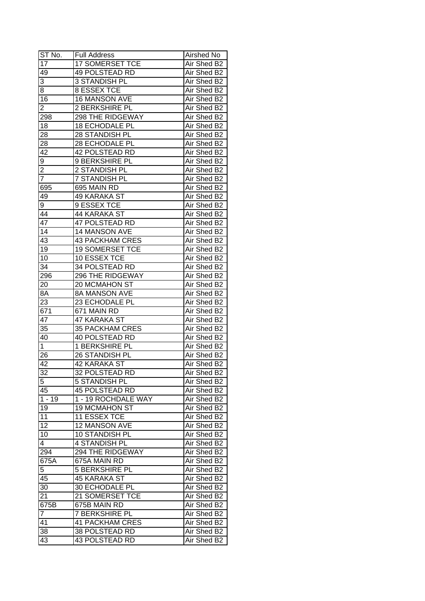| ST No.                  | <b>Full Address</b>    | Airshed No  |
|-------------------------|------------------------|-------------|
| $1\overline{7}$         | 17 SOMERSET TCE        | Air Shed B2 |
| 49                      | <b>49 POLSTEAD RD</b>  | Air Shed B2 |
| 3                       | 3 STANDISH PL          | Air Shed B2 |
| 8                       | <b>8 ESSEX TCE</b>     | Air Shed B2 |
| 16                      | 16 MANSON AVE          | Air Shed B2 |
| 2                       | <b>2 BERKSHIRE PL</b>  | Air Shed B2 |
| 298                     | 298 THE RIDGEWAY       | Air Shed B2 |
| 18                      | <b>18 ECHODALE PL</b>  | Air Shed B2 |
| 28                      | 28 STANDISH PL         | Air Shed B2 |
| 28                      | 28 ECHODALE PL         | Air Shed B2 |
| 42                      | 42 POLSTEAD RD         | Air Shed B2 |
| 9                       | 9 BERKSHIRE PL         | Air Shed B2 |
| $\overline{\mathbf{c}}$ | 2 STANDISH PL          | Air Shed B2 |
| $\overline{7}$          | 7 STANDISH PL          | Air Shed B2 |
| 695                     | 695 MAIN RD            | Air Shed B2 |
| 49                      | 49 KARAKA ST           | Air Shed B2 |
| 9                       | 9 ESSEX TCE            | Air Shed B2 |
| 44                      | 44 KARAKA ST           | Air Shed B2 |
| 47                      | 47 POLSTEAD RD         | Air Shed B2 |
| 14                      | 14 MANSON AVE          | Air Shed B2 |
| 43                      | <b>43 PACKHAM CRES</b> | Air Shed B2 |
| 19                      | <b>19 SOMERSET TCE</b> | Air Shed B2 |
| 10                      | 10 ESSEX TCE           | Air Shed B2 |
| 34                      | 34 POLSTEAD RD         | Air Shed B2 |
| 296                     | 296 THE RIDGEWAY       | Air Shed B2 |
| 20                      | 20 MCMAHON ST          | Air Shed B2 |
| $8\overline{A}$         | 8A MANSON AVE          | Air Shed B2 |
| 23                      | 23 ECHODALE PL         | Air Shed B2 |
| 671                     | 671 MAIN RD            | Air Shed B2 |
| 47                      | 47 KARAKA ST           | Air Shed B2 |
| 35                      | <b>35 PACKHAM CRES</b> | Air Shed B2 |
| 40                      | <b>40 POLSTEAD RD</b>  | Air Shed B2 |
| $\mathbf 1$             | 1 BERKSHIRE PL         | Air Shed B2 |
| 26                      | 26 STANDISH PL         | Air Shed B2 |
| 42                      | 42 KARAKA ST           | Air Shed B2 |
| 32                      | 32 POLSTEAD RD         | Air Shed B2 |
| 5                       | 5 STANDISH PL          | Air Shed B2 |
| 45                      | 45 POLSTEAD RD         | Air Shed B2 |
| $1 - 19$                | 1 - 19 ROCHDALE WAY    | Air Shed B2 |
| 19                      | <b>19 MCMAHON ST</b>   | Air Shed B2 |
| 11                      | 11 ESSEX TCE           | Air Shed B2 |
| 12                      | 12 MANSON AVE          | Air Shed B2 |
| 10                      | 10 STANDISH PL         | Air Shed B2 |
| $\overline{4}$          | 4 STANDISH PL          | Air Shed B2 |
| 294                     | 294 THE RIDGEWAY       | Air Shed B2 |
| 675A                    | 675A MAIN RD           | Air Shed B2 |
| 5                       | <b>5 BERKSHIRE PL</b>  | Air Shed B2 |
| 45                      | 45 KARAKA ST           | Air Shed B2 |
|                         | 30 ECHODALE PL         |             |
| 30                      | 21 SOMERSET TCE        | Air Shed B2 |
| 21                      |                        | Air Shed B2 |
| 675B                    | 675B MAIN RD           | Air Shed B2 |
| $\overline{7}$          | <b>7 BERKSHIRE PL</b>  | Air Shed B2 |
| 41                      | <b>41 PACKHAM CRES</b> | Air Shed B2 |
| 38                      | 38 POLSTEAD RD         | Air Shed B2 |
| 43                      | 43 POLSTEAD RD         | Air Shed B2 |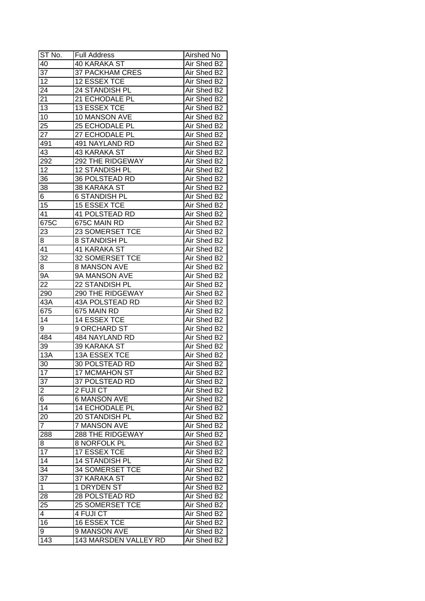| ST No.          | <b>Full Address</b>     | Airshed No  |
|-----------------|-------------------------|-------------|
| 40              | 40 KARAKA ST            | Air Shed B2 |
| $\overline{37}$ | <b>37 PACKHAM CRES</b>  | Air Shed B2 |
| $\overline{12}$ | 12 ESSEX TCE            | Air Shed B2 |
| 24              | 24 STANDISH PL          | Air Shed B2 |
| 21              | 21 ECHODALE PL          | Air Shed B2 |
| $1\overline{3}$ | 13 ESSEX TCE            | Air Shed B2 |
| 10              | 10 MANSON AVE           | Air Shed B2 |
| 25              | 25 ECHODALE PL          | Air Shed B2 |
| 27              | 27 ECHODALE PL          | Air Shed B2 |
| 491             | 491 NAYLAND RD          | Air Shed B2 |
| 43              | 43 KARAKA ST            | Air Shed B2 |
| 292             | 292 THE RIDGEWAY        | Air Shed B2 |
| 12              | 12 STANDISH PL          | Air Shed B2 |
| 36              | 36 POLSTEAD RD          | Air Shed B2 |
| 38              | 38 KARAKA ST            | Air Shed B2 |
| 6               | <b>6 STANDISH PL</b>    | Air Shed B2 |
| 15              | 15 ESSEX TCE            | Air Shed B2 |
| 41              | 41 POLSTEAD RD          | Air Shed B2 |
| 675C            | 675C MAIN RD            | Air Shed B2 |
| 23              | 23 SOMERSET TCE         | Air Shed B2 |
| 8               | <b>8 STANDISH PL</b>    | Air Shed B2 |
| 41              | 41 KARAKA ST            | Air Shed B2 |
| 32              | 32 SOMERSET TCE         | Air Shed B2 |
| 8               | 8 MANSON AVE            | Air Shed B2 |
| 9A              | 9A MANSON AVE           | Air Shed B2 |
| 22              | 22 STANDISH PL          | Air Shed B2 |
| 290             | 290 THE RIDGEWAY        | Air Shed B2 |
| 43A             | 43A POLSTEAD RD         | Air Shed B2 |
| 675             | 675 MAIN RD             | Air Shed B2 |
| 14              | 14 ESSEX TCE            | Air Shed B2 |
| 9               | 9 ORCHARD ST            | Air Shed B2 |
| 484             | <b>484 NAYLAND RD</b>   | Air Shed B2 |
| 39              | 39 KARAKA ST            | Air Shed B2 |
| 13A             | 13A ESSEX TCE           | Air Shed B2 |
| 30              | <b>30 POLSTEAD RD</b>   | Air Shed B2 |
| 17              | <b>17 MCMAHON ST</b>    | Air Shed B2 |
| 37              | 37 POLSTEAD RD          | Air Shed B2 |
| $\overline{2}$  | 2 FUJI CT               | Air Shed B2 |
| 6               | <b>6 MANSON AVE</b>     | Air Shed B2 |
| 14              | 14 ECHODALE PL          | Air Shed B2 |
| 20              | 20 STANDISH PL          | Air Shed B2 |
| $\overline{7}$  | 7 MANSON AVE            | Air Shed B2 |
| 288             | <b>288 THE RIDGEWAY</b> | Air Shed B2 |
| 8               | <b>8 NORFOLK PL</b>     | Air Shed B2 |
| 17              | <b>17 ESSEX TCE</b>     | Air Shed B2 |
| $\overline{14}$ | 14 STANDISH PL          | Air Shed B2 |
|                 |                         |             |
| 34              | 34 SOMERSET TCE         | Air Shed B2 |
| 37              | 37 KARAKA ST            | Air Shed B2 |
| $\mathbf{1}$    | 1 DRYDEN ST             | Air Shed B2 |
| 28              | 28 POLSTEAD RD          | Air Shed B2 |
| 25              | 25 SOMERSET TCE         | Air Shed B2 |
| 4               | 4 FUJI CT               | Air Shed B2 |
| 16              | 16 ESSEX TCE            | Air Shed B2 |
| 9               | 9 MANSON AVE            | Air Shed B2 |
| 143             | 143 MARSDEN VALLEY RD   | Air Shed B2 |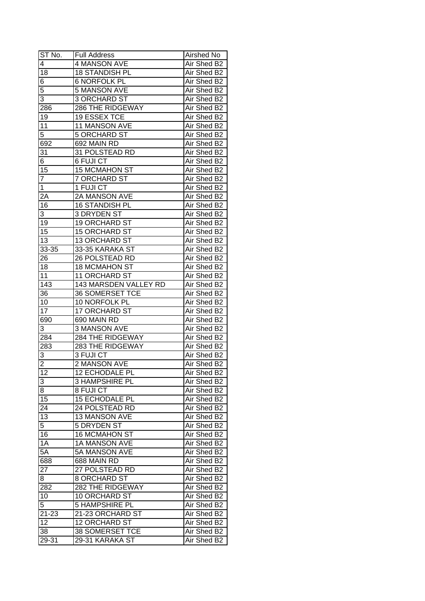| ST No.          | <b>Full Address</b>     | Airshed No  |
|-----------------|-------------------------|-------------|
| $\overline{4}$  | <b>4 MANSON AVE</b>     | Air Shed B2 |
| 18              | <b>18 STANDISH PL</b>   | Air Shed B2 |
| 6               | <b>6 NORFOLK PL</b>     | Air Shed B2 |
| 5               | 5 MANSON AVE            | Air Shed B2 |
| 3               | 3 ORCHARD ST            | Air Shed B2 |
| 286             | 286 THE RIDGEWAY        | Air Shed B2 |
| 19              | 19 ESSEX TCE            | Air Shed B2 |
| 11              | 11 MANSON AVE           | Air Shed B2 |
| 5               | <b>5 ORCHARD ST</b>     | Air Shed B2 |
| 692             | 692 MAIN RD             | Air Shed B2 |
| 31              | 31 POLSTEAD RD          | Air Shed B2 |
| 6               | 6 FUJI CT               | Air Shed B2 |
| 15              | 15 MCMAHON ST           | Air Shed B2 |
| $\overline{7}$  | 7 ORCHARD ST            | Air Shed B2 |
| $\mathbf{1}$    | 1 FUJI CT               | Air Shed B2 |
| 2A              | 2A MANSON AVE           | Air Shed B2 |
| 16              | 16 STANDISH PL          | Air Shed B2 |
| 3               | 3 DRYDEN ST             | Air Shed B2 |
| 19              | 19 ORCHARD ST           | Air Shed B2 |
| 15              | 15 ORCHARD ST           | Air Shed B2 |
| 13              | 13 ORCHARD ST           | Air Shed B2 |
| 33-35           | 33-35 KARAKA ST         | Air Shed B2 |
| 26              | 26 POLSTEAD RD          | Air Shed B2 |
| 18              | <b>18 MCMAHON ST</b>    | Air Shed B2 |
| 11              | 11 ORCHARD ST           | Air Shed B2 |
| 143             | 143 MARSDEN VALLEY RD   | Air Shed B2 |
| 36              | 36 SOMERSET TCE         | Air Shed B2 |
| 10              | 10 NORFOLK PL           | Air Shed B2 |
| 17              | 17 ORCHARD ST           | Air Shed B2 |
| 690             | 690 MAIN RD             | Air Shed B2 |
| 3               | 3 MANSON AVE            | Air Shed B2 |
| 284             | <b>284 THE RIDGEWAY</b> | Air Shed B2 |
| 283             | <b>283 THE RIDGEWAY</b> | Air Shed B2 |
| 3               | 3 FUJI CT               | Air Shed B2 |
| $\overline{2}$  | <b>2 MANSON AVE</b>     | Air Shed B2 |
| $\overline{12}$ | <b>12 ECHODALE PL</b>   | Air Shed B2 |
| 3               | <b>3 HAMPSHIRE PL</b>   | Air Shed B2 |
| 8               | 8 FUJI CT               | Air Shed B2 |
| 15              | <b>15 ECHODALE PL</b>   | Air Shed B2 |
| 24              | 24 POLSTEAD RD          | Air Shed B2 |
| 13              | 13 MANSON AVE           | Air Shed B2 |
| 5               | 5 DRYDEN ST             | Air Shed B2 |
| 16              | <b>16 MCMAHON ST</b>    | Air Shed B2 |
| 1A              | 1A MANSON AVE           | Air Shed B2 |
| $5\overline{A}$ | 5A MANSON AVE           | Air Shed B2 |
| 688             | 688 MAIN RD             | Air Shed B2 |
| 27              | 27 POLSTEAD RD          | Air Shed B2 |
| 8               | 8 ORCHARD ST            | Air Shed B2 |
|                 | 282 THE RIDGEWAY        | Air Shed B2 |
| 282<br>10       | 10 ORCHARD ST           |             |
|                 |                         | Air Shed B2 |
| 5               | <b>5 HAMPSHIRE PL</b>   | Air Shed B2 |
| $21 - 23$       | 21-23 ORCHARD ST        | Air Shed B2 |
| 12              | <b>12 ORCHARD ST</b>    | Air Shed B2 |
| 38              | 38 SOMERSET TCE         | Air Shed B2 |
| 29-31           | 29-31 KARAKA ST         | Air Shed B2 |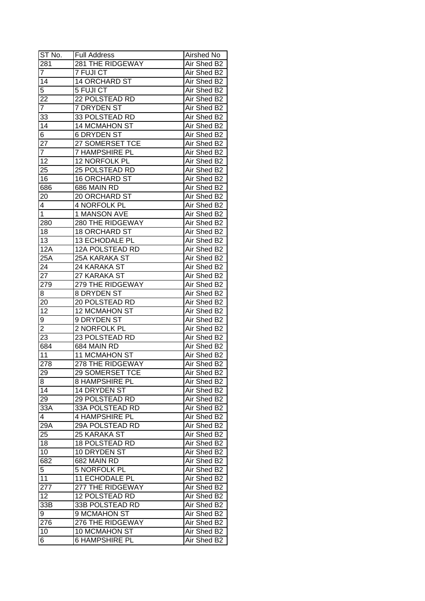| ST No.                  | <b>Full Address</b>    | Airshed No  |
|-------------------------|------------------------|-------------|
| 281                     | 281 THE RIDGEWAY       | Air Shed B2 |
| $\overline{7}$          | 7 FUJI CT              | Air Shed B2 |
| 14                      | 14 ORCHARD ST          | Air Shed B2 |
| 5                       | 5 FUJI CT              | Air Shed B2 |
| 22                      | 22 POLSTEAD RD         | Air Shed B2 |
| 7                       | 7 DRYDEN ST            | Air Shed B2 |
| 33                      | 33 POLSTEAD RD         | Air Shed B2 |
| 14                      | 14 MCMAHON ST          | Air Shed B2 |
| 6                       | <b>6 DRYDEN ST</b>     | Air Shed B2 |
| 27                      | 27 SOMERSET TCE        | Air Shed B2 |
| $\overline{7}$          | 7 HAMPSHIRE PL         | Air Shed B2 |
| 12                      | 12 NORFOLK PL          | Air Shed B2 |
| 25                      | 25 POLSTEAD RD         | Air Shed B2 |
| 16                      | <b>16 ORCHARD ST</b>   | Air Shed B2 |
| 686                     | 686 MAIN RD            | Air Shed B2 |
| 20                      | 20 ORCHARD ST          | Air Shed B2 |
| 4                       | 4 NORFOLK PL           | Air Shed B2 |
| $\mathbf{1}$            | 1 MANSON AVE           | Air Shed B2 |
| 280                     | 280 THE RIDGEWAY       | Air Shed B2 |
| 18                      | <b>18 ORCHARD ST</b>   | Air Shed B2 |
| 13                      | 13 ECHODALE PL         | Air Shed B2 |
| 12A                     | 12A POLSTEAD RD        | Air Shed B2 |
| 25A                     | 25A KARAKA ST          | Air Shed B2 |
| 24                      | 24 KARAKA ST           | Air Shed B2 |
| 27                      | 27 KARAKA ST           | Air Shed B2 |
| 279                     | 279 THE RIDGEWAY       | Air Shed B2 |
| 8                       | 8 DRYDEN ST            | Air Shed B2 |
| 20                      | 20 POLSTEAD RD         | Air Shed B2 |
| 12                      | 12 MCMAHON ST          | Air Shed B2 |
| 9                       | 9 DRYDEN ST            | Air Shed B2 |
| $\overline{\mathbf{c}}$ | 2 NORFOLK PL           | Air Shed B2 |
| $\overline{23}$         | 23 POLSTEAD RD         | Air Shed B2 |
| 684                     | 684 MAIN RD            | Air Shed B2 |
| 11                      | 11 MCMAHON ST          | Air Shed B2 |
| 278                     | 278 THE RIDGEWAY       | Air Shed B2 |
| $\overline{29}$         | <b>29 SOMERSET TCE</b> | Air Shed B2 |
| 8                       | <b>8 HAMPSHIRE PL</b>  | Air Shed B2 |
| 14                      | 14 DRYDEN ST           | Air Shed B2 |
| 29                      | 29 POLSTEAD RD         | Air Shed B2 |
| 33A                     | 33A POLSTEAD RD        | Air Shed B2 |
| 4                       | 4 HAMPSHIRE PL         | Air Shed B2 |
| $29\overline{A}$        | 29A POLSTEAD RD        | Air Shed B2 |
| 25                      | 25 KARAKA ST           | Air Shed B2 |
| 18                      | <b>18 POLSTEAD RD</b>  | Air Shed B2 |
| 10                      | 10 DRYDEN ST           | Air Shed B2 |
| 682                     | 682 MAIN RD            | Air Shed B2 |
| 5                       | 5 NORFOLK PL           | Air Shed B2 |
| 11                      | 11 ECHODALE PL         | Air Shed B2 |
| 277                     | 277 THE RIDGEWAY       | Air Shed B2 |
| 12                      | 12 POLSTEAD RD         | Air Shed B2 |
| 33B                     | 33B POLSTEAD RD        | Air Shed B2 |
| 9                       | 9 MCMAHON ST           | Air Shed B2 |
| 276                     | 276 THE RIDGEWAY       | Air Shed B2 |
| 10                      | 10 MCMAHON ST          | Air Shed B2 |
| 6                       | <b>6 HAMPSHIRE PL</b>  | Air Shed B2 |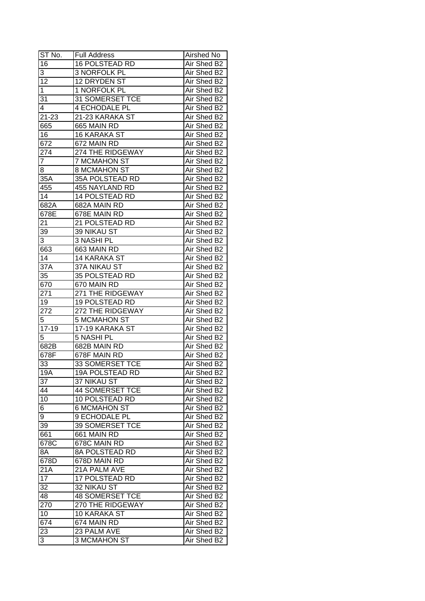| ST No.          | <b>Full Address</b>    | Airshed No  |
|-----------------|------------------------|-------------|
| 16              | <b>16 POLSTEAD RD</b>  | Air Shed B2 |
| 3               | 3 NORFOLK PL           | Air Shed B2 |
| $\overline{12}$ | 12 DRYDEN ST           | Air Shed B2 |
| 1               | 1 NORFOLK PL           | Air Shed B2 |
| 31              | 31 SOMERSET TCE        | Air Shed B2 |
| 4               | <b>4 ECHODALE PL</b>   | Air Shed B2 |
| 21-23           | 21-23 KARAKA ST        | Air Shed B2 |
| 665             | 665 MAIN RD            | Air Shed B2 |
| 16              | 16 KARAKA ST           | Air Shed B2 |
| 672             | 672 MAIN RD            | Air Shed B2 |
| 274             | 274 THE RIDGEWAY       | Air Shed B2 |
| $\overline{7}$  | <b>7 MCMAHON ST</b>    | Air Shed B2 |
| 8               | <b>8 MCMAHON ST</b>    | Air Shed B2 |
| 35A             | 35A POLSTEAD RD        | Air Shed B2 |
| 455             | 455 NAYLAND RD         | Air Shed B2 |
| 14              | 14 POLSTEAD RD         | Air Shed B2 |
| 682A            | 682A MAIN RD           | Air Shed B2 |
| 678E            | 678E MAIN RD           | Air Shed B2 |
| 21              | 21 POLSTEAD RD         | Air Shed B2 |
| 39              | 39 NIKAU ST            | Air Shed B2 |
| 3               | 3 NASHI PL             | Air Shed B2 |
| 663             | 663 MAIN RD            | Air Shed B2 |
| 14              | 14 KARAKA ST           | Air Shed B2 |
| 37A             | 37A NIKAU ST           | Air Shed B2 |
| 35              | 35 POLSTEAD RD         | Air Shed B2 |
| 670             | 670 MAIN RD            | Air Shed B2 |
| 271             | 271 THE RIDGEWAY       | Air Shed B2 |
| 19              | 19 POLSTEAD RD         | Air Shed B2 |
| 272             | 272 THE RIDGEWAY       | Air Shed B2 |
| 5               | <b>5 MCMAHON ST</b>    | Air Shed B2 |
| $17 - 19$       | 17-19 KARAKA ST        | Air Shed B2 |
| 5               | 5 NASHI PL             | Air Shed B2 |
| 682B            | 682B MAIN RD           | Air Shed B2 |
| 678F            | 678F MAIN RD           | Air Shed B2 |
| 33              | <b>33 SOMERSET TCE</b> | Air Shed B2 |
| 19A             | <b>19A POLSTEAD RD</b> | Air Shed B2 |
| 37              | 37 NIKAU ST            | Air Shed B2 |
| 44              | <b>44 SOMERSET TCE</b> | Air Shed B2 |
| 10              | 10 POLSTEAD RD         | Air Shed B2 |
| 6               | 6 MCMAHON ST           | Air Shed B2 |
| 9               | 9 ECHODALE PL          | Air Shed B2 |
| 39              | 39 SOMERSET TCE        | Air Shed B2 |
| 661             | 661 MAIN RD            | Air Shed B2 |
| 678C            | 678C MAIN RD           | Air Shed B2 |
| 8A              | <b>8A POLSTEAD RD</b>  | Air Shed B2 |
| 678D            | 678D MAIN RD           | Air Shed B2 |
| 21A             | 21A PALM AVE           | Air Shed B2 |
| 17              | 17 POLSTEAD RD         | Air Shed B2 |
| 32              | 32 NIKAU ST            | Air Shed B2 |
| 48              | <b>48 SOMERSET TCE</b> |             |
|                 | 270 THE RIDGEWAY       | Air Shed B2 |
| 270             |                        | Air Shed B2 |
| 10              | 10 KARAKA ST           | Air Shed B2 |
| 674             | 674 MAIN RD            | Air Shed B2 |
| 23              | 23 PALM AVE            | Air Shed B2 |
| 3               | 3 MCMAHON ST           | Air Shed B2 |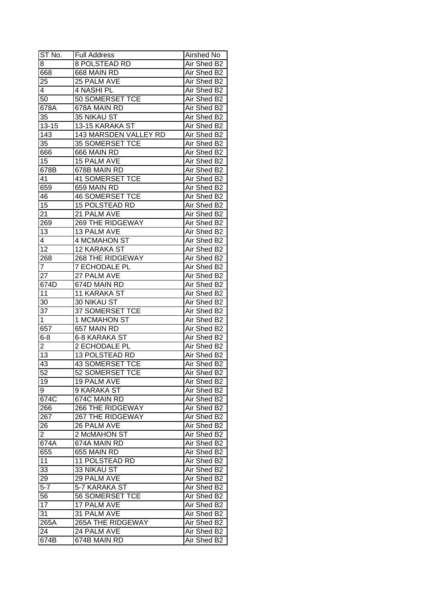| ST No.         | <b>Full Address</b>     | Airshed No  |
|----------------|-------------------------|-------------|
| 8              | 8 POLSTEAD RD           | Air Shed B2 |
| 668            | 668 MAIN RD             | Air Shed B2 |
| 25             | 25 PALM AVE             | Air Shed B2 |
| 4              | 4 NASHI PL              | Air Shed B2 |
| 50             | 50 SOMERSET TCE         | Air Shed B2 |
| 678A           | 678A MAIN RD            | Air Shed B2 |
| 35             | 35 NIKAU ST             | Air Shed B2 |
| $13 - 15$      | 13-15 KARAKA ST         | Air Shed B2 |
| 143            | 143 MARSDEN VALLEY RD   | Air Shed B2 |
| 35             | 35 SOMERSET TCE         | Air Shed B2 |
| 666            | 666 MAIN RD             | Air Shed B2 |
| 15             | 15 PALM AVE             | Air Shed B2 |
| 678B           | 678B MAIN RD            | Air Shed B2 |
| 41             | <b>41 SOMERSET TCE</b>  | Air Shed B2 |
| 659            | 659 MAIN RD             | Air Shed B2 |
| 46             | <b>46 SOMERSET TCE</b>  | Air Shed B2 |
| 15             | <b>15 POLSTEAD RD</b>   | Air Shed B2 |
| 21             | 21 PALM AVE             | Air Shed B2 |
| 269            | 269 THE RIDGEWAY        | Air Shed B2 |
| 13             | 13 PALM AVE             | Air Shed B2 |
| 4              | <b>4 MCMAHON ST</b>     | Air Shed B2 |
| 12             | 12 KARAKA ST            | Air Shed B2 |
| 268            | 268 THE RIDGEWAY        | Air Shed B2 |
| 7              | <b>7 ECHODALE PL</b>    | Air Shed B2 |
| 27             | 27 PALM AVE             | Air Shed B2 |
| 674D           | 674D MAIN RD            | Air Shed B2 |
| 11             | 11 KARAKA ST            | Air Shed B2 |
| 30             | 30 NIKAU ST             | Air Shed B2 |
| 37             | 37 SOMERSET TCE         | Air Shed B2 |
| $\mathbf{1}$   | 1 MCMAHON ST            | Air Shed B2 |
| 657            | 657 MAIN RD             | Air Shed B2 |
| $6 - 8$        | <b>6-8 KARAKA ST</b>    | Air Shed B2 |
| 2              | 2 ECHODALE PL           | Air Shed B2 |
| 13             | <b>13 POLSTEAD RD</b>   | Air Shed B2 |
| 43             | <b>43 SOMERSET TCE</b>  | Air Shed B2 |
| 52             | 52 SOMERSET TCE         | Air Shed B2 |
| 19             | 19 PALM AVE             | Air Shed B2 |
| 9              | 9 KARAKA ST             | Air Shed B2 |
| 674C           | 674C MAIN RD            | Air Shed B2 |
| 266            | <b>266 THE RIDGEWAY</b> | Air Shed B2 |
| 267            | <b>267 THE RIDGEWAY</b> | Air Shed B2 |
| 26             | 26 PALM AVE             | Air Shed B2 |
| $\overline{2}$ | 2 McMAHON ST            | Air Shed B2 |
| 674A           | 674A MAIN RD            | Air Shed B2 |
| 655            | 655 MAIN RD             | Air Shed B2 |
| 11             | 11 POLSTEAD RD          | Air Shed B2 |
| 33             | 33 NIKAU ST             | Air Shed B2 |
| 29             | 29 PALM AVE             | Air Shed B2 |
| $5 - 7$        | 5-7 KARAKA ST           | Air Shed B2 |
| 56             | <b>56 SOMERSET TCE</b>  | Air Shed B2 |
| 17             | 17 PALM AVE             | Air Shed B2 |
| 31             | 31 PALM AVE             | Air Shed B2 |
| 265A           | 265A THE RIDGEWAY       | Air Shed B2 |
| 24             | 24 PALM AVE             | Air Shed B2 |
| 674B           | 674B MAIN RD            | Air Shed B2 |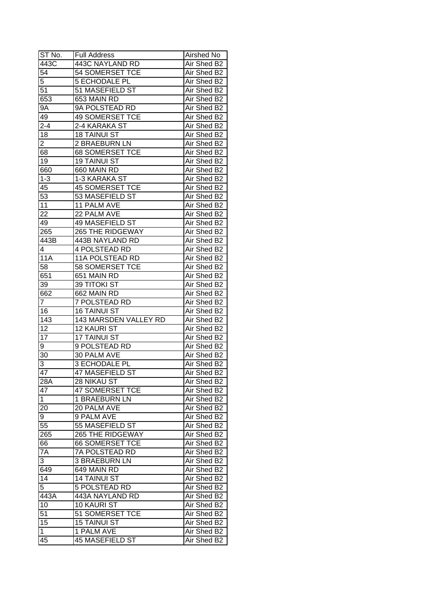| ST No.          | <b>Full Address</b>    | Airshed No  |
|-----------------|------------------------|-------------|
| 443C            | 443C NAYLAND RD        | Air Shed B2 |
| $\overline{54}$ | <b>54 SOMERSET TCE</b> | Air Shed B2 |
| 5               | <b>5 ECHODALE PL</b>   | Air Shed B2 |
| 51              | 51 MASEFIELD ST        | Air Shed B2 |
| 653             | 653 MAIN RD            | Air Shed B2 |
| 9Α              | 9A POLSTEAD RD         | Air Shed B2 |
| 49              | <b>49 SOMERSET TCE</b> | Air Shed B2 |
| $2 - 4$         | 2-4 KARAKA ST          | Air Shed B2 |
| 18              | <b>18 TAINUI ST</b>    | Air Shed B2 |
| $\overline{2}$  | 2 BRAEBURN LN          | Air Shed B2 |
| 68              | <b>68 SOMERSET TCE</b> | Air Shed B2 |
| 19              | 19 TAINUI ST           | Air Shed B2 |
| 660             | 660 MAIN RD            | Air Shed B2 |
| $1 - 3$         | 1-3 KARAKA ST          | Air Shed B2 |
| 45              | <b>45 SOMERSET TCE</b> | Air Shed B2 |
| 53              | 53 MASEFIELD ST        | Air Shed B2 |
| 11              | 11 PALM AVE            | Air Shed B2 |
| 22              | 22 PALM AVE            | Air Shed B2 |
| 49              | 49 MASEFIELD ST        | Air Shed B2 |
| 265             | 265 THE RIDGEWAY       | Air Shed B2 |
| 443B            | 443B NAYLAND RD        | Air Shed B2 |
| 4               | 4 POLSTEAD RD          | Air Shed B2 |
| 11A             | 11A POLSTEAD RD        | Air Shed B2 |
| 58              | <b>58 SOMERSET TCE</b> | Air Shed B2 |
| 651             | 651 MAIN RD            | Air Shed B2 |
| 39              | 39 TITOKI ST           | Air Shed B2 |
| 662             | 662 MAIN RD            | Air Shed B2 |
| $\overline{7}$  | 7 POLSTEAD RD          | Air Shed B2 |
| 16              | <b>16 TAINUI ST</b>    | Air Shed B2 |
| 143             | 143 MARSDEN VALLEY RD  | Air Shed B2 |
| 12              | <b>12 KAURI ST</b>     | Air Shed B2 |
| 17              | <b>17 TAINUI ST</b>    | Air Shed B2 |
| 9               | 9 POLSTEAD RD          | Air Shed B2 |
| 30              | 30 PALM AVE            | Air Shed B2 |
| 3               | <b>3 ECHODALE PL</b>   | Air Shed B2 |
| 47              | 47 MASEFIELD ST        | Air Shed B2 |
| 28A             | 28 NIKAU ST            | Air Shed B2 |
| 47              | <b>47 SOMERSET TCE</b> | Air Shed B2 |
| $\mathbf{1}$    | 1 BRAEBURN LN          | Air Shed B2 |
| 20              | 20 PALM AVE            | Air Shed B2 |
| 9               | 9 PALM AVE             | Air Shed B2 |
| 55              | 55 MASEFIELD ST        | Air Shed B2 |
| 265             | 265 THE RIDGEWAY       | Air Shed B2 |
| 66              | <b>66 SOMERSET TCE</b> | Air Shed B2 |
| 7A              | <b>7A POLSTEAD RD</b>  | Air Shed B2 |
| 3               | 3 BRAEBURN LN          | Air Shed B2 |
| 649             | 649 MAIN RD            | Air Shed B2 |
| 14              | <b>14 TAINUI ST</b>    | Air Shed B2 |
| $\overline{5}$  | 5 POLSTEAD RD          | Air Shed B2 |
| 443A            | 443A NAYLAND RD        | Air Shed B2 |
| 10              | 10 KAURI ST            | Air Shed B2 |
| 51              | 51 SOMERSET TCE        | Air Shed B2 |
| 15              | <b>15 TAINUI ST</b>    | Air Shed B2 |
| $\mathbf 1$     | 1 PALM AVE             | Air Shed B2 |
| 45              | <b>45 MASEFIELD ST</b> | Air Shed B2 |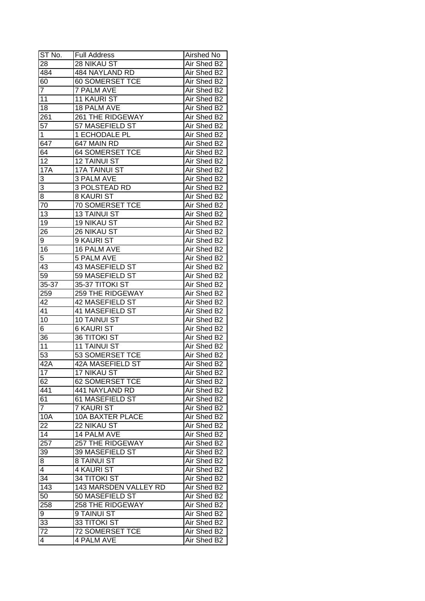| ST No.          | <b>Full Address</b>     | Airshed No  |
|-----------------|-------------------------|-------------|
| 28              | 28 NIKAU ST             | Air Shed B2 |
| 484             | 484 NAYLAND RD          | Air Shed B2 |
| 60              | <b>60 SOMERSET TCE</b>  | Air Shed B2 |
| $\overline{7}$  | <b>7 PALM AVE</b>       | Air Shed B2 |
| 11              | <b>11 KAURI ST</b>      | Air Shed B2 |
| 18              | 18 PALM AVE             | Air Shed B2 |
| 261             | 261 THE RIDGEWAY        | Air Shed B2 |
| 57              | 57 MASEFIELD ST         | Air Shed B2 |
| 1               | 1 ECHODALE PL           | Air Shed B2 |
| 647             | 647 MAIN RD             | Air Shed B2 |
| 64              | <b>64 SOMERSET TCE</b>  | Air Shed B2 |
| 12              | <b>12 TAINUI ST</b>     | Air Shed B2 |
| 17A             | <b>17A TAINUI ST</b>    | Air Shed B2 |
| 3               | 3 PALM AVE              | Air Shed B2 |
| 3               | 3 POLSTEAD RD           | Air Shed B2 |
| 8               | <b>8 KAURI ST</b>       | Air Shed B2 |
| $\overline{70}$ | 70 SOMERSET TCE         | Air Shed B2 |
| 13              | <b>13 TAINUI ST</b>     | Air Shed B2 |
| 19              | <b>19 NIKAU ST</b>      | Air Shed B2 |
| 26              | 26 NIKAU ST             | Air Shed B2 |
| 9               | 9 KAURI ST              | Air Shed B2 |
| 16              | 16 PALM AVE             | Air Shed B2 |
| 5               | <b>5 PALM AVE</b>       | Air Shed B2 |
| 43              | 43 MASEFIELD ST         | Air Shed B2 |
| 59              | 59 MASEFIELD ST         | Air Shed B2 |
| 35-37           | 35-37 TITOKI ST         | Air Shed B2 |
| 259             | 259 THE RIDGEWAY        | Air Shed B2 |
| 42              | 42 MASEFIELD ST         | Air Shed B2 |
| 41              | 41 MASEFIELD ST         | Air Shed B2 |
| 10              | <b>10 TAINUI ST</b>     | Air Shed B2 |
| 6               | <b>6 KAURI ST</b>       | Air Shed B2 |
| 36              | <b>36 TITOKI ST</b>     | Air Shed B2 |
| 11              | <b>11 TAINUI ST</b>     | Air Shed B2 |
| 53              | <b>53 SOMERSET TCE</b>  | Air Shed B2 |
| 42A             | <b>42A MASEFIELD ST</b> | Air Shed B2 |
| 17              | <b>17 NIKAU ST</b>      | Air Shed B2 |
| 62              | 62 SOMERSET TCE         | Air Shed B2 |
| 441             | 441 NAYLAND RD          | Air Shed B2 |
| 61              | 61 MASEFIELD ST         | Air Shed B2 |
| $\overline{7}$  | 7 KAURI ST              | Air Shed B2 |
| <b>10A</b>      | <b>10A BAXTER PLACE</b> | Air Shed B2 |
| 22              | 22 NIKAU ST             | Air Shed B2 |
| 14              | 14 PALM AVE             | Air Shed B2 |
| 257             | 257 THE RIDGEWAY        | Air Shed B2 |
| 39              | 39 MASEFIELD ST         | Air Shed B2 |
| 8               | 8 TAINUI ST             | Air Shed B2 |
| 4               | 4 KAURI ST              | Air Shed B2 |
| 34              | 34 TITOKI ST            | Air Shed B2 |
| 143             | 143 MARSDEN VALLEY RD   | Air Shed B2 |
| 50              | 50 MASEFIELD ST         |             |
|                 |                         | Air Shed B2 |
| 258             | 258 THE RIDGEWAY        | Air Shed B2 |
| 9               | 9 TAINUI ST             | Air Shed B2 |
| 33              | 33 TITOKI ST            | Air Shed B2 |
| 72              | <b>72 SOMERSET TCE</b>  | Air Shed B2 |
| 4               | <b>4 PALM AVE</b>       | Air Shed B2 |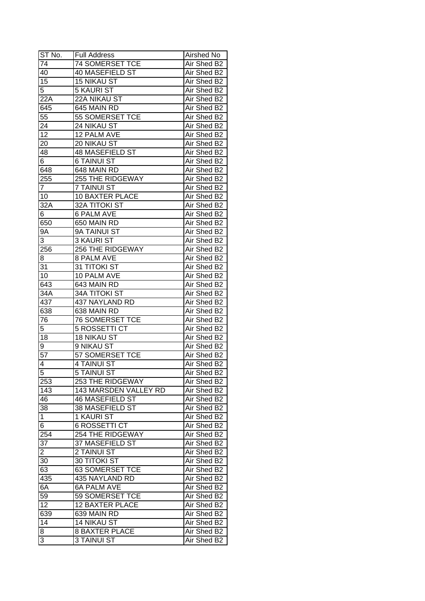| ST No.          | <b>Full Address</b>    | Airshed No  |
|-----------------|------------------------|-------------|
| 74              | 74 SOMERSET TCE        | Air Shed B2 |
| 40              | 40 MASEFIELD ST        | Air Shed B2 |
| 15              | <b>15 NIKAU ST</b>     | Air Shed B2 |
| 5               | 5 KAURI ST             | Air Shed B2 |
| 22A             | 22A NIKAU ST           | Air Shed B2 |
| 645             | 645 MAIN RD            | Air Shed B2 |
| 55              | 55 SOMERSET TCE        | Air Shed B2 |
| 24              | 24 NIKAU ST            | Air Shed B2 |
| 12              | 12 PALM AVE            | Air Shed B2 |
| 20              | 20 NIKAU ST            | Air Shed B2 |
| 48              | <b>48 MASEFIELD ST</b> | Air Shed B2 |
| 6 <sup>2</sup>  | <b>6 TAINUI ST</b>     | Air Shed B2 |
| 648             | 648 MAIN RD            | Air Shed B2 |
| 255             | 255 THE RIDGEWAY       | Air Shed B2 |
| $\overline{7}$  | 7 TAINUI ST            | Air Shed B2 |
| 10              | <b>10 BAXTER PLACE</b> | Air Shed B2 |
| 32A             | 32A TITOKI ST          | Air Shed B2 |
| 6               | <b>6 PALM AVE</b>      | Air Shed B2 |
| 650             | 650 MAIN RD            | Air Shed B2 |
| 9A              | 9A TAINUI ST           | Air Shed B2 |
| 3               | 3 KAURI ST             | Air Shed B2 |
| 256             | 256 THE RIDGEWAY       | Air Shed B2 |
| 8               | 8 PALM AVE             | Air Shed B2 |
| 31              | 31 TITOKI ST           | Air Shed B2 |
| 10              | 10 PALM AVE            | Air Shed B2 |
| 643             | 643 MAIN RD            | Air Shed B2 |
| 34A             | <b>34A TITOKI ST</b>   | Air Shed B2 |
| 437             | 437 NAYLAND RD         | Air Shed B2 |
| 638             | 638 MAIN RD            | Air Shed B2 |
| 76              | <b>76 SOMERSET TCE</b> | Air Shed B2 |
| 5               | <b>5 ROSSETTI CT</b>   | Air Shed B2 |
| 18              | 18 NIKAU ST            | Air Shed B2 |
| 9               | 9 NIKAU ST             | Air Shed B2 |
| $\overline{57}$ | <b>57 SOMERSET TCE</b> | Air Shed B2 |
| 4               | <b>4 TAINUI ST</b>     | Air Shed B2 |
| $\overline{5}$  | 5 TAINUI ST            | Air Shed B2 |
| 253             | 253 THE RIDGEWAY       | Air Shed B2 |
| 143             | 143 MARSDEN VALLEY RD  | Air Shed B2 |
| 46              | <b>46 MASEFIELD ST</b> | Air Shed B2 |
| 38              | 38 MASEFIELD ST        | Air Shed B2 |
| $\mathbf{1}$    | 1 KAURI ST             | Air Shed B2 |
| 6               | <b>6 ROSSETTI CT</b>   | Air Shed B2 |
| 254             | 254 THE RIDGEWAY       | Air Shed B2 |
| $3\overline{7}$ | 37 MASEFIELD ST        | Air Shed B2 |
| $\overline{a}$  | 2 TAINUI ST            | Air Shed B2 |
| 30              | <b>30 TITOKI ST</b>    | Air Shed B2 |
| 63              | <b>63 SOMERSET TCE</b> | Air Shed B2 |
| 435             | 435 NAYLAND RD         | Air Shed B2 |
| 6A              | <b>6A PALM AVE</b>     | Air Shed B2 |
| 59              | 59 SOMERSET TCE        | Air Shed B2 |
| 12              | <b>12 BAXTER PLACE</b> | Air Shed B2 |
| 639             | 639 MAIN RD            | Air Shed B2 |
| 14              |                        | Air Shed B2 |
|                 | <b>14 NIKAU ST</b>     | Air Shed B2 |
| 8               | <b>8 BAXTER PLACE</b>  |             |
| 3               | 3 TAINUI ST            | Air Shed B2 |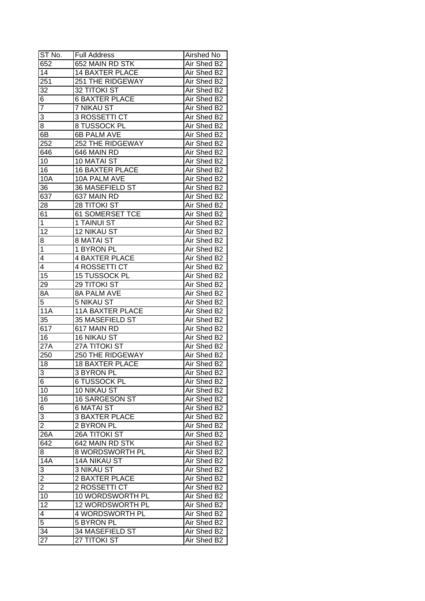| ST No.                  | <b>Full Address</b>     | Airshed No  |
|-------------------------|-------------------------|-------------|
| 652                     | 652 MAIN RD STK         | Air Shed B2 |
| $\overline{14}$         | <b>14 BAXTER PLACE</b>  | Air Shed B2 |
| 251                     | 251 THE RIDGEWAY        | Air Shed B2 |
| 32                      | <b>32 TITOKI ST</b>     | Air Shed B2 |
| 6                       | <b>6 BAXTER PLACE</b>   | Air Shed B2 |
| $\overline{7}$          | 7 NIKAU ST              | Air Shed B2 |
| 3                       | 3 ROSSETTI CT           | Air Shed B2 |
| 8                       | 8 TUSSOCK PL            | Air Shed B2 |
| 6B                      | <b>6B PALM AVE</b>      | Air Shed B2 |
| 252                     | 252 THE RIDGEWAY        | Air Shed B2 |
| 646                     | 646 MAIN RD             | Air Shed B2 |
| 10                      | 10 MATAI ST             | Air Shed B2 |
| 16                      | <b>16 BAXTER PLACE</b>  | Air Shed B2 |
| 10A                     | 10A PALM AVE            | Air Shed B2 |
| 36                      | 36 MASEFIELD ST         | Air Shed B2 |
| 637                     | 637 MAIN RD             | Air Shed B2 |
| 28                      | <b>28 TITOKI ST</b>     | Air Shed B2 |
| $6\overline{1}$         | <b>61 SOMERSET TCE</b>  | Air Shed B2 |
| $\mathbf 1$             | 1 TAINUI ST             | Air Shed B2 |
| $\overline{1}2$         | 12 NIKAU ST             | Air Shed B2 |
| 8                       | <b>8 MATAI ST</b>       | Air Shed B2 |
| $\mathbf{1}$            | 1 BYRON PL              | Air Shed B2 |
| 4                       | <b>4 BAXTER PLACE</b>   | Air Shed B2 |
| 4                       | 4 ROSSETTI CT           | Air Shed B2 |
| 15                      | 15 TUSSOCK PL           | Air Shed B2 |
| 29                      | 29 TITOKI ST            | Air Shed B2 |
| 8A                      | 8A PALM AVE             | Air Shed B2 |
| 5                       | 5 NIKAU ST              | Air Shed B2 |
| <b>11A</b>              | <b>11A BAXTER PLACE</b> | Air Shed B2 |
| 35                      | 35 MASEFIELD ST         | Air Shed B2 |
| 617                     | 617 MAIN RD             | Air Shed B2 |
| 16                      | 16 NIKAU ST             | Air Shed B2 |
| 27A                     | <b>27A TITOKI ST</b>    | Air Shed B2 |
| 250                     | <b>250 THE RIDGEWAY</b> | Air Shed B2 |
| 18                      | <b>18 BAXTER PLACE</b>  | Air Shed B2 |
| $\overline{3}$          | <b>3 BYRON PL</b>       | Air Shed B2 |
| $\overline{6}$          | <b>6 TUSSOCK PL</b>     | Air Shed B2 |
| 10                      | 10 NIKAU ST             | Air Shed B2 |
| 16                      | 16 SARGESON ST          | Air Shed B2 |
| 6                       | <b>6 MATAI ST</b>       | Air Shed B2 |
| 3                       | <b>3 BAXTER PLACE</b>   | Air Shed B2 |
| $\overline{2}$          | 2 BYRON PL              | Air Shed B2 |
| 26A                     | 26A TITOKI ST           | Air Shed B2 |
| 642                     | 642 MAIN RD STK         | Air Shed B2 |
| 8                       | <b>8 WORDSWORTH PL</b>  | Air Shed B2 |
| 14A                     | 14A NIKAU ST            | Air Shed B2 |
| 3                       | 3 NIKAU ST              | Air Shed B2 |
| $\overline{2}$          | 2 BAXTER PLACE          | Air Shed B2 |
|                         | 2 ROSSETTI CT           | Air Shed B2 |
| $\overline{2}$<br>10    | 10 WORDSWORTH PL        |             |
|                         |                         | Air Shed B2 |
| 12                      | 12 WORDSWORTH PL        | Air Shed B2 |
| $\overline{\mathbf{4}}$ | 4 WORDSWORTH PL         | Air Shed B2 |
| $\overline{5}$          | 5 BYRON PL              | Air Shed B2 |
| $\overline{34}$         | 34 MASEFIELD ST         | Air Shed B2 |
| 27                      | 27 TITOKI ST            | Air Shed B2 |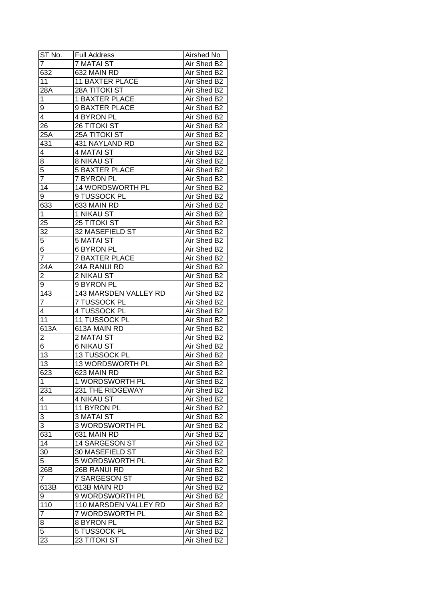| ST No.          | <b>Full Address</b>                 | Airshed No                 |
|-----------------|-------------------------------------|----------------------------|
| 7               | <b>7 MATAI ST</b>                   | Air Shed B2                |
| 632             | 632 MAIN RD                         | Air Shed B2                |
| 11              | <b>11 BAXTER PLACE</b>              | Air Shed B2                |
| 28A             | <b>28A TITOKI ST</b>                | Air Shed B2                |
| 1               | <b>1 BAXTER PLACE</b>               | Air Shed B2                |
| 9               | 9 BAXTER PLACE                      | Air Shed B2                |
| 4               | 4 BYRON PL                          | Air Shed B2                |
| 26              | <b>26 TITOKI ST</b>                 | Air Shed B2                |
| 25A             | <b>25A TITOKI ST</b>                | Air Shed B2                |
| 431             | 431 NAYLAND RD                      | Air Shed B2                |
| 4               | <b>4 MATAI ST</b>                   | Air Shed B2                |
| 8               | 8 NIKAU ST                          | Air Shed B2                |
| $\overline{5}$  | <b>5 BAXTER PLACE</b>               | Air Shed B2                |
| $\overline{7}$  | 7 BYRON PL                          | Air Shed B2                |
| 14              | <b>14 WORDSWORTH PL</b>             | Air Shed B2                |
| 9               | 9 TUSSOCK PL                        | Air Shed B2                |
| 633             | 633 MAIN RD                         | Air Shed B2                |
| $\mathbf{1}$    | 1 NIKAU ST                          | Air Shed B2                |
| 25              | 25 TITOKI ST                        | Air Shed B2                |
|                 | 32 MASEFIELD ST                     | Air Shed B2                |
| 32<br>5         | <b>5 MATAI ST</b>                   | Air Shed B2                |
| $\overline{6}$  | 6 BYRON PL                          | Air Shed B2                |
| $\overline{7}$  | <b>7 BAXTER PLACE</b>               | Air Shed B2                |
|                 | 24A RANUI RD                        | Air Shed B2                |
| 24A<br>2        | 2 NIKAU ST                          | Air Shed B2                |
|                 |                                     |                            |
| 9<br>143        | 9 BYRON PL<br>143 MARSDEN VALLEY RD | Air Shed B2                |
| $\overline{7}$  | 7 TUSSOCK PL                        | Air Shed B2<br>Air Shed B2 |
| 4               | 4 TUSSOCK PL                        | Air Shed B2                |
| 11              | 11 TUSSOCK PL                       | Air Shed B2                |
| 613A            | 613A MAIN RD                        | Air Shed B2                |
| $\overline{c}$  | 2 MATAI ST                          | Air Shed B2                |
| $\overline{6}$  | <b>6 NIKAU ST</b>                   | Air Shed B2                |
| $\overline{13}$ | 13 TUSSOCK PL                       | Air Shed B2                |
| $\overline{13}$ | 13 WORDSWORTH PL                    | Air Shed B2                |
| 623             | 623 MAIN RD                         | Air Shed B2                |
| 1               | 1 WORDSWORTH PL                     |                            |
|                 | 231 THE RIDGEWAY                    | Air Shed B2                |
| 231             |                                     | Air Shed B2<br>Air Shed B2 |
| 4               | 4 NIKAU ST                          |                            |
| 11              | 11 BYRON PL                         | Air Shed B2                |
| 3               | <b>3 MATAI ST</b>                   | Air Shed B2                |
| 3               | 3 WORDSWORTH PL                     | Air Shed B2                |
| 631             | 631 MAIN RD                         | Air Shed B2                |
| 14              | 14 SARGESON ST                      | Air Shed B2                |
| 30              | 30 MASEFIELD ST                     | Air Shed B2                |
| $\overline{5}$  | <b>5 WORDSWORTH PL</b>              | Air Shed B2                |
| 26B             | 26B RANUI RD                        | Air Shed B2                |
| 7               | 7 SARGESON ST                       | Air Shed B2                |
| 613B            | 613B MAIN RD                        | Air Shed B2                |
| 9               | 9 WORDSWORTH PL                     | Air Shed B2                |
| 110             | 110 MARSDEN VALLEY RD               | Air Shed B2                |
| $\overline{7}$  | 7 WORDSWORTH PL                     | Air Shed B2                |
| 8               | 8 BYRON PL                          | Air Shed B2                |
| $\overline{5}$  | 5 TUSSOCK PL                        | Air Shed B2                |
| 23              | 23 TITOKI ST                        | Air Shed B2                |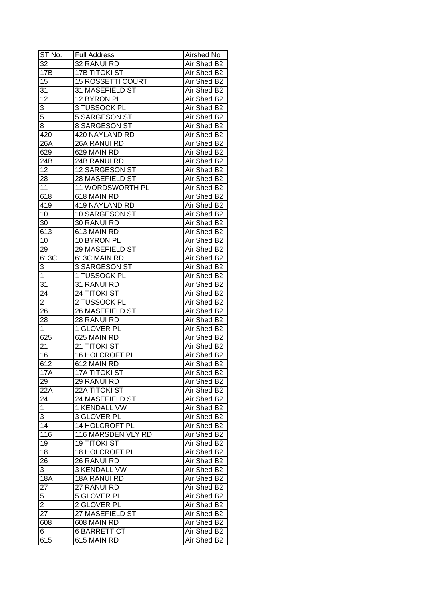| ST No.          | <b>Full Address</b>      | Airshed No  |
|-----------------|--------------------------|-------------|
| 32              | 32 RANUI RD              | Air Shed B2 |
| 17B             | <b>17B TITOKI ST</b>     | Air Shed B2 |
| 15              | <b>15 ROSSETTI COURT</b> | Air Shed B2 |
| 31              | 31 MASEFIELD ST          | Air Shed B2 |
| 12              | 12 BYRON PL              | Air Shed B2 |
| 3               | 3 TUSSOCK PL             | Air Shed B2 |
| $\overline{5}$  | 5 SARGESON ST            | Air Shed B2 |
| 8               | 8 SARGESON ST            | Air Shed B2 |
| 420             | 420 NAYLAND RD           | Air Shed B2 |
| 26A             | 26A RANUI RD             | Air Shed B2 |
| 629             | 629 MAIN RD              | Air Shed B2 |
| 24B             | 24B RANUI RD             | Air Shed B2 |
| 12              | 12 SARGESON ST           | Air Shed B2 |
| 28              | 28 MASEFIELD ST          | Air Shed B2 |
| 11              | 11 WORDSWORTH PL         | Air Shed B2 |
| 618             | 618 MAIN RD              | Air Shed B2 |
| 419             | 419 NAYLAND RD           | Air Shed B2 |
| 10              | 10 SARGESON ST           | Air Shed B2 |
| 30              | 30 RANUI RD              | Air Shed B2 |
| 613             | 613 MAIN RD              | Air Shed B2 |
| 10              | 10 BYRON PL              | Air Shed B2 |
| 29              | 29 MASEFIELD ST          | Air Shed B2 |
| 613C            | 613C MAIN RD             | Air Shed B2 |
| 3               | 3 SARGESON ST            | Air Shed B2 |
| $\mathbf 1$     | 1 TUSSOCK PL             | Air Shed B2 |
| 31              | 31 RANUI RD              | Air Shed B2 |
| 24              | 24 TITOKI ST             | Air Shed B2 |
| $\overline{2}$  | 2 TUSSOCK PL             | Air Shed B2 |
| 26              | 26 MASEFIELD ST          | Air Shed B2 |
| 28              | 28 RANUI RD              | Air Shed B2 |
| $\mathbf{1}$    | 1 GLOVER PL              | Air Shed B2 |
| 625             | 625 MAIN RD              | Air Shed B2 |
| $2\overline{1}$ | 21 TITOKI ST             | Air Shed B2 |
| 16              | 16 HOLCROFT PL           | Air Shed B2 |
| 612             | 612 MAIN RD              | Air Shed B2 |
| 17A             | <b>17A TITOKI ST</b>     | Air Shed B2 |
| 29              | 29 RANUI RD              | Air Shed B2 |
| 22A             | 22A TITOKI ST            | Air Shed B2 |
| 24              | 24 MASEFIELD ST          | Air Shed B2 |
| $\mathbf 1$     | 1 KENDALL VW             | Air Shed B2 |
| 3               | 3 GLOVER PL              | Air Shed B2 |
| 14              | 14 HOLCROFT PL           | Air Shed B2 |
| 116             | 116 MARSDEN VLY RD       | Air Shed B2 |
| 19              | <b>19 TITOKI ST</b>      | Air Shed B2 |
| 18              | 18 HOLCROFT PL           | Air Shed B2 |
| $2\overline{6}$ | 26 RANUI RD              | Air Shed B2 |
| 3               | 3 KENDALL VW             | Air Shed B2 |
| <b>18A</b>      | 18A RANUI RD             | Air Shed B2 |
| 27              | 27 RANUI RD              | Air Shed B2 |
| $\overline{5}$  | 5 GLOVER PL              | Air Shed B2 |
| $\overline{2}$  | 2 GLOVER PL              | Air Shed B2 |
| 27              | 27 MASEFIELD ST          | Air Shed B2 |
| 608             | 608 MAIN RD              | Air Shed B2 |
| 6               | <b>6 BARRETT CT</b>      | Air Shed B2 |
| 615             | 615 MAIN RD              | Air Shed B2 |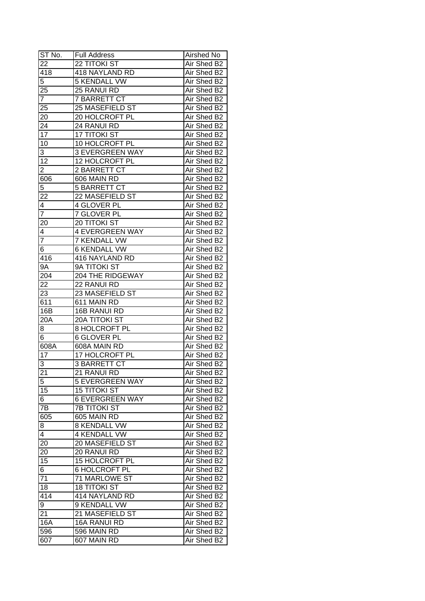| ST No.              | <b>Full Address</b>                    | Airshed No                 |
|---------------------|----------------------------------------|----------------------------|
| 22                  | <b>22 TITOKI ST</b>                    | Air Shed B2                |
| 418                 | 418 NAYLAND RD                         | Air Shed B2                |
| 5                   | <b>5 KENDALL VW</b>                    | Air Shed B2                |
| 25                  | 25 RANUI RD                            | Air Shed B2                |
| $\overline{7}$      | <b>7 BARRETT CT</b>                    | Air Shed B2                |
| 25                  | 25 MASEFIELD ST                        | Air Shed B2                |
| 20                  | 20 HOLCROFT PL                         | Air Shed B2                |
| 24                  | 24 RANUI RD                            | Air Shed B2                |
| 17                  | <b>17 TITOKI ST</b>                    | Air Shed B2                |
| 10                  | 10 HOLCROFT PL                         | Air Shed B2                |
| 3                   | <b>3 EVERGREEN WAY</b>                 | Air Shed B2                |
| $\overline{12}$     | 12 HOLCROFT PL                         | Air Shed B2                |
| $\overline{c}$      | 2 BARRETT CT                           | Air Shed B2                |
| 606                 | 606 MAIN RD                            | Air Shed B2                |
| 5                   | <b>5 BARRETT CT</b>                    | Air Shed B2                |
| 22                  | 22 MASEFIELD ST                        | Air Shed B2                |
| 4                   | 4 GLOVER PL                            | Air Shed B2                |
| $\overline{7}$      | 7 GLOVER PL                            | Air Shed B2                |
| 20                  | 20 TITOKI ST                           | Air Shed B2                |
| 4                   | <b>4 EVERGREEN WAY</b>                 | Air Shed B2                |
| $\overline{7}$      | <b>7 KENDALL VW</b>                    | Air Shed B2                |
| 6                   | <b>6 KENDALL VW</b>                    | Air Shed B2                |
| 416                 | 416 NAYLAND RD                         | Air Shed B2                |
| 9Α                  | 9A TITOKI ST                           | Air Shed B2                |
| 204                 | 204 THE RIDGEWAY                       | Air Shed B2                |
| 22                  | 22 RANUI RD                            | Air Shed B2                |
| 23                  | 23 MASEFIELD ST                        | Air Shed B2                |
| 611                 | 611 MAIN RD                            | Air Shed B2                |
| 16B                 | 16B RANUI RD                           | Air Shed B2                |
| 20A                 | <b>20A TITOKI ST</b>                   | Air Shed B2                |
| 8                   | 8 HOLCROFT PL                          | Air Shed B2                |
| $\overline{6}$      | <b>6 GLOVER PL</b>                     | Air Shed B2                |
| 608A                | 608A MAIN RD                           | Air Shed B2                |
| $\overline{17}$     | 17 HOLCROFT PL                         | Air Shed B2                |
| 3                   | <b>3 BARRETT CT</b>                    | Air Shed B2                |
| $\overline{21}$     | 21 RANUI RD                            | Air Shed B2                |
| 5                   | <b>5 EVERGREEN WAY</b>                 | Air Shed B2                |
| 15                  | <b>15 TITOKI ST</b>                    | Air Shed B2                |
| 6                   | <b>6 EVERGREEN WAY</b>                 | Air Shed B2                |
| 7B                  | <b>7B TITOKI ST</b>                    | Air Shed B2                |
| 605                 | 605 MAIN RD                            | Air Shed B2                |
|                     | <b>8 KENDALL VW</b>                    | Air Shed B2                |
| 8<br>$\overline{4}$ | <b>4 KENDALL VW</b>                    |                            |
| 20                  | 20 MASEFIELD ST                        | Air Shed B2<br>Air Shed B2 |
|                     |                                        |                            |
| 20                  | 20 RANUI RD                            | Air Shed B2                |
| 15                  | 15 HOLCROFT PL<br><b>6 HOLCROFT PL</b> | Air Shed B2                |
| 6<br>71             | 71 MARLOWE ST                          | Air Shed B2                |
|                     |                                        | Air Shed B2                |
| 18                  | <b>18 TITOKI ST</b>                    | Air Shed B2                |
| 414                 | 414 NAYLAND RD                         | Air Shed B2                |
| 9                   | 9 KENDALL VW                           | Air Shed B2                |
| 21                  | 21 MASEFIELD ST                        | Air Shed B2                |
| 16A                 | 16A RANUI RD                           | Air Shed B2                |
| 596                 | 596 MAIN RD                            | Air Shed B2                |
| 607                 | 607 MAIN RD                            | Air Shed B2                |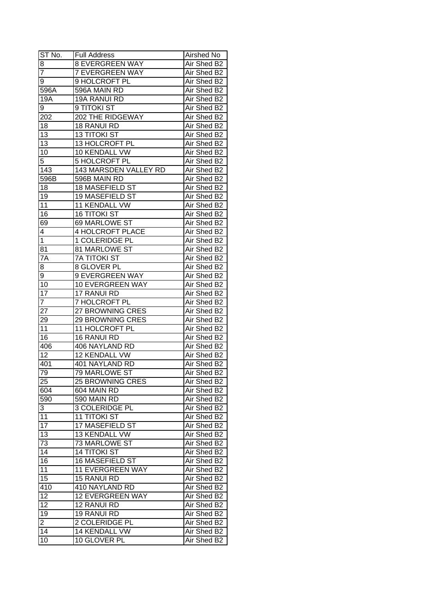| ST No.          | <b>Full Address</b>     | Airshed No  |
|-----------------|-------------------------|-------------|
| 8               | <b>8 EVERGREEN WAY</b>  | Air Shed B2 |
| 7               | <b>7 EVERGREEN WAY</b>  | Air Shed B2 |
| 9               | 9 HOLCROFT PL           | Air Shed B2 |
| 596A            | 596A MAIN RD            | Air Shed B2 |
| 19A             | 19A RANUI RD            | Air Shed B2 |
| 9               | 9 TITOKI ST             | Air Shed B2 |
| 202             | 202 THE RIDGEWAY        | Air Shed B2 |
| 18              | 18 RANUI RD             | Air Shed B2 |
| 13              | <b>13 TITOKI ST</b>     | Air Shed B2 |
| 13              | 13 HOLCROFT PL          | Air Shed B2 |
| 10              | 10 KENDALL VW           | Air Shed B2 |
| $\overline{5}$  | 5 HOLCROFT PL           | Air Shed B2 |
| 143             | 143 MARSDEN VALLEY RD   | Air Shed B2 |
|                 |                         |             |
| 596B            | 596B MAIN RD            | Air Shed B2 |
| 18              | 18 MASEFIELD ST         | Air Shed B2 |
| 19              | 19 MASEFIELD ST         | Air Shed B2 |
| 11              | 11 KENDALL VW           | Air Shed B2 |
| 16              | <b>16 TITOKI ST</b>     | Air Shed B2 |
| 69              | 69 MARLOWE ST           | Air Shed B2 |
| 4               | <b>4 HOLCROFT PLACE</b> | Air Shed B2 |
| $\mathbf 1$     | 1 COLERIDGE PL          | Air Shed B2 |
| 81              | 81 MARLOWE ST           | Air Shed B2 |
| 7A              | <b>7A TITOKI ST</b>     | Air Shed B2 |
| 8               | 8 GLOVER PL             | Air Shed B2 |
| 9               | 9 EVERGREEN WAY         | Air Shed B2 |
| 10              | 10 EVERGREEN WAY        | Air Shed B2 |
| 17              | 17 RANUI RD             | Air Shed B2 |
| $\overline{7}$  | 7 HOLCROFT PL           | Air Shed B2 |
| 27              | 27 BROWNING CRES        | Air Shed B2 |
| 29              | <b>29 BROWNING CRES</b> | Air Shed B2 |
| 11              | 11 HOLCROFT PL          | Air Shed B2 |
| 16              | 16 RANUI RD             | Air Shed B2 |
| 406             | 406 NAYLAND RD          | Air Shed B2 |
| $\overline{12}$ | <b>12 KENDALL VW</b>    | Air Shed B2 |
| 401             | <b>401 NAYLAND RD</b>   | Air Shed B2 |
| 79              | 79 MARLOWE ST           | Air Shed B2 |
| 25              | <b>25 BROWNING CRES</b> | Air Shed B2 |
| 604             | 604 MAIN RD             | Air Shed B2 |
| 590             | 590 MAIN RD             | Air Shed B2 |
| 3               | 3 COLERIDGE PL          | Air Shed B2 |
| 11              | <b>11 TITOKI ST</b>     | Air Shed B2 |
| 17              | 17 MASEFIELD ST         | Air Shed B2 |
| 13              | 13 KENDALL VW           | Air Shed B2 |
| 73              | 73 MARLOWE ST           | Air Shed B2 |
| $\overline{14}$ | <b>14 TITOKI ST</b>     | Air Shed B2 |
| 16              | 16 MASEFIELD ST         | Air Shed B2 |
| 11              | <b>11 EVERGREEN WAY</b> | Air Shed B2 |
| $\overline{15}$ | 15 RANUI RD             | Air Shed B2 |
| 410             | 410 NAYLAND RD          | Air Shed B2 |
| 12              | 12 EVERGREEN WAY        | Air Shed B2 |
| 12              |                         |             |
|                 | 12 RANUI RD             | Air Shed B2 |
| 19              | 19 RANUI RD             | Air Shed B2 |
| $\overline{c}$  | 2 COLERIDGE PL          | Air Shed B2 |
| 14              | 14 KENDALL VW           | Air Shed B2 |
| 10              | 10 GLOVER PL            | Air Shed B2 |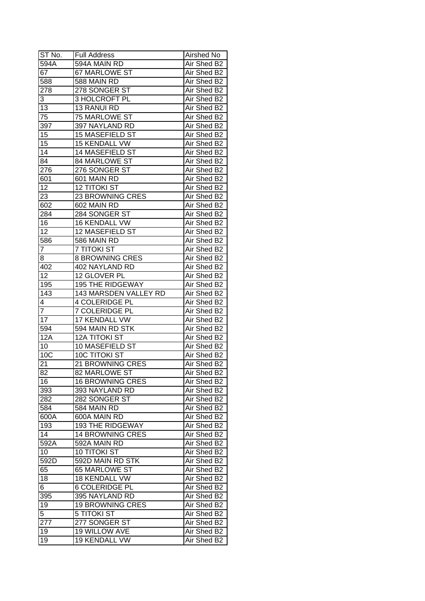| ST No.          | <b>Full Address</b>     | Airshed No                 |
|-----------------|-------------------------|----------------------------|
| 594A            | 594A MAIN RD            | Air Shed B2                |
| 67              | 67 MARLOWE ST           | Air Shed B2                |
| 588             | 588 MAIN RD             | Air Shed B2                |
| 278             | 278 SONGER ST           | Air Shed B2                |
| 3               | 3 HOLCROFT PL           | Air Shed B2                |
| 13              | 13 RANUI RD             | Air Shed B2                |
| 75              | 75 MARLOWE ST           | Air Shed B2                |
| 397             | 397 NAYLAND RD          | Air Shed B2                |
| 15              | <b>15 MASEFIELD ST</b>  | Air Shed B2                |
| 15              | 15 KENDALL VW           | Air Shed B2                |
| 14              | 14 MASEFIELD ST         | Air Shed B2                |
| $\overline{84}$ | 84 MARLOWE ST           | Air Shed B2                |
| 276             | 276 SONGER ST           | Air Shed B2                |
| 601             | 601 MAIN RD             | Air Shed B2                |
| 12              | <b>12 TITOKI ST</b>     | Air Shed B2                |
| 23              | 23 BROWNING CRES        | Air Shed B2                |
| 602             | 602 MAIN RD             | Air Shed B2                |
| 284             | 284 SONGER ST           | Air Shed B2                |
| 16              | 16 KENDALL VW           | Air Shed B2                |
| 12              | 12 MASEFIELD ST         | Air Shed B2                |
| 586             | 586 MAIN RD             | Air Shed B2                |
| 7               | 7 TITOKI ST             | Air Shed B2                |
| 8               | <b>8 BROWNING CRES</b>  | Air Shed B2                |
| 402             | 402 NAYLAND RD          | Air Shed B2                |
| 12              | 12 GLOVER PL            | Air Shed B2                |
| 195             | <b>195 THE RIDGEWAY</b> | Air Shed B2                |
| 143             | 143 MARSDEN VALLEY RD   | Air Shed B2                |
| 4               | 4 COLERIDGE PL          | Air Shed B2                |
| $\overline{7}$  | <b>7 COLERIDGE PL</b>   | Air Shed B2                |
| $\overline{17}$ | 17 KENDALL VW           | Air Shed B2                |
| 594             | 594 MAIN RD STK         | Air Shed B2                |
| 12A             | <b>12A TITOKI ST</b>    | Air Shed B2                |
| 10              | 10 MASEFIELD ST         | Air Shed B2                |
| 10C             | <b>10C TITOKI ST</b>    | Air Shed B2                |
| 21              | <b>21 BROWNING CRES</b> | Air Shed B2                |
| 82              | 82 MARLOWE ST           | Air Shed B2                |
| 16              | <b>16 BROWNING CRES</b> | Air Shed B2                |
| 393             | 393 NAYLAND RD          | Air Shed B2                |
| 282             | 282 SONGER ST           | Air Shed B2                |
| 584             | 584 MAIN RD             | Air Shed B2                |
| 600A            | 600A MAIN RD            | Air Shed B2                |
| 193             | 193 THE RIDGEWAY        |                            |
| 14              | <b>14 BROWNING CRES</b> | Air Shed B2                |
| 592A            | 592A MAIN RD            | Air Shed B2<br>Air Shed B2 |
|                 | 10 TITOKI ST            |                            |
| 10              |                         | Air Shed B2                |
| 592D            | 592D MAIN RD STK        | Air Shed B2                |
| 65              | 65 MARLOWE ST           | Air Shed B2                |
| 18              | <b>18 KENDALL VW</b>    | Air Shed B2                |
| 6               | <b>6 COLERIDGE PL</b>   | Air Shed B2                |
| 395             | 395 NAYLAND RD          | Air Shed B2                |
| 19              | <b>19 BROWNING CRES</b> | Air Shed B2                |
| 5               | <b>5 TITOKI ST</b>      | Air Shed B2                |
| 277             | 277 SONGER ST           | Air Shed B2                |
| 19              | 19 WILLOW AVE           | Air Shed B2                |
| 19              | 19 KENDALL VW           | Air Shed B2                |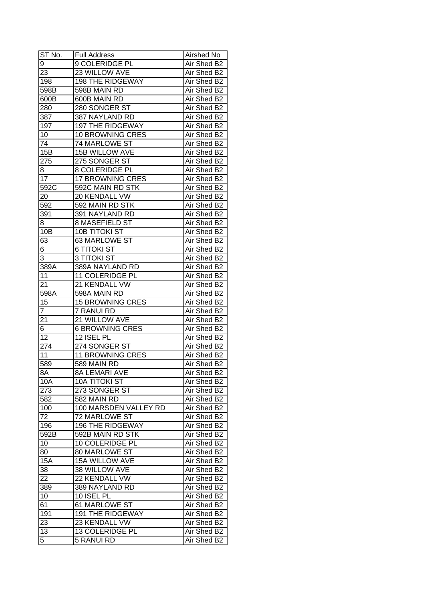| ST No.          | <b>Full Address</b>     | Airshed No  |
|-----------------|-------------------------|-------------|
| 9               | 9 COLERIDGE PL          | Air Shed B2 |
| 23              | 23 WILLOW AVE           | Air Shed B2 |
| 198             | <b>198 THE RIDGEWAY</b> | Air Shed B2 |
| 598B            | 598B MAIN RD            | Air Shed B2 |
| 600B            | 600B MAIN RD            | Air Shed B2 |
| 280             | 280 SONGER ST           | Air Shed B2 |
| 387             | 387 NAYLAND RD          | Air Shed B2 |
| 197             | <b>197 THE RIDGEWAY</b> | Air Shed B2 |
| 10              | <b>10 BROWNING CRES</b> | Air Shed B2 |
| 74              | 74 MARLOWE ST           | Air Shed B2 |
| 15B             | <b>15B WILLOW AVE</b>   | Air Shed B2 |
| 275             | 275 SONGER ST           | Air Shed B2 |
| 8               | 8 COLERIDGE PL          | Air Shed B2 |
| $\overline{17}$ | <b>17 BROWNING CRES</b> | Air Shed B2 |
| 592C            | 592C MAIN RD STK        | Air Shed B2 |
| 20              | 20 KENDALL VW           | Air Shed B2 |
| 592             | 592 MAIN RD STK         | Air Shed B2 |
| 391             | 391 NAYLAND RD          | Air Shed B2 |
| 8               | 8 MASEFIELD ST          | Air Shed B2 |
| 10B             | <b>10B TITOKI ST</b>    | Air Shed B2 |
| 63              | 63 MARLOWE ST           | Air Shed B2 |
| 6               | 6 TITOKI ST             | Air Shed B2 |
| 3               | <b>3 TITOKI ST</b>      | Air Shed B2 |
| 389A            | 389A NAYLAND RD         | Air Shed B2 |
| 11              | 11 COLERIDGE PL         | Air Shed B2 |
| 21              | 21 KENDALL VW           | Air Shed B2 |
| 598A            | 598A MAIN RD            | Air Shed B2 |
| 15              | <b>15 BROWNING CRES</b> | Air Shed B2 |
| $\overline{7}$  | 7 RANUI RD              | Air Shed B2 |
| 21              | 21 WILLOW AVE           | Air Shed B2 |
| 6               | <b>6 BROWNING CRES</b>  | Air Shed B2 |
| $\overline{12}$ | 12 ISEL PL              | Air Shed B2 |
| 274             | 274 SONGER ST           | Air Shed B2 |
| 11              | <b>11 BROWNING CRES</b> | Air Shed B2 |
| 589             | 589 MAIN RD             | Air Shed B2 |
| 8A              | <b>8A LEMARI AVE</b>    | Air Shed B2 |
| 10A             | <b>10A TITOKI ST</b>    | Air Shed B2 |
| 273             | 273 SONGER ST           | Air Shed B2 |
| 582             | 582 MAIN RD             | Air Shed B2 |
| 100             | 100 MARSDEN VALLEY RD   | Air Shed B2 |
| 72              | <b>72 MARLOWE ST</b>    | Air Shed B2 |
| 196             | <b>196 THE RIDGEWAY</b> | Air Shed B2 |
| 592B            | 592B MAIN RD STK        | Air Shed B2 |
| 10              | 10 COLERIDGE PL         | Air Shed B2 |
| 80              | 80 MARLOWE ST           | Air Shed B2 |
| 15A             | 15A WILLOW AVE          | Air Shed B2 |
| 38              | 38 WILLOW AVE           | Air Shed B2 |
| 22              | 22 KENDALL VW           | Air Shed B2 |
| 389             | 389 NAYLAND RD          | Air Shed B2 |
| 10              | 10 ISEL PL              | Air Shed B2 |
| 61              | 61 MARLOWE ST           | Air Shed B2 |
| 191             | 191 THE RIDGEWAY        | Air Shed B2 |
|                 | 23 KENDALL VW           | Air Shed B2 |
| 23<br>13        | 13 COLERIDGE PL         | Air Shed B2 |
|                 |                         |             |
| 5               | 5 RANUI RD              | Air Shed B2 |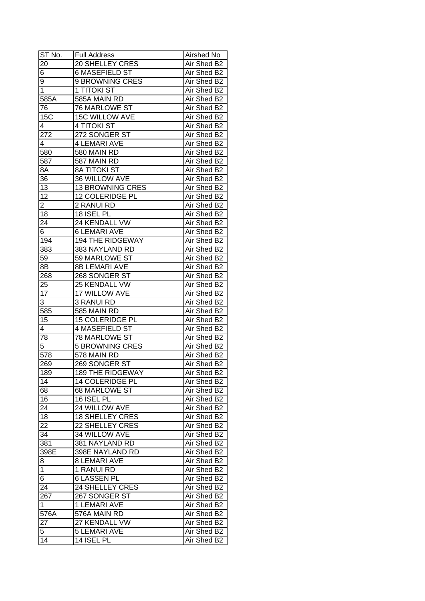| $ST N0$ .        | <b>Full Address</b>     | Airshed No  |
|------------------|-------------------------|-------------|
| 20               | <b>20 SHELLEY CRES</b>  | Air Shed B2 |
| 6                | <b>6 MASEFIELD ST</b>   | Air Shed B2 |
| 9                | 9 BROWNING CRES         | Air Shed B2 |
| $\overline{1}$   | 1 TITOKI ST             | Air Shed B2 |
| 585A             | 585A MAIN RD            | Air Shed B2 |
| 76               | <b>76 MARLOWE ST</b>    | Air Shed B2 |
| 15C              | 15C WILLOW AVE          | Air Shed B2 |
| 4                | 4 TITOKI ST             | Air Shed B2 |
| 272              | 272 SONGER ST           | Air Shed B2 |
| 4                | <b>4 LEMARI AVE</b>     | Air Shed B2 |
| 580              | 580 MAIN RD             | Air Shed B2 |
| 587              | 587 MAIN RD             | Air Shed B2 |
| $8\overline{A}$  | <b>8A TITOKI ST</b>     | Air Shed B2 |
| 36               | 36 WILLOW AVE           | Air Shed B2 |
| 13               | <b>13 BROWNING CRES</b> | Air Shed B2 |
| 12               | 12 COLERIDGE PL         | Air Shed B2 |
| $\overline{2}$   | 2 RANUI RD              | Air Shed B2 |
| 18               | 18 ISEL PL              | Air Shed B2 |
| 24               | 24 KENDALL VW           | Air Shed B2 |
| 6                | <b>6 LEMARI AVE</b>     | Air Shed B2 |
| 194              | <b>194 THE RIDGEWAY</b> | Air Shed B2 |
| 383              | 383 NAYLAND RD          | Air Shed B2 |
| 59               | 59 MARLOWE ST           | Air Shed B2 |
| 8B               | <b>8B LEMARI AVE</b>    | Air Shed B2 |
| 268              | 268 SONGER ST           | Air Shed B2 |
| 25               | 25 KENDALL VW           | Air Shed B2 |
| 17               | 17 WILLOW AVE           | Air Shed B2 |
| 3                | 3 RANUI RD              | Air Shed B2 |
| 585              | 585 MAIN RD             | Air Shed B2 |
| 15               | 15 COLERIDGE PL         | Air Shed B2 |
| 4                | <b>4 MASEFIELD ST</b>   | Air Shed B2 |
| 78               | <b>78 MARLOWE ST</b>    | Air Shed B2 |
| 5                | <b>5 BROWNING CRES</b>  | Air Shed B2 |
| $\overline{578}$ | 578 MAIN RD             | Air Shed B2 |
| 269              | 269 SONGER ST           | Air Shed B2 |
| 189              | <b>189 THE RIDGEWAY</b> | Air Shed B2 |
| 14               | 14 COLERIDGE PL         | Air Shed B2 |
| 68               | 68 MARLOWE ST           | Air Shed B2 |
| 16               | 16 ISEL PL              | Air Shed B2 |
| 24               | 24 WILLOW AVE           | Air Shed B2 |
| 18               | <b>18 SHELLEY CRES</b>  | Air Shed B2 |
| 22               | 22 SHELLEY CRES         | Air Shed B2 |
| 34               | 34 WILLOW AVE           | Air Shed B2 |
| 381              | 381 NAYLAND RD          | Air Shed B2 |
| 398E             | 398E NAYLAND RD         | Air Shed B2 |
| 8                | <b>8 LEMARI AVE</b>     | Air Shed B2 |
| $\mathbf{1}$     | 1 RANUI RD              | Air Shed B2 |
| 6                | <b>6 LASSEN PL</b>      | Air Shed B2 |
| 24               | 24 SHELLEY CRES         | Air Shed B2 |
| 267              | 267 SONGER ST           | Air Shed B2 |
| $\mathbf{1}$     | 1 LEMARI AVE            | Air Shed B2 |
| 576A             | 576A MAIN RD            | Air Shed B2 |
| 27               | 27 KENDALL VW           | Air Shed B2 |
| 5                | <b>5 LEMARI AVE</b>     | Air Shed B2 |
| 14               | 14 ISEL PL              | Air Shed B2 |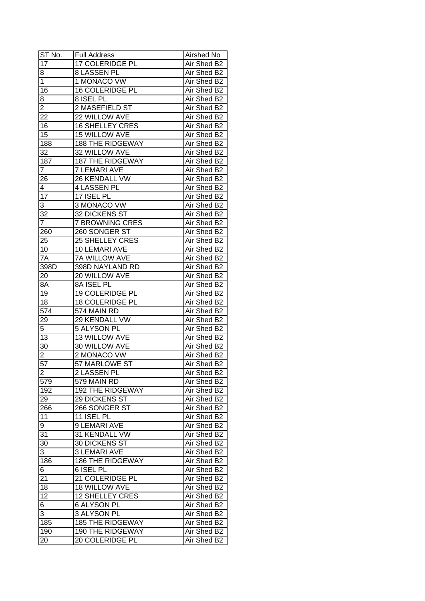| $ST N0$ .       | <b>Full Address</b>     | Airshed No  |
|-----------------|-------------------------|-------------|
| 17              | <b>17 COLERIDGE PL</b>  | Air Shed B2 |
| 8               | 8 LASSEN PL             | Air Shed B2 |
| $\overline{1}$  | 1 MONACO VW             | Air Shed B2 |
| 16              | 16 COLERIDGE PL         | Air Shed B2 |
| 8               | 8 ISEL PL               | Air Shed B2 |
| $\overline{2}$  | 2 MASEFIELD ST          | Air Shed B2 |
| 22              | 22 WILLOW AVE           | Air Shed B2 |
| 16              | <b>16 SHELLEY CRES</b>  | Air Shed B2 |
| 15              | <b>15 WILLOW AVE</b>    | Air Shed B2 |
| 188             | <b>188 THE RIDGEWAY</b> | Air Shed B2 |
| 32              | 32 WILLOW AVE           | Air Shed B2 |
| 187             | 187 THE RIDGEWAY        | Air Shed B2 |
| $\overline{7}$  | <b>7 LEMARI AVE</b>     | Air Shed B2 |
| 26              | 26 KENDALL VW           | Air Shed B2 |
| 4               | 4 LASSEN PL             | Air Shed B2 |
| $\overline{17}$ | 17 ISEL PL              | Air Shed B2 |
| 3               | 3 MONACO VW             | Air Shed B2 |
| 32              | 32 DICKENS ST           | Air Shed B2 |
| $\overline{7}$  | <b>7 BROWNING CRES</b>  | Air Shed B2 |
| 260             | 260 SONGER ST           | Air Shed B2 |
| 25              | 25 SHELLEY CRES         | Air Shed B2 |
| 10              | 10 LEMARI AVE           | Air Shed B2 |
| 7A              | 7A WILLOW AVE           | Air Shed B2 |
| 398D            | 398D NAYLAND RD         | Air Shed B2 |
| 20              | 20 WILLOW AVE           | Air Shed B2 |
| 8A              | 8A ISEL PL              | Air Shed B2 |
| 19              | 19 COLERIDGE PL         | Air Shed B2 |
| 18              | 18 COLERIDGE PL         | Air Shed B2 |
| 574             | 574 MAIN RD             | Air Shed B2 |
| 29              | 29 KENDALL VW           | Air Shed B2 |
| 5               | 5 ALYSON PL             | Air Shed B2 |
| $\overline{13}$ | <b>13 WILLOW AVE</b>    | Air Shed B2 |
| 30              | 30 WILLOW AVE           | Air Shed B2 |
| $\overline{2}$  | 2 MONACO VW             | Air Shed B2 |
| 57              | 57 MARLOWE ST           | Air Shed B2 |
| $\overline{2}$  | 2 LASSEN PL             | Air Shed B2 |
| 579             | 579 MAIN RD             | Air Shed B2 |
| 192             | 192 THE RIDGEWAY        | Air Shed B2 |
| 29              | 29 DICKENS ST           | Air Shed B2 |
| 266             | 266 SONGER ST           | Air Shed B2 |
| 11              | 11 ISEL PL              | Air Shed B2 |
| 9               | 9 LEMARI AVE            | Air Shed B2 |
| 31              | 31 KENDALL VW           | Air Shed B2 |
| 30              | 30 DICKENS ST           | Air Shed B2 |
| $\overline{3}$  | <b>3 LEMARI AVE</b>     | Air Shed B2 |
| 186             | <b>186 THE RIDGEWAY</b> | Air Shed B2 |
| 6               | 6 ISEL PL               | Air Shed B2 |
| 21              | 21 COLERIDGE PL         | Air Shed B2 |
| 18              | 18 WILLOW AVE           | Air Shed B2 |
| 12              | 12 SHELLEY CRES         | Air Shed B2 |
| 6               | <b>6 ALYSON PL</b>      | Air Shed B2 |
| 3               | 3 ALYSON PL             | Air Shed B2 |
| 185             | <b>185 THE RIDGEWAY</b> | Air Shed B2 |
|                 |                         |             |
| 190             | 190 THE RIDGEWAY        | Air Shed B2 |
| 20              | 20 COLERIDGE PL         | Air Shed B2 |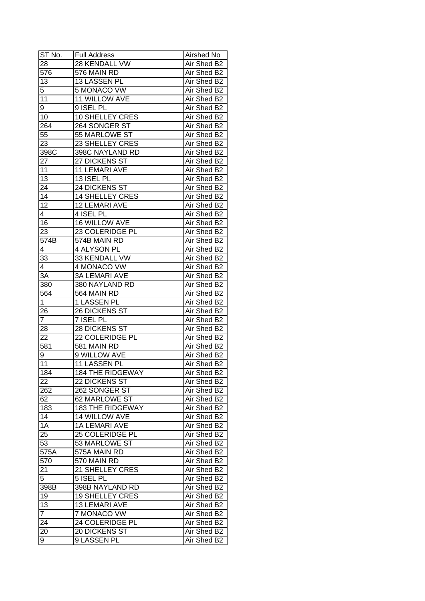| ST No.               | <b>Full Address</b>               | Airshed No                 |
|----------------------|-----------------------------------|----------------------------|
| 28                   | 28 KENDALL VW                     | Air Shed B2                |
| $\overline{576}$     | 576 MAIN RD                       | Air Shed B2                |
| 13                   | 13 LASSEN PL                      | Air Shed B2                |
| 5                    | 5 MONACO VW                       | Air Shed B2                |
| 11                   | 11 WILLOW AVE                     | Air Shed B2                |
| 9                    | 9 ISEL PL                         | Air Shed B2                |
| 10                   | 10 SHELLEY CRES                   | Air Shed B2                |
| 264                  | 264 SONGER ST                     | Air Shed B2                |
| 55                   | 55 MARLOWE ST                     | Air Shed B2                |
| 23                   | 23 SHELLEY CRES                   | Air Shed B2                |
| 398C                 | 398C NAYLAND RD                   | Air Shed B2                |
| 27                   | 27 DICKENS ST                     | Air Shed B2                |
| 11                   | 11 LEMARI AVE                     | Air Shed B2                |
| $\overline{13}$      | 13 ISEL PL                        | Air Shed B2                |
| 24                   | 24 DICKENS ST                     | Air Shed B2                |
| 14                   | <b>14 SHELLEY CRES</b>            | Air Shed B2                |
| $\overline{12}$      | 12 LEMARI AVE                     | Air Shed B2                |
| 4                    | 4 ISEL PL                         | Air Shed B2                |
| 16                   | 16 WILLOW AVE                     | Air Shed B2                |
| 23                   | 23 COLERIDGE PL                   | Air Shed B2                |
| 574B                 | 574B MAIN RD                      | Air Shed B2                |
|                      | 4 ALYSON PL                       | Air Shed B2                |
| 4<br>33              | 33 KENDALL VW                     | Air Shed B2                |
|                      | 4 MONACO VW                       | Air Shed B2                |
| 4<br>3A              | <b>3A LEMARI AVE</b>              | Air Shed B2                |
| 380                  |                                   |                            |
|                      | 380 NAYLAND RD                    | Air Shed B2                |
| 564                  | 564 MAIN RD                       | Air Shed B2                |
| $\mathbf{1}$         | 1 LASSEN PL                       | Air Shed B2                |
| 26<br>$\overline{7}$ | <b>26 DICKENS ST</b><br>7 ISEL PL | Air Shed B2<br>Air Shed B2 |
|                      | 28 DICKENS ST                     | Air Shed B2                |
| 28<br>22             | 22 COLERIDGE PL                   | Air Shed B2                |
| 581                  | 581 MAIN RD                       | Air Shed B2                |
|                      | 9 WILLOW AVE                      | Air Shed B2                |
| 9<br>11              | <b>11 LASSEN PL</b>               | Air Shed B2                |
| 184                  | <b>184 THE RIDGEWAY</b>           | Air Shed B2                |
|                      |                                   |                            |
| 22                   | 22 DICKENS ST                     | Air Shed B2                |
| 262                  | 262 SONGER ST                     | Air Shed B2                |
| 62                   | 62 MARLOWE ST                     | Air Shed B2                |
| 183                  | <b>183 THE RIDGEWAY</b>           | Air Shed B2                |
| 14                   | 14 WILLOW AVE                     | Air Shed B2                |
| 1A                   | <b>1A LEMARI AVE</b>              | Air Shed B2                |
| 25                   | 25 COLERIDGE PL                   | Air Shed B2                |
| 53                   | 53 MARLOWE ST                     | Air Shed B2                |
| 575A                 | 575A MAIN RD                      | Air Shed B2                |
| 570                  | 570 MAIN RD                       | Air Shed B2                |
| 21                   | 21 SHELLEY CRES                   | Air Shed B2                |
| 5                    | 5 ISEL PL                         | Air Shed B2                |
| 398B                 | 398B NAYLAND RD                   | Air Shed B2                |
| 19                   | <b>19 SHELLEY CRES</b>            | Air Shed B2                |
| 13                   | 13 LEMARI AVE                     | Air Shed B2                |
| $\overline{7}$       | 7 MONACO VW                       | Air Shed B2                |
| 24                   | 24 COLERIDGE PL                   | Air Shed B2                |
| 20                   | 20 DICKENS ST                     | Air Shed B2                |
| 9                    | 9 LASSEN PL                       | Air Shed B2                |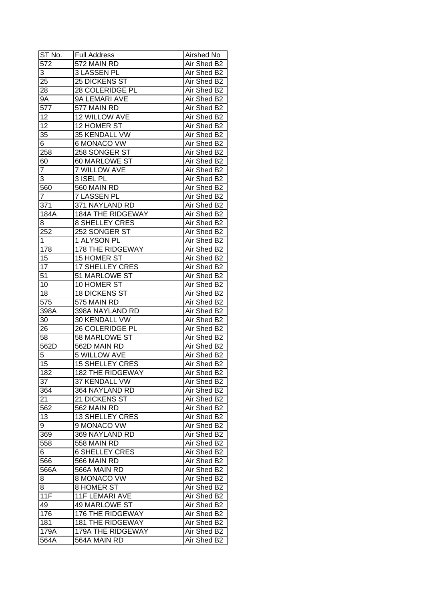| ST No.         | <b>Full Address</b>           | Airshed No                 |
|----------------|-------------------------------|----------------------------|
| 572            | 572 MAIN RD                   | Air Shed B2                |
| 3              | 3 LASSEN PL                   | Air Shed B2                |
| 25             | 25 DICKENS ST                 | Air Shed B2                |
| 28             | 28 COLERIDGE PL               | Air Shed B2                |
| 9Α             | 9A LEMARI AVE                 | Air Shed B2                |
| 577            | 577 MAIN RD                   | Air Shed B2                |
| 12             | 12 WILLOW AVE                 | Air Shed B2                |
| 12             | 12 HOMER ST                   | Air Shed B2                |
| 35             | 35 KENDALL VW                 | Air Shed B2                |
| 6              | 6 MONACO VW                   | Air Shed B2                |
| 258            | 258 SONGER ST                 | Air Shed B2                |
| 60             | 60 MARLOWE ST                 | Air Shed B2                |
| $\overline{7}$ | <b>7 WILLOW AVE</b>           | Air Shed B2                |
| 3              | 3 ISEL PL                     | Air Shed B2                |
| 560            | 560 MAIN RD                   | Air Shed B2                |
| 7              | 7 LASSEN PL                   | Air Shed B2                |
| 371            | 371 NAYLAND RD                | Air Shed B2                |
| 184A           | <b>184A THE RIDGEWAY</b>      | Air Shed B2                |
| 8              | <b>8 SHELLEY CRES</b>         | Air Shed B2                |
| 252            | 252 SONGER ST                 | Air Shed B2                |
| 1              | 1 ALYSON PL                   | Air Shed B2                |
| 178            | 178 THE RIDGEWAY              | Air Shed B2                |
| 15             | 15 HOMER ST                   | Air Shed B2                |
| 17             | 17 SHELLEY CRES               | Air Shed B2                |
| 51             | 51 MARLOWE ST                 | Air Shed B2                |
| 10             | 10 HOMER ST                   | Air Shed B2                |
| 18             | <b>18 DICKENS ST</b>          | Air Shed B2                |
| 575            | 575 MAIN RD                   | Air Shed B2                |
| 398A           | 398A NAYLAND RD               | Air Shed B2                |
| 30             | 30 KENDALL VW                 | Air Shed B2                |
| 26             | 26 COLERIDGE PL               | Air Shed B2                |
| 58             | <b>58 MARLOWE ST</b>          | Air Shed B2                |
| 562D           | 562D MAIN RD                  | Air Shed B2                |
| 5              | <b>5 WILLOW AVE</b>           | Air Shed B2                |
| 15             | <b>15 SHELLEY CRES</b>        | Air Shed B2                |
| 182            | <b>182 THE RIDGEWAY</b>       | Air Shed B2                |
| 37             | 37 KENDALL VW                 | Air Shed B2                |
| 364            | 364 NAYLAND RD                | Air Shed B2                |
| 21             | 21 DICKENS ST                 | Air Shed B2                |
| 562            | 562 MAIN RD                   | Air Shed B2                |
| 13             | <b>13 SHELLEY CRES</b>        | Air Shed B2                |
| 9              | 9 MONACO VW                   | Air Shed B2                |
|                |                               |                            |
| 369            | 369 NAYLAND RD<br>558 MAIN RD | Air Shed B2<br>Air Shed B2 |
| 558            |                               |                            |
| 6              | <b>6 SHELLEY CRES</b>         | Air Shed B2                |
| 566            | 566 MAIN RD                   | Air Shed B2                |
| 566A           | 566A MAIN RD                  | Air Shed B2                |
| 8              | 8 MONACO VW                   | Air Shed B2                |
| 8              | 8 HOMER ST                    | Air Shed B2                |
| 11F            | <b>11F LEMARI AVE</b>         | Air Shed B2                |
| 49             | 49 MARLOWE ST                 | Air Shed B2                |
| 176            | 176 THE RIDGEWAY              | Air Shed B2                |
| 181            | <b>181 THE RIDGEWAY</b>       | Air Shed B2                |
| 179A           | 179A THE RIDGEWAY             | Air Shed B2                |
| 564A           | 564A MAIN RD                  | Air Shed B2                |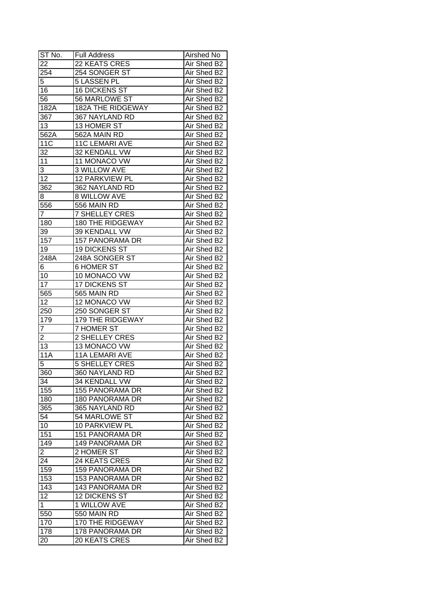| ST No.          | <b>Full Address</b>      | Airshed No  |
|-----------------|--------------------------|-------------|
| 22              | 22 KEATS CRES            | Air Shed B2 |
| 254             | 254 SONGER ST            | Air Shed B2 |
| 5               | <b>5 LASSEN PL</b>       | Air Shed B2 |
| 16              | <b>16 DICKENS ST</b>     | Air Shed B2 |
| 56              | 56 MARLOWE ST            | Air Shed B2 |
| 182A            | <b>182A THE RIDGEWAY</b> | Air Shed B2 |
| 367             | 367 NAYLAND RD           | Air Shed B2 |
| 13              | 13 HOMER ST              | Air Shed B2 |
| 562A            | 562A MAIN RD             | Air Shed B2 |
| <b>11C</b>      | <b>11C LEMARI AVE</b>    | Air Shed B2 |
| 32              | 32 KENDALL VW            | Air Shed B2 |
| 11              | 11 MONACO VW             | Air Shed B2 |
| 3               | 3 WILLOW AVE             | Air Shed B2 |
| $\overline{12}$ | 12 PARKVIEW PL           | Air Shed B2 |
| 362             | 362 NAYLAND RD           | Air Shed B2 |
| 8               | <b>8 WILLOW AVE</b>      | Air Shed B2 |
| 556             | 556 MAIN RD              | Air Shed B2 |
| 7               | <b>7 SHELLEY CRES</b>    | Air Shed B2 |
| 180             | <b>180 THE RIDGEWAY</b>  | Air Shed B2 |
| 39              | 39 KENDALL VW            | Air Shed B2 |
| 157             | <b>157 PANORAMA DR</b>   | Air Shed B2 |
| 19              | <b>19 DICKENS ST</b>     | Air Shed B2 |
| 248A            | 248A SONGER ST           | Air Shed B2 |
| 6               | <b>6 HOMER ST</b>        | Air Shed B2 |
| 10              | 10 MONACO VW             | Air Shed B2 |
| 17              | 17 DICKENS ST            | Air Shed B2 |
| 565             | 565 MAIN RD              | Air Shed B2 |
| 12              | 12 MONACO VW             | Air Shed B2 |
| 250             | 250 SONGER ST            | Air Shed B2 |
| 179             | 179 THE RIDGEWAY         | Air Shed B2 |
| 7               | 7 HOMER ST               | Air Shed B2 |
| $\overline{2}$  | 2 SHELLEY CRES           | Air Shed B2 |
| 13              | 13 MONACO VW             | Air Shed B2 |
| 11A             | <b>11A LEMARI AVE</b>    | Air Shed B2 |
| 5               | <b>5 SHELLEY CRES</b>    | Air Shed B2 |
| 360             | 360 NAYLAND RD           | Air Shed B2 |
| $3\overline{4}$ | 34 KENDALL VW            | Air Shed B2 |
| 155             | <b>155 PANORAMA DR</b>   | Air Shed B2 |
| 180             | 180 PANORAMA DR          | Air Shed B2 |
| 365             | 365 NAYLAND RD           | Air Shed B2 |
| 54              | 54 MARLOWE ST            | Air Shed B2 |
| 10              | 10 PARKVIEW PL           | Air Shed B2 |
| 151             | 151 PANORAMA DR          | Air Shed B2 |
| 149             | 149 PANORAMA DR          | Air Shed B2 |
| $\overline{c}$  | 2 HOMER ST               | Air Shed B2 |
| 24              | 24 KEATS CRES            | Air Shed B2 |
| 159             | 159 PANORAMA DR          | Air Shed B2 |
| 153             | 153 PANORAMA DR          | Air Shed B2 |
| 143             | 143 PANORAMA DR          | Air Shed B2 |
| 12              | 12 DICKENS ST            |             |
| $\mathbf{1}$    |                          | Air Shed B2 |
|                 | 1 WILLOW AVE             | Air Shed B2 |
| 550             | 550 MAIN RD              | Air Shed B2 |
| 170             | 170 THE RIDGEWAY         | Air Shed B2 |
| 178             | 178 PANORAMA DR          | Air Shed B2 |
| 20              | 20 KEATS CRES            | Air Shed B2 |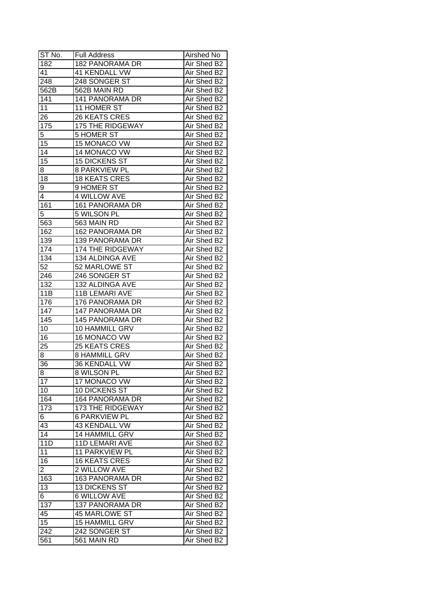| ST No.           | <b>Full Address</b>   | Airshed No  |
|------------------|-----------------------|-------------|
| 182              | 182 PANORAMA DR       | Air Shed B2 |
| 41               | <b>41 KENDALL VW</b>  | Air Shed B2 |
| $\overline{248}$ | 248 SONGER ST         | Air Shed B2 |
| 562B             | 562B MAIN RD          | Air Shed B2 |
| 141              | 141 PANORAMA DR       | Air Shed B2 |
| 11               | 11 HOMER ST           | Air Shed B2 |
| 26               | 26 KEATS CRES         | Air Shed B2 |
| 175              | 175 THE RIDGEWAY      | Air Shed B2 |
| 5                | <b>5 HOMER ST</b>     | Air Shed B2 |
| 15               | 15 MONACO VW          | Air Shed B2 |
| 14               | 14 MONACO VW          | Air Shed B2 |
| 15               | <b>15 DICKENS ST</b>  | Air Shed B2 |
| 8                | <b>8 PARKVIEW PL</b>  | Air Shed B2 |
| 18               | <b>18 KEATS CRES</b>  | Air Shed B2 |
| 9                | 9 HOMER ST            | Air Shed B2 |
| 4                | <b>4 WILLOW AVE</b>   | Air Shed B2 |
| 161              | 161 PANORAMA DR       | Air Shed B2 |
| 5                | 5 WILSON PL           | Air Shed B2 |
| 563              | 563 MAIN RD           | Air Shed B2 |
| 162              | 162 PANORAMA DR       | Air Shed B2 |
| 139              | 139 PANORAMA DR       | Air Shed B2 |
| 174              | 174 THE RIDGEWAY      | Air Shed B2 |
| 134              | 134 ALDINGA AVE       | Air Shed B2 |
| 52               | 52 MARLOWE ST         | Air Shed B2 |
| 246              | 246 SONGER ST         | Air Shed B2 |
| 132              | 132 ALDINGA AVE       | Air Shed B2 |
| 11B              | 11B LEMARI AVE        | Air Shed B2 |
| 176              | 176 PANORAMA DR       | Air Shed B2 |
| 147              | 147 PANORAMA DR       | Air Shed B2 |
| 145              | 145 PANORAMA DR       | Air Shed B2 |
| 10               | 10 HAMMILL GRV        | Air Shed B2 |
| 16               | 16 MONACO VW          | Air Shed B2 |
| 25               | 25 KEATS CRES         | Air Shed B2 |
| 8                | <b>8 HAMMILL GRV</b>  | Air Shed B2 |
| 36               | 36 KENDALL VW         | Air Shed B2 |
| 8                | 8 WILSON PL           | Air Shed B2 |
| 17               | 17 MONACO VW          | Air Shed B2 |
| 10               | 10 DICKENS ST         | Air Shed B2 |
| 164              | 164 PANORAMA DR       | Air Shed B2 |
| 173              | 173 THE RIDGEWAY      | Air Shed B2 |
| 6                | <b>6 PARKVIEW PL</b>  | Air Shed B2 |
| 43               | 43 KENDALL VW         | Air Shed B2 |
| 14               | 14 HAMMILL GRV        | Air Shed B2 |
| 11D              | 11D LEMARI AVE        | Air Shed B2 |
| 11               | 11 PARKVIEW PL        | Air Shed B2 |
| 16               | <b>16 KEATS CRES</b>  | Air Shed B2 |
| $\overline{2}$   | 2 WILLOW AVE          | Air Shed B2 |
| 163              | 163 PANORAMA DR       | Air Shed B2 |
| 13               | <b>13 DICKENS ST</b>  | Air Shed B2 |
| 6                | <b>6 WILLOW AVE</b>   | Air Shed B2 |
| 137              | 137 PANORAMA DR       | Air Shed B2 |
| 45               | <b>45 MARLOWE ST</b>  | Air Shed B2 |
| 15               |                       | Air Shed B2 |
|                  | <b>15 HAMMILL GRV</b> |             |
| 242              | 242 SONGER ST         | Air Shed B2 |
| 561              | 561 MAIN RD           | Air Shed B2 |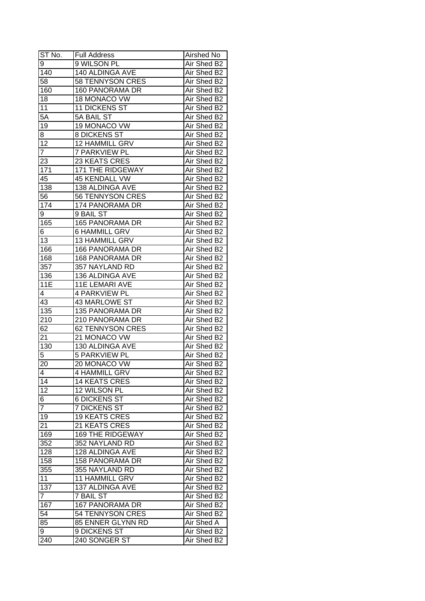| ST No.          | <b>Full Address</b>     | Airshed No  |
|-----------------|-------------------------|-------------|
| 9               | 9 WILSON PL             | Air Shed B2 |
| 140             | <b>140 ALDINGA AVE</b>  | Air Shed B2 |
| 58              | 58 TENNYSON CRES        | Air Shed B2 |
| 160             | 160 PANORAMA DR         | Air Shed B2 |
| 18              | 18 MONACO VW            | Air Shed B2 |
| 11              | <b>11 DICKENS ST</b>    | Air Shed B2 |
| 5A              | 5A BAIL ST              | Air Shed B2 |
| 19              | 19 MONACO VW            | Air Shed B2 |
| 8               | 8 DICKENS ST            | Air Shed B2 |
| 12              | 12 HAMMILL GRV          | Air Shed B2 |
| $\overline{7}$  | 7 PARKVIEW PL           | Air Shed B2 |
| 23              | 23 KEATS CRES           | Air Shed B2 |
| 171             | 171 THE RIDGEWAY        | Air Shed B2 |
| 45              | 45 KENDALL VW           | Air Shed B2 |
| 138             | 138 ALDINGA AVE         | Air Shed B2 |
| 56              | 56 TENNYSON CRES        | Air Shed B2 |
| 174             | 174 PANORAMA DR         | Air Shed B2 |
| 9               | 9 BAIL ST               | Air Shed B2 |
| 165             | <b>165 PANORAMA DR</b>  | Air Shed B2 |
| 6               | 6 HAMMILL GRV           | Air Shed B2 |
| $\overline{1}3$ | 13 HAMMILL GRV          | Air Shed B2 |
| 166             | 166 PANORAMA DR         | Air Shed B2 |
| 168             | <b>168 PANORAMA DR</b>  | Air Shed B2 |
| 357             | 357 NAYLAND RD          | Air Shed B2 |
| 136             | 136 ALDINGA AVE         | Air Shed B2 |
| 11E             | <b>11E LEMARI AVE</b>   | Air Shed B2 |
| 4               | <b>4 PARKVIEW PL</b>    | Air Shed B2 |
| 43              | 43 MARLOWE ST           | Air Shed B2 |
| 135             | 135 PANORAMA DR         | Air Shed B2 |
| 210             | 210 PANORAMA DR         | Air Shed B2 |
| 62              | <b>62 TENNYSON CRES</b> | Air Shed B2 |
| 21              | 21 MONACO VW            | Air Shed B2 |
| 130             | 130 ALDINGA AVE         | Air Shed B2 |
| 5               | <b>5 PARKVIEW PL</b>    | Air Shed B2 |
| 20              | 20 MONACO VW            | Air Shed B2 |
| $\overline{4}$  | <b>4 HAMMILL GRV</b>    | Air Shed B2 |
| 14              | <b>14 KEATS CRES</b>    | Air Shed B2 |
| $\overline{12}$ | 12 WILSON PL            | Air Shed B2 |
| 6               | <b>6 DICKENS ST</b>     | Air Shed B2 |
| $\overline{7}$  | <b>7 DICKENS ST</b>     | Air Shed B2 |
| 19              | <b>19 KEATS CRES</b>    | Air Shed B2 |
| 21              | 21 KEATS CRES           | Air Shed B2 |
| 169             | <b>169 THE RIDGEWAY</b> | Air Shed B2 |
| 352             | 352 NAYLAND RD          | Air Shed B2 |
| 128             | 128 ALDINGA AVE         | Air Shed B2 |
| 158             | <b>158 PANORAMA DR</b>  | Air Shed B2 |
| 355             | 355 NAYLAND RD          | Air Shed B2 |
| 11              | <b>11 HAMMILL GRV</b>   | Air Shed B2 |
| 137             | 137 ALDINGA AVE         | Air Shed B2 |
| $\overline{7}$  | <b>7 BAIL ST</b>        | Air Shed B2 |
| 167             | 167 PANORAMA DR         | Air Shed B2 |
| 54              | 54 TENNYSON CRES        | Air Shed B2 |
| 85              | 85 ENNER GLYNN RD       | Air Shed A  |
| 9               | <b>9 DICKENS ST</b>     | Air Shed B2 |
| 240             | 240 SONGER ST           | Air Shed B2 |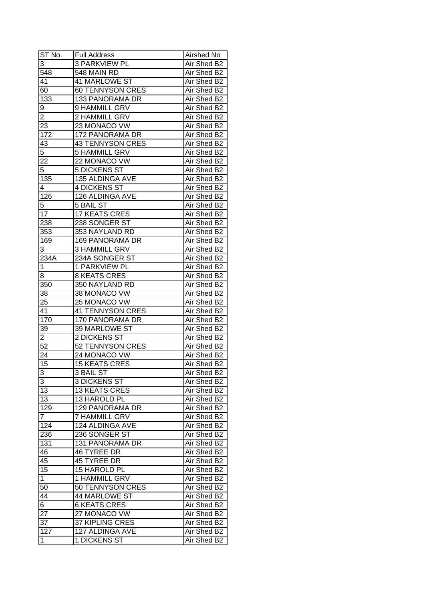| ST No.           | <b>Full Address</b>     | Airshed No  |
|------------------|-------------------------|-------------|
| 3                | <b>3 PARKVIEW PL</b>    | Air Shed B2 |
| 548              | 548 MAIN RD             | Air Shed B2 |
| 41               | 41 MARLOWE ST           | Air Shed B2 |
| 60               | <b>60 TENNYSON CRES</b> | Air Shed B2 |
| 133              | 133 PANORAMA DR         | Air Shed B2 |
| 9                | 9 HAMMILL GRV           | Air Shed B2 |
| $\overline{c}$   | 2 HAMMILL GRV           | Air Shed B2 |
| 23               | 23 MONACO VW            | Air Shed B2 |
| 172              | 172 PANORAMA DR         | Air Shed B2 |
| 43               | <b>43 TENNYSON CRES</b> | Air Shed B2 |
| $\overline{5}$   | 5 HAMMILL GRV           | Air Shed B2 |
| 22               | 22 MONACO VW            | Air Shed B2 |
| $\overline{5}$   | <b>5 DICKENS ST</b>     | Air Shed B2 |
| 135              | 135 ALDINGA AVE         | Air Shed B2 |
| 4                | 4 DICKENS ST            | Air Shed B2 |
| $\overline{126}$ | 126 ALDINGA AVE         | Air Shed B2 |
| 5                | 5 BAIL ST               | Air Shed B2 |
| 17               | <b>17 KEATS CRES</b>    | Air Shed B2 |
| 238              | 238 SONGER ST           | Air Shed B2 |
| 353              | 353 NAYLAND RD          | Air Shed B2 |
| 169              | <b>169 PANORAMA DR</b>  | Air Shed B2 |
| 3                | <b>3 HAMMILL GRV</b>    | Air Shed B2 |
| 234A             | 234A SONGER ST          | Air Shed B2 |
| 1                | 1 PARKVIEW PL           | Air Shed B2 |
| 8                | <b>8 KEATS CRES</b>     | Air Shed B2 |
| 350              | 350 NAYLAND RD          | Air Shed B2 |
| 38               | 38 MONACO VW            | Air Shed B2 |
| 25               | 25 MONACO VW            | Air Shed B2 |
| 41               | <b>41 TENNYSON CRES</b> | Air Shed B2 |
| 170              | 170 PANORAMA DR         | Air Shed B2 |
| 39               | 39 MARLOWE ST           | Air Shed B2 |
| $\overline{2}$   | 2 DICKENS ST            | Air Shed B2 |
| $\overline{52}$  | 52 TENNYSON CRES        | Air Shed B2 |
| 24               | 24 MONACO VW            | Air Shed B2 |
| 15               | <b>15 KEATS CRES</b>    | Air Shed B2 |
| $\overline{3}$   | 3 BAIL ST               | Air Shed B2 |
| 3                | <b>3 DICKENS ST</b>     | Air Shed B2 |
| 13               | <b>13 KEATS CRES</b>    | Air Shed B2 |
| 13               | 13 HAROLD PL            | Air Shed B2 |
| 129              | 129 PANORAMA DR         | Air Shed B2 |
| $\overline{7}$   | <b>7 HAMMILL GRV</b>    | Air Shed B2 |
| 124              | 124 ALDINGA AVE         | Air Shed B2 |
| 236              | 236 SONGER ST           | Air Shed B2 |
| 131              | 131 PANORAMA DR         | Air Shed B2 |
| 46               | 46 TYREE DR             | Air Shed B2 |
| 45               | 45 TYREE DR             | Air Shed B2 |
| 15               | 15 HAROLD PL            | Air Shed B2 |
| $\mathbf{1}$     | 1 HAMMILL GRV           | Air Shed B2 |
| 50               | 50 TENNYSON CRES        | Air Shed B2 |
| 44               | 44 MARLOWE ST           | Air Shed B2 |
| 6                | <b>6 KEATS CRES</b>     | Air Shed B2 |
|                  | 27 MONACO VW            | Air Shed B2 |
| 27               | 37 KIPLING CRES         | Air Shed B2 |
| 37               |                         |             |
| 127              | 127 ALDINGA AVE         | Air Shed B2 |
| 1                | 1 DICKENS ST            | Air Shed B2 |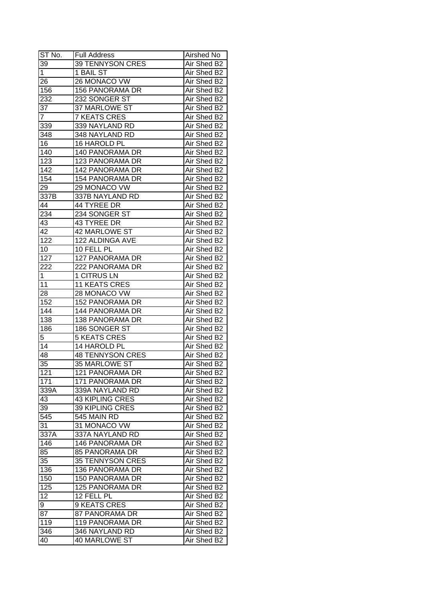| ST No.           | <b>Full Address</b>     | Airshed No  |
|------------------|-------------------------|-------------|
| 39               | 39 TENNYSON CRES        | Air Shed B2 |
| 1                | 1 BAIL ST               | Air Shed B2 |
| 26               | 26 MONACO VW            | Air Shed B2 |
| 156              | <b>156 PANORAMA DR</b>  | Air Shed B2 |
| 232              | 232 SONGER ST           | Air Shed B2 |
| 37               | 37 MARLOWE ST           | Air Shed B2 |
| 7                | <b>7 KEATS CRES</b>     | Air Shed B2 |
| 339              | 339 NAYLAND RD          | Air Shed B2 |
| 348              | 348 NAYLAND RD          | Air Shed B2 |
| 16               | 16 HAROLD PL            | Air Shed B2 |
| 140              | 140 PANORAMA DR         | Air Shed B2 |
| 123              | 123 PANORAMA DR         | Air Shed B2 |
| 142              | 142 PANORAMA DR         | Air Shed B2 |
| 154              | <b>154 PANORAMA DR</b>  | Air Shed B2 |
| 29               | 29 MONACO VW            | Air Shed B2 |
| 337B             | 337B NAYLAND RD         | Air Shed B2 |
| 44               | 44 TYREE DR             | Air Shed B2 |
| $23\overline{4}$ | 234 SONGER ST           | Air Shed B2 |
| 43               | 43 TYREE DR             | Air Shed B2 |
| 42               | <b>42 MARLOWE ST</b>    | Air Shed B2 |
| 122              | 122 ALDINGA AVE         | Air Shed B2 |
| 10               | 10 FELL PL              | Air Shed B2 |
| 127              | 127 PANORAMA DR         | Air Shed B2 |
| 222              | 222 PANORAMA DR         | Air Shed B2 |
| $\mathbf 1$      | 1 CITRUS LN             | Air Shed B2 |
| 11               | <b>11 KEATS CRES</b>    | Air Shed B2 |
| 28               | 28 MONACO VW            | Air Shed B2 |
| 152              | 152 PANORAMA DR         | Air Shed B2 |
| 144              | 144 PANORAMA DR         | Air Shed B2 |
| 138              | <b>138 PANORAMA DR</b>  | Air Shed B2 |
| 186              | 186 SONGER ST           | Air Shed B2 |
| 5                | <b>5 KEATS CRES</b>     | Air Shed B2 |
| $\overline{14}$  | 14 HAROLD PL            | Air Shed B2 |
| 48               | <b>48 TENNYSON CRES</b> | Air Shed B2 |
| 35               | 35 MARLOWE ST           | Air Shed B2 |
| 121              | 121 PANORAMA DR         | Air Shed B2 |
| 171              | 171 PANORAMA DR         | Air Shed B2 |
| 339A             | 339A NAYLAND RD         | Air Shed B2 |
| 43               | <b>43 KIPLING CRES</b>  | Air Shed B2 |
| 39               | 39 KIPLING CRES         | Air Shed B2 |
| 545              | 545 MAIN RD             | Air Shed B2 |
| 31               | 31 MONACO VW            | Air Shed B2 |
| 337A             | 337A NAYLAND RD         | Air Shed B2 |
| 146              | 146 PANORAMA DR         | Air Shed B2 |
| 85               | 85 PANORAMA DR          | Air Shed B2 |
| 35               | <b>35 TENNYSON CRES</b> | Air Shed B2 |
| 136              | 136 PANORAMA DR         | Air Shed B2 |
| 150              | 150 PANORAMA DR         | Air Shed B2 |
| 125              | 125 PANORAMA DR         | Air Shed B2 |
| 12               | 12 FELL PL              | Air Shed B2 |
| 9                | <b>9 KEATS CRES</b>     | Air Shed B2 |
| 87               | 87 PANORAMA DR          | Air Shed B2 |
| 119              | 119 PANORAMA DR         | Air Shed B2 |
| 346              | 346 NAYLAND RD          | Air Shed B2 |
| 40               | 40 MARLOWE ST           | Air Shed B2 |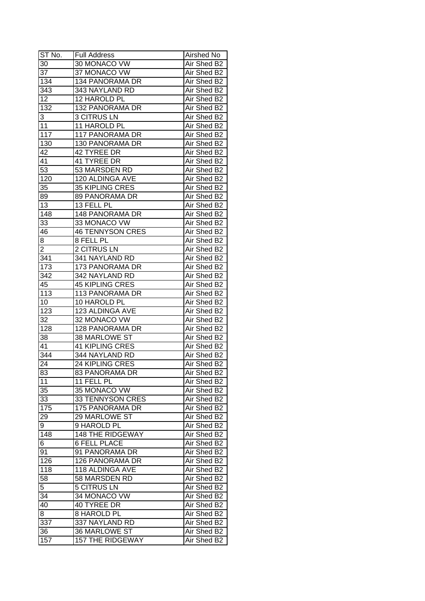| ST No.           | <b>Full Address</b>     | Airshed No                 |
|------------------|-------------------------|----------------------------|
| 30               | 30 MONACO VW            | Air Shed B2                |
| $\overline{37}$  | 37 MONACO VW            | Air Shed B2                |
| 134              | 134 PANORAMA DR         | Air Shed B2                |
| $34\overline{3}$ | 343 NAYLAND RD          | Air Shed B2                |
| 12               | 12 HAROLD PL            | Air Shed B2                |
| 132              | 132 PANORAMA DR         | Air Shed B2                |
| 3                | <b>3 CITRUS LN</b>      | Air Shed B2                |
| 11               | 11 HAROLD PL            | Air Shed B2                |
| 117              | 117 PANORAMA DR         | Air Shed B2                |
| 130              | 130 PANORAMA DR         | Air Shed B2                |
| 42               | 42 TYREE DR             | Air Shed B2                |
| 41               | 41 TYREE DR             | Air Shed B2                |
| $\overline{53}$  | 53 MARSDEN RD           | Air Shed B2                |
| 120              | 120 ALDINGA AVE         | Air Shed B2                |
| 35               | 35 KIPLING CRES         | Air Shed B2                |
| 89               | 89 PANORAMA DR          | Air Shed B2                |
| 13               | 13 FELL PL              | Air Shed B2                |
| 148              | <b>148 PANORAMA DR</b>  | Air Shed B2                |
| 33               | 33 MONACO VW            | Air Shed B2                |
| 46               | <b>46 TENNYSON CRES</b> | Air Shed B2                |
| $\bf 8$          | 8 FELL PL               | Air Shed B2                |
| 2                | 2 CITRUS LN             | Air Shed B2                |
| 341              | 341 NAYLAND RD          | Air Shed B2                |
| 173              | 173 PANORAMA DR         | Air Shed B2                |
| 342              | 342 NAYLAND RD          | Air Shed B2                |
| 45               | <b>45 KIPLING CRES</b>  | Air Shed B2                |
| 113              | 113 PANORAMA DR         | Air Shed B2                |
| 10               | 10 HAROLD PL            | Air Shed B2                |
| 123              | 123 ALDINGA AVE         | Air Shed B2                |
| 32               | 32 MONACO VW            | Air Shed B2                |
| 128              | <b>128 PANORAMA DR</b>  | Air Shed B2                |
| 38               | 38 MARLOWE ST           | Air Shed B2                |
| 41               | <b>41 KIPLING CRES</b>  | Air Shed B2                |
| $\overline{344}$ | 344 NAYLAND RD          | Air Shed B2                |
| 24               | <b>24 KIPLING CRES</b>  | Air Shed B2                |
| 83               | 83 PANORAMA DR          | Air Shed B2                |
| 11               | 11 FELL PL              | Air Shed B2                |
| 35               | 35 MONACO VW            | Air Shed B2                |
| 33               | 33 TENNYSON CRES        | Air Shed B2                |
| 175              | 175 PANORAMA DR         | Air Shed B2                |
| 29               | 29 MARLOWE ST           | Air Shed B2                |
| 9                | 9 HAROLD PL             | Air Shed B2                |
| 148              | <b>148 THE RIDGEWAY</b> |                            |
| 6                | <b>6 FELL PLACE</b>     | Air Shed B2<br>Air Shed B2 |
| 91               |                         | Air Shed B2                |
| 126              | 91 PANORAMA DR          | Air Shed B2                |
| 118              | 126 PANORAMA DR         | Air Shed B2                |
|                  | 118 ALDINGA AVE         |                            |
| 58               | 58 MARSDEN RD           | Air Shed B2                |
| 5                | <b>5 CITRUS LN</b>      | Air Shed B2                |
| 34               | 34 MONACO VW            | Air Shed B2                |
| 40               | 40 TYREE DR             | Air Shed B2                |
| 8                | 8 HAROLD PL             | Air Shed B2                |
| 337              | 337 NAYLAND RD          | Air Shed B2                |
| 36               | 36 MARLOWE ST           | Air Shed B2                |
| 157              | <b>157 THE RIDGEWAY</b> | Air Shed B2                |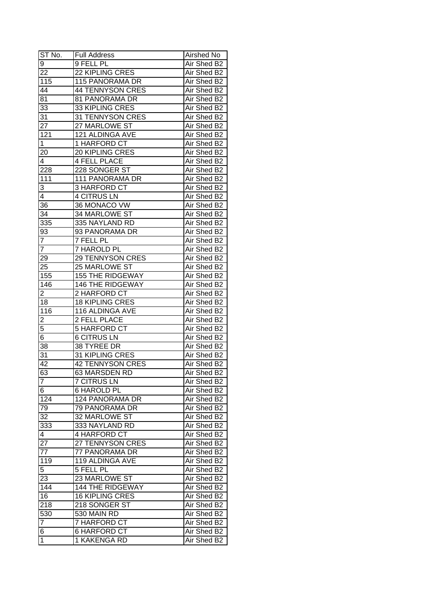| ST No.          | <b>Full Address</b>     | Airshed No  |
|-----------------|-------------------------|-------------|
| 9               | 9 FELL PL               | Air Shed B2 |
| 22              | 22 KIPLING CRES         | Air Shed B2 |
| 115             | 115 PANORAMA DR         | Air Shed B2 |
| 44              | <b>44 TENNYSON CRES</b> | Air Shed B2 |
| $8\overline{1}$ | 81 PANORAMA DR          | Air Shed B2 |
| $3\overline{3}$ | 33 KIPLING CRES         | Air Shed B2 |
| 31              | 31 TENNYSON CRES        | Air Shed B2 |
| 27              | 27 MARLOWE ST           | Air Shed B2 |
| 121             | 121 ALDINGA AVE         | Air Shed B2 |
| $\mathbf 1$     | 1 HARFORD CT            | Air Shed B2 |
| 20              | 20 KIPLING CRES         | Air Shed B2 |
| 4               | <b>4 FELL PLACE</b>     | Air Shed B2 |
| 228             | 228 SONGER ST           | Air Shed B2 |
| 111             | 111 PANORAMA DR         | Air Shed B2 |
| 3               | 3 HARFORD CT            | Air Shed B2 |
| 4               | <b>4 CITRUS LN</b>      | Air Shed B2 |
| 36              | 36 MONACO VW            | Air Shed B2 |
| 34              | 34 MARLOWE ST           | Air Shed B2 |
| 335             | 335 NAYLAND RD          | Air Shed B2 |
| 93              | 93 PANORAMA DR          | Air Shed B2 |
| $\overline{7}$  | 7 FELL PL               | Air Shed B2 |
| 7               | 7 HAROLD PL             | Air Shed B2 |
| 29              | <b>29 TENNYSON CRES</b> | Air Shed B2 |
| 25              | 25 MARLOWE ST           | Air Shed B2 |
| 155             | <b>155 THE RIDGEWAY</b> | Air Shed B2 |
| 146             | <b>146 THE RIDGEWAY</b> | Air Shed B2 |
| $\overline{2}$  | 2 HARFORD CT            | Air Shed B2 |
| 18              | <b>18 KIPLING CRES</b>  | Air Shed B2 |
| 116             | 116 ALDINGA AVE         | Air Shed B2 |
| $\overline{2}$  | 2 FELL PLACE            | Air Shed B2 |
| $\overline{5}$  | 5 HARFORD CT            | Air Shed B2 |
| $\overline{6}$  | <b>6 CITRUS LN</b>      | Air Shed B2 |
| $\overline{38}$ | 38 TYREE DR             | Air Shed B2 |
| 31              | 31 KIPLING CRES         | Air Shed B2 |
| $\overline{42}$ | <b>42 TENNYSON CRES</b> | Air Shed B2 |
| 63              | 63 MARSDEN RD           | Air Shed B2 |
| $\overline{7}$  | <b>7 CITRUS LN</b>      | Air Shed B2 |
| 6               | 6 HAROLD PL             | Air Shed B2 |
| 124             | 124 PANORAMA DR         | Air Shed B2 |
| 79              | 79 PANORAMA DR          | Air Shed B2 |
| 32              | 32 MARLOWE ST           | Air Shed B2 |
| 333             | 333 NAYLAND RD          | Air Shed B2 |
| 4               | 4 HARFORD CT            | Air Shed B2 |
| 27              | 27 TENNYSON CRES        | Air Shed B2 |
| 77              | 77 PANORAMA DR          | Air Shed B2 |
| 119             | 119 ALDINGA AVE         | Air Shed B2 |
| 5               | 5 FELL PL               | Air Shed B2 |
| 23              | 23 MARLOWE ST           | Air Shed B2 |
| 144             | <b>144 THE RIDGEWAY</b> | Air Shed B2 |
| 16              | <b>16 KIPLING CRES</b>  | Air Shed B2 |
| 218             | 218 SONGER ST           | Air Shed B2 |
| 530             | 530 MAIN RD             | Air Shed B2 |
| $\overline{7}$  | 7 HARFORD CT            | Air Shed B2 |
| 6               | <b>6 HARFORD CT</b>     | Air Shed B2 |
| 1               | 1 KAKENGA RD            | Air Shed B2 |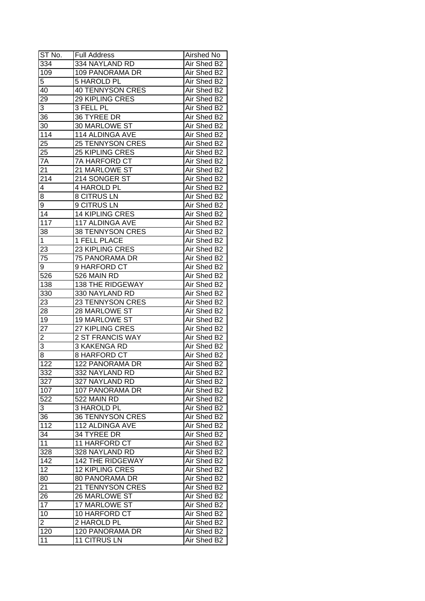| ST No.             | <b>Full Address</b>     | Airshed No  |
|--------------------|-------------------------|-------------|
| 334                | 334 NAYLAND RD          | Air Shed B2 |
| 109                | 109 PANORAMA DR         | Air Shed B2 |
| 5                  | 5 HAROLD PL             | Air Shed B2 |
| 40                 | <b>40 TENNYSON CRES</b> | Air Shed B2 |
| 29                 | 29 KIPLING CRES         | Air Shed B2 |
| 3                  | 3 FELL PL               | Air Shed B2 |
| 36                 | 36 TYREE DR             | Air Shed B2 |
| 30                 | 30 MARLOWE ST           | Air Shed B2 |
| 114                | 114 ALDINGA AVE         | Air Shed B2 |
| 25                 | <b>25 TENNYSON CRES</b> | Air Shed B2 |
| 25                 | 25 KIPLING CRES         | Air Shed B2 |
| 7A                 | 7A HARFORD CT           | Air Shed B2 |
| $2\overline{1}$    | 21 MARLOWE ST           | Air Shed B2 |
| 214                | 214 SONGER ST           | Air Shed B2 |
| 4                  | 4 HAROLD PL             | Air Shed B2 |
| 8                  | <b>8 CITRUS LN</b>      | Air Shed B2 |
| $\overline{9}$     | 9 CITRUS LN             | Air Shed B2 |
| 14                 | <b>14 KIPLING CRES</b>  | Air Shed B2 |
| 117                | 117 ALDINGA AVE         | Air Shed B2 |
| 38                 | <b>38 TENNYSON CRES</b> | Air Shed B2 |
| 1                  | 1 FELL PLACE            | Air Shed B2 |
| 23                 | 23 KIPLING CRES         | Air Shed B2 |
| 75                 | 75 PANORAMA DR          | Air Shed B2 |
| 9                  | 9 HARFORD CT            | Air Shed B2 |
| 526                | 526 MAIN RD             | Air Shed B2 |
| 138                | 138 THE RIDGEWAY        | Air Shed B2 |
| 330                | 330 NAYLAND RD          | Air Shed B2 |
| 23                 | 23 TENNYSON CRES        | Air Shed B2 |
| 28                 | 28 MARLOWE ST           | Air Shed B2 |
| 19                 | 19 MARLOWE ST           | Air Shed B2 |
| 27                 | 27 KIPLING CRES         | Air Shed B2 |
| $\overline{2}$     | <b>2 ST FRANCIS WAY</b> | Air Shed B2 |
| $\overline{3}$     | 3 KAKENGA RD            | Air Shed B2 |
| $\overline{\bf 8}$ | <b>8 HARFORD CT</b>     | Air Shed B2 |
| 122                | <b>122 PANORAMA DR</b>  | Air Shed B2 |
| 332                | 332 NAYLAND RD          | Air Shed B2 |
| 327                | 327 NAYLAND RD          | Air Shed B2 |
| 107                | 107 PANORAMA DR         | Air Shed B2 |
| 522                | 522 MAIN RD             | Air Shed B2 |
| 3                  | <b>3 HAROLD PL</b>      | Air Shed B2 |
| 36                 | <b>36 TENNYSON CRES</b> | Air Shed B2 |
| $11\overline{2}$   | 112 ALDINGA AVE         | Air Shed B2 |
| $3\overline{4}$    | 34 TYREE DR             | Air Shed B2 |
| 11                 | 11 HARFORD CT           | Air Shed B2 |
| 328                | 328 NAYLAND RD          | Air Shed B2 |
| 142                | 142 THE RIDGEWAY        | Air Shed B2 |
| 12                 | <b>12 KIPLING CRES</b>  | Air Shed B2 |
| 80                 | 80 PANORAMA DR          | Air Shed B2 |
| 21                 | 21 TENNYSON CRES        |             |
|                    |                         | Air Shed B2 |
| 26<br>17           | 26 MARLOWE ST           | Air Shed B2 |
|                    | 17 MARLOWE ST           | Air Shed B2 |
| 10                 | 10 HARFORD CT           | Air Shed B2 |
| $\overline{2}$     | 2 HAROLD PL             | Air Shed B2 |
| 120                | 120 PANORAMA DR         | Air Shed B2 |
| 11                 | <b>11 CITRUS LN</b>     | Air Shed B2 |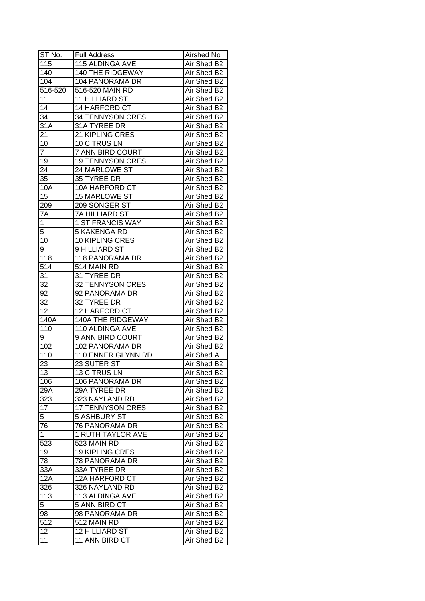| $ST$ No.                | <b>Full Address</b>              | Airshed No                 |
|-------------------------|----------------------------------|----------------------------|
| 115                     | <b>115 ALDINGA AVE</b>           | Air Shed B2                |
| $\overline{140}$        | 140 THE RIDGEWAY                 | Air Shed B2                |
| 104                     | 104 PANORAMA DR                  | Air Shed B2                |
| 516-520                 | 516-520 MAIN RD                  | Air Shed B2                |
| 11                      | 11 HILLIARD ST                   | Air Shed B2                |
| 14                      | 14 HARFORD CT                    | Air Shed B2                |
| 34                      | 34 TENNYSON CRES                 | Air Shed B2                |
| 31A                     | 31A TYREE DR                     | Air Shed B2                |
| 21                      | 21 KIPLING CRES                  | Air Shed B2                |
| 10                      | 10 CITRUS LN                     | Air Shed B2                |
| $\overline{7}$          | 7 ANN BIRD COURT                 | Air Shed B2                |
| 19                      | <b>19 TENNYSON CRES</b>          | Air Shed B2                |
| 24                      | 24 MARLOWE ST                    | Air Shed B2                |
| 35                      | 35 TYREE DR                      | Air Shed B2                |
| 10A                     | 10A HARFORD CT                   | Air Shed B2                |
| 15                      | 15 MARLOWE ST                    | Air Shed B2                |
| 209                     | 209 SONGER ST                    | Air Shed B2                |
| 7A                      | 7A HILLIARD ST                   | Air Shed B2                |
| 1                       | 1 ST FRANCIS WAY                 | Air Shed B2                |
| 5                       | <b>5 KAKENGA RD</b>              | Air Shed B2                |
|                         |                                  |                            |
| 10                      | 10 KIPLING CRES<br>9 HILLIARD ST | Air Shed B2                |
| 9                       |                                  | Air Shed B2                |
| 118                     | 118 PANORAMA DR                  | Air Shed B2                |
| $\overline{514}$        | 514 MAIN RD                      | Air Shed B2                |
| 31                      | 31 TYREE DR                      | Air Shed B2                |
| 32                      | <b>32 TENNYSON CRES</b>          | Air Shed B2                |
| 92                      | 92 PANORAMA DR                   | Air Shed B2                |
| 32                      | 32 TYREE DR                      | Air Shed B2                |
| 12                      | 12 HARFORD CT                    | Air Shed B2                |
| 140A                    | 140A THE RIDGEWAY                | Air Shed B2                |
| 110                     | 110 ALDINGA AVE                  | Air Shed B2<br>Air Shed B2 |
| 9                       | 9 ANN BIRD COURT                 |                            |
| 102<br>$\overline{110}$ | 102 PANORAMA DR                  | Air Shed B2                |
|                         | 110 ENNER GLYNN RD               | <b>Air Shed A</b>          |
| 23                      | 23 SUTER ST                      | Air Shed B2                |
| $\overline{13}$         | <b>13 CITRUS LN</b>              | Air Shed B2                |
| 106                     | 106 PANORAMA DR                  | Air Shed B2                |
| 29A                     | 29A TYREE DR                     | Air Shed B2                |
| 323                     | 323 NAYLAND RD                   | Air Shed B2                |
| 17                      | <b>17 TENNYSON CRES</b>          | Air Shed B2                |
| 5                       | <b>5 ASHBURY ST</b>              | Air Shed B2                |
| 76                      | 76 PANORAMA DR                   | Air Shed B2                |
| $\mathbf{1}$            | 1 RUTH TAYLOR AVE                | Air Shed B2                |
| 523                     | 523 MAIN RD                      | Air Shed B2                |
| 19                      | <b>19 KIPLING CRES</b>           | Air Shed B2                |
| 78                      | <b>78 PANORAMA DR</b>            | Air Shed B2                |
| 33A                     | 33A TYREE DR                     | Air Shed B2                |
| $\overline{12}A$        | 12A HARFORD CT                   | Air Shed B2                |
| 326                     | 326 NAYLAND RD                   | Air Shed B2                |
| 113                     | 113 ALDINGA AVE                  | Air Shed B2                |
| 5 <sup>1</sup>          | 5 ANN BIRD CT                    | Air Shed B2                |
| 98                      | 98 PANORAMA DR                   | Air Shed B2                |
| 512                     | 512 MAIN RD                      | Air Shed B2                |
| 12                      | 12 HILLIARD ST                   | Air Shed B2                |
| 11                      | 11 ANN BIRD CT                   | Air Shed B2                |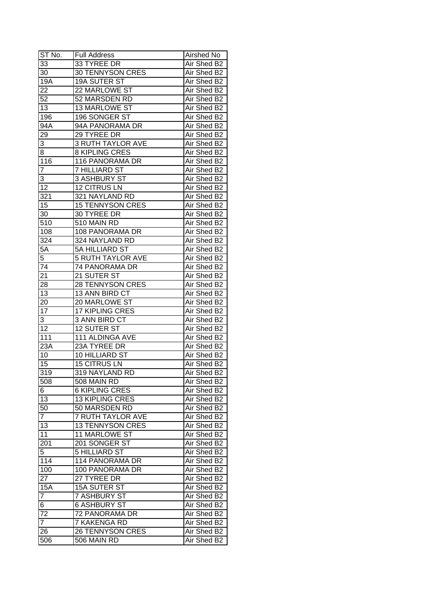| ST No.           | <b>Full Address</b>      | Airshed No  |
|------------------|--------------------------|-------------|
| 33               | 33 TYREE DR              | Air Shed B2 |
| 30               | <b>30 TENNYSON CRES</b>  | Air Shed B2 |
| 19A              | 19A SUTER ST             | Air Shed B2 |
| 22               | 22 MARLOWE ST            | Air Shed B2 |
| 52               | 52 MARSDEN RD            | Air Shed B2 |
| 13               | <b>13 MARLOWE ST</b>     | Air Shed B2 |
| 196              | 196 SONGER ST            | Air Shed B2 |
| 94A              | 94A PANORAMA DR          | Air Shed B2 |
| 29               | 29 TYREE DR              | Air Shed B2 |
| 3                | <b>3 RUTH TAYLOR AVE</b> | Air Shed B2 |
| 8                | 8 KIPLING CRES           | Air Shed B2 |
| $\overline{1}16$ | 116 PANORAMA DR          | Air Shed B2 |
| 7                | 7 HILLIARD ST            | Air Shed B2 |
| 3                | 3 ASHBURY ST             | Air Shed B2 |
| $\overline{12}$  | 12 CITRUS LN             | Air Shed B2 |
| 321              | 321 NAYLAND RD           | Air Shed B2 |
| $\overline{15}$  | <b>15 TENNYSON CRES</b>  | Air Shed B2 |
| 30               | 30 TYREE DR              | Air Shed B2 |
| 510              | 510 MAIN RD              | Air Shed B2 |
| 108              | 108 PANORAMA DR          | Air Shed B2 |
| 324              | 324 NAYLAND RD           | Air Shed B2 |
| 5A               | 5A HILLIARD ST           | Air Shed B2 |
| 5                | <b>5 RUTH TAYLOR AVE</b> | Air Shed B2 |
| 74               | 74 PANORAMA DR           | Air Shed B2 |
| 21               | 21 SUTER ST              | Air Shed B2 |
| 28               | <b>28 TENNYSON CRES</b>  | Air Shed B2 |
| 13               | 13 ANN BIRD CT           | Air Shed B2 |
| 20               | 20 MARLOWE ST            | Air Shed B2 |
| 17               | 17 KIPLING CRES          | Air Shed B2 |
| 3                | 3 ANN BIRD CT            | Air Shed B2 |
| 12               | 12 SUTER ST              | Air Shed B2 |
| 111              | 111 ALDINGA AVE          | Air Shed B2 |
| 23A              | 23A TYREE DR             | Air Shed B2 |
| 10               | <b>10 HILLIARD ST</b>    | Air Shed B2 |
| 15               | <b>15 CITRUS LN</b>      | Air Shed B2 |
| 319              | 319 NAYLAND RD           | Air Shed B2 |
| 508              | 508 MAIN RD              | Air Shed B2 |
| 6                | 6 KIPLING CRES           | Air Shed B2 |
| 13               | <b>13 KIPLING CRES</b>   | Air Shed B2 |
| 50               | 50 MARSDEN RD            | Air Shed B2 |
| $\overline{7}$   | 7 RUTH TAYLOR AVE        | Air Shed B2 |
| 13               | <b>13 TENNYSON CRES</b>  | Air Shed B2 |
| 11               | 11 MARLOWE ST            | Air Shed B2 |
| 201              | 201 SONGER ST            | Air Shed B2 |
| $\overline{5}$   | 5 HILLIARD ST            | Air Shed B2 |
| 114              | 114 PANORAMA DR          | Air Shed B2 |
| 100              | 100 PANORAMA DR          | Air Shed B2 |
| 27               | 27 TYREE DR              | Air Shed B2 |
| <b>15A</b>       | <b>15A SUTER ST</b>      | Air Shed B2 |
| $\overline{7}$   | <b>7 ASHBURY ST</b>      | Air Shed B2 |
|                  |                          |             |
| 6                | 6 ASHBURY ST             | Air Shed B2 |
| 72               | 72 PANORAMA DR           | Air Shed B2 |
| $\overline{7}$   | 7 KAKENGA RD             | Air Shed B2 |
| 26               | <b>26 TENNYSON CRES</b>  | Air Shed B2 |
| 506              | 506 MAIN RD              | Air Shed B2 |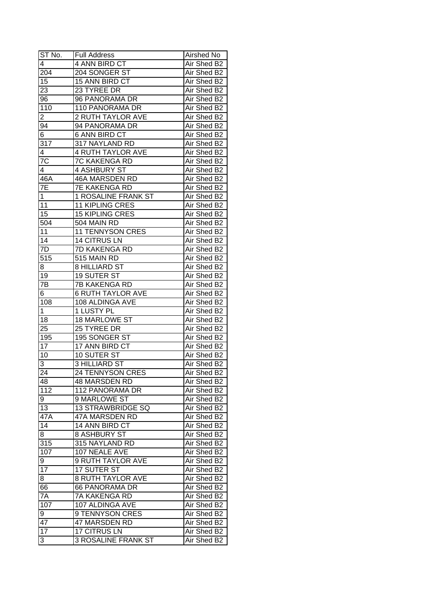| $ST N0$ .       | <b>Full Address</b>        | Airshed No  |
|-----------------|----------------------------|-------------|
| 4               | 4 ANN BIRD CT              | Air Shed B2 |
| 204             | 204 SONGER ST              | Air Shed B2 |
| 15              | 15 ANN BIRD CT             | Air Shed B2 |
| $\overline{23}$ | 23 TYREE DR                | Air Shed B2 |
| 96              | 96 PANORAMA DR             | Air Shed B2 |
| 110             | 110 PANORAMA DR            | Air Shed B2 |
| 2               | 2 RUTH TAYLOR AVE          | Air Shed B2 |
| 94              | 94 PANORAMA DR             | Air Shed B2 |
| 6               | <b>6 ANN BIRD CT</b>       | Air Shed B2 |
| 317             | 317 NAYLAND RD             | Air Shed B2 |
| 4               | <b>4 RUTH TAYLOR AVE</b>   | Air Shed B2 |
| $7\overline{C}$ | 7C KAKENGA RD              | Air Shed B2 |
| 4               | 4 ASHBURY ST               | Air Shed B2 |
| 46A             | 46A MARSDEN RD             | Air Shed B2 |
| 7E              | <b>7E KAKENGA RD</b>       | Air Shed B2 |
| $\mathbf{1}$    | 1 ROSALINE FRANK ST        | Air Shed B2 |
| 11              | <b>11 KIPLING CRES</b>     | Air Shed B2 |
| 15              | <b>15 KIPLING CRES</b>     | Air Shed B2 |
| 504             | 504 MAIN RD                | Air Shed B2 |
| 11              | <b>11 TENNYSON CRES</b>    | Air Shed B2 |
| 14              | <b>14 CITRUS LN</b>        | Air Shed B2 |
| 7D              | 7D KAKENGA RD              | Air Shed B2 |
| 515             | 515 MAIN RD                | Air Shed B2 |
| 8               | 8 HILLIARD ST              | Air Shed B2 |
| 19              | <b>19 SUTER ST</b>         | Air Shed B2 |
| 7B              | 7B KAKENGA RD              | Air Shed B2 |
| 6               | <b>6 RUTH TAYLOR AVE</b>   | Air Shed B2 |
| 108             | 108 ALDINGA AVE            | Air Shed B2 |
| 1               | 1 LUSTY PL                 | Air Shed B2 |
| 18              | 18 MARLOWE ST              | Air Shed B2 |
| 25              | 25 TYREE DR                | Air Shed B2 |
| 195             | 195 SONGER ST              | Air Shed B2 |
| 17              | 17 ANN BIRD CT             | Air Shed B2 |
| 10              | 10 SUTER ST                | Air Shed B2 |
| 3               | <b>3 HILLIARD ST</b>       | Air Shed B2 |
| $\overline{24}$ | <b>24 TENNYSON CRES</b>    | Air Shed B2 |
| 48              | <b>48 MARSDEN RD</b>       | Air Shed B2 |
| 112             | 112 PANORAMA DR            | Air Shed B2 |
| 9               | 9 MARLOWE ST               | Air Shed B2 |
| 13              | 13 STRAWBRIDGE SQ          | Air Shed B2 |
| 47A             | 47A MARSDEN RD             | Air Shed B2 |
| 14              | 14 ANN BIRD CT             | Air Shed B2 |
| 8               | 8 ASHBURY ST               | Air Shed B2 |
| 315             | 315 NAYLAND RD             | Air Shed B2 |
| 107             | 107 NEALE AVE              | Air Shed B2 |
| 9               | 9 RUTH TAYLOR AVE          | Air Shed B2 |
| 17              | <b>17 SUTER ST</b>         | Air Shed B2 |
| 8               | <b>8 RUTH TAYLOR AVE</b>   | Air Shed B2 |
| 66              | <b>66 PANORAMA DR</b>      | Air Shed B2 |
| 7A              |                            |             |
|                 | 7A KAKENGA RD              | Air Shed B2 |
| 107             | 107 ALDINGA AVE            | Air Shed B2 |
| 9               | 9 TENNYSON CRES            | Air Shed B2 |
| 47              | 47 MARSDEN RD              | Air Shed B2 |
| $1\overline{7}$ | 17 CITRUS LN               | Air Shed B2 |
| 3               | <b>3 ROSALINE FRANK ST</b> | Air Shed B2 |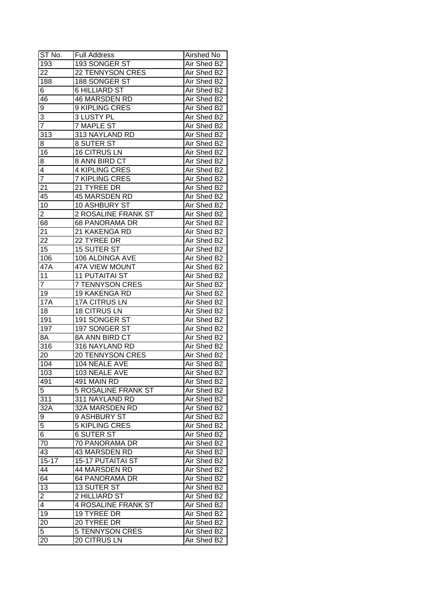| ST No.                  | <b>Full Address</b>        | Airshed No  |
|-------------------------|----------------------------|-------------|
| 193                     | 193 SONGER ST              | Air Shed B2 |
| 22                      | <b>22 TENNYSON CRES</b>    | Air Shed B2 |
| 188                     | 188 SONGER ST              | Air Shed B2 |
| 6                       | <b>6 HILLIARD ST</b>       | Air Shed B2 |
| 46                      | 46 MARSDEN RD              | Air Shed B2 |
| 9                       | 9 KIPLING CRES             | Air Shed B2 |
| 3                       | 3 LUSTY PL                 | Air Shed B2 |
| 7                       | <b>7 MAPLE ST</b>          | Air Shed B2 |
| 313                     | 313 NAYLAND RD             | Air Shed B2 |
| 8                       | 8 SUTER ST                 | Air Shed B2 |
| 16                      | <b>16 CITRUS LN</b>        | Air Shed B2 |
| 8                       | 8 ANN BIRD CT              | Air Shed B2 |
| 4                       | <b>4 KIPLING CRES</b>      | Air Shed B2 |
| $\overline{7}$          | 7 KIPLING CRES             | Air Shed B2 |
| 21                      | 21 TYREE DR                | Air Shed B2 |
| 45                      | 45 MARSDEN RD              | Air Shed B2 |
| 10                      | 10 ASHBURY ST              | Air Shed B2 |
| 2                       | 2 ROSALINE FRANK ST        | Air Shed B2 |
| 68                      | 68 PANORAMA DR             | Air Shed B2 |
| 21                      | 21 KAKENGA RD              | Air Shed B2 |
| 22                      | 22 TYREE DR                | Air Shed B2 |
| 15                      | <b>15 SUTER ST</b>         | Air Shed B2 |
| 106                     | 106 ALDINGA AVE            | Air Shed B2 |
| 47A                     | 47A VIEW MOUNT             | Air Shed B2 |
| 11                      | <b>11 PUTAITAI ST</b>      | Air Shed B2 |
| $\overline{7}$          | 7 TENNYSON CRES            | Air Shed B2 |
| 19                      | 19 KAKENGA RD              | Air Shed B2 |
| <b>17A</b>              | 17A CITRUS LN              | Air Shed B2 |
| 18                      | <b>18 CITRUS LN</b>        | Air Shed B2 |
| 191                     | 191 SONGER ST              | Air Shed B2 |
| 197                     | 197 SONGER ST              | Air Shed B2 |
| 8A                      | 8A ANN BIRD CT             | Air Shed B2 |
| 316                     | 316 NAYLAND RD             | Air Shed B2 |
| 20                      | <b>20 TENNYSON CRES</b>    | Air Shed B2 |
| 104                     | 104 NEALE AVE              | Air Shed B2 |
| 103                     | 103 NEALE AVE              | Air Shed B2 |
| 491                     | 491 MAIN RD                | Air Shed B2 |
| 5                       | <b>5 ROSALINE FRANK ST</b> | Air Shed B2 |
| 311                     | 311 NAYLAND RD             | Air Shed B2 |
| 32A                     | 32A MARSDEN RD             | Air Shed B2 |
| $\overline{9}$          | 9 ASHBURY ST               | Air Shed B2 |
| $\overline{5}$          | 5 KIPLING CRES             | Air Shed B2 |
| 6                       | <b>6 SUTER ST</b>          | Air Shed B2 |
| 70                      | 70 PANORAMA DR             | Air Shed B2 |
| 43                      | 43 MARSDEN RD              | Air Shed B2 |
| $15 - 17$               | <b>15-17 PUTAITAI ST</b>   | Air Shed B2 |
| 44                      | 44 MARSDEN RD              | Air Shed B2 |
| 64                      | 64 PANORAMA DR             | Air Shed B2 |
| 13                      | <b>13 SUTER ST</b>         | Air Shed B2 |
| $\overline{\mathbf{c}}$ | 2 HILLIARD ST              | Air Shed B2 |
| $\overline{\mathbf{4}}$ | <b>4 ROSALINE FRANK ST</b> | Air Shed B2 |
| 19                      | 19 TYREE DR                | Air Shed B2 |
| 20                      | 20 TYREE DR                | Air Shed B2 |
| 5                       | <b>5 TENNYSON CRES</b>     | Air Shed B2 |
| 20                      | 20 CITRUS LN               | Air Shed B2 |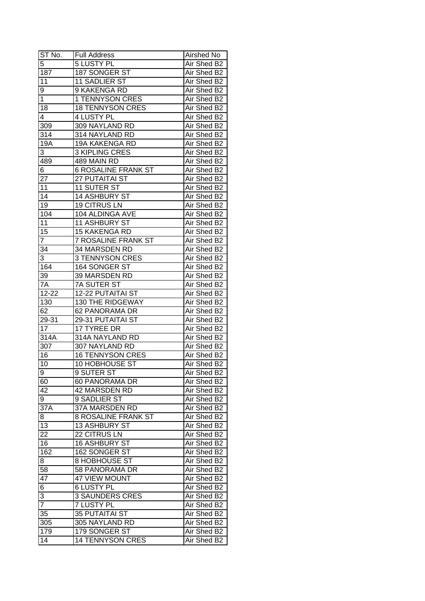| $ST$ No.            | <b>Full Address</b>        | Airshed No  |
|---------------------|----------------------------|-------------|
| 5                   | <b>5 LUSTY PL</b>          | Air Shed B2 |
| 187                 | 187 SONGER ST              | Air Shed B2 |
| 11                  | 11 SADLIER ST              | Air Shed B2 |
| 9                   | 9 KAKENGA RD               | Air Shed B2 |
| 1                   | 1 TENNYSON CRES            | Air Shed B2 |
| 18                  | <b>18 TENNYSON CRES</b>    | Air Shed B2 |
| 4                   | 4 LUSTY PL                 | Air Shed B2 |
| 309                 | 309 NAYLAND RD             | Air Shed B2 |
| 314                 | 314 NAYLAND RD             | Air Shed B2 |
| 19A                 | 19A KAKENGA RD             | Air Shed B2 |
| 3                   | <b>3 KIPLING CRES</b>      | Air Shed B2 |
| 489                 | 489 MAIN RD                | Air Shed B2 |
| 6                   | <b>6 ROSALINE FRANK ST</b> | Air Shed B2 |
| 27                  | 27 PUTAITAI ST             | Air Shed B2 |
| 11                  | 11 SUTER ST                | Air Shed B2 |
| 14                  | 14 ASHBURY ST              | Air Shed B2 |
| 19                  | <b>19 CITRUS LN</b>        | Air Shed B2 |
| 104                 | 104 ALDINGA AVE            | Air Shed B2 |
| 11                  | 11 ASHBURY ST              | Air Shed B2 |
| 15                  | <b>15 KAKENGA RD</b>       | Air Shed B2 |
| $\overline{7}$      | 7 ROSALINE FRANK ST        | Air Shed B2 |
| 34                  | 34 MARSDEN RD              | Air Shed B2 |
| 3                   | 3 TENNYSON CRES            | Air Shed B2 |
| 164                 | 164 SONGER ST              | Air Shed B2 |
| 39                  | 39 MARSDEN RD              | Air Shed B2 |
| 7A                  | 7A SUTER ST                | Air Shed B2 |
| 12-22               | 12-22 PUTAITAI ST          | Air Shed B2 |
| 130                 | 130 THE RIDGEWAY           | Air Shed B2 |
| 62                  | 62 PANORAMA DR             | Air Shed B2 |
| $29 - 31$           | 29-31 PUTAITAI ST          | Air Shed B2 |
| 17                  | 17 TYREE DR                | Air Shed B2 |
| 314A                | 314A NAYLAND RD            | Air Shed B2 |
| $30\overline{7}$    | 307 NAYLAND RD             | Air Shed B2 |
| 16                  | <b>16 TENNYSON CRES</b>    | Air Shed B2 |
| 10                  | <b>10 HOBHOUSE ST</b>      | Air Shed B2 |
| $\overline{9}$      | 9 SUTER ST                 | Air Shed B2 |
| 60                  | 60 PANORAMA DR             | Air Shed B2 |
| 42                  | 42 MARSDEN RD              | Air Shed B2 |
| 9                   | 9 SADLIER ST               | Air Shed B2 |
| 37 <sub>A</sub>     | 37A MARSDEN RD             | Air Shed B2 |
| 8                   | 8 ROSALINE FRANK ST        | Air Shed B2 |
| 13                  | 13 ASHBURY ST              | Air Shed B2 |
| 22                  | 22 CITRUS LN               | Air Shed B2 |
| 16                  | <b>16 ASHBURY ST</b>       | Air Shed B2 |
| 162                 | 162 SONGER ST              | Air Shed B2 |
| 8                   | <b>8 HOBHOUSE ST</b>       | Air Shed B2 |
| 58                  | 58 PANORAMA DR             | Air Shed B2 |
| 47                  | 47 VIEW MOUNT              | Air Shed B2 |
| 6                   | <b>6 LUSTY PL</b>          | Air Shed B2 |
|                     |                            |             |
| 3<br>$\overline{7}$ | <b>3 SAUNDERS CRES</b>     | Air Shed B2 |
|                     | <b>7 LUSTY PL</b>          | Air Shed B2 |
| 35                  | <b>35 PUTAITAI ST</b>      | Air Shed B2 |
| 305                 | 305 NAYLAND RD             | Air Shed B2 |
| 179                 | 179 SONGER ST              | Air Shed B2 |
| 14                  | <b>14 TENNYSON CRES</b>    | Air Shed B2 |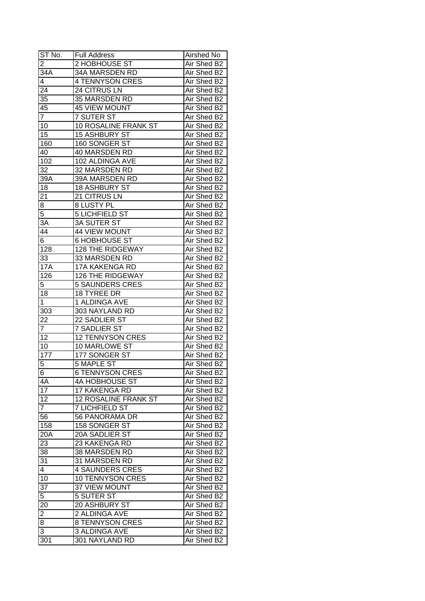| ST No.                  | <b>Full Address</b>         | Airshed No  |
|-------------------------|-----------------------------|-------------|
| $\overline{\mathbf{c}}$ | 2 HOBHOUSE ST               | Air Shed B2 |
| 34A                     | 34A MARSDEN RD              | Air Shed B2 |
| 4                       | <b>4 TENNYSON CRES</b>      | Air Shed B2 |
| 24                      | 24 CITRUS LN                | Air Shed B2 |
| $3\overline{5}$         | 35 MARSDEN RD               | Air Shed B2 |
| 45                      | <b>45 VIEW MOUNT</b>        | Air Shed B2 |
| $\overline{7}$          | <b>7 SUTER ST</b>           | Air Shed B2 |
| 10                      | 10 ROSALINE FRANK ST        | Air Shed B2 |
| 15                      | <b>15 ASHBURY ST</b>        | Air Shed B2 |
| 160                     | 160 SONGER ST               | Air Shed B2 |
| 40                      | 40 MARSDEN RD               | Air Shed B2 |
| 102                     | 102 ALDINGA AVE             | Air Shed B2 |
| 32                      | 32 MARSDEN RD               | Air Shed B2 |
| 39A                     | 39A MARSDEN RD              | Air Shed B2 |
| 18                      | 18 ASHBURY ST               | Air Shed B2 |
| $2\overline{1}$         | 21 CITRUS LN                | Air Shed B2 |
| $\overline{8}$          | 8 LUSTY PL                  | Air Shed B2 |
| $\overline{5}$          | <b>5 LICHFIELD ST</b>       | Air Shed B2 |
| 3A                      | <b>3A SUTER ST</b>          | Air Shed B2 |
| 44                      | <b>44 VIEW MOUNT</b>        | Air Shed B2 |
| 6                       | <b>6 HOBHOUSE ST</b>        | Air Shed B2 |
| 128                     | 128 THE RIDGEWAY            | Air Shed B2 |
| 33                      | 33 MARSDEN RD               | Air Shed B2 |
| <b>17A</b>              | 17A KAKENGA RD              | Air Shed B2 |
| 126                     | 126 THE RIDGEWAY            | Air Shed B2 |
| 5                       | <b>5 SAUNDERS CRES</b>      | Air Shed B2 |
| 18                      | 18 TYREE DR                 | Air Shed B2 |
| 1                       | 1 ALDINGA AVE               | Air Shed B2 |
| 303                     | 303 NAYLAND RD              | Air Shed B2 |
| 22                      | 22 SADLIER ST               | Air Shed B2 |
| 7                       | <b>7 SADLIER ST</b>         | Air Shed B2 |
| 12                      | <b>12 TENNYSON CRES</b>     | Air Shed B2 |
| 10                      | <b>10 MARLOWE ST</b>        | Air Shed B2 |
| $\overline{177}$        | 177 SONGER ST               | Air Shed B2 |
| 5                       | <b>5 MAPLE ST</b>           | Air Shed B2 |
| $6\overline{6}$         | <b>6 TENNYSON CRES</b>      | Air Shed B2 |
| 4A                      | 4A HOBHOUSE ST              | Air Shed B2 |
| $\overline{17}$         | 17 KAKENGA RD               | Air Shed B2 |
| 12                      | <b>12 ROSALINE FRANK ST</b> | Air Shed B2 |
| $\overline{7}$          | <b>7 LICHFIELD ST</b>       | Air Shed B2 |
| 56                      | 56 PANORAMA DR              | Air Shed B2 |
| 158                     | 158 SONGER ST               | Air Shed B2 |
| 20A                     | 20A SADLIER ST              | Air Shed B2 |
| 23                      | 23 KAKENGA RD               | Air Shed B2 |
| 38                      | 38 MARSDEN RD               | Air Shed B2 |
| 31                      | 31 MARSDEN RD               | Air Shed B2 |
| 4                       | <b>4 SAUNDERS CRES</b>      | Air Shed B2 |
|                         |                             |             |
| 10                      | <b>10 TENNYSON CRES</b>     | Air Shed B2 |
| 37                      | 37 VIEW MOUNT               | Air Shed B2 |
| 5                       | 5 SUTER ST                  | Air Shed B2 |
| 20                      | 20 ASHBURY ST               | Air Shed B2 |
| $\overline{2}$          | 2 ALDINGA AVE               | Air Shed B2 |
| 8                       | 8 TENNYSON CRES             | Air Shed B2 |
| 3                       | 3 ALDINGA AVE               | Air Shed B2 |
| 301                     | 301 NAYLAND RD              | Air Shed B2 |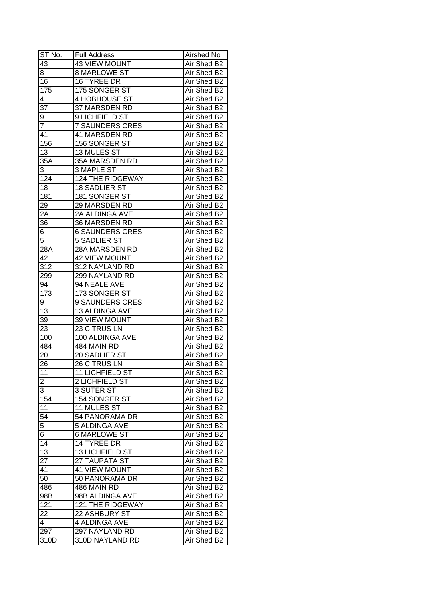| ST No.           | <b>Full Address</b>    | Airshed No  |
|------------------|------------------------|-------------|
| 43               | 43 VIEW MOUNT          | Air Shed B2 |
| 8                | <b>8 MARLOWE ST</b>    | Air Shed B2 |
| 16               | 16 TYREE DR            | Air Shed B2 |
| 175              | 175 SONGER ST          | Air Shed B2 |
| 4                | 4 HOBHOUSE ST          | Air Shed B2 |
| 37               | 37 MARSDEN RD          | Air Shed B2 |
| 9                | 9 LICHFIELD ST         | Air Shed B2 |
| 7                | <b>7 SAUNDERS CRES</b> | Air Shed B2 |
| 41               | 41 MARSDEN RD          | Air Shed B2 |
| 156              | 156 SONGER ST          | Air Shed B2 |
| 13               | 13 MULES ST            | Air Shed B2 |
| $35\overline{A}$ | 35A MARSDEN RD         | Air Shed B2 |
| 3                | <b>3 MAPLE ST</b>      | Air Shed B2 |
| 124              | 124 THE RIDGEWAY       | Air Shed B2 |
| 18               | 18 SADLIER ST          | Air Shed B2 |
| 181              | 181 SONGER ST          | Air Shed B2 |
| 29               | 29 MARSDEN RD          | Air Shed B2 |
| 2Α               | 2A ALDINGA AVE         | Air Shed B2 |
| 36               | 36 MARSDEN RD          | Air Shed B2 |
| 6                | <b>6 SAUNDERS CRES</b> | Air Shed B2 |
| $\overline{5}$   | <b>5 SADLIER ST</b>    | Air Shed B2 |
| 28A              | 28A MARSDEN RD         | Air Shed B2 |
| 42               | <b>42 VIEW MOUNT</b>   | Air Shed B2 |
| 312              | 312 NAYLAND RD         | Air Shed B2 |
| 299              | 299 NAYLAND RD         | Air Shed B2 |
| 94               | 94 NEALE AVE           | Air Shed B2 |
| 173              | 173 SONGER ST          | Air Shed B2 |
| 9                | 9 SAUNDERS CRES        | Air Shed B2 |
| 13               | 13 ALDINGA AVE         | Air Shed B2 |
| 39               | 39 VIEW MOUNT          | Air Shed B2 |
| 23               | 23 CITRUS LN           | Air Shed B2 |
| 100              | 100 ALDINGA AVE        | Air Shed B2 |
| 484              | 484 MAIN RD            | Air Shed B2 |
| 20               | 20 SADLIER ST          | Air Shed B2 |
| 26               | 26 CITRUS LN           | Air Shed B2 |
| 11               | 11 LICHFIELD ST        | Air Shed B2 |
| 2                | 2 LICHFIELD ST         | Air Shed B2 |
| $\overline{3}$   | 3 SUTER ST             | Air Shed B2 |
| 154              | 154 SONGER ST          | Air Shed B2 |
| 11               | 11 MULES ST            | Air Shed B2 |
| 54               | 54 PANORAMA DR         | Air Shed B2 |
| $\overline{5}$   | <b>5 ALDINGA AVE</b>   | Air Shed B2 |
| 6                | <b>6 MARLOWE ST</b>    | Air Shed B2 |
| 14               | 14 TYREE DR            | Air Shed B2 |
| $\overline{13}$  | 13 LICHFIELD ST        | Air Shed B2 |
| $\overline{27}$  | 27 TAUPATA ST          | Air Shed B2 |
| 41               | <b>41 VIEW MOUNT</b>   | Air Shed B2 |
| 50               | 50 PANORAMA DR         | Air Shed B2 |
| 486              | 486 MAIN RD            | Air Shed B2 |
| 98B              | 98B ALDINGA AVE        | Air Shed B2 |
| 121              | 121 THE RIDGEWAY       | Air Shed B2 |
| 22               | 22 ASHBURY ST          | Air Shed B2 |
| 4                | 4 ALDINGA AVE          | Air Shed B2 |
| 297              | 297 NAYLAND RD         | Air Shed B2 |
| 310D             | 310D NAYLAND RD        | Air Shed B2 |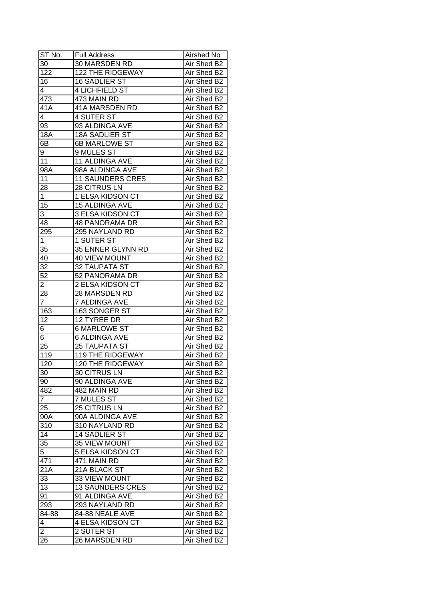| ST No.         | <b>Full Address</b>     | Airshed No  |
|----------------|-------------------------|-------------|
| 30             | 30 MARSDEN RD           | Air Shed B2 |
| 122            | 122 THE RIDGEWAY        | Air Shed B2 |
| 16             | 16 SADLIER ST           | Air Shed B2 |
| 4              | 4 LICHFIELD ST          | Air Shed B2 |
| 473            | 473 MAIN RD             | Air Shed B2 |
| 41A            | 41A MARSDEN RD          | Air Shed B2 |
| 4              | 4 SUTER ST              | Air Shed B2 |
| 93             | 93 ALDINGA AVE          | Air Shed B2 |
| <b>18A</b>     | <b>18A SADLIER ST</b>   | Air Shed B2 |
| 6B             | 6B MARLOWE ST           | Air Shed B2 |
| 9              | 9 MULES ST              | Air Shed B2 |
| 11             | 11 ALDINGA AVE          | Air Shed B2 |
| 98A            | 98A ALDINGA AVE         | Air Shed B2 |
| 11             | <b>11 SAUNDERS CRES</b> | Air Shed B2 |
| 28             | 28 CITRUS LN            | Air Shed B2 |
| $\mathbf{1}$   | 1 ELSA KIDSON CT        | Air Shed B2 |
| 15             | 15 ALDINGA AVE          | Air Shed B2 |
| 3              | 3 ELSA KIDSON CT        | Air Shed B2 |
| 48             | <b>48 PANORAMA DR</b>   | Air Shed B2 |
| 295            | 295 NAYLAND RD          | Air Shed B2 |
| 1              | 1 SUTER ST              | Air Shed B2 |
| 35             | 35 ENNER GLYNN RD       | Air Shed B2 |
| 40             | <b>40 VIEW MOUNT</b>    | Air Shed B2 |
| 32             | 32 TAUPATA ST           | Air Shed B2 |
| 52             | 52 PANORAMA DR          | Air Shed B2 |
| 2              | 2 ELSA KIDSON CT        | Air Shed B2 |
| 28             | 28 MARSDEN RD           | Air Shed B2 |
| $\overline{7}$ | 7 ALDINGA AVE           | Air Shed B2 |
| 163            | 163 SONGER ST           | Air Shed B2 |
| 12             | 12 TYREE DR             | Air Shed B2 |
| 6              | <b>6 MARLOWE ST</b>     | Air Shed B2 |
| 6              | <b>6 ALDINGA AVE</b>    | Air Shed B2 |
| 25             | <b>25 TAUPATA ST</b>    | Air Shed B2 |
| 119            | <b>119 THE RIDGEWAY</b> | Air Shed B2 |
| 120            | <b>120 THE RIDGEWAY</b> | Air Shed B2 |
| 30             | <b>30 CITRUS LN</b>     | Air Shed B2 |
| 90             | 90 ALDINGA AVE          | Air Shed B2 |
| 482            | 482 MAIN RD             | Air Shed B2 |
| $\overline{7}$ | 7 MULES ST              | Air Shed B2 |
| 25             | 25 CITRUS LN            | Air Shed B2 |
| 90A            | 90A ALDINGA AVE         | Air Shed B2 |
| 310            | 310 NAYLAND RD          | Air Shed B2 |
| 14             | 14 SADLIER ST           | Air Shed B2 |
| 35             | 35 VIEW MOUNT           | Air Shed B2 |
| $\overline{5}$ | 5 ELSA KIDSON CT        | Air Shed B2 |
| 471            | 471 MAIN RD             | Air Shed B2 |
| 21A            | 21A BLACK ST            | Air Shed B2 |
| 33             | 33 VIEW MOUNT           | Air Shed B2 |
| 13             | <b>13 SAUNDERS CRES</b> | Air Shed B2 |
| 91             | 91 ALDINGA AVE          | Air Shed B2 |
| 293            | 293 NAYLAND RD          | Air Shed B2 |
| 84-88          | 84-88 NEALE AVE         | Air Shed B2 |
| 4              | 4 ELSA KIDSON CT        | Air Shed B2 |
| $\overline{2}$ | 2 SUTER ST              | Air Shed B2 |
|                |                         |             |
| 26             | 26 MARSDEN RD           | Air Shed B2 |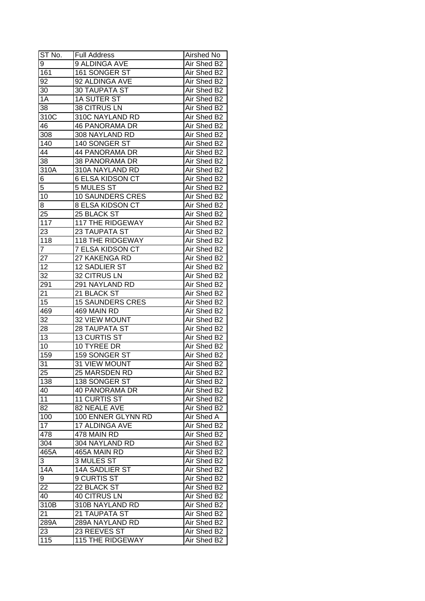| ST No.           | <b>Full Address</b>           | Airshed No                 |
|------------------|-------------------------------|----------------------------|
| 9                | 9 ALDINGA AVE                 | Air Shed B2                |
| 161              | 161 SONGER ST                 | Air Shed B2                |
| 92               | 92 ALDINGA AVE                | Air Shed B2                |
| 30               | 30 TAUPATA ST                 | Air Shed B2                |
| 1A               | 1A SUTER ST                   | Air Shed B2                |
| 38               | 38 CITRUS LN                  | Air Shed B2                |
| 310C             | 310C NAYLAND RD               | Air Shed B2                |
| 46               | <b>46 PANORAMA DR</b>         | Air Shed B2                |
| 308              | 308 NAYLAND RD                | Air Shed B2                |
| 140              | 140 SONGER ST                 | Air Shed B2                |
| 44               | 44 PANORAMA DR                | Air Shed B2                |
| 38               | 38 PANORAMA DR                | Air Shed B2                |
| 310A             | 310A NAYLAND RD               | Air Shed B2                |
| 6                | <b>6 ELSA KIDSON CT</b>       | Air Shed B2                |
| 5                | 5 MULES ST                    | Air Shed B2                |
| 10               | <b>10 SAUNDERS CRES</b>       | Air Shed B2                |
| 8                | 8 ELSA KIDSON CT              | Air Shed B2                |
| 25               | 25 BLACK ST                   | Air Shed B2                |
| 117              | <b>117 THE RIDGEWAY</b>       | Air Shed B2                |
| 23               | 23 TAUPATA ST                 | Air Shed B2                |
| 118              | <b>118 THE RIDGEWAY</b>       | Air Shed B2                |
| 7                | 7 ELSA KIDSON CT              | Air Shed B2                |
| 27               | 27 KAKENGA RD                 | Air Shed B2                |
| 12               | 12 SADLIER ST                 | Air Shed B2                |
| 32               | 32 CITRUS LN                  | Air Shed B2                |
| 291              | 291 NAYLAND RD                | Air Shed B2                |
| 21               | 21 BLACK ST                   | Air Shed B2                |
| 15               | <b>15 SAUNDERS CRES</b>       | Air Shed B2                |
| 469              | 469 MAIN RD                   | Air Shed B2                |
| 32               | 32 VIEW MOUNT                 | Air Shed B2                |
| 28               | 28 TAUPATA ST                 | Air Shed B2                |
| 13               | 13 CURTIS ST                  | Air Shed B2                |
| 10               | 10 TYREE DR                   | Air Shed B2                |
| 159              | 159 SONGER ST                 | Air Shed B2                |
| 31               | <b>31 VIEW MOUNT</b>          | Air Shed B2                |
| 25               | 25 MARSDEN RD                 | Air Shed B2                |
| 138              | 138 SONGER ST                 | Air Shed B2                |
| 40               | <b>40 PANORAMA DR</b>         | Air Shed B2                |
| 11               | 11 CURTIS ST                  | Air Shed B2                |
| 82               | 82 NEALE AVE                  | Air Shed B2                |
| 100              | 100 ENNER GLYNN RD            | Air Shed A                 |
| 17               |                               |                            |
|                  | 17 ALDINGA AVE                | Air Shed B2                |
| 478              | 478 MAIN RD<br>304 NAYLAND RD | Air Shed B2<br>Air Shed B2 |
| 304              |                               |                            |
| 465A             | 465A MAIN RD                  | Air Shed B2                |
| 3                | 3 MULES ST                    | Air Shed B2                |
| $14\overline{A}$ | 14A SADLIER ST                | Air Shed B2                |
| 9                | 9 CURTIS ST                   | Air Shed B2                |
| 22               | 22 BLACK ST                   | Air Shed B2                |
| 40               | 40 CITRUS LN                  | Air Shed B2                |
| 310B             | 310B NAYLAND RD               | Air Shed B2                |
| 21               | 21 TAUPATA ST                 | Air Shed B2                |
| 289A             | 289A NAYLAND RD               | Air Shed B2                |
| 23               | 23 REEVES ST                  | Air Shed B2                |
| 115              | <b>115 THE RIDGEWAY</b>       | Air Shed B2                |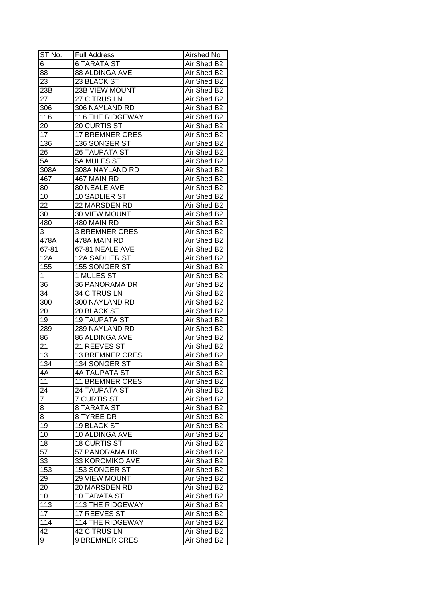| ST No.                 | <b>Full Address</b>     | Airshed No  |
|------------------------|-------------------------|-------------|
| 6                      | 6 TARATA ST             | Air Shed B2 |
| 88                     | 88 ALDINGA AVE          | Air Shed B2 |
| $\overline{23}$        | 23 BLACK ST             | Air Shed B2 |
| 23B                    | 23B VIEW MOUNT          | Air Shed B2 |
| 27                     | 27 CITRUS LN            | Air Shed B2 |
| 306                    | 306 NAYLAND RD          | Air Shed B2 |
| 116                    | 116 THE RIDGEWAY        | Air Shed B2 |
| 20                     | 20 CURTIS ST            | Air Shed B2 |
| 17                     | <b>17 BREMNER CRES</b>  | Air Shed B2 |
| 136                    | 136 SONGER ST           | Air Shed B2 |
| 26                     | 26 TAUPATA ST           | Air Shed B2 |
| $5\overline{A}$        | 5A MULES ST             | Air Shed B2 |
| 308A                   | 308A NAYLAND RD         | Air Shed B2 |
| 467                    | 467 MAIN RD             | Air Shed B2 |
| 80                     | 80 NEALE AVE            | Air Shed B2 |
| 10                     | 10 SADLIER ST           | Air Shed B2 |
| 22                     | 22 MARSDEN RD           | Air Shed B2 |
| 30                     | 30 VIEW MOUNT           | Air Shed B2 |
| 480                    | 480 MAIN RD             | Air Shed B2 |
| 3                      | <b>3 BREMNER CRES</b>   | Air Shed B2 |
| 478A                   | 478A MAIN RD            | Air Shed B2 |
| 67-81                  | 67-81 NEALE AVE         | Air Shed B2 |
| 12A                    | 12A SADLIER ST          | Air Shed B2 |
| 155                    | 155 SONGER ST           | Air Shed B2 |
| 1                      | 1 MULES ST              | Air Shed B2 |
| 36                     | 36 PANORAMA DR          | Air Shed B2 |
| $\overline{34}$        | 34 CITRUS LN            | Air Shed B2 |
| 300                    | 300 NAYLAND RD          | Air Shed B2 |
| 20                     | 20 BLACK ST             | Air Shed B2 |
| 19                     | <b>19 TAUPATA ST</b>    | Air Shed B2 |
| 289                    | 289 NAYLAND RD          | Air Shed B2 |
| 86                     | 86 ALDINGA AVE          | Air Shed B2 |
| 21                     | 21 REEVES ST            | Air Shed B2 |
| 13                     | <b>13 BREMNER CRES</b>  | Air Shed B2 |
| 134                    | 134 SONGER ST           | Air Shed B2 |
| 4A                     | 4A TAUPATA ST           | Air Shed B2 |
| $\overline{11}$        | <b>11 BREMNER CRES</b>  | Air Shed B2 |
| 24                     | <b>24 TAUPATA ST</b>    | Air Shed B2 |
| $\overline{7}$         | <b>7 CURTIS ST</b>      | Air Shed B2 |
| 8                      | <b>8 TARATA ST</b>      | Air Shed B2 |
| 8                      | 8 TYREE DR              | Air Shed B2 |
| 19                     | 19 BLACK ST             | Air Shed B2 |
| 10                     | 10 ALDINGA AVE          | Air Shed B2 |
| 18                     | <b>18 CURTIS ST</b>     | Air Shed B2 |
| $\overline{57}$        | 57 PANORAMA DR          | Air Shed B2 |
| 33                     | 33 KOROMIKO AVE         | Air Shed B2 |
| 153                    | 153 SONGER ST           | Air Shed B2 |
| 29                     | 29 VIEW MOUNT           | Air Shed B2 |
| 20                     | 20 MARSDEN RD           | Air Shed B2 |
| 10                     |                         | Air Shed B2 |
|                        | <b>10 TARATA ST</b>     |             |
| 113<br>$\overline{17}$ | 113 THE RIDGEWAY        | Air Shed B2 |
|                        | 17 REEVES ST            | Air Shed B2 |
| 114                    | <b>114 THE RIDGEWAY</b> | Air Shed B2 |
| 42                     | <b>42 CITRUS LN</b>     | Air Shed B2 |
| 9                      | <b>9 BREMNER CRES</b>   | Air Shed B2 |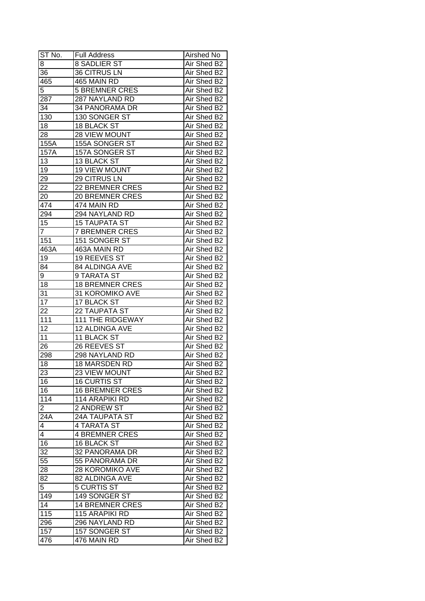| ST No.          | <b>Full Address</b>          | Airshed No  |
|-----------------|------------------------------|-------------|
| 8               | 8 SADLIER ST                 | Air Shed B2 |
| 36              | <b>36 CITRUS LN</b>          | Air Shed B2 |
| 465             | 465 MAIN RD                  | Air Shed B2 |
| $\overline{5}$  | <b>5 BREMNER CRES</b>        | Air Shed B2 |
| 287             | 287 NAYLAND RD               | Air Shed B2 |
| 34              | 34 PANORAMA DR               | Air Shed B2 |
| 130             | 130 SONGER ST                | Air Shed B2 |
| 18              | <b>18 BLACK ST</b>           | Air Shed B2 |
| 28              | 28 VIEW MOUNT                | Air Shed B2 |
| 155A            | 155A SONGER ST               | Air Shed B2 |
| 157A            | 157A SONGER ST               | Air Shed B2 |
| 13              | 13 BLACK ST                  | Air Shed B2 |
| 19              | <b>19 VIEW MOUNT</b>         | Air Shed B2 |
| 29              | 29 CITRUS LN                 | Air Shed B2 |
| 22              | 22 BREMNER CRES              | Air Shed B2 |
| 20              | <b>20 BREMNER CRES</b>       | Air Shed B2 |
| 474             | 474 MAIN RD                  | Air Shed B2 |
| 294             | 294 NAYLAND RD               | Air Shed B2 |
| 15              | <b>15 TAUPATA ST</b>         | Air Shed B2 |
| $\overline{7}$  | <b>7 BREMNER CRES</b>        | Air Shed B2 |
| 151             | 151 SONGER ST                | Air Shed B2 |
| 463A            | 463A MAIN RD                 | Air Shed B2 |
| 19              | 19 REEVES ST                 | Air Shed B2 |
| 84              | 84 ALDINGA AVE               | Air Shed B2 |
| 9               | 9 TARATA ST                  | Air Shed B2 |
| 18              | <b>18 BREMNER CRES</b>       | Air Shed B2 |
| 31              | 31 KOROMIKO AVE              | Air Shed B2 |
| 17              | 17 BLACK ST                  | Air Shed B2 |
| $\overline{22}$ | 22 TAUPATA ST                | Air Shed B2 |
| 111             | 111 THE RIDGEWAY             | Air Shed B2 |
| $\overline{12}$ | 12 ALDINGA AVE               | Air Shed B2 |
| 11              | <b>11 BLACK ST</b>           | Air Shed B2 |
| 26              | 26 REEVES ST                 | Air Shed B2 |
| 298             | 298 NAYLAND RD               | Air Shed B2 |
| 18              | 18 MARSDEN RD                | Air Shed B2 |
| 23              | 23 VIEW MOUNT                | Air Shed B2 |
| 16              | <b>16 CURTIS ST</b>          | Air Shed B2 |
| 16              | <b>16 BREMNER CRES</b>       | Air Shed B2 |
| 114             | 114 ARAPIKI RD               | Air Shed B2 |
| $\overline{2}$  | 2 ANDREW ST                  | Air Shed B2 |
| 24A             | <b>24A TAUPATA ST</b>        | Air Shed B2 |
| 4               | 4 TARATA ST                  | Air Shed B2 |
| 4               | <b>4 BREMNER CRES</b>        | Air Shed B2 |
| 16              | 16 BLACK ST                  | Air Shed B2 |
| $\overline{32}$ | 32 PANORAMA DR               | Air Shed B2 |
| 55              | 55 PANORAMA DR               | Air Shed B2 |
| 28              | 28 KOROMIKO AVE              | Air Shed B2 |
| 82              | 82 ALDINGA AVE               | Air Shed B2 |
| $\overline{5}$  |                              | Air Shed B2 |
|                 | 5 CURTIS ST<br>149 SONGER ST |             |
| 149<br>14       |                              | Air Shed B2 |
|                 | <b>14 BREMNER CRES</b>       | Air Shed B2 |
| 115             | 115 ARAPIKI RD               | Air Shed B2 |
| 296             | 296 NAYLAND RD               | Air Shed B2 |
| 157             | 157 SONGER ST                | Air Shed B2 |
| 476             | 476 MAIN RD                  | Air Shed B2 |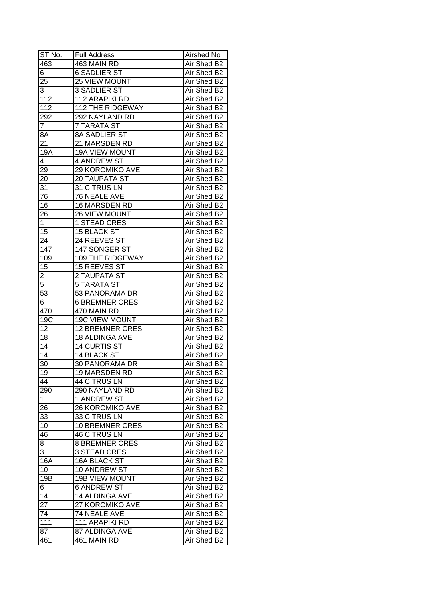| ST No.          | <b>Full Address</b>     | Airshed No  |
|-----------------|-------------------------|-------------|
| 463             | 463 MAIN RD             | Air Shed B2 |
| 6               | <b>6 SADLIER ST</b>     | Air Shed B2 |
| 25              | 25 VIEW MOUNT           | Air Shed B2 |
| 3               | <b>3 SADLIER ST</b>     | Air Shed B2 |
| 112             | 112 ARAPIKI RD          | Air Shed B2 |
| 112             | <b>112 THE RIDGEWAY</b> | Air Shed B2 |
| 292             | 292 NAYLAND RD          | Air Shed B2 |
| 7               | <b>7 TARATA ST</b>      | Air Shed B2 |
| 8A              | <b>8A SADLIER ST</b>    | Air Shed B2 |
| 21              | 21 MARSDEN RD           | Air Shed B2 |
| 19A             | <b>19A VIEW MOUNT</b>   | Air Shed B2 |
| 4               | 4 ANDREW ST             | Air Shed B2 |
| 29              | 29 KOROMIKO AVE         | Air Shed B2 |
| 20              | 20 TAUPATA ST           | Air Shed B2 |
| 31              | 31 CITRUS LN            | Air Shed B2 |
| 76              | 76 NEALE AVE            | Air Shed B2 |
| 16              | 16 MARSDEN RD           | Air Shed B2 |
| 26              | 26 VIEW MOUNT           | Air Shed B2 |
| 1               | 1 STEAD CRES            | Air Shed B2 |
| 15              | <b>15 BLACK ST</b>      | Air Shed B2 |
| 24              | 24 REEVES ST            | Air Shed B2 |
| 147             | 147 SONGER ST           | Air Shed B2 |
| 109             | 109 THE RIDGEWAY        | Air Shed B2 |
| 15              | 15 REEVES ST            | Air Shed B2 |
| 2               | 2 TAUPATA ST            | Air Shed B2 |
| 5               | <b>5 TARATA ST</b>      | Air Shed B2 |
| 53              | 53 PANORAMA DR          | Air Shed B2 |
| 6               | <b>6 BREMNER CRES</b>   | Air Shed B2 |
| 470             | 470 MAIN RD             | Air Shed B2 |
| 19C             | <b>19C VIEW MOUNT</b>   | Air Shed B2 |
| 12              | <b>12 BREMNER CRES</b>  | Air Shed B2 |
| 18              | 18 ALDINGA AVE          | Air Shed B2 |
| 14              | <b>14 CURTIS ST</b>     | Air Shed B2 |
| $\overline{14}$ | <b>14 BLACK ST</b>      | Air Shed B2 |
| 30              | <b>30 PANORAMA DR</b>   | Air Shed B2 |
| 19              | <b>19 MARSDEN RD</b>    | Air Shed B2 |
| 44              | 44 CITRUS LN            | Air Shed B2 |
| 290             | 290 NAYLAND RD          | Air Shed B2 |
| 1               | 1 ANDREW ST             | Air Shed B2 |
| 26              | <b>26 KOROMIKO AVE</b>  | Air Shed B2 |
| 33              | 33 CITRUS LN            | Air Shed B2 |
| 10              | 10 BREMNER CRES         | Air Shed B2 |
| 46              | <b>46 CITRUS LN</b>     | Air Shed B2 |
| 8               | <b>8 BREMNER CRES</b>   | Air Shed B2 |
| 3               | 3 STEAD CRES            | Air Shed B2 |
| 16A             | 16A BLACK ST            | Air Shed B2 |
| 10              | 10 ANDREW ST            | Air Shed B2 |
| 19B             | <b>19B VIEW MOUNT</b>   | Air Shed B2 |
| 6               | <b>6 ANDREW ST</b>      | Air Shed B2 |
| 14              | 14 ALDINGA AVE          | Air Shed B2 |
| $\overline{27}$ | 27 KOROMIKO AVE         | Air Shed B2 |
| 74              | 74 NEALE AVE            | Air Shed B2 |
| 111             | 111 ARAPIKI RD          | Air Shed B2 |
| 87              | 87 ALDINGA AVE          | Air Shed B2 |
| 461             | 461 MAIN RD             | Air Shed B2 |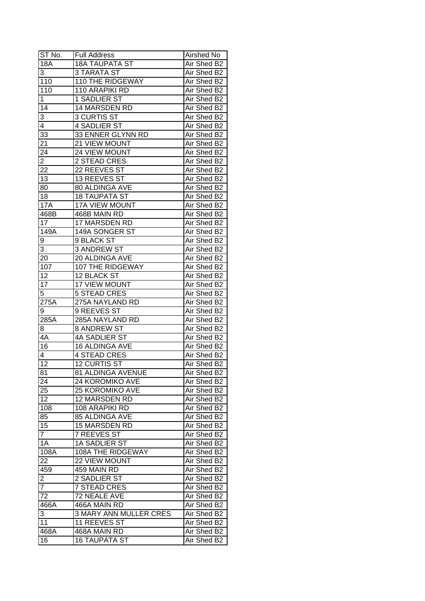| ST <sub>No.</sub>                | <b>Full Address</b>           | Airshed No  |
|----------------------------------|-------------------------------|-------------|
| <b>18A</b>                       | <b>18A TAUPATA ST</b>         | Air Shed B2 |
| 3                                | <b>3 TARATA ST</b>            | Air Shed B2 |
| 110                              | <b>110 THE RIDGEWAY</b>       | Air Shed B2 |
| $\overline{11}0$                 | 110 ARAPIKI RD                | Air Shed B2 |
| 1                                | 1 SADLIER ST                  | Air Shed B2 |
| 14                               | 14 MARSDEN RD                 | Air Shed B2 |
| 3                                | <b>3 CURTIS ST</b>            | Air Shed B2 |
| 4                                | 4 SADLIER ST                  | Air Shed B2 |
| 33                               | 33 ENNER GLYNN RD             | Air Shed B2 |
| 21                               | 21 VIEW MOUNT                 | Air Shed B2 |
| $2\overline{4}$                  | 24 VIEW MOUNT                 | Air Shed B2 |
| $\overline{2}$                   | 2 STEAD CRES                  | Air Shed B2 |
| 22                               | 22 REEVES ST                  | Air Shed B2 |
| 13                               | 13 REEVES ST                  | Air Shed B2 |
| 80                               | 80 ALDINGA AVE                | Air Shed B2 |
| 18                               | <b>18 TAUPATA ST</b>          | Air Shed B2 |
| <b>17A</b>                       | <b>17A VIEW MOUNT</b>         | Air Shed B2 |
| 468B                             | 468B MAIN RD                  | Air Shed B2 |
| 17                               | 17 MARSDEN RD                 | Air Shed B2 |
| 149A                             | 149A SONGER ST                | Air Shed B2 |
| 9                                | 9 BLACK ST                    | Air Shed B2 |
| 3                                | <b>3 ANDREW ST</b>            | Air Shed B2 |
| 20                               | 20 ALDINGA AVE                | Air Shed B2 |
| 107                              | 107 THE RIDGEWAY              | Air Shed B2 |
| 12                               | 12 BLACK ST                   | Air Shed B2 |
| 17                               | 17 VIEW MOUNT                 | Air Shed B2 |
| $\overline{5}$                   | <b>5 STEAD CRES</b>           | Air Shed B2 |
| 275A                             | 275A NAYLAND RD               | Air Shed B2 |
| 9                                | 9 REEVES ST                   | Air Shed B2 |
| 285A                             | 285A NAYLAND RD               | Air Shed B2 |
| 8                                | <b>8 ANDREW ST</b>            | Air Shed B2 |
| 4A                               | 4A SADLIER ST                 | Air Shed B2 |
| $\overline{16}$                  | 16 ALDINGA AVE                | Air Shed B2 |
| 4                                | <b>4 STEAD CRES</b>           | Air Shed B2 |
| $\overline{12}$                  | <b>12 CURTIS ST</b>           | Air Shed B2 |
| 81                               | 81 ALDINGA AVENUE             | Air Shed B2 |
| 24                               | 24 KOROMIKO AVE               | Air Shed B2 |
| 25                               | <b>25 KOROMIKO AVE</b>        | Air Shed B2 |
| 12                               | 12 MARSDEN RD                 | Air Shed B2 |
| 108                              | 108 ARAPIKI RD                | Air Shed B2 |
| 85                               | 85 ALDINGA AVE                | Air Shed B2 |
| 15                               | 15 MARSDEN RD                 | Air Shed B2 |
| $\overline{7}$                   | 7 REEVES ST                   | Air Shed B2 |
| 1A                               | 1A SADLIER ST                 | Air Shed B2 |
| 108A                             | 108A THE RIDGEWAY             | Air Shed B2 |
| 22                               | 22 VIEW MOUNT                 | Air Shed B2 |
| 459                              | 459 MAIN RD                   | Air Shed B2 |
|                                  | 2 SADLIER ST                  | Air Shed B2 |
| $\overline{2}$<br>$\overline{7}$ | 7 STEAD CRES                  | Air Shed B2 |
| 72                               | 72 NEALE AVE                  |             |
|                                  |                               | Air Shed B2 |
| 466A                             | 466A MAIN RD                  | Air Shed B2 |
| 3                                | <b>3 MARY ANN MULLER CRES</b> | Air Shed B2 |
| 11                               | <b>11 REEVES ST</b>           | Air Shed B2 |
| 468A                             | 468A MAIN RD                  | Air Shed B2 |
| 16                               | <b>16 TAUPATA ST</b>          | Air Shed B2 |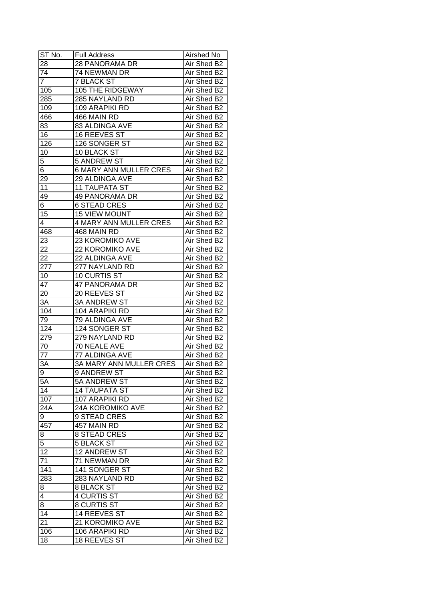| ST No.           | <b>Full Address</b>            | Airshed No  |
|------------------|--------------------------------|-------------|
| 28               | <b>28 PANORAMA DR</b>          | Air Shed B2 |
| $\overline{74}$  | 74 NEWMAN DR                   | Air Shed B2 |
| $\overline{7}$   | <b>7 BLACK ST</b>              | Air Shed B2 |
| 105              | 105 THE RIDGEWAY               | Air Shed B2 |
| 285              | 285 NAYLAND RD                 | Air Shed B2 |
| 109              | 109 ARAPIKI RD                 | Air Shed B2 |
| 466              | 466 MAIN RD                    | Air Shed B2 |
| 83               | 83 ALDINGA AVE                 | Air Shed B2 |
| 16               | 16 REEVES ST                   | Air Shed B2 |
| 126              | 126 SONGER ST                  | Air Shed B2 |
| 10               | 10 BLACK ST                    | Air Shed B2 |
| 5                | 5 ANDREW ST                    | Air Shed B2 |
| 6                | <b>6 MARY ANN MULLER CRES</b>  | Air Shed B2 |
| 29               | 29 ALDINGA AVE                 | Air Shed B2 |
| 11               | <b>11 TAUPATA ST</b>           | Air Shed B2 |
| 49               | <b>49 PANORAMA DR</b>          | Air Shed B2 |
| $\overline{6}$   | <b>6 STEAD CRES</b>            | Air Shed B2 |
| 15               | <b>15 VIEW MOUNT</b>           | Air Shed B2 |
| 4                | <b>4 MARY ANN MULLER CRES</b>  | Air Shed B2 |
| 468              | 468 MAIN RD                    | Air Shed B2 |
| 23               | 23 KOROMIKO AVE                | Air Shed B2 |
| 22               | 22 KOROMIKO AVE                | Air Shed B2 |
| 22               | 22 ALDINGA AVE                 | Air Shed B2 |
| 277              | 277 NAYLAND RD                 | Air Shed B2 |
| 10               | 10 CURTIS ST                   | Air Shed B2 |
| 47               | 47 PANORAMA DR                 | Air Shed B2 |
| 20               | 20 REEVES ST                   | Air Shed B2 |
| 3A               | <b>3A ANDREW ST</b>            | Air Shed B2 |
| 104              | 104 ARAPIKI RD                 | Air Shed B2 |
| 79               | 79 ALDINGA AVE                 | Air Shed B2 |
| 124              | 124 SONGER ST                  | Air Shed B2 |
| 279              | 279 NAYLAND RD                 | Air Shed B2 |
| 70               | 70 NEALE AVE                   | Air Shed B2 |
| 77               | 77 ALDINGA AVE                 | Air Shed B2 |
| 3A               | <b>3A MARY ANN MULLER CRES</b> | Air Shed B2 |
| 9                | <b>9 ANDREW ST</b>             | Air Shed B2 |
| 5A               | 5A ANDREW ST                   | Air Shed B2 |
| 14               | <b>14 TAUPATA ST</b>           | Air Shed B2 |
| 107              | 107 ARAPIKI RD                 | Air Shed B2 |
| 24A              | 24A KOROMIKO AVE               | Air Shed B2 |
| 9                | 9 STEAD CRES                   | Air Shed B2 |
| 457              | 457 MAIN RD                    | Air Shed B2 |
| 8                | <b>8 STEAD CRES</b>            | Air Shed B2 |
| $\overline{5}$   | <b>5 BLACK ST</b>              | Air Shed B2 |
| $\overline{12}$  | <b>12 ANDREW ST</b>            | Air Shed B2 |
| 71               | 71 NEWMAN DR                   | Air Shed B2 |
| $\overline{141}$ | 141 SONGER ST                  | Air Shed B2 |
| 283              | 283 NAYLAND RD                 | Air Shed B2 |
| 8                | <b>8 BLACK ST</b>              | Air Shed B2 |
| $\overline{4}$   | <b>4 CURTIS ST</b>             | Air Shed B2 |
| 8                | <b>8 CURTIS ST</b>             | Air Shed B2 |
| $\overline{14}$  | 14 REEVES ST                   | Air Shed B2 |
| 21               | 21 KOROMIKO AVE                | Air Shed B2 |
| 106              | 106 ARAPIKI RD                 | Air Shed B2 |
| 18               | 18 REEVES ST                   | Air Shed B2 |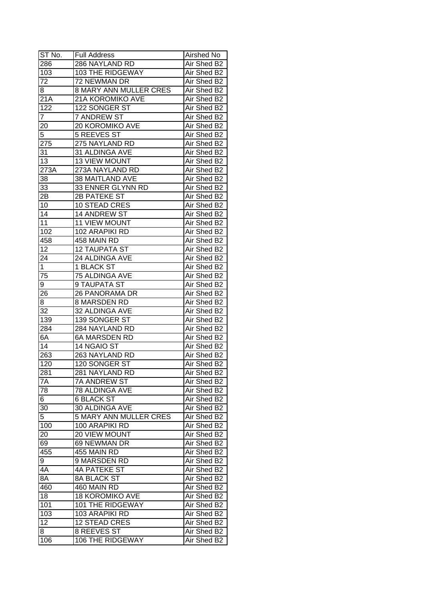| ST No.          | <b>Full Address</b>           | Airshed No  |
|-----------------|-------------------------------|-------------|
| 286             | 286 NAYLAND RD                | Air Shed B2 |
| 103             | 103 THE RIDGEWAY              | Air Shed B2 |
| 72              | 72 NEWMAN DR                  | Air Shed B2 |
| 8.              | <b>8 MARY ANN MULLER CRES</b> | Air Shed B2 |
| 21A             | 21A KOROMIKO AVE              | Air Shed B2 |
| 122             | 122 SONGER ST                 | Air Shed B2 |
| 7               | 7 ANDREW ST                   | Air Shed B2 |
| 20              | 20 KOROMIKO AVE               | Air Shed B2 |
| 5               | 5 REEVES ST                   | Air Shed B2 |
| 275             | 275 NAYLAND RD                | Air Shed B2 |
| $3\overline{1}$ | 31 ALDINGA AVE                | Air Shed B2 |
| 13              | 13 VIEW MOUNT                 | Air Shed B2 |
| 273A            | 273A NAYLAND RD               | Air Shed B2 |
| 38              | 38 MAITLAND AVE               | Air Shed B2 |
| 33              | 33 ENNER GLYNN RD             | Air Shed B2 |
| 2B              | 2B PATEKE ST                  | Air Shed B2 |
| 10              | 10 STEAD CRES                 | Air Shed B2 |
| 14              | 14 ANDREW ST                  | Air Shed B2 |
| 11              | <b>11 VIEW MOUNT</b>          | Air Shed B2 |
| 102             | 102 ARAPIKI RD                | Air Shed B2 |
| 458             | 458 MAIN RD                   | Air Shed B2 |
| 12              | <b>12 TAUPATA ST</b>          | Air Shed B2 |
| 24              | 24 ALDINGA AVE                | Air Shed B2 |
| $\mathbf{1}$    | 1 BLACK ST                    | Air Shed B2 |
| 75              | 75 ALDINGA AVE                | Air Shed B2 |
| 9               | 9 TAUPATA ST                  | Air Shed B2 |
| 26              | 26 PANORAMA DR                | Air Shed B2 |
| 8               | 8 MARSDEN RD                  | Air Shed B2 |
| 32              | 32 ALDINGA AVE                | Air Shed B2 |
| 139             | 139 SONGER ST                 | Air Shed B2 |
| 284             | 284 NAYLAND RD                | Air Shed B2 |
| 6A              | <b>6A MARSDEN RD</b>          | Air Shed B2 |
| $\overline{14}$ | 14 NGAIO ST                   | Air Shed B2 |
| 263             | 263 NAYLAND RD                | Air Shed B2 |
| 120             | 120 SONGER ST                 | Air Shed B2 |
| 281             | 281 NAYLAND RD                | Air Shed B2 |
| 7A              | 7A ANDREW ST                  | Air Shed B2 |
| 78              | 78 ALDINGA AVE                | Air Shed B2 |
| 6               | <b>6 BLACK ST</b>             | Air Shed B2 |
| 30              | 30 ALDINGA AVE                | Air Shed B2 |
| 5               | 5 MARY ANN MULLER CRES        | Air Shed B2 |
| 100             | 100 ARAPIKI RD                | Air Shed B2 |
| 20              | 20 VIEW MOUNT                 | Air Shed B2 |
| 69              | 69 NEWMAN DR                  | Air Shed B2 |
| 455             | 455 MAIN RD                   | Air Shed B2 |
| 9               | 9 MARSDEN RD                  | Air Shed B2 |
| 4A              | 4A PATEKE ST                  | Air Shed B2 |
| 8A              | 8A BLACK ST                   | Air Shed B2 |
| 460             | 460 MAIN RD                   | Air Shed B2 |
| 18              | <b>18 KOROMIKO AVE</b>        | Air Shed B2 |
| 101             | 101 THE RIDGEWAY              | Air Shed B2 |
| 103             | 103 ARAPIKI RD                | Air Shed B2 |
| 12              | <b>12 STEAD CRES</b>          | Air Shed B2 |
| 8               | 8 REEVES ST                   | Air Shed B2 |
| 106             | 106 THE RIDGEWAY              | Air Shed B2 |
|                 |                               |             |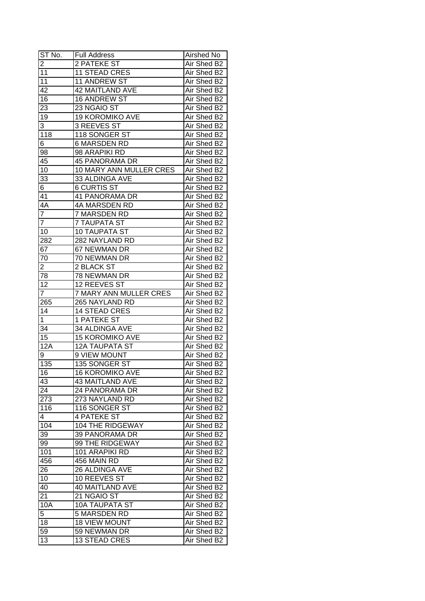| ST No.                  | <b>Full Address</b>     | Airshed No  |
|-------------------------|-------------------------|-------------|
| $\overline{2}$          | 2 PATEKE ST             | Air Shed B2 |
| 11                      | <b>11 STEAD CRES</b>    | Air Shed B2 |
| $\overline{11}$         | 11 ANDREW ST            | Air Shed B2 |
| 42                      | <b>42 MAITLAND AVE</b>  | Air Shed B2 |
| 16                      | 16 ANDREW ST            | Air Shed B2 |
| 23                      | 23 NGAIO ST             | Air Shed B2 |
| 19                      | 19 KOROMIKO AVE         | Air Shed B2 |
| 3                       | 3 REEVES ST             | Air Shed B2 |
| 118                     | 118 SONGER ST           | Air Shed B2 |
| 6                       | <b>6 MARSDEN RD</b>     | Air Shed B2 |
| 98                      | 98 ARAPIKI RD           | Air Shed B2 |
| 45                      | <b>45 PANORAMA DR</b>   | Air Shed B2 |
| 10                      | 10 MARY ANN MULLER CRES | Air Shed B2 |
| 33                      | 33 ALDINGA AVE          | Air Shed B2 |
| 6                       | <b>6 CURTIS ST</b>      | Air Shed B2 |
| 41                      | 41 PANORAMA DR          | Air Shed B2 |
| 4A                      | 4A MARSDEN RD           | Air Shed B2 |
| $\overline{7}$          | 7 MARSDEN RD            | Air Shed B2 |
| $\overline{7}$          | <b>7 TAUPATA ST</b>     | Air Shed B2 |
| 10                      | <b>10 TAUPATA ST</b>    | Air Shed B2 |
| 282                     | 282 NAYLAND RD          | Air Shed B2 |
| 67                      | 67 NEWMAN DR            | Air Shed B2 |
| 70                      | 70 NEWMAN DR            | Air Shed B2 |
| $\overline{\mathbf{c}}$ | 2 BLACK ST              | Air Shed B2 |
| 78                      | 78 NEWMAN DR            | Air Shed B2 |
| 12                      | 12 REEVES ST            | Air Shed B2 |
| $\overline{7}$          | 7 MARY ANN MULLER CRES  | Air Shed B2 |
| 265                     | 265 NAYLAND RD          | Air Shed B2 |
| 14                      | <b>14 STEAD CRES</b>    | Air Shed B2 |
| $\mathbf 1$             | 1 PATEKE ST             | Air Shed B2 |
| 34                      | 34 ALDINGA AVE          | Air Shed B2 |
| 15                      | <b>15 KOROMIKO AVE</b>  | Air Shed B2 |
| 12A                     | <b>12A TAUPATA ST</b>   | Air Shed B2 |
| 9                       | 9 VIEW MOUNT            | Air Shed B2 |
| 135                     | 135 SONGER ST           | Air Shed B2 |
| 16                      | <b>16 KOROMIKO AVE</b>  | Air Shed B2 |
| 43                      | <b>43 MAITLAND AVE</b>  | Air Shed B2 |
| 24                      | 24 PANORAMA DR          | Air Shed B2 |
| 273                     | 273 NAYLAND RD          | Air Shed B2 |
| 116                     | 116 SONGER ST           | Air Shed B2 |
| 4                       | 4 PATEKE ST             | Air Shed B2 |
| 104                     | 104 THE RIDGEWAY        | Air Shed B2 |
| 39                      | 39 PANORAMA DR          | Air Shed B2 |
| 99                      | 99 THE RIDGEWAY         | Air Shed B2 |
| 101                     | 101 ARAPIKI RD          | Air Shed B2 |
| 456                     | 456 MAIN RD             | Air Shed B2 |
| 26                      | 26 ALDINGA AVE          | Air Shed B2 |
| 10                      | 10 REEVES ST            | Air Shed B2 |
| 40                      | <b>40 MAITLAND AVE</b>  | Air Shed B2 |
| $2\overline{1}$         | 21 NGAIO ST             | Air Shed B2 |
| 10A                     | <b>10A TAUPATA ST</b>   | Air Shed B2 |
| 5                       | 5 MARSDEN RD            | Air Shed B2 |
| 18                      | <b>18 VIEW MOUNT</b>    | Air Shed B2 |
| 59                      | 59 NEWMAN DR            | Air Shed B2 |
| 13                      | <b>13 STEAD CRES</b>    | Air Shed B2 |
|                         |                         |             |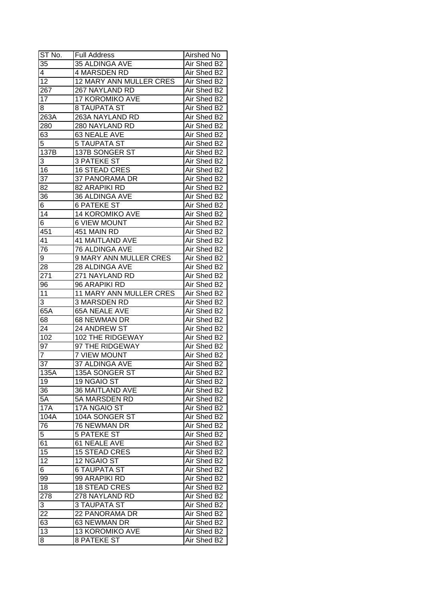| ST No.           | <b>Full Address</b>     | Airshed No  |
|------------------|-------------------------|-------------|
| 35               | 35 ALDINGA AVE          | Air Shed B2 |
| 4                | 4 MARSDEN RD            | Air Shed B2 |
| $\overline{12}$  | 12 MARY ANN MULLER CRES | Air Shed B2 |
| $\overline{267}$ | 267 NAYLAND RD          | Air Shed B2 |
| 17               | 17 KOROMIKO AVE         | Air Shed B2 |
| 8                | 8 TAUPATA ST            | Air Shed B2 |
| 263A             | 263A NAYLAND RD         | Air Shed B2 |
| 280              | 280 NAYLAND RD          | Air Shed B2 |
| 63               | 63 NEALE AVE            | Air Shed B2 |
| 5                | <b>5 TAUPATA ST</b>     | Air Shed B2 |
| 137B             | 137B SONGER ST          | Air Shed B2 |
| 3                | <b>3 PATEKE ST</b>      | Air Shed B2 |
| 16               | <b>16 STEAD CRES</b>    | Air Shed B2 |
| 37               | 37 PANORAMA DR          | Air Shed B2 |
| 82               | 82 ARAPIKI RD           | Air Shed B2 |
| 36               | 36 ALDINGA AVE          | Air Shed B2 |
| 6                | <b>6 PATEKE ST</b>      | Air Shed B2 |
| 14               | 14 KOROMIKO AVE         | Air Shed B2 |
| 6                | <b>6 VIEW MOUNT</b>     | Air Shed B2 |
| 451              | 451 MAIN RD             | Air Shed B2 |
| 41               | <b>41 MAITLAND AVE</b>  | Air Shed B2 |
| 76               | 76 ALDINGA AVE          | Air Shed B2 |
| 9                | 9 MARY ANN MULLER CRES  | Air Shed B2 |
| 28               | 28 ALDINGA AVE          | Air Shed B2 |
| 271              | 271 NAYLAND RD          | Air Shed B2 |
| 96               | 96 ARAPIKI RD           | Air Shed B2 |
| 11               | 11 MARY ANN MULLER CRES | Air Shed B2 |
| 3                | 3 MARSDEN RD            | Air Shed B2 |
| 65A              | 65A NEALE AVE           | Air Shed B2 |
| 68               | 68 NEWMAN DR            | Air Shed B2 |
| 24               | 24 ANDREW ST            | Air Shed B2 |
| 102              | 102 THE RIDGEWAY        | Air Shed B2 |
| 97               | 97 THE RIDGEWAY         | Air Shed B2 |
| $\overline{7}$   | <b>7 VIEW MOUNT</b>     | Air Shed B2 |
| $\overline{37}$  | <b>37 ALDINGA AVE</b>   | Air Shed B2 |
| 135A             | 135A SONGER ST          | Air Shed B2 |
| 19               | 19 NGAIO ST             | Air Shed B2 |
| 36               | <b>36 MAITLAND AVE</b>  | Air Shed B2 |
| 5A               | 5A MARSDEN RD           | Air Shed B2 |
| <b>17A</b>       | 17A NGAIO ST            | Air Shed B2 |
| 104A             | 104A SONGER ST          | Air Shed B2 |
| 76               | 76 NEWMAN DR            | Air Shed B2 |
| 5                | <b>5 PATEKE ST</b>      | Air Shed B2 |
| 61               | 61 NEALE AVE            | Air Shed B2 |
| 15               | <b>15 STEAD CRES</b>    | Air Shed B2 |
| 12               | 12 NGAIO ST             | Air Shed B2 |
| 6                | <b>6 TAUPATA ST</b>     | Air Shed B2 |
| 99               | 99 ARAPIKI RD           | Air Shed B2 |
| 18               | <b>18 STEAD CRES</b>    | Air Shed B2 |
| 278              | 278 NAYLAND RD          | Air Shed B2 |
| 3                | <b>3 TAUPATA ST</b>     | Air Shed B2 |
|                  | 22 PANORAMA DR          | Air Shed B2 |
| 22<br>63         |                         | Air Shed B2 |
| 13               | 63 NEWMAN DR            |             |
|                  | <b>13 KOROMIKO AVE</b>  | Air Shed B2 |
| 8                | <b>8 PATEKE ST</b>      | Air Shed B2 |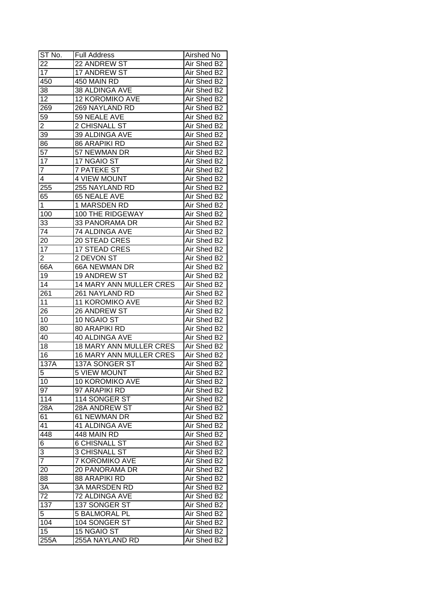| ST No.         | <b>Full Address</b>            | Airshed No  |
|----------------|--------------------------------|-------------|
| 22             | 22 ANDREW ST                   | Air Shed B2 |
| 17             | 17 ANDREW ST                   | Air Shed B2 |
| 450            | 450 MAIN RD                    | Air Shed B2 |
| 38             | 38 ALDINGA AVE                 | Air Shed B2 |
| 12             | <b>12 KOROMIKO AVE</b>         | Air Shed B2 |
| 269            | 269 NAYLAND RD                 | Air Shed B2 |
| 59             | 59 NEALE AVE                   | Air Shed B2 |
| $\overline{2}$ | 2 CHISNALL ST                  | Air Shed B2 |
| 39             | 39 ALDINGA AVE                 | Air Shed B2 |
| 86             | <b>86 ARAPIKI RD</b>           | Air Shed B2 |
| 57             | 57 NEWMAN DR                   | Air Shed B2 |
| 17             | 17 NGAIO ST                    | Air Shed B2 |
| $\overline{7}$ | <b>7 PATEKE ST</b>             | Air Shed B2 |
| 4              | <b>4 VIEW MOUNT</b>            | Air Shed B2 |
| 255            | 255 NAYLAND RD                 | Air Shed B2 |
| 65             | 65 NEALE AVE                   | Air Shed B2 |
| $\mathbf 1$    | 1 MARSDEN RD                   | Air Shed B2 |
| 100            | 100 THE RIDGEWAY               | Air Shed B2 |
| 33             | 33 PANORAMA DR                 | Air Shed B2 |
| 74             | 74 ALDINGA AVE                 | Air Shed B2 |
| 20             | 20 STEAD CRES                  | Air Shed B2 |
| 17             | <b>17 STEAD CRES</b>           | Air Shed B2 |
| 2              | 2 DEVON ST                     | Air Shed B2 |
| 66A            | 66A NEWMAN DR                  | Air Shed B2 |
| 19             | 19 ANDREW ST                   | Air Shed B2 |
| 14             | 14 MARY ANN MULLER CRES        | Air Shed B2 |
| 261            | 261 NAYLAND RD                 | Air Shed B2 |
| 11             | 11 KOROMIKO AVE                | Air Shed B2 |
| 26             | 26 ANDREW ST                   | Air Shed B2 |
| 10             | 10 NGAIO ST                    | Air Shed B2 |
| 80             | <b>80 ARAPIKI RD</b>           | Air Shed B2 |
| 40             | 40 ALDINGA AVE                 | Air Shed B2 |
| 18             | <b>18 MARY ANN MULLER CRES</b> | Air Shed B2 |
| 16             | 16 MARY ANN MULLER CRES        | Air Shed B2 |
| 137A           | 137A SONGER ST                 | Air Shed B2 |
| 5              | 5 VIEW MOUNT                   | Air Shed B2 |
| 10             | 10 KOROMIKO AVE                | Air Shed B2 |
| 97             | 97 ARAPIKI RD                  | Air Shed B2 |
| 114            | 114 SONGER ST                  | Air Shed B2 |
| 28A            | 28A ANDREW ST                  | Air Shed B2 |
| 61             | 61 NEWMAN DR                   | Air Shed B2 |
| 41             | 41 ALDINGA AVE                 | Air Shed B2 |
| 448            | 448 MAIN RD                    | Air Shed B2 |
| 6              | <b>6 CHISNALL ST</b>           | Air Shed B2 |
| 3              | <b>3 CHISNALL ST</b>           | Air Shed B2 |
| $\overline{7}$ | 7 KOROMIKO AVE                 | Air Shed B2 |
| 20             | 20 PANORAMA DR                 | Air Shed B2 |
| 88             | 88 ARAPIKI RD                  | Air Shed B2 |
| 3A             | 3A MARSDEN RD                  | Air Shed B2 |
| 72             | 72 ALDINGA AVE                 | Air Shed B2 |
| 137            | 137 SONGER ST                  | Air Shed B2 |
|                | <b>5 BALMORAL PL</b>           | Air Shed B2 |
| 5<br>104       |                                | Air Shed B2 |
| 15             | 104 SONGER ST                  |             |
|                | 15 NGAIO ST                    | Air Shed B2 |
| 255A           | 255A NAYLAND RD                | Air Shed B2 |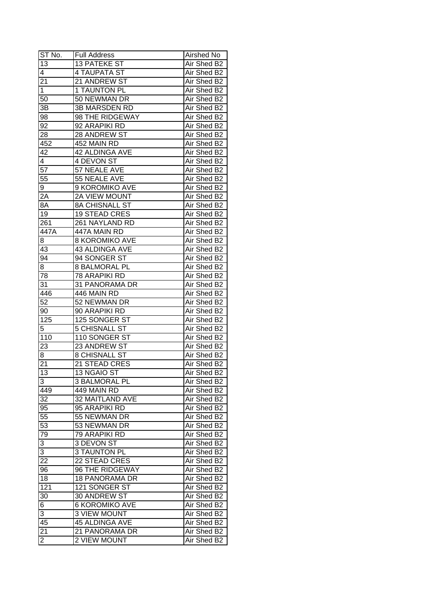| ST No.              | <b>Full Address</b>   | Airshed No  |
|---------------------|-----------------------|-------------|
| 13                  | <b>13 PATEKE ST</b>   | Air Shed B2 |
| $\overline{4}$      | 4 TAUPATA ST          | Air Shed B2 |
| 21                  | 21 ANDREW ST          | Air Shed B2 |
| $\mathbf{1}$        | <b>1 TAUNTON PL</b>   | Air Shed B2 |
| 50                  | 50 NEWMAN DR          | Air Shed B2 |
| 3B                  | <b>3B MARSDEN RD</b>  | Air Shed B2 |
| 98                  | 98 THE RIDGEWAY       | Air Shed B2 |
| 92                  | 92 ARAPIKI RD         | Air Shed B2 |
| 28                  | 28 ANDREW ST          | Air Shed B2 |
| 452                 | 452 MAIN RD           | Air Shed B2 |
| 42                  | 42 ALDINGA AVE        | Air Shed B2 |
| $\overline{4}$      | 4 DEVON ST            | Air Shed B2 |
| 57                  | 57 NEALE AVE          | Air Shed B2 |
| $5\overline{5}$     | 55 NEALE AVE          | Air Shed B2 |
| 9                   | 9 KOROMIKO AVE        | Air Shed B2 |
| 2A                  | 2A VIEW MOUNT         | Air Shed B2 |
| 8A                  | <b>8A CHISNALL ST</b> | Air Shed B2 |
| 19                  | <b>19 STEAD CRES</b>  | Air Shed B2 |
| 261                 | 261 NAYLAND RD        | Air Shed B2 |
| 447A                | 447A MAIN RD          | Air Shed B2 |
| 8                   | <b>8 KOROMIKO AVE</b> | Air Shed B2 |
| 43                  | 43 ALDINGA AVE        | Air Shed B2 |
| 94                  | 94 SONGER ST          | Air Shed B2 |
| 8                   | <b>8 BALMORAL PL</b>  | Air Shed B2 |
| 78                  | 78 ARAPIKI RD         | Air Shed B2 |
| 31                  | 31 PANORAMA DR        | Air Shed B2 |
| 446                 | 446 MAIN RD           | Air Shed B2 |
| 52                  | 52 NEWMAN DR          | Air Shed B2 |
| 90                  | 90 ARAPIKI RD         | Air Shed B2 |
| 125                 | 125 SONGER ST         | Air Shed B2 |
| 5                   | 5 CHISNALL ST         | Air Shed B2 |
| 110                 | 110 SONGER ST         | Air Shed B2 |
| 23                  | 23 ANDREW ST          | Air Shed B2 |
| 8                   | <b>8 CHISNALL ST</b>  | Air Shed B2 |
| $\overline{21}$     | 21 STEAD CRES         | Air Shed B2 |
| 13                  | 13 NGAIO ST           | Air Shed B2 |
| 3                   | <b>3 BALMORAL PL</b>  | Air Shed B2 |
| 449                 | 449 MAIN RD           | Air Shed B2 |
| 32                  | 32 MAITLAND AVE       | Air Shed B2 |
| 95                  | 95 ARAPIKI RD         | Air Shed B2 |
| 55                  | 55 NEWMAN DR          | Air Shed B2 |
| 53                  | 53 NEWMAN DR          | Air Shed B2 |
| 79                  | 79 ARAPIKI RD         | Air Shed B2 |
| 3                   | 3 DEVON ST            | Air Shed B2 |
| 3                   | <b>3 TAUNTON PL</b>   | Air Shed B2 |
| $\overline{22}$     | 22 STEAD CRES         | Air Shed B2 |
| 96                  | 96 THE RIDGEWAY       | Air Shed B2 |
| 18                  | <b>18 PANORAMA DR</b> | Air Shed B2 |
| 121                 | 121 SONGER ST         | Air Shed B2 |
| 30                  | 30 ANDREW ST          | Air Shed B2 |
|                     | <b>6 KOROMIKO AVE</b> | Air Shed B2 |
| 6<br>$\overline{3}$ | <b>3 VIEW MOUNT</b>   | Air Shed B2 |
| $4\overline{5}$     |                       | Air Shed B2 |
|                     | <b>45 ALDINGA AVE</b> | Air Shed B2 |
| 21                  | 21 PANORAMA DR        |             |
| $\overline{2}$      | 2 VIEW MOUNT          | Air Shed B2 |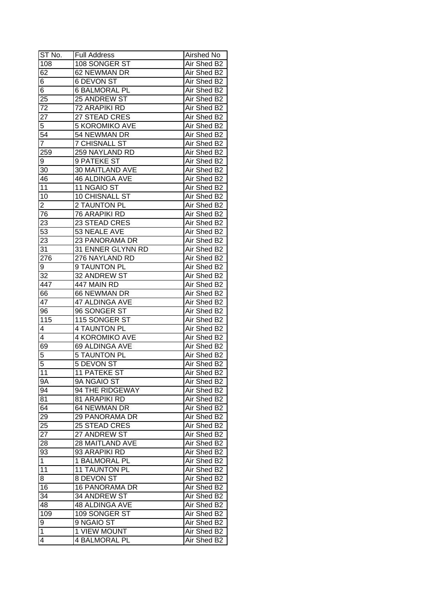| ST No.          | <b>Full Address</b>   | Airshed No  |
|-----------------|-----------------------|-------------|
| 108             | 108 SONGER ST         | Air Shed B2 |
| 62              | 62 NEWMAN DR          | Air Shed B2 |
| 6               | 6 DEVON ST            | Air Shed B2 |
| $\overline{6}$  | <b>6 BALMORAL PL</b>  | Air Shed B2 |
| 25              | 25 ANDREW ST          | Air Shed B2 |
| 72              | 72 ARAPIKI RD         | Air Shed B2 |
| 27              | 27 STEAD CRES         | Air Shed B2 |
| 5               | <b>5 KOROMIKO AVE</b> | Air Shed B2 |
| 54              | 54 NEWMAN DR          | Air Shed B2 |
| $\overline{7}$  | <b>7 CHISNALL ST</b>  | Air Shed B2 |
| 259             | 259 NAYLAND RD        | Air Shed B2 |
| 9               | 9 PATEKE ST           | Air Shed B2 |
| 30              | 30 MAITLAND AVE       | Air Shed B2 |
| 46              | <b>46 ALDINGA AVE</b> | Air Shed B2 |
| 11              | 11 NGAIO ST           | Air Shed B2 |
| 10              | 10 CHISNALL ST        | Air Shed B2 |
| 2               | 2 TAUNTON PL          | Air Shed B2 |
| 76              | 76 ARAPIKI RD         | Air Shed B2 |
| 23              | 23 STEAD CRES         | Air Shed B2 |
| $5\overline{3}$ | 53 NEALE AVE          | Air Shed B2 |
| 23              | 23 PANORAMA DR        | Air Shed B2 |
| 31              | 31 ENNER GLYNN RD     | Air Shed B2 |
| 276             | 276 NAYLAND RD        | Air Shed B2 |
| 9               | 9 TAUNTON PL          | Air Shed B2 |
| 32              | 32 ANDREW ST          | Air Shed B2 |
| 447             | 447 MAIN RD           | Air Shed B2 |
| 66              | 66 NEWMAN DR          | Air Shed B2 |
| 47              | 47 ALDINGA AVE        | Air Shed B2 |
| 96              | 96 SONGER ST          | Air Shed B2 |
| 115             | 115 SONGER ST         | Air Shed B2 |
| 4               | <b>4 TAUNTON PL</b>   | Air Shed B2 |
| 4               | <b>4 KOROMIKO AVE</b> | Air Shed B2 |
| 69              | 69 ALDINGA AVE        | Air Shed B2 |
| 5               | <b>5 TAUNTON PL</b>   | Air Shed B2 |
| 5               | <b>5 DEVON ST</b>     | Air Shed B2 |
| 11              | <b>11 PATEKE ST</b>   | Air Shed B2 |
| $9\overline{A}$ | 9A NGAIO ST           | Air Shed B2 |
| 94              | 94 THE RIDGEWAY       | Air Shed B2 |
| 81              | 81 ARAPIKI RD         | Air Shed B2 |
| 64              | 64 NEWMAN DR          | Air Shed B2 |
| 29              | 29 PANORAMA DR        | Air Shed B2 |
| 25              | 25 STEAD CRES         | Air Shed B2 |
| 27              | 27 ANDREW ST          | Air Shed B2 |
| 28              | 28 MAITLAND AVE       | Air Shed B2 |
| 93              | 93 ARAPIKI RD         | Air Shed B2 |
| $\mathbf{1}$    | 1 BALMORAL PL         | Air Shed B2 |
| 11              | 11 TAUNTON PL         | Air Shed B2 |
| 8               | 8 DEVON ST            | Air Shed B2 |
| 16              | <b>16 PANORAMA DR</b> | Air Shed B2 |
| 34              | 34 ANDREW ST          | Air Shed B2 |
| 48              | 48 ALDINGA AVE        | Air Shed B2 |
| 109             | 109 SONGER ST         | Air Shed B2 |
|                 | 9 NGAIO ST            | Air Shed B2 |
| 9<br>1          | <b>1 VIEW MOUNT</b>   | Air Shed B2 |
|                 |                       |             |
| 4               | <b>4 BALMORAL PL</b>  | Air Shed B2 |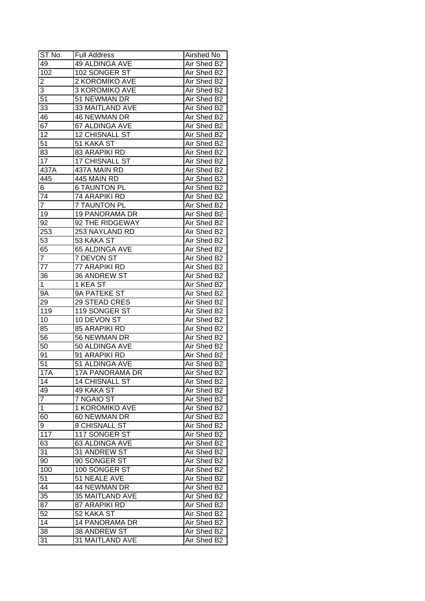| ST No.          | <b>Full Address</b>    | Airshed No  |
|-----------------|------------------------|-------------|
| 49              | 49 ALDINGA AVE         | Air Shed B2 |
| 102             | 102 SONGER ST          | Air Shed B2 |
| 2               | 2 KOROMIKO AVE         | Air Shed B2 |
| $\overline{3}$  | 3 KOROMIKO AVE         | Air Shed B2 |
| 51              | 51 NEWMAN DR           | Air Shed B2 |
| 33              | 33 MAITLAND AVE        | Air Shed B2 |
| 46              | <b>46 NEWMAN DR</b>    | Air Shed B2 |
| 67              | 67 ALDINGA AVE         | Air Shed B2 |
| 12              | 12 CHISNALL ST         | Air Shed B2 |
| 51              | 51 KAKA ST             | Air Shed B2 |
| 83              | <b>83 ARAPIKI RD</b>   | Air Shed B2 |
| 17              | 17 CHISNALL ST         | Air Shed B2 |
| 437A            | 437A MAIN RD           | Air Shed B2 |
| 445             | 445 MAIN RD            | Air Shed B2 |
| 6               | <b>6 TAUNTON PL</b>    | Air Shed B2 |
| 74              | 74 ARAPIKI RD          | Air Shed B2 |
| $\overline{7}$  | <b>7 TAUNTON PL</b>    | Air Shed B2 |
| 19              | <b>19 PANORAMA DR</b>  | Air Shed B2 |
| 92              | 92 THE RIDGEWAY        | Air Shed B2 |
| 253             | 253 NAYLAND RD         | Air Shed B2 |
| 53              | 53 KAKA ST             | Air Shed B2 |
| 65              | 65 ALDINGA AVE         | Air Shed B2 |
| $\overline{7}$  | 7 DEVON ST             | Air Shed B2 |
| 77              | 77 ARAPIKI RD          | Air Shed B2 |
| 36              | 36 ANDREW ST           | Air Shed B2 |
| $\mathbf 1$     | 1 KEA ST               | Air Shed B2 |
| 9A              | 9A PATEKE ST           | Air Shed B2 |
| 29              | 29 STEAD CRES          | Air Shed B2 |
| 119             | 119 SONGER ST          | Air Shed B2 |
| 10              | 10 DEVON ST            | Air Shed B2 |
| 85              | 85 ARAPIKI RD          | Air Shed B2 |
| 56              | 56 NEWMAN DR           | Air Shed B2 |
| 50              | 50 ALDINGA AVE         | Air Shed B2 |
| 91              | 91 ARAPIKI RD          | Air Shed B2 |
| $\overline{51}$ | 51 ALDINGA AVE         | Air Shed B2 |
| <b>17A</b>      | 17A PANORAMA DR        | Air Shed B2 |
| 14              | <b>14 CHISNALL ST</b>  | Air Shed B2 |
| 49              | 49 KAKA ST             | Air Shed B2 |
| $\overline{7}$  | 7 NGAIO ST             | Air Shed B2 |
| $\mathbf 1$     | 1 KOROMIKO AVE         | Air Shed B2 |
| 60              | 60 NEWMAN DR           | Air Shed B2 |
| 9               | 9 CHISNALL ST          | Air Shed B2 |
| 117             | 117 SONGER ST          | Air Shed B2 |
| 63              | 63 ALDINGA AVE         | Air Shed B2 |
| 31              | 31 ANDREW ST           | Air Shed B2 |
| 90 <sub>o</sub> | 90 SONGER ST           | Air Shed B2 |
| 100             | 100 SONGER ST          | Air Shed B2 |
| 51              | 51 NEALE AVE           | Air Shed B2 |
| 44              | 44 NEWMAN DR           | Air Shed B2 |
| 35              | <b>35 MAITLAND AVE</b> | Air Shed B2 |
| $8\overline{7}$ | 87 ARAPIKI RD          | Air Shed B2 |
| 52              | 52 KAKA ST             | Air Shed B2 |
| 14              |                        | Air Shed B2 |
| 38              | <b>14 PANORAMA DR</b>  |             |
|                 | 38 ANDREW ST           | Air Shed B2 |
| 31              | 31 MAITLAND AVE        | Air Shed B2 |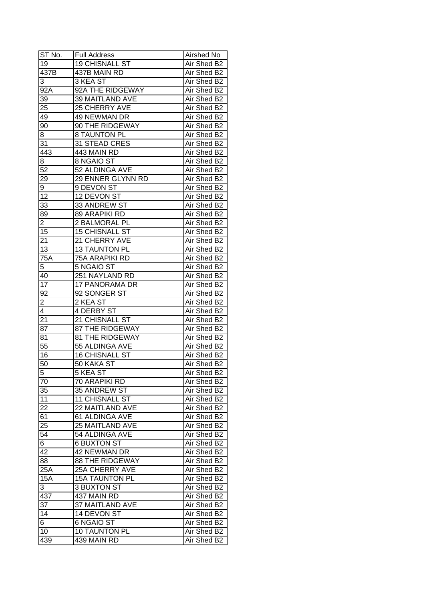| ST No.          | <b>Full Address</b>    | Airshed No  |
|-----------------|------------------------|-------------|
| 19              | <b>19 CHISNALL ST</b>  | Air Shed B2 |
| 437B            | 437B MAIN RD           | Air Shed B2 |
| 3               | 3 KEA ST               | Air Shed B2 |
| 92A             | 92A THE RIDGEWAY       | Air Shed B2 |
| 39              | 39 MAITLAND AVE        | Air Shed B2 |
| 25              | 25 CHERRY AVE          | Air Shed B2 |
| 49              | 49 NEWMAN DR           | Air Shed B2 |
| 90              | 90 THE RIDGEWAY        | Air Shed B2 |
| 8               | <b>8 TAUNTON PL</b>    | Air Shed B2 |
| 31              | 31 STEAD CRES          | Air Shed B2 |
| 443             | 443 MAIN RD            | Air Shed B2 |
| 8               | 8 NGAIO ST             | Air Shed B2 |
| 52              | 52 ALDINGA AVE         | Air Shed B2 |
| 29              | 29 ENNER GLYNN RD      | Air Shed B2 |
| 9               | 9 DEVON ST             | Air Shed B2 |
| 12              | 12 DEVON ST            | Air Shed B2 |
| 33              | 33 ANDREW ST           | Air Shed B2 |
| 89              | 89 ARAPIKI RD          | Air Shed B2 |
| $\overline{c}$  | 2 BALMORAL PL          | Air Shed B2 |
| 15              | <b>15 CHISNALL ST</b>  | Air Shed B2 |
| 21              | 21 CHERRY AVE          | Air Shed B2 |
| 13              | <b>13 TAUNTON PL</b>   | Air Shed B2 |
| 75A             | 75A ARAPIKI RD         | Air Shed B2 |
| 5               | 5 NGAIO ST             | Air Shed B2 |
| 40              | 251 NAYLAND RD         | Air Shed B2 |
| 17              | 17 PANORAMA DR         | Air Shed B2 |
| 92              | 92 SONGER ST           | Air Shed B2 |
| $\overline{2}$  | 2 KEA ST               | Air Shed B2 |
| $\overline{4}$  | 4 DERBY ST             | Air Shed B2 |
| 21              | 21 CHISNALL ST         | Air Shed B2 |
| 87              | <b>87 THE RIDGEWAY</b> | Air Shed B2 |
| 81              | <b>81 THE RIDGEWAY</b> | Air Shed B2 |
| $\overline{55}$ | 55 ALDINGA AVE         | Air Shed B2 |
| 16              | <b>16 CHISNALL ST</b>  | Air Shed B2 |
| 50              | 50 KAKA ST             | Air Shed B2 |
| $\overline{5}$  | 5 KEA ST               | Air Shed B2 |
| 70              | 70 ARAPIKI RD          | Air Shed B2 |
| 35              | 35 ANDREW ST           | Air Shed B2 |
| 11              | 11 CHISNALL ST         | Air Shed B2 |
| 22              | 22 MAITLAND AVE        | Air Shed B2 |
| 61              | 61 ALDINGA AVE         | Air Shed B2 |
| 25              | 25 MAITLAND AVE        | Air Shed B2 |
| $5\overline{4}$ | 54 ALDINGA AVE         | Air Shed B2 |
| 6               | <b>6 BUXTON ST</b>     | Air Shed B2 |
| 42              | 42 NEWMAN DR           | Air Shed B2 |
| 88              | <b>88 THE RIDGEWAY</b> | Air Shed B2 |
| 25A             | 25A CHERRY AVE         | Air Shed B2 |
| 15A             | 15A TAUNTON PL         | Air Shed B2 |
| 3               | 3 BUXTON ST            | Air Shed B2 |
| 437             | 437 MAIN RD            | Air Shed B2 |
| 37              | 37 MAITLAND AVE        | Air Shed B2 |
| 14              | 14 DEVON ST            | Air Shed B2 |
| 6               | 6 NGAIO ST             | Air Shed B2 |
| 10              | 10 TAUNTON PL          | Air Shed B2 |
| 439             | 439 MAIN RD            | Air Shed B2 |
|                 |                        |             |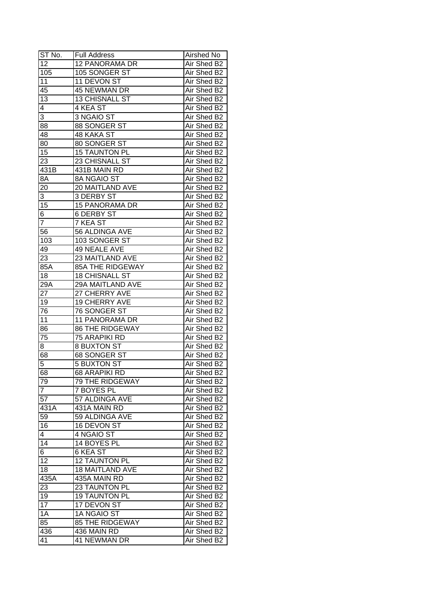| ST No.          | <b>Full Address</b>     | Airshed No  |
|-----------------|-------------------------|-------------|
| 12              | 12 PANORAMA DR          | Air Shed B2 |
| 105             | 105 SONGER ST           | Air Shed B2 |
| 11              | 11 DEVON ST             | Air Shed B2 |
| 45              | 45 NEWMAN DR            | Air Shed B2 |
| 13              | 13 CHISNALL ST          | Air Shed B2 |
| 4               | 4 KEA ST                | Air Shed B2 |
| 3               | 3 NGAIO ST              | Air Shed B2 |
| 88              | 88 SONGER ST            | Air Shed B2 |
| 48              | 48 KAKA ST              | Air Shed B2 |
| 80              | 80 SONGER ST            | Air Shed B2 |
| 15              | <b>15 TAUNTON PL</b>    | Air Shed B2 |
| 23              | 23 CHISNALL ST          | Air Shed B2 |
| 431B            | 431B MAIN RD            | Air Shed B2 |
| 8A              | 8A NGAIO ST             | Air Shed B2 |
| 20              | 20 MAITLAND AVE         | Air Shed B2 |
| 3               | <b>3 DERBY ST</b>       | Air Shed B2 |
| 15              | <b>15 PANORAMA DR</b>   | Air Shed B2 |
| $\overline{6}$  | <b>6 DERBY ST</b>       | Air Shed B2 |
| $\overline{7}$  | 7 KEA ST                | Air Shed B2 |
| 56              | 56 ALDINGA AVE          | Air Shed B2 |
| 103             | 103 SONGER ST           | Air Shed B2 |
| 49              | 49 NEALE AVE            | Air Shed B2 |
| 23              | 23 MAITLAND AVE         | Air Shed B2 |
| 85A             | <b>85A THE RIDGEWAY</b> | Air Shed B2 |
| 18              | <b>18 CHISNALL ST</b>   | Air Shed B2 |
| 29A             | 29A MAITLAND AVE        | Air Shed B2 |
| 27              | 27 CHERRY AVE           | Air Shed B2 |
| 19              | 19 CHERRY AVE           | Air Shed B2 |
| 76              | 76 SONGER ST            | Air Shed B2 |
| 11              | 11 PANORAMA DR          | Air Shed B2 |
| 86              | <b>86 THE RIDGEWAY</b>  | Air Shed B2 |
| 75              | 75 ARAPIKI RD           | Air Shed B2 |
| 8               | <b>8 BUXTON ST</b>      | Air Shed B2 |
| 68              | <b>68 SONGER ST</b>     | Air Shed B2 |
| 5               | <b>5 BUXTON ST</b>      | Air Shed B2 |
| 68              | <b>68 ARAPIKI RD</b>    | Air Shed B2 |
| 79              | 79 THE RIDGEWAY         | Air Shed B2 |
| $\overline{7}$  | 7 BOYES PL              | Air Shed B2 |
| 57              | 57 ALDINGA AVE          | Air Shed B2 |
| 431A            | 431A MAIN RD            | Air Shed B2 |
| 59              | 59 ALDINGA AVE          | Air Shed B2 |
| 16              | 16 DEVON ST             | Air Shed B2 |
| 4               | 4 NGAIO ST              | Air Shed B2 |
| 14              | 14 BOYES PL             | Air Shed B2 |
| 6               | 6 KEA ST                | Air Shed B2 |
| $\overline{12}$ | 12 TAUNTON PL           | Air Shed B2 |
| 18              | <b>18 MAITLAND AVE</b>  | Air Shed B2 |
| 435A            | 435A MAIN RD            | Air Shed B2 |
| 23              | 23 TAUNTON PL           | Air Shed B2 |
| 19              | <b>19 TAUNTON PL</b>    | Air Shed B2 |
| 17              | 17 DEVON ST             | Air Shed B2 |
| 1A              | 1A NGAIO ST             | Air Shed B2 |
| 85              | <b>85 THE RIDGEWAY</b>  | Air Shed B2 |
| 436             | 436 MAIN RD             | Air Shed B2 |
| 41              | 41 NEWMAN DR            | Air Shed B2 |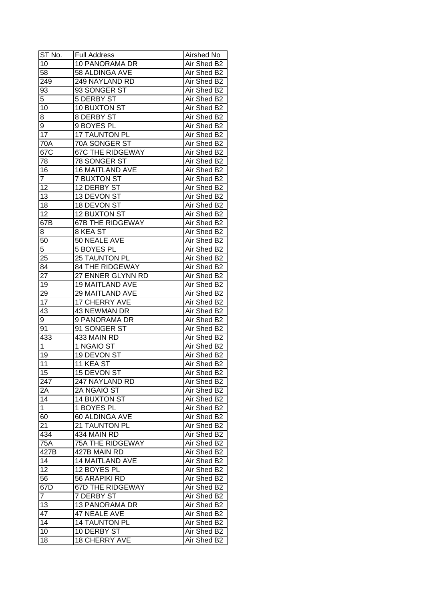| ST No.          | <b>Full Address</b>     | Airshed No  |
|-----------------|-------------------------|-------------|
| 10              | 10 PANORAMA DR          | Air Shed B2 |
| 58              | 58 ALDINGA AVE          | Air Shed B2 |
| 249             | 249 NAYLAND RD          | Air Shed B2 |
| $9\overline{3}$ | 93 SONGER ST            | Air Shed B2 |
| 5               | 5 DERBY ST              | Air Shed B2 |
| 10              | 10 BUXTON ST            | Air Shed B2 |
| 8               | 8 DERBY ST              | Air Shed B2 |
| 9               | 9 BOYES PL              | Air Shed B2 |
| 17              | <b>17 TAUNTON PL</b>    | Air Shed B2 |
| 70A             | 70A SONGER ST           | Air Shed B2 |
| 67C             | <b>67C THE RIDGEWAY</b> | Air Shed B2 |
| 78              | 78 SONGER ST            | Air Shed B2 |
| 16              | <b>16 MAITLAND AVE</b>  | Air Shed B2 |
| $\overline{7}$  | <b>7 BUXTON ST</b>      | Air Shed B2 |
| 12              | 12 DERBY ST             | Air Shed B2 |
| 13              | 13 DEVON ST             | Air Shed B2 |
| 18              | 18 DEVON ST             | Air Shed B2 |
| 12              | 12 BUXTON ST            | Air Shed B2 |
| 67B             | <b>67B THE RIDGEWAY</b> | Air Shed B2 |
| 8               | 8 KEA ST                | Air Shed B2 |
| 50              | 50 NEALE AVE            | Air Shed B2 |
| 5               | 5 BOYES PL              | Air Shed B2 |
| 25              | 25 TAUNTON PL           | Air Shed B2 |
| 84              | <b>84 THE RIDGEWAY</b>  | Air Shed B2 |
| 27              | 27 ENNER GLYNN RD       | Air Shed B2 |
| 19              | 19 MAITLAND AVE         | Air Shed B2 |
| 29              | 29 MAITLAND AVE         | Air Shed B2 |
| 17              | 17 CHERRY AVE           | Air Shed B2 |
| 43              | 43 NEWMAN DR            | Air Shed B2 |
| 9 <sup>1</sup>  | 9 PANORAMA DR           | Air Shed B2 |
| 91              | 91 SONGER ST            | Air Shed B2 |
| 433             | 433 MAIN RD             | Air Shed B2 |
| 1               | 1 NGAIO ST              | Air Shed B2 |
| 19              | 19 DEVON ST             | Air Shed B2 |
| $\overline{11}$ | 11 KEA ST               | Air Shed B2 |
| 15              | <b>15 DEVON ST</b>      | Air Shed B2 |
| 247             | 247 NAYLAND RD          | Air Shed B2 |
| 2A              | 2A NGAIO ST             | Air Shed B2 |
| $1\overline{4}$ | <b>14 BUXTON ST</b>     | Air Shed B2 |
| $\mathbf 1$     | 1 BOYES PL              | Air Shed B2 |
| 60              | 60 ALDINGA AVE          | Air Shed B2 |
| 21              | 21 TAUNTON PL           | Air Shed B2 |
| 434             | 434 MAIN RD             | Air Shed B2 |
| 75A             | 75A THE RIDGEWAY        | Air Shed B2 |
| 427B            | 427B MAIN RD            | Air Shed B2 |
| 14              | <b>14 MAITLAND AVE</b>  | Air Shed B2 |
| 12              | 12 BOYES PL             | Air Shed B2 |
| 56              | 56 ARAPIKI RD           | Air Shed B2 |
| 67D             | <b>67D THE RIDGEWAY</b> | Air Shed B2 |
| $\overline{7}$  | 7 DERBY ST              | Air Shed B2 |
| 13              | 13 PANORAMA DR          | Air Shed B2 |
| 47              | 47 NEALE AVE            | Air Shed B2 |
| 14              | <b>14 TAUNTON PL</b>    | Air Shed B2 |
| 10              | 10 DERBY ST             | Air Shed B2 |
| 18              | 18 CHERRY AVE           | Air Shed B2 |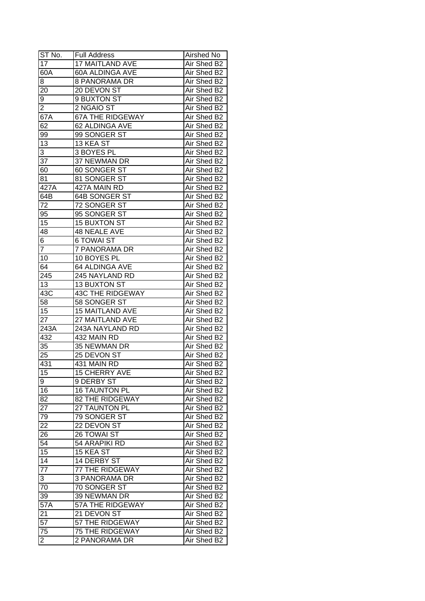| $ST N0$ .       | <b>Full Address</b>     | Airshed No  |
|-----------------|-------------------------|-------------|
| 17              | 17 MAITLAND AVE         | Air Shed B2 |
| 60A             | 60A ALDINGA AVE         | Air Shed B2 |
| 8               | 8 PANORAMA DR           | Air Shed B2 |
| 20              | 20 DEVON ST             | Air Shed B2 |
| 9               | 9 BUXTON ST             | Air Shed B2 |
| $\overline{2}$  | 2 NGAIO ST              | Air Shed B2 |
| 67A             | <b>67A THE RIDGEWAY</b> | Air Shed B2 |
| 62              | 62 ALDINGA AVE          | Air Shed B2 |
| 99              | 99 SONGER ST            | Air Shed B2 |
| 13              | 13 KEA ST               | Air Shed B2 |
| 3               | 3 BOYES PL              | Air Shed B2 |
| 37              | 37 NEWMAN DR            | Air Shed B2 |
| 60              | 60 SONGER ST            | Air Shed B2 |
| 81              | 81 SONGER ST            | Air Shed B2 |
| 427A            | 427A MAIN RD            | Air Shed B2 |
| 64B             | 64B SONGER ST           | Air Shed B2 |
| 72              | 72 SONGER ST            | Air Shed B2 |
| 95              | 95 SONGER ST            | Air Shed B2 |
| 15              | <b>15 BUXTON ST</b>     | Air Shed B2 |
| 48              | 48 NEALE AVE            | Air Shed B2 |
| 6               | <b>6 TOWAI ST</b>       | Air Shed B2 |
| $\overline{7}$  | 7 PANORAMA DR           | Air Shed B2 |
| 10              | 10 BOYES PL             | Air Shed B2 |
| 64              | 64 ALDINGA AVE          | Air Shed B2 |
| 245             | 245 NAYLAND RD          | Air Shed B2 |
| 13              | <b>13 BUXTON ST</b>     | Air Shed B2 |
| 43C             | <b>43C THE RIDGEWAY</b> | Air Shed B2 |
| 58              | 58 SONGER ST            | Air Shed B2 |
| 15              | 15 MAITLAND AVE         | Air Shed B2 |
| $2\overline{7}$ | 27 MAITLAND AVE         | Air Shed B2 |
| 243A            | 243A NAYLAND RD         | Air Shed B2 |
| 432             | 432 MAIN RD             | Air Shed B2 |
| 35              | 35 NEWMAN DR            | Air Shed B2 |
| 25              | 25 DEVON ST             | Air Shed B2 |
| 431             | 431 MAIN RD             | Air Shed B2 |
| 15              | <b>15 CHERRY AVE</b>    | Air Shed B2 |
| 9               | 9 DERBY ST              | Air Shed B2 |
| 16              | <b>16 TAUNTON PL</b>    | Air Shed B2 |
| 82              | 82 THE RIDGEWAY         | Air Shed B2 |
| 27              | 27 TAUNTON PL           | Air Shed B2 |
| 79              | 79 SONGER ST            | Air Shed B2 |
| 22              | 22 DEVON ST             | Air Shed B2 |
| 26              | 26 TOWAI ST             | Air Shed B2 |
| 54              | 54 ARAPIKI RD           | Air Shed B2 |
| 15              | 15 KEA ST               | Air Shed B2 |
| $\overline{14}$ | 14 DERBY ST             | Air Shed B2 |
| $\overline{77}$ | 77 THE RIDGEWAY         | Air Shed B2 |
| 3               | <b>3 PANORAMA DR</b>    | Air Shed B2 |
| 70              | 70 SONGER ST            | Air Shed B2 |
| 39              | 39 NEWMAN DR            | Air Shed B2 |
| 57A             | 57A THE RIDGEWAY        | Air Shed B2 |
| 21              | 21 DEVON ST             | Air Shed B2 |
| 57              | 57 THE RIDGEWAY         | Air Shed B2 |
| 75              | <b>75 THE RIDGEWAY</b>  | Air Shed B2 |
| $\overline{c}$  | 2 PANORAMA DR           | Air Shed B2 |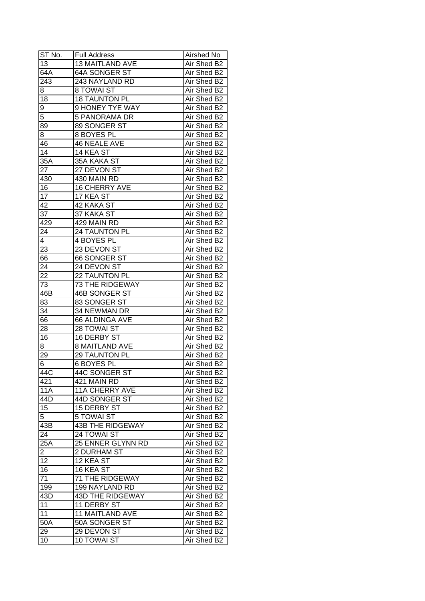| ST No.               | <b>Full Address</b>                 | Airshed No                 |
|----------------------|-------------------------------------|----------------------------|
| 13                   | <b>13 MAITLAND AVE</b>              | Air Shed B2                |
| 64A                  | 64A SONGER ST                       | Air Shed B2                |
| $\overline{243}$     | 243 NAYLAND RD                      | Air Shed B2                |
| 8                    | 8 TOWAI ST                          | Air Shed B2                |
| 18                   | <b>18 TAUNTON PL</b>                | Air Shed B2                |
| 9                    | 9 HONEY TYE WAY                     | Air Shed B2                |
| 5                    | 5 PANORAMA DR                       | Air Shed B2                |
| 89                   | 89 SONGER ST                        | Air Shed B2                |
| 8                    | 8 BOYES PL                          | Air Shed B2                |
| 46                   | 46 NEALE AVE                        | Air Shed B2                |
| 14                   | 14 KEA ST                           | Air Shed B2                |
| 35A                  | 35A KAKA ST                         | Air Shed B2                |
| 27                   | 27 DEVON ST                         | Air Shed B2                |
| 430                  | 430 MAIN RD                         | Air Shed B2                |
| 16                   | 16 CHERRY AVE                       | Air Shed B2                |
| 17                   | 17 KEA ST                           | Air Shed B2                |
| 42                   | <b>42 KAKA ST</b>                   | Air Shed B2                |
| 37                   | 37 KAKA ST                          | Air Shed B2                |
| 429                  | 429 MAIN RD                         | Air Shed B2                |
| 24                   | 24 TAUNTON PL                       | Air Shed B2                |
| 4                    | 4 BOYES PL                          | Air Shed B2                |
| 23                   | 23 DEVON ST                         | Air Shed B2                |
| 66                   | 66 SONGER ST                        | Air Shed B2                |
| 24                   | 24 DEVON ST                         | Air Shed B2                |
| 22                   | 22 TAUNTON PL                       | Air Shed B2                |
| 73                   | 73 THE RIDGEWAY                     | Air Shed B2                |
| 46B                  | 46B SONGER ST                       | Air Shed B2                |
| 83                   | 83 SONGER ST                        | Air Shed B2                |
| 34                   | 34 NEWMAN DR                        | Air Shed B2                |
| 66                   | 66 ALDINGA AVE                      | Air Shed B2                |
| 28                   | 28 TOWAI ST                         | Air Shed B2                |
| 16                   | <b>16 DERBY ST</b>                  | Air Shed B2                |
| 8                    | <b>8 MAITLAND AVE</b>               | Air Shed B2                |
| 29                   | <b>29 TAUNTON PL</b>                | Air Shed B2                |
| 6                    | <b>6 BOYES PL</b>                   | Air Shed B2                |
| 44C                  | 44C SONGER ST                       | Air Shed B2                |
| 421                  | 421 MAIN RD                         | Air Shed B2                |
| <b>11A</b>           | <b>11A CHERRY AVE</b>               | Air Shed B2                |
| 44D                  | 44D SONGER ST                       | Air Shed B2                |
| 15                   | <b>15 DERBY ST</b>                  | Air Shed B2                |
| 5                    | 5 TOWAI ST                          | Air Shed B2                |
| 43B                  | <b>43B THE RIDGEWAY</b>             | Air Shed B2                |
| 24                   | 24 TOWAI ST                         |                            |
| 25A                  | 25 ENNER GLYNN RD                   | Air Shed B2<br>Air Shed B2 |
|                      |                                     | Air Shed B2                |
| $\overline{a}$<br>12 | 2 DURHAM ST                         | Air Shed B2                |
|                      | 12 KEA ST                           | Air Shed B2                |
| 16                   | 16 KEA ST<br><b>71 THE RIDGEWAY</b> |                            |
| 71                   |                                     | Air Shed B2                |
| 199                  | 199 NAYLAND RD                      | Air Shed B2                |
| 43D                  | 43D THE RIDGEWAY                    | Air Shed B2                |
| 11                   | 11 DERBY ST                         | Air Shed B2                |
| 11                   | <b>11 MAITLAND AVE</b>              | Air Shed B2                |
| $50\overline{A}$     | 50A SONGER ST                       | Air Shed B2                |
| 29                   | 29 DEVON ST                         | Air Shed B2                |
| 10                   | <b>10 TOWAI ST</b>                  | Air Shed B2                |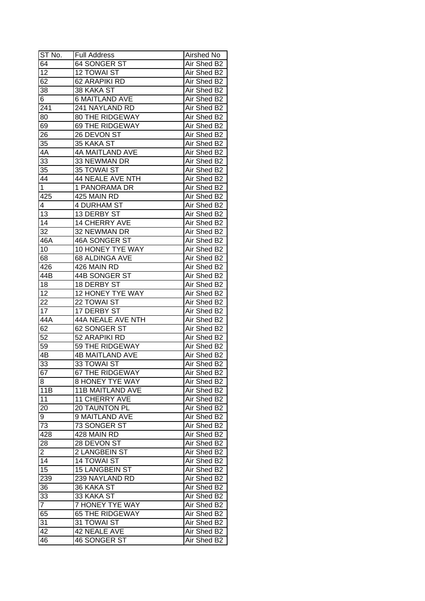| ST No.          | <b>Full Address</b>      | Airshed No  |
|-----------------|--------------------------|-------------|
| 64              | 64 SONGER ST             | Air Shed B2 |
| $\overline{12}$ | <b>12 TOWAI ST</b>       | Air Shed B2 |
| 62              | 62 ARAPIKI RD            | Air Shed B2 |
| 38              | 38 KAKA ST               | Air Shed B2 |
| 6               | <b>6 MAITLAND AVE</b>    | Air Shed B2 |
| 241             | 241 NAYLAND RD           | Air Shed B2 |
| 80              | <b>80 THE RIDGEWAY</b>   | Air Shed B2 |
| 69              | 69 THE RIDGEWAY          | Air Shed B2 |
| 26              | 26 DEVON ST              | Air Shed B2 |
| 35              | 35 KAKA ST               | Air Shed B2 |
| 4A              | 4A MAITLAND AVE          | Air Shed B2 |
| 33              | 33 NEWMAN DR             | Air Shed B2 |
| 35              | 35 TOWAI ST              | Air Shed B2 |
| 44              | 44 NEALE AVE NTH         | Air Shed B2 |
| $\mathbf{1}$    | 1 PANORAMA DR            | Air Shed B2 |
| 425             | 425 MAIN RD              | Air Shed B2 |
| 4               | <b>4 DURHAM ST</b>       | Air Shed B2 |
| 13              | 13 DERBY ST              | Air Shed B2 |
| 14              | 14 CHERRY AVE            | Air Shed B2 |
| 32              | 32 NEWMAN DR             | Air Shed B2 |
| 46A             | 46A SONGER ST            | Air Shed B2 |
| 10              | 10 HONEY TYE WAY         | Air Shed B2 |
| 68              | 68 ALDINGA AVE           | Air Shed B2 |
| 426             | 426 MAIN RD              | Air Shed B2 |
| 44B             | 44B SONGER ST            | Air Shed B2 |
| 18              | 18 DERBY ST              | Air Shed B2 |
| 12              | 12 HONEY TYE WAY         | Air Shed B2 |
| 22              | 22 TOWAI ST              | Air Shed B2 |
| 17              | 17 DERBY ST              | Air Shed B2 |
| 44A             | <b>44A NEALE AVE NTH</b> | Air Shed B2 |
| 62              | 62 SONGER ST             | Air Shed B2 |
| 52              | 52 ARAPIKI RD            | Air Shed B2 |
| 59              | 59 THE RIDGEWAY          | Air Shed B2 |
| $4\overline{B}$ | <b>4B MAITLAND AVE</b>   | Air Shed B2 |
| $\overline{33}$ | 33 TOWAI ST              | Air Shed B2 |
| 67              | 67 THE RIDGEWAY          | Air Shed B2 |
| 8               | <b>8 HONEY TYE WAY</b>   | Air Shed B2 |
| 11B             | <b>11B MAITLAND AVE</b>  | Air Shed B2 |
| 11              | <b>11 CHERRY AVE</b>     | Air Shed B2 |
| 20              | <b>20 TAUNTON PL</b>     | Air Shed B2 |
| 9               | 9 MAITLAND AVE           | Air Shed B2 |
| 73              | 73 SONGER ST             | Air Shed B2 |
| 428             | 428 MAIN RD              | Air Shed B2 |
| 28              | 28 DEVON ST              | Air Shed B2 |
| $\overline{2}$  | 2 LANGBEIN ST            | Air Shed B2 |
| 14              | 14 TOWAI ST              | Air Shed B2 |
| 15              | 15 LANGBEIN ST           | Air Shed B2 |
| 239             | 239 NAYLAND RD           | Air Shed B2 |
| 36              | 36 KAKA ST               | Air Shed B2 |
| 33              | 33 KAKA ST               | Air Shed B2 |
| $\overline{7}$  | <b>7 HONEY TYE WAY</b>   | Air Shed B2 |
| 65              | <b>65 THE RIDGEWAY</b>   | Air Shed B2 |
| 31              | 31 TOWAI ST              | Air Shed B2 |
| 42              | 42 NEALE AVE             | Air Shed B2 |
| 46              | <b>46 SONGER ST</b>      | Air Shed B2 |
|                 |                          |             |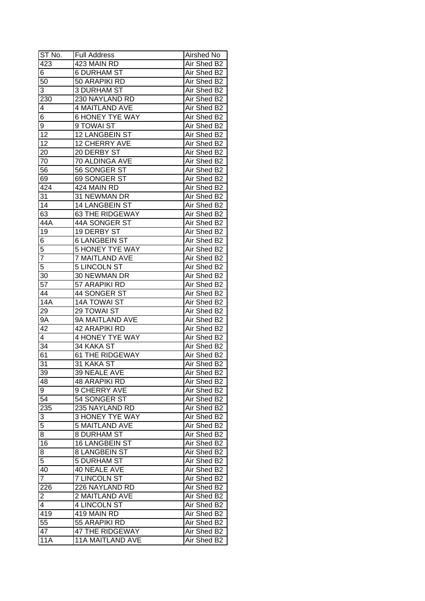| ST No.                  | <b>Full Address</b>     | Airshed No  |
|-------------------------|-------------------------|-------------|
| 423                     | 423 MAIN RD             | Air Shed B2 |
| 6                       | <b>6 DURHAM ST</b>      | Air Shed B2 |
| 50                      | 50 ARAPIKI RD           | Air Shed B2 |
| 3                       | <b>3 DURHAM ST</b>      | Air Shed B2 |
| 230                     | 230 NAYLAND RD          | Air Shed B2 |
| 4                       | <b>4 MAITLAND AVE</b>   | Air Shed B2 |
| 6                       | <b>6 HONEY TYE WAY</b>  | Air Shed B2 |
| 9                       | 9 TOWAI ST              | Air Shed B2 |
| 12                      | <b>12 LANGBEIN ST</b>   | Air Shed B2 |
| $\overline{12}$         | 12 CHERRY AVE           | Air Shed B2 |
| 20                      | 20 DERBY ST             | Air Shed B2 |
| 70                      | 70 ALDINGA AVE          | Air Shed B2 |
| 56                      | 56 SONGER ST            | Air Shed B2 |
| 69                      | 69 SONGER ST            | Air Shed B2 |
| 424                     | 424 MAIN RD             | Air Shed B2 |
| 31                      | 31 NEWMAN DR            | Air Shed B2 |
| 14                      | 14 LANGBEIN ST          | Air Shed B2 |
| 63                      | 63 THE RIDGEWAY         | Air Shed B2 |
| 44A                     | 44A SONGER ST           | Air Shed B2 |
| 19                      | 19 DERBY ST             | Air Shed B2 |
| 6                       | 6 LANGBEIN ST           | Air Shed B2 |
| 5                       | <b>5 HONEY TYE WAY</b>  | Air Shed B2 |
| 7                       | <b>7 MAITLAND AVE</b>   | Air Shed B2 |
| 5                       | <b>5 LINCOLN ST</b>     | Air Shed B2 |
| 30                      | 30 NEWMAN DR            | Air Shed B2 |
| 57                      | 57 ARAPIKI RD           | Air Shed B2 |
| 44                      | 44 SONGER ST            | Air Shed B2 |
| <b>14A</b>              | <b>14A TOWAI ST</b>     | Air Shed B2 |
| 29                      | 29 TOWAI ST             | Air Shed B2 |
| 9A                      | 9A MAITLAND AVE         | Air Shed B2 |
| 42                      | 42 ARAPIKI RD           | Air Shed B2 |
| 4                       | <b>4 HONEY TYE WAY</b>  | Air Shed B2 |
| 34                      | 34 KAKA ST              | Air Shed B2 |
| 61                      | <b>61 THE RIDGEWAY</b>  | Air Shed B2 |
| 31                      | 31 KAKA ST              | Air Shed B2 |
| 39                      | 39 NEALE AVE            | Air Shed B2 |
| 48                      | <b>48 ARAPIKI RD</b>    | Air Shed B2 |
| 9                       | 9 CHERRY AVE            | Air Shed B2 |
| $5\overline{4}$         | 54 SONGER ST            | Air Shed B2 |
| 235                     | 235 NAYLAND RD          | Air Shed B2 |
| $\overline{3}$          | <b>3 HONEY TYE WAY</b>  | Air Shed B2 |
| $\overline{5}$          | <b>5 MAITLAND AVE</b>   | Air Shed B2 |
| 8                       | <b>8 DURHAM ST</b>      | Air Shed B2 |
| 16                      | 16 LANGBEIN ST          | Air Shed B2 |
| 8                       | <b>8 LANGBEIN ST</b>    | Air Shed B2 |
| 5                       | <b>5 DURHAM ST</b>      | Air Shed B2 |
| 40                      | 40 NEALE AVE            | Air Shed B2 |
| $\overline{7}$          | 7 LINCOLN ST            | Air Shed B2 |
| 226                     | 226 NAYLAND RD          | Air Shed B2 |
| $\overline{\mathbf{c}}$ | 2 MAITLAND AVE          | Air Shed B2 |
| 4                       | 4 LINCOLN ST            | Air Shed B2 |
| 419                     | 419 MAIN RD             | Air Shed B2 |
| $5\overline{5}$         | 55 ARAPIKI RD           | Air Shed B2 |
| 47                      | 47 THE RIDGEWAY         | Air Shed B2 |
| <b>11A</b>              | <b>11A MAITLAND AVE</b> | Air Shed B2 |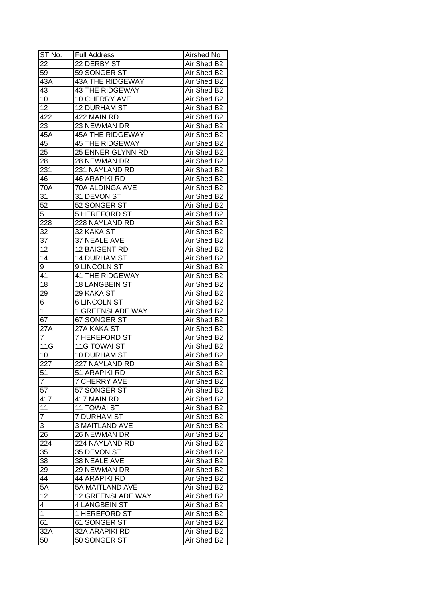| ST No.           | <b>Full Address</b>      | Airshed No  |
|------------------|--------------------------|-------------|
| 22               | 22 DERBY ST              | Air Shed B2 |
| 59               | 59 SONGER ST             | Air Shed B2 |
| 43A              | <b>43A THE RIDGEWAY</b>  | Air Shed B2 |
| 43               | <b>43 THE RIDGEWAY</b>   | Air Shed B2 |
| 10               | 10 CHERRY AVE            | Air Shed B2 |
| 12               | <b>12 DURHAM ST</b>      | Air Shed B2 |
| 422              | 422 MAIN RD              | Air Shed B2 |
| 23               | 23 NEWMAN DR             | Air Shed B2 |
| 45A              | <b>45A THE RIDGEWAY</b>  | Air Shed B2 |
| 45               | <b>45 THE RIDGEWAY</b>   | Air Shed B2 |
| 25               | 25 ENNER GLYNN RD        | Air Shed B2 |
| $\overline{28}$  | 28 NEWMAN DR             | Air Shed B2 |
| 231              | 231 NAYLAND RD           | Air Shed B2 |
| 46               | <b>46 ARAPIKI RD</b>     | Air Shed B2 |
| 70A              | 70A ALDINGA AVE          | Air Shed B2 |
| 31               | 31 DEVON ST              | Air Shed B2 |
| 52               | 52 SONGER ST             | Air Shed B2 |
| 5                | 5 HEREFORD ST            | Air Shed B2 |
| 228              | 228 NAYLAND RD           | Air Shed B2 |
| 32               | 32 KAKA ST               | Air Shed B2 |
| 37               | 37 NEALE AVE             | Air Shed B2 |
| 12               | 12 BAIGENT RD            | Air Shed B2 |
| 14               | <b>14 DURHAM ST</b>      | Air Shed B2 |
| 9                | 9 LINCOLN ST             | Air Shed B2 |
| 41               | <b>41 THE RIDGEWAY</b>   | Air Shed B2 |
| 18               | 18 LANGBEIN ST           | Air Shed B2 |
| 29               | 29 KAKA ST               | Air Shed B2 |
| 6                | <b>6 LINCOLN ST</b>      | Air Shed B2 |
| $\mathbf 1$      | <b>1 GREENSLADE WAY</b>  | Air Shed B2 |
| 67               | 67 SONGER ST             | Air Shed B2 |
| 27A              | 27A KAKA ST              | Air Shed B2 |
| $\overline{7}$   | <b>7 HEREFORD ST</b>     | Air Shed B2 |
| $11\overline{G}$ | <b>11G TOWAI ST</b>      | Air Shed B2 |
| 10               | <b>10 DURHAM ST</b>      | Air Shed B2 |
| $\overline{227}$ | 227 NAYLAND RD           | Air Shed B2 |
| $\overline{51}$  | 51 ARAPIKI RD            | Air Shed B2 |
| $\overline{7}$   | <b>7 CHERRY AVE</b>      | Air Shed B2 |
| 57               | 57 SONGER ST             | Air Shed B2 |
| 417              | 417 MAIN RD              | Air Shed B2 |
| 11               | <b>11 TOWAI ST</b>       | Air Shed B2 |
| $\overline{7}$   | <b>7 DURHAM ST</b>       | Air Shed B2 |
| 3                | <b>3 MAITLAND AVE</b>    | Air Shed B2 |
| 26               | 26 NEWMAN DR             | Air Shed B2 |
| 224              | 224 NAYLAND RD           | Air Shed B2 |
| 35               | 35 DEVON ST              | Air Shed B2 |
| 38               | <b>38 NEALE AVE</b>      | Air Shed B2 |
| $2\overline{9}$  | 29 NEWMAN DR             | Air Shed B2 |
| 44               | 44 ARAPIKI RD            | Air Shed B2 |
| 5A               | 5A MAITLAND AVE          | Air Shed B2 |
| 12               | <b>12 GREENSLADE WAY</b> | Air Shed B2 |
| 4                | <b>4 LANGBEIN ST</b>     | Air Shed B2 |
| $\mathbf{1}$     | 1 HEREFORD ST            | Air Shed B2 |
| 61               | 61 SONGER ST             | Air Shed B2 |
| 32A              | 32A ARAPIKI RD           | Air Shed B2 |
|                  | 50 SONGER ST             | Air Shed B2 |
| 50               |                          |             |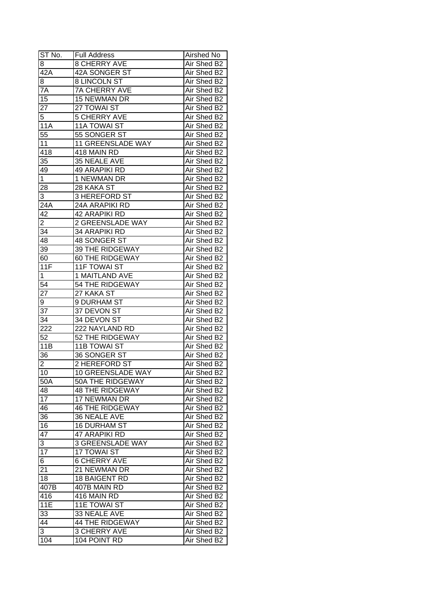| ST No.          | <b>Full Address</b>      | Airshed No  |
|-----------------|--------------------------|-------------|
| 8               | <b>8 CHERRY AVE</b>      | Air Shed B2 |
| 42A             | 42A SONGER ST            | Air Shed B2 |
| 8               | <b>8 LINCOLN ST</b>      | Air Shed B2 |
| 7A              | <b>7A CHERRY AVE</b>     | Air Shed B2 |
| 15              | 15 NEWMAN DR             | Air Shed B2 |
| 27              | 27 TOWAI ST              | Air Shed B2 |
| 5               | <b>5 CHERRY AVE</b>      | Air Shed B2 |
| <b>11A</b>      | 11A TOWAI ST             | Air Shed B2 |
| 55              | 55 SONGER ST             | Air Shed B2 |
| 11              | <b>11 GREENSLADE WAY</b> | Air Shed B2 |
| 418             | 418 MAIN RD              | Air Shed B2 |
| 35              | 35 NEALE AVE             | Air Shed B2 |
| 49              | 49 ARAPIKI RD            | Air Shed B2 |
| $\mathbf{1}$    | 1 NEWMAN DR              | Air Shed B2 |
| 28              | 28 KAKA ST               | Air Shed B2 |
| 3               | 3 HEREFORD ST            | Air Shed B2 |
| 24A             | 24A ARAPIKI RD           | Air Shed B2 |
| 42              | 42 ARAPIKI RD            | Air Shed B2 |
| 2               | 2 GREENSLADE WAY         | Air Shed B2 |
| 34              | 34 ARAPIKI RD            | Air Shed B2 |
| 48              | 48 SONGER ST             | Air Shed B2 |
| 39              | <b>39 THE RIDGEWAY</b>   | Air Shed B2 |
| 60              | <b>60 THE RIDGEWAY</b>   | Air Shed B2 |
| 11F             | <b>11F TOWAI ST</b>      | Air Shed B2 |
| 1               | 1 MAITLAND AVE           | Air Shed B2 |
| 54              | <b>54 THE RIDGEWAY</b>   | Air Shed B2 |
| 27              | 27 KAKA ST               | Air Shed B2 |
| 9               | 9 DURHAM ST              | Air Shed B2 |
| 37              | 37 DEVON ST              | Air Shed B2 |
| 34              | 34 DEVON ST              | Air Shed B2 |
| 222             | 222 NAYLAND RD           | Air Shed B2 |
| 52              | <b>52 THE RIDGEWAY</b>   | Air Shed B2 |
| 11B             | <b>11B TOWAI ST</b>      | Air Shed B2 |
| 36              | 36 SONGER ST             | Air Shed B2 |
| $\overline{2}$  | 2 HEREFORD ST            | Air Shed B2 |
| 10              | 10 GREENSLADE WAY        | Air Shed B2 |
| 50A             | 50A THE RIDGEWAY         | Air Shed B2 |
| 48              | <b>48 THE RIDGEWAY</b>   | Air Shed B2 |
| 17              | 17 NEWMAN DR             | Air Shed B2 |
| 46              | <b>46 THE RIDGEWAY</b>   | Air Shed B2 |
| 36              | 36 NEALE AVE             | Air Shed B2 |
| 16              | <b>16 DURHAM ST</b>      | Air Shed B2 |
| 47              | 47 ARAPIKI RD            | Air Shed B2 |
| 3               | <b>3 GREENSLADE WAY</b>  | Air Shed B2 |
| $1\overline{7}$ | <b>17 TOWAI ST</b>       | Air Shed B2 |
| 6 <sup>2</sup>  | <b>6 CHERRY AVE</b>      | Air Shed B2 |
| 21              | 21 NEWMAN DR             | Air Shed B2 |
| 18              | 18 BAIGENT RD            | Air Shed B2 |
| 407B            | 407B MAIN RD             | Air Shed B2 |
| 416             | 416 MAIN RD              | Air Shed B2 |
| 11E             | <b>11E TOWAI ST</b>      | Air Shed B2 |
| 33              | 33 NEALE AVE             | Air Shed B2 |
| 44              | <b>44 THE RIDGEWAY</b>   | Air Shed B2 |
| 3               | <b>3 CHERRY AVE</b>      | Air Shed B2 |
| 104             | 104 POINT RD             | Air Shed B2 |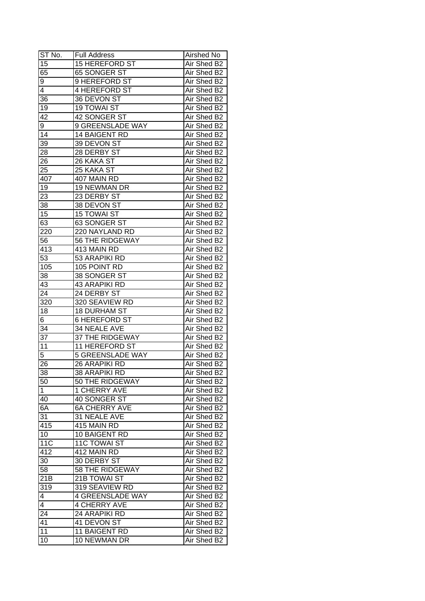| ST No.                  | <b>Full Address</b>     | Airshed No  |
|-------------------------|-------------------------|-------------|
| 15                      | <b>15 HEREFORD ST</b>   | Air Shed B2 |
| 65                      | 65 SONGER ST            | Air Shed B2 |
| 9                       | 9 HEREFORD ST           | Air Shed B2 |
| 4                       | <b>4 HEREFORD ST</b>    | Air Shed B2 |
| 36                      | 36 DEVON ST             | Air Shed B2 |
| 19                      | <b>19 TOWAI ST</b>      | Air Shed B2 |
| 42                      | 42 SONGER ST            | Air Shed B2 |
| 9                       | 9 GREENSLADE WAY        | Air Shed B2 |
| 14                      | 14 BAIGENT RD           | Air Shed B2 |
| 39                      | 39 DEVON ST             | Air Shed B2 |
| 28                      | 28 DERBY ST             | Air Shed B2 |
| 26                      | 26 KAKA ST              | Air Shed B2 |
| 25                      | 25 KAKA ST              | Air Shed B2 |
| 407                     | 407 MAIN RD             | Air Shed B2 |
| 19                      | 19 NEWMAN DR            | Air Shed B2 |
| 23                      | 23 DERBY ST             | Air Shed B2 |
| 38                      | 38 DEVON ST             | Air Shed B2 |
| 15                      | <b>15 TOWAI ST</b>      | Air Shed B2 |
| 63                      | 63 SONGER ST            | Air Shed B2 |
| 220                     | 220 NAYLAND RD          | Air Shed B2 |
| 56                      | 56 THE RIDGEWAY         | Air Shed B2 |
| 413                     | 413 MAIN RD             | Air Shed B2 |
| 53                      | 53 ARAPIKI RD           | Air Shed B2 |
| 105                     | 105 POINT RD            | Air Shed B2 |
| 38                      | 38 SONGER ST            | Air Shed B2 |
| 43                      | <b>43 ARAPIKI RD</b>    | Air Shed B2 |
| 24                      | 24 DERBY ST             | Air Shed B2 |
| 320                     | 320 SEAVIEW RD          | Air Shed B2 |
| 18                      | <b>18 DURHAM ST</b>     | Air Shed B2 |
| 6                       | <b>6 HEREFORD ST</b>    | Air Shed B2 |
| 34                      | 34 NEALE AVE            | Air Shed B2 |
| 37                      | <b>37 THE RIDGEWAY</b>  | Air Shed B2 |
| 11                      | 11 HEREFORD ST          | Air Shed B2 |
| $\overline{5}$          | <b>5 GREENSLADE WAY</b> | Air Shed B2 |
| 26                      | 26 ARAPIKI RD           | Air Shed B2 |
| 38                      | <b>38 ARAPIKI RD</b>    | Air Shed B2 |
| 50                      | 50 THE RIDGEWAY         | Air Shed B2 |
| $\mathbf 1$             | 1 CHERRY AVE            | Air Shed B2 |
| 40                      | 40 SONGER ST            | Air Shed B2 |
| 6A                      | <b>6A CHERRY AVE</b>    | Air Shed B2 |
| 31                      | 31 NEALE AVE            | Air Shed B2 |
| 415                     | 415 MAIN RD             | Air Shed B2 |
| 10                      | 10 BAIGENT RD           | Air Shed B2 |
| <b>11C</b>              | 11C TOWAI ST            | Air Shed B2 |
| 412                     | 412 MAIN RD             | Air Shed B2 |
| 30 <sub>1</sub>         | 30 DERBY ST             | Air Shed B2 |
| 58                      | 58 THE RIDGEWAY         | Air Shed B2 |
| 21B                     | 21B TOWAI ST            | Air Shed B2 |
| 319                     | 319 SEAVIEW RD          | Air Shed B2 |
| $\overline{\mathbf{4}}$ | <b>4 GREENSLADE WAY</b> | Air Shed B2 |
| 4                       | <b>4 CHERRY AVE</b>     | Air Shed B2 |
| 24                      | 24 ARAPIKI RD           | Air Shed B2 |
| 41                      | 41 DEVON ST             | Air Shed B2 |
| 11                      | 11 BAIGENT RD           | Air Shed B2 |
| 10                      | 10 NEWMAN DR            | Air Shed B2 |
|                         |                         |             |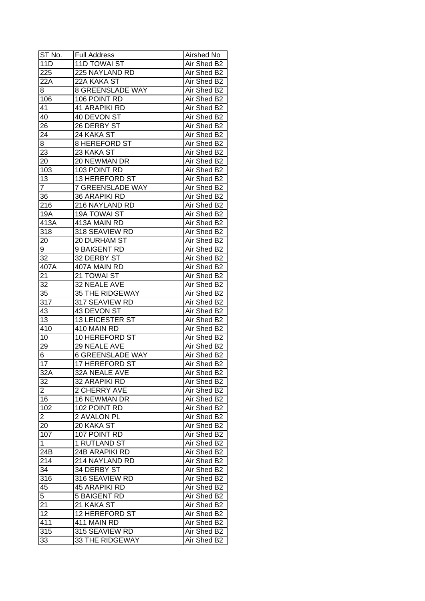| ST No.               | <b>Full Address</b>     | Airshed No  |
|----------------------|-------------------------|-------------|
| 11D                  | <b>11D TOWAI ST</b>     | Air Shed B2 |
| 225                  | 225 NAYLAND RD          | Air Shed B2 |
| 22A                  | 22A KAKA ST             | Air Shed B2 |
| 8                    | <b>8 GREENSLADE WAY</b> | Air Shed B2 |
| 106                  | 106 POINT RD            | Air Shed B2 |
| 41                   | 41 ARAPIKI RD           | Air Shed B2 |
| 40                   | 40 DEVON ST             | Air Shed B2 |
| 26                   | 26 DERBY ST             | Air Shed B2 |
| 24                   | 24 KAKA ST              | Air Shed B2 |
| 8                    | <b>8 HEREFORD ST</b>    | Air Shed B2 |
| 23                   | 23 KAKA ST              | Air Shed B2 |
| 20                   | 20 NEWMAN DR            | Air Shed B2 |
| 103                  | 103 POINT RD            | Air Shed B2 |
| 13                   | 13 HEREFORD ST          | Air Shed B2 |
| $\overline{7}$       | <b>7 GREENSLADE WAY</b> | Air Shed B2 |
| 36                   | 36 ARAPIKI RD           | Air Shed B2 |
| 216                  | 216 NAYLAND RD          | Air Shed B2 |
| 19A                  | <b>19A TOWAI ST</b>     | Air Shed B2 |
| 413A                 | 413A MAIN RD            | Air Shed B2 |
| 318                  | 318 SEAVIEW RD          | Air Shed B2 |
| 20                   | 20 DURHAM ST            | Air Shed B2 |
| 9                    | 9 BAIGENT RD            | Air Shed B2 |
| 32                   | 32 DERBY ST             | Air Shed B2 |
| 407A                 | 407A MAIN RD            | Air Shed B2 |
| 21                   | 21 TOWAI ST             | Air Shed B2 |
| 32                   | 32 NEALE AVE            | Air Shed B2 |
| 35                   | 35 THE RIDGEWAY         | Air Shed B2 |
| 317                  | 317 SEAVIEW RD          | Air Shed B2 |
| 43                   | 43 DEVON ST             | Air Shed B2 |
| 13                   | 13 LEICESTER ST         | Air Shed B2 |
| 410                  | 410 MAIN RD             | Air Shed B2 |
| 10                   | 10 HEREFORD ST          | Air Shed B2 |
| 29                   | 29 NEALE AVE            | Air Shed B2 |
| $\overline{6}$       | <b>6 GREENSLADE WAY</b> | Air Shed B2 |
| $\overline{17}$      | 17 HEREFORD ST          | Air Shed B2 |
| 32A                  | 32A NEALE AVE           | Air Shed B2 |
| 32                   | 32 ARAPIKI RD           | Air Shed B2 |
| $\overline{2}$       | 2 CHERRY AVE            | Air Shed B2 |
| 16                   | 16 NEWMAN DR            | Air Shed B2 |
| 102                  | 102 POINT RD            | Air Shed B2 |
| 2                    | 2 AVALON PL             | Air Shed B2 |
| 20                   | 20 KAKA ST              | Air Shed B2 |
| 107                  | 107 POINT RD            | Air Shed B2 |
| $\mathbf 1$          | 1 RUTLAND ST            | Air Shed B2 |
| 24B                  | 24B ARAPIKI RD          | Air Shed B2 |
| 214                  | 214 NAYLAND RD          | Air Shed B2 |
| 34                   | 34 DERBY ST             | Air Shed B2 |
| 316                  |                         |             |
|                      | 316 SEAVIEW RD          | Air Shed B2 |
| 45<br>$\overline{5}$ | 45 ARAPIKI RD           | Air Shed B2 |
|                      | <b>5 BAIGENT RD</b>     | Air Shed B2 |
| 21                   | 21 KAKA ST              | Air Shed B2 |
| 12                   | 12 HEREFORD ST          | Air Shed B2 |
| 411                  | 411 MAIN RD             | Air Shed B2 |
| 315                  | 315 SEAVIEW RD          | Air Shed B2 |
| 33                   | <b>33 THE RIDGEWAY</b>  | Air Shed B2 |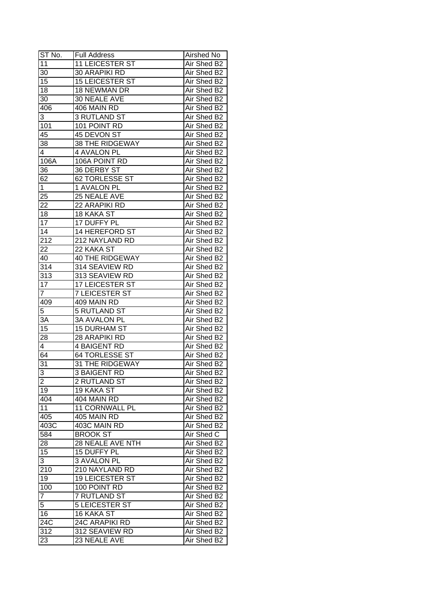| $ST N0$ .        | <b>Full Address</b>    | Airshed No  |
|------------------|------------------------|-------------|
| 11               | 11 LEICESTER ST        | Air Shed B2 |
| 30               | 30 ARAPIKI RD          | Air Shed B2 |
| 15               | <b>15 LEICESTER ST</b> | Air Shed B2 |
| 18               | 18 NEWMAN DR           | Air Shed B2 |
| 30               | 30 NEALE AVE           | Air Shed B2 |
| 406              | 406 MAIN RD            | Air Shed B2 |
| 3                | 3 RUTLAND ST           | Air Shed B2 |
| 101              | 101 POINT RD           | Air Shed B2 |
| 45               | 45 DEVON ST            | Air Shed B2 |
| 38               | 38 THE RIDGEWAY        | Air Shed B2 |
| 4                | 4 AVALON PL            | Air Shed B2 |
| 106A             | 106A POINT RD          | Air Shed B2 |
| 36               | 36 DERBY ST            | Air Shed B2 |
| 62               | <b>62 TORLESSE ST</b>  | Air Shed B2 |
| $\mathbf{1}$     | 1 AVALON PL            | Air Shed B2 |
| 25               | 25 NEALE AVE           | Air Shed B2 |
| 22               | 22 ARAPIKI RD          | Air Shed B2 |
| 18               | 18 KAKA ST             |             |
| $\overline{17}$  |                        | Air Shed B2 |
| 14               | 17 DUFFY PL            | Air Shed B2 |
| $21\overline{2}$ | 14 HEREFORD ST         | Air Shed B2 |
|                  | 212 NAYLAND RD         | Air Shed B2 |
| 22               | 22 KAKA ST             | Air Shed B2 |
| 40               | <b>40 THE RIDGEWAY</b> | Air Shed B2 |
| 314              | 314 SEAVIEW RD         | Air Shed B2 |
| 313              | 313 SEAVIEW RD         | Air Shed B2 |
| 17               | 17 LEICESTER ST        | Air Shed B2 |
| $\overline{7}$   | <b>7 LEICESTER ST</b>  | Air Shed B2 |
| 409              | 409 MAIN RD            | Air Shed B2 |
| 5                | 5 RUTLAND ST           | Air Shed B2 |
| 3A               | <b>3A AVALON PL</b>    | Air Shed B2 |
| 15               | <b>15 DURHAM ST</b>    | Air Shed B2 |
| 28               | 28 ARAPIKI RD          | Air Shed B2 |
| 4                | <b>4 BAIGENT RD</b>    | Air Shed B2 |
| 64               | <b>64 TORLESSE ST</b>  | Air Shed B2 |
| 31               | <b>31 THE RIDGEWAY</b> | Air Shed B2 |
| $\overline{3}$   | <b>3 BAIGENT RD</b>    | Air Shed B2 |
| $\overline{2}$   | 2 RUTLAND ST           | Air Shed B2 |
| 19               | 19 KAKA ST             | Air Shed B2 |
| 404              | 404 MAIN RD            | Air Shed B2 |
| 11               | 11 CORNWALL PL         | Air Shed B2 |
| 405              | 405 MAIN RD            | Air Shed B2 |
| 403C             | 403C MAIN RD           | Air Shed B2 |
| 584              | <b>BROOK ST</b>        | Air Shed C  |
| 28               | 28 NEALE AVE NTH       | Air Shed B2 |
| 15               | 15 DUFFY PL            | Air Shed B2 |
| 3                | 3 AVALON PL            | Air Shed B2 |
| 210              | 210 NAYLAND RD         | Air Shed B2 |
| 19               | 19 LEICESTER ST        | Air Shed B2 |
| 100              | 100 POINT RD           | Air Shed B2 |
| $\overline{7}$   | 7 RUTLAND ST           | Air Shed B2 |
| 5                | <b>5 LEICESTER ST</b>  | Air Shed B2 |
| 16               | 16 KAKA ST             | Air Shed B2 |
| 24C              | 24C ARAPIKI RD         | Air Shed B2 |
| 312              | 312 SEAVIEW RD         | Air Shed B2 |
| 23               | 23 NEALE AVE           | Air Shed B2 |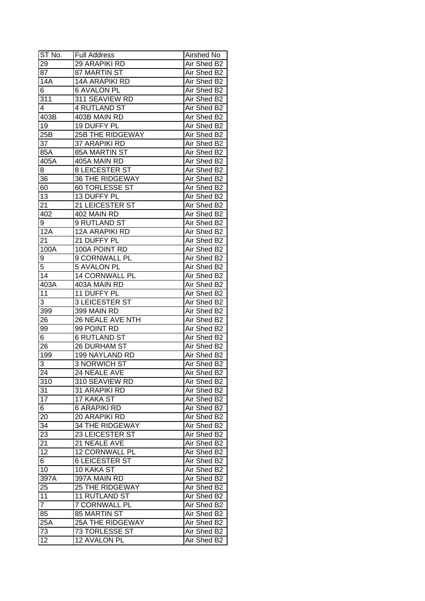| ST No.                | <b>Full Address</b>                       | Airshed No                 |
|-----------------------|-------------------------------------------|----------------------------|
| 29                    | <b>29 ARAPIKI RD</b>                      | Air Shed B2                |
| 87                    | 87 MARTIN ST                              | Air Shed B2                |
| 14A                   | <b>14A ARAPIKI RD</b>                     | Air Shed B2                |
| 6                     | <b>6 AVALON PL</b>                        | Air Shed B2                |
| 311                   | 311 SEAVIEW RD                            | Air Shed B2                |
| 4                     | <b>4 RUTLAND ST</b>                       | Air Shed B2                |
| 403B                  | 403B MAIN RD                              | Air Shed B2                |
| 19                    | 19 DUFFY PL                               | Air Shed B2                |
| 25B                   | <b>25B THE RIDGEWAY</b>                   | Air Shed B2                |
| 37                    | <b>37 ARAPIKI RD</b>                      | Air Shed B2                |
| 85A                   | 85A MARTIN ST                             | Air Shed B2                |
| 405A                  | 405A MAIN RD                              | Air Shed B2                |
| 8                     | 8 LEICESTER ST                            | Air Shed B2                |
| 36                    | 36 THE RIDGEWAY                           | Air Shed B2                |
| 60                    | 60 TORLESSE ST                            | Air Shed B2                |
| 13                    | 13 DUFFY PL                               | Air Shed B2                |
| 21                    | 21 LEICESTER ST                           | Air Shed B2                |
| 402                   | 402 MAIN RD                               | Air Shed B2                |
| 9                     | 9 RUTLAND ST                              | Air Shed B2                |
| 12A                   | <b>12A ARAPIKI RD</b>                     | Air Shed B2                |
| 21                    | 21 DUFFY PL                               | Air Shed B2                |
| 100A                  | 100A POINT RD                             | Air Shed B2                |
| 9                     | <b>9 CORNWALL PL</b>                      | Air Shed B2                |
| 5                     | <b>5 AVALON PL</b>                        | Air Shed B2                |
| 14                    | 14 CORNWALL PL                            | Air Shed B2                |
| 403A                  | 403A MAIN RD                              | Air Shed B2                |
| 11                    |                                           |                            |
|                       | 11 DUFFY PL                               | Air Shed B2                |
| 3                     | <b>3 LEICESTER ST</b>                     | Air Shed B2                |
| 399                   | 399 MAIN RD<br>26 NEALE AVE NTH           | Air Shed B2<br>Air Shed B2 |
| 26<br>99              | 99 POINT RD                               | Air Shed B2                |
| 6                     | <b>6 RUTLAND ST</b>                       | Air Shed B2                |
| 26                    | <b>26 DURHAM ST</b>                       | Air Shed B2                |
| 199                   | <b>199 NAYLAND RD</b>                     | Air Shed B2                |
|                       | <b>3 NORWICH ST</b>                       | Air Shed B2                |
| 3<br>24               | 24 NEALE AVE                              | Air Shed B2                |
|                       | 310 SEAVIEW RD                            |                            |
| 310                   |                                           | Air Shed B2                |
| 31<br>$\overline{17}$ | 31 ARAPIKI RD                             | Air Shed B2<br>Air Shed B2 |
|                       | 17 KAKA ST                                |                            |
| 6                     | 6 ARAPIKI RD                              | Air Shed B2                |
| 20                    | 20 ARAPIKI RD                             | Air Shed B2                |
| 34                    | <b>34 THE RIDGEWAY</b><br>23 LEICESTER ST | Air Shed B2                |
| 23                    |                                           | Air Shed B2                |
| 21                    | 21 NEALE AVE                              | Air Shed B2                |
| 12                    | <b>12 CORNWALL PL</b>                     | Air Shed B2                |
| 6                     | <b>6 LEICESTER ST</b>                     | Air Shed B2                |
| 10                    | 10 KAKA ST                                | Air Shed B2                |
| 397A                  | 397A MAIN RD                              | Air Shed B2                |
| 25                    | <b>25 THE RIDGEWAY</b>                    | Air Shed B2                |
| 11                    | 11 RUTLAND ST                             | Air Shed B2                |
| $\overline{7}$        | 7 CORNWALL PL                             | Air Shed B2                |
| 85                    | 85 MARTIN ST                              | Air Shed B2                |
| 25A                   | <b>25A THE RIDGEWAY</b>                   | Air Shed B2                |
| 73                    | 73 TORLESSE ST                            | Air Shed B2                |
| 12                    | 12 AVALON PL                              | Air Shed B2                |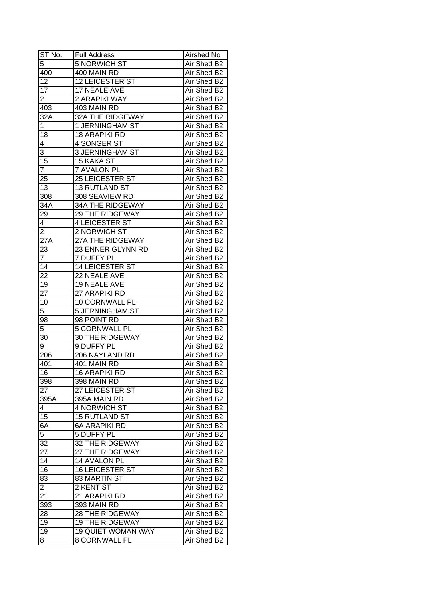| ST No.          | <b>Full Address</b>       | Airshed No  |
|-----------------|---------------------------|-------------|
| $\overline{5}$  | <b>5 NORWICH ST</b>       | Air Shed B2 |
| 400             | 400 MAIN RD               | Air Shed B2 |
| 12              | <b>12 LEICESTER ST</b>    | Air Shed B2 |
| $\overline{17}$ | 17 NEALE AVE              | Air Shed B2 |
| $\overline{2}$  | 2 ARAPIKI WAY             | Air Shed B2 |
| 403             | 403 MAIN RD               | Air Shed B2 |
| 32A             | 32A THE RIDGEWAY          | Air Shed B2 |
| 1               | 1 JERNINGHAM ST           | Air Shed B2 |
| 18              | <b>18 ARAPIKI RD</b>      | Air Shed B2 |
| 4               | 4 SONGER ST               | Air Shed B2 |
| 3               | <b>3 JERNINGHAM ST</b>    | Air Shed B2 |
| 15              | 15 KAKA ST                | Air Shed B2 |
| $\overline{7}$  | <b>7 AVALON PL</b>        | Air Shed B2 |
| 25              | 25 LEICESTER ST           | Air Shed B2 |
| 13              | 13 RUTLAND ST             | Air Shed B2 |
| 308             | 308 SEAVIEW RD            | Air Shed B2 |
| 34A             | <b>34A THE RIDGEWAY</b>   | Air Shed B2 |
| 29              | <b>29 THE RIDGEWAY</b>    | Air Shed B2 |
| 4               | <b>4 LEICESTER ST</b>     | Air Shed B2 |
| $\overline{c}$  | 2 NORWICH ST              | Air Shed B2 |
| 27A             | 27A THE RIDGEWAY          | Air Shed B2 |
| 23              | 23 ENNER GLYNN RD         | Air Shed B2 |
| 7               | 7 DUFFY PL                | Air Shed B2 |
| 14              | 14 LEICESTER ST           | Air Shed B2 |
| 22              | 22 NEALE AVE              | Air Shed B2 |
| 19              | 19 NEALE AVE              | Air Shed B2 |
| 27              | 27 ARAPIKI RD             | Air Shed B2 |
| 10              | 10 CORNWALL PL            | Air Shed B2 |
| 5               | 5 JERNINGHAM ST           | Air Shed B2 |
| 98              | 98 POINT RD               | Air Shed B2 |
| $\overline{5}$  | 5 CORNWALL PL             | Air Shed B2 |
| 30              | <b>30 THE RIDGEWAY</b>    | Air Shed B2 |
| 9               | <b>9 DUFFY PL</b>         | Air Shed B2 |
| 206             | 206 NAYLAND RD            | Air Shed B2 |
| 401             | 401 MAIN RD               | Air Shed B2 |
| 16              | <b>16 ARAPIKI RD</b>      | Air Shed B2 |
| 398             | 398 MAIN RD               | Air Shed B2 |
| 27              | <b>27 LEICESTER ST</b>    | Air Shed B2 |
| 395A            | 395A MAIN RD              | Air Shed B2 |
| 4               | 4 NORWICH ST              | Air Shed B2 |
| 15              | 15 RUTLAND ST             | Air Shed B2 |
| 6A              | <b>6A ARAPIKI RD</b>      | Air Shed B2 |
| $\overline{5}$  | 5 DUFFY PL                | Air Shed B2 |
| 32              | 32 THE RIDGEWAY           | Air Shed B2 |
| 27              | <b>27 THE RIDGEWAY</b>    | Air Shed B2 |
| 14              | 14 AVALON PL              | Air Shed B2 |
| 16              | 16 LEICESTER ST           | Air Shed B2 |
| 83              | 83 MARTIN ST              | Air Shed B2 |
| $\overline{c}$  | 2 KENT ST                 | Air Shed B2 |
| 21              | 21 ARAPIKI RD             | Air Shed B2 |
| 393             | 393 MAIN RD               | Air Shed B2 |
| 28              | <b>28 THE RIDGEWAY</b>    | Air Shed B2 |
| 19              | 19 THE RIDGEWAY           | Air Shed B2 |
| 19              | <b>19 QUIET WOMAN WAY</b> | Air Shed B2 |
|                 | <b>8 CORNWALL PL</b>      |             |
| 8               |                           | Air Shed B2 |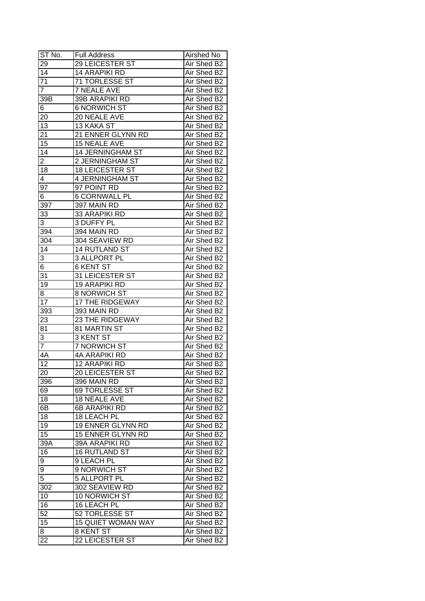| ST No.          | <b>Full Address</b>       | Airshed No  |
|-----------------|---------------------------|-------------|
| 29              | <b>29 LEICESTER ST</b>    | Air Shed B2 |
| $\overline{14}$ | <b>14 ARAPIKI RD</b>      | Air Shed B2 |
| $\overline{71}$ | 71 TORLESSE ST            | Air Shed B2 |
| $\overline{7}$  | <b>7 NEALE AVE</b>        | Air Shed B2 |
| 39B             | 39B ARAPIKI RD            | Air Shed B2 |
| 6               | <b>6 NORWICH ST</b>       | Air Shed B2 |
| 20              | 20 NEALE AVE              | Air Shed B2 |
| 13              | 13 KAKA ST                | Air Shed B2 |
| 21              | 21 ENNER GLYNN RD         | Air Shed B2 |
| 15              | 15 NEALE AVE              | Air Shed B2 |
| 14              | 14 JERNINGHAM ST          | Air Shed B2 |
| $\overline{2}$  | 2 JERNINGHAM ST           | Air Shed B2 |
| 18              | 18 LEICESTER ST           | Air Shed B2 |
| 4               | 4 JERNINGHAM ST           | Air Shed B2 |
| 97              | 97 POINT RD               | Air Shed B2 |
| 6               | <b>6 CORNWALL PL</b>      | Air Shed B2 |
| 397             | 397 MAIN RD               | Air Shed B2 |
| 33              | 33 ARAPIKI RD             | Air Shed B2 |
| 3               | 3 DUFFY PL                | Air Shed B2 |
| 394             | 394 MAIN RD               | Air Shed B2 |
| 304             | 304 SEAVIEW RD            | Air Shed B2 |
| 14              | 14 RUTLAND ST             | Air Shed B2 |
| 3               | 3 ALLPORT PL              | Air Shed B2 |
| 6               | <b>6 KENT ST</b>          | Air Shed B2 |
| 31              | 31 LEICESTER ST           | Air Shed B2 |
| 19              | <b>19 ARAPIKI RD</b>      | Air Shed B2 |
| 8               | <b>8 NORWICH ST</b>       | Air Shed B2 |
| 17              | 17 THE RIDGEWAY           | Air Shed B2 |
| 393             | 393 MAIN RD               | Air Shed B2 |
| 23              | <b>23 THE RIDGEWAY</b>    | Air Shed B2 |
| 81              | 81 MARTIN ST              | Air Shed B2 |
| 3               | <b>3 KENT ST</b>          | Air Shed B2 |
| $\overline{7}$  | <b>7 NORWICH ST</b>       | Air Shed B2 |
| 4A              | <b>4A ARAPIKI RD</b>      | Air Shed B2 |
| $\overline{12}$ | <b>12 ARAPIKI RD</b>      | Air Shed B2 |
| 20              | 20 LEICESTER ST           | Air Shed B2 |
| 396             | 396 MAIN RD               | Air Shed B2 |
| 69              | 69 TORLESSE ST            | Air Shed B2 |
| 18              | <b>18 NEALE AVE</b>       | Air Shed B2 |
| 6B              | 6B ARAPIKI RD             | Air Shed B2 |
| 18              | 18 LEACH PL               | Air Shed B2 |
| 19              | 19 ENNER GLYNN RD         | Air Shed B2 |
| 15              | 15 ENNER GLYNN RD         | Air Shed B2 |
| 39A             | 39A ARAPIKI RD            | Air Shed B2 |
| 16              | 16 RUTLAND ST             | Air Shed B2 |
| 9               | 9 LEACH PL                | Air Shed B2 |
| 9               | 9 NORWICH ST              | Air Shed B2 |
| 5               | 5 ALLPORT PL              | Air Shed B2 |
| 302             | 302 SEAVIEW RD            | Air Shed B2 |
| 10              | 10 NORWICH ST             | Air Shed B2 |
| 16              | 16 LEACH PL               | Air Shed B2 |
| 52              | 52 TORLESSE ST            | Air Shed B2 |
| 15              | <b>15 QUIET WOMAN WAY</b> | Air Shed B2 |
| 8               | 8 KENT ST                 | Air Shed B2 |
| 22              | 22 LEICESTER ST           | Air Shed B2 |
|                 |                           |             |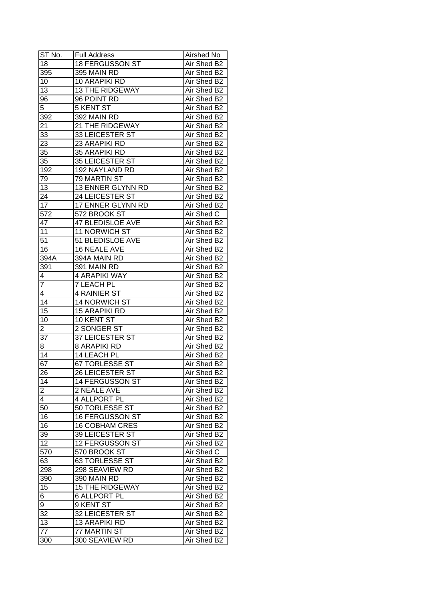| ST No.          | <b>Full Address</b>     | Airshed No  |
|-----------------|-------------------------|-------------|
| 18              | <b>18 FERGUSSON ST</b>  | Air Shed B2 |
| 395             | 395 MAIN RD             | Air Shed B2 |
| 10              | 10 ARAPIKI RD           | Air Shed B2 |
| 13              | <b>13 THE RIDGEWAY</b>  | Air Shed B2 |
| 96              | 96 POINT RD             | Air Shed B2 |
| 5               | <b>5 KENT ST</b>        | Air Shed B2 |
| 392             | 392 MAIN RD             | Air Shed B2 |
| 21              | 21 THE RIDGEWAY         | Air Shed B2 |
| 33              | 33 LEICESTER ST         | Air Shed B2 |
| 23              | 23 ARAPIKI RD           | Air Shed B2 |
| 35              | 35 ARAPIKI RD           | Air Shed B2 |
| 35              | 35 LEICESTER ST         | Air Shed B2 |
| 192             | 192 NAYLAND RD          | Air Shed B2 |
| 79              | 79 MARTIN ST            | Air Shed B2 |
| 13              | 13 ENNER GLYNN RD       | Air Shed B2 |
| 24              | 24 LEICESTER ST         | Air Shed B2 |
| 17              | 17 ENNER GLYNN RD       | Air Shed B2 |
| 572             | 572 BROOK ST            | Air Shed C  |
| 47              | <b>47 BLEDISLOE AVE</b> | Air Shed B2 |
| 11              | 11 NORWICH ST           | Air Shed B2 |
| 51              | 51 BLEDISLOE AVE        | Air Shed B2 |
| 16              | 16 NEALE AVE            | Air Shed B2 |
| 394A            | 394A MAIN RD            | Air Shed B2 |
| 391             | 391 MAIN RD             | Air Shed B2 |
| 4               | 4 ARAPIKI WAY           | Air Shed B2 |
| $\overline{7}$  | <b>7 LEACH PL</b>       | Air Shed B2 |
| 4               | <b>4 RAINIER ST</b>     | Air Shed B2 |
| 14              | 14 NORWICH ST           | Air Shed B2 |
| 15              | <b>15 ARAPIKI RD</b>    | Air Shed B2 |
| 10              | 10 KENT ST              | Air Shed B2 |
| $\overline{2}$  | 2 SONGER ST             | Air Shed B2 |
| 37              | 37 LEICESTER ST         | Air Shed B2 |
| 8               | <b>8 ARAPIKI RD</b>     | Air Shed B2 |
| $\overline{14}$ | <b>14 LEACH PL</b>      | Air Shed B2 |
| $\overline{67}$ | <b>67 TORLESSE ST</b>   | Air Shed B2 |
| 26              | 26 LEICESTER ST         | Air Shed B2 |
| 14              | 14 FERGUSSON ST         | Air Shed B2 |
| $\overline{2}$  | 2 NEALE AVE             | Air Shed B2 |
| 4               | 4 ALLPORT PL            | Air Shed B2 |
| 50              | 50 TORLESSE ST          | Air Shed B2 |
| 16              | 16 FERGUSSON ST         | Air Shed B2 |
| 16              | <b>16 COBHAM CRES</b>   | Air Shed B2 |
| 39              | 39 LEICESTER ST         | Air Shed B2 |
| 12              | 12 FERGUSSON ST         | Air Shed B2 |
| 570             | 570 BROOK ST            | Air Shed C  |
| 63              | 63 TORLESSE ST          | Air Shed B2 |
| 298             | 298 SEAVIEW RD          | Air Shed B2 |
| 390             | 390 MAIN RD             | Air Shed B2 |
| 15              | <b>15 THE RIDGEWAY</b>  | Air Shed B2 |
| $\overline{6}$  | <b>6 ALLPORT PL</b>     | Air Shed B2 |
| 9               | 9 KENT ST               | Air Shed B2 |
| 32              | 32 LEICESTER ST         | Air Shed B2 |
| 13              | 13 ARAPIKI RD           | Air Shed B2 |
| 77              | 77 MARTIN ST            | Air Shed B2 |
| 300             | 300 SEAVIEW RD          | Air Shed B2 |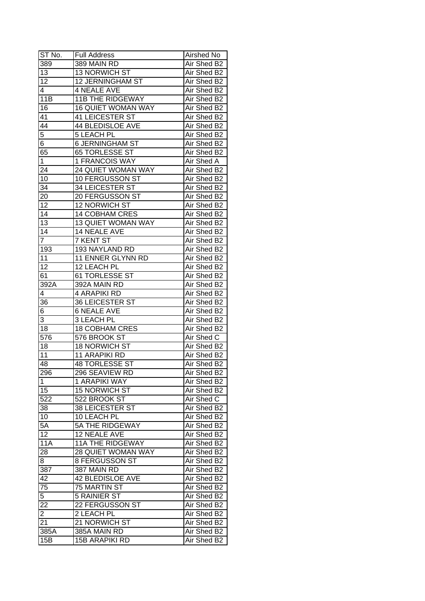| ST No.          | <b>Full Address</b>       | Airshed No  |
|-----------------|---------------------------|-------------|
| 389             | 389 MAIN RD               | Air Shed B2 |
| 13              | 13 NORWICH ST             | Air Shed B2 |
| 12              | 12 JERNINGHAM ST          | Air Shed B2 |
| 4               | <b>4 NEALE AVE</b>        | Air Shed B2 |
| 11B             | <b>11B THE RIDGEWAY</b>   | Air Shed B2 |
| 16              | <b>16 QUIET WOMAN WAY</b> | Air Shed B2 |
| 41              | <b>41 LEICESTER ST</b>    | Air Shed B2 |
| $4\overline{4}$ | <b>44 BLEDISLOE AVE</b>   | Air Shed B2 |
| 5               | <b>5 LEACH PL</b>         | Air Shed B2 |
| 6               | <b>6 JERNINGHAM ST</b>    | Air Shed B2 |
| 65              | 65 TORLESSE ST            | Air Shed B2 |
| $\mathbf 1$     | 1 FRANCOIS WAY            | Air Shed A  |
| 24              | 24 QUIET WOMAN WAY        | Air Shed B2 |
| 10              | 10 FERGUSSON ST           | Air Shed B2 |
| 34              | 34 LEICESTER ST           | Air Shed B2 |
| 20              | 20 FERGUSSON ST           | Air Shed B2 |
| 12              | <b>12 NORWICH ST</b>      | Air Shed B2 |
| $\overline{14}$ | <b>14 COBHAM CRES</b>     | Air Shed B2 |
| 13              | 13 QUIET WOMAN WAY        | Air Shed B2 |
| 14              | 14 NEALE AVE              | Air Shed B2 |
| $\overline{7}$  | 7 KENT ST                 | Air Shed B2 |
| 193             | 193 NAYLAND RD            | Air Shed B2 |
| 11              | 11 ENNER GLYNN RD         | Air Shed B2 |
| 12              | 12 LEACH PL               | Air Shed B2 |
| 61              | 61 TORLESSE ST            | Air Shed B2 |
| 392A            | 392A MAIN RD              | Air Shed B2 |
| 4               | 4 ARAPIKI RD              | Air Shed B2 |
| 36              | 36 LEICESTER ST           | Air Shed B2 |
| 6               | <b>6 NEALE AVE</b>        | Air Shed B2 |
| 3               | 3 LEACH PL                | Air Shed B2 |
| 18              | <b>18 COBHAM CRES</b>     | Air Shed B2 |
| 576             | 576 BROOK ST              | Air Shed C  |
| 18              | <b>18 NORWICH ST</b>      | Air Shed B2 |
| $\overline{11}$ | 11 ARAPIKI RD             | Air Shed B2 |
| 48              | <b>48 TORLESSE ST</b>     | Air Shed B2 |
| 296             | 296 SEAVIEW RD            | Air Shed B2 |
| 1               | 1 ARAPIKI WAY             | Air Shed B2 |
| 15              | <b>15 NORWICH ST</b>      | Air Shed B2 |
| 522             | 522 BROOK ST              | Air Shed C  |
| 38              | <b>38 LEICESTER ST</b>    | Air Shed B2 |
| 10              | 10 LEACH PL               | Air Shed B2 |
| 5A              | 5A THE RIDGEWAY           | Air Shed B2 |
| $\overline{12}$ | 12 NEALE AVE              | Air Shed B2 |
| <b>11A</b>      | <b>11A THE RIDGEWAY</b>   | Air Shed B2 |
| 28              | 28 QUIET WOMAN WAY        | Air Shed B2 |
| 8               | <b>8 FERGUSSON ST</b>     | Air Shed B2 |
| 387             | 387 MAIN RD               | Air Shed B2 |
| 42              | <b>42 BLEDISLOE AVE</b>   | Air Shed B2 |
| 75              | 75 MARTIN ST              | Air Shed B2 |
| $\overline{5}$  |                           |             |
|                 | <b>5 RAINIER ST</b>       | Air Shed B2 |
| 22              | 22 FERGUSSON ST           | Air Shed B2 |
| 2               | 2 LEACH PL                | Air Shed B2 |
| 21              | 21 NORWICH ST             | Air Shed B2 |
| 385A            | 385A MAIN RD              | Air Shed B2 |
| 15B             | <b>15B ARAPIKI RD</b>     | Air Shed B2 |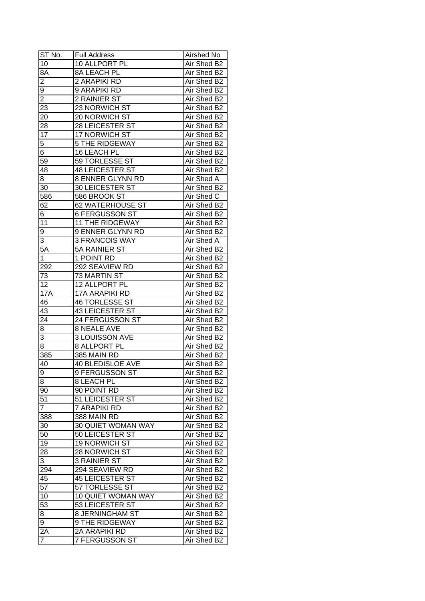| ST No.          | <b>Full Address</b>       | Airshed No        |
|-----------------|---------------------------|-------------------|
| 10              | 10 ALLPORT PL             | Air Shed B2       |
| 8A              | 8A LEACH PL               | Air Shed B2       |
| $\overline{2}$  | 2 ARAPIKI RD              | Air Shed B2       |
| 9               | 9 ARAPIKI RD              | Air Shed B2       |
| $\overline{2}$  | 2 RAINIER ST              | Air Shed B2       |
| 23              | 23 NORWICH ST             | Air Shed B2       |
| 20              | 20 NORWICH ST             | Air Shed B2       |
| 28              | 28 LEICESTER ST           | Air Shed B2       |
| 17              | 17 NORWICH ST             | Air Shed B2       |
| 5               | <b>5 THE RIDGEWAY</b>     | Air Shed B2       |
| 6               | 16 LEACH PL               | Air Shed B2       |
| $\overline{59}$ | 59 TORLESSE ST            | Air Shed B2       |
| 48              | <b>48 LEICESTER ST</b>    | Air Shed B2       |
| 8               | 8 ENNER GLYNN RD          | <b>Air Shed A</b> |
| 30              | <b>30 LEICESTER ST</b>    | Air Shed B2       |
| 586             | 586 BROOK ST              | Air Shed C        |
| 62              | 62 WATERHOUSE ST          | Air Shed B2       |
| 6               | <b>6 FERGUSSON ST</b>     | Air Shed B2       |
| 11              | <b>11 THE RIDGEWAY</b>    | Air Shed B2       |
| 9               | 9 ENNER GLYNN RD          | Air Shed B2       |
| 3               | <b>3 FRANCOIS WAY</b>     | Air Shed A        |
| $5\overline{A}$ | <b>5A RAINIER ST</b>      | Air Shed B2       |
| 1               | 1 POINT RD                | Air Shed B2       |
| 292             | 292 SEAVIEW RD            | Air Shed B2       |
| 73              | 73 MARTIN ST              | Air Shed B2       |
| 12              | 12 ALLPORT PL             | Air Shed B2       |
| 17A             | 17A ARAPIKI RD            | Air Shed B2       |
| 46              | 46 TORLESSE ST            | Air Shed B2       |
| 43              | 43 LEICESTER ST           | Air Shed B2       |
| 24              | 24 FERGUSSON ST           | Air Shed B2       |
| 8               | <b>8 NEALE AVE</b>        | Air Shed B2       |
| 3               | <b>3 LOUISSON AVE</b>     | Air Shed B2       |
| $\overline{8}$  | <b>8 ALLPORT PL</b>       | Air Shed B2       |
| 385             | 385 MAIN RD               | Air Shed B2       |
| 40              | <b>40 BLEDISLOE AVE</b>   | Air Shed B2       |
| $\overline{9}$  | 9 FERGUSSON ST            | Air Shed B2       |
| 8               | 8 LEACH PL                | Air Shed B2       |
| 90              | 90 POINT RD               | Air Shed B2       |
| 51              | 51 LEICESTER ST           | Air Shed B2       |
| $\overline{7}$  | 7 ARAPIKI RD              | Air Shed B2       |
| 388             | 388 MAIN RD               | Air Shed B2       |
| 30              | 30 QUIET WOMAN WAY        | Air Shed B2       |
| 50              | 50 LEICESTER ST           | Air Shed B2       |
| 19              | 19 NORWICH ST             | Air Shed B2       |
| 28              | 28 NORWICH ST             | Air Shed B2       |
| 3               | <b>3 RAINIER ST</b>       | Air Shed B2       |
| 294             | 294 SEAVIEW RD            | Air Shed B2       |
| 45              | 45 LEICESTER ST           | Air Shed B2       |
| $\overline{57}$ | 57 TORLESSE ST            | Air Shed B2       |
| 10              | <b>10 QUIET WOMAN WAY</b> | Air Shed B2       |
| $\overline{53}$ | 53 LEICESTER ST           | Air Shed B2       |
| 8               | 8 JERNINGHAM ST           | Air Shed B2       |
| 9               | 9 THE RIDGEWAY            | Air Shed B2       |
| $\overline{2A}$ | 2A ARAPIKI RD             | Air Shed B2       |
| $\overline{7}$  | 7 FERGUSSON ST            | Air Shed B2       |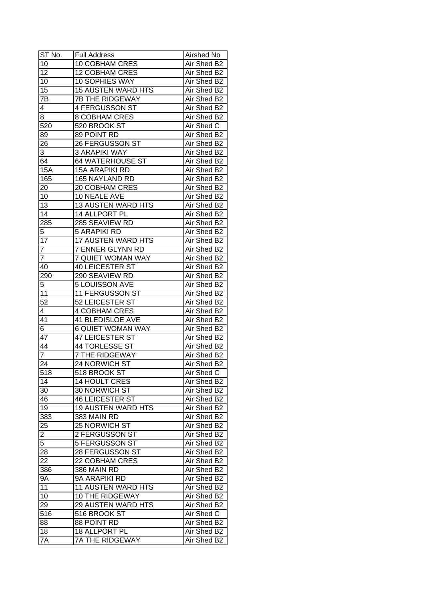| ST No.                           | <b>Full Address</b>       | Airshed No  |
|----------------------------------|---------------------------|-------------|
| 10                               | 10 COBHAM CRES            | Air Shed B2 |
| $\overline{12}$                  | <b>12 COBHAM CRES</b>     | Air Shed B2 |
| 10                               | 10 SOPHIES WAY            | Air Shed B2 |
| 15                               | <b>15 AUSTEN WARD HTS</b> | Air Shed B2 |
| 7B                               | <b>7B THE RIDGEWAY</b>    | Air Shed B2 |
| 4                                | 4 FERGUSSON ST            | Air Shed B2 |
| 8                                | 8 COBHAM CRES             | Air Shed B2 |
| 520                              | 520 BROOK ST              | Air Shed C  |
| 89                               | 89 POINT RD               | Air Shed B2 |
| 26                               | 26 FERGUSSON ST           | Air Shed B2 |
| 3                                | <b>3 ARAPIKI WAY</b>      | Air Shed B2 |
| 64                               | 64 WATERHOUSE ST          | Air Shed B2 |
| <b>15A</b>                       | <b>15A ARAPIKI RD</b>     | Air Shed B2 |
| 165                              | 165 NAYLAND RD            | Air Shed B2 |
| 20                               | 20 COBHAM CRES            | Air Shed B2 |
| 10                               | 10 NEALE AVE              | Air Shed B2 |
| $\overline{13}$                  | 13 AUSTEN WARD HTS        | Air Shed B2 |
| $\overline{14}$                  | 14 ALLPORT PL             | Air Shed B2 |
| 285                              | 285 SEAVIEW RD            | Air Shed B2 |
| 5                                | <b>5 ARAPIKI RD</b>       | Air Shed B2 |
| $\overline{17}$                  | <b>17 AUSTEN WARD HTS</b> | Air Shed B2 |
| 7                                | 7 ENNER GLYNN RD          | Air Shed B2 |
| $\overline{7}$                   | 7 QUIET WOMAN WAY         | Air Shed B2 |
| 40                               | 40 LEICESTER ST           | Air Shed B2 |
| 290                              | 290 SEAVIEW RD            | Air Shed B2 |
| 5                                | 5 LOUISSON AVE            | Air Shed B2 |
| 11                               | 11 FERGUSSON ST           | Air Shed B2 |
| $\overline{52}$                  | 52 LEICESTER ST           | Air Shed B2 |
| 4                                | <b>4 COBHAM CRES</b>      | Air Shed B2 |
| 41                               | <b>41 BLEDISLOE AVE</b>   | Air Shed B2 |
| 6                                | <b>6 QUIET WOMAN WAY</b>  | Air Shed B2 |
| 47                               | <b>47 LEICESTER ST</b>    | Air Shed B2 |
| 44                               | 44 TORLESSE ST            | Air Shed B2 |
| $\overline{7}$                   | <b>7 THE RIDGEWAY</b>     | Air Shed B2 |
| 24                               | 24 NORWICH ST             | Air Shed B2 |
| 518                              | 518 BROOK ST              | Air Shed C  |
| 14                               | <b>14 HOULT CRES</b>      | Air Shed B2 |
| 30                               | 30 NORWICH ST             | Air Shed B2 |
| 46                               | <b>46 LEICESTER ST</b>    | Air Shed B2 |
| 19                               | <b>19 AUSTEN WARD HTS</b> | Air Shed B2 |
| 383                              | 383 MAIN RD               | Air Shed B2 |
| 25                               | 25 NORWICH ST             | Air Shed B2 |
|                                  | 2 FERGUSSON ST            | Air Shed B2 |
| $\overline{2}$<br>$\overline{5}$ | 5 FERGUSSON ST            | Air Shed B2 |
| 28                               | 28 FERGUSSON ST           | Air Shed B2 |
| $\overline{22}$                  | 22 COBHAM CRES            | Air Shed B2 |
| 386                              | 386 MAIN RD               | Air Shed B2 |
|                                  | 9A ARAPIKI RD             |             |
| <b>9A</b>                        |                           | Air Shed B2 |
| 11                               | <b>11 AUSTEN WARD HTS</b> | Air Shed B2 |
| 10                               | 10 THE RIDGEWAY           | Air Shed B2 |
| 29                               | <b>29 AUSTEN WARD HTS</b> | Air Shed B2 |
| 516                              | 516 BROOK ST              | Air Shed C  |
| 88                               | 88 POINT RD               | Air Shed B2 |
| 18                               | 18 ALLPORT PL             | Air Shed B2 |
| 7A                               | 7A THE RIDGEWAY           | Air Shed B2 |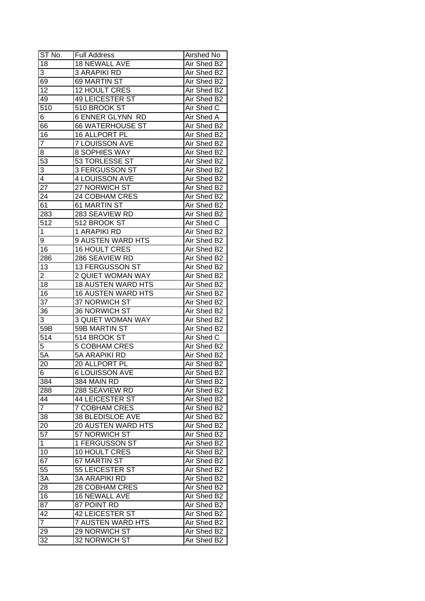| ST No.           | <b>Full Address</b>       | Airshed No  |
|------------------|---------------------------|-------------|
| 18               | <b>18 NEWALL AVE</b>      | Air Shed B2 |
| 3                | <b>3 ARAPIKI RD</b>       | Air Shed B2 |
| 69               | <b>69 MARTIN ST</b>       | Air Shed B2 |
| $\overline{12}$  | 12 HOULT CRES             | Air Shed B2 |
| 49               | <b>49 LEICESTER ST</b>    | Air Shed B2 |
| 510              | 510 BROOK ST              | Air Shed C  |
| 6                | <b>6 ENNER GLYNN RD</b>   | Air Shed A  |
| 66               | <b>66 WATERHOUSE ST</b>   | Air Shed B2 |
| 16               | 16 ALLPORT PL             | Air Shed B2 |
| $\overline{7}$   | 7 LOUISSON AVE            | Air Shed B2 |
| 8                | 8 SOPHIES WAY             | Air Shed B2 |
| 53               | 53 TORLESSE ST            | Air Shed B2 |
| 3                | 3 FERGUSSON ST            | Air Shed B2 |
| 4                | 4 LOUISSON AVE            | Air Shed B2 |
| 27               | 27 NORWICH ST             | Air Shed B2 |
| 24               | 24 COBHAM CRES            | Air Shed B2 |
| 61               | 61 MARTIN ST              | Air Shed B2 |
| 283              | 283 SEAVIEW RD            | Air Shed B2 |
| 512              | 512 BROOK ST              | Air Shed C  |
| 1                | 1 ARAPIKI RD              | Air Shed B2 |
| 9                | 9 AUSTEN WARD HTS         | Air Shed B2 |
| 16               | <b>16 HOULT CRES</b>      | Air Shed B2 |
| 286              | 286 SEAVIEW RD            | Air Shed B2 |
| 13               | 13 FERGUSSON ST           | Air Shed B2 |
| 2                | 2 QUIET WOMAN WAY         | Air Shed B2 |
| 18               | <b>18 AUSTEN WARD HTS</b> | Air Shed B2 |
| 16               | <b>16 AUSTEN WARD HTS</b> | Air Shed B2 |
| 37               | 37 NORWICH ST             | Air Shed B2 |
| 36               | 36 NORWICH ST             | Air Shed B2 |
| 3                | <b>3 QUIET WOMAN WAY</b>  | Air Shed B2 |
| 59B              | 59B MARTIN ST             | Air Shed B2 |
| $51\overline{4}$ | 514 BROOK ST              | Air Shed C  |
| 5                | <b>5 COBHAM CRES</b>      | Air Shed B2 |
| $5\overline{A}$  | 5A ARAPIKI RD             | Air Shed B2 |
| 20               | 20 ALLPORT PL             | Air Shed B2 |
| $6\overline{6}$  | <b>6 LOUISSON AVE</b>     | Air Shed B2 |
| 384              | 384 MAIN RD               | Air Shed B2 |
| 288              | 288 SEAVIEW RD            | Air Shed B2 |
| 44               | <b>44 LEICESTER ST</b>    | Air Shed B2 |
| $\overline{7}$   | <b>7 COBHAM CRES</b>      | Air Shed B2 |
| 38               | 38 BLEDISLOE AVE          | Air Shed B2 |
| 20               | 20 AUSTEN WARD HTS        | Air Shed B2 |
| 57               | 57 NORWICH ST             | Air Shed B2 |
| $\mathbf 1$      | 1 FERGUSSON ST            | Air Shed B2 |
| 10               | 10 HOULT CRES             | Air Shed B2 |
| 67               | <b>67 MARTIN ST</b>       | Air Shed B2 |
| 55               | 55 LEICESTER ST           | Air Shed B2 |
| 3A               | <b>3A ARAPIKI RD</b>      | Air Shed B2 |
| 28               | 28 COBHAM CRES            | Air Shed B2 |
| 16               | 16 NEWALL AVE             | Air Shed B2 |
| 87               | 87 POINT RD               | Air Shed B2 |
| 42               | <b>42 LEICESTER ST</b>    | Air Shed B2 |
| $\overline{7}$   | <b>7 AUSTEN WARD HTS</b>  | Air Shed B2 |
| 29               | 29 NORWICH ST             | Air Shed B2 |
| 32               | 32 NORWICH ST             | Air Shed B2 |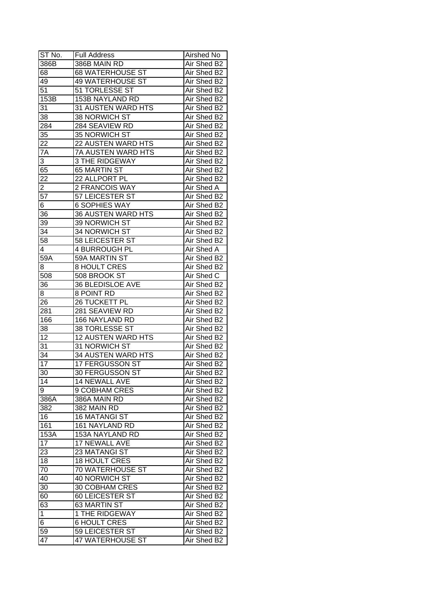| ST No.          | <b>Full Address</b>       | Airshed No  |
|-----------------|---------------------------|-------------|
| 386B            | 386B MAIN RD              | Air Shed B2 |
| 68              | <b>68 WATERHOUSE ST</b>   | Air Shed B2 |
| 49              | <b>49 WATERHOUSE ST</b>   | Air Shed B2 |
| 51              | 51 TORLESSE ST            | Air Shed B2 |
| 153B            | 153B NAYLAND RD           | Air Shed B2 |
| 31              | 31 AUSTEN WARD HTS        | Air Shed B2 |
| 38              | 38 NORWICH ST             | Air Shed B2 |
| 284             | 284 SEAVIEW RD            | Air Shed B2 |
| 35              | 35 NORWICH ST             | Air Shed B2 |
| 22              | 22 AUSTEN WARD HTS        | Air Shed B2 |
| 7A              | 7A AUSTEN WARD HTS        | Air Shed B2 |
| 3               | <b>3 THE RIDGEWAY</b>     | Air Shed B2 |
| 65              | 65 MARTIN ST              | Air Shed B2 |
| 22              | 22 ALLPORT PL             | Air Shed B2 |
| $\overline{2}$  | 2 FRANCOIS WAY            | Air Shed A  |
| $\overline{57}$ | 57 LEICESTER ST           | Air Shed B2 |
| 6               | <b>6 SOPHIES WAY</b>      | Air Shed B2 |
| 36              | <b>36 AUSTEN WARD HTS</b> | Air Shed B2 |
| 39              | 39 NORWICH ST             | Air Shed B2 |
| 34              | <b>34 NORWICH ST</b>      | Air Shed B2 |
| $5\overline{8}$ | 58 LEICESTER ST           | Air Shed B2 |
| 4               | 4 BURROUGH PL             | Air Shed A  |
| 59A             | 59A MARTIN ST             | Air Shed B2 |
| 8               | <b>8 HOULT CRES</b>       | Air Shed B2 |
| 508             | 508 BROOK ST              | Air Shed C  |
| 36              | 36 BLEDISLOE AVE          | Air Shed B2 |
| 8               | 8 POINT RD                | Air Shed B2 |
| 26              | 26 TUCKETT PL             | Air Shed B2 |
| 281             | 281 SEAVIEW RD            | Air Shed B2 |
| 166             | 166 NAYLAND RD            | Air Shed B2 |
| 38              | 38 TORLESSE ST            | Air Shed B2 |
| 12              | <b>12 AUSTEN WARD HTS</b> | Air Shed B2 |
| 31              | 31 NORWICH ST             | Air Shed B2 |
| $\overline{34}$ | 34 AUSTEN WARD HTS        | Air Shed B2 |
| $\overline{17}$ | 17 FERGUSSON ST           | Air Shed B2 |
| 30              | 30 FERGUSSON ST           | Air Shed B2 |
| 14              | 14 NEWALL AVE             | Air Shed B2 |
| 9               | 9 COBHAM CRES             | Air Shed B2 |
| 386A            | 386A MAIN RD              | Air Shed B2 |
| 382             | 382 MAIN RD               | Air Shed B2 |
| 16              | <b>16 MATANGI ST</b>      | Air Shed B2 |
| 161             | 161 NAYLAND RD            | Air Shed B2 |
| 153A            | 153A NAYLAND RD           | Air Shed B2 |
| $1\overline{7}$ | 17 NEWALL AVE             | Air Shed B2 |
| 23              | <b>23 MATANGI ST</b>      | Air Shed B2 |
| 18              | 18 HOULT CRES             | Air Shed B2 |
| 70              | 70 WATERHOUSE ST          | Air Shed B2 |
| 40              | 40 NORWICH ST             | Air Shed B2 |
|                 | 30 COBHAM CRES            |             |
| 30              |                           | Air Shed B2 |
| 60              | 60 LEICESTER ST           | Air Shed B2 |
| 63              | 63 MARTIN ST              | Air Shed B2 |
| $\mathbf 1$     | 1 THE RIDGEWAY            | Air Shed B2 |
| 6               | <b>6 HOULT CRES</b>       | Air Shed B2 |
| 59              | 59 LEICESTER ST           | Air Shed B2 |
| 47              | 47 WATERHOUSE ST          | Air Shed B2 |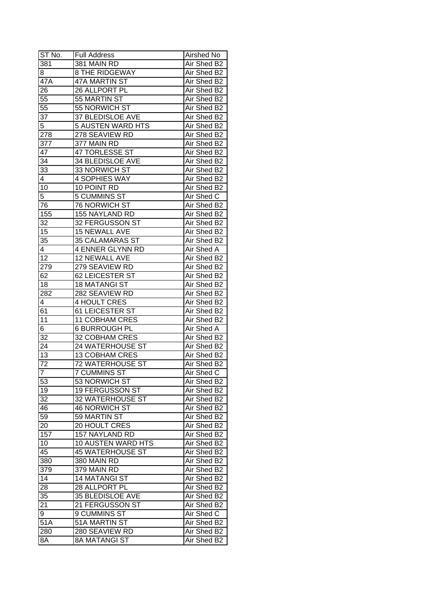| ST No.          | <b>Full Address</b>      | Airshed No  |
|-----------------|--------------------------|-------------|
| 381             | 381 MAIN RD              | Air Shed B2 |
| 8               | <b>8 THE RIDGEWAY</b>    | Air Shed B2 |
| 47A             | 47A MARTIN ST            | Air Shed B2 |
| 26              | 26 ALLPORT PL            | Air Shed B2 |
| $\overline{55}$ | 55 MARTIN ST             | Air Shed B2 |
| 55              | 55 NORWICH ST            | Air Shed B2 |
| 37              | 37 BLEDISLOE AVE         | Air Shed B2 |
| 5               | 5 AUSTEN WARD HTS        | Air Shed B2 |
| 278             | 278 SEAVIEW RD           | Air Shed B2 |
| 377             | 377 MAIN RD              | Air Shed B2 |
| 47              | 47 TORLESSE ST           | Air Shed B2 |
| 34              | 34 BLEDISLOE AVE         | Air Shed B2 |
| 33              | 33 NORWICH ST            | Air Shed B2 |
| 4               | 4 SOPHIES WAY            | Air Shed B2 |
| 10              | 10 POINT RD              | Air Shed B2 |
| 5               | 5 CUMMINS ST             | Air Shed C  |
| 76              | 76 NORWICH ST            | Air Shed B2 |
| 155             | 155 NAYLAND RD           | Air Shed B2 |
| 32              | 32 FERGUSSON ST          | Air Shed B2 |
| 15              | <b>15 NEWALL AVE</b>     | Air Shed B2 |
| 35              | <b>35 CALAMARAS ST</b>   | Air Shed B2 |
| 4               | <b>4 ENNER GLYNN RD</b>  | Air Shed A  |
| $\overline{1}2$ | 12 NEWALL AVE            | Air Shed B2 |
| 279             | 279 SEAVIEW RD           | Air Shed B2 |
| 62              | 62 LEICESTER ST          | Air Shed B2 |
| 18              | <b>18 MATANGI ST</b>     | Air Shed B2 |
| 282             | 282 SEAVIEW RD           | Air Shed B2 |
| $\overline{4}$  | 4 HOULT CRES             | Air Shed B2 |
| 61              | 61 LEICESTER ST          | Air Shed B2 |
| 11              | <b>11 COBHAM CRES</b>    | Air Shed B2 |
| 6               | <b>6 BURROUGH PL</b>     | Air Shed A  |
| 32              | 32 COBHAM CRES           | Air Shed B2 |
| 24              | 24 WATERHOUSE ST         | Air Shed B2 |
| 13              | <b>13 COBHAM CRES</b>    | Air Shed B2 |
| 72              | <b>72 WATERHOUSE ST</b>  | Air Shed B2 |
| $\sqrt{ }$      | <b>7 CUMMINS ST</b>      | Air Shed C  |
| 53              | 53 NORWICH ST            | Air Shed B2 |
| 19              | 19 FERGUSSON ST          | Air Shed B2 |
| 32              | <b>32 WATERHOUSE ST</b>  | Air Shed B2 |
| 46              | <b>46 NORWICH ST</b>     | Air Shed B2 |
| 59              | 59 MARTIN ST             | Air Shed B2 |
| 20              | 20 HOULT CRES            | Air Shed B2 |
| 157             | 157 NAYLAND RD           | Air Shed B2 |
| 10              | 10 AUSTEN WARD HTS       | Air Shed B2 |
| 45              | <b>45 WATERHOUSE ST</b>  | Air Shed B2 |
| 380             | $\overline{380}$ MAIN RD | Air Shed B2 |
| 379             | 379 MAIN RD              | Air Shed B2 |
| 14              | <b>14 MATANGI ST</b>     | Air Shed B2 |
| 28              | 28 ALLPORT PL            |             |
|                 |                          | Air Shed B2 |
| $3\overline{5}$ | 35 BLEDISLOE AVE         | Air Shed B2 |
| 21              | 21 FERGUSSON ST          | Air Shed B2 |
| 9               | 9 CUMMINS ST             | Air Shed C  |
| 51A             | 51A MARTIN ST            | Air Shed B2 |
| 280             | 280 SEAVIEW RD           | Air Shed B2 |
| 8A              | <b>8A MATANGI ST</b>     | Air Shed B2 |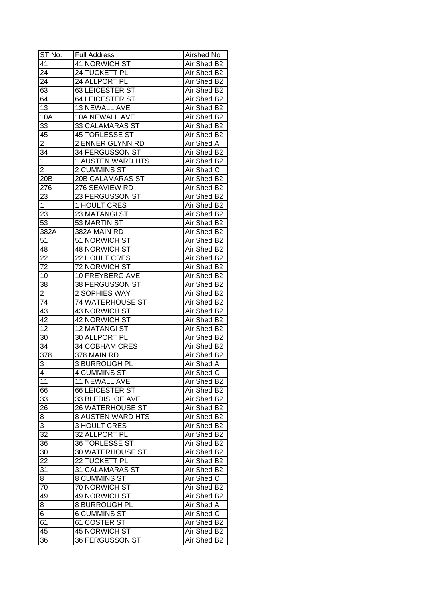| ST No.                  | <b>Full Address</b>      | Airshed No        |
|-------------------------|--------------------------|-------------------|
| 41                      | 41 NORWICH ST            | Air Shed B2       |
| 24                      | 24 TUCKETT PL            | Air Shed B2       |
| 24                      | 24 ALLPORT PL            | Air Shed B2       |
| 63                      | 63 LEICESTER ST          | Air Shed B2       |
| 64                      | <b>64 LEICESTER ST</b>   | Air Shed B2       |
| 13                      | 13 NEWALL AVE            | Air Shed B2       |
| 10A                     | 10A NEWALL AVE           | Air Shed B2       |
| 33                      | 33 CALAMARAS ST          | Air Shed B2       |
| 45                      | 45 TORLESSE ST           | Air Shed B2       |
| $\overline{2}$          | 2 ENNER GLYNN RD         | Air Shed A        |
| 34                      | 34 FERGUSSON ST          | Air Shed B2       |
| $\mathbf 1$             | 1 AUSTEN WARD HTS        | Air Shed B2       |
| $\overline{2}$          | 2 CUMMINS ST             | Air Shed C        |
| 20 <sub>B</sub>         | <b>20B CALAMARAS ST</b>  | Air Shed B2       |
| 276                     | 276 SEAVIEW RD           | Air Shed B2       |
| 23                      | 23 FERGUSSON ST          | Air Shed B2       |
| $\overline{1}$          | 1 HOULT CRES             | Air Shed B2       |
| 23                      | 23 MATANGI ST            | Air Shed B2       |
| 53                      | 53 MARTIN ST             | Air Shed B2       |
| 382A                    | 382A MAIN RD             | Air Shed B2       |
| 51                      | 51 NORWICH ST            | Air Shed B2       |
| 48                      | <b>48 NORWICH ST</b>     | Air Shed B2       |
| 22                      | 22 HOULT CRES            | Air Shed B2       |
| 72                      | 72 NORWICH ST            | Air Shed B2       |
| 10                      | 10 FREYBERG AVE          | Air Shed B2       |
| 38                      | 38 FERGUSSON ST          | Air Shed B2       |
| $\overline{2}$          | 2 SOPHIES WAY            | Air Shed B2       |
| 74                      | <b>74 WATERHOUSE ST</b>  | Air Shed B2       |
| 43                      | 43 NORWICH ST            | Air Shed B2       |
| 42                      | 42 NORWICH ST            | Air Shed B2       |
| 12                      | <b>12 MATANGI ST</b>     | Air Shed B2       |
| 30                      | 30 ALLPORT PL            | Air Shed B2       |
| 34                      | 34 COBHAM CRES           | Air Shed B2       |
| 378                     | 378 MAIN RD              | Air Shed B2       |
| 3                       | 3 BURROUGH PL            | <b>Air Shed A</b> |
| $\overline{\mathbf{4}}$ | 4 CUMMINS ST             | Air Shed C        |
| 11                      | 11 NEWALL AVE            | Air Shed B2       |
| 66                      | 66 LEICESTER ST          | Air Shed B2       |
| 33                      | 33 BLEDISLOE AVE         | Air Shed B2       |
| 26                      | 26 WATERHOUSE ST         | Air Shed B2       |
| 8                       | <b>8 AUSTEN WARD HTS</b> | Air Shed B2       |
| 3                       | 3 HOULT CRES             | Air Shed B2       |
| 32                      | 32 ALLPORT PL            | Air Shed B2       |
| 36                      | 36 TORLESSE ST           | Air Shed B2       |
| 30                      | <b>30 WATERHOUSE ST</b>  | Air Shed B2       |
| $\overline{22}$         | 22 TUCKETT PL            | Air Shed B2       |
| 31                      | 31 CALAMARAS ST          | Air Shed B2       |
| 8                       | 8 CUMMINS ST             | Air Shed C        |
| 70                      | 70 NORWICH ST            | Air Shed B2       |
| 49                      | 49 NORWICH ST            | Air Shed B2       |
| 8                       | 8 BURROUGH PL            | Air Shed A        |
| $\overline{6}$          | <b>6 CUMMINS ST</b>      | Air Shed C        |
| 61                      | 61 COSTER ST             | Air Shed B2       |
| 45                      | 45 NORWICH ST            | Air Shed B2       |
|                         |                          |                   |
| 36                      | 36 FERGUSSON ST          | Air Shed B2       |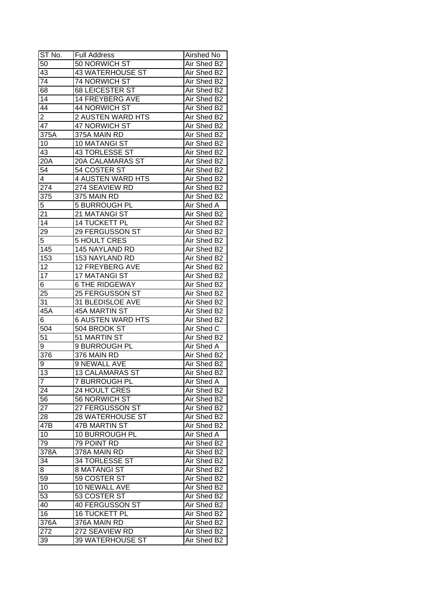| ST No.           | <b>Full Address</b>            | Airshed No  |
|------------------|--------------------------------|-------------|
| 50               | 50 NORWICH ST                  | Air Shed B2 |
| 43               | <b>43 WATERHOUSE ST</b>        | Air Shed B2 |
| $\overline{74}$  | 74 NORWICH ST                  | Air Shed B2 |
| 68               | <b>68 LEICESTER ST</b>         | Air Shed B2 |
| 14               | 14 FREYBERG AVE                | Air Shed B2 |
| 44               | 44 NORWICH ST                  | Air Shed B2 |
| $\overline{2}$   | 2 AUSTEN WARD HTS              | Air Shed B2 |
| 47               | 47 NORWICH ST                  | Air Shed B2 |
| 375A             | 375A MAIN RD                   | Air Shed B2 |
| 10               | 10 MATANGI ST                  | Air Shed B2 |
| 43               | <b>43 TORLESSE ST</b>          | Air Shed B2 |
| 20A              | <b>20A CALAMARAS ST</b>        | Air Shed B2 |
| 54               | 54 COSTER ST                   | Air Shed B2 |
| $\overline{4}$   | <b>4 AUSTEN WARD HTS</b>       | Air Shed B2 |
| 274              | 274 SEAVIEW RD                 | Air Shed B2 |
| 375              | 375 MAIN RD                    | Air Shed B2 |
| $\overline{5}$   | 5 BURROUGH PL                  | Air Shed A  |
| 21               | 21 MATANGI ST                  | Air Shed B2 |
| 14               | 14 TUCKETT PL                  | Air Shed B2 |
| 29               | 29 FERGUSSON ST                | Air Shed B2 |
| $\overline{5}$   | <b>5 HOULT CRES</b>            | Air Shed B2 |
| 145              | 145 NAYLAND RD                 | Air Shed B2 |
| 153              | 153 NAYLAND RD                 | Air Shed B2 |
| 12               | 12 FREYBERG AVE                | Air Shed B2 |
| 17               | 17 MATANGI ST                  | Air Shed B2 |
| 6                | <b>6 THE RIDGEWAY</b>          | Air Shed B2 |
| 25               | 25 FERGUSSON ST                | Air Shed B2 |
| 31               | 31 BLEDISLOE AVE               | Air Shed B2 |
| $45\overline{A}$ | 45A MARTIN ST                  | Air Shed B2 |
| 6                | <b>6 AUSTEN WARD HTS</b>       | Air Shed B2 |
| 504              | 504 BROOK ST                   | Air Shed C  |
| 51               | 51 MARTIN ST                   | Air Shed B2 |
| 9                | 9 BURROUGH PL                  | Air Shed A  |
| $\overline{376}$ | 376 MAIN RD                    | Air Shed B2 |
| 9                | <b>9 NEWALL AVE</b>            | Air Shed B2 |
| $\overline{13}$  | <b>13 CALAMARAS ST</b>         | Air Shed B2 |
| $\overline{7}$   | 7 BURROUGH PL                  | Air Shed A  |
| 24               | 24 HOULT CRES                  | Air Shed B2 |
| 56               | 56 NORWICH ST                  | Air Shed B2 |
| 27               | 27 FERGUSSON ST                | Air Shed B2 |
| 28               | 28 WATERHOUSE ST               | Air Shed B2 |
| 47B              | <b>47B MARTIN ST</b>           | Air Shed B2 |
| 10               | 10 BURROUGH PL                 | Air Shed A  |
| 79               | 79 POINT RD                    | Air Shed B2 |
| 378A             | 378A MAIN RD                   | Air Shed B2 |
| 34               | 34 TORLESSE ST                 | Air Shed B2 |
| 8                | 8 MATANGI ST                   | Air Shed B2 |
| 59               | 59 COSTER ST                   | Air Shed B2 |
| 10               | 10 NEWALL AVE                  | Air Shed B2 |
| 53               | 53 COSTER ST                   | Air Shed B2 |
| 40               | 40 FERGUSSON ST                | Air Shed B2 |
| 16               | <b>16 TUCKETT PL</b>           | Air Shed B2 |
|                  |                                | Air Shed B2 |
| 376A             | 376A MAIN RD<br>272 SEAVIEW RD | Air Shed B2 |
| 272              |                                |             |
| 39               | <b>39 WATERHOUSE ST</b>        | Air Shed B2 |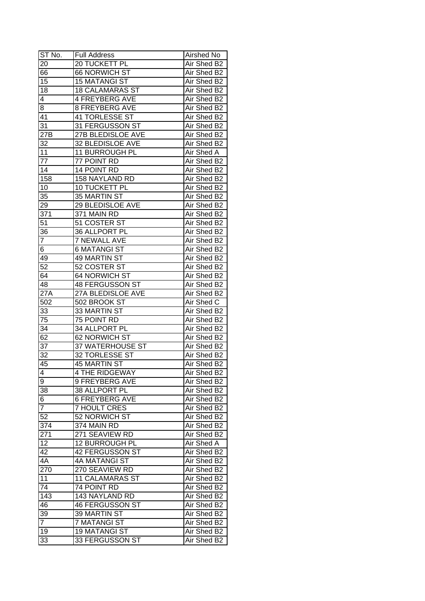| ST No.                  | <b>Full Address</b>      | Airshed No  |
|-------------------------|--------------------------|-------------|
| 20                      | 20 TUCKETT PL            | Air Shed B2 |
| 66                      | <b>66 NORWICH ST</b>     | Air Shed B2 |
| 15                      | <b>15 MATANGI ST</b>     | Air Shed B2 |
| 18                      | <b>18 CALAMARAS ST</b>   | Air Shed B2 |
| 4                       | <b>4 FREYBERG AVE</b>    | Air Shed B2 |
| 8                       | <b>8 FREYBERG AVE</b>    | Air Shed B2 |
| 41                      | 41 TORLESSE ST           | Air Shed B2 |
| 31                      | 31 FERGUSSON ST          | Air Shed B2 |
| 27B                     | <b>27B BLEDISLOE AVE</b> | Air Shed B2 |
| 32                      | 32 BLEDISLOE AVE         | Air Shed B2 |
| 11                      | 11 BURROUGH PL           | Air Shed A  |
| 77                      | 77 POINT RD              | Air Shed B2 |
| $1\overline{4}$         | 14 POINT RD              | Air Shed B2 |
| 158                     | 158 NAYLAND RD           | Air Shed B2 |
| 10                      | 10 TUCKETT PL            | Air Shed B2 |
| 35                      | 35 MARTIN ST             | Air Shed B2 |
| 29                      | 29 BLEDISLOE AVE         | Air Shed B2 |
| 371                     | 371 MAIN RD              | Air Shed B2 |
| 51                      | 51 COSTER ST             | Air Shed B2 |
| 36                      | 36 ALLPORT PL            | Air Shed B2 |
| $\overline{\mathbf{7}}$ | <b>7 NEWALL AVE</b>      | Air Shed B2 |
| 6                       | <b>6 MATANGI ST</b>      | Air Shed B2 |
| 49                      | 49 MARTIN ST             | Air Shed B2 |
| 52                      | 52 COSTER ST             | Air Shed B2 |
| 64                      | 64 NORWICH ST            | Air Shed B2 |
| 48                      | 48 FERGUSSON ST          | Air Shed B2 |
| $27\overline{A}$        | 27A BLEDISLOE AVE        | Air Shed B2 |
| $50\overline{2}$        | 502 BROOK ST             | Air Shed C  |
| 33                      | 33 MARTIN ST             | Air Shed B2 |
| 75                      | 75 POINT RD              | Air Shed B2 |
| 34                      | 34 ALLPORT PL            | Air Shed B2 |
| 62                      | <b>62 NORWICH ST</b>     | Air Shed B2 |
| 37                      | <b>37 WATERHOUSE ST</b>  | Air Shed B2 |
| $\overline{32}$         | 32 TORLESSE ST           | Air Shed B2 |
| 45                      | <b>45 MARTIN ST</b>      | Air Shed B2 |
| $\overline{4}$          | <b>4 THE RIDGEWAY</b>    | Air Shed B2 |
| 9                       | 9 FREYBERG AVE           | Air Shed B2 |
| 38                      | 38 ALLPORT PL            | Air Shed B2 |
| 6                       | <b>6 FREYBERG AVE</b>    | Air Shed B2 |
| $\overline{7}$          | <b>7 HOULT CRES</b>      | Air Shed B2 |
| 52                      | 52 NORWICH ST            | Air Shed B2 |
| 374                     | 374 MAIN RD              | Air Shed B2 |
| 271                     | 271 SEAVIEW RD           | Air Shed B2 |
| 12                      | 12 BURROUGH PL           | Air Shed A  |
| 42                      | 42 FERGUSSON ST          | Air Shed B2 |
| 4A                      | 4A MATANGI ST            | Air Shed B2 |
| 270                     | 270 SEAVIEW RD           | Air Shed B2 |
| 11                      | <b>11 CALAMARAS ST</b>   | Air Shed B2 |
| 74                      | 74 POINT RD              | Air Shed B2 |
| 143                     | 143 NAYLAND RD           | Air Shed B2 |
| 46                      | <b>46 FERGUSSON ST</b>   | Air Shed B2 |
| 39                      | 39 MARTIN ST             | Air Shed B2 |
| $\overline{7}$          | <b>7 MATANGI ST</b>      | Air Shed B2 |
| 19                      | <b>19 MATANGI ST</b>     | Air Shed B2 |
| 33                      | 33 FERGUSSON ST          | Air Shed B2 |
|                         |                          |             |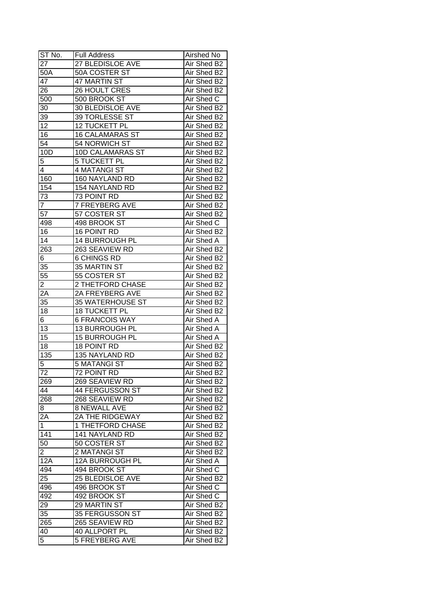| ST No.          | <b>Full Address</b>             | Airshed No  |
|-----------------|---------------------------------|-------------|
| 27              | 27 BLEDISLOE AVE                | Air Shed B2 |
| 50A             | 50A COSTER ST                   | Air Shed B2 |
| 47              | 47 MARTIN ST                    | Air Shed B2 |
| 26              | 26 HOULT CRES                   | Air Shed B2 |
| 500             | 500 BROOK ST                    | Air Shed C  |
| 30              | 30 BLEDISLOE AVE                | Air Shed B2 |
| 39              | 39 TORLESSE ST                  | Air Shed B2 |
| $1\overline{2}$ | 12 TUCKETT PL                   | Air Shed B2 |
| 16              | <b>16 CALAMARAS ST</b>          | Air Shed B2 |
| $5\overline{4}$ | 54 NORWICH ST                   | Air Shed B2 |
| 10D             | 10D CALAMARAS ST                | Air Shed B2 |
| 5               | 5 TUCKETT PL                    | Air Shed B2 |
| 4               | 4 MATANGI ST                    | Air Shed B2 |
| 160             | 160 NAYLAND RD                  | Air Shed B2 |
| 154             | 154 NAYLAND RD                  | Air Shed B2 |
| 73              | 73 POINT RD                     | Air Shed B2 |
| $\overline{7}$  | <b>7 FREYBERG AVE</b>           | Air Shed B2 |
| $5\overline{7}$ | 57 COSTER ST                    | Air Shed B2 |
| 498             | 498 BROOK ST                    | Air Shed C  |
| 16              | 16 POINT RD                     | Air Shed B2 |
| 14              | <b>14 BURROUGH PL</b>           | Air Shed A  |
| 263             | 263 SEAVIEW RD                  | Air Shed B2 |
| 6               | <b>6 CHINGS RD</b>              | Air Shed B2 |
| 35              | 35 MARTIN ST                    | Air Shed B2 |
| 55              | 55 COSTER ST                    | Air Shed B2 |
| $\overline{2}$  | 2 THETFORD CHASE                | Air Shed B2 |
| 2A              | 2A FREYBERG AVE                 | Air Shed B2 |
| 35              | <b>35 WATERHOUSE ST</b>         | Air Shed B2 |
| 18              | <b>18 TUCKETT PL</b>            | Air Shed B2 |
| 6               | <b>6 FRANCOIS WAY</b>           | Air Shed A  |
| 13              | 13 BURROUGH PL                  | Air Shed A  |
| $\overline{15}$ | <b>15 BURROUGH PL</b>           | Air Shed A  |
| 18              | 18 POINT RD                     | Air Shed B2 |
| 135             | 135 NAYLAND RD                  | Air Shed B2 |
| 5               | <b>5 MATANGI ST</b>             | Air Shed B2 |
| $\overline{72}$ | 72 POINT RD                     | Air Shed B2 |
| 269             | 269 SEAVIEW RD                  | Air Shed B2 |
| 44              | 44 FERGUSSON ST                 | Air Shed B2 |
| 268             | 268 SEAVIEW RD                  | Air Shed B2 |
| 8               | <b>8 NEWALL AVE</b>             | Air Shed B2 |
| 2A              | <b>2A THE RIDGEWAY</b>          | Air Shed B2 |
| $\mathbf{1}$    | 1 THETFORD CHASE                | Air Shed B2 |
| 141             | 141 NAYLAND RD                  | Air Shed B2 |
| 50              | 50 COSTER ST                    | Air Shed B2 |
| $\overline{2}$  | 2 MATANGI ST                    | Air Shed B2 |
| 12A             | 12A BURROUGH PL                 | Air Shed A  |
| 494             | 494 BROOK ST                    | Air Shed C  |
| 25              | 25 BLEDISLOE AVE                | Air Shed B2 |
| 496             | 496 BROOK ST                    | Air Shed C  |
| 492             | 492 BROOK ST                    | Air Shed C  |
| 29              | 29 MARTIN ST                    | Air Shed B2 |
| 35              | 35 FERGUSSON ST                 | Air Shed B2 |
|                 |                                 | Air Shed B2 |
| 265             | 265 SEAVIEW RD<br>40 ALLPORT PL | Air Shed B2 |
| 40              |                                 |             |
| 5               | <b>5 FREYBERG AVE</b>           | Air Shed B2 |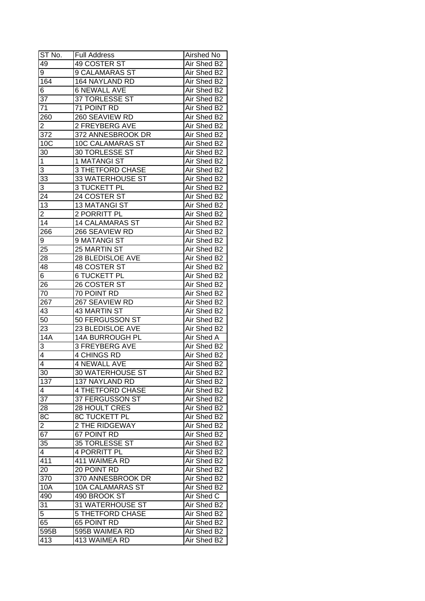| ST No.           | <b>Full Address</b>             | Airshed No                 |
|------------------|---------------------------------|----------------------------|
| 49               | 49 COSTER ST                    | Air Shed B2                |
| 9                | <b>9 CALAMARAS ST</b>           | Air Shed B2                |
| 164              | 164 NAYLAND RD                  | Air Shed B2                |
| 6                | <b>6 NEWALL AVE</b>             | Air Shed B2                |
| 37               | 37 TORLESSE ST                  | Air Shed B2                |
| 71               | 71 POINT RD                     | Air Shed B2                |
| 260              | 260 SEAVIEW RD                  | Air Shed B2                |
| $\overline{2}$   | 2 FREYBERG AVE                  | Air Shed B2                |
| 372              | 372 ANNESBROOK DR               | Air Shed B2                |
| 10C              | <b>10C CALAMARAS ST</b>         | Air Shed B2                |
| 30               | 30 TORLESSE ST                  | Air Shed B2                |
| $\mathbf 1$      | 1 MATANGI ST                    | Air Shed B2                |
| 3                | <b>3 THETFORD CHASE</b>         | Air Shed B2                |
| $3\overline{3}$  | 33 WATERHOUSE ST                | Air Shed B2                |
| 3                | 3 TUCKETT PL                    | Air Shed B2                |
| 24               | 24 COSTER ST                    | Air Shed B2                |
| 13               | <b>13 MATANGI ST</b>            | Air Shed B2                |
| 2                | 2 PORRITT PL                    | Air Shed B2                |
| 14               | <b>14 CALAMARAS ST</b>          | Air Shed B2                |
| 266              | 266 SEAVIEW RD                  | Air Shed B2                |
| 9                | 9 MATANGI ST                    | Air Shed B2                |
| 25               | 25 MARTIN ST                    | Air Shed B2                |
| 28               | 28 BLEDISLOE AVE                | Air Shed B2                |
| 48               | 48 COSTER ST                    | Air Shed B2                |
| 6                | <b>6 TUCKETT PL</b>             | Air Shed B2                |
| 26               | 26 COSTER ST                    | Air Shed B2                |
| 70               | 70 POINT RD                     | Air Shed B2                |
| 267              | 267 SEAVIEW RD                  | Air Shed B2                |
| 43               | 43 MARTIN ST                    | Air Shed B2                |
| 50               | 50 FERGUSSON ST                 | Air Shed B2                |
| 23               | 23 BLEDISLOE AVE                | Air Shed B2                |
| 14A              | 14A BURROUGH PL                 | Air Shed A                 |
| 3                | <b>3 FREYBERG AVE</b>           | Air Shed B2                |
| $\overline{4}$   | <b>4 CHINGS RD</b>              | Air Shed B2                |
| $\overline{4}$   | <b>4 NEWALL AVE</b>             | Air Shed B2                |
| 30               | <b>30 WATERHOUSE ST</b>         | Air Shed B2                |
| 137              | 137 NAYLAND RD                  | Air Shed B2                |
| 4                | <b>4 THETFORD CHASE</b>         | Air Shed B2                |
| $3\overline{7}$  | 37 FERGUSSON ST                 | Air Shed B2                |
| 28               | 28 HOULT CRES                   | Air Shed B2                |
| 8C               | 8C TUCKETT PL                   | Air Shed B2                |
| $\overline{2}$   | 2 THE RIDGEWAY                  | Air Shed B2                |
| 67               | 67 POINT RD                     | Air Shed B2                |
| 35               | 35 TORLESSE ST                  | Air Shed B2                |
| $\overline{4}$   | 4 PORRITT PL                    | Air Shed B2                |
| $41\overline{1}$ | 411 WAIMEA RD                   | Air Shed B2                |
| 20               | 20 POINT RD                     | Air Shed B2                |
| 370              | 370 ANNESBROOK DR               | Air Shed B2                |
| 10A              | 10A CALAMARAS ST                | Air Shed B2                |
|                  | 490 BROOK ST                    | Air Shed C                 |
| 490              |                                 |                            |
| $3\overline{1}$  | 31 WATERHOUSE ST                | Air Shed B2                |
| 5<br>65          | 5 THETFORD CHASE<br>65 POINT RD | Air Shed B2<br>Air Shed B2 |
| 595B             |                                 |                            |
|                  | 595B WAIMEA RD                  | Air Shed B2                |
| 413              | 413 WAIMEA RD                   | Air Shed B2                |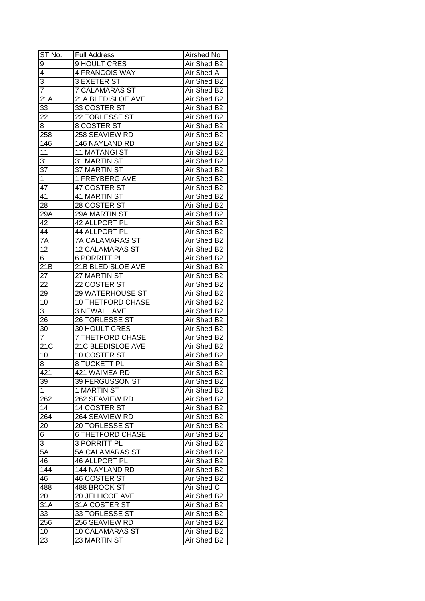| ST No.                  | <b>Full Address</b>      | Airshed No  |
|-------------------------|--------------------------|-------------|
| $\overline{9}$          | 9 HOULT CRES             | Air Shed B2 |
| $\overline{\mathbf{4}}$ | 4 FRANCOIS WAY           | Air Shed A  |
| $\overline{3}$          | 3 EXETER ST              | Air Shed B2 |
| $\overline{7}$          | <b>7 CALAMARAS ST</b>    | Air Shed B2 |
| 21A                     | 21A BLEDISLOE AVE        | Air Shed B2 |
| 33                      | 33 COSTER ST             | Air Shed B2 |
| 22                      | 22 TORLESSE ST           | Air Shed B2 |
| 8                       | 8 COSTER ST              | Air Shed B2 |
| 258                     | 258 SEAVIEW RD           | Air Shed B2 |
| 146                     | 146 NAYLAND RD           | Air Shed B2 |
| 11                      | <b>11 MATANGI ST</b>     | Air Shed B2 |
| 31                      | 31 MARTIN ST             | Air Shed B2 |
| $\overline{37}$         | 37 MARTIN ST             | Air Shed B2 |
| $\mathbf 1$             | 1 FREYBERG AVE           | Air Shed B2 |
| 47                      | 47 COSTER ST             | Air Shed B2 |
| 41                      | 41 MARTIN ST             | Air Shed B2 |
| 28                      | 28 COSTER ST             | Air Shed B2 |
| 29A                     | 29A MARTIN ST            | Air Shed B2 |
| 42                      | 42 ALLPORT PL            | Air Shed B2 |
| 44                      | 44 ALLPORT PL            | Air Shed B2 |
| $7\overline{A}$         | 7A CALAMARAS ST          | Air Shed B2 |
| 12                      | <b>12 CALAMARAS ST</b>   | Air Shed B2 |
| 6                       | <b>6 PORRITT PL</b>      | Air Shed B2 |
| 21B                     | 21B BLEDISLOE AVE        | Air Shed B2 |
| 27                      | 27 MARTIN ST             | Air Shed B2 |
| 22                      | 22 COSTER ST             | Air Shed B2 |
| 29                      | 29 WATERHOUSE ST         | Air Shed B2 |
| 10                      | 10 THETFORD CHASE        | Air Shed B2 |
| 3                       | <b>3 NEWALL AVE</b>      | Air Shed B2 |
| 26                      | 26 TORLESSE ST           | Air Shed B2 |
| 30                      | 30 HOULT CRES            | Air Shed B2 |
| $\overline{7}$          | <b>7 THETFORD CHASE</b>  | Air Shed B2 |
| $\overline{21C}$        | <b>21C BLEDISLOE AVE</b> | Air Shed B2 |
| 10                      | 10 COSTER ST             | Air Shed B2 |
| 8                       | <b>8 TUCKETT PL</b>      | Air Shed B2 |
| 421                     | 421 WAIMEA RD            | Air Shed B2 |
| 39                      | 39 FERGUSSON ST          | Air Shed B2 |
| $\mathbf 1$             | 1 MARTIN ST              | Air Shed B2 |
| 262                     | 262 SEAVIEW RD           | Air Shed B2 |
| 14                      | 14 COSTER ST             | Air Shed B2 |
| 264                     | 264 SEAVIEW RD           | Air Shed B2 |
| 20                      | 20 TORLESSE ST           | Air Shed B2 |
| 6                       | <b>6 THETFORD CHASE</b>  | Air Shed B2 |
| 3                       | <b>3 PORRITT PL</b>      | Air Shed B2 |
| $5\overline{A}$         | <b>5A CALAMARAS ST</b>   | Air Shed B2 |
| 46                      | 46 ALLPORT PL            | Air Shed B2 |
| 144                     | 144 NAYLAND RD           | Air Shed B2 |
| 46                      | 46 COSTER ST             | Air Shed B2 |
| 488                     | 488 BROOK ST             | Air Shed C  |
| 20                      | 20 JELLICOE AVE          | Air Shed B2 |
| 31A                     | 31A COSTER ST            | Air Shed B2 |
| 33                      | 33 TORLESSE ST           | Air Shed B2 |
|                         |                          | Air Shed B2 |
| 256                     | 256 SEAVIEW RD           | Air Shed B2 |
| 10                      | <b>10 CALAMARAS ST</b>   |             |
| 23                      | 23 MARTIN ST             | Air Shed B2 |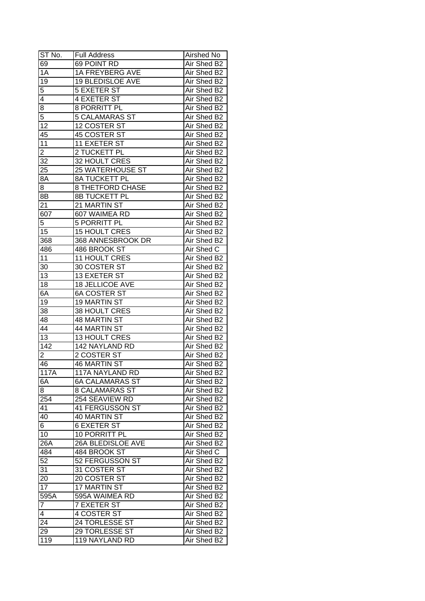| ST No.           | <b>Full Address</b>     | Airshed No  |
|------------------|-------------------------|-------------|
| 69               | 69 POINT RD             | Air Shed B2 |
| $\overline{1A}$  | 1A FREYBERG AVE         | Air Shed B2 |
| $\overline{19}$  | <b>19 BLEDISLOE AVE</b> | Air Shed B2 |
| 5                | <b>5 EXETER ST</b>      | Air Shed B2 |
| 4                | <b>4 EXETER ST</b>      | Air Shed B2 |
| 8                | 8 PORRITT PL            | Air Shed B2 |
| 5                | <b>5 CALAMARAS ST</b>   | Air Shed B2 |
| 12               | 12 COSTER ST            | Air Shed B2 |
| 45               | 45 COSTER ST            | Air Shed B2 |
| 11               | 11 EXETER ST            | Air Shed B2 |
| $\overline{2}$   | 2 TUCKETT PL            | Air Shed B2 |
| 32               | 32 HOULT CRES           | Air Shed B2 |
| 25               | 25 WATERHOUSE ST        | Air Shed B2 |
| 8A               | 8A TUCKETT PL           | Air Shed B2 |
| 8                | <b>8 THETFORD CHASE</b> | Air Shed B2 |
| 8B               | 8B TUCKETT PL           | Air Shed B2 |
| 21               | 21 MARTIN ST            | Air Shed B2 |
| 607              | 607 WAIMEA RD           | Air Shed B2 |
| 5                | 5 PORRITT PL            | Air Shed B2 |
| 15               | <b>15 HOULT CRES</b>    | Air Shed B2 |
| 368              | 368 ANNESBROOK DR       | Air Shed B2 |
| 486              | 486 BROOK ST            | Air Shed C  |
| 11               | 11 HOULT CRES           | Air Shed B2 |
| 30               | 30 COSTER ST            | Air Shed B2 |
| 13               | 13 EXETER ST            | Air Shed B2 |
| 18               | 18 JELLICOE AVE         | Air Shed B2 |
| 6A               | <b>6A COSTER ST</b>     | Air Shed B2 |
| 19               | <b>19 MARTIN ST</b>     | Air Shed B2 |
| 38               | 38 HOULT CRES           | Air Shed B2 |
| 48               | 48 MARTIN ST            | Air Shed B2 |
| 44               | 44 MARTIN ST            | Air Shed B2 |
| $\overline{13}$  | 13 HOULT CRES           | Air Shed B2 |
| $\overline{142}$ | 142 NAYLAND RD          | Air Shed B2 |
| 2                | 2 COSTER ST             | Air Shed B2 |
| 46               | <b>46 MARTIN ST</b>     | Air Shed B2 |
| 117A             | <b>117A NAYLAND RD</b>  | Air Shed B2 |
| 6A               | <b>6A CALAMARAS ST</b>  | Air Shed B2 |
| 8                | <b>8 CALAMARAS ST</b>   | Air Shed B2 |
| 254              | 254 SEAVIEW RD          | Air Shed B2 |
| 41               | 41 FERGUSSON ST         | Air Shed B2 |
| 40               | 40 MARTIN ST            | Air Shed B2 |
| 6 <sup>1</sup>   | <b>6 EXETER ST</b>      | Air Shed B2 |
| 10               | 10 PORRITT PL           | Air Shed B2 |
| $26\overline{A}$ | 26A BLEDISLOE AVE       | Air Shed B2 |
| 484              | 484 BROOK ST            | Air Shed C  |
| 52               | 52 FERGUSSON ST         | Air Shed B2 |
| 31               | 31 COSTER ST            | Air Shed B2 |
| 20               | 20 COSTER ST            | Air Shed B2 |
| $\overline{17}$  | 17 MARTIN ST            | Air Shed B2 |
| 595A             | 595A WAIMEA RD          | Air Shed B2 |
| $\overline{7}$   | <b>7 EXETER ST</b>      | Air Shed B2 |
| 4                | 4 COSTER ST             | Air Shed B2 |
| 24               | 24 TORLESSE ST          | Air Shed B2 |
| 29               | 29 TORLESSE ST          | Air Shed B2 |
|                  |                         |             |
| 119              | 119 NAYLAND RD          | Air Shed B2 |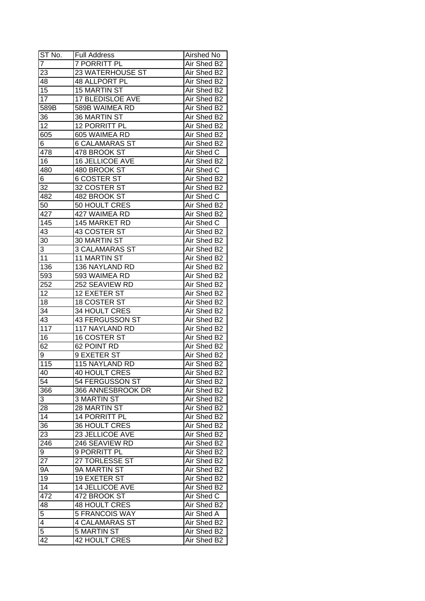| $ST N0$ .       | <b>Full Address</b>   | Airshed No  |
|-----------------|-----------------------|-------------|
| 7               | <b>7 PORRITT PL</b>   | Air Shed B2 |
| 23              | 23 WATERHOUSE ST      | Air Shed B2 |
| 48              | 48 ALLPORT PL         | Air Shed B2 |
| $\overline{15}$ | <b>15 MARTIN ST</b>   | Air Shed B2 |
| 17              | 17 BLEDISLOE AVE      | Air Shed B2 |
| 589B            | 589B WAIMEA RD        | Air Shed B2 |
| 36              | 36 MARTIN ST          | Air Shed B2 |
| 12              | 12 PORRITT PL         | Air Shed B2 |
| 605             | 605 WAIMEA RD         | Air Shed B2 |
| 6               | <b>6 CALAMARAS ST</b> | Air Shed B2 |
| 478             | 478 BROOK ST          | Air Shed C  |
| 16              | 16 JELLICOE AVE       | Air Shed B2 |
| 480             | 480 BROOK ST          | Air Shed C  |
| 6               | <b>6 COSTER ST</b>    | Air Shed B2 |
| 32              | 32 COSTER ST          | Air Shed B2 |
| 482             | 482 BROOK ST          | Air Shed C  |
| 50              | 50 HOULT CRES         | Air Shed B2 |
| 427             | 427 WAIMEA RD         | Air Shed B2 |
| 145             | 145 MARKET RD         | Air Shed C  |
| 43              | 43 COSTER ST          | Air Shed B2 |
| 30              | 30 MARTIN ST          | Air Shed B2 |
| 3               | <b>3 CALAMARAS ST</b> | Air Shed B2 |
| 11              | 11 MARTIN ST          | Air Shed B2 |
| 136             | 136 NAYLAND RD        | Air Shed B2 |
| 593             | 593 WAIMEA RD         | Air Shed B2 |
| 252             | 252 SEAVIEW RD        | Air Shed B2 |
| 12              | 12 EXETER ST          | Air Shed B2 |
| 18              | 18 COSTER ST          | Air Shed B2 |
| 34              | 34 HOULT CRES         | Air Shed B2 |
| 43              | 43 FERGUSSON ST       | Air Shed B2 |
| 117             | 117 NAYLAND RD        | Air Shed B2 |
| 16              | <b>16 COSTER ST</b>   | Air Shed B2 |
| 62              | 62 POINT RD           | Air Shed B2 |
| 9               | 9 EXETER ST           | Air Shed B2 |
| 115             | <b>115 NAYLAND RD</b> | Air Shed B2 |
| 40              | 40 HOULT CRES         | Air Shed B2 |
| 54              | 54 FERGUSSON ST       | Air Shed B2 |
| 366             | 366 ANNESBROOK DR     | Air Shed B2 |
| 3               | <b>3 MARTIN ST</b>    | Air Shed B2 |
| 28              | 28 MARTIN ST          | Air Shed B2 |
| 14              | 14 PORRITT PL         | Air Shed B2 |
| 36              | <b>36 HOULT CRES</b>  | Air Shed B2 |
| 23              | 23 JELLICOE AVE       | Air Shed B2 |
| 246             | 246 SEAVIEW RD        | Air Shed B2 |
| 9               | 9 PORRITT PL          | Air Shed B2 |
| 27              | 27 TORLESSE ST        | Air Shed B2 |
| 9A              | 9A MARTIN ST          | Air Shed B2 |
| 19              | 19 EXETER ST          | Air Shed B2 |
| 14              | 14 JELLICOE AVE       | Air Shed B2 |
| 472             | 472 BROOK ST          | Air Shed C  |
| 48              | 48 HOULT CRES         | Air Shed B2 |
| 5               | <b>5 FRANCOIS WAY</b> | Air Shed A  |
| 4               | <b>4 CALAMARAS ST</b> | Air Shed B2 |
| 5               | <b>5 MARTIN ST</b>    | Air Shed B2 |
| 42              | <b>42 HOULT CRES</b>  | Air Shed B2 |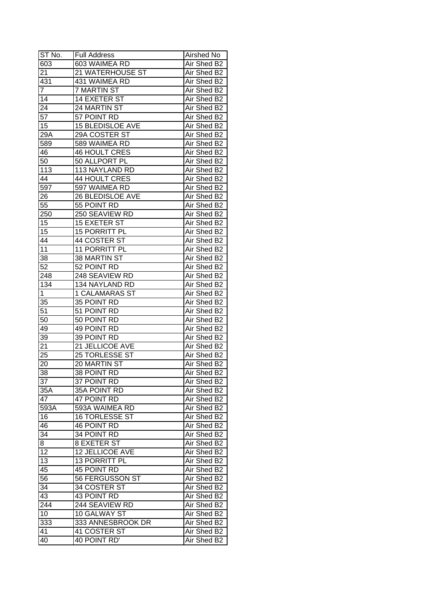| ST No.          | <b>Full Address</b>     | Airshed No  |
|-----------------|-------------------------|-------------|
| 603             | 603 WAIMEA RD           | Air Shed B2 |
| 21              | 21 WATERHOUSE ST        | Air Shed B2 |
| 431             | 431 WAIMEA RD           | Air Shed B2 |
| 7               | <b>7 MARTIN ST</b>      | Air Shed B2 |
| 14              | 14 EXETER ST            | Air Shed B2 |
| 24              | 24 MARTIN ST            | Air Shed B2 |
| 57              | 57 POINT RD             | Air Shed B2 |
| 15              | <b>15 BLEDISLOE AVE</b> | Air Shed B2 |
| 29A             | 29A COSTER ST           | Air Shed B2 |
| 589             | 589 WAIMEA RD           | Air Shed B2 |
| 46              | <b>46 HOULT CRES</b>    | Air Shed B2 |
| 50              | 50 ALLPORT PL           | Air Shed B2 |
| 113             | 113 NAYLAND RD          | Air Shed B2 |
| 44              | 44 HOULT CRES           | Air Shed B2 |
| 597             | 597 WAIMEA RD           | Air Shed B2 |
| 26              | 26 BLEDISLOE AVE        | Air Shed B2 |
| 55              | 55 POINT RD             | Air Shed B2 |
| 250             | 250 SEAVIEW RD          | Air Shed B2 |
| 15              | 15 EXETER ST            | Air Shed B2 |
| 15              | 15 PORRITT PL           | Air Shed B2 |
| 44              | 44 COSTER ST            | Air Shed B2 |
| 11              | 11 PORRITT PL           | Air Shed B2 |
| 38              | 38 MARTIN ST            | Air Shed B2 |
| 52              | 52 POINT RD             | Air Shed B2 |
| 248             | 248 SEAVIEW RD          | Air Shed B2 |
| 134             | 134 NAYLAND RD          | Air Shed B2 |
| 1               | <b>1 CALAMARAS ST</b>   | Air Shed B2 |
| 35              | 35 POINT RD             | Air Shed B2 |
| $5\overline{1}$ | 51 POINT RD             | Air Shed B2 |
| 50              | 50 POINT RD             | Air Shed B2 |
| 49              | 49 POINT RD             | Air Shed B2 |
| 39              | 39 POINT RD             | Air Shed B2 |
| $2\overline{1}$ | 21 JELLICOE AVE         | Air Shed B2 |
| 25              | 25 TORLESSE ST          | Air Shed B2 |
| 20              | 20 MARTIN ST            | Air Shed B2 |
| 38              | 38 POINT RD             | Air Shed B2 |
| $\overline{37}$ | 37 POINT RD             | Air Shed B2 |
| 35A             | 35A POINT RD            | Air Shed B2 |
| 47              | 47 POINT RD             | Air Shed B2 |
| 593A            | 593A WAIMEA RD          | Air Shed B2 |
| 16              | <b>16 TORLESSE ST</b>   | Air Shed B2 |
| 46              | <b>46 POINT RD</b>      | Air Shed B2 |
| 34              | 34 POINT RD             | Air Shed B2 |
| 8               | 8 EXETER ST             | Air Shed B2 |
| $\overline{12}$ | 12 JELLICOE AVE         | Air Shed B2 |
| 13              | 13 PORRITT PL           | Air Shed B2 |
| 45              | 45 POINT RD             | Air Shed B2 |
| 56              | 56 FERGUSSON ST         | Air Shed B2 |
| 34              | 34 COSTER ST            | Air Shed B2 |
| 43              | 43 POINT RD             | Air Shed B2 |
| 244             | 244 SEAVIEW RD          | Air Shed B2 |
| 10              | 10 GALWAY ST            | Air Shed B2 |
| 333             | 333 ANNESBROOK DR       | Air Shed B2 |
| 41              | 41 COSTER ST            | Air Shed B2 |
| 40              | 40 POINT RD'            | Air Shed B2 |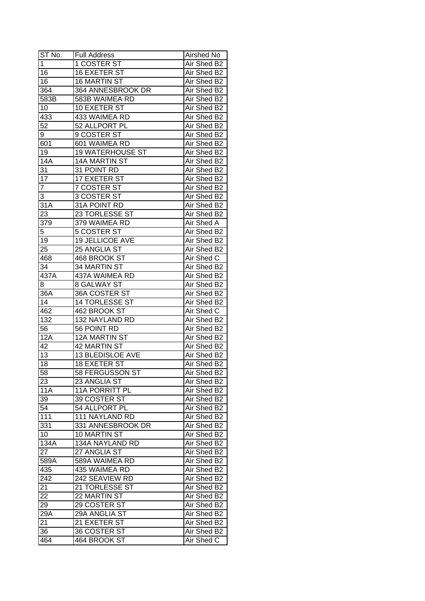| ST No.          | <b>Full Address</b>     | Airshed No  |
|-----------------|-------------------------|-------------|
| $\overline{1}$  | 1 COSTER ST             | Air Shed B2 |
| 16              | <b>16 EXETER ST</b>     | Air Shed B2 |
| 16              | 16 MARTIN ST            | Air Shed B2 |
| 364             | 364 ANNESBROOK DR       | Air Shed B2 |
| 583B            | 583B WAIMEA RD          | Air Shed B2 |
| 10              | 10 EXETER ST            | Air Shed B2 |
| 433             | 433 WAIMEA RD           | Air Shed B2 |
| 52              | 52 ALLPORT PL           | Air Shed B2 |
| 9               | 9 COSTER ST             | Air Shed B2 |
| 601             | 601 WAIMEA RD           | Air Shed B2 |
| 19              | <b>19 WATERHOUSE ST</b> | Air Shed B2 |
| <b>14A</b>      | 14A MARTIN ST           | Air Shed B2 |
| 31              | 31 POINT RD             | Air Shed B2 |
| $\overline{17}$ | 17 EXETER ST            | Air Shed B2 |
| 7               | 7 COSTER ST             | Air Shed B2 |
| 3               | 3 COSTER ST             | Air Shed B2 |
| 31A             | 31A POINT RD            | Air Shed B2 |
| 23              | 23 TORLESSE ST          | Air Shed B2 |
| 379             | 379 WAIMEA RD           | Air Shed A  |
| 5               | <b>5 COSTER ST</b>      | Air Shed B2 |
| 19              | 19 JELLICOE AVE         | Air Shed B2 |
| 25              | 25 ANGLIA ST            | Air Shed B2 |
| 468             | 468 BROOK ST            | Air Shed C  |
| 34              | 34 MARTIN ST            | Air Shed B2 |
| 437A            | 437A WAIMEA RD          | Air Shed B2 |
| 8               | <b>8 GALWAY ST</b>      | Air Shed B2 |
| 36A             | 36A COSTER ST           | Air Shed B2 |
| 14              | 14 TORLESSE ST          | Air Shed B2 |
| 462             | 462 BROOK ST            | Air Shed C  |
| 132             | 132 NAYLAND RD          | Air Shed B2 |
| 56              | 56 POINT RD             | Air Shed B2 |
| 12A             | <b>12A MARTIN ST</b>    | Air Shed B2 |
| 42              | <b>42 MARTIN ST</b>     | Air Shed B2 |
| $\overline{13}$ | <b>13 BLEDISLOE AVE</b> | Air Shed B2 |
| $\overline{18}$ | <b>18 EXETER ST</b>     | Air Shed B2 |
| 58              | 58 FERGUSSON ST         | Air Shed B2 |
| 23              | 23 ANGLIA ST            | Air Shed B2 |
| <b>11A</b>      | <b>11A PORRITT PL</b>   | Air Shed B2 |
| 39              | 39 COSTER ST            | Air Shed B2 |
| 54              | 54 ALLPORT PL           | Air Shed B2 |
| 111             | 111 NAYLAND RD          | Air Shed B2 |
| 331             | 331 ANNESBROOK DR       | Air Shed B2 |
| 10              | 10 MARTIN ST            | Air Shed B2 |
| 134A            | 134A NAYLAND RD         | Air Shed B2 |
| 27              | 27 ANGLIA ST            | Air Shed B2 |
| 589A            | 589A WAIMEA RD          | Air Shed B2 |
| 435             | 435 WAIMEA RD           | Air Shed B2 |
| 242             | 242 SEAVIEW RD          | Air Shed B2 |
| 21              | 21 TORLESSE ST          | Air Shed B2 |
| 22              | 22 MARTIN ST            | Air Shed B2 |
| 29              | 29 COSTER ST            | Air Shed B2 |
| 29A             | 29A ANGLIA ST           | Air Shed B2 |
| 21              | 21 EXETER ST            | Air Shed B2 |
| 36              | 36 COSTER ST            | Air Shed B2 |
| 464             | 464 BROOK ST            | Air Shed C  |
|                 |                         |             |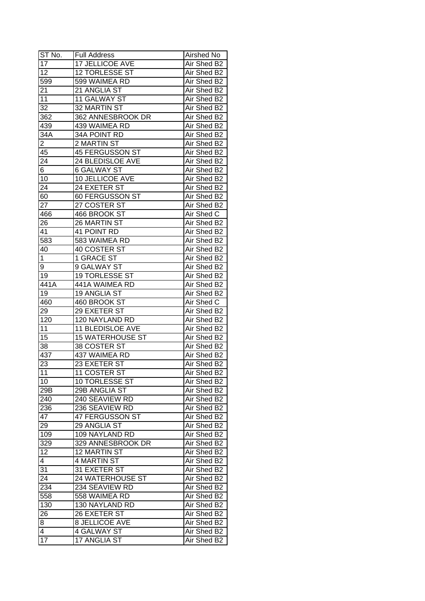| ST No.          | <b>Full Address</b>     | Airshed No  |
|-----------------|-------------------------|-------------|
| 17              | <b>17 JELLICOE AVE</b>  | Air Shed B2 |
| $\overline{12}$ | 12 TORLESSE ST          | Air Shed B2 |
| 599             | 599 WAIMEA RD           | Air Shed B2 |
| 21              | 21 ANGLIA ST            | Air Shed B2 |
| 11              | 11 GALWAY ST            | Air Shed B2 |
| 32              | 32 MARTIN ST            | Air Shed B2 |
| 362             | 362 ANNESBROOK DR       | Air Shed B2 |
| 439             | 439 WAIMEA RD           | Air Shed B2 |
| 34A             | 34A POINT RD            | Air Shed B2 |
| $\overline{2}$  | 2 MARTIN ST             | Air Shed B2 |
| 45              | 45 FERGUSSON ST         | Air Shed B2 |
| 24              | 24 BLEDISLOE AVE        | Air Shed B2 |
| 6               | <b>6 GALWAY ST</b>      | Air Shed B2 |
| 10              | 10 JELLICOE AVE         | Air Shed B2 |
| 24              | 24 EXETER ST            | Air Shed B2 |
| 60              | 60 FERGUSSON ST         | Air Shed B2 |
| 27              | 27 COSTER ST            | Air Shed B2 |
| 466             | 466 BROOK ST            | Air Shed C  |
| 26              | 26 MARTIN ST            | Air Shed B2 |
| 41              | 41 POINT RD             | Air Shed B2 |
| 583             | 583 WAIMEA RD           | Air Shed B2 |
| 40              | 40 COSTER ST            | Air Shed B2 |
| 1               | 1 GRACE ST              | Air Shed B2 |
| 9               | 9 GALWAY ST             | Air Shed B2 |
| 19              | 19 TORLESSE ST          | Air Shed B2 |
| 441A            | 441A WAIMEA RD          | Air Shed B2 |
| 19              | 19 ANGLIA ST            | Air Shed B2 |
| 460             | 460 BROOK ST            | Air Shed C  |
| 29              | 29 EXETER ST            | Air Shed B2 |
| 120             | 120 NAYLAND RD          | Air Shed B2 |
| 11              | 11 BLEDISLOE AVE        | Air Shed B2 |
| $\overline{15}$ | <b>15 WATERHOUSE ST</b> | Air Shed B2 |
| $\overline{38}$ | 38 COSTER ST            | Air Shed B2 |
| 437             | 437 WAIMEA RD           | Air Shed B2 |
| 23              | 23 EXETER ST            | Air Shed B2 |
| 11              | <b>11 COSTER ST</b>     | Air Shed B2 |
| 10              | 10 TORLESSE ST          | Air Shed B2 |
| 29B             | 29B ANGLIA ST           | Air Shed B2 |
| 240             | 240 SEAVIEW RD          | Air Shed B2 |
| 236             | 236 SEAVIEW RD          | Air Shed B2 |
| 47              | 47 FERGUSSON ST         | Air Shed B2 |
| 29              | 29 ANGLIA ST            | Air Shed B2 |
| 109             | 109 NAYLAND RD          | Air Shed B2 |
| 329             | 329 ANNESBROOK DR       | Air Shed B2 |
| 12              | 12 MARTIN ST            | Air Shed B2 |
| $\overline{4}$  | 4 MARTIN ST             | Air Shed B2 |
| 31              | 31 EXETER ST            | Air Shed B2 |
| 24              | 24 WATERHOUSE ST        | Air Shed B2 |
| 234             | 234 SEAVIEW RD          | Air Shed B2 |
| 558             | 558 WAIMEA RD           | Air Shed B2 |
| 130             | 130 NAYLAND RD          | Air Shed B2 |
| 26              | 26 EXETER ST            | Air Shed B2 |
| 8               | 8 JELLICOE AVE          | Air Shed B2 |
| 4               | 4 GALWAY ST             | Air Shed B2 |
| 17              | 17 ANGLIA ST            | Air Shed B2 |
|                 |                         |             |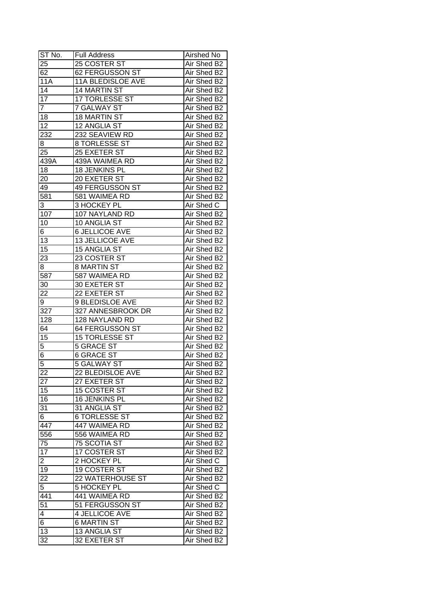| ST No.          | <b>Full Address</b>      | Airshed No  |
|-----------------|--------------------------|-------------|
| 25              | 25 COSTER ST             | Air Shed B2 |
| 62              | 62 FERGUSSON ST          | Air Shed B2 |
| 11A             | <b>11A BLEDISLOE AVE</b> | Air Shed B2 |
| 14              | 14 MARTIN ST             | Air Shed B2 |
| $\overline{17}$ | 17 TORLESSE ST           | Air Shed B2 |
| 7               | <b>7 GALWAY ST</b>       | Air Shed B2 |
| 18              | <b>18 MARTIN ST</b>      | Air Shed B2 |
| 12              | 12 ANGLIA ST             | Air Shed B2 |
| 232             | 232 SEAVIEW RD           | Air Shed B2 |
| 8               | 8 TORLESSE ST            | Air Shed B2 |
| 25              | 25 EXETER ST             | Air Shed B2 |
| 439A            | 439A WAIMEA RD           | Air Shed B2 |
| 18              | 18 JENKINS PL            | Air Shed B2 |
| 20              | 20 EXETER ST             | Air Shed B2 |
| 49              | 49 FERGUSSON ST          | Air Shed B2 |
| 581             | 581 WAIMEA RD            | Air Shed B2 |
| 3               | 3 HOCKEY PL              | Air Shed C  |
| 107             | 107 NAYLAND RD           | Air Shed B2 |
| 10              | 10 ANGLIA ST             | Air Shed B2 |
| 6               | <b>6 JELLICOE AVE</b>    | Air Shed B2 |
| 13              | 13 JELLICOE AVE          | Air Shed B2 |
| 15              | <b>15 ANGLIA ST</b>      | Air Shed B2 |
| 23              | 23 COSTER ST             | Air Shed B2 |
| 8               | <b>8 MARTIN ST</b>       | Air Shed B2 |
| 587             | 587 WAIMEA RD            | Air Shed B2 |
| 30              | 30 EXETER ST             | Air Shed B2 |
| 22              | 22 EXETER ST             | Air Shed B2 |
| $\overline{9}$  | 9 BLEDISLOE AVE          | Air Shed B2 |
| 327             | 327 ANNESBROOK DR        | Air Shed B2 |
| 128             | 128 NAYLAND RD           | Air Shed B2 |
| 64              | 64 FERGUSSON ST          | Air Shed B2 |
| 15              | <b>15 TORLESSE ST</b>    | Air Shed B2 |
| $\overline{5}$  | <b>5 GRACE ST</b>        | Air Shed B2 |
| $\overline{6}$  | <b>6 GRACE ST</b>        | Air Shed B2 |
| 5               | <b>5 GALWAY ST</b>       | Air Shed B2 |
| $\overline{22}$ | 22 BLEDISLOE AVE         | Air Shed B2 |
| 27              | 27 EXETER ST             | Air Shed B2 |
| 15              | 15 COSTER ST             | Air Shed B2 |
| 16              | 16 JENKINS PL            | Air Shed B2 |
| 31              | 31 ANGLIA ST             | Air Shed B2 |
| 6               | <b>6 TORLESSE ST</b>     | Air Shed B2 |
| 447             | 447 WAIMEA RD            | Air Shed B2 |
| 556             | 556 WAIMEA RD            | Air Shed B2 |
| 75              | 75 SCOTIA ST             | Air Shed B2 |
| 17              | 17 COSTER ST             | Air Shed B2 |
| $\overline{2}$  | 2 HOCKEY PL              | Air Shed C  |
| 19              | 19 COSTER ST             | Air Shed B2 |
| 22              | 22 WATERHOUSE ST         | Air Shed B2 |
| $\overline{5}$  | 5 HOCKEY PL              | Air Shed C  |
| 441             | 441 WAIMEA RD            | Air Shed B2 |
| 51              | 51 FERGUSSON ST          | Air Shed B2 |
| 4               | 4 JELLICOE AVE           | Air Shed B2 |
| 6               | <b>6 MARTIN ST</b>       | Air Shed B2 |
| $\overline{13}$ | 13 ANGLIA ST             | Air Shed B2 |
| 32              | 32 EXETER ST             | Air Shed B2 |
|                 |                          |             |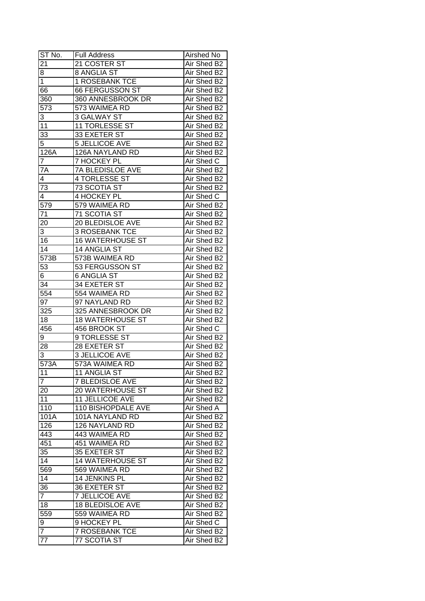| ST No.              | <b>Full Address</b>     | Airshed No  |
|---------------------|-------------------------|-------------|
| 21                  | 21 COSTER ST            | Air Shed B2 |
| 8                   | 8 ANGLIA ST             | Air Shed B2 |
| $\overline{1}$      | 1 ROSEBANK TCE          | Air Shed B2 |
| 66                  | <b>66 FERGUSSON ST</b>  | Air Shed B2 |
| 360                 | 360 ANNESBROOK DR       | Air Shed B2 |
| 573                 | 573 WAIMEA RD           | Air Shed B2 |
| 3                   | <b>3 GALWAY ST</b>      | Air Shed B2 |
| 11                  | <b>11 TORLESSE ST</b>   | Air Shed B2 |
| 33                  | 33 EXETER ST            | Air Shed B2 |
| 5                   | <b>5 JELLICOE AVE</b>   | Air Shed B2 |
| 126A                | 126A NAYLAND RD         | Air Shed B2 |
| $\overline{7}$      | 7 HOCKEY PL             | Air Shed C  |
| $7\overline{A}$     | 7A BLEDISLOE AVE        | Air Shed B2 |
| 4                   | 4 TORLESSE ST           | Air Shed B2 |
| 73                  | 73 SCOTIA ST            | Air Shed B2 |
| 4                   | 4 HOCKEY PL             | Air Shed C  |
| 579                 | 579 WAIMEA RD           | Air Shed B2 |
| 71                  | 71 SCOTIA ST            | Air Shed B2 |
| 20                  | 20 BLEDISLOE AVE        | Air Shed B2 |
| 3                   | <b>3 ROSEBANK TCE</b>   | Air Shed B2 |
| 16                  | <b>16 WATERHOUSE ST</b> | Air Shed B2 |
| 14                  | 14 ANGLIA ST            | Air Shed B2 |
| 573B                | 573B WAIMEA RD          | Air Shed B2 |
| 53                  | 53 FERGUSSON ST         | Air Shed B2 |
| 6                   | <b>6 ANGLIA ST</b>      | Air Shed B2 |
| $3\overline{4}$     | 34 EXETER ST            | Air Shed B2 |
| 554                 | 554 WAIMEA RD           | Air Shed B2 |
| 97                  | 97 NAYLAND RD           | Air Shed B2 |
| 325                 | 325 ANNESBROOK DR       | Air Shed B2 |
| 18                  | <b>18 WATERHOUSE ST</b> | Air Shed B2 |
| 456                 | 456 BROOK ST            | Air Shed C  |
| 9                   | 9 TORLESSE ST           | Air Shed B2 |
| 28                  | 28 EXETER ST            | Air Shed B2 |
| 3                   | <b>3 JELLICOE AVE</b>   | Air Shed B2 |
| $\overline{573}A$   | 573A WAIMEA RD          | Air Shed B2 |
| 11                  | 11 ANGLIA ST            | Air Shed B2 |
| $\overline{7}$      | <b>7 BLEDISLOE AVE</b>  | Air Shed B2 |
| 20                  | 20 WATERHOUSE ST        | Air Shed B2 |
| 11                  | <b>11 JELLICOE AVE</b>  | Air Shed B2 |
| 110                 | 110 BISHOPDALE AVE      | Air Shed A  |
| 101A                | 101A NAYLAND RD         | Air Shed B2 |
| 126                 | 126 NAYLAND RD          | Air Shed B2 |
| 443                 | 443 WAIMEA RD           | Air Shed B2 |
| 451                 | 451 WAIMEA RD           | Air Shed B2 |
| 35                  | 35 EXETER ST            | Air Shed B2 |
| 14                  | <b>14 WATERHOUSE ST</b> | Air Shed B2 |
| 569                 | 569 WAIMEA RD           | Air Shed B2 |
| 14                  | 14 JENKINS PL           | Air Shed B2 |
| 36                  | 36 EXETER ST            | Air Shed B2 |
| $\overline{7}$      | <b>7 JELLICOE AVE</b>   | Air Shed B2 |
| 18                  | 18 BLEDISLOE AVE        | Air Shed B2 |
| 559                 | 559 WAIMEA RD           | Air Shed B2 |
|                     | 9 HOCKEY PL             | Air Shed C  |
| 9<br>$\overline{7}$ |                         | Air Shed B2 |
|                     | <b>7 ROSEBANK TCE</b>   |             |
| 77                  | 77 SCOTIA ST            | Air Shed B2 |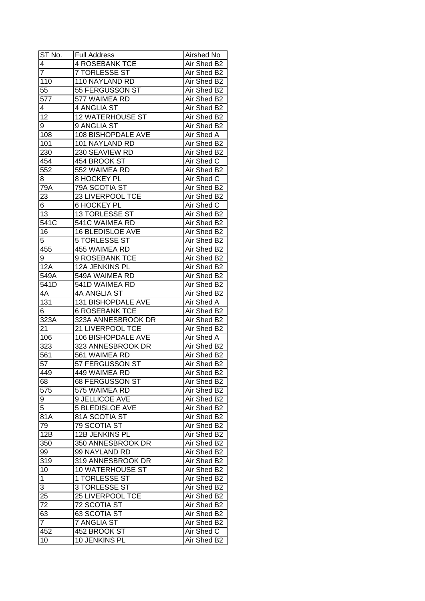| ST No.           | <b>Full Address</b>     | Airshed No  |
|------------------|-------------------------|-------------|
| 4                | <b>4 ROSEBANK TCE</b>   | Air Shed B2 |
| $\overline{7}$   | <b>7 TORLESSE ST</b>    | Air Shed B2 |
| 110              | 110 NAYLAND RD          | Air Shed B2 |
| 55               | 55 FERGUSSON ST         | Air Shed B2 |
| 577              | 577 WAIMEA RD           | Air Shed B2 |
| 4                | 4 ANGLIA ST             | Air Shed B2 |
| 12               | <b>12 WATERHOUSE ST</b> | Air Shed B2 |
| 9                | 9 ANGLIA ST             | Air Shed B2 |
| 108              | 108 BISHOPDALE AVE      | Air Shed A  |
| 101              | 101 NAYLAND RD          | Air Shed B2 |
| 230              | 230 SEAVIEW RD          | Air Shed B2 |
| 454              | 454 BROOK ST            | Air Shed C  |
| 552              | 552 WAIMEA RD           | Air Shed B2 |
| 8                | <b>8 HOCKEY PL</b>      | Air Shed C  |
| 79A              | 79A SCOTIA ST           | Air Shed B2 |
| 23               | 23 LIVERPOOL TCE        | Air Shed B2 |
| 6                | <b>6 HOCKEY PL</b>      | Air Shed C  |
| 13               | 13 TORLESSE ST          | Air Shed B2 |
| 541C             | 541C WAIMEA RD          | Air Shed B2 |
| 16               | <b>16 BLEDISLOE AVE</b> | Air Shed B2 |
| 5                | <b>5 TORLESSE ST</b>    | Air Shed B2 |
| 455              | 455 WAIMEA RD           | Air Shed B2 |
| 9                | 9 ROSEBANK TCE          | Air Shed B2 |
| 12A              | 12A JENKINS PL          | Air Shed B2 |
| 549A             | 549A WAIMEA RD          | Air Shed B2 |
| 541D             | 541D WAIMEA RD          | Air Shed B2 |
| 4A               | 4A ANGLIA ST            | Air Shed B2 |
| 131              | 131 BISHOPDALE AVE      | Air Shed A  |
| 6                | <b>6 ROSEBANK TCE</b>   | Air Shed B2 |
| 323A             | 323A ANNESBROOK DR      | Air Shed B2 |
| 21               | 21 LIVERPOOL TCE        | Air Shed B2 |
| 106              | 106 BISHOPDALE AVE      | Air Shed A  |
| $\overline{323}$ | 323 ANNESBROOK DR       | Air Shed B2 |
| $\overline{561}$ | 561 WAIMEA RD           | Air Shed B2 |
| $\overline{57}$  | 57 FERGUSSON ST         | Air Shed B2 |
| 449              | 449 WAIMEA RD           | Air Shed B2 |
| 68               | 68 FERGUSSON ST         | Air Shed B2 |
| 575              | 575 WAIMEA RD           | Air Shed B2 |
| 9                | 9 JELLICOE AVE          | Air Shed B2 |
| 5                | <b>5 BLEDISLOE AVE</b>  | Air Shed B2 |
| 81A              | 81A SCOTIA ST           | Air Shed B2 |
| 79               | 79 SCOTIA ST            | Air Shed B2 |
| 12B              | 12B JENKINS PL          | Air Shed B2 |
| 350              | 350 ANNESBROOK DR       | Air Shed B2 |
| 99               | 99 NAYLAND RD           | Air Shed B2 |
| 319              | 319 ANNESBROOK DR       | Air Shed B2 |
| 10               | 10 WATERHOUSE ST        | Air Shed B2 |
| $\mathbf 1$      | 1 TORLESSE ST           | Air Shed B2 |
| 3                | 3 TORLESSE ST           | Air Shed B2 |
| $2\overline{5}$  | 25 LIVERPOOL TCE        | Air Shed B2 |
| 72               | 72 SCOTIA ST            | Air Shed B2 |
| 63               | 63 SCOTIA ST            | Air Shed B2 |
| $\overline{7}$   | 7 ANGLIA ST             | Air Shed B2 |
| 452              | 452 BROOK ST            | Air Shed C  |
|                  |                         |             |
| 10               | 10 JENKINS PL           | Air Shed B2 |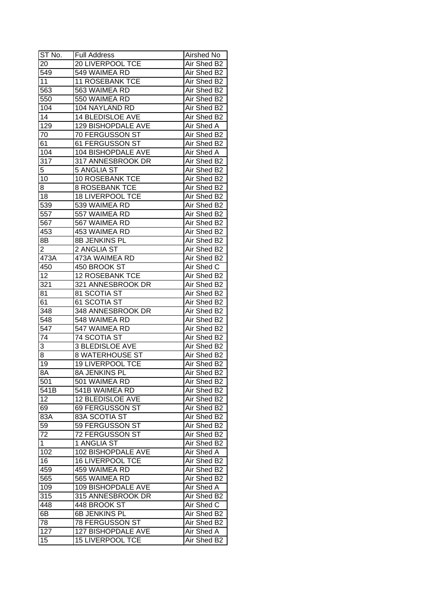| ST No.          | <b>Full Address</b>     | Airshed No  |
|-----------------|-------------------------|-------------|
| 20              | <b>20 LIVERPOOL TCE</b> | Air Shed B2 |
| 549             | 549 WAIMEA RD           | Air Shed B2 |
| 11              | <b>11 ROSEBANK TCE</b>  | Air Shed B2 |
| 563             | 563 WAIMEA RD           | Air Shed B2 |
| 550             | 550 WAIMEA RD           | Air Shed B2 |
| 104             | 104 NAYLAND RD          | Air Shed B2 |
| 14              | 14 BLEDISLOE AVE        | Air Shed B2 |
| 129             | 129 BISHOPDALE AVE      | Air Shed A  |
| 70              | 70 FERGUSSON ST         | Air Shed B2 |
| 61              | 61 FERGUSSON ST         | Air Shed B2 |
| 104             | 104 BISHOPDALE AVE      | Air Shed A  |
| 317             | 317 ANNESBROOK DR       | Air Shed B2 |
| 5               | <b>5 ANGLIA ST</b>      | Air Shed B2 |
| 10              | 10 ROSEBANK TCE         | Air Shed B2 |
| 8               | <b>8 ROSEBANK TCE</b>   | Air Shed B2 |
| 18              | <b>18 LIVERPOOL TCE</b> | Air Shed B2 |
| 539             | 539 WAIMEA RD           | Air Shed B2 |
| 557             | 557 WAIMEA RD           | Air Shed B2 |
| 567             | 567 WAIMEA RD           | Air Shed B2 |
| 453             | 453 WAIMEA RD           | Air Shed B2 |
| 8Β              | 8B JENKINS PL           | Air Shed B2 |
| $\overline{2}$  | 2 ANGLIA ST             | Air Shed B2 |
| 473A            | 473A WAIMEA RD          | Air Shed B2 |
| 450             | 450 BROOK ST            | Air Shed C  |
| 12              | <b>12 ROSEBANK TCE</b>  | Air Shed B2 |
| 321             | 321 ANNESBROOK DR       | Air Shed B2 |
| 81              | 81 SCOTIA ST            | Air Shed B2 |
| 61              | 61 SCOTIA ST            | Air Shed B2 |
| 348             | 348 ANNESBROOK DR       | Air Shed B2 |
| 548             | 548 WAIMEA RD           | Air Shed B2 |
| 547             | 547 WAIMEA RD           | Air Shed B2 |
| 74              | <b>74 SCOTIA ST</b>     | Air Shed B2 |
| 3               | <b>3 BLEDISLOE AVE</b>  | Air Shed B2 |
| $\overline{8}$  | <b>8 WATERHOUSE ST</b>  | Air Shed B2 |
| $\overline{19}$ | <b>19 LIVERPOOL TCE</b> | Air Shed B2 |
| 8A              | 8A JENKINS PL           | Air Shed B2 |
| 501             | 501 WAIMEA RD           | Air Shed B2 |
| 541B            | 541B WAIMEA RD          | Air Shed B2 |
| 12              | 12 BLEDISLOE AVE        | Air Shed B2 |
| 69              | 69 FERGUSSON ST         | Air Shed B2 |
| 83A             | 83A SCOTIA ST           | Air Shed B2 |
| 59              | 59 FERGUSSON ST         | Air Shed B2 |
| 72              | 72 FERGUSSON ST         | Air Shed B2 |
| $\mathbf{1}$    | 1 ANGLIA ST             | Air Shed B2 |
| 102             | 102 BISHOPDALE AVE      | Air Shed A  |
| 16              | 16 LIVERPOOL TCE        | Air Shed B2 |
|                 |                         | Air Shed B2 |
| 459             | 459 WAIMEA RD           |             |
| 565             | 565 WAIMEA RD           | Air Shed B2 |
| 109             | 109 BISHOPDALE AVE      | Air Shed A  |
| 315             | 315 ANNESBROOK DR       | Air Shed B2 |
| 448             | 448 BROOK ST            | Air Shed C  |
| 6B              | 6B JENKINS PL           | Air Shed B2 |
| 78              | 78 FERGUSSON ST         | Air Shed B2 |
| 127             | 127 BISHOPDALE AVE      | Air Shed A  |
| 15              | <b>15 LIVERPOOL TCE</b> | Air Shed B2 |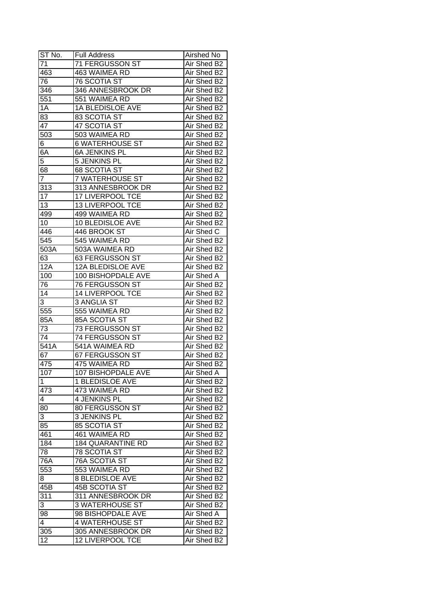| ST No.          | <b>Full Address</b>       | Airshed No        |
|-----------------|---------------------------|-------------------|
| 71              | 71 FERGUSSON ST           | Air Shed B2       |
| 463             | 463 WAIMEA RD             | Air Shed B2       |
| 76              | <b>76 SCOTIA ST</b>       | Air Shed B2       |
| 346             | 346 ANNESBROOK DR         | Air Shed B2       |
| 551             | 551 WAIMEA RD             | Air Shed B2       |
| 1A              | <b>1A BLEDISLOE AVE</b>   | Air Shed B2       |
| 83              | 83 SCOTIA ST              | Air Shed B2       |
| 47              | 47 SCOTIA ST              | Air Shed B2       |
| 503             | 503 WAIMEA RD             | Air Shed B2       |
| 6               | <b>6 WATERHOUSE ST</b>    | Air Shed B2       |
| 6A              | <b>6A JENKINS PL</b>      | Air Shed B2       |
| 5               | 5 JENKINS PL              | Air Shed B2       |
| 68              | 68 SCOTIA ST              | Air Shed B2       |
| $\overline{7}$  | <b>7 WATERHOUSE ST</b>    | Air Shed B2       |
| 313             | 313 ANNESBROOK DR         | Air Shed B2       |
| 17              | 17 LIVERPOOL TCE          | Air Shed B2       |
| 13              | 13 LIVERPOOL TCE          | Air Shed B2       |
| 499             | 499 WAIMEA RD             | Air Shed B2       |
| 10              | 10 BLEDISLOE AVE          | Air Shed B2       |
| 446             | 446 BROOK ST              | Air Shed C        |
| 545             | 545 WAIMEA RD             | Air Shed B2       |
| 503A            | 503A WAIMEA RD            | Air Shed B2       |
| 63              | 63 FERGUSSON ST           | Air Shed B2       |
| 12A             | 12A BLEDISLOE AVE         | Air Shed B2       |
| 100             | 100 BISHOPDALE AVE        | Air Shed A        |
| 76              | 76 FERGUSSON ST           | Air Shed B2       |
| 14              | 14 LIVERPOOL TCE          | Air Shed B2       |
| 3               | 3 ANGLIA ST               | Air Shed B2       |
| 555             | 555 WAIMEA RD             | Air Shed B2       |
| 85A             | 85A SCOTIA ST             | Air Shed B2       |
| 73              | <b>73 FERGUSSON ST</b>    | Air Shed B2       |
| 74              | <b>74 FERGUSSON ST</b>    | Air Shed B2       |
| 541A            | 541A WAIMEA RD            | Air Shed B2       |
| $\overline{67}$ | 67 FERGUSSON ST           | Air Shed B2       |
| 475             | 475 WAIMEA RD             | Air Shed B2       |
| 107             | <b>107 BISHOPDALE AVE</b> | <b>Air Shed A</b> |
| 1               | 1 BLEDISLOE AVE           | Air Shed B2       |
| 473             | 473 WAIMEA RD             | Air Shed B2       |
| 4               | 4 JENKINS PL              | Air Shed B2       |
| 80              | 80 FERGUSSON ST           | Air Shed B2       |
| 3               | 3 JENKINS PL              | Air Shed B2       |
| 85              | 85 SCOTIA ST              | Air Shed B2       |
| 461             | 461 WAIMEA RD             | Air Shed B2       |
| 184             | <b>184 QUARANTINE RD</b>  | Air Shed B2       |
| 78              | <b>78 SCOTIA ST</b>       | Air Shed B2       |
| 76A             | <b>76A SCOTIA ST</b>      | Air Shed B2       |
| 553             | 553 WAIMEA RD             | Air Shed B2       |
| 8               | <b>8 BLEDISLOE AVE</b>    | Air Shed B2       |
| 45B             | 45B SCOTIA ST             | Air Shed B2       |
| 311             | 311 ANNESBROOK DR         | Air Shed B2       |
| 3               | <b>3 WATERHOUSE ST</b>    | Air Shed B2       |
|                 | 98 BISHOPDALE AVE         | Air Shed A        |
| 98              |                           | Air Shed B2       |
| 4               | <b>4 WATERHOUSE ST</b>    |                   |
| 305             | 305 ANNESBROOK DR         | Air Shed B2       |
| 12              | 12 LIVERPOOL TCE          | Air Shed B2       |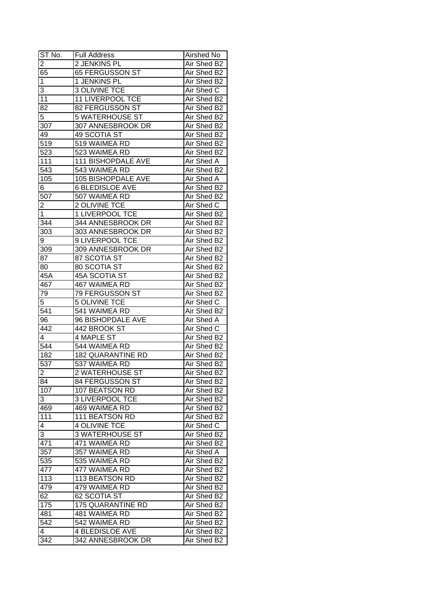| ST No.           | <b>Full Address</b>               | Airshed No                 |
|------------------|-----------------------------------|----------------------------|
| $\overline{2}$   | 2 JENKINS PL                      | Air Shed B2                |
| 65               | 65 FERGUSSON ST                   | Air Shed B2                |
| 1                | 1 JENKINS PL                      | Air Shed B2                |
| 3                | <b>3 OLIVINE TCE</b>              | Air Shed C                 |
| 11               | 11 LIVERPOOL TCE                  | Air Shed B2                |
| 82               | 82 FERGUSSON ST                   | Air Shed B2                |
| 5                | <b>5 WATERHOUSE ST</b>            | Air Shed B2                |
| 307              | 307 ANNESBROOK DR                 | Air Shed B2                |
| 49               | 49 SCOTIA ST                      | Air Shed B2                |
| $\overline{519}$ | 519 WAIMEA RD                     | Air Shed B2                |
| 523              | 523 WAIMEA RD                     | Air Shed B2                |
| 111              | 111 BISHOPDALE AVE                | Air Shed A                 |
| 543              | 543 WAIMEA RD                     | Air Shed B2                |
| 105              | 105 BISHOPDALE AVE                | <b>Air Shed A</b>          |
| 6                | <b>6 BLEDISLOE AVE</b>            | Air Shed B2                |
| 507              | 507 WAIMEA RD                     | Air Shed B2                |
| $\overline{2}$   | 2 OLIVINE TCE                     | Air Shed C                 |
| $\overline{1}$   | 1 LIVERPOOL TCE                   | Air Shed B2                |
| 344              | 344 ANNESBROOK DR                 |                            |
| 303              | 303 ANNESBROOK DR                 | Air Shed B2<br>Air Shed B2 |
|                  | 9 LIVERPOOL TCE                   | Air Shed B2                |
| 9                | 309 ANNESBROOK DR                 |                            |
| 309<br>87        | 87 SCOTIA ST                      | Air Shed B2                |
|                  |                                   | Air Shed B2                |
| 80               | 80 SCOTIA ST                      | Air Shed B2                |
| 45A              | 45A SCOTIA ST                     | Air Shed B2                |
| 467              | 467 WAIMEA RD                     | Air Shed B2                |
| 79               | 79 FERGUSSON ST                   | Air Shed B2                |
| $\overline{5}$   | <b>5 OLIVINE TCE</b>              | Air Shed C                 |
| 541              | 541 WAIMEA RD                     | Air Shed B2                |
| 96               | 96 BISHOPDALE AVE                 | Air Shed A                 |
| 442              | 442 BROOK ST<br><b>4 MAPLE ST</b> | Air Shed C                 |
| 4<br>544         | 544 WAIMEA RD                     | Air Shed B2                |
|                  |                                   | Air Shed B2                |
| 182              | <b>182 QUARANTINE RD</b>          | Air Shed B2                |
| 537              | 537 WAIMEA RD                     | Air Shed B2                |
| $\overline{2}$   | 2 WATERHOUSE ST                   | Air Shed B2                |
| 84               | 84 FERGUSSON ST                   | Air Shed B2                |
| 107              | 107 BEATSON RD                    | Air Shed B2                |
| 3                | 3 LIVERPOOL TCE                   | Air Shed B2                |
| 469              | 469 WAIMEA RD                     | Air Shed B2                |
| 111              | 111 BEATSON RD                    | Air Shed B2                |
| 4                | <b>4 OLIVINE TCE</b>              | Air Shed C                 |
| 3                | 3 WATERHOUSE ST                   | Air Shed B2                |
| 471              | 471 WAIMEA RD                     | Air Shed B2                |
| 357              | 357 WAIMEA RD                     | Air Shed A                 |
| 535              | 535 WAIMEA RD                     | Air Shed B2                |
| 477              | 477 WAIMEA RD                     | Air Shed B2                |
| 113              | 113 BEATSON RD                    | Air Shed B2                |
| 479              | 479 WAIMEA RD                     | Air Shed B2                |
| 62               | 62 SCOTIA ST                      | Air Shed B2                |
| 175              | 175 QUARANTINE RD                 | Air Shed B2                |
| 481              | 481 WAIMEA RD                     | Air Shed B2                |
| 542              | 542 WAIMEA RD                     | Air Shed B2                |
| $\overline{4}$   | <b>4 BLEDISLOE AVE</b>            | Air Shed B2                |
| 342              | 342 ANNESBROOK DR                 | Air Shed B2                |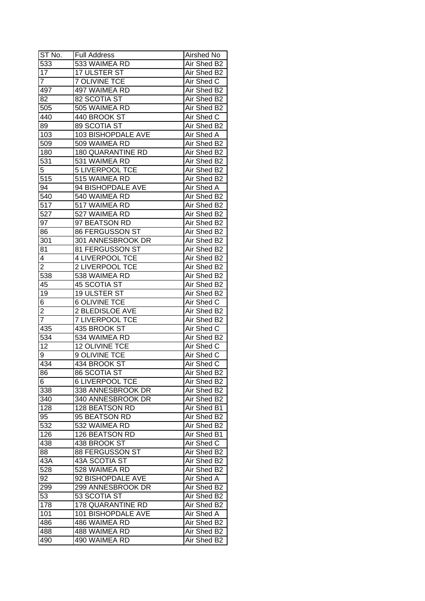| ST No.           | <b>Full Address</b>      | Airshed No  |
|------------------|--------------------------|-------------|
| 533              | 533 WAIMEA RD            | Air Shed B2 |
| 17               | <b>17 ULSTER ST</b>      | Air Shed B2 |
| $\overline{7}$   | <b>7 OLIVINE TCE</b>     | Air Shed C  |
| 497              | 497 WAIMEA RD            | Air Shed B2 |
| 82               | 82 SCOTIA ST             | Air Shed B2 |
| 505              | 505 WAIMEA RD            | Air Shed B2 |
| 440              | 440 BROOK ST             | Air Shed C  |
| 89               | 89 SCOTIA ST             | Air Shed B2 |
| $\overline{1}03$ | 103 BISHOPDALE AVE       | Air Shed A  |
| 509              | 509 WAIMEA RD            | Air Shed B2 |
| 180              | <b>180 QUARANTINE RD</b> | Air Shed B2 |
| 531              | 531 WAIMEA RD            | Air Shed B2 |
| 5                | 5 LIVERPOOL TCE          | Air Shed B2 |
| 515              | 515 WAIMEA RD            | Air Shed B2 |
| 94               | 94 BISHOPDALE AVE        | Air Shed A  |
| 540              | 540 WAIMEA RD            | Air Shed B2 |
| 517              | 517 WAIMEA RD            | Air Shed B2 |
| 527              | 527 WAIMEA RD            | Air Shed B2 |
| 97               | 97 BEATSON RD            | Air Shed B2 |
| 86               | 86 FERGUSSON ST          | Air Shed B2 |
| 301              | 301 ANNESBROOK DR        | Air Shed B2 |
| 81               | 81 FERGUSSON ST          | Air Shed B2 |
| 4                | <b>4 LIVERPOOL TCE</b>   | Air Shed B2 |
| $\overline{2}$   | 2 LIVERPOOL TCE          | Air Shed B2 |
| 538              | 538 WAIMEA RD            | Air Shed B2 |
| 45               | <b>45 SCOTIA ST</b>      | Air Shed B2 |
| 19               | 19 ULSTER ST             | Air Shed B2 |
| 6                | <b>6 OLIVINE TCE</b>     | Air Shed C  |
| $\overline{2}$   | 2 BLEDISLOE AVE          | Air Shed B2 |
| $\overline{7}$   | <b>7 LIVERPOOL TCE</b>   | Air Shed B2 |
| 435              | 435 BROOK ST             | Air Shed C  |
| 534              | 534 WAIMEA RD            | Air Shed B2 |
| 12               | <b>12 OLIVINE TCE</b>    | Air Shed C  |
| 9                | <b>9 OLIVINE TCE</b>     | Air Shed C  |
| 434              | 434 BROOK ST             | Air Shed C  |
| $\overline{86}$  | <b>86 SCOTIA ST</b>      | Air Shed B2 |
| 6                | <b>6 LIVERPOOL TCE</b>   | Air Shed B2 |
| 338              | 338 ANNESBROOK DR        | Air Shed B2 |
| 340              | 340 ANNESBROOK DR        | Air Shed B2 |
| 128              | 128 BEATSON RD           | Air Shed B1 |
| 95               | 95 BEATSON RD            | Air Shed B2 |
| 532              | 532 WAIMEA RD            | Air Shed B2 |
| 126              | 126 BEATSON RD           | Air Shed B1 |
| 438              | 438 BROOK ST             | Air Shed C  |
| 88               | 88 FERGUSSON ST          | Air Shed B2 |
| 43A              | 43A SCOTIA ST            | Air Shed B2 |
| 528              | 528 WAIMEA RD            | Air Shed B2 |
| 92               | 92 BISHOPDALE AVE        | Air Shed A  |
| 299              | 299 ANNESBROOK DR        | Air Shed B2 |
| 53               | 53 SCOTIA ST             | Air Shed B2 |
| 178              | 178 QUARANTINE RD        | Air Shed B2 |
| 101              | 101 BISHOPDALE AVE       | Air Shed A  |
| 486              | 486 WAIMEA RD            | Air Shed B2 |
| 488              | 488 WAIMEA RD            | Air Shed B2 |
| 490              | 490 WAIMEA RD            | Air Shed B2 |
|                  |                          |             |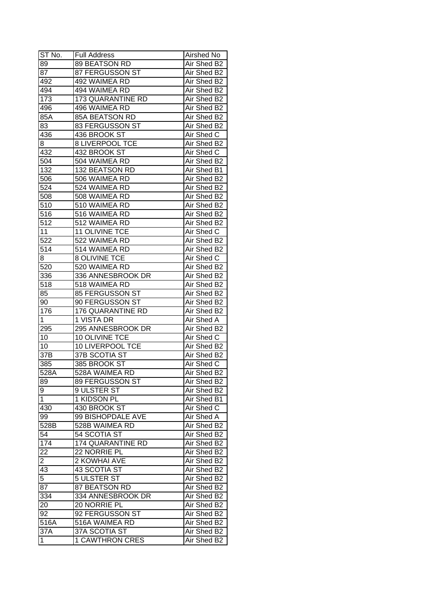| ST No.            | <b>Full Address</b>                | Airshed No                 |
|-------------------|------------------------------------|----------------------------|
| 89                | 89 BEATSON RD                      | Air Shed B2                |
| 87                | 87 FERGUSSON ST                    | Air Shed B2                |
| 492               | 492 WAIMEA RD                      | Air Shed B2                |
| 494               | 494 WAIMEA RD                      | Air Shed B2                |
| 173               | 173 QUARANTINE RD                  | Air Shed B2                |
| 496               | 496 WAIMEA RD                      | Air Shed B2                |
| 85A               | 85A BEATSON RD                     | Air Shed B2                |
| 83                | 83 FERGUSSON ST                    | Air Shed B2                |
| 436               | 436 BROOK ST                       | Air Shed C                 |
| 8                 | 8 LIVERPOOL TCE                    | Air Shed B2                |
| 432               | 432 BROOK ST                       | Air Shed C                 |
| 504               | 504 WAIMEA RD                      | Air Shed B2                |
| 132               | 132 BEATSON RD                     | Air Shed B1                |
| 506               | 506 WAIMEA RD                      | Air Shed B2                |
| 524               | 524 WAIMEA RD                      | Air Shed B2                |
| 508               | 508 WAIMEA RD                      | Air Shed B2                |
| 510               | 510 WAIMEA RD                      | Air Shed B2                |
| 516               | 516 WAIMEA RD                      | Air Shed B2                |
| 512               | 512 WAIMEA RD                      | Air Shed B2                |
| 11                | 11 OLIVINE TCE                     | Air Shed C                 |
| $52\overline{2}$  | 522 WAIMEA RD                      | Air Shed B2                |
| 514               | 514 WAIMEA RD                      |                            |
|                   | <b>8 OLIVINE TCE</b>               | Air Shed B2<br>Air Shed C  |
| 8                 |                                    |                            |
| 520               | 520 WAIMEA RD                      | Air Shed B2                |
| 336               | 336 ANNESBROOK DR                  | Air Shed B2                |
| 518               | 518 WAIMEA RD                      | Air Shed B2                |
| 85                | 85 FERGUSSON ST<br>90 FERGUSSON ST | Air Shed B2<br>Air Shed B2 |
| 90                |                                    | Air Shed B2                |
| 176<br>1          | 176 QUARANTINE RD<br>1 VISTA DR    | Air Shed A                 |
| 295               | 295 ANNESBROOK DR                  | Air Shed B2                |
| 10                | 10 OLIVINE TCE                     | Air Shed C                 |
| 10                | <b>10 LIVERPOOL TCE</b>            | Air Shed B2                |
| 37B               | 37B SCOTIA ST                      | Air Shed B2                |
| 385               | 385 BROOK ST                       |                            |
|                   |                                    | Air Shed C<br>Air Shed B2  |
| 528A              | 528A WAIMEA RD                     |                            |
| 89                | 89 FERGUSSON ST                    | Air Shed B2                |
| 9                 | 9 ULSTER ST                        | Air Shed B2                |
| 1                 | 1 KIDSON PL                        | Air Shed B1                |
| 430               | 430 BROOK ST                       | Air Shed C                 |
| 99                | 99 BISHOPDALE AVE                  | Air Shed A                 |
| 528B              | 528B WAIMEA RD                     | Air Shed B2                |
| 54                | 54 SCOTIA ST                       | Air Shed B2                |
| 174               | 174 QUARANTINE RD                  | Air Shed B2                |
| $\overline{22}$   | 22 NORRIE PL                       | Air Shed B2                |
| $\overline{2}$    | 2 KOWHAI AVE                       | Air Shed B2                |
| 43                | 43 SCOTIA ST                       | Air Shed B2                |
| $\overline{5}$    | 5 ULSTER ST                        | Air Shed B2                |
| 87                | 87 BEATSON RD                      | Air Shed B2                |
| 334               | 334 ANNESBROOK DR                  | Air Shed B2                |
| 20                | 20 NORRIE PL                       | Air Shed B2                |
| 92                | 92 FERGUSSON ST                    | Air Shed B2                |
| $516\overline{A}$ | 516A WAIMEA RD                     | Air Shed B2                |
| 37A               | 37A SCOTIA ST                      | Air Shed B2                |
| 1                 | <b>1 CAWTHRON CRES</b>             | Air Shed B2                |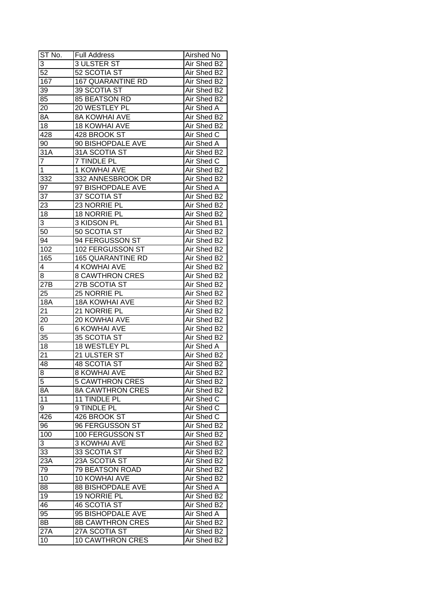| ST No.           | <b>Full Address</b>      | Airshed No  |
|------------------|--------------------------|-------------|
| 3                | <b>3 ULSTER ST</b>       | Air Shed B2 |
| $\overline{52}$  | 52 SCOTIA ST             | Air Shed B2 |
| 167              | <b>167 QUARANTINE RD</b> | Air Shed B2 |
| $3\overline{9}$  | 39 SCOTIA ST             | Air Shed B2 |
| 85               | 85 BEATSON RD            | Air Shed B2 |
| 20               | 20 WESTLEY PL            | Air Shed A  |
| 8A               | <b>8A KOWHAI AVE</b>     | Air Shed B2 |
| 18               | <b>18 KOWHAI AVE</b>     | Air Shed B2 |
| 428              | 428 BROOK ST             | Air Shed C  |
| 90               | 90 BISHOPDALE AVE        | Air Shed A  |
| 31A              | 31A SCOTIA ST            | Air Shed B2 |
| $\overline{7}$   | 7 TINDLE PL              | Air Shed C  |
| $\mathbf{1}$     | 1 KOWHAI AVE             | Air Shed B2 |
| 332              | 332 ANNESBROOK DR        | Air Shed B2 |
| 97               | 97 BISHOPDALE AVE        | Air Shed A  |
| 37               | 37 SCOTIA ST             | Air Shed B2 |
| 23               | 23 NORRIE PL             | Air Shed B2 |
| 18               | 18 NORRIE PL             | Air Shed B2 |
| 3                | 3 KIDSON PL              | Air Shed B1 |
| 50               | 50 SCOTIA ST             | Air Shed B2 |
| 94               | 94 FERGUSSON ST          | Air Shed B2 |
| 102              | 102 FERGUSSON ST         | Air Shed B2 |
| 165              | <b>165 QUARANTINE RD</b> | Air Shed B2 |
| 4                | <b>4 KOWHAI AVE</b>      | Air Shed B2 |
| 8                | <b>8 CAWTHRON CRES</b>   | Air Shed B2 |
| 27B              | 27B SCOTIA ST            | Air Shed B2 |
| 25               | 25 NORRIE PL             | Air Shed B2 |
| <b>18A</b>       | <b>18A KOWHAI AVE</b>    | Air Shed B2 |
| 21               | 21 NORRIE PL             | Air Shed B2 |
| 20               | 20 KOWHAI AVE            | Air Shed B2 |
| 6                | <b>6 KOWHAI AVE</b>      | Air Shed B2 |
| 35               | 35 SCOTIA ST             | Air Shed B2 |
| 18               | 18 WESTLEY PL            | Air Shed A  |
| $\overline{21}$  | 21 ULSTER ST             | Air Shed B2 |
| 48               | <b>48 SCOTIA ST</b>      | Air Shed B2 |
| $\overline{8}$   | <b>8 KOWHAI AVE</b>      | Air Shed B2 |
| 5                | <b>5 CAWTHRON CRES</b>   | Air Shed B2 |
| 8A               | <b>8A CAWTHRON CRES</b>  | Air Shed B2 |
| 11               | 11 TINDLE PL             | Air Shed C  |
| 9                | 9 TINDLE PL              | Air Shed C  |
| 426              | 426 BROOK ST             | Air Shed C  |
| 96               | 96 FERGUSSON ST          | Air Shed B2 |
| 100              | 100 FERGUSSON ST         | Air Shed B2 |
| 3                | <b>3 KOWHAI AVE</b>      | Air Shed B2 |
| 33               | 33 SCOTIA ST             | Air Shed B2 |
| 23A              | 23A SCOTIA ST            | Air Shed B2 |
| 79               | <b>79 BEATSON ROAD</b>   | Air Shed B2 |
| 10               | 10 KOWHAI AVE            | Air Shed B2 |
| 88               | <b>88 BISHOPDALE AVE</b> | Air Shed A  |
| 19               | 19 NORRIE PL             | Air Shed B2 |
| 46               | <b>46 SCOTIA ST</b>      | Air Shed B2 |
| 95               | 95 BISHOPDALE AVE        | Air Shed A  |
| 8B               | <b>8B CAWTHRON CRES</b>  | Air Shed B2 |
| $27\overline{A}$ | 27A SCOTIA ST            | Air Shed B2 |
| 10               | <b>10 CAWTHRON CRES</b>  | Air Shed B2 |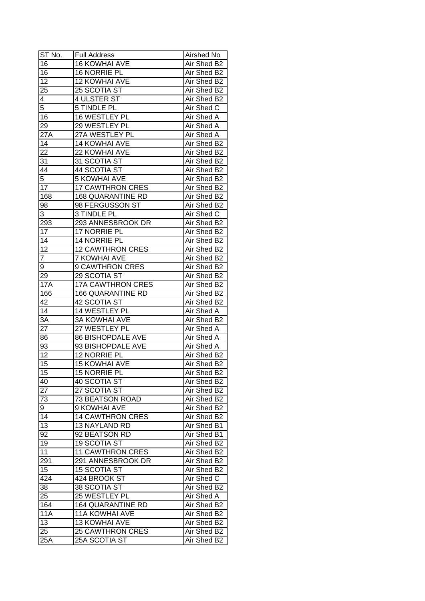| ST No.          | <b>Full Address</b>      | Airshed No  |
|-----------------|--------------------------|-------------|
| 16              | <b>16 KOWHAI AVE</b>     | Air Shed B2 |
| 16              | <b>16 NORRIE PL</b>      | Air Shed B2 |
| $\overline{12}$ | 12 KOWHAI AVE            | Air Shed B2 |
| 25              | 25 SCOTIA ST             | Air Shed B2 |
| 4               | 4 ULSTER ST              | Air Shed B2 |
| $\overline{5}$  | 5 TINDLE PL              | Air Shed C  |
| 16              | 16 WESTLEY PL            | Air Shed A  |
| 29              | 29 WESTLEY PL            | Air Shed A  |
| 27A             | 27A WESTLEY PL           | Air Shed A  |
| 14              | 14 KOWHAI AVE            | Air Shed B2 |
| 22              | 22 KOWHAI AVE            | Air Shed B2 |
| 31              | 31 SCOTIA ST             | Air Shed B2 |
| 44              | 44 SCOTIA ST             | Air Shed B2 |
| $\overline{5}$  | <b>5 KOWHAI AVE</b>      | Air Shed B2 |
| 17              | <b>17 CAWTHRON CRES</b>  | Air Shed B2 |
| 168             | <b>168 QUARANTINE RD</b> | Air Shed B2 |
| 98              | 98 FERGUSSON ST          | Air Shed B2 |
| 3               | 3 TINDLE PL              | Air Shed C  |
| 293             | 293 ANNESBROOK DR        | Air Shed B2 |
| 17              | 17 NORRIE PL             | Air Shed B2 |
| 14              | 14 NORRIE PL             | Air Shed B2 |
| 12              | <b>12 CAWTHRON CRES</b>  | Air Shed B2 |
| 7               | <b>7 KOWHAI AVE</b>      | Air Shed B2 |
| 9               | 9 CAWTHRON CRES          | Air Shed B2 |
| 29              | 29 SCOTIA ST             | Air Shed B2 |
| <b>17A</b>      | <b>17A CAWTHRON CRES</b> | Air Shed B2 |
| 166             | <b>166 QUARANTINE RD</b> | Air Shed B2 |
| 42              | 42 SCOTIA ST             | Air Shed B2 |
| 14              | 14 WESTLEY PL            | Air Shed A  |
| $3\overline{A}$ | <b>3A KOWHAI AVE</b>     | Air Shed B2 |
| 27              | 27 WESTLEY PL            | Air Shed A  |
| 86              | <b>86 BISHOPDALE AVE</b> | Air Shed A  |
| 93              | 93 BISHOPDALE AVE        | Air Shed A  |
| $\overline{12}$ | 12 NORRIE PL             | Air Shed B2 |
| $\overline{15}$ | <b>15 KOWHAI AVE</b>     | Air Shed B2 |
| 15              | <b>15 NORRIE PL</b>      | Air Shed B2 |
| 40              | 40 SCOTIA ST             | Air Shed B2 |
| 27              | 27 SCOTIA ST             | Air Shed B2 |
| 73              | 73 BEATSON ROAD          | Air Shed B2 |
| 9               | 9 KOWHAI AVE             | Air Shed B2 |
| 14              | <b>14 CAWTHRON CRES</b>  | Air Shed B2 |
| 13              | 13 NAYLAND RD            | Air Shed B1 |
| 92              | 92 BEATSON RD            | Air Shed B1 |
| 19              | <b>19 SCOTIA ST</b>      | Air Shed B2 |
| 11              | <b>11 CAWTHRON CRES</b>  | Air Shed B2 |
| 291             | 291 ANNESBROOK DR        | Air Shed B2 |
| 15              | <b>15 SCOTIA ST</b>      | Air Shed B2 |
| 424             | 424 BROOK ST             | Air Shed C  |
| 38              | 38 SCOTIA ST             | Air Shed B2 |
| 25              | 25 WESTLEY PL            | Air Shed A  |
| 164             | <b>164 QUARANTINE RD</b> | Air Shed B2 |
| <b>11A</b>      | 11A KOWHAI AVE           | Air Shed B2 |
| 13              | 13 KOWHAI AVE            | Air Shed B2 |
| 25              | <b>25 CAWTHRON CRES</b>  | Air Shed B2 |
| 25A             | 25A SCOTIA ST            | Air Shed B2 |
|                 |                          |             |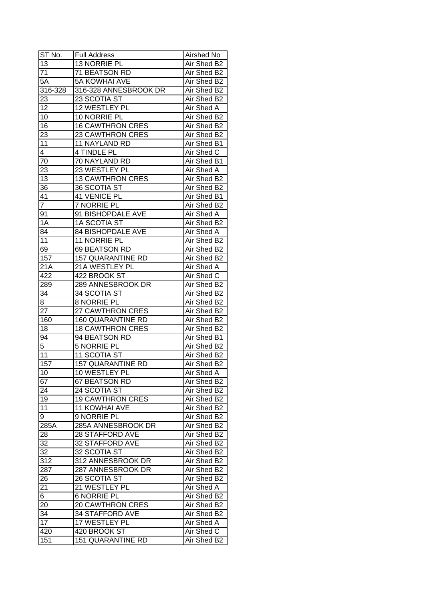| ST No.               | Full Address             | Airshed No        |
|----------------------|--------------------------|-------------------|
| 13                   | 13 NORRIE PL             | Air Shed B2       |
| $\overline{71}$      | 71 BEATSON RD            | Air Shed B2       |
| $5\overline{A}$      | <b>5A KOWHAI AVE</b>     | Air Shed B2       |
| 316-328              | 316-328 ANNESBROOK DR    | Air Shed B2       |
| 23                   | 23 SCOTIA ST             | Air Shed B2       |
| 12                   | 12 WESTLEY PL            | Air Shed A        |
| 10                   | 10 NORRIE PL             | Air Shed B2       |
| 16                   | <b>16 CAWTHRON CRES</b>  | Air Shed B2       |
| 23                   | <b>23 CAWTHRON CRES</b>  | Air Shed B2       |
| 11                   | 11 NAYLAND RD            | Air Shed B1       |
| $\overline{4}$       | 4 TINDLE PL              | Air Shed C        |
| 70                   | 70 NAYLAND RD            | Air Shed B1       |
| 23                   | 23 WESTLEY PL            | Air Shed A        |
| 13                   | <b>13 CAWTHRON CRES</b>  | Air Shed B2       |
| 36                   | 36 SCOTIA ST             | Air Shed B2       |
| 41                   | 41 VENICE PL             | Air Shed B1       |
| $\overline{7}$       | 7 NORRIE PL              | Air Shed B2       |
| 91                   | 91 BISHOPDALE AVE        | Air Shed A        |
| 1A                   | <b>1A SCOTIA ST</b>      | Air Shed B2       |
| $8\overline{4}$      | 84 BISHOPDALE AVE        | Air Shed A        |
| 11                   | 11 NORRIE PL             | Air Shed B2       |
| 69                   | 69 BEATSON RD            | Air Shed B2       |
| 157                  | <b>157 QUARANTINE RD</b> | Air Shed B2       |
| 21A                  | 21A WESTLEY PL           | Air Shed A        |
| 422                  | 422 BROOK ST             | Air Shed C        |
| 289                  | 289 ANNESBROOK DR        | Air Shed B2       |
| 34                   | 34 SCOTIA ST             | Air Shed B2       |
| 8                    | 8 NORRIE PL              | Air Shed B2       |
| 27                   | 27 CAWTHRON CRES         | Air Shed B2       |
| 160                  | 160 QUARANTINE RD        | Air Shed B2       |
| 18                   | <b>18 CAWTHRON CRES</b>  | Air Shed B2       |
| 94                   | 94 BEATSON RD            | Air Shed B1       |
| 5                    | <b>5 NORRIE PL</b>       | Air Shed B2       |
| 11                   | 11 SCOTIA ST             | Air Shed B2       |
| 157                  | <b>157 QUARANTINE RD</b> | Air Shed B2       |
| 10                   | 10 WESTLEY PL            | <b>Air Shed A</b> |
| 67                   | 67 BEATSON RD            | Air Shed B2       |
| 24                   | 24 SCOTIA ST             | Air Shed B2       |
| 19                   | <b>19 CAWTHRON CRES</b>  | Air Shed B2       |
| 11                   | <b>11 KOWHAI AVE</b>     | Air Shed B2       |
| 9                    | 9 NORRIE PL              | Air Shed B2       |
| 285A                 | 285A ANNESBROOK DR       | Air Shed B2       |
| 28                   | <b>28 STAFFORD AVE</b>   | Air Shed B2       |
| 32                   | 32 STAFFORD AVE          | Air Shed B2       |
| 32                   | 32 SCOTIA ST             | Air Shed B2       |
| 312                  | 312 ANNESBROOK DR        | Air Shed B2       |
| 287                  | 287 ANNESBROOK DR        | Air Shed B2       |
| 26                   | 26 SCOTIA ST             | Air Shed B2       |
|                      | 21 WESTLEY PL            | Air Shed A        |
| 21<br>$\overline{6}$ | <b>6 NORRIE PL</b>       | Air Shed B2       |
|                      | <b>20 CAWTHRON CRES</b>  | Air Shed B2       |
| 20                   | 34 STAFFORD AVE          |                   |
| 34<br>17             |                          | Air Shed B2       |
|                      | 17 WESTLEY PL            | Air Shed A        |
| 420                  | 420 BROOK ST             | Air Shed C        |
| 151                  | <b>151 QUARANTINE RD</b> | Air Shed B2       |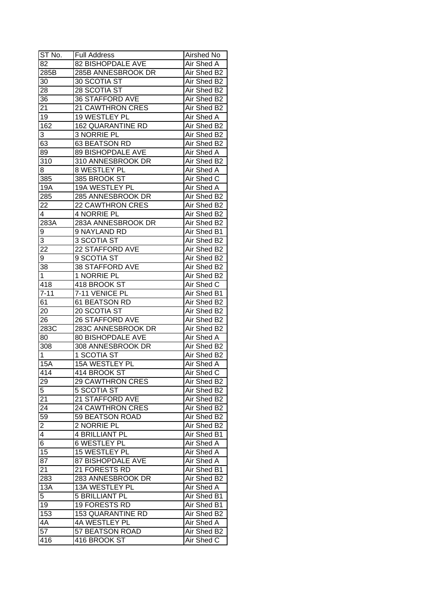| $ST$ No.       | <b>Full Address</b>      | Airshed No        |
|----------------|--------------------------|-------------------|
| 82             | 82 BISHOPDALE AVE        | Air Shed A        |
| 285B           | 285B ANNESBROOK DR       | Air Shed B2       |
| 30             | 30 SCOTIA ST             | Air Shed B2       |
| 28             | 28 SCOTIA ST             | Air Shed B2       |
| 36             | <b>36 STAFFORD AVE</b>   | Air Shed B2       |
| 21             | 21 CAWTHRON CRES         | Air Shed B2       |
| 19             | 19 WESTLEY PL            | Air Shed A        |
| 162            | <b>162 QUARANTINE RD</b> | Air Shed B2       |
| 3              | 3 NORRIE PL              | Air Shed B2       |
| 63             | 63 BEATSON RD            | Air Shed B2       |
| 89             | 89 BISHOPDALE AVE        | Air Shed A        |
| 310            | 310 ANNESBROOK DR        | Air Shed B2       |
| 8              | 8 WESTLEY PL             | Air Shed A        |
| 385            | 385 BROOK ST             | Air Shed C        |
| 19A            | 19A WESTLEY PL           | Air Shed A        |
| 285            | 285 ANNESBROOK DR        | Air Shed B2       |
| 22             | 22 CAWTHRON CRES         | Air Shed B2       |
| $\overline{4}$ | 4 NORRIE PL              | Air Shed B2       |
| 283A           | 283A ANNESBROOK DR       | Air Shed B2       |
| 9              | 9 NAYLAND RD             | Air Shed B1       |
| 3              | 3 SCOTIA ST              | Air Shed B2       |
| 22             | 22 STAFFORD AVE          | Air Shed B2       |
| 9              | 9 SCOTIA ST              | Air Shed B2       |
| 38             | 38 STAFFORD AVE          | Air Shed B2       |
| $\mathbf{1}$   | 1 NORRIE PL              | Air Shed B2       |
| 418            | 418 BROOK ST             | Air Shed C        |
| $7 - 11$       | 7-11 VENICE PL           | Air Shed B1       |
| 61             | 61 BEATSON RD            | Air Shed B2       |
| 20             | 20 SCOTIA ST             | Air Shed B2       |
| 26             | <b>26 STAFFORD AVE</b>   | Air Shed B2       |
| 283C           | 283C ANNESBROOK DR       | Air Shed B2       |
| 80             | 80 BISHOPDALE AVE        | Air Shed A        |
| 308            | 308 ANNESBROOK DR        | Air Shed B2       |
| 1              | <b>1 SCOTIA ST</b>       | Air Shed B2       |
| 15A            | <b>15A WESTLEY PL</b>    | Air Shed A        |
| 414            | 414 BROOK ST             | Air Shed C        |
| 29             | <b>29 CAWTHRON CRES</b>  | Air Shed B2       |
| 5              | <b>5 SCOTIA ST</b>       | Air Shed B2       |
| 21             | 21 STAFFORD AVE          | Air Shed B2       |
| 24             | 24 CAWTHRON CRES         | Air Shed B2       |
| 59             | 59 BEATSON ROAD          | Air Shed B2       |
| $\overline{c}$ | 2 NORRIE PL              | Air Shed B2       |
| $\overline{4}$ | 4 BRILLIANT PL           | Air Shed B1       |
| $\overline{6}$ | <b>6 WESTLEY PL</b>      | <b>Air Shed A</b> |
| 15             | 15 WESTLEY PL            | Air Shed A        |
| 87             | 87 BISHOPDALE AVE        | Air Shed A        |
| 21             | 21 FORESTS RD            | Air Shed B1       |
| 283            | 283 ANNESBROOK DR        | Air Shed B2       |
| 13A            | 13A WESTLEY PL           | Air Shed A        |
| 5              | <b>5 BRILLIANT PL</b>    | Air Shed B1       |
| 19             | 19 FORESTS RD            | Air Shed B1       |
| 153            | <b>153 QUARANTINE RD</b> | Air Shed B2       |
| 4A             | 4A WESTLEY PL            | Air Shed A        |
| 57             | 57 BEATSON ROAD          | Air Shed B2       |
| 416            | 416 BROOK ST             | Air Shed C        |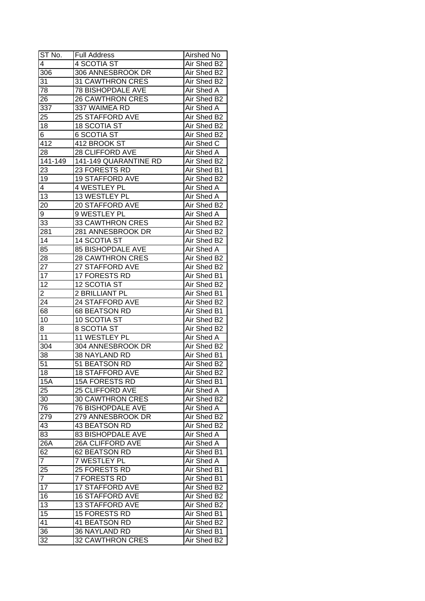| ST No.          | <b>Full Address</b>      | Airshed No  |
|-----------------|--------------------------|-------------|
| 4               | 4 SCOTIA ST              | Air Shed B2 |
| 306             | 306 ANNESBROOK DR        | Air Shed B2 |
| 31              | <b>31 CAWTHRON CRES</b>  | Air Shed B2 |
| $\overline{78}$ | <b>78 BISHOPDALE AVE</b> | Air Shed A  |
| 26              | <b>26 CAWTHRON CRES</b>  | Air Shed B2 |
| 337             | 337 WAIMEA RD            | Air Shed A  |
| 25              | 25 STAFFORD AVE          | Air Shed B2 |
| 18              | <b>18 SCOTIA ST</b>      | Air Shed B2 |
| 6               | <b>6 SCOTIA ST</b>       | Air Shed B2 |
| 412             | 412 BROOK ST             | Air Shed C  |
| 28              | 28 CLIFFORD AVE          | Air Shed A  |
| 141-149         | 141-149 QUARANTINE RD    | Air Shed B2 |
| 23              | 23 FORESTS RD            | Air Shed B1 |
| 19              | <b>19 STAFFORD AVE</b>   | Air Shed B2 |
| 4               | 4 WESTLEY PL             | Air Shed A  |
| 13              | 13 WESTLEY PL            | Air Shed A  |
| 20              | <b>20 STAFFORD AVE</b>   | Air Shed B2 |
| 9               | 9 WESTLEY PL             | Air Shed A  |
| 33              | 33 CAWTHRON CRES         | Air Shed B2 |
| 281             | 281 ANNESBROOK DR        | Air Shed B2 |
| 14              | <b>14 SCOTIA ST</b>      | Air Shed B2 |
| 85              | <b>85 BISHOPDALE AVE</b> | Air Shed A  |
| 28              | <b>28 CAWTHRON CRES</b>  | Air Shed B2 |
| 27              | 27 STAFFORD AVE          | Air Shed B2 |
| 17              | 17 FORESTS RD            | Air Shed B1 |
| 12              | 12 SCOTIA ST             | Air Shed B2 |
| $\overline{2}$  | 2 BRILLIANT PL           | Air Shed B1 |
| 24              | 24 STAFFORD AVE          | Air Shed B2 |
| 68              | 68 BEATSON RD            | Air Shed B1 |
| 10              | 10 SCOTIA ST             | Air Shed B2 |
| 8               | 8 SCOTIA ST              | Air Shed B2 |
| 11              | 11 WESTLEY PL            | Air Shed A  |
| 304             | 304 ANNESBROOK DR        | Air Shed B2 |
| 38              | 38 NAYLAND RD            | Air Shed B1 |
| $\overline{51}$ | 51 BEATSON RD            | Air Shed B2 |
| 18              | <b>18 STAFFORD AVE</b>   | Air Shed B2 |
| 15A             | <b>15A FORESTS RD</b>    | Air Shed B1 |
| 25              | 25 CLIFFORD AVE          | Air Shed A  |
| 30              | <b>30 CAWTHRON CRES</b>  | Air Shed B2 |
| 76              | <b>76 BISHOPDALE AVE</b> | Air Shed A  |
| 279             | 279 ANNESBROOK DR        | Air Shed B2 |
| 43              | 43 BEATSON RD            | Air Shed B2 |
| 83              | 83 BISHOPDALE AVE        | Air Shed A  |
| 26A             | <b>26A CLIFFORD AVE</b>  | Air Shed A  |
| 62              | 62 BEATSON RD            | Air Shed B1 |
| $\overline{7}$  | 7 WESTLEY PL             | Air Shed A  |
| 25              | 25 FORESTS RD            | Air Shed B1 |
| $\overline{7}$  | <b>7 FORESTS RD</b>      | Air Shed B1 |
| $1\overline{7}$ | <b>17 STAFFORD AVE</b>   | Air Shed B2 |
| 16              | <b>16 STAFFORD AVE</b>   | Air Shed B2 |
| 13              | <b>13 STAFFORD AVE</b>   | Air Shed B2 |
| 15              | <b>15 FORESTS RD</b>     | Air Shed B1 |
| 41              | 41 BEATSON RD            | Air Shed B2 |
| 36              | 36 NAYLAND RD            | Air Shed B1 |
| 32              | 32 CAWTHRON CRES         | Air Shed B2 |
|                 |                          |             |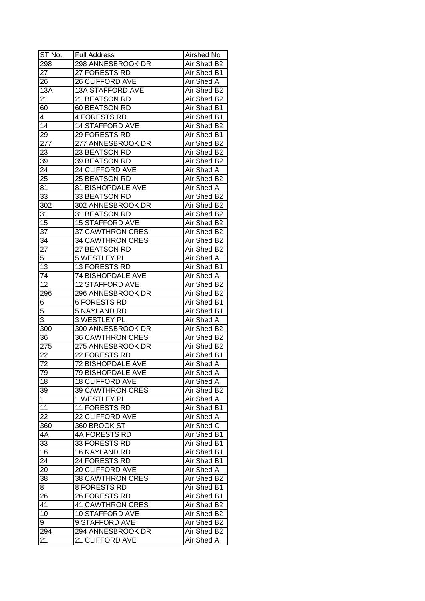| ST No.       | <b>Full Address</b>      | Airshed No        |
|--------------|--------------------------|-------------------|
| 298          | 298 ANNESBROOK DR        | Air Shed B2       |
| 27           | 27 FORESTS RD            | Air Shed B1       |
| 26           | 26 CLIFFORD AVE          | Air Shed A        |
| 13A          | <b>13A STAFFORD AVE</b>  | Air Shed B2       |
| 21           | 21 BEATSON RD            | Air Shed B2       |
| 60           | 60 BEATSON RD            | Air Shed B1       |
| 4            | 4 FORESTS RD             | Air Shed B1       |
| 14           | <b>14 STAFFORD AVE</b>   | Air Shed B2       |
| 29           | 29 FORESTS RD            | Air Shed B1       |
| 277          | 277 ANNESBROOK DR        | Air Shed B2       |
| 23           | 23 BEATSON RD            | Air Shed B2       |
| 39           | 39 BEATSON RD            | Air Shed B2       |
| 24           | 24 CLIFFORD AVE          | Air Shed A        |
| 25           | 25 BEATSON RD            | Air Shed B2       |
| 81           | 81 BISHOPDALE AVE        | Air Shed A        |
| 33           | 33 BEATSON RD            | Air Shed B2       |
| 302          | 302 ANNESBROOK DR        | Air Shed B2       |
| 31           | 31 BEATSON RD            | Air Shed B2       |
| 15           | <b>15 STAFFORD AVE</b>   | Air Shed B2       |
| 37           | 37 CAWTHRON CRES         | Air Shed B2       |
| 34           | <b>34 CAWTHRON CRES</b>  | Air Shed B2       |
| 27           | 27 BEATSON RD            | Air Shed B2       |
| 5            | 5 WESTLEY PL             | Air Shed A        |
| 13           | 13 FORESTS RD            | Air Shed B1       |
| 74           | 74 BISHOPDALE AVE        | Air Shed A        |
| 12           | <b>12 STAFFORD AVE</b>   | Air Shed B2       |
| 296          | 296 ANNESBROOK DR        | Air Shed B2       |
| 6            | <b>6 FORESTS RD</b>      | Air Shed B1       |
| 5            | <b>5 NAYLAND RD</b>      | Air Shed B1       |
| 3            | 3 WESTLEY PL             | Air Shed A        |
| 300          | 300 ANNESBROOK DR        | Air Shed B2       |
| 36           | <b>36 CAWTHRON CRES</b>  | Air Shed B2       |
| 275          | 275 ANNESBROOK DR        | Air Shed B2       |
| 22           | 22 FORESTS RD            | Air Shed B1       |
| 72           | <b>72 BISHOPDALE AVE</b> | <b>Air Shed A</b> |
| 79           | <b>79 BISHOPDALE AVE</b> | Air Shed A        |
| 18           | <b>18 CLIFFORD AVE</b>   | Air Shed A        |
| 39           | <b>39 CAWTHRON CRES</b>  | Air Shed B2       |
| $\mathbf{1}$ | 1 WESTLEY PL             | Air Shed A        |
| 11           | <b>11 FORESTS RD</b>     | Air Shed B1       |
| 22           | 22 CLIFFORD AVE          | Air Shed A        |
| 360          | 360 BROOK ST             | Air Shed C        |
| 4A           | 4A FORESTS RD            | Air Shed B1       |
| 33           | 33 FORESTS RD            | Air Shed B1       |
| 16           | <b>16 NAYLAND RD</b>     | Air Shed B1       |
| 24           | 24 FORESTS RD            | Air Shed B1       |
| 20           | 20 CLIFFORD AVE          | Air Shed A        |
| 38           | <b>38 CAWTHRON CRES</b>  | Air Shed B2       |
| 8            | 8 FORESTS RD             |                   |
|              |                          | Air Shed B1       |
| 26           | 26 FORESTS RD            | Air Shed B1       |
| 41           | <b>41 CAWTHRON CRES</b>  | Air Shed B2       |
| 10           | <b>10 STAFFORD AVE</b>   | Air Shed B2       |
| 9            | 9 STAFFORD AVE           | Air Shed B2       |
| 294          | 294 ANNESBROOK DR        | Air Shed B2       |
| 21           | 21 CLIFFORD AVE          | Air Shed A        |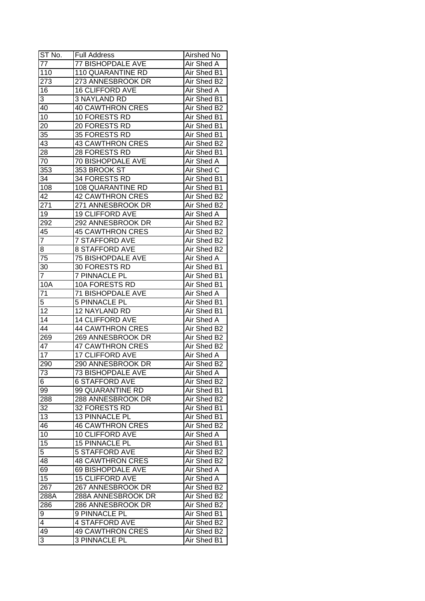| ST No.          | <b>Full Address</b>      | Airshed No  |
|-----------------|--------------------------|-------------|
| 77              | 77 BISHOPDALE AVE        | Air Shed A  |
| 110             | <b>110 QUARANTINE RD</b> | Air Shed B1 |
| 273             | 273 ANNESBROOK DR        | Air Shed B2 |
| 16              | <b>16 CLIFFORD AVE</b>   | Air Shed A  |
| 3               | 3 NAYLAND RD             | Air Shed B1 |
| 40              | <b>40 CAWTHRON CRES</b>  | Air Shed B2 |
| 10              | 10 FORESTS RD            | Air Shed B1 |
| 20              | 20 FORESTS RD            | Air Shed B1 |
| 35              | 35 FORESTS RD            | Air Shed B1 |
| 43              | <b>43 CAWTHRON CRES</b>  | Air Shed B2 |
| 28              | 28 FORESTS RD            | Air Shed B1 |
| 70              | 70 BISHOPDALE AVE        | Air Shed A  |
| 353             | 353 BROOK ST             | Air Shed C  |
| 34              | 34 FORESTS RD            | Air Shed B1 |
| 108             | 108 QUARANTINE RD        | Air Shed B1 |
| 42              | <b>42 CAWTHRON CRES</b>  | Air Shed B2 |
| 271             | 271 ANNESBROOK DR        | Air Shed B2 |
| 19              | <b>19 CLIFFORD AVE</b>   | Air Shed A  |
| 292             | 292 ANNESBROOK DR        | Air Shed B2 |
| 45              | 45 CAWTHRON CRES         | Air Shed B2 |
| $\overline{7}$  | <b>7 STAFFORD AVE</b>    | Air Shed B2 |
| 8               | <b>8 STAFFORD AVE</b>    | Air Shed B2 |
| 75              | <b>75 BISHOPDALE AVE</b> | Air Shed A  |
| 30              | 30 FORESTS RD            | Air Shed B1 |
| $\mathbf{7}$    | <b>7 PINNACLE PL</b>     | Air Shed B1 |
| 10A             | 10A FORESTS RD           | Air Shed B1 |
| $7\overline{1}$ | 71 BISHOPDALE AVE        | Air Shed A  |
| 5               | 5 PINNACLE PL            | Air Shed B1 |
| 12              | 12 NAYLAND RD            | Air Shed B1 |
| 14              | <b>14 CLIFFORD AVE</b>   | Air Shed A  |
| 44              | <b>44 CAWTHRON CRES</b>  | Air Shed B2 |
| 269             | 269 ANNESBROOK DR        | Air Shed B2 |
| 47              | <b>47 CAWTHRON CRES</b>  | Air Shed B2 |
| 17              | <b>17 CLIFFORD AVE</b>   | Air Shed A  |
| 290             | 290 ANNESBROOK DR        | Air Shed B2 |
| 73              | <b>73 BISHOPDALE AVE</b> | Air Shed A  |
| 6               | <b>6 STAFFORD AVE</b>    | Air Shed B2 |
| 99              | 99 QUARANTINE RD         | Air Shed B1 |
| 288             | 288 ANNESBROOK DR        | Air Shed B2 |
| 32              | 32 FORESTS RD            | Air Shed B1 |
| 13              | 13 PINNACLE PL           | Air Shed B1 |
| 46              | <b>46 CAWTHRON CRES</b>  | Air Shed B2 |
| 10              | 10 CLIFFORD AVE          | Air Shed A  |
| 15              | 15 PINNACLE PL           | Air Shed B1 |
| $\overline{5}$  | <b>5 STAFFORD AVE</b>    | Air Shed B2 |
| 48              | <b>48 CAWTHRON CRES</b>  | Air Shed B2 |
|                 | 69 BISHOPDALE AVE        | Air Shed A  |
| 69              |                          |             |
| 15              | <b>15 CLIFFORD AVE</b>   | Air Shed A  |
| 267             | 267 ANNESBROOK DR        | Air Shed B2 |
| 288A            | 288A ANNESBROOK DR       | Air Shed B2 |
| 286             | 286 ANNESBROOK DR        | Air Shed B2 |
| 9               | 9 PINNACLE PL            | Air Shed B1 |
| 4               | <b>4 STAFFORD AVE</b>    | Air Shed B2 |
| 49              | <b>49 CAWTHRON CRES</b>  | Air Shed B2 |
| 3               | 3 PINNACLE PL            | Air Shed B1 |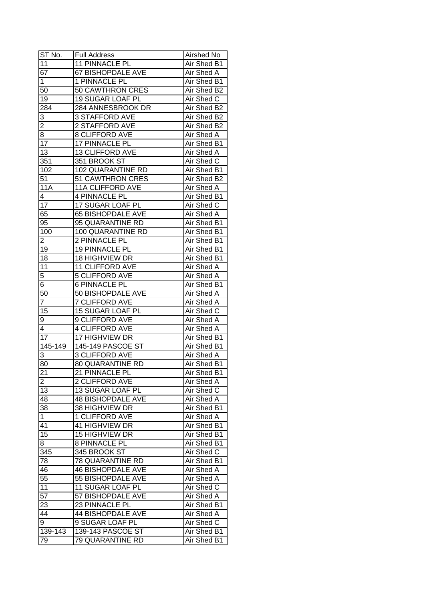| ST No.          | <b>Full Address</b>      | Airshed No  |
|-----------------|--------------------------|-------------|
| 11              | 11 PINNACLE PL           | Air Shed B1 |
| $\overline{67}$ | 67 BISHOPDALE AVE        | Air Shed A  |
| $\mathbf{1}$    | 1 PINNACLE PL            | Air Shed B1 |
| 50              | 50 CAWTHRON CRES         | Air Shed B2 |
| 19              | 19 SUGAR LOAF PL         | Air Shed C  |
| 284             | 284 ANNESBROOK DR        | Air Shed B2 |
| 3               | <b>3 STAFFORD AVE</b>    | Air Shed B2 |
| $\overline{2}$  | 2 STAFFORD AVE           | Air Shed B2 |
| 8               | 8 CLIFFORD AVE           | Air Shed A  |
| 17              | 17 PINNACLE PL           | Air Shed B1 |
| 13              | 13 CLIFFORD AVE          | Air Shed A  |
| 351             | 351 BROOK ST             | Air Shed C  |
| 102             | 102 QUARANTINE RD        | Air Shed B1 |
| 51              | 51 CAWTHRON CRES         | Air Shed B2 |
| <b>11A</b>      | 11A CLIFFORD AVE         | Air Shed A  |
| $\overline{4}$  | 4 PINNACLE PL            | Air Shed B1 |
| 17              | 17 SUGAR LOAF PL         | Air Shed C  |
| 65              | <b>65 BISHOPDALE AVE</b> | Air Shed A  |
| 95              | 95 QUARANTINE RD         | Air Shed B1 |
| 100             | 100 QUARANTINE RD        | Air Shed B1 |
| 2               | 2 PINNACLE PL            | Air Shed B1 |
| 19              | 19 PINNACLE PL           | Air Shed B1 |
| 18              | 18 HIGHVIEW DR           | Air Shed B1 |
| 11              | <b>11 CLIFFORD AVE</b>   | Air Shed A  |
| 5               | 5 CLIFFORD AVE           | Air Shed A  |
| 6               | <b>6 PINNACLE PL</b>     | Air Shed B1 |
| 50              | 50 BISHOPDALE AVE        | Air Shed A  |
| $\overline{7}$  | <b>7 CLIFFORD AVE</b>    | Air Shed A  |
| 15              | 15 SUGAR LOAF PL         | Air Shed C  |
| 9               | 9 CLIFFORD AVE           | Air Shed A  |
| 4               | <b>4 CLIFFORD AVE</b>    | Air Shed A  |
| 17              | 17 HIGHVIEW DR           | Air Shed B1 |
| $145 - 149$     | 145-149 PASCOE ST        | Air Shed B1 |
| 3               | <b>3 CLIFFORD AVE</b>    | Air Shed A  |
| 80              | 80 QUARANTINE RD         | Air Shed B1 |
| $\overline{21}$ | 21 PINNACLE PL           | Air Shed B1 |
| $\overline{2}$  | 2 CLIFFORD AVE           | Air Shed A  |
| 13              | 13 SUGAR LOAF PL         | Air Shed C  |
| 48              | <b>48 BISHOPDALE AVE</b> | Air Shed A  |
| 38              | 38 HIGHVIEW DR           | Air Shed B1 |
| $\mathbf{1}$    | 1 CLIFFORD AVE           | Air Shed A  |
| 41              | 41 HIGHVIEW DR           | Air Shed B1 |
| 15              | 15 HIGHVIEW DR           | Air Shed B1 |
| 8 <sup>1</sup>  | 8 PINNACLE PL            | Air Shed B1 |
| 345             | 345 BROOK ST             | Air Shed C  |
| 78              | 78 QUARANTINE RD         | Air Shed B1 |
| 46              | <b>46 BISHOPDALE AVE</b> | Air Shed A  |
| $\overline{55}$ | 55 BISHOPDALE AVE        | Air Shed A  |
| 11              | 11 SUGAR LOAF PL         | Air Shed C  |
| $\overline{57}$ | 57 BISHOPDALE AVE        | Air Shed A  |
| 23              | 23 PINNACLE PL           | Air Shed B1 |
| 44              | <b>44 BISHOPDALE AVE</b> | Air Shed A  |
| $9^{-}$         | 9 SUGAR LOAF PL          | Air Shed C  |
| 139-143         | 139-143 PASCOE ST        | Air Shed B1 |
| 79              | 79 QUARANTINE RD         | Air Shed B1 |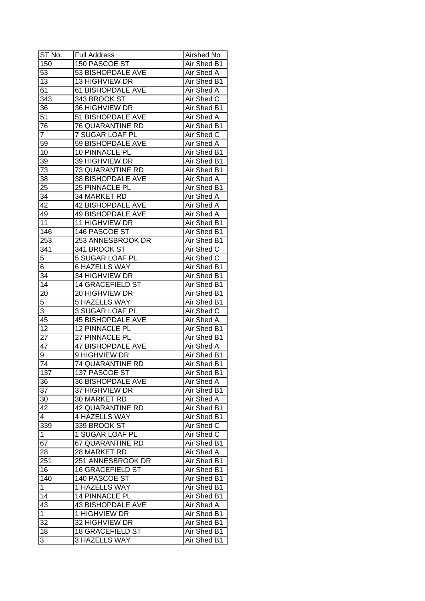| ST No.          | <b>Full Address</b>      | Airshed No         |
|-----------------|--------------------------|--------------------|
| 150             | 150 PASCOE ST            | Air Shed B1        |
| 53              | 53 BISHOPDALE AVE        | Air Shed A         |
| 13              | 13 HIGHVIEW DR           | Air Shed B1        |
| 61              | <b>61 BISHOPDALE AVE</b> | Air Shed A         |
| 343             | 343 BROOK ST             | Air Shed C         |
| 36              | 36 HIGHVIEW DR           | Air Shed B1        |
| 51              | 51 BISHOPDALE AVE        | Air Shed A         |
| 76              | 76 QUARANTINE RD         | Air Shed B1        |
| $\overline{7}$  | 7 SUGAR LOAF PL          | Air Shed C         |
| 59              | 59 BISHOPDALE AVE        | Air Shed A         |
| 10              | 10 PINNACLE PL           | Air Shed B1        |
| 39              | 39 HIGHVIEW DR           | Air Shed B1        |
| 73              | 73 QUARANTINE RD         | Air Shed B1        |
| $3\overline{8}$ | 38 BISHOPDALE AVE        | Air Shed A         |
| 25              | 25 PINNACLE PL           | Air Shed B1        |
| 34              | 34 MARKET RD             | Air Shed A         |
| 42              | 42 BISHOPDALE AVE        | Air Shed A         |
| 49              | <b>49 BISHOPDALE AVE</b> | Air Shed A         |
| 11              | 11 HIGHVIEW DR           | Air Shed B1        |
| 146             | 146 PASCOE ST            | Air Shed B1        |
| 253             | 253 ANNESBROOK DR        | Air Shed B1        |
| 341             | 341 BROOK ST             | Air Shed C         |
| 5               | 5 SUGAR LOAF PL          | Air Shed C         |
| 6               | <b>6 HAZELLS WAY</b>     | Air Shed B1        |
| 34              | 34 HIGHVIEW DR           | Air Shed B1        |
| 14              | <b>14 GRACEFIELD ST</b>  | Air Shed B1        |
| 20              | 20 HIGHVIEW DR           | Air Shed B1        |
| 5               | 5 HAZELLS WAY            | Air Shed B1        |
| 3               | 3 SUGAR LOAF PL          | Air Shed C         |
| 45              | <b>45 BISHOPDALE AVE</b> | Air Shed A         |
| 12              | 12 PINNACLE PL           | Air Shed B1        |
| 27              | 27 PINNACLE PL           | Air Shed B1        |
| $4\overline{7}$ | <b>47 BISHOPDALE AVE</b> | Air Shed A         |
| 9               | <b>9 HIGHVIEW DR</b>     | Air Shed B1        |
| 74              | 74 QUARANTINE RD         | <b>Air Shed B1</b> |
| 137             | 137 PASCOE ST            | Air Shed B1        |
| 36              | 36 BISHOPDALE AVE        | Air Shed A         |
| 37              | 37 HIGHVIEW DR           | Air Shed B1        |
| 30              | 30 MARKET RD             | Air Shed A         |
| 42              | 42 QUARANTINE RD         | Air Shed B1        |
| 4               | 4 HAZELLS WAY            | Air Shed B1        |
| 339             | 339 BROOK ST             | Air Shed C         |
| $\mathbf{1}$    | 1 SUGAR LOAF PL          | Air Shed C         |
| 67              | 67 QUARANTINE RD         | Air Shed B1        |
| 28              | 28 MARKET RD             | Air Shed A         |
| 251             | 251 ANNESBROOK DR        | Air Shed B1        |
| 16              | <b>16 GRACEFIELD ST</b>  | Air Shed B1        |
| 140             | 140 PASCOE ST            | Air Shed B1        |
| $\mathbf{1}$    | 1 HAZELLS WAY            | Air Shed B1        |
| 14              | 14 PINNACLE PL           | Air Shed B1        |
| 43              | <b>43 BISHOPDALE AVE</b> | Air Shed A         |
| $\mathbf{1}$    | 1 HIGHVIEW DR            | Air Shed B1        |
|                 | 32 HIGHVIEW DR           | Air Shed B1        |
| 32<br>18        |                          |                    |
|                 | <b>18 GRACEFIELD ST</b>  | Air Shed B1        |
| 3               | 3 HAZELLS WAY            | Air Shed B1        |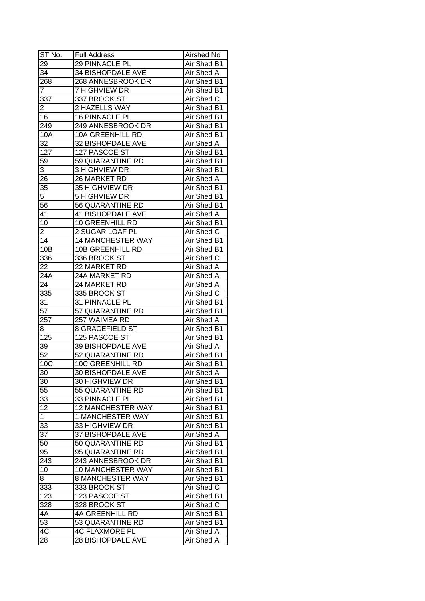| ST No.          | <b>Full Address</b>      | Airshed No        |
|-----------------|--------------------------|-------------------|
| 29              | 29 PINNACLE PL           | Air Shed B1       |
| 34              | <b>34 BISHOPDALE AVE</b> | Air Shed A        |
| 268             | 268 ANNESBROOK DR        | Air Shed B1       |
| 7               | 7 HIGHVIEW DR            | Air Shed B1       |
| 337             | 337 BROOK ST             | Air Shed C        |
| 2               | 2 HAZELLS WAY            | Air Shed B1       |
| 16              | 16 PINNACLE PL           | Air Shed B1       |
| 249             | 249 ANNESBROOK DR        | Air Shed B1       |
| 10A             | <b>10A GREENHILL RD</b>  | Air Shed B1       |
| 32              | 32 BISHOPDALE AVE        | Air Shed A        |
| 127             | 127 PASCOE ST            | Air Shed B1       |
| 59              | 59 QUARANTINE RD         | Air Shed B1       |
| 3               | 3 HIGHVIEW DR            | Air Shed B1       |
| 26              | 26 MARKET RD             | Air Shed A        |
| 35              | 35 HIGHVIEW DR           | Air Shed B1       |
| 5               | <b>5 HIGHVIEW DR</b>     | Air Shed B1       |
| 56              | 56 QUARANTINE RD         | Air Shed B1       |
| 41              | <b>41 BISHOPDALE AVE</b> | Air Shed A        |
| 10              | <b>10 GREENHILL RD</b>   | Air Shed B1       |
| 2               | 2 SUGAR LOAF PL          | Air Shed C        |
| 14              | 14 MANCHESTER WAY        | Air Shed B1       |
| 10B             | <b>10B GREENHILL RD</b>  | Air Shed B1       |
| 336             | 336 BROOK ST             | Air Shed C        |
| 22              | 22 MARKET RD             | Air Shed A        |
| 24A             | 24A MARKET RD            | Air Shed A        |
| 24              | 24 MARKET RD             | Air Shed A        |
| 335             | 335 BROOK ST             | Air Shed C        |
| 31              | 31 PINNACLE PL           | Air Shed B1       |
| 57              | 57 QUARANTINE RD         | Air Shed B1       |
| 257             | 257 WAIMEA RD            | Air Shed A        |
| 8               | 8 GRACEFIELD ST          | Air Shed B1       |
| 125             | 125 PASCOE ST            | Air Shed B1       |
| 39              | <b>39 BISHOPDALE AVE</b> | Air Shed A        |
| $\overline{52}$ | 52 QUARANTINE RD         | Air Shed B1       |
| 10C             | <b>10C GREENHILL RD</b>  | Air Shed B1       |
| 30              | <b>30 BISHOPDALE AVE</b> | <b>Air Shed A</b> |
| 30              | 30 HIGHVIEW DR           | Air Shed B1       |
| 55              | 55 QUARANTINE RD         | Air Shed B1       |
| 33              | 33 PINNACLE PL           | Air Shed B1       |
| 12              | <b>12 MANCHESTER WAY</b> | Air Shed B1       |
| $\mathbf{1}$    | 1 MANCHESTER WAY         | Air Shed B1       |
| 33              | 33 HIGHVIEW DR           | Air Shed B1       |
| $3\overline{7}$ | 37 BISHOPDALE AVE        | Air Shed A        |
| 50              | 50 QUARANTINE RD         | Air Shed B1       |
| 95              | 95 QUARANTINE RD         | Air Shed B1       |
| 243             | 243 ANNESBROOK DR        | Air Shed B1       |
| 10              | 10 MANCHESTER WAY        | Air Shed B1       |
| 8               | 8 MANCHESTER WAY         | Air Shed B1       |
| 333             | 333 BROOK ST             | Air Shed C        |
| 123             | 123 PASCOE ST            | Air Shed B1       |
| 328             | 328 BROOK ST             | Air Shed C        |
| 4A              | <b>4A GREENHILL RD</b>   | Air Shed B1       |
| 53              | 53 QUARANTINE RD         | Air Shed B1       |
| 4C              | <b>4C FLAXMORE PL</b>    | Air Shed A        |
| 28              | <b>28 BISHOPDALE AVE</b> | Air Shed A        |
|                 |                          |                   |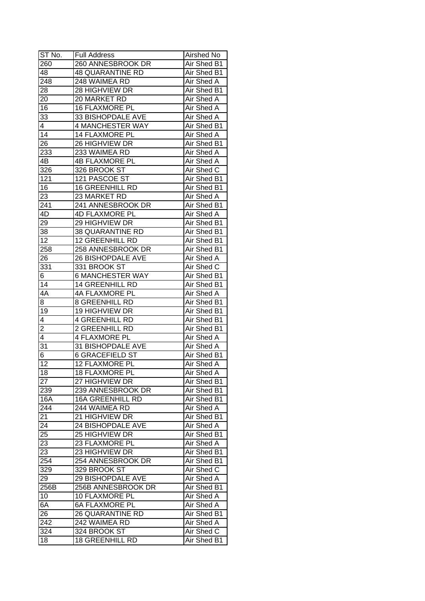| ST No.                  | <b>Full Address</b>      | Airshed No  |
|-------------------------|--------------------------|-------------|
| 260                     | 260 ANNESBROOK DR        | Air Shed B1 |
| 48                      | <b>48 QUARANTINE RD</b>  | Air Shed B1 |
| 248                     | 248 WAIMEA RD            | Air Shed A  |
| 28                      | 28 HIGHVIEW DR           | Air Shed B1 |
| 20                      | 20 MARKET RD             | Air Shed A  |
| 16                      | 16 FLAXMORE PL           | Air Shed A  |
| 33                      | 33 BISHOPDALE AVE        | Air Shed A  |
| 4                       | 4 MANCHESTER WAY         | Air Shed B1 |
| 14                      | <b>14 FLAXMORE PL</b>    | Air Shed A  |
| 26                      | 26 HIGHVIEW DR           | Air Shed B1 |
| 233                     | 233 WAIMEA RD            | Air Shed A  |
| 4B                      | <b>4B FLAXMORE PL</b>    | Air Shed A  |
| 326                     | 326 BROOK ST             | Air Shed C  |
| 121                     | 121 PASCOE ST            | Air Shed B1 |
| 16                      | <b>16 GREENHILL RD</b>   | Air Shed B1 |
| 23                      | 23 MARKET RD             | Air Shed A  |
| 241                     | 241 ANNESBROOK DR        | Air Shed B1 |
| 4D                      | <b>4D FLAXMORE PL</b>    | Air Shed A  |
| 29                      | 29 HIGHVIEW DR           | Air Shed B1 |
| 38                      | 38 QUARANTINE RD         | Air Shed B1 |
| 12                      | <b>12 GREENHILL RD</b>   | Air Shed B1 |
| 258                     | 258 ANNESBROOK DR        | Air Shed B1 |
| 26                      | <b>26 BISHOPDALE AVE</b> | Air Shed A  |
| 331                     | 331 BROOK ST             | Air Shed C  |
| 6                       | <b>6 MANCHESTER WAY</b>  | Air Shed B1 |
| 14                      | <b>14 GREENHILL RD</b>   | Air Shed B1 |
| 4A                      | 4A FLAXMORE PL           | Air Shed A  |
| 8                       | 8 GREENHILL RD           | Air Shed B1 |
| 19                      | 19 HIGHVIEW DR           | Air Shed B1 |
| 4                       | <b>4 GREENHILL RD</b>    | Air Shed B1 |
| $\overline{\mathbf{c}}$ | 2 GREENHILL RD           | Air Shed B1 |
| 4                       | <b>4 FLAXMORE PL</b>     | Air Shed A  |
| 31                      | 31 BISHOPDALE AVE        | Air Shed A  |
| 6                       | <b>6 GRACEFIELD ST</b>   | Air Shed B1 |
| $\overline{12}$         | <b>12 FLAXMORE PL</b>    | Air Shed A  |
| 18                      | <b>18 FLAXMORE PL</b>    | Air Shed A  |
| $\overline{27}$         | 27 HIGHVIEW DR           | Air Shed B1 |
| 239                     | 239 ANNESBROOK DR        | Air Shed B1 |
| 16A                     | <b>16A GREENHILL RD</b>  | Air Shed B1 |
| 244                     | 244 WAIMEA RD            | Air Shed A  |
| 21                      | 21 HIGHVIEW DR           | Air Shed B1 |
| 24                      | 24 BISHOPDALE AVE        | Air Shed A  |
| 25                      | 25 HIGHVIEW DR           | Air Shed B1 |
|                         |                          | Air Shed A  |
| 23                      | 23 FLAXMORE PL           | Air Shed B1 |
| 23                      | 23 HIGHVIEW DR           |             |
| 254                     | 254 ANNESBROOK DR        | Air Shed B1 |
| 329                     | 329 BROOK ST             | Air Shed C  |
| 29                      | 29 BISHOPDALE AVE        | Air Shed A  |
| 256B                    | 256B ANNESBROOK DR       | Air Shed B1 |
| 10                      | <b>10 FLAXMORE PL</b>    | Air Shed A  |
| 6A                      | <b>6A FLAXMORE PL</b>    | Air Shed A  |
| 26                      | <b>26 QUARANTINE RD</b>  | Air Shed B1 |
| 242                     | 242 WAIMEA RD            | Air Shed A  |
| $32\overline{4}$        | 324 BROOK ST             | Air Shed C  |
| 18                      | <b>18 GREENHILL RD</b>   | Air Shed B1 |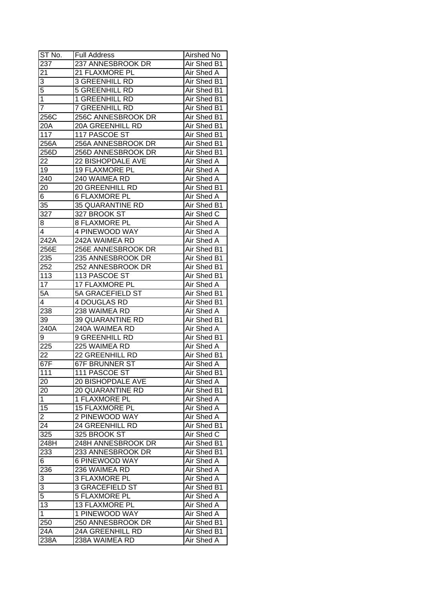| ST No.         | <b>Full Address</b>   | Airshed No        |
|----------------|-----------------------|-------------------|
| 237            | 237 ANNESBROOK DR     | Air Shed B1       |
| 21             | 21 FLAXMORE PL        | <b>Air Shed A</b> |
| $\overline{3}$ | <b>3 GREENHILL RD</b> | Air Shed B1       |
| 5              | <b>5 GREENHILL RD</b> | Air Shed B1       |
| $\overline{1}$ | <b>1 GREENHILL RD</b> | Air Shed B1       |
| 7              | 7 GREENHILL RD        | Air Shed B1       |
| 256C           | 256C ANNESBROOK DR    | Air Shed B1       |
| 20A            | 20A GREENHILL RD      | Air Shed B1       |
| 117            | 117 PASCOE ST         | Air Shed B1       |
| 256A           | 256A ANNESBROOK DR    | Air Shed B1       |
| 256D           | 256D ANNESBROOK DR    | Air Shed B1       |
| 22             | 22 BISHOPDALE AVE     | Air Shed A        |
| 19             | 19 FLAXMORE PL        | Air Shed A        |
| 240            | 240 WAIMEA RD         | Air Shed A        |
| 20             | 20 GREENHILL RD       | Air Shed B1       |
| 6              | <b>6 FLAXMORE PL</b>  | Air Shed A        |
| 35             | 35 QUARANTINE RD      | Air Shed B1       |
| 327            | 327 BROOK ST          | Air Shed C        |
| 8              | <b>8 FLAXMORE PL</b>  | Air Shed A        |
| 4              | 4 PINEWOOD WAY        | Air Shed A        |
| 242A           | 242A WAIMEA RD        | Air Shed A        |
| 256E           | 256E ANNESBROOK DR    | Air Shed B1       |
| 235            | 235 ANNESBROOK DR     | Air Shed B1       |
| 252            | 252 ANNESBROOK DR     | Air Shed B1       |
| 113            | 113 PASCOE ST         | Air Shed B1       |
| 17             | 17 FLAXMORE PL        | Air Shed A        |
| 5A             | 5A GRACEFIELD ST      | Air Shed B1       |
| 4              | 4 DOUGLAS RD          | Air Shed B1       |
| 238            | 238 WAIMEA RD         | Air Shed A        |
| 39             | 39 QUARANTINE RD      | Air Shed B1       |
| 240A           | 240A WAIMEA RD        | Air Shed A        |
| 9              | 9 GREENHILL RD        | Air Shed B1       |
| 225            | 225 WAIMEA RD         | Air Shed A        |
| 22             | 22 GREENHILL RD       | Air Shed B1       |
| 67F            | <b>67F BRUNNER ST</b> | <b>Air Shed A</b> |
| 111            | 111 PASCOE ST         | Air Shed B1       |
| 20             | 20 BISHOPDALE AVE     | Air Shed A        |
| 20             | 20 QUARANTINE RD      | Air Shed B1       |
| 1              | 1 FLAXMORE PL         | Air Shed A        |
| 15             | <b>15 FLAXMORE PL</b> | Air Shed A        |
| 2              | 2 PINEWOOD WAY        | Air Shed A        |
| 24             | 24 GREENHILL RD       | Air Shed B1       |
| 325            | 325 BROOK ST          | Air Shed C        |
| 248H           | 248H ANNESBROOK DR    | Air Shed B1       |
| 233            | 233 ANNESBROOK DR     | Air Shed B1       |
| 6              | <b>6 PINEWOOD WAY</b> | Air Shed A        |
| 236            | 236 WAIMEA RD         | Air Shed A        |
| 3              | <b>3 FLAXMORE PL</b>  | Air Shed A        |
| 3              | 3 GRACEFIELD ST       | Air Shed B1       |
| $\overline{5}$ | <b>5 FLAXMORE PL</b>  | Air Shed A        |
| 13             | 13 FLAXMORE PL        | Air Shed A        |
| $\mathbf{1}$   | 1 PINEWOOD WAY        | Air Shed A        |
| 250            | 250 ANNESBROOK DR     | Air Shed B1       |
| 24A            | 24A GREENHILL RD      | Air Shed B1       |
| 238A           | 238A WAIMEA RD        | Air Shed A        |
|                |                       |                   |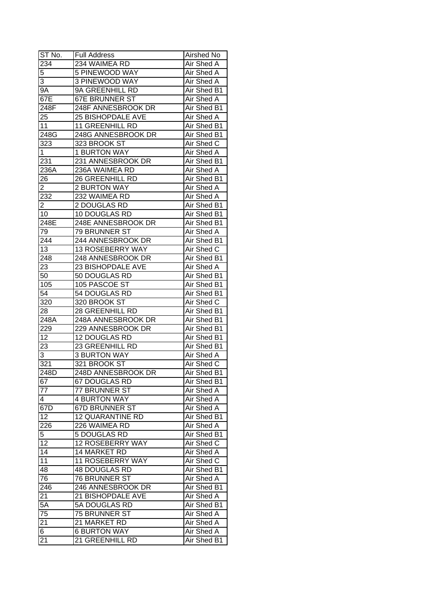| ST No.          | <b>Full Address</b>      | Airshed No        |
|-----------------|--------------------------|-------------------|
| 234             | 234 WAIMEA RD            | Air Shed A        |
| 5               | 5 PINEWOOD WAY           | Air Shed A        |
| 3               | 3 PINEWOOD WAY           | Air Shed A        |
| $9\overline{A}$ | 9A GREENHILL RD          | Air Shed B1       |
| 67E             | <b>67E BRUNNER ST</b>    | Air Shed A        |
| 248F            | 248F ANNESBROOK DR       | Air Shed B1       |
| 25              | <b>25 BISHOPDALE AVE</b> | Air Shed A        |
| 11              | <b>11 GREENHILL RD</b>   | Air Shed B1       |
| 248G            | 248G ANNESBROOK DR       | Air Shed B1       |
| 323             | 323 BROOK ST             | Air Shed C        |
| $\mathbf 1$     | <b>1 BURTON WAY</b>      | Air Shed A        |
| 231             | 231 ANNESBROOK DR        | Air Shed B1       |
| 236A            | 236A WAIMEA RD           | Air Shed A        |
| 26              | 26 GREENHILL RD          | Air Shed B1       |
| $\overline{2}$  | <b>2 BURTON WAY</b>      | Air Shed A        |
| 232             | 232 WAIMEA RD            | Air Shed A        |
| $\overline{2}$  | 2 DOUGLAS RD             | Air Shed B1       |
| 10              | 10 DOUGLAS RD            | Air Shed B1       |
| 248E            | 248E ANNESBROOK DR       | Air Shed B1       |
| 79              | 79 BRUNNER ST            | Air Shed A        |
| 244             | 244 ANNESBROOK DR        | Air Shed B1       |
| 13              | 13 ROSEBERRY WAY         | Air Shed C        |
| 248             | 248 ANNESBROOK DR        | Air Shed B1       |
| 23              | 23 BISHOPDALE AVE        | Air Shed A        |
| 50              | 50 DOUGLAS RD            | Air Shed B1       |
| 105             | 105 PASCOE ST            | Air Shed B1       |
| 54              | 54 DOUGLAS RD            | Air Shed B1       |
| 320             | 320 BROOK ST             | Air Shed C        |
| 28              | 28 GREENHILL RD          | Air Shed B1       |
| 248A            | 248A ANNESBROOK DR       | Air Shed B1       |
| 229             | 229 ANNESBROOK DR        | Air Shed B1       |
| 12              | <b>12 DOUGLAS RD</b>     | Air Shed B1       |
| 23              | 23 GREENHILL RD          | Air Shed B1       |
| 3               | <b>3 BURTON WAY</b>      | Air Shed A        |
| 321             | 321 BROOK ST             | <b>Air Shed C</b> |
| 248D            | 248D ANNESBROOK DR       | Air Shed B1       |
| 67              | 67 DOUGLAS RD            | Air Shed B1       |
| 77              | 77 BRUNNER ST            | Air Shed A        |
| 4               | <b>4 BURTON WAY</b>      | Air Shed A        |
| 67D             | 67D BRUNNER ST           | Air Shed A        |
| 12              | <b>12 QUARANTINE RD</b>  | Air Shed B1       |
| 226             | 226 WAIMEA RD            | Air Shed A        |
| 5               | 5 DOUGLAS RD             | Air Shed B1       |
| 12              | 12 ROSEBERRY WAY         | Air Shed C        |
| 14              | 14 MARKET RD             | Air Shed A        |
| 11              | 11 ROSEBERRY WAY         | Air Shed C        |
| 48              | 48 DOUGLAS RD            | Air Shed B1       |
| 76              | 76 BRUNNER ST            | Air Shed A        |
| 246             | 246 ANNESBROOK DR        | Air Shed B1       |
| 21              | 21 BISHOPDALE AVE        | Air Shed A        |
| 5A              | 5A DOUGLAS RD            | Air Shed B1       |
| 75              | 75 BRUNNER ST            | Air Shed A        |
| 21              | 21 MARKET RD             | Air Shed A        |
| 6               | <b>6 BURTON WAY</b>      | Air Shed A        |
| 21              | 21 GREENHILL RD          | Air Shed B1       |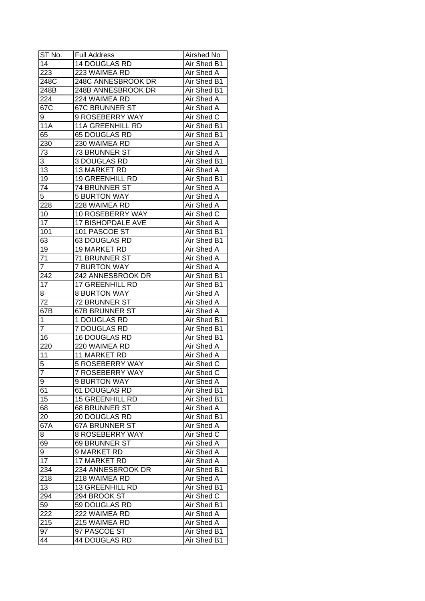| ST No.          | <b>Full Address</b>      | Airshed No  |
|-----------------|--------------------------|-------------|
| 14              | <b>14 DOUGLAS RD</b>     | Air Shed B1 |
| 223             | 223 WAIMEA RD            | Air Shed A  |
| 248C            | 248C ANNESBROOK DR       | Air Shed B1 |
| 248B            | 248B ANNESBROOK DR       | Air Shed B1 |
| 224             | 224 WAIMEA RD            | Air Shed A  |
| 67C             | <b>67C BRUNNER ST</b>    | Air Shed A  |
| 9               | 9 ROSEBERRY WAY          | Air Shed C  |
| <b>11A</b>      | <b>11A GREENHILL RD</b>  | Air Shed B1 |
| 65              | 65 DOUGLAS RD            | Air Shed B1 |
| 230             | 230 WAIMEA RD            | Air Shed A  |
| 73              | 73 BRUNNER ST            | Air Shed A  |
| 3               | 3 DOUGLAS RD             | Air Shed B1 |
| 13              | 13 MARKET RD             | Air Shed A  |
| 19              | 19 GREENHILL RD          | Air Shed B1 |
| 74              | 74 BRUNNER ST            | Air Shed A  |
| $\overline{5}$  | <b>5 BURTON WAY</b>      | Air Shed A  |
| 228             | 228 WAIMEA RD            | Air Shed A  |
| 10              | 10 ROSEBERRY WAY         | Air Shed C  |
| 17              | <b>17 BISHOPDALE AVE</b> | Air Shed A  |
| 101             | 101 PASCOE ST            | Air Shed B1 |
| 63              | 63 DOUGLAS RD            | Air Shed B1 |
| 19              | 19 MARKET RD             | Air Shed A  |
| 71              | 71 BRUNNER ST            | Air Shed A  |
| $\mathbf{7}$    | <b>7 BURTON WAY</b>      | Air Shed A  |
| 242             | 242 ANNESBROOK DR        | Air Shed B1 |
| 17              | <b>17 GREENHILL RD</b>   | Air Shed B1 |
| 8               | <b>8 BURTON WAY</b>      | Air Shed A  |
| 72              | 72 BRUNNER ST            | Air Shed A  |
| 67B             | <b>67B BRUNNER ST</b>    | Air Shed A  |
| 1               | 1 DOUGLAS RD             | Air Shed B1 |
| 7               | 7 DOUGLAS RD             | Air Shed B1 |
| 16              | 16 DOUGLAS RD            | Air Shed B1 |
| 220             | 220 WAIMEA RD            | Air Shed A  |
| 11              | 11 MARKET RD             | Air Shed A  |
| 5               | <b>5 ROSEBERRY WAY</b>   | Air Shed C  |
| 7               | 7 ROSEBERRY WAY          | Air Shed C  |
| 9               | 9 BURTON WAY             | Air Shed A  |
| 61              | 61 DOUGLAS RD            | Air Shed B1 |
| 15              | <b>15 GREENHILL RD</b>   | Air Shed B1 |
| 68              | 68 BRUNNER ST            | Air Shed A  |
| 20              | 20 DOUGLAS RD            | Air Shed B1 |
| 67A             | <b>67A BRUNNER ST</b>    | Air Shed A  |
| 8               | 8 ROSEBERRY WAY          | Air Shed C  |
| 69              | 69 BRUNNER ST            | Air Shed A  |
| $9^{-}$         | 9 MARKET RD              | Air Shed A  |
| $\overline{17}$ | 17 MARKET RD             | Air Shed A  |
| 234             | 234 ANNESBROOK DR        | Air Shed B1 |
| 218             | 218 WAIMEA RD            | Air Shed A  |
| 13              | <b>13 GREENHILL RD</b>   | Air Shed B1 |
| 294             | 294 BROOK ST             | Air Shed C  |
| 59              | 59 DOUGLAS RD            | Air Shed B1 |
| 222             | 222 WAIMEA RD            | Air Shed A  |
| 215             | 215 WAIMEA RD            | Air Shed A  |
| 97              | 97 PASCOE ST             | Air Shed B1 |
| 44              | 44 DOUGLAS RD            | Air Shed B1 |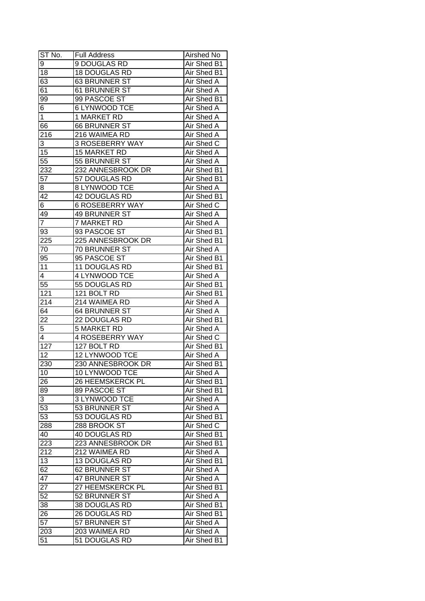| ST No.           | Full Address           | Airshed No        |
|------------------|------------------------|-------------------|
| 9                | 9 DOUGLAS RD           | Air Shed B1       |
| 18               | <b>18 DOUGLAS RD</b>   | Air Shed B1       |
| 63               | 63 BRUNNER ST          | Air Shed A        |
| 61               | 61 BRUNNER ST          | Air Shed A        |
| 99               | 99 PASCOE ST           | Air Shed B1       |
| 6                | 6 LYNWOOD TCE          | Air Shed A        |
| 1                | 1 MARKET RD            | Air Shed A        |
| 66               | 66 BRUNNER ST          | Air Shed A        |
| 216              | 216 WAIMEA RD          | Air Shed A        |
| 3                | 3 ROSEBERRY WAY        | Air Shed C        |
| 15               | 15 MARKET RD           | Air Shed A        |
| 55               | 55 BRUNNER ST          | Air Shed A        |
| 232              | 232 ANNESBROOK DR      | Air Shed B1       |
| 57               | 57 DOUGLAS RD          | Air Shed B1       |
| 8                | 8 LYNWOOD TCE          | Air Shed A        |
| 42               | 42 DOUGLAS RD          | Air Shed B1       |
| $\overline{6}$   | <b>6 ROSEBERRY WAY</b> | Air Shed C        |
| 49               | 49 BRUNNER ST          | Air Shed A        |
| $\overline{7}$   | 7 MARKET RD            | Air Shed A        |
| 93               | 93 PASCOE ST           | Air Shed B1       |
| 225              | 225 ANNESBROOK DR      | Air Shed B1       |
| 70               | 70 BRUNNER ST          | Air Shed A        |
| 95               | 95 PASCOE ST           | Air Shed B1       |
| 11               | 11 DOUGLAS RD          | Air Shed B1       |
| 4                | 4 LYNWOOD TCE          | Air Shed A        |
| 55               | 55 DOUGLAS RD          | Air Shed B1       |
| 121              | 121 BOLT RD            | Air Shed B1       |
| 214              | 214 WAIMEA RD          | Air Shed A        |
| 64               | 64 BRUNNER ST          | Air Shed A        |
| 22               | 22 DOUGLAS RD          | Air Shed B1       |
| 5                | <b>5 MARKET RD</b>     | Air Shed A        |
| 4                | <b>4 ROSEBERRY WAY</b> | Air Shed C        |
| $\overline{127}$ | 127 BOLT RD            | Air Shed B1       |
| $\overline{12}$  | <b>12 LYNWOOD TCE</b>  | Air Shed A        |
| 230              | 230 ANNESBROOK DR      | Air Shed B1       |
| 10               | 10 LYNWOOD TCE         | <b>Air Shed A</b> |
| 26               | 26 HEEMSKERCK PL       | Air Shed B1       |
| 89               | 89 PASCOE ST           | Air Shed B1       |
| 3                | 3 LYNWOOD TCE          | Air Shed A        |
| 53               | 53 BRUNNER ST          | Air Shed A        |
| 53               | 53 DOUGLAS RD          | Air Shed B1       |
| 288              | 288 BROOK ST           | Air Shed C        |
| 40               | 40 DOUGLAS RD          | Air Shed B1       |
| 223              | 223 ANNESBROOK DR      | Air Shed B1       |
| 212              | 212 WAIMEA RD          | Air Shed A        |
| 13               | 13 DOUGLAS RD          | Air Shed B1       |
| 62               | 62 BRUNNER ST          | Air Shed A        |
| 47               | 47 BRUNNER ST          | Air Shed A        |
| 27               | 27 HEEMSKERCK PL       | Air Shed B1       |
| 52               | 52 BRUNNER ST          | Air Shed A        |
| 38               | 38 DOUGLAS RD          | Air Shed B1       |
| 26               | 26 DOUGLAS RD          | Air Shed B1       |
| 57               | 57 BRUNNER ST          | Air Shed A        |
|                  | 203 WAIMEA RD          | Air Shed A        |
| 203              |                        |                   |
| 51               | 51 DOUGLAS RD          | Air Shed B1       |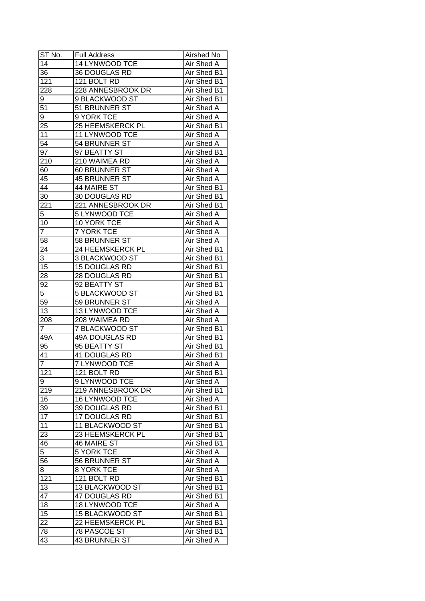| ST No.           | <b>Full Address</b>     | Airshed No        |
|------------------|-------------------------|-------------------|
| 14               | 14 LYNWOOD TCE          | Air Shed A        |
| 36               | 36 DOUGLAS RD           | Air Shed B1       |
| 121              | 121 BOLT RD             | Air Shed B1       |
| 228              | 228 ANNESBROOK DR       | Air Shed B1       |
| 9                | 9 BLACKWOOD ST          | Air Shed B1       |
| 51               | 51 BRUNNER ST           | Air Shed A        |
| 9                | 9 YORK TCE              | Air Shed A        |
| 25               | <b>25 HEEMSKERCK PL</b> | Air Shed B1       |
| 11               | 11 LYNWOOD TCE          | Air Shed A        |
| 54               | 54 BRUNNER ST           | Air Shed A        |
| 97               | 97 BEATTY ST            | Air Shed B1       |
| 210              | 210 WAIMEA RD           | Air Shed A        |
| 60               | 60 BRUNNER ST           | Air Shed A        |
| 45               | 45 BRUNNER ST           | Air Shed A        |
| 44               | 44 MAIRE ST             | Air Shed B1       |
| 30               | 30 DOUGLAS RD           | Air Shed B1       |
| 221              | 221 ANNESBROOK DR       | Air Shed B1       |
| 5                | 5 LYNWOOD TCE           | Air Shed A        |
| 10               | 10 YORK TCE             | Air Shed A        |
| $\overline{7}$   | <b>7 YORK TCE</b>       | Air Shed A        |
| 58               | 58 BRUNNER ST           | Air Shed A        |
| 24               | 24 HEEMSKERCK PL        | Air Shed B1       |
| 3                | 3 BLACKWOOD ST          | Air Shed B1       |
| 15               | 15 DOUGLAS RD           | Air Shed B1       |
| 28               | 28 DOUGLAS RD           | Air Shed B1       |
| 92               | 92 BEATTY ST            | Air Shed B1       |
| $\overline{5}$   | 5 BLACKWOOD ST          | Air Shed B1       |
| 59               | 59 BRUNNER ST           | Air Shed A        |
| 13               | 13 LYNWOOD TCE          | Air Shed A        |
| 208              | 208 WAIMEA RD           | Air Shed A        |
| 7                | 7 BLACKWOOD ST          | Air Shed B1       |
| 49A              | <b>49A DOUGLAS RD</b>   | Air Shed B1       |
| 95               | 95 BEATTY ST            | Air Shed B1       |
| 41               | 41 DOUGLAS RD           | Air Shed B1       |
| $\overline{7}$   | 7 LYNWOOD TCE           | <b>Air Shed A</b> |
| $\overline{121}$ | 121 BOLT RD             | Air Shed B1       |
| 9                | 9 LYNWOOD TCE           | Air Shed A        |
| 219              | 219 ANNESBROOK DR       | Air Shed B1       |
| 16               | 16 LYNWOOD TCE          | Air Shed A        |
| 39               | 39 DOUGLAS RD           | Air Shed B1       |
| $1\overline{7}$  | 17 DOUGLAS RD           | Air Shed B1       |
| 11               | 11 BLACKWOOD ST         | Air Shed B1       |
| 23               | 23 HEEMSKERCK PL        | Air Shed B1       |
| 46               | <b>46 MAIRE ST</b>      | Air Shed B1       |
| $\overline{5}$   | <b>5 YORK TCE</b>       | Air Shed A        |
| 56               | 56 BRUNNER ST           | <b>Air Shed A</b> |
| 8                | 8 YORK TCE              | Air Shed A        |
| 121              | 121 BOLT RD             | Air Shed B1       |
| 13               | 13 BLACKWOOD ST         | Air Shed B1       |
| 47               | 47 DOUGLAS RD           | Air Shed B1       |
| 18               | 18 LYNWOOD TCE          | Air Shed A        |
| 15               | 15 BLACKWOOD ST         | Air Shed B1       |
| 22               | 22 HEEMSKERCK PL        | Air Shed B1       |
| 78               | 78 PASCOE ST            | Air Shed B1       |
| 43               | 43 BRUNNER ST           | Air Shed A        |
|                  |                         |                   |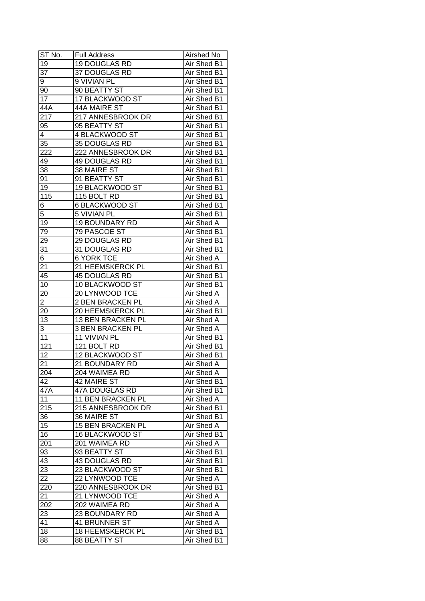| ST No.           | <b>Full Address</b>      | Airshed No        |
|------------------|--------------------------|-------------------|
| 19               | <b>19 DOUGLAS RD</b>     | Air Shed B1       |
| $\overline{37}$  | 37 DOUGLAS RD            | Air Shed B1       |
| 9                | 9 VIVIAN PL              | Air Shed B1       |
| 90               | 90 BEATTY ST             | Air Shed B1       |
| 17               | 17 BLACKWOOD ST          | Air Shed B1       |
| 44A              | 44A MAIRE ST             | Air Shed B1       |
| 217              | 217 ANNESBROOK DR        | Air Shed B1       |
| 95               | 95 BEATTY ST             | Air Shed B1       |
| 4                | 4 BLACKWOOD ST           | Air Shed B1       |
| 35               | 35 DOUGLAS RD            | Air Shed B1       |
| $22\overline{2}$ | 222 ANNESBROOK DR        | Air Shed B1       |
| 49               | 49 DOUGLAS RD            | Air Shed B1       |
| 38               | 38 MAIRE ST              | Air Shed B1       |
| 91               | 91 BEATTY ST             | Air Shed B1       |
| 19               | 19 BLACKWOOD ST          | Air Shed B1       |
| 115              | 115 BOLT RD              | Air Shed B1       |
| 6                | 6 BLACKWOOD ST           | Air Shed B1       |
| $\overline{5}$   | 5 VIVIAN PL              | Air Shed B1       |
| 19               | <b>19 BOUNDARY RD</b>    | Air Shed A        |
| 79               | 79 PASCOE ST             | Air Shed B1       |
| 29               | 29 DOUGLAS RD            | Air Shed B1       |
| $3\overline{1}$  | 31 DOUGLAS RD            | Air Shed B1       |
| 6                | <b>6 YORK TCE</b>        | Air Shed A        |
| 21               | 21 HEEMSKERCK PL         | Air Shed B1       |
| 45               | 45 DOUGLAS RD            | Air Shed B1       |
| 10               | 10 BLACKWOOD ST          | Air Shed B1       |
| 20               | 20 LYNWOOD TCE           | Air Shed A        |
| $\overline{2}$   | 2 BEN BRACKEN PL         | Air Shed A        |
| 20               | 20 HEEMSKERCK PL         | Air Shed B1       |
| $\overline{13}$  | 13 BEN BRACKEN PL        | Air Shed A        |
| 3                | 3 BEN BRACKEN PL         | Air Shed A        |
| 11               | 11 VIVIAN PL             | Air Shed B1       |
| 121              | 121 BOLT RD              | Air Shed B1       |
| $\overline{12}$  | <b>12 BLACKWOOD ST</b>   | Air Shed B1       |
| $\overline{21}$  | <b>21 BOUNDARY RD</b>    | Air Shed A        |
| 204              | 204 WAIMEA RD            | <b>Air Shed A</b> |
| 42               | 42 MAIRE ST              | Air Shed B1       |
| 47A              | 47A DOUGLAS RD           | Air Shed B1       |
| 11               | 11 BEN BRACKEN PL        | Air Shed A        |
| 215              | 215 ANNESBROOK DR        | Air Shed B1       |
| 36               | 36 MAIRE ST              | Air Shed B1       |
| 15               | <b>15 BEN BRACKEN PL</b> | Air Shed A        |
| 16               | 16 BLACKWOOD ST          | Air Shed B1       |
| 201              | 201 WAIMEA RD            | Air Shed A        |
| 93               | 93 BEATTY ST             | Air Shed B1       |
| 43               | 43 DOUGLAS RD            | Air Shed B1       |
| $\overline{23}$  | 23 BLACKWOOD ST          | Air Shed B1       |
| 22               | 22 LYNWOOD TCE           | Air Shed A        |
| 220              | 220 ANNESBROOK DR        | Air Shed B1       |
| 21               | 21 LYNWOOD TCE           | Air Shed A        |
| 202              | 202 WAIMEA RD            | Air Shed A        |
| 23               | 23 BOUNDARY RD           | Air Shed A        |
| 41               | 41 BRUNNER ST            | Air Shed A        |
| 18               | 18 HEEMSKERCK PL         | Air Shed B1       |
| 88               | <b>88 BEATTY ST</b>      | Air Shed B1       |
|                  |                          |                   |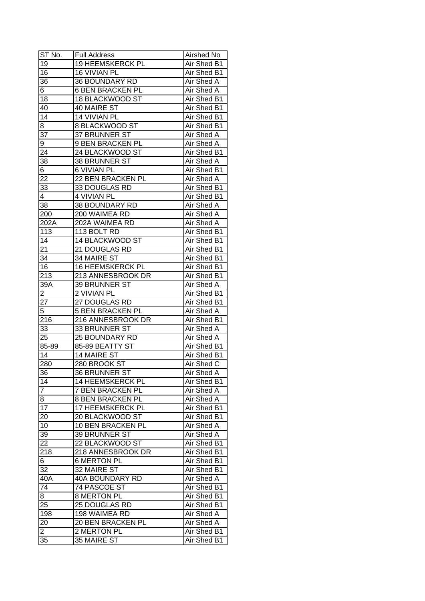| ST No.         | <b>Full Address</b>     | Airshed No         |
|----------------|-------------------------|--------------------|
| 19             | 19 HEEMSKERCK PL        | Air Shed B1        |
| 16             | <b>16 VIVIAN PL</b>     | <b>Air Shed B1</b> |
| 36             | 36 BOUNDARY RD          | <b>Air Shed A</b>  |
| 6              | 6 BEN BRACKEN PL        | Air Shed A         |
| 18             | 18 BLACKWOOD ST         | Air Shed B1        |
| 40             | 40 MAIRE ST             | Air Shed B1        |
| 14             | <b>14 VIVIAN PL</b>     | Air Shed B1        |
| 8              | 8 BLACKWOOD ST          | Air Shed B1        |
| 37             | 37 BRUNNER ST           | Air Shed A         |
| 9              | 9 BEN BRACKEN PL        | Air Shed A         |
| 24             | 24 BLACKWOOD ST         | Air Shed B1        |
| 38             | 38 BRUNNER ST           | Air Shed A         |
| 6              | <b>6 VIVIAN PL</b>      | Air Shed B1        |
| 22             | 22 BEN BRACKEN PL       | Air Shed A         |
| 33             | 33 DOUGLAS RD           | Air Shed B1        |
| 4              | 4 VIVIAN PL             | Air Shed B1        |
| 38             | 38 BOUNDARY RD          | Air Shed A         |
| 200            | 200 WAIMEA RD           | Air Shed A         |
| 202A           | 202A WAIMEA RD          | Air Shed A         |
| 113            | 113 BOLT RD             | Air Shed B1        |
| 14             | 14 BLACKWOOD ST         | Air Shed B1        |
| 21             | 21 DOUGLAS RD           | Air Shed B1        |
| 34             | 34 MAIRE ST             | Air Shed B1        |
| 16             | <b>16 HEEMSKERCK PL</b> | Air Shed B1        |
| 213            | 213 ANNESBROOK DR       | Air Shed B1        |
| 39A            | 39 BRUNNER ST           | Air Shed A         |
| $\overline{2}$ | 2 VIVIAN PL             | Air Shed B1        |
| 27             | 27 DOUGLAS RD           | Air Shed B1        |
| 5              | <b>5 BEN BRACKEN PL</b> | Air Shed A         |
| 216            | 216 ANNESBROOK DR       | Air Shed B1        |
| 33             | 33 BRUNNER ST           | Air Shed A         |
| 25             | <b>25 BOUNDARY RD</b>   | Air Shed A         |
| 85-89          | 85-89 BEATTY ST         | Air Shed B1        |
| 14             | <b>14 MAIRE ST</b>      | Air Shed B1        |
| 280            | 280 BROOK ST            | Air Shed C         |
| 36             | 36 BRUNNER ST           | <b>Air Shed A</b>  |
| 14             | 14 HEEMSKERCK PL        | Air Shed B1        |
| $\overline{7}$ | 7 BEN BRACKEN PL        | Air Shed A         |
| 8              | <b>8 BEN BRACKEN PL</b> | Air Shed A         |
| 17             | 17 HEEMSKERCK PL        | Air Shed B1        |
| 20             | 20 BLACKWOOD ST         | Air Shed B1        |
| 10             | 10 BEN BRACKEN PL       | Air Shed A         |
| 39             | 39 BRUNNER ST           | Air Shed A         |
| 22             | 22 BLACKWOOD ST         | Air Shed B1        |
| 218            | 218 ANNESBROOK DR       | Air Shed B1        |
| 6              | <b>6 MERTON PL</b>      | Air Shed B1        |
| 32             | 32 MAIRE ST             | Air Shed B1        |
| 40A            | 40A BOUNDARY RD         | Air Shed A         |
| 74             | 74 PASCOE ST            | Air Shed B1        |
| 8              | 8 MERTON PL             | Air Shed B1        |
| 25             | 25 DOUGLAS RD           | Air Shed B1        |
| 198            | 198 WAIMEA RD           | Air Shed A         |
| 20             | 20 BEN BRACKEN PL       | Air Shed A         |
| $\overline{2}$ | 2 MERTON PL             | Air Shed B1        |
| 35             | 35 MAIRE ST             | Air Shed B1        |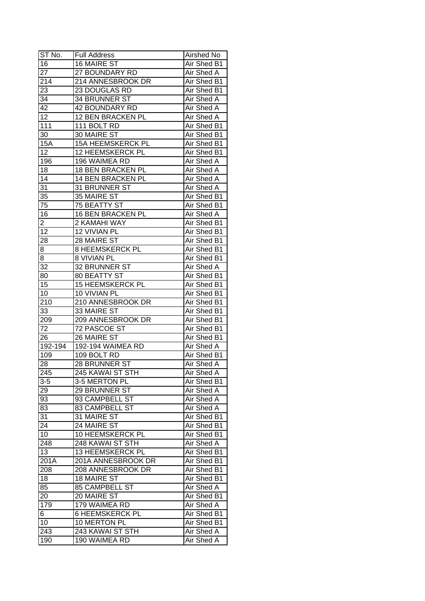| ST No.          | <b>Full Address</b>                     | Airshed No                 |
|-----------------|-----------------------------------------|----------------------------|
| 16              | <b>16 MAIRE ST</b>                      | Air Shed B1                |
| 27              | 27 BOUNDARY RD                          | Air Shed A                 |
| 214             | 214 ANNESBROOK DR                       | Air Shed B1                |
| 23              | 23 DOUGLAS RD                           | Air Shed B1                |
| 34              | 34 BRUNNER ST                           | Air Shed A                 |
| 42              | <b>42 BOUNDARY RD</b>                   | Air Shed A                 |
| 12              | 12 BEN BRACKEN PL                       | Air Shed A                 |
| 111             | 111 BOLT RD                             | Air Shed B1                |
| 30              | 30 MAIRE ST                             | Air Shed B1                |
| 15A             | <b>15A HEEMSKERCK PL</b>                | Air Shed B1                |
| $\overline{12}$ | 12 HEEMSKERCK PL                        | Air Shed B1                |
| 196             | 196 WAIMEA RD                           | <b>Air Shed A</b>          |
| 18              | 18 BEN BRACKEN PL                       | Air Shed A                 |
| 14              | 14 BEN BRACKEN PL                       | Air Shed A                 |
| 31              | 31 BRUNNER ST                           | Air Shed A                 |
| 35              | 35 MAIRE ST                             | Air Shed B1                |
| 75              | <b>75 BEATTY ST</b>                     | Air Shed B1                |
| 16              | 16 BEN BRACKEN PL                       | Air Shed A                 |
| 2               | 2 KAMAHI WAY                            | Air Shed B1                |
| 12              | 12 VIVIAN PL                            | Air Shed B1                |
| 28              | 28 MAIRE ST                             | Air Shed B1                |
| 8               | <b>8 HEEMSKERCK PL</b>                  | Air Shed B1                |
| 8               | <b>8 VIVIAN PL</b>                      | Air Shed B1                |
| 32              | 32 BRUNNER ST                           | Air Shed A                 |
| 80              | 80 BEATTY ST                            | Air Shed B1                |
| 15              | <b>15 HEEMSKERCK PL</b>                 | Air Shed B1                |
| 10              | 10 VIVIAN PL                            | Air Shed B1                |
| 210             | 210 ANNESBROOK DR                       | Air Shed B1                |
| 33              | 33 MAIRE ST                             | Air Shed B1                |
| 209             | 209 ANNESBROOK DR                       | Air Shed B1                |
| 72              | 72 PASCOE ST                            | Air Shed B1                |
| 26              | 26 MAIRE ST                             | Air Shed B1                |
| $192 - 194$     | <b>192-194 WAIMEA RD</b>                | Air Shed A                 |
| 109             | 109 BOLT RD                             | Air Shed B1                |
| 28              | 28 BRUNNER ST                           | <b>Air Shed A</b>          |
| 245             | 245 KAWAI ST STH                        | Air Shed A                 |
| $3-5$           | 3-5 MERTON PL                           | Air Shed B1                |
| 29              | 29 BRUNNER ST                           | Air Shed A                 |
| 93              | 93 CAMPBELL ST                          | Air Shed A                 |
| 83              | 83 CAMPBELL ST                          | Air Shed A                 |
| 31              | 31 MAIRE ST                             | Air Shed B1                |
| 24              | 24 MAIRE ST                             |                            |
| 10              | 10 HEEMSKERCK PL                        | Air Shed B1<br>Air Shed B1 |
| 248             | 248 KAWAI ST STH                        | Air Shed A                 |
| 13              | 13 HEEMSKERCK PL                        | Air Shed B1                |
| 201A            | 201A ANNESBROOK DR                      | Air Shed B1                |
|                 |                                         |                            |
| 208             | 208 ANNESBROOK DR<br><b>18 MAIRE ST</b> | Air Shed B1                |
| 18              |                                         | Air Shed B1                |
| 85              | 85 CAMPBELL ST                          | Air Shed A                 |
| 20              | 20 MAIRE ST                             | Air Shed B1                |
| 179             | 179 WAIMEA RD                           | Air Shed A                 |
| 6               | 6 HEEMSKERCK PL                         | Air Shed B1                |
| 10              | 10 MERTON PL                            | Air Shed B1                |
| 243             | 243 KAWAI ST STH                        | Air Shed A                 |
| 190             | 190 WAIMEA RD                           | Air Shed A                 |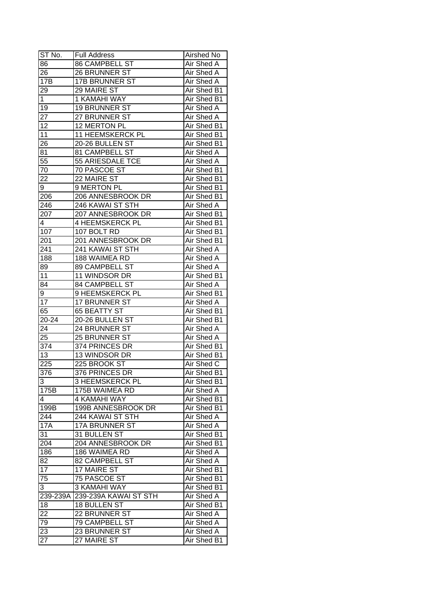| ST No.           | <b>Full Address</b>    | Airshed No  |
|------------------|------------------------|-------------|
| 86               | <b>86 CAMPBELL ST</b>  | Air Shed A  |
| 26               | 26 BRUNNER ST          | Air Shed A  |
| 17B              | <b>17B BRUNNER ST</b>  | Air Shed A  |
| 29               | 29 MAIRE ST            | Air Shed B1 |
| 1                | 1 KAMAHI WAY           | Air Shed B1 |
| 19               | 19 BRUNNER ST          | Air Shed A  |
| 27               | 27 BRUNNER ST          | Air Shed A  |
| 12               | 12 MERTON PL           | Air Shed B1 |
| 11               | 11 HEEMSKERCK PL       | Air Shed B1 |
| 26               | 20-26 BULLEN ST        | Air Shed B1 |
| 81               | 81 CAMPBELL ST         | Air Shed A  |
| 55               | 55 ARIESDALE TCE       | Air Shed A  |
| 70               | 70 PASCOE ST           | Air Shed B1 |
| 22               | 22 MAIRE ST            | Air Shed B1 |
| 9                | 9 MERTON PL            | Air Shed B1 |
| 206              | 206 ANNESBROOK DR      | Air Shed B1 |
| 246              | 246 KAWAI ST STH       | Air Shed A  |
| 207              | 207 ANNESBROOK DR      | Air Shed B1 |
| 4                | 4 HEEMSKERCK PL        | Air Shed B1 |
| 107              | 107 BOLT RD            | Air Shed B1 |
| 201              | 201 ANNESBROOK DR      | Air Shed B1 |
| 241              | 241 KAWAI ST STH       | Air Shed A  |
| 188              | 188 WAIMEA RD          | Air Shed A  |
| 89               | 89 CAMPBELL ST         | Air Shed A  |
| 11               | 11 WINDSOR DR          | Air Shed B1 |
| 84               | 84 CAMPBELL ST         | Air Shed A  |
| 9                | 9 HEEMSKERCK PL        | Air Shed B1 |
| 17               | 17 BRUNNER ST          | Air Shed A  |
| 65               | 65 BEATTY ST           | Air Shed B1 |
| 20-24            | 20-26 BULLEN ST        | Air Shed B1 |
| 24               | 24 BRUNNER ST          | Air Shed A  |
| 25               | 25 BRUNNER ST          | Air Shed A  |
| 374              | 374 PRINCES DR         | Air Shed B1 |
| $\overline{13}$  | 13 WINDSOR DR          | Air Shed B1 |
| $\overline{225}$ | 225 BROOK ST           | Air Shed C  |
| 376              | 376 PRINCES DR         | Air Shed B1 |
| 3                | <b>3 HEEMSKERCK PL</b> | Air Shed B1 |
| 175B             | 175B WAIMEA RD         | Air Shed A  |
| 4                | 4 KAMAHI WAY           | Air Shed B1 |
| 199B             | 199B ANNESBROOK DR     | Air Shed B1 |
| 244              | 244 KAWAI ST STH       | Air Shed A  |
| <b>17A</b>       | <b>17A BRUNNER ST</b>  | Air Shed A  |
| 31               | 31 BULLEN ST           | Air Shed B1 |
| 204              | 204 ANNESBROOK DR      | Air Shed B1 |
| 186              | 186 WAIMEA RD          | Air Shed A  |
| 82               | 82 CAMPBELL ST         | Air Shed A  |
| 17               | 17 MAIRE ST            | Air Shed B1 |
| 75               | 75 PASCOE ST           | Air Shed B1 |
| 3                | 3 KAMAHI WAY           | Air Shed B1 |
| 239-239A         | 239-239A KAWAI ST STH  | Air Shed A  |
| 18               | 18 BULLEN ST           | Air Shed B1 |
| 22               | 22 BRUNNER ST          | Air Shed A  |
| 79               | <b>79 CAMPBELL ST</b>  | Air Shed A  |
| 23               | 23 BRUNNER ST          | Air Shed A  |
| 27               | 27 MAIRE ST            | Air Shed B1 |
|                  |                        |             |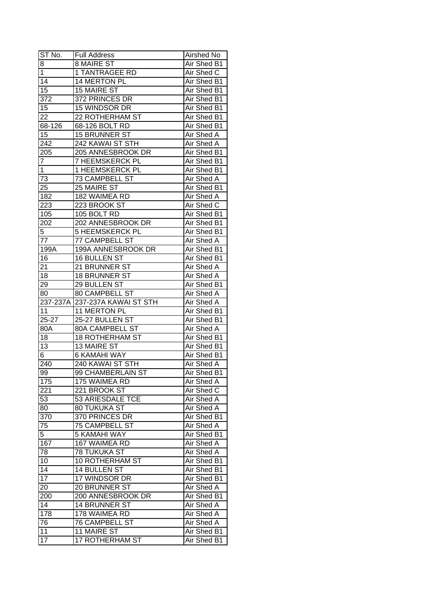| ST No.          | <b>Full Address</b>    | Airshed No        |
|-----------------|------------------------|-------------------|
| 8               | <b>8 MAIRE ST</b>      | Air Shed B1       |
| $\overline{1}$  | 1 TANTRAGEE RD         | Air Shed C        |
| $\overline{14}$ | 14 MERTON PL           | Air Shed B1       |
| 15              | <b>15 MAIRE ST</b>     | Air Shed B1       |
| 372             | 372 PRINCES DR         | Air Shed B1       |
| 15              | 15 WINDSOR DR          | Air Shed B1       |
| 22              | 22 ROTHERHAM ST        | Air Shed B1       |
| 68-126          | 68-126 BOLT RD         | Air Shed B1       |
| 15              | 15 BRUNNER ST          | Air Shed A        |
| 242             | 242 KAWAI ST STH       | Air Shed A        |
| 205             | 205 ANNESBROOK DR      | Air Shed B1       |
| $\overline{7}$  | 7 HEEMSKERCK PL        | Air Shed B1       |
| $\mathbf{1}$    | 1 HEEMSKERCK PL        | Air Shed B1       |
| 73              | 73 CAMPBELL ST         | <b>Air Shed A</b> |
| 25              | 25 MAIRE ST            | Air Shed B1       |
| 182             | 182 WAIMEA RD          | Air Shed A        |
| 223             | 223 BROOK ST           | Air Shed C        |
| 105             | 105 BOLT RD            | Air Shed B1       |
| 202             | 202 ANNESBROOK DR      | Air Shed B1       |
| 5               | <b>5 HEEMSKERCK PL</b> | Air Shed B1       |
| 77              | 77 CAMPBELL ST         | Air Shed A        |
| 199A            | 199A ANNESBROOK DR     | Air Shed B1       |
| 16              | <b>16 BULLEN ST</b>    | Air Shed B1       |
| 21              | 21 BRUNNER ST          | Air Shed A        |
| 18              | 18 BRUNNER ST          | Air Shed A        |
| 29              | 29 BULLEN ST           | Air Shed B1       |
| 80              | 80 CAMPBELL ST         | Air Shed A        |
|                 |                        |                   |
| 237-237A        | 237-237A KAWAI ST STH  | Air Shed A        |
| 11              | 11 MERTON PL           | Air Shed B1       |
| $25 - 27$       | 25-27 BULLEN ST        | Air Shed B1       |
| 80A             | 80A CAMPBELL ST        | Air Shed A        |
| 18              | <b>18 ROTHERHAM ST</b> | Air Shed B1       |
| 13              | <b>13 MAIRE ST</b>     | Air Shed B1       |
| 6               | <b>6 KAMAHI WAY</b>    | Air Shed B1       |
| 240             | 240 KAWAI ST STH       | <b>Air Shed A</b> |
| 99              | 99 CHAMBERLAIN ST      | Air Shed B1       |
| 175             | 175 WAIMEA RD          | Air Shed A        |
| 221             | 221 BROOK ST           | Air Shed C        |
| 53              | 53 ARIESDALE TCE       | Air Shed A        |
| 80              | <b>80 TUKUKA ST</b>    | Air Shed A        |
| 370             | 370 PRINCES DR         | Air Shed B1       |
| 75              | 75 CAMPBELL ST         | Air Shed A        |
| 5               | <b>5 KAMAHI WAY</b>    | Air Shed B1       |
| 167             | 167 WAIMEA RD          | Air Shed A        |
| 78              | 78 TUKUKA ST           | Air Shed A        |
| 10              | 10 ROTHERHAM ST        | Air Shed B1       |
| 14              | 14 BULLEN ST           | Air Shed B1       |
| 17              | 17 WINDSOR DR          | Air Shed B1       |
| 20              | 20 BRUNNER ST          | Air Shed A        |
| 200             | 200 ANNESBROOK DR      | Air Shed B1       |
| 14              | 14 BRUNNER ST          | Air Shed A        |
| 178             | 178 WAIMEA RD          | Air Shed A        |
| 76              | <b>76 CAMPBELL ST</b>  | Air Shed A        |
| 11              | 11 MAIRE ST            | Air Shed B1       |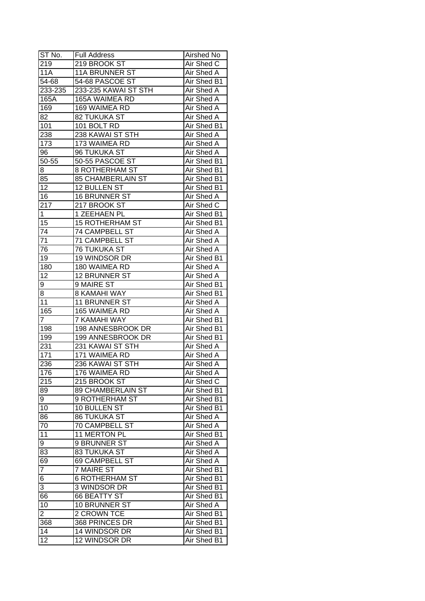| ST No.           | <b>Full Address</b>    | <b>Airshed No</b> |
|------------------|------------------------|-------------------|
| 219              | 219 BROOK ST           | Air Shed C        |
| $\overline{11}A$ | <b>11A BRUNNER ST</b>  | Air Shed A        |
| 54-68            | 54-68 PASCOE ST        | Air Shed B1       |
| 233-235          | 233-235 KAWAI ST STH   | Air Shed A        |
| 165A             | 165A WAIMEA RD         | Air Shed A        |
| 169              | 169 WAIMEA RD          | Air Shed A        |
| 82               | 82 TUKUKA ST           | Air Shed A        |
| 101              | 101 BOLT RD            | Air Shed B1       |
| 238              | 238 KAWAI ST STH       | Air Shed A        |
| 173              | 173 WAIMEA RD          | Air Shed A        |
| 96               | 96 TUKUKA ST           | Air Shed A        |
| 50-55            | 50-55 PASCOE ST        | Air Shed B1       |
| 8                | 8 ROTHERHAM ST         | Air Shed B1       |
| 85               | 85 CHAMBERLAIN ST      | Air Shed B1       |
| 12               | 12 BULLEN ST           | Air Shed B1       |
| 16               | 16 BRUNNER ST          | Air Shed A        |
| 217              | 217 BROOK ST           | Air Shed C        |
| $\mathbf 1$      | 1 ZEEHAEN PL           | Air Shed B1       |
| 15               | <b>15 ROTHERHAM ST</b> | Air Shed B1       |
| 74               | 74 CAMPBELL ST         | Air Shed A        |
| 71               | <b>71 CAMPBELL ST</b>  | Air Shed A        |
| 76               | <b>76 TUKUKA ST</b>    | Air Shed A        |
| 19               | 19 WINDSOR DR          | Air Shed B1       |
| 180              | 180 WAIMEA RD          | Air Shed A        |
| 12               | 12 BRUNNER ST          | Air Shed A        |
| 9                | 9 MAIRE ST             | Air Shed B1       |
| 8                | 8 KAMAHI WAY           | Air Shed B1       |
| 11               | 11 BRUNNER ST          | Air Shed A        |
| 165              | 165 WAIMEA RD          | Air Shed A        |
| 7                | 7 KAMAHI WAY           | Air Shed B1       |
| 198              | 198 ANNESBROOK DR      | Air Shed B1       |
| 199              | 199 ANNESBROOK DR      | Air Shed B1       |
| 231              | 231 KAWAI ST STH       | Air Shed A        |
| 171              | 171 WAIMEA RD          | <b>Air Shed A</b> |
| 236              | 236 KAWAI ST STH       | <b>Air Shed A</b> |
| 176              | 176 WAIMEA RD          | <b>Air Shed A</b> |
| 215              | 215 BROOK ST           | Air Shed C        |
| 89               | 89 CHAMBERLAIN ST      | Air Shed B1       |
| 9                | 9 ROTHERHAM ST         | Air Shed B1       |
| 10               | 10 BULLEN ST           | Air Shed B1       |
| 86               | <b>86 TUKUKA ST</b>    | Air Shed A        |
| 70               | 70 CAMPBELL ST         | Air Shed A        |
| 11               | 11 MERTON PL           | Air Shed B1       |
| 9                | 9 BRUNNER ST           | Air Shed A        |
| 83               | <b>83 TUKUKA ST</b>    | Air Shed A        |
| 69               | 69 CAMPBELL ST         | Air Shed A        |
| $\overline{7}$   | 7 MAIRE ST             | Air Shed B1       |
| 6                | <b>6 ROTHERHAM ST</b>  | Air Shed B1       |
| 3                | 3 WINDSOR DR           | Air Shed B1       |
| 66               | 66 BEATTY ST           | Air Shed B1       |
| 10               | 10 BRUNNER ST          | Air Shed A        |
| $\overline{2}$   | 2 CROWN TCE            | Air Shed B1       |
| 368              | 368 PRINCES DR         | Air Shed B1       |
| 14               | 14 WINDSOR DR          | Air Shed B1       |
| 12               | 12 WINDSOR DR          | Air Shed B1       |
|                  |                        |                   |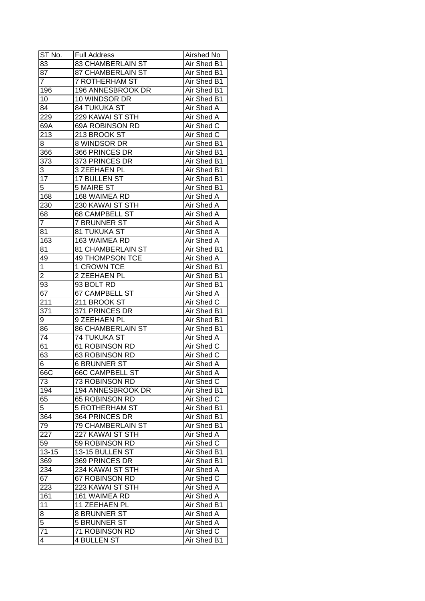| ST No.          | <b>Full Address</b>                      | Airshed No                      |
|-----------------|------------------------------------------|---------------------------------|
| 83              | 83 CHAMBERLAIN ST                        | Air Shed B1                     |
| $\overline{87}$ | <b>87 CHAMBERLAIN ST</b>                 | Air Shed B1                     |
| $\overline{7}$  | <b>7 ROTHERHAM ST</b>                    | Air Shed B1                     |
| 196             | 196 ANNESBROOK DR                        | Air Shed B1                     |
| 10              | 10 WINDSOR DR                            | Air Shed B1                     |
| 84              | 84 TUKUKA ST                             | Air Shed A                      |
| 229             | 229 KAWAI ST STH                         | Air Shed A                      |
| 69A             | 69A ROBINSON RD                          | Air Shed C                      |
| 213             | 213 BROOK ST                             | Air Shed C                      |
| 8               | 8 WINDSOR DR                             | Air Shed B1                     |
| 366             | 366 PRINCES DR                           | Air Shed B1                     |
| 373             | 373 PRINCES DR                           | Air Shed B1                     |
| 3               | 3 ZEEHAEN PL                             | Air Shed B1                     |
| $\overline{17}$ | 17 BULLEN ST                             | Air Shed B1                     |
| $\overline{5}$  | 5 MAIRE ST                               | Air Shed B1                     |
| 168             | 168 WAIMEA RD                            | Air Shed A                      |
| 230             | 230 KAWAI ST STH                         | Air Shed A                      |
| 68              | 68 CAMPBELL ST                           | Air Shed A                      |
| $\overline{7}$  | <b>7 BRUNNER ST</b>                      | Air Shed A                      |
| 81              | 81 TUKUKA ST                             | Air Shed A                      |
|                 |                                          |                                 |
| 163             | 163 WAIMEA RD<br>81 CHAMBERLAIN ST       | Air Shed A                      |
| 81              |                                          | Air Shed B1                     |
| 49              | 49 THOMPSON TCE                          | Air Shed A                      |
| 1               | 1 CROWN TCE                              | Air Shed B1                     |
| $\overline{2}$  | 2 ZEEHAEN PL                             | Air Shed B1                     |
| 93              | 93 BOLT RD                               | Air Shed B1                     |
| 67              | 67 CAMPBELL ST                           | Air Shed A                      |
| 211             | 211 BROOK ST                             | Air Shed C                      |
| 371             | 371 PRINCES DR                           | Air Shed B1<br>Air Shed B1      |
| 9               | 9 ZEEHAEN PL<br><b>86 CHAMBERLAIN ST</b> | Air Shed B1                     |
| 86<br>74        | 74 TUKUKA ST                             | <b>Air Shed A</b>               |
| 61              | <b>61 ROBINSON RD</b>                    | Air Shed C                      |
| 63              |                                          |                                 |
|                 | 63 ROBINSON RD                           | Air Shed C<br><b>Air Shed A</b> |
| 6<br>66C        | <b>6 BRUNNER ST</b>                      |                                 |
|                 | <b>66C CAMPBELL ST</b>                   | <b>Air Shed A</b>               |
| 73              | 73 ROBINSON RD                           | Air Shed C                      |
| 194             | 194 ANNESBROOK DR                        | Air Shed B1                     |
| 65              | 65 ROBINSON RD                           | Air Shed C                      |
| 5               | <b>5 ROTHERHAM ST</b>                    | Air Shed B1                     |
| 364             | 364 PRINCES DR                           | Air Shed B1                     |
| 79              | <b>79 CHAMBERLAIN ST</b>                 | Air Shed B1                     |
| 227             | 227 KAWAI ST STH                         | Air Shed A                      |
| 59              | 59 ROBINSON RD                           | Air Shed C                      |
| $13 - 15$       | 13-15 BULLEN ST                          | Air Shed B1                     |
| 369             | 369 PRINCES DR                           | Air Shed B1                     |
| 234             | 234 KAWAI ST STH                         | <b>Air Shed A</b>               |
| 67              | 67 ROBINSON RD                           | Air Shed C                      |
| 223             | 223 KAWAI ST STH                         | Air Shed A                      |
| 161             | 161 WAIMEA RD                            | Air Shed A                      |
| 11              | 11 ZEEHAEN PL                            | Air Shed B1                     |
| 8               | 8 BRUNNER ST                             | Air Shed A                      |
| $\overline{5}$  | <b>5 BRUNNER ST</b>                      | Air Shed A                      |
| 71              | 71 ROBINSON RD                           | Air Shed C                      |
| 4               | <b>4 BULLEN ST</b>                       | Air Shed B1                     |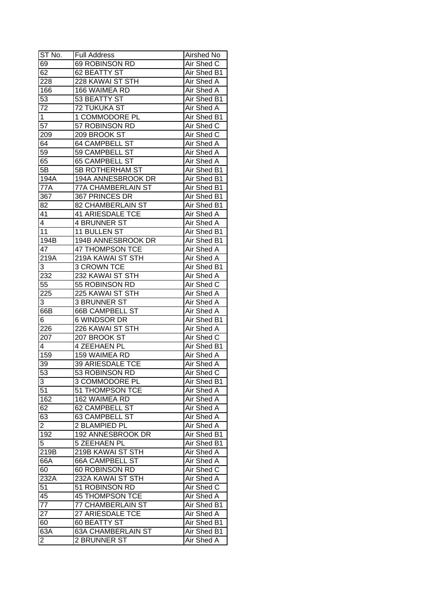| ST No.           | <b>Full Address</b>       | Airshed No                 |
|------------------|---------------------------|----------------------------|
| 69               | 69 ROBINSON RD            | Air Shed C                 |
| 62               | 62 BEATTY ST              | Air Shed B1                |
| 228              | 228 KAWAI ST STH          | Air Shed A                 |
| 166              | 166 WAIMEA RD             | Air Shed A                 |
| 53               | 53 BEATTY ST              | Air Shed B1                |
| 72               | 72 TUKUKA ST              | Air Shed A                 |
| 1                | 1 COMMODORE PL            | Air Shed B1                |
| 57               | 57 ROBINSON RD            | Air Shed C                 |
| 209              | 209 BROOK ST              | Air Shed C                 |
| 64               | 64 CAMPBELL ST            | Air Shed A                 |
| 59               | 59 CAMPBELL ST            | Air Shed A                 |
| 65               | 65 CAMPBELL ST            | Air Shed A                 |
| 5B               | 5B ROTHERHAM ST           | Air Shed B1                |
| 194A             | 194A ANNESBROOK DR        | Air Shed B1                |
| 77A              | 77A CHAMBERLAIN ST        | Air Shed B1                |
| 367              | 367 PRINCES DR            | Air Shed B1                |
| 82               | 82 CHAMBERLAIN ST         | Air Shed B1                |
| 41               | 41 ARIESDALE TCE          | Air Shed A                 |
| 4                | <b>4 BRUNNER ST</b>       | Air Shed A                 |
| 11               | 11 BULLEN ST              | Air Shed B1                |
| 194B             | 194B ANNESBROOK DR        | Air Shed B1                |
| 47               | <b>47 THOMPSON TCE</b>    | Air Shed A                 |
| 219A             | 219A KAWAI ST STH         | Air Shed A                 |
| 3                | 3 CROWN TCE               | Air Shed B1                |
| 232              | 232 KAWAI ST STH          | Air Shed A                 |
| 55               | 55 ROBINSON RD            | Air Shed C                 |
| 225              | 225 KAWAI ST STH          | Air Shed A                 |
| 3                | 3 BRUNNER ST              | Air Shed A                 |
| 66B              | <b>66B CAMPBELL ST</b>    | Air Shed A                 |
| 6                | 6 WINDSOR DR              | Air Shed B1                |
| 226              | 226 KAWAI ST STH          | Air Shed A                 |
| 207              | 207 BROOK ST              | Air Shed C                 |
| 4                | 4 ZEEHAEN PL              | Air Shed B1                |
| 159              | 159 WAIMEA RD             | Air Shed A                 |
| 39               | <b>39 ARIESDALE TCE</b>   | <b>Air Shed A</b>          |
| 53               | 53 ROBINSON RD            | Air Shed C                 |
| 3                | 3 COMMODORE PL            | Air Shed B1                |
| 51               | 51 THOMPSON TCE           | Air Shed A                 |
| 162              | 162 WAIMEA RD             | Air Shed A                 |
| 62               | 62 CAMPBELL ST            | Air Shed A                 |
| 63               | 63 CAMPBELL ST            | Air Shed A                 |
| $\overline{2}$   | 2 BLAMPIED PL             | Air Shed A                 |
| 192              | 192 ANNESBROOK DR         |                            |
| 5                | <b>5 ZEEHAEN PL</b>       | Air Shed B1<br>Air Shed B1 |
|                  |                           |                            |
| 219B             | 219B KAWAI ST STH         | Air Shed A                 |
| 66A              | 66A CAMPBELL ST           | Air Shed A                 |
| 60               | 60 ROBINSON RD            | Air Shed C                 |
| 232A             | 232A KAWAI ST STH         | Air Shed A                 |
| 51               | 51 ROBINSON RD            | Air Shed C                 |
| 45               | <b>45 THOMPSON TCE</b>    | Air Shed A                 |
| $\overline{77}$  | 77 CHAMBERLAIN ST         | Air Shed B1                |
| $2\overline{7}$  | 27 ARIESDALE TCE          | Air Shed A                 |
| 60               | 60 BEATTY ST              | Air Shed B1                |
| $63\overline{A}$ | <b>63A CHAMBERLAIN ST</b> | Air Shed B1                |
| $\overline{c}$   | 2 BRUNNER ST              | Air Shed A                 |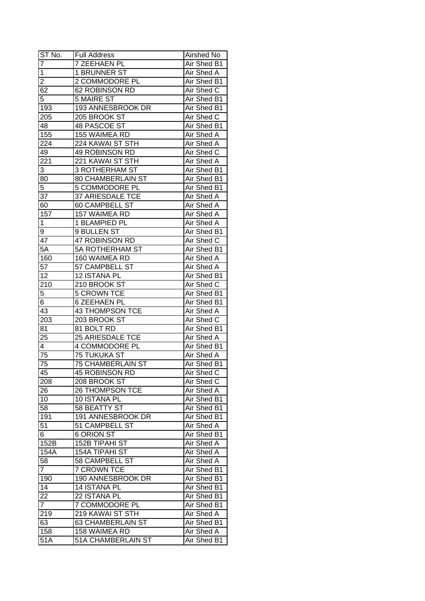| $ST$ No.       | <b>Full Address</b>      | Airshed No         |
|----------------|--------------------------|--------------------|
| 7              | 7 ZEEHAEN PL             | Air Shed B1        |
| $\mathbf 1$    | <b>1 BRUNNER ST</b>      | <b>Air Shed A</b>  |
| $\overline{2}$ | 2 COMMODORE PL           | <b>Air Shed B1</b> |
| 62             | <b>62 ROBINSON RD</b>    | Air Shed C         |
| 5              | <b>5 MAIRE ST</b>        | Air Shed B1        |
| 193            | 193 ANNESBROOK DR        | Air Shed B1        |
| 205            | 205 BROOK ST             | Air Shed C         |
| 48             | 48 PASCOE ST             | Air Shed B1        |
| 155            | 155 WAIMEA RD            | Air Shed A         |
| 224            | 224 KAWAI ST STH         | Air Shed A         |
| 49             | 49 ROBINSON RD           | Air Shed C         |
| 221            | 221 KAWAI ST STH         | Air Shed A         |
| $\overline{3}$ | 3 ROTHERHAM ST           | Air Shed B1        |
| 80             | 80 CHAMBERLAIN ST        | Air Shed B1        |
| 5              | 5 COMMODORE PL           | Air Shed B1        |
| 37             | 37 ARIESDALE TCE         | Air Shed A         |
| 60             | 60 CAMPBELL ST           | Air Shed A         |
| 157            | 157 WAIMEA RD            | Air Shed A         |
| 1              | 1 BLAMPIED PL            | Air Shed A         |
| 9              | 9 BULLEN ST              | Air Shed B1        |
| 47             | 47 ROBINSON RD           | Air Shed C         |
| 5A             | 5A ROTHERHAM ST          | Air Shed B1        |
| 160            | 160 WAIMEA RD            | Air Shed A         |
| 57             | 57 CAMPBELL ST           | Air Shed A         |
| 12             | 12 ISTANA PL             | Air Shed B1        |
| 210            | 210 BROOK ST             | Air Shed C         |
| 5              | <b>5 CROWN TCE</b>       | Air Shed B1        |
| 6              | <b>6 ZEEHAEN PL</b>      | Air Shed B1        |
| 43             | 43 THOMPSON TCE          | Air Shed A         |
| 203            | 203 BROOK ST             | Air Shed C         |
| 81             | 81 BOLT RD               | Air Shed B1        |
| 25             | 25 ARIESDALE TCE         | <b>Air Shed A</b>  |
| $\overline{4}$ | <b>4 COMMODORE PL</b>    | Air Shed B1        |
| 75             | <b>75 TUKUKA ST</b>      | <b>Air Shed A</b>  |
| 75             | <b>75 CHAMBERLAIN ST</b> | <b>Air Shed B1</b> |
| 45             | <b>45 ROBINSON RD</b>    | <b>Air Shed C</b>  |
| 208            | 208 BROOK ST             | Air Shed C         |
| 26             | <b>26 THOMPSON TCE</b>   | Air Shed A         |
| 10             | 10 ISTANA PL             | Air Shed B1        |
| 58             | 58 BEATTY ST             | Air Shed B1        |
| 191            | 191 ANNESBROOK DR        | Air Shed B1        |
| 51             | 51 CAMPBELL ST           | Air Shed A         |
| 6              | <b>6 ORION ST</b>        | Air Shed B1        |
| 152B           | 152B TIPAHI ST           | Air Shed A         |
| 154A           | <b>154A TIPAHI ST</b>    | Air Shed A         |
| 58             | 58 CAMPBELL ST           | Air Shed A         |
| $\overline{7}$ | <b>7 CROWN TCE</b>       | Air Shed B1        |
| 190            | 190 ANNESBROOK DR        | Air Shed B1        |
| 14             | 14 ISTANA PL             | Air Shed B1        |
| 22             | 22 ISTANA PL             | Air Shed B1        |
| $\overline{7}$ | 7 COMMODORE PL           | Air Shed B1        |
| 219            | 219 KAWAI ST STH         | Air Shed A         |
| 63             | 63 CHAMBERLAIN ST        | Air Shed B1        |
| 158            | 158 WAIMEA RD            | Air Shed A         |
| 51A            | 51A CHAMBERLAIN ST       | Air Shed B1        |
|                |                          |                    |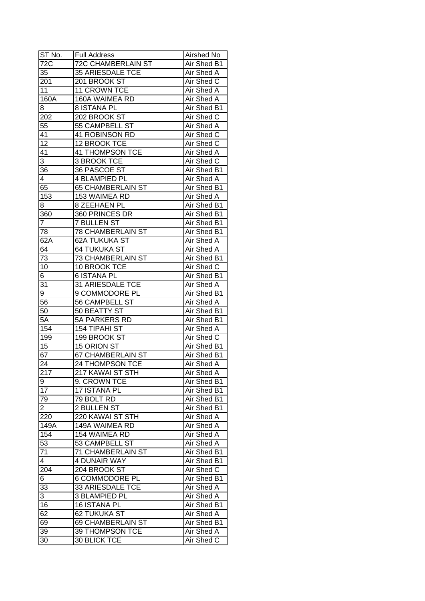| ST No.           | Full Address              | Airshed No        |
|------------------|---------------------------|-------------------|
| 72C              | <b>72C CHAMBERLAIN ST</b> | Air Shed B1       |
| 35               | <b>35 ARIESDALE TCE</b>   | Air Shed A        |
| 201              | 201 BROOK ST              | Air Shed C        |
| 11               | 11 CROWN TCE              | Air Shed A        |
| 160A             | 160A WAIMEA RD            | Air Shed A        |
| 8                | <b>8 ISTANA PL</b>        | Air Shed B1       |
| 202              | 202 BROOK ST              | Air Shed C        |
| 55               | 55 CAMPBELL ST            | Air Shed A        |
| 41               | 41 ROBINSON RD            | Air Shed C        |
| 12               | 12 BROOK TCE              | Air Shed C        |
| 41               | 41 THOMPSON TCE           | Air Shed A        |
| 3                | 3 BROOK TCE               | Air Shed C        |
| 36               | 36 PASCOE ST              | Air Shed B1       |
| 4                | 4 BLAMPIED PL             | Air Shed A        |
| 65               | <b>65 CHAMBERLAIN ST</b>  | Air Shed B1       |
| 153              | 153 WAIMEA RD             | Air Shed A        |
| 8                | 8 ZEEHAEN PL              | Air Shed B1       |
| 360              | 360 PRINCES DR            | Air Shed B1       |
| $\overline{7}$   | <b>7 BULLEN ST</b>        | Air Shed B1       |
| 78               | <b>78 CHAMBERLAIN ST</b>  | Air Shed B1       |
| 62A              | 62A TUKUKA ST             | Air Shed A        |
| 64               | <b>64 TUKUKA ST</b>       | Air Shed A        |
| 73               | 73 CHAMBERLAIN ST         | Air Shed B1       |
| 10               | 10 BROOK TCE              | Air Shed C        |
| 6                | <b>6 ISTANA PL</b>        | Air Shed B1       |
| 31               | 31 ARIESDALE TCE          | Air Shed A        |
| 9                | 9 COMMODORE PL            | Air Shed B1       |
| 56               | 56 CAMPBELL ST            | Air Shed A        |
| 50               | 50 BEATTY ST              | Air Shed B1       |
| 5A               | 5A PARKERS RD             | Air Shed B1       |
| 154              | 154 TIPAHI ST             | Air Shed A        |
| 199              | 199 BROOK ST              | Air Shed C        |
| 15               | 15 ORION ST               | Air Shed B1       |
| 67               | <b>67 CHAMBERLAIN ST</b>  | Air Shed B1       |
| 24               | 24 THOMPSON TCE           | <b>Air Shed A</b> |
| $\overline{217}$ | 217 KAWAI ST STH          | <b>Air Shed A</b> |
| 9                | 9. CROWN TCE              | Air Shed B1       |
| 17               | 17 ISTANA PL              | Air Shed B1       |
| 79               | 79 BOLT RD                | Air Shed B1       |
| $\overline{2}$   | 2 BULLEN ST               | Air Shed B1       |
| 220              | 220 KAWAI ST STH          | Air Shed A        |
| 149A             | 149A WAIMEA RD            | Air Shed A        |
| 154              | 154 WAIMEA RD             | Air Shed A        |
| 53               | 53 CAMPBELL ST            | Air Shed A        |
| $\overline{71}$  | 71 CHAMBERLAIN ST         | Air Shed B1       |
| $\overline{4}$   | 4 DUNAIR WAY              | Air Shed B1       |
| 204              | 204 BROOK ST              | Air Shed C        |
|                  |                           | Air Shed B1       |
| 6                | <b>6 COMMODORE PL</b>     |                   |
| 33               | 33 ARIESDALE TCE          | Air Shed A        |
| 3                | <b>3 BLAMPIED PL</b>      | Air Shed A        |
| 16               | 16 ISTANA PL              | Air Shed B1       |
| 62               | 62 TUKUKA ST              | Air Shed A        |
| 69               | 69 CHAMBERLAIN ST         | Air Shed B1       |
| 39               | 39 THOMPSON TCE           | Air Shed A        |
| 30               | 30 BLICK TCE              | Air Shed C        |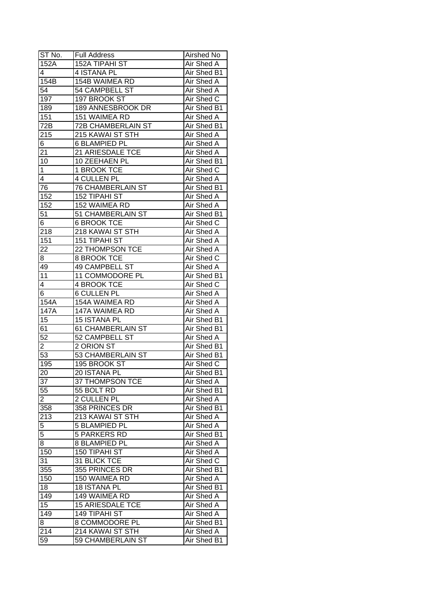| ST No.           | <b>Full Address</b>       | Airshed No        |
|------------------|---------------------------|-------------------|
| 152A             | 152A TIPAHI ST            | Air Shed A        |
| 4                | 4 ISTANA PL               | Air Shed B1       |
| 154B             | 154B WAIMEA RD            | Air Shed A        |
| $\overline{54}$  | 54 CAMPBELL ST            | Air Shed A        |
| 197              | 197 BROOK ST              | Air Shed C        |
| 189              | 189 ANNESBROOK DR         | Air Shed B1       |
| 151              | 151 WAIMEA RD             | Air Shed A        |
| $\overline{72B}$ | <b>72B CHAMBERLAIN ST</b> | Air Shed B1       |
| 215              | 215 KAWAI ST STH          | Air Shed A        |
| 6                | <b>6 BLAMPIED PL</b>      | Air Shed A        |
| 21               | 21 ARIESDALE TCE          | Air Shed A        |
| 10               | 10 ZEEHAEN PL             | Air Shed B1       |
| $\mathbf 1$      | 1 BROOK TCE               | Air Shed C        |
| 4                | <b>4 CULLEN PL</b>        | Air Shed A        |
| 76               | <b>76 CHAMBERLAIN ST</b>  | Air Shed B1       |
| 152              | <b>152 TIPAHI ST</b>      | Air Shed A        |
| 152              | 152 WAIMEA RD             | Air Shed A        |
| 51               | 51 CHAMBERLAIN ST         | Air Shed B1       |
| 6                | <b>6 BROOK TCE</b>        | Air Shed C        |
| 218              | 218 KAWAI ST STH          | Air Shed A        |
| 151              | 151 TIPAHI ST             | Air Shed A        |
| 22               | 22 THOMPSON TCE           | Air Shed A        |
| 8                | 8 BROOK TCE               | Air Shed C        |
| 49               | 49 CAMPBELL ST            | Air Shed A        |
| 11               | 11 COMMODORE PL           | Air Shed B1       |
| 4                | 4 BROOK TCE               | Air Shed C        |
| 6                | <b>6 CULLEN PL</b>        | Air Shed A        |
| 154A             | 154A WAIMEA RD            | Air Shed A        |
| 147A             | 147A WAIMEA RD            | Air Shed A        |
| 15               | 15 ISTANA PL              | Air Shed B1       |
| 61               | 61 CHAMBERLAIN ST         | Air Shed B1       |
| $\overline{52}$  | 52 CAMPBELL ST            | Air Shed A        |
| $\overline{2}$   | 2 ORION ST                | Air Shed B1       |
| $\overline{53}$  | <b>53 CHAMBERLAIN ST</b>  | Air Shed B1       |
| 195              | 195 BROOK ST              | <b>Air Shed C</b> |
| 20               | 20 ISTANA PL              | Air Shed B1       |
| $3\overline{7}$  | 37 THOMPSON TCE           | Air Shed A        |
| 55               | 55 BOLT RD                | Air Shed B1       |
| $\overline{c}$   | 2 CULLEN PL               | Air Shed A        |
| 358              | 358 PRINCES DR            | Air Shed B1       |
| 213              | 213 KAWAI ST STH          | Air Shed A        |
| $\overline{5}$   | <b>5 BLAMPIED PL</b>      | Air Shed A        |
| 5                | <b>5 PARKERS RD</b>       | Air Shed B1       |
| 8                | 8 BLAMPIED PL             | Air Shed A        |
| 150              | 150 TIPAHI ST             | Air Shed A        |
| $3\overline{1}$  | 31 BLICK TCE              | Air Shed C        |
|                  | 355 PRINCES DR            |                   |
| 355              |                           | Air Shed B1       |
| 150              | 150 WAIMEA RD             | Air Shed A        |
| 18               | 18 ISTANA PL              | Air Shed B1       |
| 149              | 149 WAIMEA RD             | Air Shed A        |
| 15               | <b>15 ARIESDALE TCE</b>   | Air Shed A        |
| 149              | 149 TIPAHI ST             | Air Shed A        |
| 8                | 8 COMMODORE PL            | Air Shed B1       |
| 214              | 214 KAWAI ST STH          | Air Shed A        |
| 59               | 59 CHAMBERLAIN ST         | Air Shed B1       |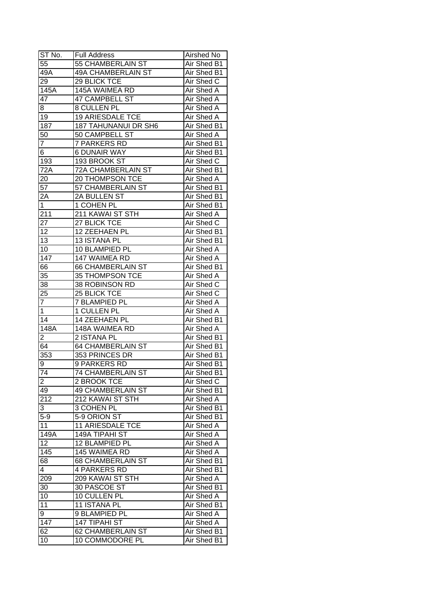| ST No.             | <b>Full Address</b>         | Airshed No  |
|--------------------|-----------------------------|-------------|
| 55                 | 55 CHAMBERLAIN ST           | Air Shed B1 |
| $\overline{49}A$   | <b>49A CHAMBERLAIN ST</b>   | Air Shed B1 |
| 29                 | 29 BLICK TCE                | Air Shed C  |
| $\overline{1}$ 45A | 145A WAIMEA RD              | Air Shed A  |
| 47                 | 47 CAMPBELL ST              | Air Shed A  |
| 8                  | 8 CULLEN PL                 | Air Shed A  |
| 19                 | <b>19 ARIESDALE TCE</b>     | Air Shed A  |
| $18\overline{7}$   | <b>187 TAHUNANUI DR SH6</b> | Air Shed B1 |
| 50                 | 50 CAMPBELL ST              | Air Shed A  |
| 7                  | 7 PARKERS RD                | Air Shed B1 |
| 6                  | <b>6 DUNAIR WAY</b>         | Air Shed B1 |
| 193                | 193 BROOK ST                | Air Shed C  |
| 72A                | 72A CHAMBERLAIN ST          | Air Shed B1 |
| 20                 | 20 THOMPSON TCE             | Air Shed A  |
| 57                 | 57 CHAMBERLAIN ST           | Air Shed B1 |
| 2A                 | 2A BULLEN ST                | Air Shed B1 |
| $\overline{1}$     | 1 COHEN PL                  | Air Shed B1 |
| 211                | 211 KAWAI ST STH            | Air Shed A  |
| 27                 | 27 BLICK TCE                | Air Shed C  |
| 12                 | 12 ZEEHAEN PL               | Air Shed B1 |
| 13                 | 13 ISTANA PL                | Air Shed B1 |
| 10                 | 10 BLAMPIED PL              | Air Shed A  |
| 147                | 147 WAIMEA RD               | Air Shed A  |
| 66                 | <b>66 CHAMBERLAIN ST</b>    | Air Shed B1 |
| 35                 | 35 THOMPSON TCE             | Air Shed A  |
| 38                 | 38 ROBINSON RD              | Air Shed C  |
| 25                 | 25 BLICK TCE                | Air Shed C  |
| $\overline{7}$     | 7 BLAMPIED PL               | Air Shed A  |
| $\mathbf{1}$       | 1 CULLEN PL                 | Air Shed A  |
| 14                 | 14 ZEEHAEN PL               | Air Shed B1 |
| 148A               | 148A WAIMEA RD              | Air Shed A  |
| 2                  | 2 ISTANA PL                 | Air Shed B1 |
| 64                 | <b>64 CHAMBERLAIN ST</b>    | Air Shed B1 |
| 353                | 353 PRINCES DR              | Air Shed B1 |
| $9\,$              | 9 PARKERS RD                | Air Shed B1 |
| 74                 | <b>74 CHAMBERLAIN ST</b>    | Air Shed B1 |
| $\overline{2}$     | 2 BROOK TCE                 | Air Shed C  |
| 49                 | <b>49 CHAMBERLAIN ST</b>    | Air Shed B1 |
| 212                | 212 KAWAI ST STH            | Air Shed A  |
| 3                  | 3 COHEN PL                  | Air Shed B1 |
| $5-9$              | 5-9 ORION ST                | Air Shed B1 |
| 11                 | <b>11 ARIESDALE TCE</b>     | Air Shed A  |
| 149A               | <b>149A TIPAHI ST</b>       | Air Shed A  |
| 12                 | 12 BLAMPIED PL              | Air Shed A  |
| 145                | 145 WAIMEA RD               | Air Shed A  |
| 68                 | <b>68 CHAMBERLAIN ST</b>    | Air Shed B1 |
| $\overline{4}$     | <b>4 PARKERS RD</b>         | Air Shed B1 |
| 209                | 209 KAWAI ST STH            | Air Shed A  |
|                    | 30 PASCOE ST                | Air Shed B1 |
| 30                 | 10 CULLEN PL                |             |
| 10                 |                             | Air Shed A  |
| 11                 | 11 ISTANA PL                | Air Shed B1 |
| 9                  | 9 BLAMPIED PL               | Air Shed A  |
| 147                | 147 TIPAHI ST               | Air Shed A  |
| 62                 | 62 CHAMBERLAIN ST           | Air Shed B1 |
| 10                 | 10 COMMODORE PL             | Air Shed B1 |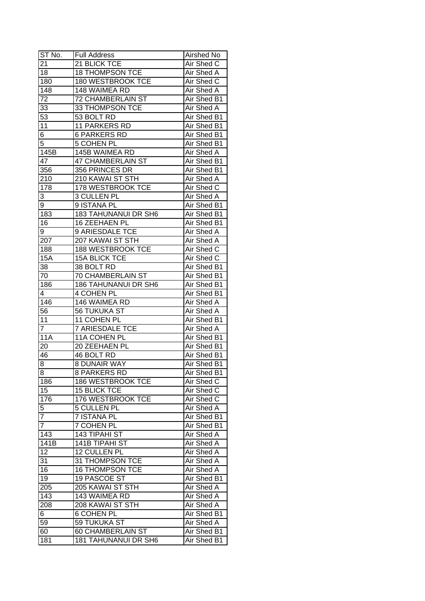| ST No.           | <b>Full Address</b>                          | Airshed No  |
|------------------|----------------------------------------------|-------------|
| 21               | 21 BLICK TCE                                 | Air Shed C  |
| 18               | <b>18 THOMPSON TCE</b>                       | Air Shed A  |
| 180              | 180 WESTBROOK TCE                            | Air Shed C  |
| 148              | 148 WAIMEA RD                                | Air Shed A  |
| 72               | <b>72 CHAMBERLAIN ST</b>                     | Air Shed B1 |
| 33               | 33 THOMPSON TCE                              | Air Shed A  |
| 53               | 53 BOLT RD                                   | Air Shed B1 |
| 11               | 11 PARKERS RD                                | Air Shed B1 |
| 6                | <b>6 PARKERS RD</b>                          | Air Shed B1 |
| 5                | 5 COHEN PL                                   | Air Shed B1 |
| 145B             | 145B WAIMEA RD                               | Air Shed A  |
| 47               | 47 CHAMBERLAIN ST                            | Air Shed B1 |
| 356              | 356 PRINCES DR                               | Air Shed B1 |
| 210              | 210 KAWAI ST STH                             | Air Shed A  |
| 178              | 178 WESTBROOK TCE                            | Air Shed C  |
| 3                | 3 CULLEN PL                                  | Air Shed A  |
| $\overline{9}$   | 9 ISTANA PL                                  | Air Shed B1 |
|                  |                                              |             |
| 183              | <b>183 TAHUNANUI DR SH6</b><br>16 ZEEHAEN PL | Air Shed B1 |
| 16               | 9 ARIESDALE TCE                              | Air Shed B1 |
| 9                |                                              | Air Shed A  |
| 207              | 207 KAWAI ST STH                             | Air Shed A  |
| 188              | <b>188 WESTBROOK TCE</b>                     | Air Shed C  |
| 15A              | <b>15A BLICK TCE</b>                         | Air Shed C  |
| 38               | 38 BOLT RD                                   | Air Shed B1 |
| 70               | 70 CHAMBERLAIN ST                            | Air Shed B1 |
| 186              | <b>186 TAHUNANUI DR SH6</b>                  | Air Shed B1 |
| 4                | 4 COHEN PL                                   | Air Shed B1 |
| 146              | 146 WAIMEA RD                                | Air Shed A  |
| 56               | 56 TUKUKA ST                                 | Air Shed A  |
| 11               | 11 COHEN PL                                  | Air Shed B1 |
| $\overline{7}$   | <b>7 ARIESDALE TCE</b>                       | Air Shed A  |
| $11\overline{A}$ | 11A COHEN PL                                 | Air Shed B1 |
| 20               | 20 ZEEHAEN PL                                | Air Shed B1 |
| 46               | 46 BOLT RD                                   | Air Shed B1 |
| $\bf 8$          | <b>8 DUNAIR WAY</b>                          | Air Shed B1 |
| $\overline{8}$   | <b>8 PARKERS RD</b>                          | Air Shed B1 |
| 186              | 186 WESTBROOK TCE                            | Air Shed C  |
| 15               | <b>15 BLICK TCE</b>                          | Air Shed C  |
| 176              | 176 WESTBROOK TCE                            | Air Shed C  |
| 5                | 5 CULLEN PL                                  | Air Shed A  |
| $\overline{7}$   | <b>7 ISTANA PL</b>                           | Air Shed B1 |
| $\overline{7}$   | 7 COHEN PL                                   | Air Shed B1 |
| 143              | 143 TIPAHI ST                                | Air Shed A  |
| 141B             | <b>141B TIPAHI ST</b>                        | Air Shed A  |
| $\overline{12}$  | <b>12 CULLEN PL</b>                          | Air Shed A  |
| $3\overline{1}$  | 31 THOMPSON TCE                              | Air Shed A  |
| 16               | <b>16 THOMPSON TCE</b>                       | Air Shed A  |
| 19               | 19 PASCOE ST                                 | Air Shed B1 |
| 205              | 205 KAWAI ST STH                             | Air Shed A  |
| 143              | 143 WAIMEA RD                                | Air Shed A  |
| 208              | 208 KAWAI ST STH                             | Air Shed A  |
| 6                | 6 COHEN PL                                   | Air Shed B1 |
| 59               | 59 TUKUKA ST                                 | Air Shed A  |
| 60               | 60 CHAMBERLAIN ST                            | Air Shed B1 |
| 181              | <b>181 TAHUNANUI DR SH6</b>                  | Air Shed B1 |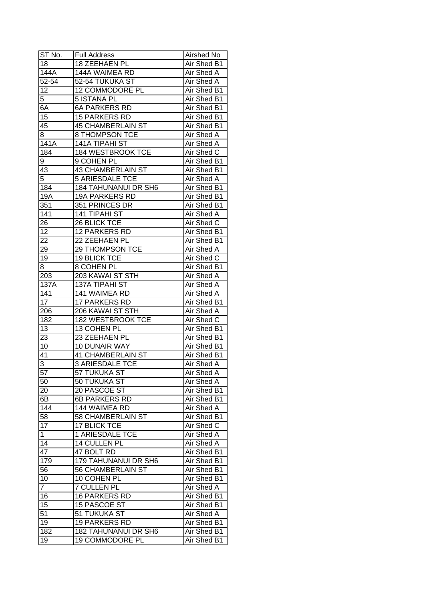| ST No.          | <b>Full Address</b>         | Airshed No        |
|-----------------|-----------------------------|-------------------|
| 18              | 18 ZEEHAEN PL               | Air Shed B1       |
| 144A            | 144A WAIMEA RD              | Air Shed A        |
| 52-54           | 52-54 TUKUKA ST             | <b>Air Shed A</b> |
| 12              | 12 COMMODORE PL             | Air Shed B1       |
| 5               | 5 ISTANA PL                 | Air Shed B1       |
| 6A              | <b>6A PARKERS RD</b>        | Air Shed B1       |
| 15              | <b>15 PARKERS RD</b>        | Air Shed B1       |
| 45              | <b>45 CHAMBERLAIN ST</b>    | Air Shed B1       |
| 8               | 8 THOMPSON TCE              | Air Shed A        |
| 141A            | 141A TIPAHI ST              | Air Shed A        |
| 184             | 184 WESTBROOK TCE           | Air Shed C        |
| 9               | 9 COHEN PL                  | Air Shed B1       |
| 43              | <b>43 CHAMBERLAIN ST</b>    | Air Shed B1       |
| 5               | <b>5 ARIESDALE TCE</b>      | Air Shed A        |
| 184             | <b>184 TAHUNANUI DR SH6</b> | Air Shed B1       |
| 19A             | <b>19A PARKERS RD</b>       | Air Shed B1       |
| 351             | 351 PRINCES DR              | Air Shed B1       |
| 141             | 141 TIPAHI ST               | Air Shed A        |
| 26              | 26 BLICK TCE                | Air Shed C        |
| 12              | 12 PARKERS RD               | Air Shed B1       |
| 22              | 22 ZEEHAEN PL               | Air Shed B1       |
| 29              | 29 THOMPSON TCE             | Air Shed A        |
| 19              | <b>19 BLICK TCE</b>         | Air Shed C        |
| 8               | 8 COHEN PL                  | Air Shed B1       |
| 203             | 203 KAWAI ST STH            | Air Shed A        |
| 137A            | <b>137A TIPAHI ST</b>       | Air Shed A        |
| 141             | 141 WAIMEA RD               | Air Shed A        |
| 17              | 17 PARKERS RD               | Air Shed B1       |
| 206             | 206 KAWAI ST STH            | Air Shed A        |
| 182             | 182 WESTBROOK TCE           | Air Shed C        |
| 13              | 13 COHEN PL                 | Air Shed B1       |
| 23              | 23 ZEEHAEN PL               | Air Shed B1       |
| 10              | 10 DUNAIR WAY               | Air Shed B1       |
| $\overline{41}$ | <b>41 CHAMBERLAIN ST</b>    | Air Shed B1       |
| 3               | <b>3 ARIESDALE TCE</b>      | <b>Air Shed A</b> |
| $\overline{57}$ | 57 TUKUKA ST                | <b>Air Shed A</b> |
| 50              | 50 TUKUKA ST                | Air Shed A        |
| 20              | 20 PASCOE ST                | Air Shed B1       |
| 6B              | 6B PARKERS RD               | Air Shed B1       |
| 144             | 144 WAIMEA RD               | Air Shed A        |
| 58              | 58 CHAMBERLAIN ST           | Air Shed B1       |
| $1\overline{7}$ | 17 BLICK TCE                | Air Shed C        |
| $\mathbf{1}$    | 1 ARIESDALE TCE             | Air Shed A        |
| 14              | 14 CULLEN PL                | Air Shed A        |
| 47              | 47 BOLT RD                  | Air Shed B1       |
| 179             | 179 TAHUNANUI DR SH6        | Air Shed B1       |
| 56              | 56 CHAMBERLAIN ST           | Air Shed B1       |
| 10              | 10 COHEN PL                 | Air Shed B1       |
| $\overline{7}$  | <b>7 CULLEN PL</b>          | Air Shed A        |
| 16              | <b>16 PARKERS RD</b>        | Air Shed B1       |
| 15              | 15 PASCOE ST                | Air Shed B1       |
| 51              | 51 TUKUKA ST                | Air Shed A        |
| 19              | <b>19 PARKERS RD</b>        | Air Shed B1       |
| 182             |                             | Air Shed B1       |
|                 | <b>182 TAHUNANUI DR SH6</b> |                   |
| 19              | 19 COMMODORE PL             | Air Shed B1       |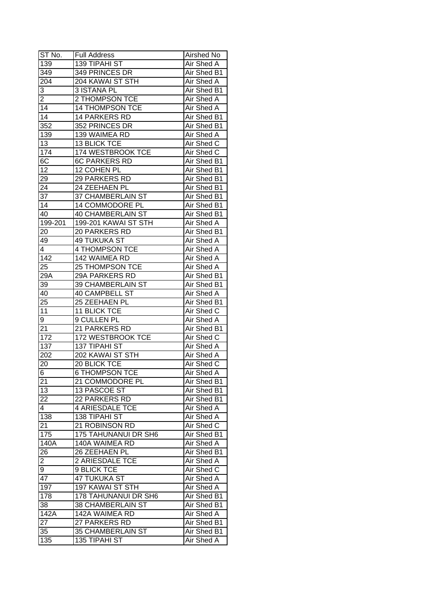| ST No.             | <b>Full Address</b>      | Airshed No  |
|--------------------|--------------------------|-------------|
| 139                | 139 TIPAHI ST            | Air Shed A  |
| 349                | 349 PRINCES DR           | Air Shed B1 |
| 204                | 204 KAWAI ST STH         | Air Shed A  |
| 3                  | 3 ISTANA PL              | Air Shed B1 |
| 2                  | 2 THOMPSON TCE           | Air Shed A  |
| 14                 | 14 THOMPSON TCE          | Air Shed A  |
| 14                 | 14 PARKERS RD            | Air Shed B1 |
| 352                | 352 PRINCES DR           | Air Shed B1 |
| 139                | 139 WAIMEA RD            | Air Shed A  |
| 13                 | 13 BLICK TCE             | Air Shed C  |
| 174                | 174 WESTBROOK TCE        | Air Shed C  |
| 6C                 | <b>6C PARKERS RD</b>     | Air Shed B1 |
| 12                 | 12 COHEN PL              | Air Shed B1 |
| 29                 | 29 PARKERS RD            | Air Shed B1 |
| 24                 | 24 ZEEHAEN PL            | Air Shed B1 |
| 37                 | 37 CHAMBERLAIN ST        | Air Shed B1 |
| 14                 | 14 COMMODORE PL          | Air Shed B1 |
| 40                 | <b>40 CHAMBERLAIN ST</b> | Air Shed B1 |
| 199-201            | 199-201 KAWAI ST STH     | Air Shed A  |
| 20                 | 20 PARKERS RD            | Air Shed B1 |
| 49                 | 49 TUKUKA ST             | Air Shed A  |
| 4                  | 4 THOMPSON TCE           | Air Shed A  |
| 142                | 142 WAIMEA RD            | Air Shed A  |
| 25                 | 25 THOMPSON TCE          | Air Shed A  |
| 29A                | 29A PARKERS RD           | Air Shed B1 |
| 39                 | 39 CHAMBERLAIN ST        | Air Shed B1 |
| 40                 | <b>40 CAMPBELL ST</b>    | Air Shed A  |
| 25                 | 25 ZEEHAEN PL            | Air Shed B1 |
| 11                 | 11 BLICK TCE             | Air Shed C  |
| 9                  | 9 CULLEN PL              | Air Shed A  |
| 21                 | 21 PARKERS RD            | Air Shed B1 |
| 172                | 172 WESTBROOK TCE        | Air Shed C  |
| 137                | 137 TIPAHI ST            | Air Shed A  |
| 202                | 202 KAWAI ST STH         | Air Shed A  |
| 20                 | <b>20 BLICK TCE</b>      | Air Shed C  |
| 6                  | <b>6 THOMPSON TCE</b>    | Air Shed A  |
| 21                 | 21 COMMODORE PL          | Air Shed B1 |
| 13                 | 13 PASCOE ST             | Air Shed B1 |
| 22                 | 22 PARKERS RD            | Air Shed B1 |
| 4                  | <b>4 ARIESDALE TCE</b>   | Air Shed A  |
| 138                | 138 TIPAHI ST            | Air Shed A  |
| 21                 | 21 ROBINSON RD           | Air Shed C  |
| 175                | 175 TAHUNANUI DR SH6     | Air Shed B1 |
| $\overline{1}$ 40A | 140A WAIMEA RD           | Air Shed A  |
| 26                 | 26 ZEEHAEN PL            | Air Shed B1 |
| $\overline{2}$     | <b>2 ARIESDALE TCE</b>   | Air Shed A  |
| 9                  | 9 BLICK TCE              | Air Shed C  |
| 47                 | <b>47 TUKUKA ST</b>      | Air Shed A  |
| 197                | 197 KAWAI ST STH         | Air Shed A  |
| 178                | 178 TAHUNANUI DR SH6     | Air Shed B1 |
| 38                 | 38 CHAMBERLAIN ST        | Air Shed B1 |
| $\overline{1}$ 42A | 142A WAIMEA RD           | Air Shed A  |
| 27                 | 27 PARKERS RD            | Air Shed B1 |
| 35                 | 35 CHAMBERLAIN ST        | Air Shed B1 |
| 135                | 135 TIPAHI ST            | Air Shed A  |
|                    |                          |             |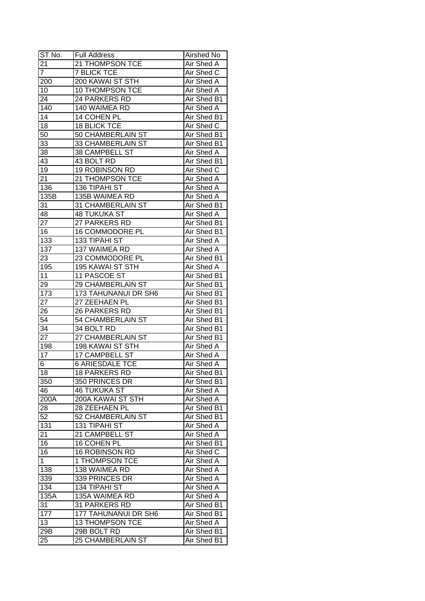| ST No.           | <b>Full Address</b>      | Airshed No                |
|------------------|--------------------------|---------------------------|
| 21               | 21 THOMPSON TCE          | Air Shed A                |
| $\overline{7}$   | <b>7 BLICK TCE</b>       | Air Shed C                |
| 200              | 200 KAWAI ST STH         | Air Shed A                |
| 10               | <b>10 THOMPSON TCE</b>   | Air Shed A                |
| 24               | 24 PARKERS RD            | Air Shed B1               |
| 140              | 140 WAIMEA RD            | Air Shed A                |
| 14               | 14 COHEN PL              | Air Shed B1               |
| 18               | <b>18 BLICK TCE</b>      | Air Shed C                |
| 50               | 50 CHAMBERLAIN ST        | Air Shed B1               |
| 33               | 33 CHAMBERLAIN ST        | Air Shed B1               |
| 38               | 38 CAMPBELL ST           | Air Shed A                |
| 43               | 43 BOLT RD               | Air Shed B1               |
| 19               | 19 ROBINSON RD           | Air Shed C                |
| 21               | 21 THOMPSON TCE          | Air Shed A                |
| 136              | 136 TIPAHI ST            | Air Shed A                |
| 135B             | 135B WAIMEA RD           | Air Shed A                |
| 31               | 31 CHAMBERLAIN ST        | Air Shed B1               |
| 48               | <b>48 TUKUKA ST</b>      | Air Shed A                |
| 27               | 27 PARKERS RD            | Air Shed B1               |
| 16               | <b>16 COMMODORE PL</b>   | Air Shed B1               |
| 133              | <b>133 TIPAHI ST</b>     | Air Shed A                |
| 137              | 137 WAIMEA RD            | Air Shed A                |
| 23               | 23 COMMODORE PL          | Air Shed B1               |
| 195              | 195 KAWAI ST STH         | Air Shed A                |
| 11               | 11 PASCOE ST             | Air Shed B1               |
| 29               | 29 CHAMBERLAIN ST        | Air Shed B1               |
| 173              | 173 TAHUNANUI DR SH6     | Air Shed B1               |
| 27               | 27 ZEEHAEN PL            | Air Shed B1               |
| 26               | 26 PARKERS RD            | Air Shed B1               |
| 54               | 54 CHAMBERLAIN ST        | Air Shed B1               |
| 34               | 34 BOLT RD               | Air Shed B1               |
| 27               | 27 CHAMBERLAIN ST        | Air Shed B1               |
| 198              | <b>198 KAWAI ST STH</b>  | Air Shed A                |
| 17               | 17 CAMPBELL ST           | Air Shed A                |
| $6 \overline{6}$ | <b>6 ARIESDALE TCE</b>   | <b>Air Shed A</b>         |
| 18               | <b>18 PARKERS RD</b>     | Air Shed B1               |
| 350              | 350 PRINCES DR           | Air Shed B1               |
| 46               | <b>46 TUKUKA ST</b>      | Air Shed A                |
| 200A             | 200A KAWAI ST STH        | Air Shed A                |
| 28               | 28 ZEEHAEN PL            | Air Shed B1               |
| 52               | 52 CHAMBERLAIN ST        | Air Shed B1               |
| $13\overline{1}$ | 131 TIPAHI ST            |                           |
| 21               | 21 CAMPBELL ST           | Air Shed A                |
|                  | 16 COHEN PL              | Air Shed A<br>Air Shed B1 |
| 16               | 16 ROBINSON RD           |                           |
| 16               |                          | Air Shed C                |
| $\mathbf{1}$     | 1 THOMPSON TCE           | Air Shed A                |
| 138              | 138 WAIMEA RD            | Air Shed A                |
| 339              | 339 PRINCES DR           | Air Shed A                |
| 134              | 134 TIPAHI ST            | Air Shed A                |
| 135A             | 135A WAIMEA RD           | Air Shed A                |
| 31               | 31 PARKERS RD            | Air Shed B1               |
| 177              | 177 TAHUNANUI DR SH6     | Air Shed B1               |
| 13               | 13 THOMPSON TCE          | Air Shed A                |
| 29B              | 29B BOLT RD              | Air Shed B1               |
| 25               | <b>25 CHAMBERLAIN ST</b> | Air Shed B1               |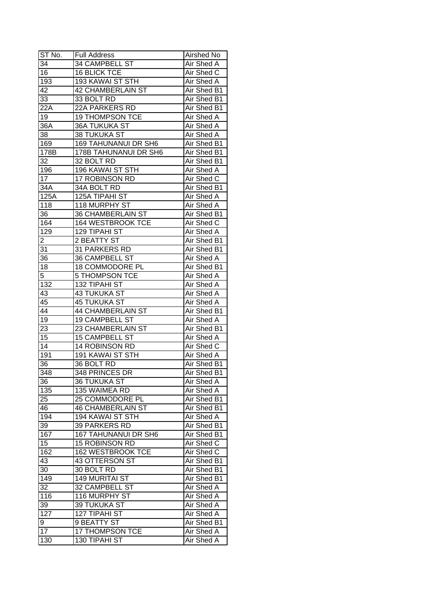| ST No.          | <b>Full Address</b>         | Airshed No        |
|-----------------|-----------------------------|-------------------|
| 34              | 34 CAMPBELL ST              | Air Shed A        |
| $\overline{16}$ | <b>16 BLICK TCE</b>         | Air Shed C        |
| 193             | 193 KAWAI ST STH            | Air Shed A        |
| 42              | <b>42 CHAMBERLAIN ST</b>    | Air Shed B1       |
| 33              | 33 BOLT RD                  | Air Shed B1       |
| 22A             | 22A PARKERS RD              | Air Shed B1       |
| 19              | <b>19 THOMPSON TCE</b>      | Air Shed A        |
| 36A             | <b>36A TUKUKA ST</b>        | Air Shed A        |
| 38              | 38 TUKUKA ST                | Air Shed A        |
| 169             | <b>169 TAHUNANUI DR SH6</b> | Air Shed B1       |
| 178B            | 178B TAHUNANUI DR SH6       | Air Shed B1       |
| 32              | 32 BOLT RD                  | Air Shed B1       |
| 196             | 196 KAWAI ST STH            | Air Shed A        |
| 17              | 17 ROBINSON RD              | Air Shed C        |
| 34A             | 34A BOLT RD                 | Air Shed B1       |
| 125A            | 125A TIPAHI ST              | Air Shed A        |
| 118             | 118 MURPHY ST               | Air Shed A        |
| 36              | <b>36 CHAMBERLAIN ST</b>    | Air Shed B1       |
| 164             | 164 WESTBROOK TCE           | Air Shed C        |
| 129             | 129 TIPAHI ST               | Air Shed A        |
| 2               | 2 BEATTY ST                 | Air Shed B1       |
| 31              | 31 PARKERS RD               | Air Shed B1       |
| 36              | <b>36 CAMPBELL ST</b>       | Air Shed A        |
| 18              | 18 COMMODORE PL             | Air Shed B1       |
| 5               | <b>5 THOMPSON TCE</b>       | Air Shed A        |
| 132             | 132 TIPAHI ST               | Air Shed A        |
| 43              | <b>43 TUKUKA ST</b>         | Air Shed A        |
| 45              | <b>45 TUKUKA ST</b>         | Air Shed A        |
| 44              | <b>44 CHAMBERLAIN ST</b>    | Air Shed B1       |
| 19              | 19 CAMPBELL ST              | Air Shed A        |
| 23              | 23 CHAMBERLAIN ST           | Air Shed B1       |
| $\overline{15}$ | <b>15 CAMPBELL ST</b>       | Air Shed A        |
| 14              | 14 ROBINSON RD              | <b>Air Shed C</b> |
| 191             | 191 KAWAI ST STH            | <b>Air Shed A</b> |
| 36              | 36 BOLT RD                  | Air Shed B1       |
| 348             | 348 PRINCES DR              | Air Shed B1       |
| 36              | <b>36 TUKUKA ST</b>         | Air Shed A        |
| 135             | 135 WAIMEA RD               | Air Shed A        |
| 25              | 25 COMMODORE PL             | Air Shed B1       |
| 46              | <b>46 CHAMBERLAIN ST</b>    | Air Shed B1       |
| 194             | 194 KAWAI ST STH            | Air Shed A        |
| 39              | 39 PARKERS RD               | Air Shed B1       |
| 167             | <b>167 TAHUNANUI DR SH6</b> | Air Shed B1       |
| 15              | 15 ROBINSON RD              | Air Shed C        |
| 162             | 162 WESTBROOK TCE           | Air Shed C        |
| 43              | 43 OTTERSON ST              | Air Shed B1       |
| 30 <sup>7</sup> | 30 BOLT RD                  | Air Shed B1       |
| 149             | <b>149 MURITAI ST</b>       | Air Shed B1       |
| 32              | 32 CAMPBELL ST              | Air Shed A        |
| 116             | 116 MURPHY ST               | Air Shed A        |
| 39              | 39 TUKUKA ST                | Air Shed A        |
| 127             | 127 TIPAHI ST               | Air Shed A        |
|                 | 9 BEATTY ST                 | Air Shed B1       |
| 9<br>17         |                             |                   |
|                 | 17 THOMPSON TCE             | Air Shed A        |
| 130             | 130 TIPAHI ST               | Air Shed A        |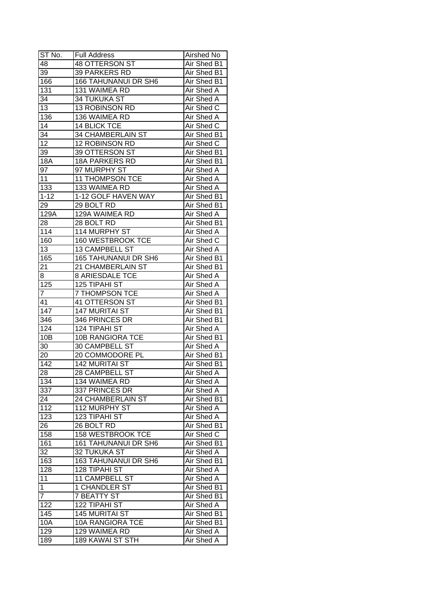| ST No.           | <b>Full Address</b>         | Airshed No         |
|------------------|-----------------------------|--------------------|
| 48               | <b>48 OTTERSON ST</b>       | Air Shed B1        |
| $\overline{39}$  | 39 PARKERS RD               | <b>Air Shed B1</b> |
| 166              | <b>166 TAHUNANUI DR SH6</b> | Air Shed B1        |
| 131              | 131 WAIMEA RD               | Air Shed A         |
| 34               | <b>34 TUKUKA ST</b>         | Air Shed A         |
| 13               | 13 ROBINSON RD              | Air Shed C         |
| 136              | 136 WAIMEA RD               | Air Shed A         |
| 14               | <b>14 BLICK TCE</b>         | Air Shed C         |
| 34               | 34 CHAMBERLAIN ST           | Air Shed B1        |
| 12               | 12 ROBINSON RD              | Air Shed C         |
| 39               | 39 OTTERSON ST              | Air Shed B1        |
| 18A              | 18A PARKERS RD              | Air Shed B1        |
| 97               | 97 MURPHY ST                | Air Shed A         |
| 11               | 11 THOMPSON TCE             | Air Shed A         |
| 133              | 133 WAIMEA RD               | Air Shed A         |
| $1 - 12$         | 1-12 GOLF HAVEN WAY         | Air Shed B1        |
| 29               | 29 BOLT RD                  | Air Shed B1        |
| 129A             | 129A WAIMEA RD              | Air Shed A         |
| 28               | 28 BOLT RD                  | Air Shed B1        |
| 114              | 114 MURPHY ST               | Air Shed A         |
| 160              | 160 WESTBROOK TCE           | Air Shed C         |
| 13               | <b>13 CAMPBELL ST</b>       | Air Shed A         |
| 165              | <b>165 TAHUNANUI DR SH6</b> | Air Shed B1        |
| 21               | 21 CHAMBERLAIN ST           | Air Shed B1        |
| 8.               | <b>8 ARIESDALE TCE</b>      | Air Shed A         |
| 125              | 125 TIPAHI ST               | Air Shed A         |
| $\overline{7}$   | 7 THOMPSON TCE              | Air Shed A         |
| 41               | 41 OTTERSON ST              | Air Shed B1        |
| $\overline{147}$ | <b>147 MURITAI ST</b>       | Air Shed B1        |
| 346              | 346 PRINCES DR              | Air Shed B1        |
| 124              | 124 TIPAHI ST               | Air Shed A         |
| 10B              | 10B RANGIORA TCE            | Air Shed B1        |
| 30               | <b>30 CAMPBELL ST</b>       | Air Shed A         |
| 20               | 20 COMMODORE PL             | Air Shed B1        |
| $\overline{142}$ | <b>142 MURITAI ST</b>       | <b>Air Shed B1</b> |
| $\overline{28}$  | 28 CAMPBELL ST              | Air Shed A         |
| 134              | 134 WAIMEA RD               | Air Shed A         |
| 337              | 337 PRINCES DR              | Air Shed A         |
| 24               | 24 CHAMBERLAIN ST           | Air Shed B1        |
| 112              | 112 MURPHY ST               | Air Shed A         |
| $\overline{123}$ | 123 TIPAHI ST               | Air Shed A         |
| 26               | 26 BOLT RD                  | Air Shed B1        |
| 158              | 158 WESTBROOK TCE           | Air Shed C         |
| 161              | 161 TAHUNANUI DR SH6        | Air Shed B1        |
| 32               | 32 TUKUKA ST                | <b>Air Shed A</b>  |
| 163              | <b>163 TAHUNANUI DR SH6</b> | Air Shed B1        |
| 128              | 128 TIPAHI ST               | Air Shed A         |
| 11               | 11 CAMPBELL ST              | Air Shed A         |
| $\mathbf{1}$     |                             |                    |
| $\overline{7}$   | 1 CHANDLER ST               | Air Shed B1        |
|                  | <b>7 BEATTY ST</b>          | Air Shed B1        |
| 122              | 122 TIPAHI ST               | Air Shed A         |
| 145              | <b>145 MURITAI ST</b>       | Air Shed B1        |
| 10A              | <b>10A RANGIORA TCE</b>     | Air Shed B1        |
| 129              | 129 WAIMEA RD               | Air Shed A         |
| 189              | 189 KAWAI ST STH            | Air Shed A         |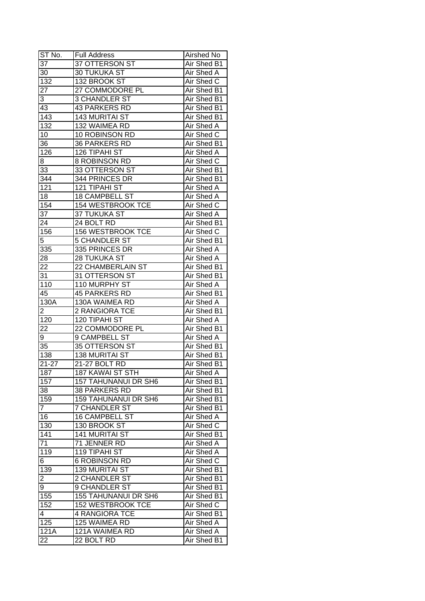| ST No.           | <b>Full Address</b>         | Airshed No        |
|------------------|-----------------------------|-------------------|
| 37               | <b>37 OTTERSON ST</b>       | Air Shed B1       |
| 30               | <b>30 TUKUKA ST</b>         | Air Shed A        |
| 132              | 132 BROOK ST                | Air Shed C        |
| 27               | 27 COMMODORE PL             | Air Shed B1       |
| 3                | 3 CHANDLER ST               | Air Shed B1       |
| 43               | <b>43 PARKERS RD</b>        | Air Shed B1       |
| 143              | <b>143 MURITAI ST</b>       | Air Shed B1       |
| 132              | 132 WAIMEA RD               | Air Shed A        |
| 10               | 10 ROBINSON RD              | Air Shed C        |
| 36               | 36 PARKERS RD               | Air Shed B1       |
| 126              | 126 TIPAHI ST               | Air Shed A        |
| $8-$             | 8 ROBINSON RD               | Air Shed C        |
| 33               | 33 OTTERSON ST              | Air Shed B1       |
| 344              | 344 PRINCES DR              | Air Shed B1       |
| 121              | 121 TIPAHI ST               | Air Shed A        |
| 18               | 18 CAMPBELL ST              | Air Shed A        |
| 154              | 154 WESTBROOK TCE           | Air Shed C        |
| 37               | 37 TUKUKA ST                | Air Shed A        |
| 24               | 24 BOLT RD                  | Air Shed B1       |
| 156              | 156 WESTBROOK TCE           | Air Shed C        |
| 5                | <b>5 CHANDLER ST</b>        | Air Shed B1       |
| 335              | 335 PRINCES DR              | Air Shed A        |
| 28               | <b>28 TUKUKA ST</b>         | Air Shed A        |
| 22               | 22 CHAMBERLAIN ST           | Air Shed B1       |
| 31               | 31 OTTERSON ST              | Air Shed B1       |
| 110              | 110 MURPHY ST               | Air Shed A        |
| 45               | <b>45 PARKERS RD</b>        | Air Shed B1       |
| 130A             | 130A WAIMEA RD              | Air Shed A        |
| $\overline{2}$   | 2 RANGIORA TCE              | Air Shed B1       |
| 120              | 120 TIPAHI ST               | <b>Air Shed A</b> |
| 22               | 22 COMMODORE PL             | Air Shed B1       |
| 9                | 9 CAMPBELL ST               | Air Shed A        |
| 35               | 35 OTTERSON ST              | Air Shed B1       |
| $\overline{138}$ | <b>138 MURITAI ST</b>       | Air Shed B1       |
| $21 - 27$        | 21-27 BOLT RD               | Air Shed B1       |
| 187              | <b>187 KAWAI ST STH</b>     | <b>Air Shed A</b> |
| 157              | <b>157 TAHUNANUI DR SH6</b> | Air Shed B1       |
| 38               | <b>38 PARKERS RD</b>        | Air Shed B1       |
| 159              | 159 TAHUNANUI DR SH6        | Air Shed B1       |
| 7                | <b>7 CHANDLER ST</b>        | Air Shed B1       |
| 16               | <b>16 CAMPBELL ST</b>       | Air Shed A        |
| 130              | 130 BROOK ST                | Air Shed C        |
| 141              | <b>141 MURITAI ST</b>       | Air Shed B1       |
| 71               | 71 JENNER RD                | Air Shed A        |
| 119              | 119 TIPAHI ST               | Air Shed A        |
| 6                | <b>6 ROBINSON RD</b>        | Air Shed C        |
| 139              | <b>139 MURITAI ST</b>       | Air Shed B1       |
| 2                | 2 CHANDLER ST               | Air Shed B1       |
| 9                | 9 CHANDLER ST               | Air Shed B1       |
| 155              | <b>155 TAHUNANUI DR SH6</b> | Air Shed B1       |
| 152              | <b>152 WESTBROOK TCE</b>    | Air Shed C        |
| 4                | <b>4 RANGIORA TCE</b>       | Air Shed B1       |
| 125              | 125 WAIMEA RD               | Air Shed A        |
| 121A             | 121A WAIMEA RD              | Air Shed A        |
| 22               | 22 BOLT RD                  | Air Shed B1       |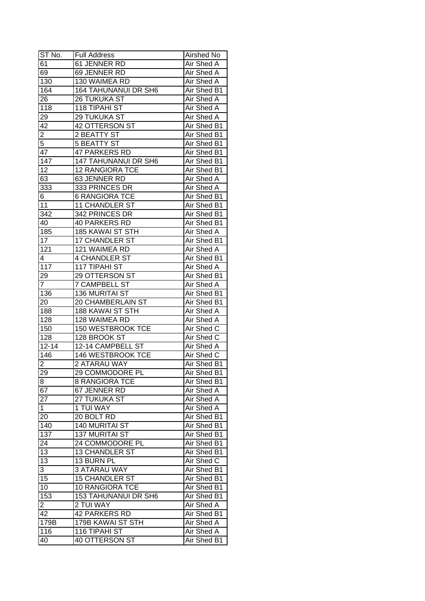| ST No.          | <b>Full Address</b>         | Airshed No        |
|-----------------|-----------------------------|-------------------|
| 61              | 61 JENNER RD                | Air Shed A        |
| 69              | 69 JENNER RD                | <b>Air Shed A</b> |
| 130             | 130 WAIMEA RD               | Air Shed A        |
| 164             | <b>164 TAHUNANUI DR SH6</b> | Air Shed B1       |
| 26              | <b>26 TUKUKA ST</b>         | Air Shed A        |
| 118             | 118 TIPAHI ST               | Air Shed A        |
| 29              | <b>29 TUKUKA ST</b>         | Air Shed A        |
| 42              | 42 OTTERSON ST              | Air Shed B1       |
| $\overline{2}$  | 2 BEATTY ST                 | Air Shed B1       |
| 5               | <b>5 BEATTY ST</b>          | Air Shed B1       |
| 47              | <b>47 PARKERS RD</b>        | Air Shed B1       |
| 147             | 147 TAHUNANUI DR SH6        | Air Shed B1       |
| 12              | <b>12 RANGIORA TCE</b>      | Air Shed B1       |
| 63              | 63 JENNER RD                | Air Shed A        |
| 333             | 333 PRINCES DR              | Air Shed A        |
| 6               | <b>6 RANGIORA TCE</b>       | Air Shed B1       |
| 11              | <b>11 CHANDLER ST</b>       | Air Shed B1       |
| 342             | 342 PRINCES DR              | Air Shed B1       |
| 40              | <b>40 PARKERS RD</b>        | Air Shed B1       |
| 185             | <b>185 KAWAI ST STH</b>     | Air Shed A        |
| 17              | <b>17 CHANDLER ST</b>       | Air Shed B1       |
| 121             | 121 WAIMEA RD               | Air Shed A        |
| 4               | <b>4 CHANDLER ST</b>        | Air Shed B1       |
| 117             | 117 TIPAHI ST               | Air Shed A        |
| 29              | 29 OTTERSON ST              | Air Shed B1       |
| $\overline{7}$  | <b>7 CAMPBELL ST</b>        | Air Shed A        |
| 136             | <b>136 MURITAI ST</b>       | Air Shed B1       |
| 20              | 20 CHAMBERLAIN ST           | Air Shed B1       |
| 188             | 188 KAWAI ST STH            | Air Shed A        |
| 128             | 128 WAIMEA RD               | Air Shed A        |
| 150             | 150 WESTBROOK TCE           | Air Shed C        |
| 128             | 128 BROOK ST                | Air Shed C        |
| $12 - 14$       | 12-14 CAMPBELL ST           | Air Shed A        |
| 146             | <b>146 WESTBROOK TCE</b>    | Air Shed C        |
| 2               | <b>2 ATARAU WAY</b>         | Air Shed B1       |
| 29              | 29 COMMODORE PL             | Air Shed B1       |
| $\overline{8}$  | <b>8 RANGIORA TCE</b>       | Air Shed B1       |
| 67              | 67 JENNER RD                | Air Shed A        |
| 27              | 27 TUKUKA ST                | Air Shed A        |
| 1               | 1 TUI WAY                   | Air Shed A        |
| 20              | 20 BOLT RD                  | Air Shed B1       |
| 140             | 140 MURITAI ST              | Air Shed B1       |
| 137             | <b>137 MURITAI ST</b>       | Air Shed B1       |
| 24              | 24 COMMODORE PL             | Air Shed B1       |
| 13              | 13 CHANDLER ST              | Air Shed B1       |
| $\overline{13}$ | 13 BURN PL                  | Air Shed C        |
| 3               | 3 ATARAU WAY                | Air Shed B1       |
| 15              | <b>15 CHANDLER ST</b>       | Air Shed B1       |
| 10              | 10 RANGIORA TCE             | Air Shed B1       |
| 153             | 153 TAHUNANUI DR SH6        | Air Shed B1       |
| $\overline{c}$  | 2 TUI WAY                   | Air Shed A        |
| 42              | 42 PARKERS RD               | Air Shed B1       |
| 179B            | 179B KAWAI ST STH           | Air Shed A        |
| 116             | 116 TIPAHI ST               | Air Shed A        |
| 40              | <b>40 OTTERSON ST</b>       | Air Shed B1       |
|                 |                             |                   |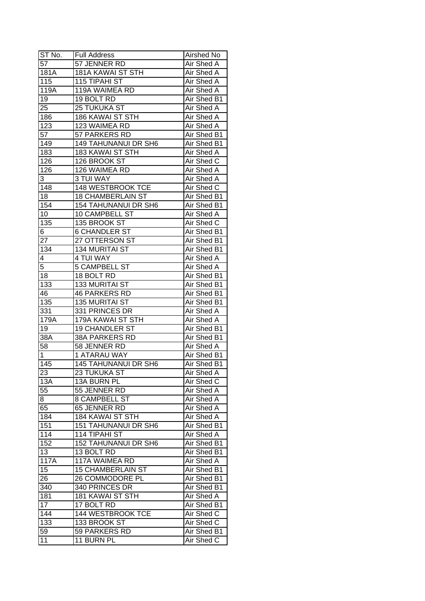| ST No.           | <b>Full Address</b>         | Airshed No         |
|------------------|-----------------------------|--------------------|
| 57               | 57 JENNER RD                | Air Shed A         |
| 181A             | <b>181A KAWAI ST STH</b>    | Air Shed A         |
| 115              | 115 TIPAHI ST               | Air Shed A         |
| 119A             | 119A WAIMEA RD              | Air Shed A         |
| 19               | 19 BOLT RD                  | Air Shed B1        |
| 25               | <b>25 TUKUKA ST</b>         | Air Shed A         |
| 186              | 186 KAWAI ST STH            | Air Shed A         |
| 123              | 123 WAIMEA RD               | Air Shed A         |
| 57               | 57 PARKERS RD               | Air Shed B1        |
| 149              | 149 TAHUNANUI DR SH6        | Air Shed B1        |
| 183              | 183 KAWAI ST STH            | Air Shed A         |
| 126              | 126 BROOK ST                | Air Shed C         |
| $\overline{1}26$ | 126 WAIMEA RD               | Air Shed A         |
| 3                | 3 TUI WAY                   | Air Shed A         |
| 148              | 148 WESTBROOK TCE           | Air Shed C         |
| 18               | <b>18 CHAMBERLAIN ST</b>    | Air Shed B1        |
| 154              | <b>154 TAHUNANUI DR SH6</b> | Air Shed B1        |
| 10               | 10 CAMPBELL ST              | Air Shed A         |
| 135              | 135 BROOK ST                | Air Shed C         |
| 6                | <b>6 CHANDLER ST</b>        | Air Shed B1        |
| 27               | 27 OTTERSON ST              | Air Shed B1        |
| 134              | <b>134 MURITAI ST</b>       | Air Shed B1        |
| 4                | 4 TUI WAY                   | Air Shed A         |
| 5                | <b>5 CAMPBELL ST</b>        | Air Shed A         |
| 18               | 18 BOLT RD                  | Air Shed B1        |
| $\overline{133}$ | <b>133 MURITAI ST</b>       | Air Shed B1        |
| 46               | <b>46 PARKERS RD</b>        | Air Shed B1        |
| 135              | <b>135 MURITAI ST</b>       | Air Shed B1        |
| 331              | 331 PRINCES DR              | Air Shed A         |
| 179A             | 179A KAWAI ST STH           | Air Shed A         |
| 19               | 19 CHANDLER ST              | Air Shed B1        |
| 38A              | <b>38A PARKERS RD</b>       | Air Shed B1        |
| 58               | 58 JENNER RD                | Air Shed A         |
| $\overline{1}$   | 1 ATARAU WAY                | Air Shed B1        |
| 145              | <b>145 TAHUNANUI DR SH6</b> | <b>Air Shed B1</b> |
| 23               | 23 TUKUKA ST                | <b>Air Shed A</b>  |
| 13A              | 13A BURN PL                 | Air Shed C         |
| $5\overline{5}$  | 55 JENNER RD                | Air Shed A         |
| 8                | 8 CAMPBELL ST               | Air Shed A         |
| 65               | 65 JENNER RD                | Air Shed A         |
| 184              | 184 KAWAI ST STH            | Air Shed A         |
| 151              | 151 TAHUNANUI DR SH6        | Air Shed B1        |
| 114              | 114 TIPAHI ST               | Air Shed A         |
| 152              | <b>152 TAHUNANUI DR SH6</b> | Air Shed B1        |
| 13               | 13 BOLT RD                  | Air Shed B1        |
| 117A             | 117A WAIMEA RD              | Air Shed A         |
| 15               | <b>15 CHAMBERLAIN ST</b>    | Air Shed B1        |
| 26               | 26 COMMODORE PL             | Air Shed B1        |
| 340              | 340 PRINCES DR              | Air Shed B1        |
| 181              | <b>181 KAWAI ST STH</b>     | Air Shed A         |
| 17               | 17 BOLT RD                  | Air Shed B1        |
| 144              | 144 WESTBROOK TCE           | Air Shed C         |
| 133              | 133 BROOK ST                | Air Shed C         |
| 59               | 59 PARKERS RD               | Air Shed B1        |
| 11               | 11 BURN PL                  | Air Shed C         |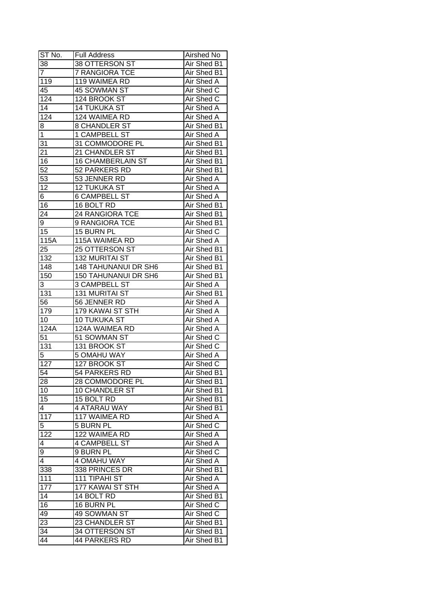| ST No.                  | <b>Full Address</b>         | Airshed No        |
|-------------------------|-----------------------------|-------------------|
| 38                      | 38 OTTERSON ST              | Air Shed B1       |
| $\overline{7}$          | <b>7 RANGIORA TCE</b>       | Air Shed B1       |
| 119                     | 119 WAIMEA RD               | Air Shed A        |
| 45                      | 45 SOWMAN ST                | Air Shed C        |
| 124                     | 124 BROOK ST                | Air Shed C        |
| 14                      | <b>14 TUKUKA ST</b>         | Air Shed A        |
| 124                     | 124 WAIMEA RD               | Air Shed A        |
| 8                       | <b>8 CHANDLER ST</b>        | Air Shed B1       |
| 1                       | 1 CAMPBELL ST               | Air Shed A        |
| 31                      | 31 COMMODORE PL             | Air Shed B1       |
| 21                      | 21 CHANDLER ST              | Air Shed B1       |
| 16                      | <b>16 CHAMBERLAIN ST</b>    | Air Shed B1       |
| $\overline{52}$         | 52 PARKERS RD               | Air Shed B1       |
| $\overline{53}$         | 53 JENNER RD                | <b>Air Shed A</b> |
| 12                      | 12 TUKUKA ST                | <b>Air Shed A</b> |
| 6                       | <b>6 CAMPBELL ST</b>        | <b>Air Shed A</b> |
| 16                      | 16 BOLT RD                  | Air Shed B1       |
| 24                      | 24 RANGIORA TCE             | Air Shed B1       |
| 9                       | 9 RANGIORA TCE              | Air Shed B1       |
| 15                      | 15 BURN PL                  | Air Shed C        |
| 115A                    | 115A WAIMEA RD              | Air Shed A        |
| 25                      | 25 OTTERSON ST              | Air Shed B1       |
| 132                     | <b>132 MURITAI ST</b>       | Air Shed B1       |
| 148                     | <b>148 TAHUNANUI DR SH6</b> | Air Shed B1       |
| 150                     | <b>150 TAHUNANUI DR SH6</b> | Air Shed B1       |
| 3                       | 3 CAMPBELL ST               | Air Shed A        |
| 131                     | <b>131 MURITAI ST</b>       | Air Shed B1       |
| 56                      | 56 JENNER RD                | Air Shed A        |
| 179                     | 179 KAWAI ST STH            | Air Shed A        |
| 10                      | 10 TUKUKA ST                | Air Shed A        |
| 124A                    | 124A WAIMEA RD              | <b>Air Shed A</b> |
| 51                      | 51 SOWMAN ST                | Air Shed C        |
| 131                     | 131 BROOK ST                | Air Shed C        |
| $\overline{5}$          | <b>5 OMAHU WAY</b>          | Air Shed A        |
| 127                     | 127 BROOK ST                | Air Shed C        |
| 54                      | 54 PARKERS RD               | Air Shed B1       |
| 28                      | 28 COMMODORE PL             | Air Shed B1       |
| 10                      | <b>10 CHANDLER ST</b>       | Air Shed B1       |
| 15                      | 15 BOLT RD                  | Air Shed B1       |
| $\overline{\mathbf{4}}$ | 4 ATARAU WAY                | Air Shed B1       |
| 117                     | 117 WAIMEA RD               | Air Shed A        |
| 5                       | 5 BURN PL                   | Air Shed C        |
| 122                     | 122 WAIMEA RD               | Air Shed A        |
| 4                       | <b>4 CAMPBELL ST</b>        | Air Shed A        |
| 9                       | 9 BURN PL                   | Air Shed C        |
| 4                       | <b>4 OMAHU WAY</b>          | Air Shed A        |
| 338                     | 338 PRINCES DR              | Air Shed B1       |
| 111                     | 111 TIPAHI ST               | Air Shed A        |
| 177                     | 177 KAWAI ST STH            | Air Shed A        |
| 14                      | 14 BOLT RD                  | Air Shed B1       |
| 16                      | 16 BURN PL                  | Air Shed C        |
| 49                      | 49 SOWMAN ST                | Air Shed C        |
| $2\overline{3}$         | 23 CHANDLER ST              | Air Shed B1       |
| 34                      | 34 OTTERSON ST              | Air Shed B1       |
| 44                      | 44 PARKERS RD               | Air Shed B1       |
|                         |                             |                   |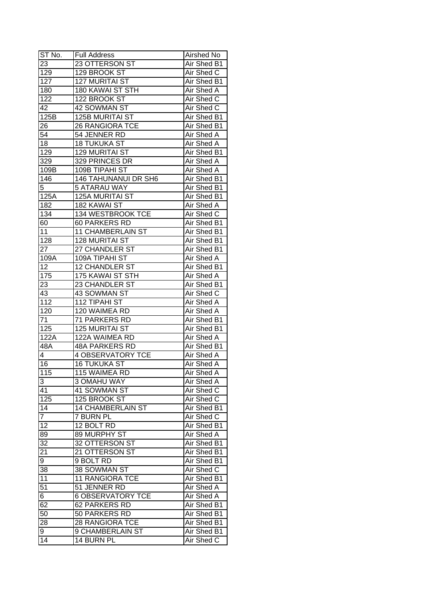| ST No.         | <b>Full Address</b>                    | Airshed No                 |
|----------------|----------------------------------------|----------------------------|
| 23             | 23 OTTERSON ST                         | Air Shed B1                |
| 129            | 129 BROOK ST                           | Air Shed C                 |
| 127            | <b>127 MURITAI ST</b>                  | Air Shed B1                |
| 180            | <b>180 KAWAI ST STH</b>                | Air Shed A                 |
| 122            | 122 BROOK ST                           | Air Shed C                 |
| 42             | 42 SOWMAN ST                           | Air Shed C                 |
| 125B           | <b>125B MURITAI ST</b>                 | Air Shed B1                |
| 26             | <b>26 RANGIORA TCE</b>                 | Air Shed B1                |
| 54             | 54 JENNER RD                           | Air Shed A                 |
| 18             | <b>18 TUKUKA ST</b>                    | Air Shed A                 |
| 129            | 129 MURITAI ST                         | Air Shed B1                |
| 329            | 329 PRINCES DR                         | Air Shed A                 |
| 109B           | 109B TIPAHI ST                         | Air Shed A                 |
| 146            | <b>146 TAHUNANUI DR SH6</b>            | Air Shed B1                |
| 5              | <b>5 ATARAU WAY</b>                    | Air Shed B1                |
| 125A           | 125A MURITAI ST                        | Air Shed B1                |
| 182            | 182 KAWAI ST                           | Air Shed A                 |
| 134            | 134 WESTBROOK TCE                      | Air Shed C                 |
|                | 60 PARKERS RD                          |                            |
| 60<br>11       | <b>11 CHAMBERLAIN ST</b>               | Air Shed B1<br>Air Shed B1 |
|                | <b>128 MURITAI ST</b>                  |                            |
| 128<br>27      | 27 CHANDLER ST                         | Air Shed B1                |
|                |                                        | Air Shed B1                |
| 109A           | 109A TIPAHI ST                         | Air Shed A                 |
| 12             | <b>12 CHANDLER ST</b>                  | Air Shed B1                |
| 175            | 175 KAWAI ST STH                       | Air Shed A                 |
| 23             | 23 CHANDLER ST                         | Air Shed B1                |
| 43             | 43 SOWMAN ST                           | Air Shed C                 |
| 112            | 112 TIPAHI ST                          | Air Shed A                 |
| 120            | 120 WAIMEA RD                          | Air Shed A                 |
| 71             | 71 PARKERS RD<br><b>125 MURITAI ST</b> | Air Shed B1                |
| 125<br>122A    | 122A WAIMEA RD                         | Air Shed B1<br>Air Shed A  |
|                | <b>48A PARKERS RD</b>                  | Air Shed B1                |
| 48A            | <b>4 OBSERVATORY TCE</b>               |                            |
| $\overline{4}$ |                                        | Air Shed A                 |
| 16             | <b>16 TUKUKA ST</b>                    | <b>Air Shed A</b>          |
| 115            | <b>115 WAIMEA RD</b>                   | <b>Air Shed A</b>          |
| 3              | 3 OMAHU WAY                            | Air Shed A                 |
| 41             | 41 SOWMAN ST                           | Air Shed C                 |
| 125            | 125 BROOK ST                           | Air Shed C                 |
| 14             | <b>14 CHAMBERLAIN ST</b>               | Air Shed B1                |
| $\overline{7}$ | 7 BURN PL                              | Air Shed C                 |
| 12             | 12 BOLT RD                             | Air Shed B1                |
| 89             | 89 MURPHY ST                           | Air Shed A                 |
| 32             | 32 OTTERSON ST                         | Air Shed B1                |
| 21             | 21 OTTERSON ST                         | Air Shed B1                |
| 9              | 9 BOLT RD                              | Air Shed B1                |
| 38             | 38 SOWMAN ST                           | Air Shed C                 |
| 11             | 11 RANGIORA TCE                        | Air Shed B1                |
| 51             | 51 JENNER RD                           | Air Shed A                 |
| 6              | <b>6 OBSERVATORY TCE</b>               | Air Shed A                 |
| 62             | 62 PARKERS RD                          | Air Shed B1                |
| 50             | 50 PARKERS RD                          | Air Shed B1                |
| 28             | <b>28 RANGIORA TCE</b>                 | Air Shed B1                |
| 9              | 9 CHAMBERLAIN ST                       | Air Shed B1                |
| 14             | $\overline{14}$ BURN PL                | Air Shed C                 |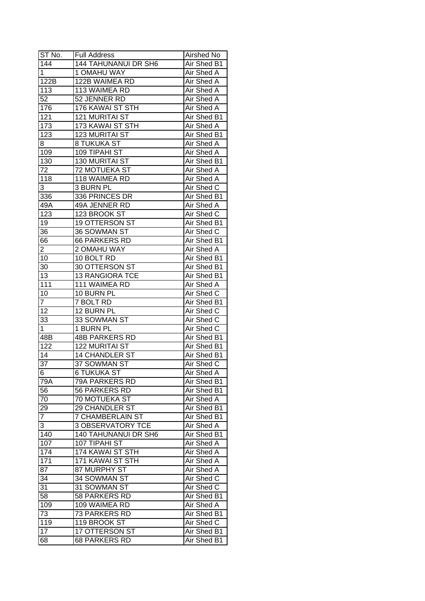| ST No.            | <b>Full Address</b>               | Airshed No        |
|-------------------|-----------------------------------|-------------------|
| $\overline{1}44$  | 144 TAHUNANUI DR SH6              | Air Shed B1       |
| $\mathbf 1$       | 1 OMAHU WAY                       | <b>Air Shed A</b> |
| 122B              | 122B WAIMEA RD                    | Air Shed A        |
| 113               | <b>113 WAIMEA RD</b>              | Air Shed A        |
| 52                | 52 JENNER RD                      | Air Shed A        |
| 176               | 176 KAWAI ST STH                  | Air Shed A        |
| 121               | <b>121 MURITAI ST</b>             | Air Shed B1       |
| 173               | 173 KAWAI ST STH                  | Air Shed A        |
| $\overline{1}$ 23 | 123 MURITAI ST                    | Air Shed B1       |
| 8                 | 8 TUKUKA ST                       | Air Shed A        |
| 109               | 109 TIPAHI ST                     | Air Shed A        |
| 130               | 130 MURITAI ST                    | Air Shed B1       |
| 72                | 72 MOTUEKA ST                     | Air Shed A        |
| 118               | 118 WAIMEA RD                     | Air Shed A        |
| 3                 | 3 BURN PL                         | Air Shed C        |
| 336               | 336 PRINCES DR                    | Air Shed B1       |
| 49A               | 49A JENNER RD                     | Air Shed A        |
| 123               | 123 BROOK ST                      | Air Shed C        |
| 19                | 19 OTTERSON ST                    | Air Shed B1       |
| 36                | 36 SOWMAN ST                      | Air Shed C        |
| 66                | 66 PARKERS RD                     | Air Shed B1       |
| $\overline{2}$    | 2 OMAHU WAY                       | Air Shed A        |
| 10                | 10 BOLT RD                        | Air Shed B1       |
| 30                | 30 OTTERSON ST                    | Air Shed B1       |
| 13                | 13 RANGIORA TCE                   | Air Shed B1       |
| 111               | 111 WAIMEA RD                     | Air Shed A        |
| 10                | 10 BURN PL                        | Air Shed C        |
| $\overline{7}$    | 7 BOLT RD                         | Air Shed B1       |
| 12                | 12 BURN PL                        | Air Shed C        |
| 33                | 33 SOWMAN ST                      | Air Shed C        |
| 1                 | 1 BURN PL                         | Air Shed C        |
| 48B               | <b>48B PARKERS RD</b>             | Air Shed B1       |
| $\overline{122}$  | <b>122 MURITAI ST</b>             | Air Shed B1       |
| 14                | <b>14 CHANDLER ST</b>             | Air Shed B1       |
| 37                | 37 SOWMAN ST                      | Air Shed C        |
|                   | <b>6 TUKUKA ST</b>                | Air Shed A        |
| 6<br>79A          | 79A PARKERS RD                    | Air Shed B1       |
| 56                | 56 PARKERS RD                     | Air Shed B1       |
| 70                | 70 MOTUEKA ST                     | Air Shed A        |
| 29                | 29 CHANDLER ST                    | Air Shed B1       |
| $\overline{7}$    | <b>7 CHAMBERLAIN ST</b>           | Air Shed B1       |
|                   | <b>3 OBSERVATORY TCE</b>          |                   |
| 3                 |                                   | Air Shed A        |
| 140               | 140 TAHUNANUI DR SH6              | Air Shed B1       |
| 107               | 107 TIPAHI ST<br>174 KAWAI ST STH | Air Shed A        |
| 174               | <b>171 KAWAI ST STH</b>           | Air Shed A        |
| 171               |                                   | Air Shed A        |
| 87                | 87 MURPHY ST                      | Air Shed A        |
| 34                | 34 SOWMAN ST                      | Air Shed C        |
| 31                | 31 SOWMAN ST                      | Air Shed C        |
| 58                | 58 PARKERS RD                     | Air Shed B1       |
| 109               | 109 WAIMEA RD                     | Air Shed A        |
| 73                | 73 PARKERS RD                     | Air Shed B1       |
| 119               | 119 BROOK ST                      | Air Shed C        |
| 17                | 17 OTTERSON ST                    | Air Shed B1       |
| 68                | 68 PARKERS RD                     | Air Shed B1       |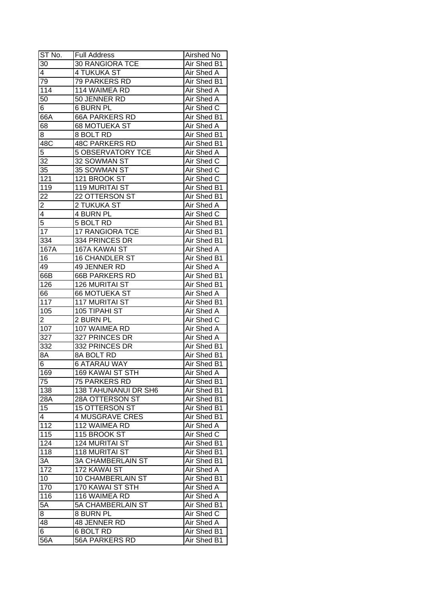| ST No.          | <b>Full Address</b>      | Airshed No        |
|-----------------|--------------------------|-------------------|
| 30              | <b>30 RANGIORA TCE</b>   | Air Shed B1       |
| $\overline{4}$  | 4 TUKUKA ST              | Air Shed A        |
| 79              | 79 PARKERS RD            | Air Shed B1       |
| 114             | 114 WAIMEA RD            | <b>Air Shed A</b> |
| 50              | 50 JENNER RD             | Air Shed A        |
| 6               | <b>6 BURN PL</b>         | Air Shed C        |
| 66A             | <b>66A PARKERS RD</b>    | Air Shed B1       |
| 68              | 68 MOTUEKA ST            | Air Shed A        |
| 8               | 8 BOLT RD                | Air Shed B1       |
| 48C             | <b>48C PARKERS RD</b>    | Air Shed B1       |
| 5               | <b>5 OBSERVATORY TCE</b> | Air Shed A        |
| 32              | 32 SOWMAN ST             | Air Shed C        |
| 35              | 35 SOWMAN ST             | Air Shed C        |
| 121             | 121 BROOK ST             | Air Shed C        |
| 119             | 119 MURITAI ST           | Air Shed B1       |
| 22              | 22 OTTERSON ST           | Air Shed B1       |
| $\overline{2}$  | 2 TUKUKA ST              | Air Shed A        |
| $\overline{4}$  | 4 BURN PL                | Air Shed C        |
| 5               | 5 BOLT RD                | Air Shed B1       |
| 17              | <b>17 RANGIORA TCE</b>   | Air Shed B1       |
| 334             | 334 PRINCES DR           | Air Shed B1       |
| 167A            | 167A KAWAI ST            | Air Shed A        |
| 16              | <b>16 CHANDLER ST</b>    | Air Shed B1       |
| 49              | 49 JENNER RD             | Air Shed A        |
| 66B             | <b>66B PARKERS RD</b>    | Air Shed B1       |
| 126             | <b>126 MURITAI ST</b>    | Air Shed B1       |
| 66              | 66 MOTUEKA ST            | Air Shed A        |
| 117             | <b>117 MURITAI ST</b>    | Air Shed B1       |
| 105             | 105 TIPAHI ST            | Air Shed A        |
| $\overline{2}$  | 2 BURN PL                | Air Shed C        |
| 107             | 107 WAIMEA RD            | <b>Air Shed A</b> |
| 327             | 327 PRINCES DR           | <b>Air Shed A</b> |
| 332             | 332 PRINCES DR           | Air Shed B1       |
| 8A              | <b>8A BOLT RD</b>        | Air Shed B1       |
| $6 \overline{}$ | <b>6 ATARAU WAY</b>      | Air Shed B1       |
| 169             | <b>169 KAWAI ST STH</b>  | <b>Air Shed A</b> |
| 75              | 75 PARKERS RD            | Air Shed B1       |
| 138             | 138 TAHUNANUI DR SH6     | Air Shed B1       |
| 28A             | 28A OTTERSON ST          | Air Shed B1       |
| 15              | <b>15 OTTERSON ST</b>    | Air Shed B1       |
| 4               | <b>4 MUSGRAVE CRES</b>   | Air Shed B1       |
| 112             | 112 WAIMEA RD            | Air Shed A        |
| 115             | 115 BROOK ST             | Air Shed C        |
| 124             | <b>124 MURITAI ST</b>    | Air Shed B1       |
| 118             | <b>118 MURITAI ST</b>    | Air Shed B1       |
| $3\overline{A}$ | <b>3A CHAMBERLAIN ST</b> | Air Shed B1       |
| 172             | 172 KAWAI ST             | Air Shed A        |
| 10              | 10 CHAMBERLAIN ST        | Air Shed B1       |
| 170             | 170 KAWAI ST STH         | Air Shed A        |
| 116             | 116 WAIMEA RD            | Air Shed A        |
| 5A              | <b>5A CHAMBERLAIN ST</b> | Air Shed B1       |
| 8               | 8 BURN PL                | Air Shed C        |
| 48              | <b>48 JENNER RD</b>      | Air Shed A        |
| 6               | 6 BOLT RD                | Air Shed B1       |
|                 |                          |                   |
| 56A             | 56A PARKERS RD           | Air Shed B1       |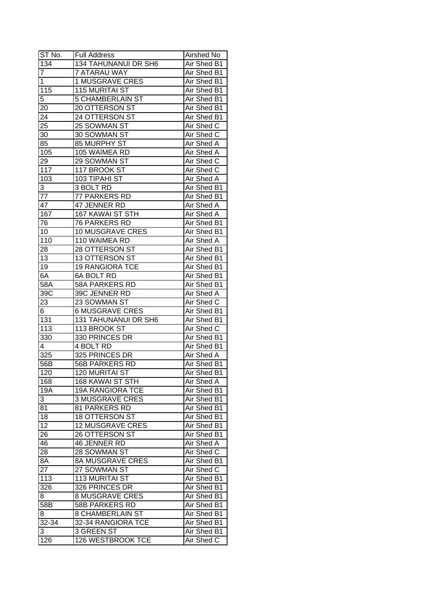| ST No.           | <b>Full Address</b>     | Airshed No        |
|------------------|-------------------------|-------------------|
| 134              | 134 TAHUNANUI DR SH6    | Air Shed B1       |
| $\overline{7}$   | <b>7 ATARAU WAY</b>     | Air Shed B1       |
| 1                | <b>1 MUSGRAVE CRES</b>  | Air Shed B1       |
| 115              | <b>115 MURITAI ST</b>   | Air Shed B1       |
| 5                | <b>5 CHAMBERLAIN ST</b> | Air Shed B1       |
| 20               | 20 OTTERSON ST          | Air Shed B1       |
| 24               | 24 OTTERSON ST          | Air Shed B1       |
| 25               | 25 SOWMAN ST            | Air Shed C        |
| 30               | 30 SOWMAN ST            | Air Shed C        |
| 85               | 85 MURPHY ST            | Air Shed A        |
| 105              | 105 WAIMEA RD           | Air Shed A        |
| 29               | 29 SOWMAN ST            | Air Shed C        |
| 117              | 117 BROOK ST            | Air Shed C        |
| 103              | 103 TIPAHI ST           | <b>Air Shed A</b> |
| 3                | 3 BOLT RD               | Air Shed B1       |
| 77               | 77 PARKERS RD           | Air Shed B1       |
| 47               | 47 JENNER RD            | Air Shed A        |
| 167              | 167 KAWAI ST STH        | Air Shed A        |
| 76               | 76 PARKERS RD           | Air Shed B1       |
| 10               | 10 MUSGRAVE CRES        | Air Shed B1       |
| 110              | 110 WAIMEA RD           | Air Shed A        |
| 28               | 28 OTTERSON ST          | Air Shed B1       |
| 13               | 13 OTTERSON ST          | Air Shed B1       |
| 19               | <b>19 RANGIORA TCE</b>  | Air Shed B1       |
| 6A               | <b>6A BOLT RD</b>       | Air Shed B1       |
| 58A              | 58A PARKERS RD          | Air Shed B1       |
| 39C              | 39C JENNER RD           | Air Shed A        |
| 23               | 23 SOWMAN ST            | Air Shed C        |
| 6                | <b>6 MUSGRAVE CRES</b>  | Air Shed B1       |
| 131              | 131 TAHUNANUI DR SH6    | Air Shed B1       |
| 113              | 113 BROOK ST            | Air Shed C        |
| 330              | 330 PRINCES DR          | Air Shed B1       |
| 4                | 4 BOLT RD               | Air Shed B1       |
| 325              | 325 PRINCES DR          | Air Shed A        |
| $\overline{56}B$ | <b>56B PARKERS RD</b>   | Air Shed B1       |
| 120              | <b>120 MURITAI ST</b>   | Air Shed B1       |
| 168              | <b>168 KAWAI ST STH</b> | Air Shed A        |
| <b>19A</b>       | <b>19A RANGIORA TCE</b> | Air Shed B1       |
| 3                | <b>3 MUSGRAVE CRES</b>  | Air Shed B1       |
| 81               | 81 PARKERS RD           | Air Shed B1       |
| 18               | <b>18 OTTERSON ST</b>   | Air Shed B1       |
| $1\overline{2}$  | <b>12 MUSGRAVE CRES</b> | Air Shed B1       |
| 26               | 26 OTTERSON ST          | Air Shed B1       |
| 46               | 46 JENNER RD            | Air Shed A        |
| 28               | 28 SOWMAN ST            | Air Shed C        |
| 8A               | <b>8A MUSGRAVE CRES</b> | Air Shed B1       |
| 27               | 27 SOWMAN ST            | Air Shed C        |
| 113              | <b>113 MURITAI ST</b>   | Air Shed B1       |
| 326              | 326 PRINCES DR          | Air Shed B1       |
| 8                | <b>8 MUSGRAVE CRES</b>  | Air Shed B1       |
| 58B              | 58B PARKERS RD          | Air Shed B1       |
| 8                | 8 CHAMBERLAIN ST        | Air Shed B1       |
| 32-34            | 32-34 RANGIORA TCE      | Air Shed B1       |
| 3                | 3 GREEN ST              | Air Shed B1       |
| $\overline{126}$ | 126 WESTBROOK TCE       | Air Shed C        |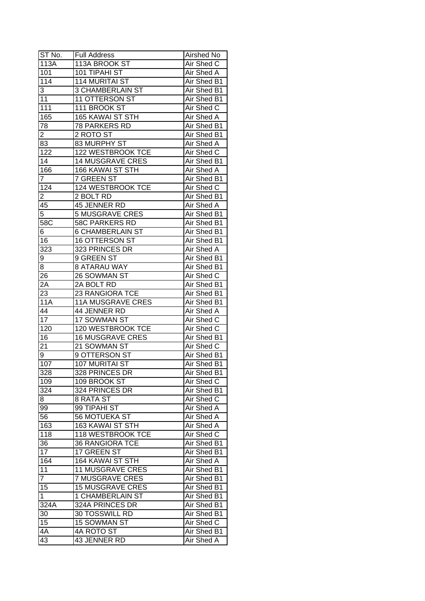| ST No.            | <b>Full Address</b>      | <b>Airshed No</b> |
|-------------------|--------------------------|-------------------|
| 113A              | 113A BROOK ST            | Air Shed C        |
| 101               | 101 TIPAHI ST            | Air Shed A        |
| 114               | <b>114 MURITAI ST</b>    | Air Shed B1       |
| 3                 | <b>3 CHAMBERLAIN ST</b>  | Air Shed B1       |
| 11                | 11 OTTERSON ST           | Air Shed B1       |
| 111               | 111 BROOK ST             | Air Shed C        |
| 165               | <b>165 KAWAI ST STH</b>  | Air Shed A        |
| 78                | 78 PARKERS RD            | Air Shed B1       |
| 2                 | 2 ROTO ST                | Air Shed B1       |
| 83                | 83 MURPHY ST             | Air Shed A        |
| 122               | 122 WESTBROOK TCE        | Air Shed C        |
| 14                | <b>14 MUSGRAVE CRES</b>  | Air Shed B1       |
| 166               | 166 KAWAI ST STH         | Air Shed A        |
| 7                 | 7 GREEN ST               | Air Shed B1       |
| 124               | 124 WESTBROOK TCE        | Air Shed C        |
| 2                 | 2 BOLT RD                | Air Shed B1       |
| 45                | 45 JENNER RD             | Air Shed A        |
| 5                 | <b>5 MUSGRAVE CRES</b>   | Air Shed B1       |
| 58C               | <b>58C PARKERS RD</b>    | Air Shed B1       |
| 6                 | <b>6 CHAMBERLAIN ST</b>  | Air Shed B1       |
| 16                | 16 OTTERSON ST           | Air Shed B1       |
| 323               | 323 PRINCES DR           | Air Shed A        |
| 9                 | 9 GREEN ST               | Air Shed B1       |
| 8                 | <b>8 ATARAU WAY</b>      | Air Shed B1       |
| 26                | 26 SOWMAN ST             | Air Shed C        |
| 2A                | 2A BOLT RD               | Air Shed B1       |
| 23                | 23 RANGIORA TCE          | Air Shed B1       |
| <b>11A</b>        | <b>11A MUSGRAVE CRES</b> | Air Shed B1       |
| 44                | 44 JENNER RD             | Air Shed A        |
| 17                | 17 SOWMAN ST             | Air Shed C        |
| 120               | <b>120 WESTBROOK TCE</b> | Air Shed C        |
| 16                | <b>16 MUSGRAVE CRES</b>  | Air Shed B1       |
| 21                | 21 SOWMAN ST             | Air Shed C        |
| 9                 | 9 OTTERSON ST            | Air Shed B1       |
| 107               | 107 MURITAI ST           | Air Shed B1       |
| 328               | 328 PRINCES DR           | Air Shed B1       |
| 109               | 109 BROOK ST             | Air Shed C        |
| 324               | 324 PRINCES DR           | Air Shed B1       |
| 8                 | 8 RATA ST                | Air Shed C        |
| 99                | 99 TIPAHI ST             | Air Shed A        |
| 56                | 56 MOTUEKA ST            | Air Shed A        |
| 163               | 163 KAWAI ST STH         | Air Shed A        |
| 118               | 118 WESTBROOK TCE        | Air Shed C        |
| 36                | <b>36 RANGIORA TCE</b>   | Air Shed B1       |
| 17                | 17 GREEN ST              | Air Shed B1       |
| 164               | 164 KAWAI ST STH         | Air Shed A        |
| 11                | <b>11 MUSGRAVE CRES</b>  | Air Shed B1       |
| $\overline{7}$    | <b>7 MUSGRAVE CRES</b>   | Air Shed B1       |
| 15                | <b>15 MUSGRAVE CRES</b>  | Air Shed B1       |
| $\mathbf{1}$      | 1 CHAMBERLAIN ST         | Air Shed B1       |
| $32\overline{4A}$ |                          |                   |
|                   | 324A PRINCES DR          | Air Shed B1       |
| 30                | 30 TOSSWILL RD           | Air Shed B1       |
| 15                | <b>15 SOWMAN ST</b>      | Air Shed C        |
| 4A                | 4A ROTO ST               | Air Shed B1       |
| 43                | 43 JENNER RD             | Air Shed A        |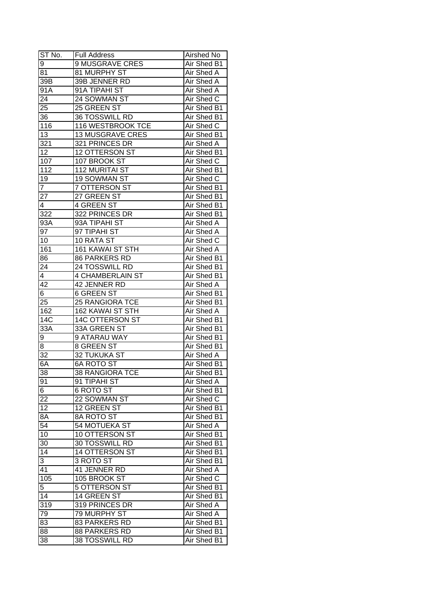| ST No.           | <b>Full Address</b>     | Airshed No        |
|------------------|-------------------------|-------------------|
| 9                | 9 MUSGRAVE CRES         | Air Shed B1       |
| 81               | 81 MURPHY ST            | Air Shed A        |
| 39B              | 39B JENNER RD           | <b>Air Shed A</b> |
| 91A              | 91A TIPAHI ST           | Air Shed A        |
| 24               | 24 SOWMAN ST            | Air Shed C        |
| 25               | 25 GREEN ST             | Air Shed B1       |
| 36               | 36 TOSSWILL RD          | Air Shed B1       |
| 116              | 116 WESTBROOK TCE       | Air Shed C        |
| 13               | <b>13 MUSGRAVE CRES</b> | Air Shed B1       |
| 321              | 321 PRINCES DR          | Air Shed A        |
| 12               | 12 OTTERSON ST          | Air Shed B1       |
| 107              | 107 BROOK ST            | Air Shed C        |
| 112              | 112 MURITAI ST          | Air Shed B1       |
| 19               | 19 SOWMAN ST            | Air Shed C        |
| $\overline{7}$   | 7 OTTERSON ST           | Air Shed B1       |
| 27               | 27 GREEN ST             | Air Shed B1       |
| $\overline{4}$   | 4 GREEN ST              | Air Shed B1       |
| 322              | 322 PRINCES DR          | Air Shed B1       |
| 93A              | 93A TIPAHI ST           | Air Shed A        |
| 97               | 97 TIPAHI ST            | Air Shed A        |
| 10               | 10 RATA ST              | Air Shed C        |
| 161              | 161 KAWAI ST STH        | Air Shed A        |
| 86               | 86 PARKERS RD           | Air Shed B1       |
| 24               | 24 TOSSWILL RD          | Air Shed B1       |
| 4                | <b>4 CHAMBERLAIN ST</b> | Air Shed B1       |
| 42               | 42 JENNER RD            | Air Shed A        |
| 6                | <b>6 GREEN ST</b>       | Air Shed B1       |
| 25               | <b>25 RANGIORA TCE</b>  | Air Shed B1       |
| 162              | 162 KAWAI ST STH        | Air Shed A        |
| 14C              | <b>14C OTTERSON ST</b>  | Air Shed B1       |
| 33A              | 33A GREEN ST            | Air Shed B1       |
| 9                | 9 ATARAU WAY            | Air Shed B1       |
| 8                | <b>8 GREEN ST</b>       | Air Shed B1       |
| $\overline{32}$  | 32 TUKUKA ST            | Air Shed A        |
| 6A               | <b>6A ROTO ST</b>       | Air Shed B1       |
| 38               | <b>38 RANGIORA TCE</b>  | Air Shed B1       |
| $9\overline{1}$  | 91 TIPAHI ST            | Air Shed A        |
| 6                | 6 ROTO ST               | Air Shed B1       |
| 22               | 22 SOWMAN ST            | Air Shed C        |
| 12               | 12 GREEN ST             | Air Shed B1       |
| 8A               | 8A ROTO ST              | Air Shed B1       |
| 54               | <b>54 MOTUEKA ST</b>    | Air Shed A        |
| 10               | 10 OTTERSON ST          | Air Shed B1       |
| 30               | 30 TOSSWILL RD          | Air Shed B1       |
| 14               | 14 OTTERSON ST          | Air Shed B1       |
| 3                | 3 ROTO ST               | Air Shed B1       |
| 41               | 41 JENNER RD            | Air Shed A        |
| 105              | 105 BROOK ST            | Air Shed C        |
| 5                | 5 OTTERSON ST           | Air Shed B1       |
| 14               | 14 GREEN ST             | Air Shed B1       |
| $31\overline{9}$ | 319 PRINCES DR          | Air Shed A        |
| 79               | 79 MURPHY ST            | Air Shed A        |
| 83               | 83 PARKERS RD           | Air Shed B1       |
| 88               | 88 PARKERS RD           | Air Shed B1       |
| 38               | 38 TOSSWILL RD          | Air Shed B1       |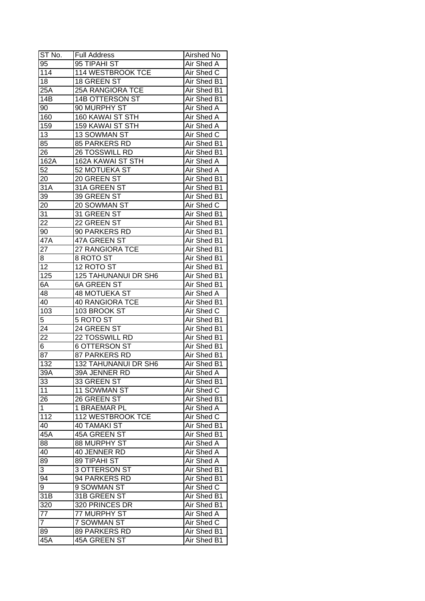| ST No.           | <b>Full Address</b>      | Airshed No        |
|------------------|--------------------------|-------------------|
| 95               | 95 TIPAHI ST             | Air Shed A        |
| 114              | 114 WESTBROOK TCE        | Air Shed C        |
| 18               | 18 GREEN ST              | Air Shed B1       |
| 25A              | <b>25A RANGIORA TCE</b>  | Air Shed B1       |
| 14B              | 14B OTTERSON ST          | Air Shed B1       |
| 90               | 90 MURPHY ST             | Air Shed A        |
| 160              | 160 KAWAI ST STH         | Air Shed A        |
| 159              | 159 KAWAI ST STH         | Air Shed A        |
| 13               | 13 SOWMAN ST             | Air Shed C        |
| 85               | 85 PARKERS RD            | Air Shed B1       |
| 26               | 26 TOSSWILL RD           | Air Shed B1       |
| 162A             | <b>162A KAWAI ST STH</b> | Air Shed A        |
| 52               | 52 MOTUEKA ST            | Air Shed A        |
| 20               | 20 GREEN ST              | Air Shed B1       |
| 31A              | 31A GREEN ST             | Air Shed B1       |
| 39               | 39 GREEN ST              | Air Shed B1       |
| 20               | 20 SOWMAN ST             | Air Shed C        |
| 31               | 31 GREEN ST              | Air Shed B1       |
| 22               | 22 GREEN ST              | Air Shed B1       |
| 90               | 90 PARKERS RD            | Air Shed B1       |
| 47A              | 47A GREEN ST             | Air Shed B1       |
| 27               | 27 RANGIORA TCE          | Air Shed B1       |
| 8                | 8 ROTO ST                | Air Shed B1       |
| 12               | 12 ROTO ST               | Air Shed B1       |
| 125              | 125 TAHUNANUI DR SH6     | Air Shed B1       |
| 6A               | <b>6A GREEN ST</b>       | Air Shed B1       |
| 48               | 48 MOTUEKA ST            | Air Shed A        |
| 40               | 40 RANGIORA TCE          | Air Shed B1       |
| 103              | 103 BROOK ST             | Air Shed C        |
| 5                | 5 ROTO ST                | Air Shed B1       |
| 24               | 24 GREEN ST              | Air Shed B1       |
| 22               | 22 TOSSWILL RD           | Air Shed B1       |
| 6                | <b>6 OTTERSON ST</b>     | Air Shed B1       |
| 87               | 87 PARKERS RD            | Air Shed B1       |
| 132              | 132 TAHUNANUI DR SH6     | Air Shed B1       |
| 39A              | 39A JENNER RD            | Air Shed A        |
| 33               | 33 GREEN ST              | Air Shed B1       |
| 11               | 11 SOWMAN ST             | Air Shed C        |
| 26               | 26 GREEN ST              | Air Shed B1       |
| $\mathbf 1$      | 1 BRAEMAR PL             | Air Shed A        |
| $11\overline{2}$ | 112 WESTBROOK TCE        | Air Shed C        |
| 40               | <b>40 TAMAKI ST</b>      | Air Shed B1       |
| 45A              | 45A GREEN ST             | Air Shed B1       |
| 88               | 88 MURPHY ST             | Air Shed A        |
| 40               | 40 JENNER RD             | Air Shed A        |
| 89               | 89 TIPAHI ST             | <b>Air Shed A</b> |
| 3                | 3 OTTERSON ST            | Air Shed B1       |
| 94               | 94 PARKERS RD            | Air Shed B1       |
| 9                | 9 SOWMAN ST              | Air Shed C        |
| 31B              | 31B GREEN ST             | Air Shed B1       |
| 320              | 320 PRINCES DR           | Air Shed B1       |
| 77               | 77 MURPHY ST             | Air Shed A        |
| $\overline{7}$   | 7 SOWMAN ST              | Air Shed C        |
| 89               | 89 PARKERS RD            | Air Shed B1       |
| 45A              | 45A GREEN ST             | Air Shed B1       |
|                  |                          |                   |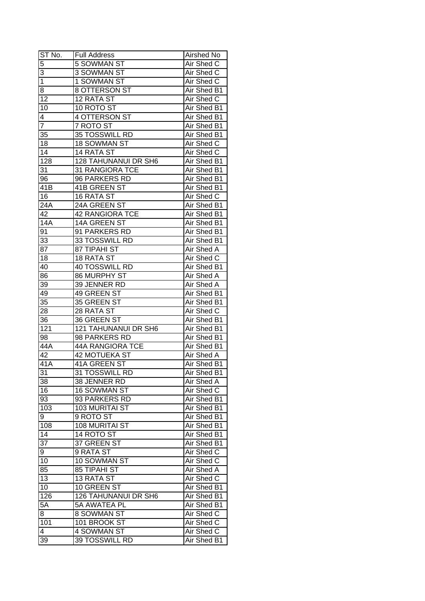| ST No.           | <b>Full Address</b>         | Airshed No         |
|------------------|-----------------------------|--------------------|
| $\overline{5}$   | 5 SOWMAN ST                 | Air Shed C         |
| $\overline{3}$   | 3 SOWMAN ST                 | Air Shed C         |
| $\overline{1}$   | 1 SOWMAN ST                 | Air Shed C         |
| 8                | 8 OTTERSON ST               | <b>Air Shed B1</b> |
| 12               | 12 RATA ST                  | Air Shed C         |
| 10               | 10 ROTO ST                  | Air Shed B1        |
| 4                | 4 OTTERSON ST               | Air Shed B1        |
| 7                | 7 ROTO ST                   | Air Shed B1        |
| 35               | 35 TOSSWILL RD              | Air Shed B1        |
| 18               | 18 SOWMAN ST                | Air Shed C         |
| 14               | 14 RATA ST                  | Air Shed C         |
| 128              | 128 TAHUNANUI DR SH6        | Air Shed B1        |
| 31               | 31 RANGIORA TCE             | Air Shed B1        |
| 96               | 96 PARKERS RD               | Air Shed B1        |
| 41B              | 41B GREEN ST                | Air Shed B1        |
| 16               | 16 RATA ST                  | Air Shed C         |
| 24A              | 24A GREEN ST                | Air Shed B1        |
| 42               | <b>42 RANGIORA TCE</b>      | Air Shed B1        |
| <b>14A</b>       | 14A GREEN ST                | Air Shed B1        |
| 91               | 91 PARKERS RD               | Air Shed B1        |
| 33               | 33 TOSSWILL RD              | Air Shed B1        |
| 87               | 87 TIPAHI ST                | Air Shed A         |
| 18               | <b>18 RATA ST</b>           | Air Shed C         |
| 40               | 40 TOSSWILL RD              | Air Shed B1        |
| 86               | 86 MURPHY ST                | Air Shed A         |
| 39               | 39 JENNER RD                | Air Shed A         |
| 49               | 49 GREEN ST                 | Air Shed B1        |
| 35               | 35 GREEN ST                 | Air Shed B1        |
| 28               | 28 RATA ST                  | Air Shed C         |
| 36               | 36 GREEN ST                 | Air Shed B1        |
| 121              | 121 TAHUNANUI DR SH6        | Air Shed B1        |
| 98               | 98 PARKERS RD               | Air Shed B1        |
| 44A              | <b>44A RANGIORA TCE</b>     | Air Shed B1        |
| 42               | <b>42 MOTUEKA ST</b>        | <b>Air Shed A</b>  |
| $\overline{41A}$ | <b>41A GREEN ST</b>         | Air Shed B1        |
| 31               | 31 TOSSWILL RD              | Air Shed B1        |
| 38               | 38 JENNER RD                | Air Shed A         |
| 16               | <b>16 SOWMAN ST</b>         | Air Shed C         |
| 93               | 93 PARKERS RD               | Air Shed B1        |
| 103              | <b>103 MURITAI ST</b>       | Air Shed B1        |
| 9                | 9 ROTO ST                   | Air Shed B1        |
| 108              | 108 MURITAI ST              | Air Shed B1        |
| 14               | 14 ROTO ST                  | Air Shed B1        |
| 37               | 37 GREEN ST                 | Air Shed B1        |
| 9                | 9 RATA ST                   | Air Shed C         |
| 10               | 10 SOWMAN ST                | Air Shed C         |
| 85               | 85 TIPAHI ST                | Air Shed A         |
| 13               | 13 RATA ST                  | Air Shed C         |
| 10               | 10 GREEN ST                 | Air Shed B1        |
| 126              | <b>126 TAHUNANUI DR SH6</b> | Air Shed B1        |
| 5A               | 5A AWATEA PL                | Air Shed B1        |
| 8                | 8 SOWMAN ST                 | Air Shed C         |
| 101              | 101 BROOK ST                | Air Shed C         |
| 4                | 4 SOWMAN ST                 | Air Shed C         |
| 39               | <b>39 TOSSWILL RD</b>       | Air Shed B1        |
|                  |                             |                    |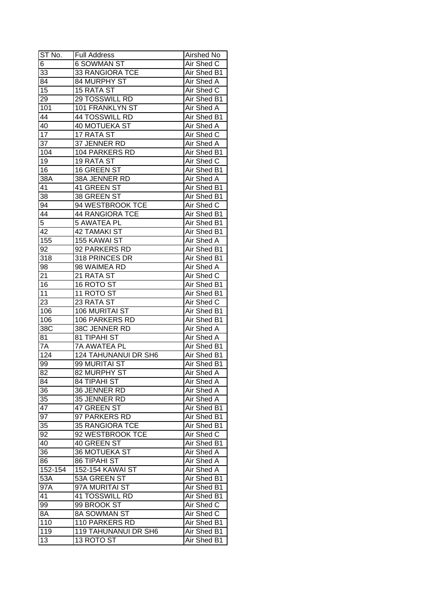| $\overline{6}$<br><b>6 SOWMAN ST</b><br>Air Shed C<br>33<br>33 RANGIORA TCE<br>Air Shed B1<br>84<br>84 MURPHY ST<br>Air Shed A<br>$\overline{15}$<br>Air Shed C<br><b>15 RATA ST</b><br>29<br>29 TOSSWILL RD<br>Air Shed B1<br>Air Shed A<br>101<br>101 FRANKLYN ST<br>Air Shed B1<br>44<br>44 TOSSWILL RD<br>40<br>40 MOTUEKA ST<br>Air Shed A<br>17<br>17 RATA ST<br>Air Shed C<br>37<br>37 JENNER RD<br>Air Shed A<br>104<br>104 PARKERS RD<br>Air Shed B1<br>19<br>19 RATA ST<br>Air Shed C<br>Air Shed B1<br>16<br>16 GREEN ST<br>Air Shed A<br>38A<br>38A JENNER RD<br>Air Shed B1<br>41 GREEN ST<br>41<br>38<br>38 GREEN ST<br>Air Shed B1<br>94 WESTBROOK TCE<br>Air Shed C<br>94<br>44<br><b>44 RANGIORA TCE</b><br>Air Shed B1<br>5<br><b>5 AWATEA PL</b><br>Air Shed B1<br>42<br><b>42 TAMAKI ST</b><br>Air Shed B1<br>155<br>155 KAWAI ST<br>Air Shed A<br>92 PARKERS RD<br>Air Shed B1<br>92<br>Air Shed B1<br>318<br>318 PRINCES DR<br>Air Shed A<br>98<br>98 WAIMEA RD<br>Air Shed C<br>21<br>21 RATA ST<br>16 ROTO ST<br>16<br>Air Shed B1<br>11<br>11 ROTO ST<br>Air Shed B1<br>23<br>Air Shed C<br>23 RATA ST<br>Air Shed B1<br>106<br>106 MURITAI ST<br>Air Shed B1<br>106<br>106 PARKERS RD<br><b>Air Shed A</b><br>38C JENNER RD<br>38C<br>Air Shed A<br>81 TIPAHI ST<br>81<br><b>7A AWATEA PL</b><br>Air Shed B1<br>7A<br>124<br><b>124 TAHUNANUI DR SH6</b><br>Air Shed B1<br>99 MURITAI ST<br>Air Shed B1<br>99<br>$\overline{82}$<br>82 MURPHY ST<br><b>Air Shed A</b><br>Air Shed A<br>84<br><b>84 TIPAHI ST</b><br>36<br>Air Shed A<br>36 JENNER RD<br>35<br>Air Shed A<br>35 JENNER RD<br>47<br>Air Shed B1<br>47 GREEN ST<br>97<br>Air Shed B1<br>97 PARKERS RD<br>35<br>Air Shed B1<br><b>35 RANGIORA TCE</b><br>92<br>92 WESTBROOK TCE<br>Air Shed C<br>40<br>40 GREEN ST<br>Air Shed B1<br>36<br>36 MOTUEKA ST<br>Air Shed A<br>Air Shed A<br>86<br><b>86 TIPAHI ST</b><br>Air Shed A<br>152-154<br>152-154 KAWAI ST<br>Air Shed B1<br>53A<br>53A GREEN ST<br>Air Shed B1<br>97A MURITAI ST<br>97A<br>41 TOSSWILL RD<br>Air Shed B1<br>41<br>99 BROOK ST<br>99<br>Air Shed C<br>8A<br>8A SOWMAN ST<br>Air Shed C<br>110<br>110 PARKERS RD<br>Air Shed B1<br>119<br>Air Shed B1<br><b>119 TAHUNANUI DR SH6</b><br>13<br>Air Shed B1<br>13 ROTO ST | ST No. | <b>Full Address</b> | Airshed No |
|----------------------------------------------------------------------------------------------------------------------------------------------------------------------------------------------------------------------------------------------------------------------------------------------------------------------------------------------------------------------------------------------------------------------------------------------------------------------------------------------------------------------------------------------------------------------------------------------------------------------------------------------------------------------------------------------------------------------------------------------------------------------------------------------------------------------------------------------------------------------------------------------------------------------------------------------------------------------------------------------------------------------------------------------------------------------------------------------------------------------------------------------------------------------------------------------------------------------------------------------------------------------------------------------------------------------------------------------------------------------------------------------------------------------------------------------------------------------------------------------------------------------------------------------------------------------------------------------------------------------------------------------------------------------------------------------------------------------------------------------------------------------------------------------------------------------------------------------------------------------------------------------------------------------------------------------------------------------------------------------------------------------------------------------------------------------------------------------------------------------------------------------------------------------------------------------------------------------------------------------------------------------------------|--------|---------------------|------------|
|                                                                                                                                                                                                                                                                                                                                                                                                                                                                                                                                                                                                                                                                                                                                                                                                                                                                                                                                                                                                                                                                                                                                                                                                                                                                                                                                                                                                                                                                                                                                                                                                                                                                                                                                                                                                                                                                                                                                                                                                                                                                                                                                                                                                                                                                                  |        |                     |            |
|                                                                                                                                                                                                                                                                                                                                                                                                                                                                                                                                                                                                                                                                                                                                                                                                                                                                                                                                                                                                                                                                                                                                                                                                                                                                                                                                                                                                                                                                                                                                                                                                                                                                                                                                                                                                                                                                                                                                                                                                                                                                                                                                                                                                                                                                                  |        |                     |            |
|                                                                                                                                                                                                                                                                                                                                                                                                                                                                                                                                                                                                                                                                                                                                                                                                                                                                                                                                                                                                                                                                                                                                                                                                                                                                                                                                                                                                                                                                                                                                                                                                                                                                                                                                                                                                                                                                                                                                                                                                                                                                                                                                                                                                                                                                                  |        |                     |            |
|                                                                                                                                                                                                                                                                                                                                                                                                                                                                                                                                                                                                                                                                                                                                                                                                                                                                                                                                                                                                                                                                                                                                                                                                                                                                                                                                                                                                                                                                                                                                                                                                                                                                                                                                                                                                                                                                                                                                                                                                                                                                                                                                                                                                                                                                                  |        |                     |            |
|                                                                                                                                                                                                                                                                                                                                                                                                                                                                                                                                                                                                                                                                                                                                                                                                                                                                                                                                                                                                                                                                                                                                                                                                                                                                                                                                                                                                                                                                                                                                                                                                                                                                                                                                                                                                                                                                                                                                                                                                                                                                                                                                                                                                                                                                                  |        |                     |            |
|                                                                                                                                                                                                                                                                                                                                                                                                                                                                                                                                                                                                                                                                                                                                                                                                                                                                                                                                                                                                                                                                                                                                                                                                                                                                                                                                                                                                                                                                                                                                                                                                                                                                                                                                                                                                                                                                                                                                                                                                                                                                                                                                                                                                                                                                                  |        |                     |            |
|                                                                                                                                                                                                                                                                                                                                                                                                                                                                                                                                                                                                                                                                                                                                                                                                                                                                                                                                                                                                                                                                                                                                                                                                                                                                                                                                                                                                                                                                                                                                                                                                                                                                                                                                                                                                                                                                                                                                                                                                                                                                                                                                                                                                                                                                                  |        |                     |            |
|                                                                                                                                                                                                                                                                                                                                                                                                                                                                                                                                                                                                                                                                                                                                                                                                                                                                                                                                                                                                                                                                                                                                                                                                                                                                                                                                                                                                                                                                                                                                                                                                                                                                                                                                                                                                                                                                                                                                                                                                                                                                                                                                                                                                                                                                                  |        |                     |            |
|                                                                                                                                                                                                                                                                                                                                                                                                                                                                                                                                                                                                                                                                                                                                                                                                                                                                                                                                                                                                                                                                                                                                                                                                                                                                                                                                                                                                                                                                                                                                                                                                                                                                                                                                                                                                                                                                                                                                                                                                                                                                                                                                                                                                                                                                                  |        |                     |            |
|                                                                                                                                                                                                                                                                                                                                                                                                                                                                                                                                                                                                                                                                                                                                                                                                                                                                                                                                                                                                                                                                                                                                                                                                                                                                                                                                                                                                                                                                                                                                                                                                                                                                                                                                                                                                                                                                                                                                                                                                                                                                                                                                                                                                                                                                                  |        |                     |            |
|                                                                                                                                                                                                                                                                                                                                                                                                                                                                                                                                                                                                                                                                                                                                                                                                                                                                                                                                                                                                                                                                                                                                                                                                                                                                                                                                                                                                                                                                                                                                                                                                                                                                                                                                                                                                                                                                                                                                                                                                                                                                                                                                                                                                                                                                                  |        |                     |            |
|                                                                                                                                                                                                                                                                                                                                                                                                                                                                                                                                                                                                                                                                                                                                                                                                                                                                                                                                                                                                                                                                                                                                                                                                                                                                                                                                                                                                                                                                                                                                                                                                                                                                                                                                                                                                                                                                                                                                                                                                                                                                                                                                                                                                                                                                                  |        |                     |            |
|                                                                                                                                                                                                                                                                                                                                                                                                                                                                                                                                                                                                                                                                                                                                                                                                                                                                                                                                                                                                                                                                                                                                                                                                                                                                                                                                                                                                                                                                                                                                                                                                                                                                                                                                                                                                                                                                                                                                                                                                                                                                                                                                                                                                                                                                                  |        |                     |            |
|                                                                                                                                                                                                                                                                                                                                                                                                                                                                                                                                                                                                                                                                                                                                                                                                                                                                                                                                                                                                                                                                                                                                                                                                                                                                                                                                                                                                                                                                                                                                                                                                                                                                                                                                                                                                                                                                                                                                                                                                                                                                                                                                                                                                                                                                                  |        |                     |            |
|                                                                                                                                                                                                                                                                                                                                                                                                                                                                                                                                                                                                                                                                                                                                                                                                                                                                                                                                                                                                                                                                                                                                                                                                                                                                                                                                                                                                                                                                                                                                                                                                                                                                                                                                                                                                                                                                                                                                                                                                                                                                                                                                                                                                                                                                                  |        |                     |            |
|                                                                                                                                                                                                                                                                                                                                                                                                                                                                                                                                                                                                                                                                                                                                                                                                                                                                                                                                                                                                                                                                                                                                                                                                                                                                                                                                                                                                                                                                                                                                                                                                                                                                                                                                                                                                                                                                                                                                                                                                                                                                                                                                                                                                                                                                                  |        |                     |            |
|                                                                                                                                                                                                                                                                                                                                                                                                                                                                                                                                                                                                                                                                                                                                                                                                                                                                                                                                                                                                                                                                                                                                                                                                                                                                                                                                                                                                                                                                                                                                                                                                                                                                                                                                                                                                                                                                                                                                                                                                                                                                                                                                                                                                                                                                                  |        |                     |            |
|                                                                                                                                                                                                                                                                                                                                                                                                                                                                                                                                                                                                                                                                                                                                                                                                                                                                                                                                                                                                                                                                                                                                                                                                                                                                                                                                                                                                                                                                                                                                                                                                                                                                                                                                                                                                                                                                                                                                                                                                                                                                                                                                                                                                                                                                                  |        |                     |            |
|                                                                                                                                                                                                                                                                                                                                                                                                                                                                                                                                                                                                                                                                                                                                                                                                                                                                                                                                                                                                                                                                                                                                                                                                                                                                                                                                                                                                                                                                                                                                                                                                                                                                                                                                                                                                                                                                                                                                                                                                                                                                                                                                                                                                                                                                                  |        |                     |            |
|                                                                                                                                                                                                                                                                                                                                                                                                                                                                                                                                                                                                                                                                                                                                                                                                                                                                                                                                                                                                                                                                                                                                                                                                                                                                                                                                                                                                                                                                                                                                                                                                                                                                                                                                                                                                                                                                                                                                                                                                                                                                                                                                                                                                                                                                                  |        |                     |            |
|                                                                                                                                                                                                                                                                                                                                                                                                                                                                                                                                                                                                                                                                                                                                                                                                                                                                                                                                                                                                                                                                                                                                                                                                                                                                                                                                                                                                                                                                                                                                                                                                                                                                                                                                                                                                                                                                                                                                                                                                                                                                                                                                                                                                                                                                                  |        |                     |            |
|                                                                                                                                                                                                                                                                                                                                                                                                                                                                                                                                                                                                                                                                                                                                                                                                                                                                                                                                                                                                                                                                                                                                                                                                                                                                                                                                                                                                                                                                                                                                                                                                                                                                                                                                                                                                                                                                                                                                                                                                                                                                                                                                                                                                                                                                                  |        |                     |            |
|                                                                                                                                                                                                                                                                                                                                                                                                                                                                                                                                                                                                                                                                                                                                                                                                                                                                                                                                                                                                                                                                                                                                                                                                                                                                                                                                                                                                                                                                                                                                                                                                                                                                                                                                                                                                                                                                                                                                                                                                                                                                                                                                                                                                                                                                                  |        |                     |            |
|                                                                                                                                                                                                                                                                                                                                                                                                                                                                                                                                                                                                                                                                                                                                                                                                                                                                                                                                                                                                                                                                                                                                                                                                                                                                                                                                                                                                                                                                                                                                                                                                                                                                                                                                                                                                                                                                                                                                                                                                                                                                                                                                                                                                                                                                                  |        |                     |            |
|                                                                                                                                                                                                                                                                                                                                                                                                                                                                                                                                                                                                                                                                                                                                                                                                                                                                                                                                                                                                                                                                                                                                                                                                                                                                                                                                                                                                                                                                                                                                                                                                                                                                                                                                                                                                                                                                                                                                                                                                                                                                                                                                                                                                                                                                                  |        |                     |            |
|                                                                                                                                                                                                                                                                                                                                                                                                                                                                                                                                                                                                                                                                                                                                                                                                                                                                                                                                                                                                                                                                                                                                                                                                                                                                                                                                                                                                                                                                                                                                                                                                                                                                                                                                                                                                                                                                                                                                                                                                                                                                                                                                                                                                                                                                                  |        |                     |            |
|                                                                                                                                                                                                                                                                                                                                                                                                                                                                                                                                                                                                                                                                                                                                                                                                                                                                                                                                                                                                                                                                                                                                                                                                                                                                                                                                                                                                                                                                                                                                                                                                                                                                                                                                                                                                                                                                                                                                                                                                                                                                                                                                                                                                                                                                                  |        |                     |            |
|                                                                                                                                                                                                                                                                                                                                                                                                                                                                                                                                                                                                                                                                                                                                                                                                                                                                                                                                                                                                                                                                                                                                                                                                                                                                                                                                                                                                                                                                                                                                                                                                                                                                                                                                                                                                                                                                                                                                                                                                                                                                                                                                                                                                                                                                                  |        |                     |            |
|                                                                                                                                                                                                                                                                                                                                                                                                                                                                                                                                                                                                                                                                                                                                                                                                                                                                                                                                                                                                                                                                                                                                                                                                                                                                                                                                                                                                                                                                                                                                                                                                                                                                                                                                                                                                                                                                                                                                                                                                                                                                                                                                                                                                                                                                                  |        |                     |            |
|                                                                                                                                                                                                                                                                                                                                                                                                                                                                                                                                                                                                                                                                                                                                                                                                                                                                                                                                                                                                                                                                                                                                                                                                                                                                                                                                                                                                                                                                                                                                                                                                                                                                                                                                                                                                                                                                                                                                                                                                                                                                                                                                                                                                                                                                                  |        |                     |            |
|                                                                                                                                                                                                                                                                                                                                                                                                                                                                                                                                                                                                                                                                                                                                                                                                                                                                                                                                                                                                                                                                                                                                                                                                                                                                                                                                                                                                                                                                                                                                                                                                                                                                                                                                                                                                                                                                                                                                                                                                                                                                                                                                                                                                                                                                                  |        |                     |            |
|                                                                                                                                                                                                                                                                                                                                                                                                                                                                                                                                                                                                                                                                                                                                                                                                                                                                                                                                                                                                                                                                                                                                                                                                                                                                                                                                                                                                                                                                                                                                                                                                                                                                                                                                                                                                                                                                                                                                                                                                                                                                                                                                                                                                                                                                                  |        |                     |            |
|                                                                                                                                                                                                                                                                                                                                                                                                                                                                                                                                                                                                                                                                                                                                                                                                                                                                                                                                                                                                                                                                                                                                                                                                                                                                                                                                                                                                                                                                                                                                                                                                                                                                                                                                                                                                                                                                                                                                                                                                                                                                                                                                                                                                                                                                                  |        |                     |            |
|                                                                                                                                                                                                                                                                                                                                                                                                                                                                                                                                                                                                                                                                                                                                                                                                                                                                                                                                                                                                                                                                                                                                                                                                                                                                                                                                                                                                                                                                                                                                                                                                                                                                                                                                                                                                                                                                                                                                                                                                                                                                                                                                                                                                                                                                                  |        |                     |            |
|                                                                                                                                                                                                                                                                                                                                                                                                                                                                                                                                                                                                                                                                                                                                                                                                                                                                                                                                                                                                                                                                                                                                                                                                                                                                                                                                                                                                                                                                                                                                                                                                                                                                                                                                                                                                                                                                                                                                                                                                                                                                                                                                                                                                                                                                                  |        |                     |            |
|                                                                                                                                                                                                                                                                                                                                                                                                                                                                                                                                                                                                                                                                                                                                                                                                                                                                                                                                                                                                                                                                                                                                                                                                                                                                                                                                                                                                                                                                                                                                                                                                                                                                                                                                                                                                                                                                                                                                                                                                                                                                                                                                                                                                                                                                                  |        |                     |            |
|                                                                                                                                                                                                                                                                                                                                                                                                                                                                                                                                                                                                                                                                                                                                                                                                                                                                                                                                                                                                                                                                                                                                                                                                                                                                                                                                                                                                                                                                                                                                                                                                                                                                                                                                                                                                                                                                                                                                                                                                                                                                                                                                                                                                                                                                                  |        |                     |            |
|                                                                                                                                                                                                                                                                                                                                                                                                                                                                                                                                                                                                                                                                                                                                                                                                                                                                                                                                                                                                                                                                                                                                                                                                                                                                                                                                                                                                                                                                                                                                                                                                                                                                                                                                                                                                                                                                                                                                                                                                                                                                                                                                                                                                                                                                                  |        |                     |            |
|                                                                                                                                                                                                                                                                                                                                                                                                                                                                                                                                                                                                                                                                                                                                                                                                                                                                                                                                                                                                                                                                                                                                                                                                                                                                                                                                                                                                                                                                                                                                                                                                                                                                                                                                                                                                                                                                                                                                                                                                                                                                                                                                                                                                                                                                                  |        |                     |            |
|                                                                                                                                                                                                                                                                                                                                                                                                                                                                                                                                                                                                                                                                                                                                                                                                                                                                                                                                                                                                                                                                                                                                                                                                                                                                                                                                                                                                                                                                                                                                                                                                                                                                                                                                                                                                                                                                                                                                                                                                                                                                                                                                                                                                                                                                                  |        |                     |            |
|                                                                                                                                                                                                                                                                                                                                                                                                                                                                                                                                                                                                                                                                                                                                                                                                                                                                                                                                                                                                                                                                                                                                                                                                                                                                                                                                                                                                                                                                                                                                                                                                                                                                                                                                                                                                                                                                                                                                                                                                                                                                                                                                                                                                                                                                                  |        |                     |            |
|                                                                                                                                                                                                                                                                                                                                                                                                                                                                                                                                                                                                                                                                                                                                                                                                                                                                                                                                                                                                                                                                                                                                                                                                                                                                                                                                                                                                                                                                                                                                                                                                                                                                                                                                                                                                                                                                                                                                                                                                                                                                                                                                                                                                                                                                                  |        |                     |            |
|                                                                                                                                                                                                                                                                                                                                                                                                                                                                                                                                                                                                                                                                                                                                                                                                                                                                                                                                                                                                                                                                                                                                                                                                                                                                                                                                                                                                                                                                                                                                                                                                                                                                                                                                                                                                                                                                                                                                                                                                                                                                                                                                                                                                                                                                                  |        |                     |            |
|                                                                                                                                                                                                                                                                                                                                                                                                                                                                                                                                                                                                                                                                                                                                                                                                                                                                                                                                                                                                                                                                                                                                                                                                                                                                                                                                                                                                                                                                                                                                                                                                                                                                                                                                                                                                                                                                                                                                                                                                                                                                                                                                                                                                                                                                                  |        |                     |            |
|                                                                                                                                                                                                                                                                                                                                                                                                                                                                                                                                                                                                                                                                                                                                                                                                                                                                                                                                                                                                                                                                                                                                                                                                                                                                                                                                                                                                                                                                                                                                                                                                                                                                                                                                                                                                                                                                                                                                                                                                                                                                                                                                                                                                                                                                                  |        |                     |            |
|                                                                                                                                                                                                                                                                                                                                                                                                                                                                                                                                                                                                                                                                                                                                                                                                                                                                                                                                                                                                                                                                                                                                                                                                                                                                                                                                                                                                                                                                                                                                                                                                                                                                                                                                                                                                                                                                                                                                                                                                                                                                                                                                                                                                                                                                                  |        |                     |            |
|                                                                                                                                                                                                                                                                                                                                                                                                                                                                                                                                                                                                                                                                                                                                                                                                                                                                                                                                                                                                                                                                                                                                                                                                                                                                                                                                                                                                                                                                                                                                                                                                                                                                                                                                                                                                                                                                                                                                                                                                                                                                                                                                                                                                                                                                                  |        |                     |            |
|                                                                                                                                                                                                                                                                                                                                                                                                                                                                                                                                                                                                                                                                                                                                                                                                                                                                                                                                                                                                                                                                                                                                                                                                                                                                                                                                                                                                                                                                                                                                                                                                                                                                                                                                                                                                                                                                                                                                                                                                                                                                                                                                                                                                                                                                                  |        |                     |            |
|                                                                                                                                                                                                                                                                                                                                                                                                                                                                                                                                                                                                                                                                                                                                                                                                                                                                                                                                                                                                                                                                                                                                                                                                                                                                                                                                                                                                                                                                                                                                                                                                                                                                                                                                                                                                                                                                                                                                                                                                                                                                                                                                                                                                                                                                                  |        |                     |            |
|                                                                                                                                                                                                                                                                                                                                                                                                                                                                                                                                                                                                                                                                                                                                                                                                                                                                                                                                                                                                                                                                                                                                                                                                                                                                                                                                                                                                                                                                                                                                                                                                                                                                                                                                                                                                                                                                                                                                                                                                                                                                                                                                                                                                                                                                                  |        |                     |            |
|                                                                                                                                                                                                                                                                                                                                                                                                                                                                                                                                                                                                                                                                                                                                                                                                                                                                                                                                                                                                                                                                                                                                                                                                                                                                                                                                                                                                                                                                                                                                                                                                                                                                                                                                                                                                                                                                                                                                                                                                                                                                                                                                                                                                                                                                                  |        |                     |            |
|                                                                                                                                                                                                                                                                                                                                                                                                                                                                                                                                                                                                                                                                                                                                                                                                                                                                                                                                                                                                                                                                                                                                                                                                                                                                                                                                                                                                                                                                                                                                                                                                                                                                                                                                                                                                                                                                                                                                                                                                                                                                                                                                                                                                                                                                                  |        |                     |            |
|                                                                                                                                                                                                                                                                                                                                                                                                                                                                                                                                                                                                                                                                                                                                                                                                                                                                                                                                                                                                                                                                                                                                                                                                                                                                                                                                                                                                                                                                                                                                                                                                                                                                                                                                                                                                                                                                                                                                                                                                                                                                                                                                                                                                                                                                                  |        |                     |            |
|                                                                                                                                                                                                                                                                                                                                                                                                                                                                                                                                                                                                                                                                                                                                                                                                                                                                                                                                                                                                                                                                                                                                                                                                                                                                                                                                                                                                                                                                                                                                                                                                                                                                                                                                                                                                                                                                                                                                                                                                                                                                                                                                                                                                                                                                                  |        |                     |            |
|                                                                                                                                                                                                                                                                                                                                                                                                                                                                                                                                                                                                                                                                                                                                                                                                                                                                                                                                                                                                                                                                                                                                                                                                                                                                                                                                                                                                                                                                                                                                                                                                                                                                                                                                                                                                                                                                                                                                                                                                                                                                                                                                                                                                                                                                                  |        |                     |            |
|                                                                                                                                                                                                                                                                                                                                                                                                                                                                                                                                                                                                                                                                                                                                                                                                                                                                                                                                                                                                                                                                                                                                                                                                                                                                                                                                                                                                                                                                                                                                                                                                                                                                                                                                                                                                                                                                                                                                                                                                                                                                                                                                                                                                                                                                                  |        |                     |            |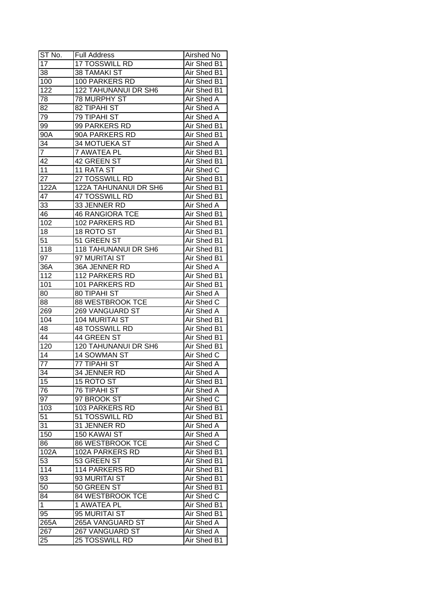| ST No.            | <b>Full Address</b>         | Airshed No        |
|-------------------|-----------------------------|-------------------|
| 17                | <b>17 TOSSWILL RD</b>       | Air Shed B1       |
| 38                | <b>38 TAMAKI ST</b>         | Air Shed B1       |
| 100               | 100 PARKERS RD              | Air Shed B1       |
| 122               | <b>122 TAHUNANUI DR SH6</b> | Air Shed B1       |
| 78                | 78 MURPHY ST                | Air Shed A        |
| 82                | <b>82 TIPAHI ST</b>         | Air Shed A        |
| 79                | <b>79 TIPAHI ST</b>         | Air Shed A        |
| 99                | 99 PARKERS RD               | Air Shed B1       |
| 90A               | 90A PARKERS RD              | Air Shed B1       |
| 34                | 34 MOTUEKA ST               | Air Shed A        |
| $\overline{7}$    | 7 AWATEA PL                 | Air Shed B1       |
| 42                | 42 GREEN ST                 | Air Shed B1       |
| 11                | 11 RATA ST                  | Air Shed C        |
| 27                | 27 TOSSWILL RD              | Air Shed B1       |
| 122A              | 122A TAHUNANUI DR SH6       | Air Shed B1       |
| 47                | 47 TOSSWILL RD              | Air Shed B1       |
| 33                | 33 JENNER RD                | Air Shed A        |
| 46                | <b>46 RANGIORA TCE</b>      | Air Shed B1       |
| 102               | 102 PARKERS RD              | Air Shed B1       |
| 18                | 18 ROTO ST                  | Air Shed B1       |
| 51                | 51 GREEN ST                 | Air Shed B1       |
| 118               | 118 TAHUNANUI DR SH6        | Air Shed B1       |
| 97                | 97 MURITAI ST               | Air Shed B1       |
| 36A               | 36A JENNER RD               | Air Shed A        |
| 112               | 112 PARKERS RD              | Air Shed B1       |
| 101               | 101 PARKERS RD              | Air Shed B1       |
| 80                | 80 TIPAHI ST                | Air Shed A        |
| 88                | 88 WESTBROOK TCE            | Air Shed C        |
| 269               | 269 VANGUARD ST             | Air Shed A        |
| 104               | <b>104 MURITAI ST</b>       | Air Shed B1       |
| 48                | <b>48 TOSSWILL RD</b>       | Air Shed B1       |
| 44                | 44 GREEN ST                 | Air Shed B1       |
| 120               | 120 TAHUNANUI DR SH6        | Air Shed B1       |
| $\overline{14}$   | 14 SOWMAN ST                | Air Shed C        |
| $\overline{77}$   | <b>77 TIPAHI ST</b>         | Air Shed A        |
| 34                | <b>34 JENNER RD</b>         | <b>Air Shed A</b> |
| 15                | 15 ROTO ST                  | Air Shed B1       |
| 76                | 76 TIPAHI ST                | Air Shed A        |
| 97                | 97 BROOK ST                 | Air Shed C        |
| 103               | 103 PARKERS RD              | Air Shed B1       |
| 51                | 51 TOSSWILL RD              | Air Shed B1       |
| 31                | 31 JENNER RD                | Air Shed A        |
| 150               | 150 KAWAI ST                | Air Shed A        |
| 86                | 86 WESTBROOK TCE            | Air Shed C        |
| $102\overline{A}$ | 102A PARKERS RD             | Air Shed B1       |
| $5\overline{3}$   | 53 GREEN ST                 | Air Shed B1       |
| 114               | 114 PARKERS RD              | Air Shed B1       |
| 93                | 93 MURITAI ST               | Air Shed B1       |
| 50                | 50 GREEN ST                 | Air Shed B1       |
| 84                | 84 WESTBROOK TCE            | Air Shed C        |
| $\mathbf{1}$      |                             |                   |
|                   | 1 AWATEA PL                 | Air Shed B1       |
| 95                | 95 MURITAI ST               | Air Shed B1       |
| 265A              | 265A VANGUARD ST            | Air Shed A        |
| 267               | 267 VANGUARD ST             | Air Shed A        |
| 25                | <b>25 TOSSWILL RD</b>       | Air Shed B1       |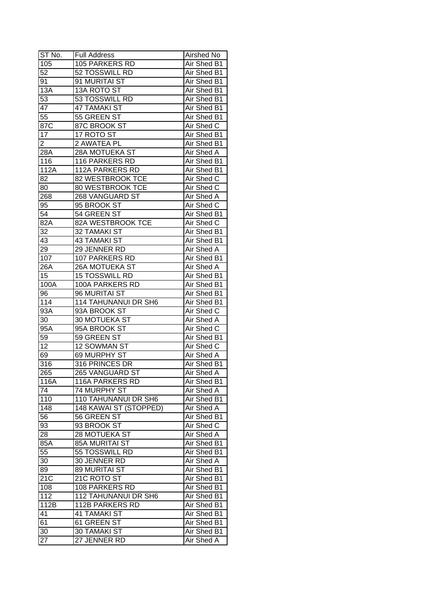| ST No.          | <b>Full Address</b>    | Airshed No        |
|-----------------|------------------------|-------------------|
| 105             | 105 PARKERS RD         | Air Shed B1       |
| 52              | 52 TOSSWILL RD         | Air Shed B1       |
| 91              | 91 MURITAI ST          | Air Shed B1       |
| 13A             | <b>13A ROTO ST</b>     | Air Shed B1       |
| 53              | 53 TOSSWILL RD         | Air Shed B1       |
| 47              | <b>47 TAMAKI ST</b>    | Air Shed B1       |
| 55              | 55 GREEN ST            | Air Shed B1       |
| 87C             | 87C BROOK ST           | Air Shed C        |
| 17              | 17 ROTO ST             | Air Shed B1       |
| $\overline{2}$  | 2 AWATEA PL            | Air Shed B1       |
| 28A             | 28A MOTUEKA ST         | Air Shed A        |
| 116             | 116 PARKERS RD         | Air Shed B1       |
| 112A            | 112A PARKERS RD        | Air Shed B1       |
| 82              | 82 WESTBROOK TCE       | Air Shed C        |
| 80              | 80 WESTBROOK TCE       | Air Shed C        |
| 268             | 268 VANGUARD ST        | Air Shed A        |
| 95              | 95 BROOK ST            | Air Shed C        |
| 54              | 54 GREEN ST            | Air Shed B1       |
| 82A             | 82A WESTBROOK TCE      | Air Shed C        |
| 32              | 32 TAMAKI ST           | Air Shed B1       |
| 43              | <b>43 TAMAKI ST</b>    | Air Shed B1       |
| 29              | 29 JENNER RD           | Air Shed A        |
| 107             | 107 PARKERS RD         | Air Shed B1       |
| 26A             | 26A MOTUEKA ST         | Air Shed A        |
| 15              | 15 TOSSWILL RD         | Air Shed B1       |
| 100A            | 100A PARKERS RD        | Air Shed B1       |
| 96              | 96 MURITAI ST          | Air Shed B1       |
| 114             | 114 TAHUNANUI DR SH6   | Air Shed B1       |
| 93A             | 93A BROOK ST           | Air Shed C        |
| 30              | 30 MOTUEKA ST          | Air Shed A        |
| 95A             | 95A BROOK ST           | Air Shed C        |
| 59              | 59 GREEN ST            | Air Shed B1       |
| $\overline{12}$ | 12 SOWMAN ST           | Air Shed C        |
| 69              | 69 MURPHY ST           | <b>Air Shed A</b> |
| 316             | 316 PRINCES DR         | Air Shed B1       |
| 265             | 265 VANGUARD ST        | <b>Air Shed A</b> |
| 116A            | 116A PARKERS RD        | Air Shed B1       |
| 74              | 74 MURPHY ST           | Air Shed A        |
| 110             | 110 TAHUNANUI DR SH6   | Air Shed B1       |
| 148             | 148 KAWAI ST (STOPPED) | Air Shed A        |
| 56              | 56 GREEN ST            | Air Shed B1       |
| 93              | 93 BROOK ST            | Air Shed C        |
| 28              | 28 MOTUEKA ST          | Air Shed A        |
| 85A             | 85A MURITAI ST         | Air Shed B1       |
| 55              | 55 TOSSWILL RD         | Air Shed B1       |
| 30              | 30 JENNER RD           | Air Shed A        |
| 89              | 89 MURITAI ST          | Air Shed B1       |
| 21C             | 21C ROTO ST            | Air Shed B1       |
| 108             | 108 PARKERS RD         | Air Shed B1       |
| 112             | 112 TAHUNANUI DR SH6   | Air Shed B1       |
| 112B            | 112B PARKERS RD        | Air Shed B1       |
| 41              | 41 TAMAKI ST           | Air Shed B1       |
| 61              | 61 GREEN ST            | Air Shed B1       |
| 30              | 30 TAMAKI ST           | Air Shed B1       |
| 27              | 27 JENNER RD           | Air Shed A        |
|                 |                        |                   |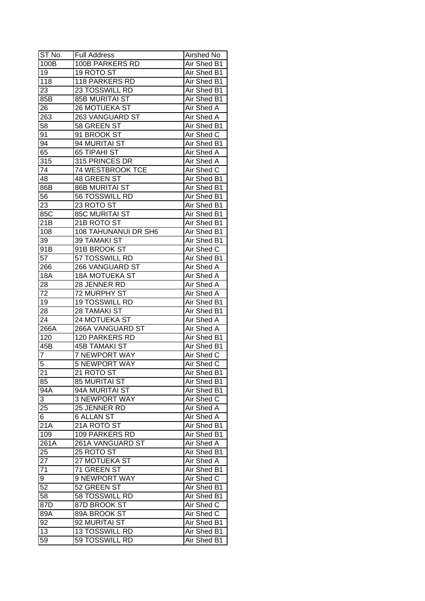| ST No.           | <b>Full Address</b>   | Airshed No        |
|------------------|-----------------------|-------------------|
| 100B             | 100B PARKERS RD       | Air Shed B1       |
| 19               | 19 ROTO ST            | Air Shed B1       |
| 118              | 118 PARKERS RD        | Air Shed B1       |
| 23               | 23 TOSSWILL RD        | Air Shed B1       |
| 85B              | <b>85B MURITAI ST</b> | Air Shed B1       |
| 26               | 26 MOTUEKA ST         | Air Shed A        |
| 263              | 263 VANGUARD ST       | Air Shed A        |
| 58               | 58 GREEN ST           | Air Shed B1       |
| 91               | 91 BROOK ST           | Air Shed C        |
| 94               | 94 MURITAI ST         | Air Shed B1       |
| 65               | 65 TIPAHI ST          | Air Shed A        |
| 315              | 315 PRINCES DR        | Air Shed A        |
| 74               | 74 WESTBROOK TCE      | Air Shed C        |
| 48               | 48 GREEN ST           | Air Shed B1       |
| 86B              | <b>86B MURITAI ST</b> | Air Shed B1       |
| 56               | 56 TOSSWILL RD        | Air Shed B1       |
| 23               | 23 ROTO ST            | Air Shed B1       |
| 85C              | <b>85C MURITAI ST</b> | Air Shed B1       |
| 21B              | 21B ROTO ST           | Air Shed B1       |
| 108              | 108 TAHUNANUI DR SH6  | Air Shed B1       |
| 39               | 39 TAMAKI ST          | Air Shed B1       |
| 91B              | 91B BROOK ST          | Air Shed C        |
| 57               | 57 TOSSWILL RD        | Air Shed B1       |
| 266              | 266 VANGUARD ST       | Air Shed A        |
| <b>18A</b>       | <b>18A MOTUEKA ST</b> | Air Shed A        |
| 28               | 28 JENNER RD          | Air Shed A        |
| 72               | 72 MURPHY ST          | Air Shed A        |
| 19               | 19 TOSSWILL RD        | Air Shed B1       |
| 28               | 28 TAMAKI ST          | Air Shed B1       |
| 24               | 24 MOTUEKA ST         | <b>Air Shed A</b> |
| 266A             | 266A VANGUARD ST      | Air Shed A        |
| 120              | 120 PARKERS RD        | Air Shed B1       |
| $\overline{45}B$ | <b>45B TAMAKI ST</b>  | Air Shed B1       |
| $\overline{7}$   | <b>7 NEWPORT WAY</b>  | Air Shed C        |
| 5                | <b>5 NEWPORT WAY</b>  | <b>Air Shed C</b> |
| $\overline{21}$  | 21 ROTO ST            | Air Shed B1       |
| 85               | <b>85 MURITAI ST</b>  | Air Shed B1       |
| 94A              | 94A MURITAI ST        | Air Shed B1       |
| 3                | 3 NEWPORT WAY         | Air Shed C        |
| 25               | 25 JENNER RD          | Air Shed A        |
| 6                | <b>6 ALLAN ST</b>     | Air Shed A        |
| 21A              | 21A ROTO ST           | Air Shed B1       |
| 109              | 109 PARKERS RD        | Air Shed B1       |
| 261A             | 261A VANGUARD ST      | Air Shed A        |
| 25               | 25 ROTO ST            | Air Shed B1       |
| 27               | 27 MOTUEKA ST         | Air Shed A        |
| 71               | 71 GREEN ST           | Air Shed B1       |
| 9                | 9 NEWPORT WAY         | Air Shed C        |
| 52               | 52 GREEN ST           | Air Shed B1       |
| 58               | 58 TOSSWILL RD        | Air Shed B1       |
| 87D              | 87D BROOK ST          | Air Shed C        |
| 89A              | 89A BROOK ST          | Air Shed C        |
| 92               | 92 MURITAI ST         | Air Shed B1       |
| 13               | 13 TOSSWILL RD        | Air Shed B1       |
| 59               | 59 TOSSWILL RD        | Air Shed B1       |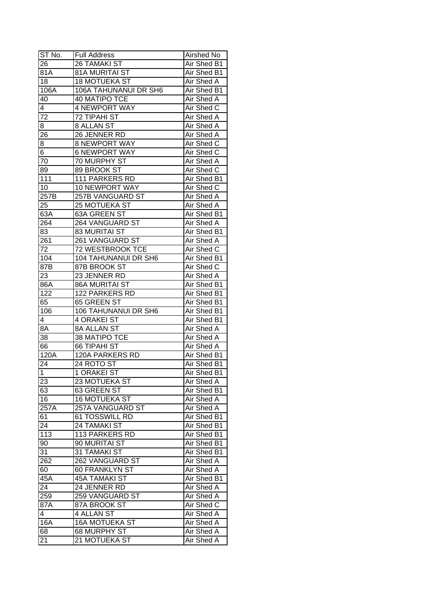| ST No.           | <b>Full Address</b>         | Airshed No        |
|------------------|-----------------------------|-------------------|
| 26               | <b>26 TAMAKI ST</b>         | Air Shed B1       |
| $\overline{81}A$ | 81A MURITAI ST              | Air Shed B1       |
| 18               | <b>18 MOTUEKA ST</b>        | Air Shed A        |
| 106A             | 106A TAHUNANUI DR SH6       | Air Shed B1       |
| 40               | <b>40 MATIPO TCE</b>        | Air Shed A        |
| 4                | 4 NEWPORT WAY               | Air Shed C        |
| 72               | 72 TIPAHI ST                | Air Shed A        |
| 8                | 8 ALLAN ST                  | Air Shed A        |
| 26               | 26 JENNER RD                | Air Shed A        |
| 8                | <b>8 NEWPORT WAY</b>        | Air Shed C        |
| 6                | <b>6 NEWPORT WAY</b>        | Air Shed C        |
| 70               | 70 MURPHY ST                | Air Shed A        |
| 89               | 89 BROOK ST                 | Air Shed C        |
| $\overline{111}$ | 111 PARKERS RD              | Air Shed B1       |
| 10               | 10 NEWPORT WAY              | Air Shed C        |
| 257B             | 257B VANGUARD ST            | Air Shed A        |
| 25               | 25 MOTUEKA ST               | Air Shed A        |
| 63A              | 63A GREEN ST                | Air Shed B1       |
| 264              | 264 VANGUARD ST             | Air Shed A        |
| 83               | <b>83 MURITAI ST</b>        | Air Shed B1       |
| 261              | 261 VANGUARD ST             | Air Shed A        |
| 72               | 72 WESTBROOK TCE            | Air Shed C        |
| 104              | <b>104 TAHUNANUI DR SH6</b> | Air Shed B1       |
| 87B              | 87B BROOK ST                | Air Shed C        |
| 23               | 23 JENNER RD                | Air Shed A        |
| 86A              | 86A MURITAI ST              | Air Shed B1       |
| 122              | 122 PARKERS RD              | Air Shed B1       |
| 65               | 65 GREEN ST                 | Air Shed B1       |
| 106              | 106 TAHUNANUI DR SH6        | Air Shed B1       |
| 4                | <b>4 ORAKEI ST</b>          | Air Shed B1       |
| 8A               | 8A ALLAN ST                 | Air Shed A        |
| 38               | <b>38 MATIPO TCE</b>        | Air Shed A        |
| 66               | <b>66 TIPAHI ST</b>         | Air Shed A        |
| 120A             | <b>120A PARKERS RD</b>      | Air Shed B1       |
| $2\overline{4}$  | 24 ROTO ST                  | Air Shed B1       |
| $\overline{1}$   | 1 ORAKEI ST                 | Air Shed B1       |
| 23               | 23 MOTUEKA ST               | Air Shed A        |
| 63               | 63 GREEN ST                 | Air Shed B1       |
| 16               | <b>16 MOTUEKA ST</b>        | Air Shed A        |
| 257A             | 257A VANGUARD ST            | Air Shed A        |
| 61               | 61 TOSSWILL RD              | Air Shed B1       |
| 24               | 24 TAMAKI ST                | Air Shed B1       |
| 113              | 113 PARKERS RD              | Air Shed B1       |
| 90               | 90 MURITAI ST               | Air Shed B1       |
| 31               | 31 TAMAKI ST                | Air Shed B1       |
| 262              | 262 VANGUARD ST             | Air Shed A        |
|                  | 60 FRANKLYN ST              | <b>Air Shed A</b> |
| 60               |                             |                   |
| 45A              | <b>45A TAMAKI ST</b>        | Air Shed B1       |
| 24               | 24 JENNER RD                | Air Shed A        |
| 259              | 259 VANGUARD ST             | Air Shed A        |
| 87A              | 87A BROOK ST                | Air Shed C        |
| 4                | 4 ALLAN ST                  | Air Shed A        |
| 16A              | <b>16A MOTUEKA ST</b>       | Air Shed A        |
| 68               | 68 MURPHY ST                | Air Shed A        |
| 21               | 21 MOTUEKA ST               | Air Shed A        |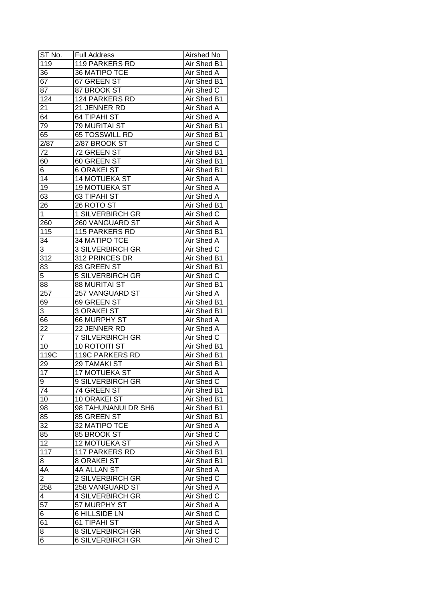| ST No.          | Full Address            | Airshed No        |
|-----------------|-------------------------|-------------------|
| 119             | 119 PARKERS RD          | Air Shed B1       |
| 36              | <b>36 MATIPO TCE</b>    | Air Shed A        |
| 67              | 67 GREEN ST             | Air Shed B1       |
| 87              | 87 BROOK ST             | Air Shed C        |
| 124             | 124 PARKERS RD          | Air Shed B1       |
| 21              | 21 JENNER RD            | Air Shed A        |
| 64              | <b>64 TIPAHI ST</b>     | Air Shed A        |
| 79              | 79 MURITAI ST           | Air Shed B1       |
| 65              | 65 TOSSWILL RD          | Air Shed B1       |
| 2/87            | 2/87 BROOK ST           | Air Shed C        |
| 72              | 72 GREEN ST             | Air Shed B1       |
| 60              | 60 GREEN ST             | Air Shed B1       |
| 6               | 6 ORAKEI ST             | Air Shed B1       |
| 14              | 14 MOTUEKA ST           | <b>Air Shed A</b> |
| 19              | 19 MOTUEKA ST           | <b>Air Shed A</b> |
| 63              | 63 TIPAHI ST            | <b>Air Shed A</b> |
| 26              | 26 ROTO ST              | Air Shed B1       |
| $\overline{1}$  | 1 SILVERBIRCH GR        | Air Shed C        |
| 260             | 260 VANGUARD ST         | Air Shed A        |
| 115             | 115 PARKERS RD          | Air Shed B1       |
| $3\overline{4}$ | 34 MATIPO TCE           | Air Shed A        |
| 3               | <b>3 SILVERBIRCH GR</b> | Air Shed C        |
| 312             | 312 PRINCES DR          | Air Shed B1       |
| 83              | 83 GREEN ST             | Air Shed B1       |
| 5               | 5 SILVERBIRCH GR        | Air Shed C        |
| 88              | <b>88 MURITAI ST</b>    | Air Shed B1       |
| 257             | 257 VANGUARD ST         | Air Shed A        |
| 69              | 69 GREEN ST             | Air Shed B1       |
| 3               | 3 ORAKEI ST             | Air Shed B1       |
| 66              | 66 MURPHY ST            | Air Shed A        |
| 22              | 22 JENNER RD            | <b>Air Shed A</b> |
| $\overline{7}$  | <b>7 SILVERBIRCH GR</b> | Air Shed C        |
| 10              | <b>10 ROTOITI ST</b>    | Air Shed B1       |
| 119C            | <b>119C PARKERS RD</b>  | Air Shed B1       |
| 29              | 29 TAMAKI ST            | Air Shed B1       |
| $\overline{17}$ | <b>17 MOTUEKA ST</b>    | Air Shed A        |
| 9               | 9 SILVERBIRCH GR        | Air Shed C        |
| 74              | 74 GREEN ST             | Air Shed B1       |
| 10              | 10 ORAKEI ST            | Air Shed B1       |
| 98              | 98 TAHUNANUI DR SH6     | Air Shed B1       |
| 85              | 85 GREEN ST             | Air Shed B1       |
| 32              | 32 MATIPO TCE           | Air Shed A        |
| 85              | 85 BROOK ST             | Air Shed C        |
| 12              | 12 MOTUEKA ST           | Air Shed A        |
| 117             | <b>117 PARKERS RD</b>   | Air Shed B1       |
| 8               | 8 ORAKEI ST             | Air Shed B1       |
| 4A              | 4A ALLAN ST             | Air Shed A        |
| $\overline{2}$  | 2 SILVERBIRCH GR        | Air Shed C        |
| 258             | 258 VANGUARD ST         | Air Shed A        |
| 4               | <b>4 SILVERBIRCH GR</b> | Air Shed C        |
| $\overline{57}$ | 57 MURPHY ST            | Air Shed A        |
| 6               | <b>6 HILLSIDE LN</b>    | Air Shed C        |
| 61              | 61 TIPAHI ST            | Air Shed A        |
| 8               | <b>8 SILVERBIRCH GR</b> | Air Shed C        |
| 6               | <b>6 SILVERBIRCH GR</b> | Air Shed C        |
|                 |                         |                   |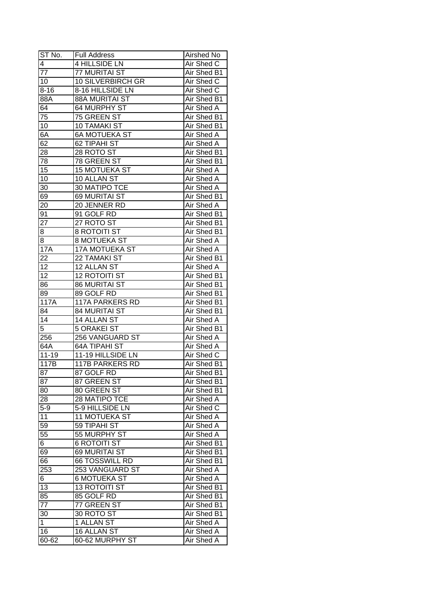| ST No.                  | <b>Full Address</b>    | Airshed No        |
|-------------------------|------------------------|-------------------|
| $\overline{\mathbf{4}}$ | 4 HILLSIDE LN          | Air Shed C        |
| 77                      | 77 MURITAI ST          | Air Shed B1       |
| 10                      | 10 SILVERBIRCH GR      | Air Shed C        |
| $8 - 16$                | 8-16 HILLSIDE LN       | Air Shed C        |
| 88A                     | 88A MURITAI ST         | Air Shed B1       |
| 64                      | 64 MURPHY ST           | Air Shed A        |
| 75                      | 75 GREEN ST            | Air Shed B1       |
| 10                      | <b>10 TAMAKI ST</b>    | Air Shed B1       |
| 6A                      | <b>6A MOTUEKA ST</b>   | Air Shed A        |
| 62                      | 62 TIPAHI ST           | Air Shed A        |
| 28                      | 28 ROTO ST             | Air Shed B1       |
| 78                      | 78 GREEN ST            | Air Shed B1       |
| 15                      | 15 MOTUEKA ST          | <b>Air Shed A</b> |
| 10                      | 10 ALLAN ST            | <b>Air Shed A</b> |
| 30                      | 30 MATIPO TCE          | Air Shed A        |
| 69                      | 69 MURITAI ST          | Air Shed B1       |
| 20                      | 20 JENNER RD           | Air Shed A        |
| 91                      | 91 GOLF RD             | Air Shed B1       |
| 27                      | 27 ROTO ST             | Air Shed B1       |
| 8                       | <b>8 ROTOITI ST</b>    | Air Shed B1       |
| 8                       | <b>8 MOTUEKA ST</b>    | Air Shed A        |
| 17A                     | 17A MOTUEKA ST         | Air Shed A        |
| 22                      | 22 TAMAKI ST           | Air Shed B1       |
| 12                      | 12 ALLAN ST            | Air Shed A        |
| 12                      | <b>12 ROTOITI ST</b>   | Air Shed B1       |
| 86                      | <b>86 MURITAI ST</b>   | Air Shed B1       |
| 89                      | 89 GOLF RD             | Air Shed B1       |
| 117A                    | <b>117A PARKERS RD</b> | Air Shed B1       |
| $8\overline{4}$         | 84 MURITAI ST          | Air Shed B1       |
| 14                      | 14 ALLAN ST            | <b>Air Shed A</b> |
| $\overline{5}$          | <b>5 ORAKEI ST</b>     | Air Shed B1       |
| 256                     | <b>256 VANGUARD ST</b> | Air Shed A        |
| 64A                     | <b>64A TIPAHI ST</b>   | Air Shed A        |
| $11 - 19$               | 11-19 HILLSIDE LN      | Air Shed C        |
| 117B                    | <b>117B PARKERS RD</b> | Air Shed B1       |
| $\overline{87}$         | 87 GOLF RD             | Air Shed B1       |
| 87                      | 87 GREEN ST            | Air Shed B1       |
| 80                      | 80 GREEN ST            | Air Shed B1       |
| 28                      | 28 MATIPO TCE          | Air Shed A        |
| $5 - 9$                 | 5-9 HILLSIDE LN        | Air Shed C        |
| 11                      | 11 MOTUEKA ST          | Air Shed A        |
| 59                      | 59 TIPAHI ST           | Air Shed A        |
| 55                      | 55 MURPHY ST           | Air Shed A        |
| 6                       | <b>6 ROTOITI ST</b>    | Air Shed B1       |
| 69                      | 69 MURITAI ST          | Air Shed B1       |
| 66                      | <b>66 TOSSWILL RD</b>  | Air Shed B1       |
| 253                     | 253 VANGUARD ST        | Air Shed A        |
|                         | <b>6 MOTUEKA ST</b>    | Air Shed A        |
| 6                       |                        |                   |
| 13                      | <b>13 ROTOITI ST</b>   | Air Shed B1       |
| 85                      | 85 GOLF RD             | Air Shed B1       |
| $\overline{77}$         | 77 GREEN ST            | Air Shed B1       |
| 30                      | 30 ROTO ST             | Air Shed B1       |
| $\mathbf{1}$            | 1 ALLAN ST             | Air Shed A        |
| 16                      | 16 ALLAN ST            | Air Shed A        |
| 60-62                   | 60-62 MURPHY ST        | Air Shed A        |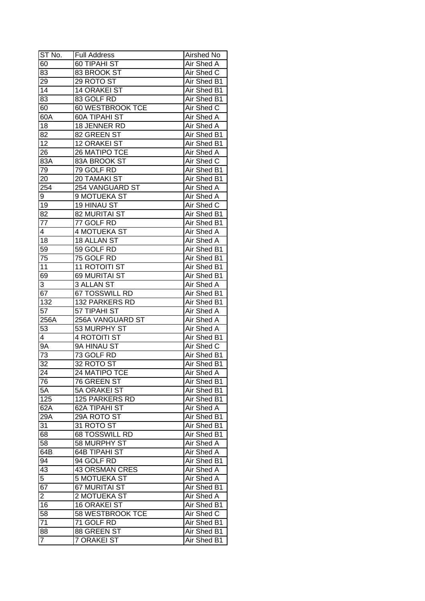| ST No.          | <b>Full Address</b>        | Airshed No                |
|-----------------|----------------------------|---------------------------|
| 60              | 60 TIPAHI ST               | Air Shed A                |
| 83              | 83 BROOK ST                | Air Shed C                |
| 29              | 29 ROTO ST                 | Air Shed B1               |
| $\overline{14}$ | <b>14 ORAKEI ST</b>        | Air Shed B1               |
| 83              | 83 GOLF RD                 | Air Shed B1               |
| 60              | 60 WESTBROOK TCE           | Air Shed C                |
| 60A             | <b>60A TIPAHI ST</b>       | Air Shed A                |
| 18              | 18 JENNER RD               | Air Shed A                |
| 82              | 82 GREEN ST                | Air Shed B1               |
| 12              | 12 ORAKEI ST               | Air Shed B1               |
| 26              | 26 MATIPO TCE              | Air Shed A                |
| 83A             | 83A BROOK ST               | Air Shed C                |
| 79              | 79 GOLF RD                 | Air Shed B1               |
| 20              | 20 TAMAKI ST               | Air Shed B1               |
| 254             | 254 VANGUARD ST            | Air Shed A                |
| 9               | 9 MOTUEKA ST               | Air Shed A                |
| 19              | 19 HINAU ST                | Air Shed C                |
|                 | 82 MURITAI ST              | Air Shed B1               |
| 82<br>77        |                            |                           |
| 4               | 77 GOLF RD<br>4 MOTUEKA ST | Air Shed B1<br>Air Shed A |
|                 |                            |                           |
| 18              | 18 ALLAN ST                | Air Shed A                |
| 59              | 59 GOLF RD                 | Air Shed B1               |
| 75              | 75 GOLF RD                 | Air Shed B1               |
| 11              | 11 ROTOITI ST              | Air Shed B1               |
| 69              | 69 MURITAI ST              | Air Shed B1               |
| 3               | 3 ALLAN ST                 | Air Shed A                |
| 67              | 67 TOSSWILL RD             | Air Shed B1               |
| 132             | 132 PARKERS RD             | Air Shed B1               |
| $5\overline{7}$ | 57 TIPAHI ST               | Air Shed A                |
| 256A            | 256A VANGUARD ST           | <b>Air Shed A</b>         |
| 53              | 53 MURPHY ST               | Air Shed A                |
| 4               | <b>4 ROTOITI ST</b>        | Air Shed B1               |
| <b>9A</b>       | 9A HINAU ST                | Air Shed C                |
| $\overline{73}$ | 73 GOLF RD                 | Air Shed B1               |
| $\overline{32}$ | 32 ROTO ST                 | <b>Air Shed B1</b>        |
| 24              | 24 MATIPO TCE              | <b>Air Shed A</b>         |
| 76              | 76 GREEN ST                | Air Shed B1               |
| 5A              | 5A ORAKEI ST               | Air Shed B1               |
| 125             | 125 PARKERS RD             | Air Shed B1               |
| 62A             | 62A TIPAHI ST              | Air Shed A                |
| 29A             | 29A ROTO ST                | Air Shed B1               |
| 31              | 31 ROTO ST                 | Air Shed B1               |
| 68              | 68 TOSSWILL RD             | Air Shed B1               |
| 58              | 58 MURPHY ST               | Air Shed A                |
| 64B             | <b>64B TIPAHI ST</b>       | Air Shed A                |
| 94              | 94 GOLF RD                 | Air Shed B1               |
| 43              | <b>43 ORSMAN CRES</b>      | Air Shed A                |
| $\overline{5}$  | <b>5 MOTUEKA ST</b>        | Air Shed A                |
| 67              | 67 MURITAI ST              | Air Shed B1               |
| $\overline{2}$  | 2 MOTUEKA ST               | Air Shed A                |
| 16              | <b>16 ORAKEI ST</b>        | Air Shed B1               |
| 58              | 58 WESTBROOK TCE           | Air Shed C                |
| 71              | 71 GOLF RD                 | Air Shed B1               |
| 88              | 88 GREEN ST                | Air Shed B1               |
| $\overline{7}$  | 7 ORAKEI ST                | Air Shed B1               |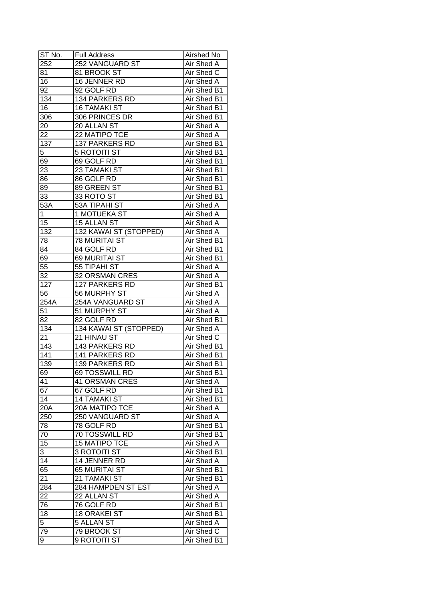| ST No.            | <b>Full Address</b>                         | Airshed No                 |
|-------------------|---------------------------------------------|----------------------------|
| 252               | 252 VANGUARD ST                             | Air Shed A                 |
| 81                | 81 BROOK ST                                 | Air Shed C                 |
| 16                | 16 JENNER RD                                | Air Shed A                 |
| 92                | 92 GOLF RD                                  | Air Shed B1                |
| 134               | 134 PARKERS RD                              | Air Shed B1                |
| 16                | <b>16 TAMAKI ST</b>                         | Air Shed B1                |
| 306               | 306 PRINCES DR                              | Air Shed B1                |
| 20                | 20 ALLAN ST                                 | Air Shed A                 |
| 22                | 22 MATIPO TCE                               | Air Shed A                 |
| 137               | 137 PARKERS RD                              | Air Shed B1                |
| 5                 | <b>5 ROTOITI ST</b>                         | Air Shed B1                |
| 69                | 69 GOLF RD                                  | Air Shed B1                |
| 23                | 23 TAMAKI ST                                | Air Shed B1                |
| 86                | 86 GOLF RD                                  | Air Shed B1                |
| 89                | 89 GREEN ST                                 | Air Shed B1                |
| 33                | 33 ROTO ST                                  | Air Shed B1                |
| 53A               | <b>53A TIPAHI ST</b>                        | Air Shed A                 |
| $\mathbf{1}$      | 1 MOTUEKA ST                                | Air Shed A                 |
| 15                | 15 ALLAN ST                                 | Air Shed A                 |
| 132               | 132 KAWAI ST (STOPPED)                      | Air Shed A                 |
| 78                | <b>78 MURITAI ST</b>                        | Air Shed B1                |
| 84                | 84 GOLF RD                                  | Air Shed B1                |
| 69                | 69 MURITAI ST                               | Air Shed B1                |
| 55                | 55 TIPAHI ST                                | Air Shed A                 |
| 32                | 32 ORSMAN CRES                              | Air Shed A                 |
| 127               | 127 PARKERS RD                              | Air Shed B1                |
| 56                | 56 MURPHY ST                                | Air Shed A                 |
| $254\overline{A}$ | 254A VANGUARD ST                            | Air Shed A                 |
| $5\overline{1}$   | 51 MURPHY ST                                | Air Shed A                 |
| 82                | 82 GOLF RD                                  | Air Shed B1                |
| 134               | 134 KAWAI ST (STOPPED)                      | <b>Air Shed A</b>          |
| 21                | 21 HINAU ST                                 | Air Shed C                 |
| 143               | 143 PARKERS RD                              | Air Shed B1                |
| 141               | <b>141 PARKERS RD</b>                       | Air Shed B1                |
| 139               | <b>139 PARKERS RD</b>                       | Air Shed B1                |
| 69                | 69 TOSSWILL RD                              | Air Shed B1                |
| 41                | <b>41 ORSMAN CRES</b>                       | Air Shed A                 |
| 67                |                                             |                            |
| 14                | 67 GOLF RD<br><b>14 TAMAKI ST</b>           | Air Shed B1<br>Air Shed B1 |
| 20A               | <b>20A MATIPO TCE</b>                       | Air Shed A                 |
| 250               | 250 VANGUARD ST                             | Air Shed A                 |
| 78                | 78 GOLF RD                                  | Air Shed B1                |
| 70                | 70 TOSSWILL RD                              | Air Shed B1                |
| 15                |                                             |                            |
|                   | <b>15 MATIPO TCE</b><br><b>3 ROTOITI ST</b> | Air Shed A                 |
| 3                 |                                             | Air Shed B1                |
| 14                | 14 JENNER RD                                | Air Shed A                 |
| 65                | 65 MURITAI ST                               | Air Shed B1                |
| 21                | 21 TAMAKI ST                                | Air Shed B1                |
| 284               | 284 HAMPDEN ST EST                          | Air Shed A                 |
| 22                | 22 ALLAN ST                                 | Air Shed A                 |
| 76                | 76 GOLF RD<br><b>18 ORAKEI ST</b>           | Air Shed B1<br>Air Shed B1 |
| 18                |                                             |                            |
|                   |                                             |                            |
| $\overline{5}$    | 5 ALLAN ST                                  | Air Shed A                 |
| 79<br>9           | 79 BROOK ST<br>9 ROTOITI ST                 | Air Shed C<br>Air Shed B1  |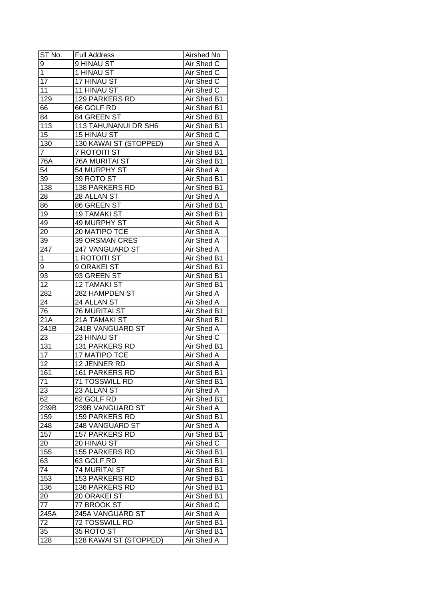| ST No.            | <b>Full Address</b>    | Airshed No               |
|-------------------|------------------------|--------------------------|
| 9                 | 9 HINAU ST             | Air Shed C               |
| $\overline{1}$    | 1 HINAU ST             | Air Shed C               |
| $\overline{17}$   | 17 HINAU ST            | Air Shed C               |
| $\overline{11}$   | <b>11 HINAU ST</b>     | Air Shed C               |
| 129               | <b>129 PARKERS RD</b>  | Air Shed B1              |
| 66                | 66 GOLF RD             | Air Shed B1              |
| 84                | 84 GREEN ST            | Air Shed B1              |
| 113               | 113 TAHUNANUI DR SH6   | Air Shed B1              |
| 15                | 15 HINAU ST            | Air Shed C               |
| $\overline{130}$  | 130 KAWAI ST (STOPPED) | Air Shed A               |
| $\overline{7}$    | 7 ROTOITI ST           | Air Shed B1              |
| 76A               | <b>76A MURITAI ST</b>  | Air Shed B1              |
| $\overline{54}$   | 54 MURPHY ST           | Air Shed A               |
| 39                | 39 ROTO ST             | Air Shed B1              |
| 138               | 138 PARKERS RD         | Air Shed B1              |
| 28                | 28 ALLAN ST            | Air Shed A               |
| 86                | 86 GREEN ST            | Air Shed B1              |
| 19                | <b>19 TAMAKI ST</b>    | Air Shed B1              |
| 49                | 49 MURPHY ST           |                          |
| 20                | 20 MATIPO TCE          | Air Shed A<br>Air Shed A |
| 39                | <b>39 ORSMAN CRES</b>  | Air Shed A               |
| 247               |                        | Air Shed A               |
| 1                 | 247 VANGUARD ST        |                          |
|                   | 1 ROTOITI ST           | Air Shed B1              |
| 9                 | 9 ORAKEI ST            | Air Shed B1              |
| 93                | 93 GREEN ST            | Air Shed B1              |
| 12                | <b>12 TAMAKI ST</b>    | Air Shed B1              |
| 282               | 282 HAMPDEN ST         | Air Shed A               |
| 24                | 24 ALLAN ST            | Air Shed A               |
| 76                | <b>76 MURITAI ST</b>   | Air Shed B1              |
| 21A               | 21A TAMAKI ST          | Air Shed B1              |
| 241B              | 241B VANGUARD ST       | Air Shed A               |
| 23                | 23 HINAU ST            | Air Shed C               |
| 131               | 131 PARKERS RD         | Air Shed B1              |
| $\overline{17}$   | <b>17 MATIPO TCE</b>   | Air Shed A               |
| $\overline{12}$   | 12 JENNER RD           | <b>Air Shed A</b>        |
| 161               | <b>161 PARKERS RD</b>  | Air Shed B1              |
| 71                | 71 TOSSWILL RD         | Air Shed B1              |
| 23                | 23 ALLAN ST            | Air Shed A               |
| 62                | 62 GOLF RD             | Air Shed B1              |
| 239B              | 239B VANGUARD ST       | Air Shed A               |
| 159               | <b>159 PARKERS RD</b>  | Air Shed B1              |
| 248               | 248 VANGUARD ST        | Air Shed A               |
| 157               | <b>157 PARKERS RD</b>  | Air Shed B1              |
| 20                | 20 HINAU ST            | Air Shed C               |
| 155               | <b>155 PARKERS RD</b>  | Air Shed B1              |
| 63                | 63 GOLF RD             | Air Shed B1              |
| 74                | 74 MURITAI ST          | Air Shed B1              |
| 153               | 153 PARKERS RD         | Air Shed B1              |
| 136               | 136 PARKERS RD         | Air Shed B1              |
| 20                | 20 ORAKEI ST           | Air Shed B1              |
| 77                | 77 BROOK ST            | Air Shed C               |
| $2\overline{45A}$ | 245A VANGUARD ST       | Air Shed A               |
| 72                | 72 TOSSWILL RD         | Air Shed B1              |
| 35                | 35 ROTO ST             | Air Shed B1              |
| 128               | 128 KAWAI ST (STOPPED) | Air Shed A               |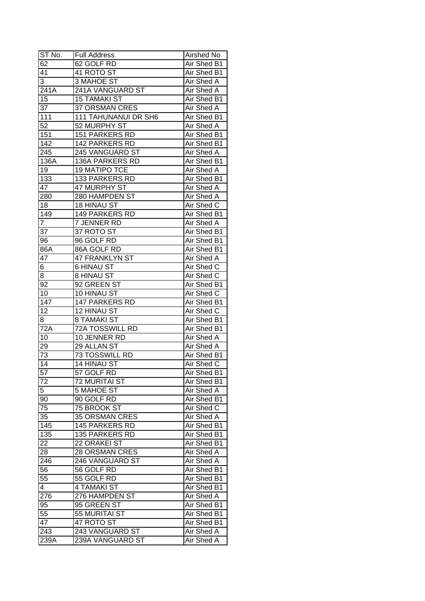| ST No.          | <b>Full Address</b>         | Airshed No                 |
|-----------------|-----------------------------|----------------------------|
| 62              | 62 GOLF RD                  | Air Shed B1                |
| 41              | 41 ROTO ST                  | Air Shed B1                |
| 3               | 3 MAHOE ST                  | Air Shed A                 |
| 241A            | 241A VANGUARD ST            | Air Shed A                 |
| 15              | <b>15 TAMAKI ST</b>         | Air Shed B1                |
| 37              | 37 ORSMAN CRES              | Air Shed A                 |
| 111             | <b>111 TAHUNANUI DR SH6</b> | Air Shed B1                |
| 52              | 52 MURPHY ST                | Air Shed A                 |
| 151             | <b>151 PARKERS RD</b>       | Air Shed B1                |
| 142             | 142 PARKERS RD              | Air Shed B1                |
| 245             | 245 VANGUARD ST             | Air Shed A                 |
| 136A            | 136A PARKERS RD             | Air Shed B1                |
| 19              | 19 MATIPO TCE               | Air Shed A                 |
| 133             | 133 PARKERS RD              | Air Shed B1                |
| 47              | 47 MURPHY ST                | Air Shed A                 |
| 280             | 280 HAMPDEN ST              | Air Shed A                 |
| 18              | 18 HINAU ST                 | Air Shed C                 |
| 149             | <b>149 PARKERS RD</b>       | Air Shed B1                |
| $\overline{7}$  | 7 JENNER RD                 | Air Shed A                 |
| 37              | 37 ROTO ST                  | Air Shed B1                |
| 96              | 96 GOLF RD                  | Air Shed B1                |
| 86A             | 86A GOLF RD                 | Air Shed B1                |
| 47              | <b>47 FRANKLYN ST</b>       | Air Shed A                 |
| 6               | <b>6 HINAU ST</b>           | Air Shed C                 |
| 8               | 8 HINAU ST                  | Air Shed C                 |
| 92              | 92 GREEN ST                 | Air Shed B1                |
| 10              | 10 HINAU ST                 | Air Shed C                 |
| 147             | 147 PARKERS RD              | Air Shed B1                |
| 12              | 12 HINAU ST                 | Air Shed C                 |
| 8               | <b>8 TAMAKI ST</b>          | Air Shed B1                |
| 72A             | 72A TOSSWILL RD             | Air Shed B1                |
| 10              | 10 JENNER RD                | Air Shed A                 |
| 29              | 29 ALLAN ST                 | Air Shed A                 |
| $\overline{73}$ | <b>73 TOSSWILL RD</b>       | Air Shed B1                |
| $\overline{14}$ | <b>14 HINAU ST</b>          | <b>Air Shed C</b>          |
| 57              | 57 GOLF RD                  | Air Shed B1                |
| 72              | <b>72 MURITAI ST</b>        | Air Shed B1                |
| 5               | <b>5 MAHOE ST</b>           | Air Shed A                 |
| 90              | 90 GOLF RD                  | Air Shed B1                |
| 75              | 75 BROOK ST                 | Air Shed C                 |
| 35              | <b>35 ORSMAN CRES</b>       | Air Shed A                 |
| 145             | <b>145 PARKERS RD</b>       | Air Shed B1                |
| 135             | 135 PARKERS RD              |                            |
| 22              | 22 ORAKEI ST                | Air Shed B1<br>Air Shed B1 |
|                 | <b>28 ORSMAN CRES</b>       | Air Shed A                 |
| 28<br>246       | 246 VANGUARD ST             | <b>Air Shed A</b>          |
| 56              | 56 GOLF RD                  | Air Shed B1                |
|                 | 55 GOLF RD                  |                            |
| 55              |                             | Air Shed B1                |
| $\overline{4}$  | <b>4 TAMAKI ST</b>          | Air Shed B1                |
| 276             | 276 HAMPDEN ST              | Air Shed A                 |
| 95              | 95 GREEN ST                 | Air Shed B1                |
| 55              | 55 MURITAI ST               | Air Shed B1                |
| 47              | 47 ROTO ST                  | Air Shed B1                |
| 243             | 243 VANGUARD ST             | Air Shed A                 |
| 239A            | 239A VANGUARD ST            | Air Shed A                 |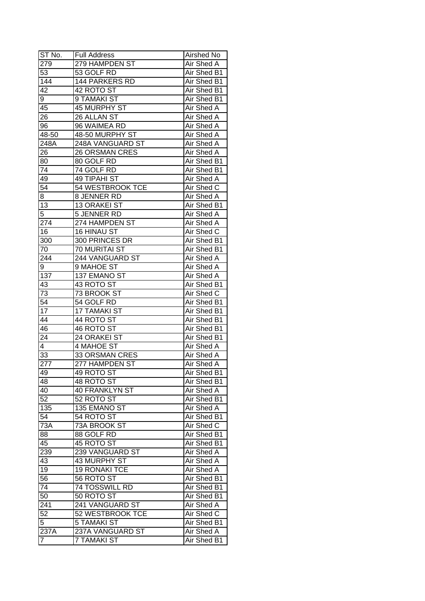| ST No.           | <b>Full Address</b>   | Airshed No  |
|------------------|-----------------------|-------------|
| 279              | 279 HAMPDEN ST        | Air Shed A  |
| 53               | 53 GOLF RD            | Air Shed B1 |
| 144              | <b>144 PARKERS RD</b> | Air Shed B1 |
| 42               | 42 ROTO ST            | Air Shed B1 |
| 9                | 9 TAMAKI ST           | Air Shed B1 |
| 45               | 45 MURPHY ST          | Air Shed A  |
| 26               | 26 ALLAN ST           | Air Shed A  |
| 96               | 96 WAIMEA RD          | Air Shed A  |
| 48-50            | 48-50 MURPHY ST       | Air Shed A  |
| 248A             | 248A VANGUARD ST      | Air Shed A  |
| 26               | <b>26 ORSMAN CRES</b> | Air Shed A  |
| 80               | 80 GOLF RD            | Air Shed B1 |
| 74               | 74 GOLF RD            | Air Shed B1 |
| 49               | 49 TIPAHI ST          | Air Shed A  |
| 54               | 54 WESTBROOK TCE      | Air Shed C  |
| 8                | 8 JENNER RD           | Air Shed A  |
| 13               | 13 ORAKEI ST          | Air Shed B1 |
| $\overline{5}$   | 5 JENNER RD           | Air Shed A  |
| 274              | 274 HAMPDEN ST        | Air Shed A  |
| 16               | 16 HINAU ST           | Air Shed C  |
| 300              | 300 PRINCES DR        | Air Shed B1 |
| 70               | 70 MURITAI ST         | Air Shed B1 |
| 244              | 244 VANGUARD ST       | Air Shed A  |
| 9                | 9 MAHOE ST            | Air Shed A  |
| $13\overline{7}$ | 137 EMANO ST          | Air Shed A  |
| 43               | 43 ROTO ST            | Air Shed B1 |
| 73               | 73 BROOK ST           | Air Shed C  |
| $5\overline{4}$  | 54 GOLF RD            | Air Shed B1 |
| 17               | <b>17 TAMAKI ST</b>   | Air Shed B1 |
| 44               | 44 ROTO ST            | Air Shed B1 |
| 46               | 46 ROTO ST            | Air Shed B1 |
| 24               | 24 ORAKEI ST          | Air Shed B1 |
| 4                | <b>4 MAHOE ST</b>     | Air Shed A  |
| 33               | <b>33 ORSMAN CRES</b> | Air Shed A  |
| $\overline{277}$ | 277 HAMPDEN ST        | Air Shed A  |
| 49               | 49 ROTO ST            | Air Shed B1 |
| 48               | 48 ROTO ST            | Air Shed B1 |
| 40               | <b>40 FRANKLYN ST</b> | Air Shed A  |
| 52               | 52 ROTO ST            | Air Shed B1 |
| 135              | 135 EMANO ST          | Air Shed A  |
| 54               | 54 ROTO ST            | Air Shed B1 |
| 73A              | 73A BROOK ST          | Air Shed C  |
| 88               | 88 GOLF RD            | Air Shed B1 |
| 45               | 45 ROTO ST            | Air Shed B1 |
| 239              | 239 VANGUARD ST       | Air Shed A  |
| 43               | 43 MURPHY ST          | Air Shed A  |
| 19               | <b>19 RONAKI TCE</b>  | Air Shed A  |
| 56               | 56 ROTO ST            | Air Shed B1 |
| 74               | <b>74 TOSSWILL RD</b> | Air Shed B1 |
| 50               | 50 ROTO ST            | Air Shed B1 |
| 241              | 241 VANGUARD ST       | Air Shed A  |
| $\overline{52}$  | 52 WESTBROOK TCE      | Air Shed C  |
| $\overline{5}$   | <b>5 TAMAKI ST</b>    | Air Shed B1 |
| 237A             | 237A VANGUARD ST      | Air Shed A  |
| 7                | <b>7 TAMAKI ST</b>    | Air Shed B1 |
|                  |                       |             |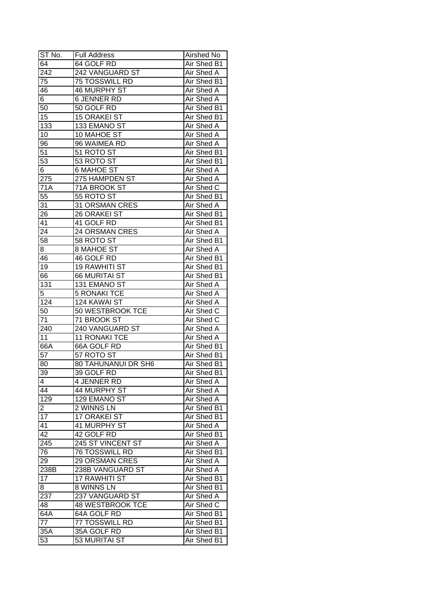| ST No.           | <b>Full Address</b>        | Airshed No         |
|------------------|----------------------------|--------------------|
| $6\overline{4}$  | 64 GOLF RD                 | Air Shed B1        |
| 242              | 242 VANGUARD ST            | Air Shed A         |
| 75               | 75 TOSSWILL RD             | Air Shed B1        |
| 46               | <b>46 MURPHY ST</b>        | Air Shed A         |
| $6-$             | <b>6 JENNER RD</b>         | Air Shed A         |
| 50               | 50 GOLF RD                 | Air Shed B1        |
| 15               | <b>15 ORAKEI ST</b>        | Air Shed B1        |
| 133              | 133 EMANO ST               | Air Shed A         |
| 10               | 10 MAHOE ST                | Air Shed A         |
| 96               | 96 WAIMEA RD               | Air Shed A         |
| 51               | 51 ROTO ST                 | Air Shed B1        |
| 53               | 53 ROTO ST                 | Air Shed B1        |
| 6                | <b>6 MAHOE ST</b>          | Air Shed A         |
| 275              | 275 HAMPDEN ST             | <b>Air Shed A</b>  |
| 71A              | 71A BROOK ST               | Air Shed C         |
| $5\overline{5}$  | 55 ROTO ST                 | Air Shed B1        |
| 31               | 31 ORSMAN CRES             | Air Shed A         |
| 26               | 26 ORAKEI ST               | Air Shed B1        |
| 41               | 41 GOLF RD                 | Air Shed B1        |
| 24               | 24 ORSMAN CRES             | Air Shed A         |
| $5\overline{8}$  | 58 ROTO ST                 | Air Shed B1        |
| 8                | 8 MAHOE ST                 | Air Shed A         |
| 46               | 46 GOLF RD                 | Air Shed B1        |
| 19               | <b>19 RAWHITI ST</b>       | Air Shed B1        |
| 66               | <b>66 MURITAI ST</b>       | Air Shed B1        |
| 131              | 131 EMANO ST               | Air Shed A         |
| $\overline{5}$   | <b>5 RONAKI TCE</b>        | Air Shed A         |
| 124              | 124 KAWAI ST               | Air Shed A         |
| 50               | 50 WESTBROOK TCE           | Air Shed C         |
| 71               | 71 BROOK ST                | Air Shed C         |
| 240              | 240 VANGUARD ST            | <b>Air Shed A</b>  |
| 11               | 11 RONAKI TCE              | Air Shed A         |
| 66A              | 66A GOLF RD                | Air Shed B1        |
| 57               | 57 ROTO ST                 | Air Shed B1        |
| 80               | <b>80 TAHUNANUI DR SH6</b> | <b>Air Shed B1</b> |
| 39               | 39 GOLF RD                 | Air Shed B1        |
| $\overline{4}$   | 4 JENNER RD                | Air Shed A         |
| 44               | 44 MURPHY ST               | Air Shed A         |
| 129              | 129 EMANO ST               | Air Shed A         |
| $\overline{2}$   | 2 WINNS LN                 | Air Shed B1        |
| 17               | 17 ORAKEI ST               | Air Shed B1        |
| 41               | 41 MURPHY ST               | Air Shed A         |
| 42               | 42 GOLF RD                 | Air Shed B1        |
| 245              | 245 ST VINCENT ST          | Air Shed A         |
| 76               | <b>76 TOSSWILL RD</b>      | Air Shed B1        |
| 29               | <b>29 ORSMAN CRES</b>      | Air Shed A         |
| 238B             | 238B VANGUARD ST           | <b>Air Shed A</b>  |
| 17               | <b>17 RAWHITI ST</b>       |                    |
|                  |                            | Air Shed B1        |
| 8                | 8 WINNS LN                 | Air Shed B1        |
| 237              | 237 VANGUARD ST            | Air Shed A         |
| 48               | <b>48 WESTBROOK TCE</b>    | Air Shed C         |
| 64A              | 64A GOLF RD                | Air Shed B1        |
| 77               | 77 TOSSWILL RD             | Air Shed B1        |
| $35\overline{A}$ | 35A GOLF RD                | Air Shed B1        |
| 53               | 53 MURITAI ST              | Air Shed B1        |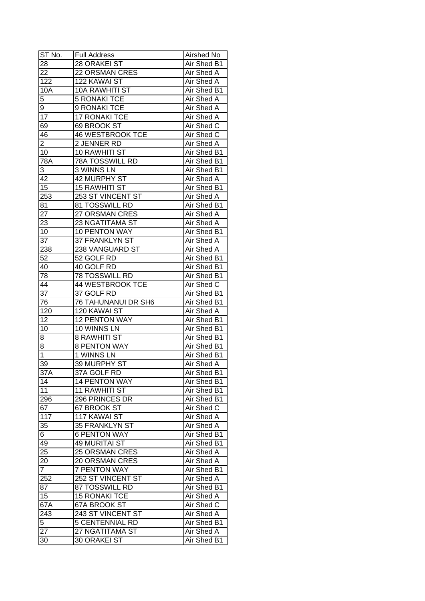| ST No.          | <b>Full Address</b>     | Airshed No        |
|-----------------|-------------------------|-------------------|
| 28              | <b>28 ORAKEI ST</b>     | Air Shed B1       |
| $\overline{22}$ | 22 ORSMAN CRES          | Air Shed A        |
| 122             | 122 KAWAI ST            | <b>Air Shed A</b> |
| 10A             | <b>10A RAWHITI ST</b>   | Air Shed B1       |
| 5               | <b>5 RONAKI TCE</b>     | Air Shed A        |
| 9               | 9 RONAKI TCE            | Air Shed A        |
| 17              | 17 RONAKI TCE           | Air Shed A        |
| 69              | 69 BROOK ST             | Air Shed C        |
| 46              | <b>46 WESTBROOK TCE</b> | Air Shed C        |
| $\overline{c}$  | 2 JENNER RD             | Air Shed A        |
| 10              | 10 RAWHITI ST           | Air Shed B1       |
| 78A             | <b>78A TOSSWILL RD</b>  | Air Shed B1       |
| 3               | <b>3 WINNS LN</b>       | Air Shed B1       |
| 42              | <b>42 MURPHY ST</b>     | <b>Air Shed A</b> |
| 15              | <b>15 RAWHITI ST</b>    | Air Shed B1       |
| 253             | 253 ST VINCENT ST       | Air Shed A        |
| 81              | 81 TOSSWILL RD          | Air Shed B1       |
| $\overline{27}$ | 27 ORSMAN CRES          | Air Shed A        |
| 23              | 23 NGATITAMA ST         | Air Shed A        |
| 10              | 10 PENTON WAY           | Air Shed B1       |
| 37              | 37 FRANKLYN ST          | Air Shed A        |
| 238             | 238 VANGUARD ST         | Air Shed A        |
| 52              | 52 GOLF RD              | Air Shed B1       |
| 40              | 40 GOLF RD              | Air Shed B1       |
| 78              | 78 TOSSWILL RD          | Air Shed B1       |
| 44              | 44 WESTBROOK TCE        | Air Shed C        |
| 37              | 37 GOLF RD              | Air Shed B1       |
| 76              | 76 TAHUNANUI DR SH6     | Air Shed B1       |
| 120             | 120 KAWAI ST            | Air Shed A        |
| 12              | 12 PENTON WAY           | Air Shed B1       |
| 10              | 10 WINNS LN             | Air Shed B1       |
| 8               | <b>8 RAWHITI ST</b>     | Air Shed B1       |
| $\overline{8}$  | <b>8 PENTON WAY</b>     | Air Shed B1       |
| $\overline{1}$  | 1 WINNS LN              | Air Shed B1       |
| $\overline{39}$ | 39 MURPHY ST            | <b>Air Shed A</b> |
| 37A             | 37A GOLF RD             | Air Shed B1       |
| 14              | <b>14 PENTON WAY</b>    | Air Shed B1       |
| 11              | <b>11 RAWHITI ST</b>    | Air Shed B1       |
| 296             | 296 PRINCES DR          | Air Shed B1       |
| 67              | 67 BROOK ST             | Air Shed C        |
| 117             | 117 KAWAI ST            | Air Shed A        |
| 35              | 35 FRANKLYN ST          | Air Shed A        |
| 6 <sup>1</sup>  | <b>6 PENTON WAY</b>     | Air Shed B1       |
| 49              | <b>49 MURITAI ST</b>    | Air Shed B1       |
| 25              | <b>25 ORSMAN CRES</b>   | Air Shed A        |
| 20              | <b>20 ORSMAN CRES</b>   | Air Shed A        |
| $\overline{7}$  | <b>7 PENTON WAY</b>     | Air Shed B1       |
| 252             | 252 ST VINCENT ST       | Air Shed A        |
| 87              | 87 TOSSWILL RD          | Air Shed B1       |
| 15              | <b>15 RONAKI TCE</b>    | Air Shed A        |
| 67A             | 67A BROOK ST            | Air Shed C        |
| 243             | 243 ST VINCENT ST       | Air Shed A        |
| 5               | 5 CENTENNIAL RD         | Air Shed B1       |
| 27              | 27 NGATITAMA ST         | Air Shed A        |
| 30              | 30 ORAKEI ST            | Air Shed B1       |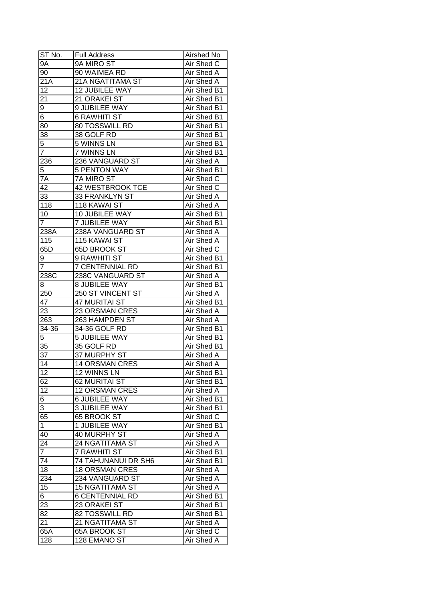| ST No.           | <b>Full Address</b>                   | Airshed No         |
|------------------|---------------------------------------|--------------------|
| <b>9A</b>        | 9A MIRO ST                            | Air Shed C         |
| 90               | 90 WAIMEA RD                          | Air Shed A         |
| 21A              | 21A NGATITAMA ST                      | <b>Air Shed A</b>  |
| 12               | 12 JUBILEE WAY                        | <b>Air Shed B1</b> |
| 21               | 21 ORAKEI ST                          | Air Shed B1        |
| 9                | 9 JUBILEE WAY                         | Air Shed B1        |
| 6                | <b>6 RAWHITI ST</b>                   | Air Shed B1        |
| 80               | 80 TOSSWILL RD                        | Air Shed B1        |
| 38               | 38 GOLF RD                            | Air Shed B1        |
| 5                | 5 WINNS LN                            | Air Shed B1        |
| $\overline{7}$   | 7 WINNS LN                            | Air Shed B1        |
| 236              | 236 VANGUARD ST                       | Air Shed A         |
| 5                | <b>5 PENTON WAY</b>                   | Air Shed B1        |
| 7A               | 7A MIRO ST                            | Air Shed C         |
| 42               | 42 WESTBROOK TCE                      | Air Shed C         |
| 33               | 33 FRANKLYN ST                        | Air Shed A         |
| $\overline{118}$ | 118 KAWAI ST                          | Air Shed A         |
| 10               | 10 JUBILEE WAY                        | Air Shed B1        |
| $\overline{7}$   | <b>7 JUBILEE WAY</b>                  | Air Shed B1        |
| 238A             | 238A VANGUARD ST                      | Air Shed A         |
| 115              | 115 KAWAI ST                          | Air Shed A         |
| 65D              | 65D BROOK ST                          | Air Shed C         |
|                  | 9 RAWHITI ST                          | Air Shed B1        |
| 9<br>7           | <b>7 CENTENNIAL RD</b>                | Air Shed B1        |
| 238C             | 238C VANGUARD ST                      | Air Shed A         |
|                  |                                       |                    |
| 8                | 8 JUBILEE WAY                         | Air Shed B1        |
| 250              | 250 ST VINCENT ST                     | Air Shed A         |
| 47               | 47 MURITAI ST                         | Air Shed B1        |
| 23               | 23 ORSMAN CRES                        | Air Shed A         |
| 263              | 263 HAMPDEN ST                        | <b>Air Shed A</b>  |
| 34-36<br>5       | 34-36 GOLF RD<br><b>5 JUBILEE WAY</b> | Air Shed B1        |
|                  |                                       | Air Shed B1        |
| 35               | 35 GOLF RD                            | Air Shed B1        |
| $\overline{37}$  | 37 MURPHY ST                          | <b>Air Shed A</b>  |
| $\overline{14}$  | <b>14 ORSMAN CRES</b>                 | <b>Air Shed A</b>  |
| 12               | <b>12 WINNS LN</b>                    | Air Shed B1        |
| 62               | 62 MURITAI ST                         | Air Shed B1        |
| 12               | <b>12 ORSMAN CRES</b>                 | Air Shed A         |
| 6                | 6 JUBILEE WAY                         | Air Shed B1        |
| 3                | <b>3 JUBILEE WAY</b>                  | Air Shed B1        |
| 65               | 65 BROOK ST                           | Air Shed C         |
| $\mathbf{1}$     | 1 JUBILEE WAY                         | Air Shed B1        |
| 40               | 40 MURPHY ST                          | Air Shed A         |
| 24               | 24 NGATITAMA ST                       | Air Shed A         |
| $\overline{7}$   | 7 RAWHITI ST                          | Air Shed B1        |
| 74               | 74 TAHUNANUI DR SH6                   | Air Shed B1        |
| 18               | <b>18 ORSMAN CRES</b>                 | Air Shed A         |
| 234              | 234 VANGUARD ST                       | Air Shed A         |
| 15               | <b>15 NGATITAMA ST</b>                | Air Shed A         |
| $\overline{6}$   | <b>6 CENTENNIAL RD</b>                | Air Shed B1        |
| 23               | 23 ORAKEI ST                          | Air Shed B1        |
| 82               | 82 TOSSWILL RD                        | Air Shed B1        |
| 21               | 21 NGATITAMA ST                       | Air Shed A         |
| 65A              | 65A BROOK ST                          | Air Shed C         |
| $\overline{1}28$ | 128 EMANO ST                          | Air Shed A         |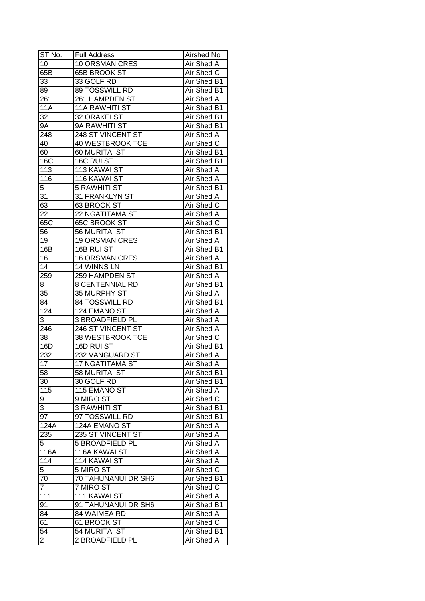| ST No.          | <b>Full Address</b>     | Airshed No        |
|-----------------|-------------------------|-------------------|
| 10              | <b>10 ORSMAN CRES</b>   | Air Shed A        |
| 65B             | <b>65B BROOK ST</b>     | Air Shed C        |
| 33              | 33 GOLF RD              | Air Shed B1       |
| 89              | 89 TOSSWILL RD          | Air Shed B1       |
| 261             | 261 HAMPDEN ST          | Air Shed A        |
| 11A             | <b>11A RAWHITI ST</b>   | Air Shed B1       |
| 32              | 32 ORAKEI ST            | Air Shed B1       |
| <b>9A</b>       | 9A RAWHITI ST           | Air Shed B1       |
| 248             | 248 ST VINCENT ST       | Air Shed A        |
| 40              | 40 WESTBROOK TCE        | Air Shed C        |
| 60              | 60 MURITAI ST           | Air Shed B1       |
| 16C             | 16C RUI ST              | Air Shed B1       |
| 113             | 113 KAWAI ST            | <b>Air Shed A</b> |
| 116             | 116 KAWAI ST            | <b>Air Shed A</b> |
| $\overline{5}$  | <b>5 RAWHITI ST</b>     | Air Shed B1       |
| 31              | 31 FRANKLYN ST          | Air Shed A        |
| 63              | 63 BROOK ST             | Air Shed C        |
| 22              | 22 NGATITAMA ST         | Air Shed A        |
| 65C             | <b>65C BROOK ST</b>     | Air Shed C        |
| 56              | 56 MURITAI ST           | Air Shed B1       |
| 19              | <b>19 ORSMAN CRES</b>   | Air Shed A        |
| 16B             | 16B RUI ST              | Air Shed B1       |
| 16              | <b>16 ORSMAN CRES</b>   | Air Shed A        |
| 14              | 14 WINNS LN             | Air Shed B1       |
| 259             | 259 HAMPDEN ST          | Air Shed A        |
| 8               | <b>8 CENTENNIAL RD</b>  | Air Shed B1       |
| 35              | 35 MURPHY ST            | Air Shed A        |
| 84              | 84 TOSSWILL RD          | Air Shed B1       |
| 124             | 124 EMANO ST            | Air Shed A        |
| 3               | 3 BROADFIELD PL         | <b>Air Shed A</b> |
| 246             | 246 ST VINCENT ST       | Air Shed A        |
| 38              | <b>38 WESTBROOK TCE</b> | Air Shed C        |
| 16D             | 16D RUI ST              | Air Shed B1       |
| 232             | <b>232 VANGUARD ST</b>  | Air Shed A        |
| 17              | <b>17 NGATITAMA ST</b>  | <b>Air Shed A</b> |
| 58              | 58 MURITAI ST           | Air Shed B1       |
| 30              | 30 GOLF RD              | Air Shed B1       |
| 115             | 115 EMANO ST            | Air Shed A        |
| 9               | 9 MIRO ST               | Air Shed C        |
| 3               | 3 RAWHITI ST            | Air Shed B1       |
| 97              | 97 TOSSWILL RD          | Air Shed B1       |
| 124A            | 124A EMANO ST           | Air Shed A        |
| 235             | 235 ST VINCENT ST       | Air Shed A        |
| 5               | 5 BROADFIELD PL         | Air Shed A        |
| 116A            | 116A KAWAI ST           | Air Shed A        |
| 114             | 114 KAWAI ST            | Air Shed A        |
| 5               | 5 MIRO ST               | Air Shed C        |
|                 |                         |                   |
| 70              | 70 TAHUNANUI DR SH6     | Air Shed B1       |
| $\overline{7}$  | 7 MIRO ST               | Air Shed C        |
| 111             | 111 KAWAI ST            | Air Shed A        |
| 91              | 91 TAHUNANUI DR SH6     | Air Shed B1       |
| 84              | 84 WAIMEA RD            | Air Shed A        |
| 61              | 61 BROOK ST             | Air Shed C        |
| $\overline{54}$ | 54 MURITAI ST           | Air Shed B1       |
| $\overline{2}$  | 2 BROADFIELD PL         | Air Shed A        |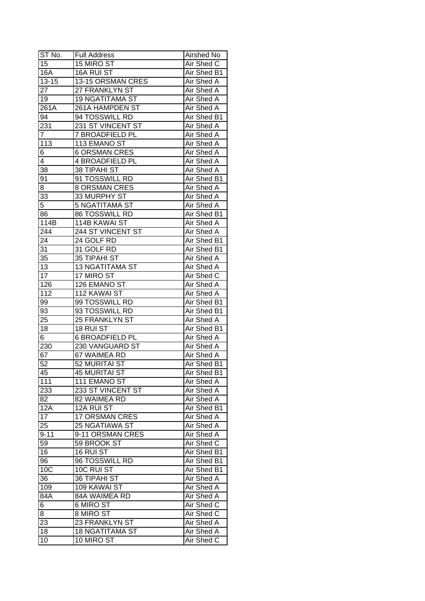| ST No.          | <b>Full Address</b>    | <b>Airshed No</b> |
|-----------------|------------------------|-------------------|
| 15              | 15 MIRO ST             | Air Shed C        |
| 16A             | 16A RUI ST             | Air Shed B1       |
| $13 - 15$       | 13-15 ORSMAN CRES      | Air Shed A        |
| 27              | 27 FRANKLYN ST         | Air Shed A        |
| 19              | <b>19 NGATITAMA ST</b> | Air Shed A        |
| 261A            | 261A HAMPDEN ST        | Air Shed A        |
| 94              | 94 TOSSWILL RD         | Air Shed B1       |
| 231             | 231 ST VINCENT ST      | Air Shed A        |
| 7               | 7 BROADFIELD PL        | Air Shed A        |
| 113             | 113 EMANO ST           | Air Shed A        |
| 6               | <b>6 ORSMAN CRES</b>   | Air Shed A        |
| 4               | 4 BROADFIELD PL        | Air Shed A        |
| $3\overline{8}$ | 38 TIPAHI ST           | Air Shed A        |
| $9\overline{1}$ | 91 TOSSWILL RD         | Air Shed B1       |
| 8               | <b>8 ORSMAN CRES</b>   | Air Shed A        |
| 33              | 33 MURPHY ST           | Air Shed A        |
| $\overline{5}$  | 5 NGATITAMA ST         | Air Shed A        |
| 86              | 86 TOSSWILL RD         | Air Shed B1       |
| 114B            | 114B KAWAI ST          | Air Shed A        |
| 244             | 244 ST VINCENT ST      | Air Shed A        |
| 24              | 24 GOLF RD             | Air Shed B1       |
| 31              | 31 GOLF RD             | Air Shed B1       |
| 35              | 35 TIPAHI ST           | Air Shed A        |
| 13              | <b>13 NGATITAMA ST</b> | Air Shed A        |
| 17              | 17 MIRO ST             | Air Shed C        |
| 126             | 126 EMANO ST           | Air Shed A        |
| 112             | 112 KAWAI ST           | Air Shed A        |
| 99              | 99 TOSSWILL RD         | Air Shed B1       |
| 93              | 93 TOSSWILL RD         | Air Shed B1       |
| 25              | 25 FRANKLYN ST         | Air Shed A        |
| 18              | 18 RUI ST              | Air Shed B1       |
| 6               | <b>6 BROADFIELD PL</b> | Air Shed A        |
| 230             | 230 VANGUARD ST        | Air Shed A        |
| 67              | 67 WAIMEA RD           | <b>Air Shed A</b> |
| $\overline{52}$ | 52 MURITAI ST          | Air Shed B1       |
| 45              | <b>45 MURITAI ST</b>   | Air Shed B1       |
| 111             | 111 EMANO ST           | Air Shed A        |
| 233             | 233 ST VINCENT ST      | Air Shed A        |
| 82              | 82 WAIMEA RD           | Air Shed A        |
| 12A             | 12A RUI ST             | Air Shed B1       |
| 17              | <b>17 ORSMAN CRES</b>  | Air Shed A        |
| 25              | 25 NGATIAWA ST         | Air Shed A        |
| $9 - 11$        | 9-11 ORSMAN CRES       | Air Shed A        |
| 59              | 59 BROOK ST            | Air Shed C        |
| 16              | 16 RUI ST              | Air Shed B1       |
| 96              | 96 TOSSWILL RD         | Air Shed B1       |
| 10 <sub>C</sub> | 10C RUI ST             | Air Shed B1       |
| 36              | <b>36 TIPAHI ST</b>    | Air Shed A        |
| 109             | 109 KAWAI ST           | Air Shed A        |
| 84A             | 84A WAIMEA RD          | Air Shed A        |
|                 |                        |                   |
| $\,6\,$         | 6 MIRO ST              | Air Shed C        |
| 8               | 8 MIRO ST              | Air Shed C        |
| 23              | 23 FRANKLYN ST         | Air Shed A        |
| 18              | <b>18 NGATITAMA ST</b> | Air Shed A        |
| 10              | 10 MIRO ST             | Air Shed C        |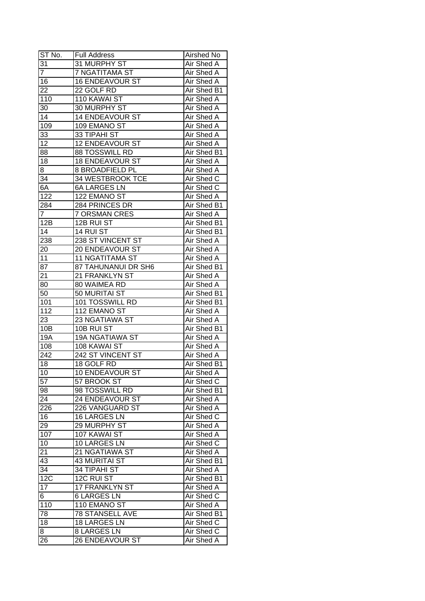| $ST N0$ .        | <b>Full Address</b>    | Airshed No        |
|------------------|------------------------|-------------------|
| 31               | 31 MURPHY ST           | Air Shed A        |
| $\overline{7}$   | 7 NGATITAMA ST         | Air Shed A        |
| 16               | <b>16 ENDEAVOUR ST</b> | Air Shed A        |
| 22               | 22 GOLF RD             | Air Shed B1       |
| 110              | 110 KAWAI ST           | Air Shed A        |
| 30               | 30 MURPHY ST           | Air Shed A        |
| 14               | 14 ENDEAVOUR ST        | Air Shed A        |
| 109              | 109 EMANO ST           | Air Shed A        |
| 33               | 33 TIPAHI ST           | Air Shed A        |
| 12               | 12 ENDEAVOUR ST        | Air Shed A        |
| 88               | 88 TOSSWILL RD         | Air Shed B1       |
| 18               | <b>18 ENDEAVOUR ST</b> | Air Shed A        |
| 8                | 8 BROADFIELD PL        | Air Shed A        |
| 34               | 34 WESTBROOK TCE       | Air Shed C        |
| 6A               | <b>6A LARGES LN</b>    | Air Shed C        |
| 122              | 122 EMANO ST           | Air Shed A        |
| 284              | 284 PRINCES DR         | Air Shed B1       |
| $\overline{7}$   | <b>7 ORSMAN CRES</b>   | Air Shed A        |
| 12B              | 12B RUI ST             | Air Shed B1       |
| 14               | 14 RUI ST              | Air Shed B1       |
| 238              | 238 ST VINCENT ST      | Air Shed A        |
| 20               | 20 ENDEAVOUR ST        | Air Shed A        |
| 11               | <b>11 NGATITAMA ST</b> | Air Shed A        |
| 87               | 87 TAHUNANUI DR SH6    | Air Shed B1       |
| 21               | 21 FRANKLYN ST         | Air Shed A        |
| 80               | 80 WAIMEA RD           | Air Shed A        |
| 50               | 50 MURITAI ST          | Air Shed B1       |
| 101              | 101 TOSSWILL RD        | Air Shed B1       |
| 112              | 112 EMANO ST           | Air Shed A        |
| 23               | 23 NGATIAWA ST         | Air Shed A        |
| 10B              | 10B RUI ST             | Air Shed B1       |
| 19A              | <b>19A NGATIAWA ST</b> | Air Shed A        |
| 108              | 108 KAWAI ST           | Air Shed A        |
| $\overline{242}$ | 242 ST VINCENT ST      | Air Shed A        |
| 18               | 18 GOLF RD             | Air Shed B1       |
| 10               | 10 ENDEAVOUR ST        | <b>Air Shed A</b> |
| $\overline{57}$  | 57 BROOK ST            | Air Shed C        |
| 98               | 98 TOSSWILL RD         | Air Shed B1       |
| 24               | 24 ENDEAVOUR ST        | Air Shed A        |
| 226              | 226 VANGUARD ST        | Air Shed A        |
| 16               | 16 LARGES LN           | Air Shed C        |
| 29               | 29 MURPHY ST           | Air Shed A        |
| 107              | 107 KAWAI ST           | Air Shed A        |
| 10               | 10 LARGES LN           | Air Shed C        |
| 21               | 21 NGATIAWA ST         | Air Shed A        |
| 43               | <b>43 MURITAI ST</b>   | Air Shed B1       |
| 34               | 34 TIPAHI ST           | Air Shed A        |
| 12C              | 12C RUI ST             | Air Shed B1       |
| 17               | 17 FRANKLYN ST         | Air Shed A        |
| $\overline{6}$   | <b>6 LARGES LN</b>     | Air Shed C        |
| 110              | 110 EMANO ST           | Air Shed A        |
| 78               | <b>78 STANSELL AVE</b> | Air Shed B1       |
| 18               | 18 LARGES LN           | Air Shed C        |
| 8                | <b>8 LARGES LN</b>     | Air Shed C        |
| 26               | <b>26 ENDEAVOUR ST</b> | Air Shed A        |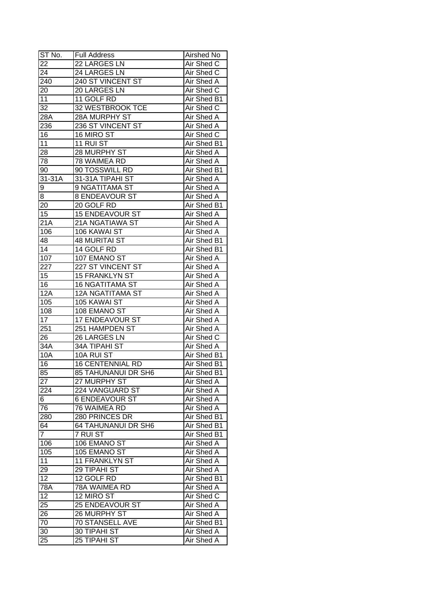| ST No.            | <b>Full Address</b>        | <b>Airshed No</b>  |
|-------------------|----------------------------|--------------------|
| 22                | 22 LARGES LN               | Air Shed C         |
| 24                | 24 LARGES LN               | Air Shed C         |
| 240               | 240 ST VINCENT ST          | Air Shed A         |
| 20                | 20 LARGES LN               | Air Shed C         |
| 11                | 11 GOLF RD                 | Air Shed B1        |
| 32                | 32 WESTBROOK TCE           | Air Shed C         |
| 28A               | 28A MURPHY ST              | Air Shed A         |
| 236               | 236 ST VINCENT ST          | Air Shed A         |
| 16                | 16 MIRO ST                 | Air Shed C         |
| 11                | 11 RUI ST                  | Air Shed B1        |
| 28                | 28 MURPHY ST               | Air Shed A         |
| 78                | 78 WAIMEA RD               | Air Shed A         |
| 90                | 90 TOSSWILL RD             | Air Shed B1        |
| 31-31A            | 31-31A TIPAHI ST           | Air Shed A         |
| 9                 | 9 NGATITAMA ST             | Air Shed A         |
| 8                 | 8 ENDEAVOUR ST             | Air Shed A         |
| 20                | 20 GOLF RD                 | Air Shed B1        |
| 15                | <b>15 ENDEAVOUR ST</b>     | Air Shed A         |
| $\overline{2}$ 1A | 21A NGATIAWA ST            | Air Shed A         |
| 106               | 106 KAWAI ST               | Air Shed A         |
| 48                | <b>48 MURITAI ST</b>       | Air Shed B1        |
| 14                | 14 GOLF RD                 | Air Shed B1        |
| 107               | 107 EMANO ST               | Air Shed A         |
| 227               | 227 ST VINCENT ST          | Air Shed A         |
| 15                | 15 FRANKLYN ST             | Air Shed A         |
| 16                | <b>16 NGATITAMA ST</b>     | Air Shed A         |
| <b>12A</b>        | <b>12A NGATITAMA ST</b>    | Air Shed A         |
| 105               | 105 KAWAI ST               | <b>Air Shed A</b>  |
| 108               | 108 EMANO ST               | <b>Air Shed A</b>  |
| 17                | 17 ENDEAVOUR ST            | <b>Air Shed A</b>  |
| 251               | 251 HAMPDEN ST             | Air Shed A         |
| 26                | 26 LARGES LN               | Air Shed C         |
| 34A               | 34A TIPAHI ST              | Air Shed A         |
| 10A               | 10A RUI ST                 | Air Shed B1        |
| 16                | <b>16 CENTENNIAL RD</b>    | <b>Air Shed B1</b> |
| 85                | <b>85 TAHUNANUI DR SH6</b> | <b>Air Shed B1</b> |
| 27                | 27 MURPHY ST               | Air Shed A         |
| 224               | 224 VANGUARD ST            | Air Shed A         |
| 6                 | <b>6 ENDEAVOUR ST</b>      | Air Shed A         |
| 76                | 76 WAIMEA RD               | Air Shed A         |
| 280               | 280 PRINCES DR             | Air Shed B1        |
| 64                | 64 TAHUNANUI DR SH6        | Air Shed B1        |
| $\overline{7}$    | 7 RUI ST                   | Air Shed B1        |
| 106               | 106 EMANO ST               | Air Shed A         |
| 105               | 105 EMANO ST               | Air Shed A         |
| 11                | 11 FRANKLYN ST             | Air Shed A         |
|                   | 29 TIPAHI ST               | Air Shed A         |
| 29<br>12          | 12 GOLF RD                 |                    |
|                   |                            | Air Shed B1        |
| 78A               | 78A WAIMEA RD              | Air Shed A         |
| 12                | 12 MIRO ST                 | Air Shed C         |
| 25                | 25 ENDEAVOUR ST            | Air Shed A         |
| 26                | 26 MURPHY ST               | Air Shed A         |
| 70                | 70 STANSELL AVE            | Air Shed B1        |
| 30                | 30 TIPAHI ST               | Air Shed A         |
| 25                | <b>25 TIPAHI ST</b>        | Air Shed A         |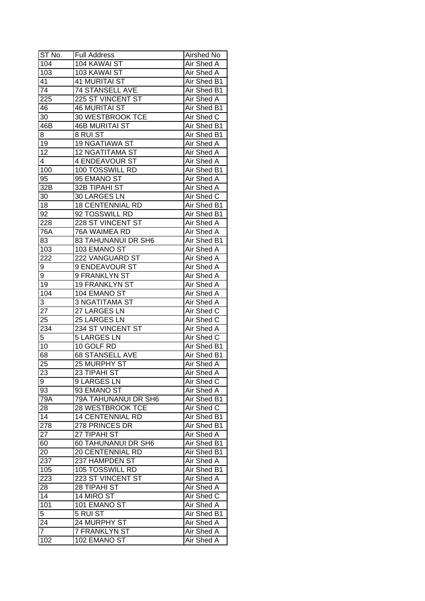| ST No.          | <b>Full Address</b>     | Airshed No        |
|-----------------|-------------------------|-------------------|
| 104             | 104 KAWAI ST            | Air Shed A        |
| 103             | 103 KAWAI ST            | Air Shed A        |
| 41              | <b>41 MURITAI ST</b>    | Air Shed B1       |
| $\overline{74}$ | <b>74 STANSELL AVE</b>  | Air Shed B1       |
| 225             | 225 ST VINCENT ST       | Air Shed A        |
| 46              | <b>46 MURITAI ST</b>    | Air Shed B1       |
| 30              | 30 WESTBROOK TCE        | Air Shed C        |
| 46B             | <b>46B MURITAI ST</b>   | Air Shed B1       |
| 8               | 8 RUI ST                | Air Shed B1       |
| 19              | <b>19 NGATIAWA ST</b>   | Air Shed A        |
| 12              | <b>12 NGATITAMA ST</b>  | Air Shed A        |
| 4               | 4 ENDEAVOUR ST          | Air Shed A        |
| 100             | 100 TOSSWILL RD         | Air Shed B1       |
| 95              | 95 EMANO ST             | Air Shed A        |
| 32B             | 32B TIPAHI ST           | <b>Air Shed A</b> |
| 30              | 30 LARGES LN            | Air Shed C        |
| 18              | <b>18 CENTENNIAL RD</b> | Air Shed B1       |
| 92              | 92 TOSSWILL RD          | Air Shed B1       |
| 228             | 228 ST VINCENT ST       | Air Shed A        |
| 76A             | 76A WAIMEA RD           | Air Shed A        |
| 83              | 83 TAHUNANUI DR SH6     | Air Shed B1       |
| 103             | 103 EMANO ST            | Air Shed A        |
| 222             | 222 VANGUARD ST         | Air Shed A        |
| 9               | 9 ENDEAVOUR ST          | Air Shed A        |
| 9               | 9 FRANKLYN ST           | Air Shed A        |
| 19              | 19 FRANKLYN ST          | Air Shed A        |
| 104             | 104 EMANO ST            | Air Shed A        |
| 3               | 3 NGATITAMA ST          | Air Shed A        |
| 27              | 27 LARGES LN            | Air Shed C        |
| 25              | 25 LARGES LN            | Air Shed C        |
| 234             | 234 ST VINCENT ST       | Air Shed A        |
| 5               | <b>5 LARGES LN</b>      | Air Shed C        |
| 10              | 10 GOLF RD              | Air Shed B1       |
| 68              | <b>68 STANSELL AVE</b>  | Air Shed B1       |
| $\overline{25}$ | 25 MURPHY ST            | Air Shed A        |
| 23              | 23 TIPAHI ST            | <b>Air Shed A</b> |
| 9               | 9 LARGES LN             | Air Shed C        |
| 93              | 93 EMANO ST             | Air Shed A        |
| 79A             | 79A TAHUNANUI DR SH6    | Air Shed B1       |
| 28              | <b>28 WESTBROOK TCE</b> | Air Shed C        |
| 14              | <b>14 CENTENNIAL RD</b> | Air Shed B1       |
| 278             | 278 PRINCES DR          | Air Shed B1       |
| 27              | 27 TIPAHI ST            | Air Shed A        |
| 60              | 60 TAHUNANUI DR SH6     | Air Shed B1       |
| 20              | 20 CENTENNIAL RD        | Air Shed B1       |
| 237             | 237 HAMPDEN ST          | Air Shed A        |
| 105             | 105 TOSSWILL RD         | Air Shed B1       |
| 223             | 223 ST VINCENT ST       | Air Shed A        |
| 28              | 28 TIPAHI ST            | Air Shed A        |
| 14              | 14 MIRO ST              | Air Shed C        |
| 101             | 101 EMANO ST            | Air Shed A        |
| 5               | 5 RUI ST                | Air Shed B1       |
| 24              | 24 MURPHY ST            | Air Shed A        |
| $\overline{7}$  | 7 FRANKLYN ST           | Air Shed A        |
| 102             | 102 EMANO ST            | Air Shed A        |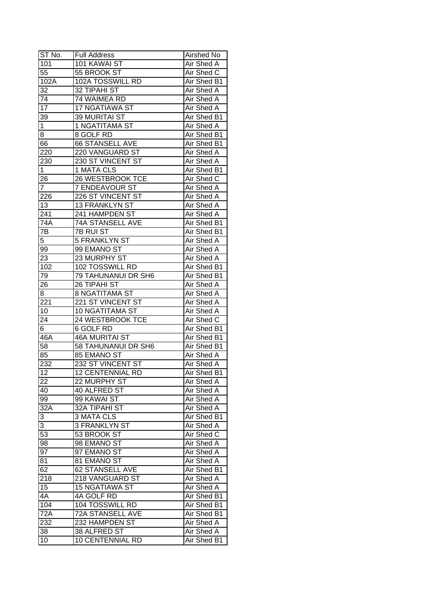| ST No.           | <b>Full Address</b>     | Airshed No        |
|------------------|-------------------------|-------------------|
| 101              | 101 KAWAI ST            | Air Shed A        |
| 55               | 55 BROOK ST             | Air Shed C        |
| 102A             | 102A TOSSWILL RD        | Air Shed B1       |
| 32               | 32 TIPAHI ST            | Air Shed A        |
| 74               | 74 WAIMEA RD            | Air Shed A        |
| 17               | 17 NGATIAWA ST          | Air Shed A        |
| 39               | 39 MURITAI ST           | Air Shed B1       |
| 1                | 1 NGATITAMA ST          | Air Shed A        |
| 8                | 8 GOLF RD               | Air Shed B1       |
| 66               | 66 STANSELL AVE         | Air Shed B1       |
| 220              | 220 VANGUARD ST         | Air Shed A        |
| 230              | 230 ST VINCENT ST       | Air Shed A        |
| $\overline{1}$   | 1 MATA CLS              | Air Shed B1       |
| 26               | 26 WESTBROOK TCE        | Air Shed C        |
| $\overline{7}$   | <b>7 ENDEAVOUR ST</b>   | Air Shed A        |
| 226              | 226 ST VINCENT ST       | Air Shed A        |
| 13               | 13 FRANKLYN ST          | Air Shed A        |
| 241              | 241 HAMPDEN ST          | Air Shed A        |
| 74A              | 74A STANSELL AVE        | Air Shed B1       |
| 7B               | <b>7B RUI ST</b>        | Air Shed B1       |
| 5                | 5 FRANKLYN ST           | Air Shed A        |
| 99               | 99 EMANO ST             | Air Shed A        |
| 23               | 23 MURPHY ST            | Air Shed A        |
| 102              | 102 TOSSWILL RD         | Air Shed B1       |
| 79               | 79 TAHUNANUI DR SH6     | Air Shed B1       |
| 26               | 26 TIPAHI ST            | Air Shed A        |
| 8                | 8 NGATITAMA ST          | Air Shed A        |
| 221              | 221 ST VINCENT ST       | Air Shed A        |
| 10               | 10 NGATITAMA ST         | Air Shed A        |
| 24               | 24 WESTBROOK TCE        | Air Shed C        |
| 6                | 6 GOLF RD               | Air Shed B1       |
| 46A              | <b>46A MURITAI ST</b>   | Air Shed B1       |
| 58               | 58 TAHUNANUI DR SH6     | Air Shed B1       |
| 85               | 85 EMANO ST             | Air Shed A        |
| 232              | 232 ST VINCENT ST       | <b>Air Shed A</b> |
| 12               | <b>12 CENTENNIAL RD</b> | Air Shed B1       |
| 22               | 22 MURPHY ST            | Air Shed A        |
| 40               | 40 ALFRED ST            | Air Shed A        |
| 99               | 99 KAWAI ST             | Air Shed A        |
| $32\overline{A}$ | 32A TIPAHI ST           | Air Shed A        |
| 3                | 3 MATA CLS              | Air Shed B1       |
| 3                | 3 FRANKLYN ST           | Air Shed A        |
| 53               | 53 BROOK ST             | Air Shed C        |
| 98               | 98 EMANO ST             | Air Shed A        |
| 97               | 97 EMANO ST             | Air Shed A        |
| 81               | 81 EMANO ST             | Air Shed A        |
| 62               | 62 STANSELL AVE         | Air Shed B1       |
|                  |                         |                   |
| 218              | 218 VANGUARD ST         | Air Shed A        |
| 15               | 15 NGATIAWA ST          | Air Shed A        |
| 4A               | 4A GOLF RD              | Air Shed B1       |
| 104              | 104 TOSSWILL RD         | Air Shed B1       |
| 72A              | 72A STANSELL AVE        | Air Shed B1       |
| 232              | 232 HAMPDEN ST          | Air Shed A        |
| 38               | 38 ALFRED ST            | Air Shed A        |
| 10               | <b>10 CENTENNIAL RD</b> | Air Shed B1       |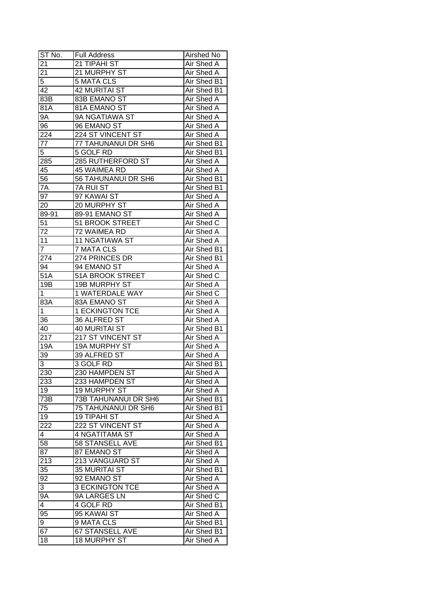| ST No.                  | <b>Full Address</b>     | Airshed No        |
|-------------------------|-------------------------|-------------------|
| 21                      | 21 TIPAHI ST            | Air Shed A        |
| $\overline{21}$         | 21 MURPHY ST            | Air Shed A        |
| 5                       | <b>5 MATA CLS</b>       | Air Shed B1       |
| 42                      | <b>42 MURITAI ST</b>    | Air Shed B1       |
| 83B                     | 83B EMANO ST            | Air Shed A        |
| 81A                     | 81A EMANO ST            | Air Shed A        |
| 9Α                      | 9A NGATIAWA ST          | Air Shed A        |
| 96                      | 96 EMANO ST             | Air Shed A        |
| 224                     | 224 ST VINCENT ST       | Air Shed A        |
| 77                      | 77 TAHUNANUI DR SH6     | Air Shed B1       |
| 5                       | 5 GOLF RD               | Air Shed B1       |
| 285                     | 285 RUTHERFORD ST       | Air Shed A        |
| 45                      | 45 WAIMEA RD            | Air Shed A        |
| 56                      | 56 TAHUNANUI DR SH6     | Air Shed B1       |
| 7A                      | 7A RUI ST               | Air Shed B1       |
| 97                      | 97 KAWAI ST             | Air Shed A        |
| 20                      | 20 MURPHY ST            | Air Shed A        |
| 89-91                   | 89-91 EMANO ST          | Air Shed A        |
| 51                      | 51 BROOK STREET         | Air Shed C        |
| 72                      | 72 WAIMEA RD            | Air Shed A        |
| 11                      | <b>11 NGATIAWA ST</b>   | Air Shed A        |
| $\overline{7}$          | <b>7 MATA CLS</b>       | Air Shed B1       |
| 274                     | 274 PRINCES DR          | Air Shed B1       |
| 94                      | 94 EMANO ST             | Air Shed A        |
| 51A                     | <b>51A BROOK STREET</b> | Air Shed C        |
| 19B                     | 19B MURPHY ST           | Air Shed A        |
| 1                       | 1 WATERDALE WAY         | Air Shed C        |
| 83A                     | 83A EMANO ST            | Air Shed A        |
| $\mathbf 1$             | <b>1 ECKINGTON TCE</b>  | <b>Air Shed A</b> |
| 36                      | 36 ALFRED ST            | Air Shed A        |
| 40                      | <b>40 MURITAI ST</b>    | Air Shed B1       |
| 217                     | 217 ST VINCENT ST       | Air Shed A        |
| 19A                     | <b>19A MURPHY ST</b>    | <b>Air Shed A</b> |
| 39                      | 39 ALFRED ST            | Air Shed A        |
| 3                       | 3 GOLF RD               | Air Shed B1       |
| 230                     | 230 HAMPDEN ST          | <b>Air Shed A</b> |
| 233                     | 233 HAMPDEN ST          | Air Shed A        |
| 19                      | <b>19 MURPHY ST</b>     | Air Shed A        |
| 73B                     | 73B TAHUNANUI DR SH6    | Air Shed B1       |
| 75                      | 75 TAHUNANUI DR SH6     | Air Shed B1       |
| 19                      | <b>19 TIPAHI ST</b>     | Air Shed A        |
| 222                     | 222 ST VINCENT ST       | Air Shed A        |
| 4                       | 4 NGATITAMA ST          | Air Shed A        |
| 58                      | 58 STANSELL AVE         | Air Shed B1       |
| 87                      | 87 EMANO ST             | Air Shed A        |
| 213                     | 213 VANGUARD ST         | Air Shed A        |
| $3\overline{5}$         | 35 MURITAI ST           | Air Shed B1       |
| $9\overline{2}$         | 92 EMANO ST             | Air Shed A        |
| 3                       | <b>3 ECKINGTON TCE</b>  | Air Shed A        |
| <b>9A</b>               | 9A LARGES LN            | Air Shed C        |
| $\overline{\mathbf{4}}$ | 4 GOLF RD               | Air Shed B1       |
| 95                      | 95 KAWAI ST             | Air Shed A        |
| 9                       | 9 MATA CLS              | Air Shed B1       |
| 67                      | 67 STANSELL AVE         | Air Shed B1       |
| 18                      | <b>18 MURPHY ST</b>     | Air Shed A        |
|                         |                         |                   |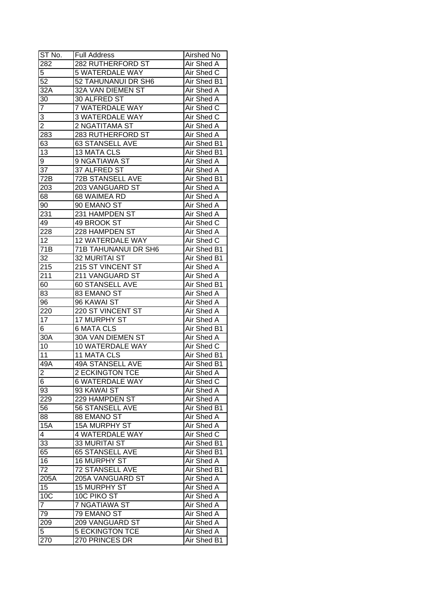| ST No.            | <b>Full Address</b>     | Airshed No        |
|-------------------|-------------------------|-------------------|
| 282               | 282 RUTHERFORD ST       | Air Shed A        |
| 5                 | 5 WATERDALE WAY         | Air Shed C        |
| 52                | 52 TAHUNANUI DR SH6     | Air Shed B1       |
| 32A               | 32A VAN DIEMEN ST       | Air Shed A        |
| 30                | 30 ALFRED ST            | Air Shed A        |
| 7                 | 7 WATERDALE WAY         | Air Shed C        |
| 3                 | <b>3 WATERDALE WAY</b>  | Air Shed C        |
| $\overline{2}$    | 2 NGATITAMA ST          | Air Shed A        |
| 283               | 283 RUTHERFORD ST       | Air Shed A        |
| 63                | 63 STANSELL AVE         | Air Shed B1       |
| 13                | <b>13 MATA CLS</b>      | Air Shed B1       |
| 9                 | 9 NGATIAWA ST           | Air Shed A        |
| 37                | 37 ALFRED ST            | Air Shed A        |
| 72B               | 72B STANSELL AVE        | Air Shed B1       |
| 203               | 203 VANGUARD ST         | Air Shed A        |
| 68                | 68 WAIMEA RD            | Air Shed A        |
| 90                | 90 EMANO ST             | Air Shed A        |
| 231               | 231 HAMPDEN ST          | Air Shed A        |
| 49                | 49 BROOK ST             | Air Shed C        |
| 228               | 228 HAMPDEN ST          | Air Shed A        |
| 12                | 12 WATERDALE WAY        | Air Shed C        |
| 71B               | 71B TAHUNANUI DR SH6    | Air Shed B1       |
| 32                | 32 MURITAI ST           | Air Shed B1       |
| 215               | 215 ST VINCENT ST       | Air Shed A        |
| 211               | 211 VANGUARD ST         | Air Shed A        |
| 60                | 60 STANSELL AVE         | Air Shed B1       |
| 83                | 83 EMANO ST             | Air Shed A        |
| 96                | 96 KAWAI ST             | Air Shed A        |
| 220               | 220 ST VINCENT ST       | <b>Air Shed A</b> |
| 17                | 17 MURPHY ST            | Air Shed A        |
| 6                 | <b>6 MATA CLS</b>       | Air Shed B1       |
| 30A               | 30A VAN DIEMEN ST       | Air Shed A        |
| 10                | 10 WATERDALE WAY        | Air Shed C        |
| 11                | 11 MATA CLS             | Air Shed B1       |
| 49A               | <b>49A STANSELL AVE</b> | Air Shed B1       |
| $\mathbf{z}$      | <b>2 ECKINGTON TCE</b>  | Air Shed A        |
| 6                 | <b>6 WATERDALE WAY</b>  | Air Shed C        |
| 93                | 93 KAWAI ST             | Air Shed A        |
| 229               | 229 HAMPDEN ST          | Air Shed A        |
| 56                | 56 STANSELL AVE         | Air Shed B1       |
| 88                | 88 EMANO ST             | Air Shed A        |
| <b>15A</b>        | <b>15A MURPHY ST</b>    | Air Shed A        |
| $\overline{4}$    | <b>4 WATERDALE WAY</b>  | Air Shed C        |
| 33                | 33 MURITAI ST           | Air Shed B1       |
| 65                | 65 STANSELL AVE         | Air Shed B1       |
| 16                | 16 MURPHY ST            | Air Shed A        |
| 72                | 72 STANSELL AVE         | Air Shed B1       |
| $205\overline{A}$ | 205A VANGUARD ST        | Air Shed A        |
| 15                | 15 MURPHY ST            | Air Shed A        |
| 10C               | 10C PIKO ST             | Air Shed A        |
| $\overline{7}$    | 7 NGATIAWA ST           | Air Shed A        |
| 79                | 79 EMANO ST             | Air Shed A        |
|                   | 209 VANGUARD ST         | Air Shed A        |
| 209               |                         |                   |
| 5                 | <b>5 ECKINGTON TCE</b>  | Air Shed A        |
| 270               | 270 PRINCES DR          | Air Shed B1       |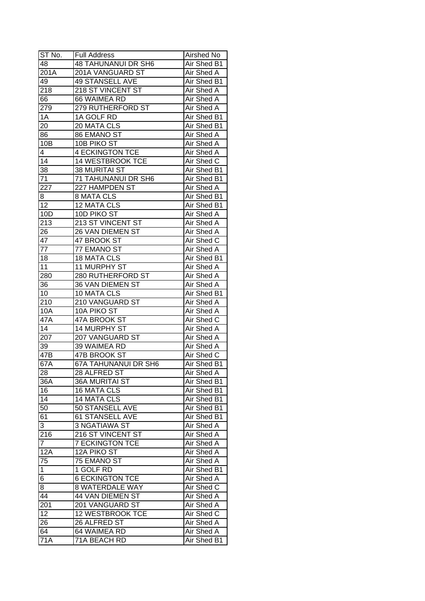| ST No.          | <b>Full Address</b>         | Airshed No        |
|-----------------|-----------------------------|-------------------|
| 48              | <b>48 TAHUNANUI DR SH6</b>  | Air Shed B1       |
| 201A            | 201A VANGUARD ST            | <b>Air Shed A</b> |
| 49              | 49 STANSELL AVE             | Air Shed B1       |
| 218             | 218 ST VINCENT ST           | Air Shed A        |
| 66              | 66 WAIMEA RD                | Air Shed A        |
| 279             | 279 RUTHERFORD ST           | Air Shed A        |
| 1A              | 1A GOLF RD                  | Air Shed B1       |
| 20              | 20 MATA CLS                 | Air Shed B1       |
| 86              | 86 EMANO ST                 | Air Shed A        |
| 10B             | 10B PIKO ST                 | Air Shed A        |
| $\overline{4}$  | <b>4 ECKINGTON TCE</b>      | Air Shed A        |
| 14              | 14 WESTBROOK TCE            | Air Shed C        |
| 38              | 38 MURITAI ST               | Air Shed B1       |
| 71              | 71 TAHUNANUI DR SH6         | Air Shed B1       |
| 227             | 227 HAMPDEN ST              | Air Shed A        |
| 8               | <b>8 MATA CLS</b>           | Air Shed B1       |
| $\overline{12}$ | 12 MATA CLS                 | Air Shed B1       |
| 10D             | 10D PIKO ST                 | Air Shed A        |
| 213             | 213 ST VINCENT ST           | Air Shed A        |
| 26              | 26 VAN DIEMEN ST            | Air Shed A        |
| 47              | 47 BROOK ST                 | Air Shed C        |
| 77              | 77 EMANO ST                 | Air Shed A        |
| 18              | 18 MATA CLS                 | Air Shed B1       |
| 11              | 11 MURPHY ST                | Air Shed A        |
| 280             | 280 RUTHERFORD ST           | Air Shed A        |
| 36              | 36 VAN DIEMEN ST            | Air Shed A        |
| 10              | 10 MATA CLS                 | Air Shed B1       |
| 210             | 210 VANGUARD ST             | Air Shed A        |
| 10A             | 10A PIKO ST                 | Air Shed A        |
| 47A             | 47A BROOK ST                | Air Shed C        |
| 14              | 14 MURPHY ST                | Air Shed A        |
| 207             | 207 VANGUARD ST             | Air Shed A        |
| 39              | 39 WAIMEA RD                | Air Shed A        |
| 47B             | <b>47B BROOK ST</b>         | Air Shed C        |
| 67A             | <b>67A TAHUNANUI DR SH6</b> | Air Shed B1       |
| 28              | 28 ALFRED ST                | Air Shed A        |
| 36A             | <b>36A MURITAI ST</b>       | Air Shed B1       |
| 16              | 16 MATA CLS                 | Air Shed B1       |
| 14              | <b>14 MATA CLS</b>          | Air Shed B1       |
| 50              | 50 STANSELL AVE             | Air Shed B1       |
| 61              | 61 STANSELL AVE             | Air Shed B1       |
| 3               | <b>3 NGATIAWA ST</b>        | Air Shed A        |
| 216             | 216 ST VINCENT ST           | Air Shed A        |
| $\overline{7}$  | <b>7 ECKINGTON TCE</b>      | Air Shed A        |
| 12A             | 12A PIKO ST                 | Air Shed A        |
| 75              | 75 EMANO ST                 | Air Shed A        |
| $\mathbf 1$     | 1 GOLF RD                   | Air Shed B1       |
| 6               | <b>6 ECKINGTON TCE</b>      | Air Shed A        |
| 8               | <b>8 WATERDALE WAY</b>      | Air Shed C        |
| 44              | 44 VAN DIEMEN ST            |                   |
|                 |                             | Air Shed A        |
| 201             | 201 VANGUARD ST             | Air Shed A        |
| 12              | 12 WESTBROOK TCE            | Air Shed C        |
| 26              | 26 ALFRED ST                | Air Shed A        |
| 64              | 64 WAIMEA RD                | Air Shed A        |
| 71A             | 71A BEACH RD                | Air Shed B1       |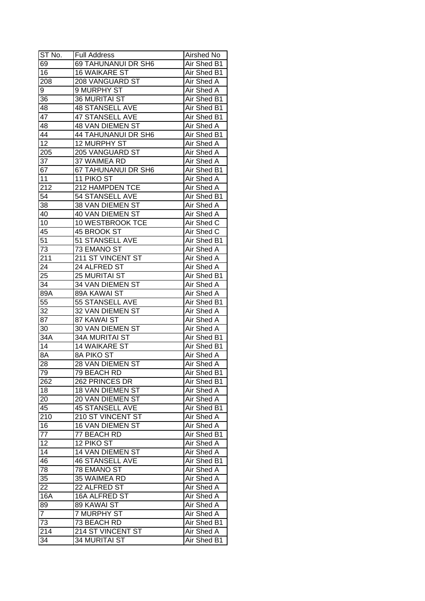| ST No.          | <b>Full Address</b>        | Airshed No        |
|-----------------|----------------------------|-------------------|
| 69              | <b>69 TAHUNANUI DR SH6</b> | Air Shed B1       |
| 16              | <b>16 WAIKARE ST</b>       | Air Shed B1       |
| 208             | 208 VANGUARD ST            | Air Shed A        |
| 9               | 9 MURPHY ST                | Air Shed A        |
| 36              | <b>36 MURITAI ST</b>       | Air Shed B1       |
| 48              | 48 STANSELL AVE            | Air Shed B1       |
| 47              | 47 STANSELL AVE            | Air Shed B1       |
| 48              | 48 VAN DIEMEN ST           | Air Shed A        |
| 44              | 44 TAHUNANUI DR SH6        | Air Shed B1       |
| $\overline{12}$ | <b>12 MURPHY ST</b>        | Air Shed A        |
| 205             | 205 VANGUARD ST            | Air Shed A        |
| 37              | 37 WAIMEA RD               | Air Shed A        |
| 67              | 67 TAHUNANUI DR SH6        | Air Shed B1       |
| 11              | 11 PIKO ST                 | Air Shed A        |
| 212             | 212 HAMPDEN TCE            | Air Shed A        |
| 54              | 54 STANSELL AVE            | Air Shed B1       |
| 38              | 38 VAN DIEMEN ST           | Air Shed A        |
| 40              | 40 VAN DIEMEN ST           | Air Shed A        |
| 10              | 10 WESTBROOK TCE           | Air Shed C        |
| 45              | 45 BROOK ST                | Air Shed C        |
| 51              | 51 STANSELL AVE            | Air Shed B1       |
| 73              | 73 EMANO ST                | Air Shed A        |
| 211             | 211 ST VINCENT ST          | Air Shed A        |
| 24              | 24 ALFRED ST               | Air Shed A        |
| 25              | 25 MURITAI ST              | Air Shed B1       |
| 34              | 34 VAN DIEMEN ST           | Air Shed A        |
| 89A             | 89A KAWAI ST               | Air Shed A        |
| $\overline{55}$ | 55 STANSELL AVE            | Air Shed B1       |
| 32              | 32 VAN DIEMEN ST           | Air Shed A        |
| $8\overline{7}$ | 87 KAWAI ST                | Air Shed A        |
| 30              | <b>30 VAN DIEMEN ST</b>    | Air Shed A        |
| 34A             | <b>34A MURITAI ST</b>      | Air Shed B1       |
| 14              | <b>14 WAIKARE ST</b>       | Air Shed B1       |
| 8A              | 8A PIKO ST                 | Air Shed A        |
| $\overline{28}$ | <b>28 VAN DIEMEN ST</b>    | <b>Air Shed A</b> |
| 79              | 79 BEACH RD                | Air Shed B1       |
| 262             | 262 PRINCES DR             | Air Shed B1       |
| 18              | 18 VAN DIEMEN ST           | Air Shed A        |
| 20              | 20 VAN DIEMEN ST           | Air Shed A        |
| 45              | <b>45 STANSELL AVE</b>     | Air Shed B1       |
| 210             | 210 ST VINCENT ST          | Air Shed A        |
| 16              | 16 VAN DIEMEN ST           | Air Shed A        |
| 77              | 77 BEACH RD                | Air Shed B1       |
| 12              | 12 PIKO ST                 | Air Shed A        |
| $\overline{14}$ | 14 VAN DIEMEN ST           | Air Shed A        |
| 46              | <b>46 STANSELL AVE</b>     | Air Shed B1       |
| 78              | 78 EMANO ST                | Air Shed A        |
| 35              | 35 WAIMEA RD               | Air Shed A        |
| 22              | 22 ALFRED ST               | Air Shed A        |
| 16A             | 16A ALFRED ST              | Air Shed A        |
| 89              | 89 KAWAI ST                | Air Shed A        |
| $\overline{7}$  | <b>7 MURPHY ST</b>         | Air Shed A        |
| 73              | 73 BEACH RD                | Air Shed B1       |
| 214             | 214 ST VINCENT ST          | Air Shed A        |
| 34              | <b>34 MURITAI ST</b>       | Air Shed B1       |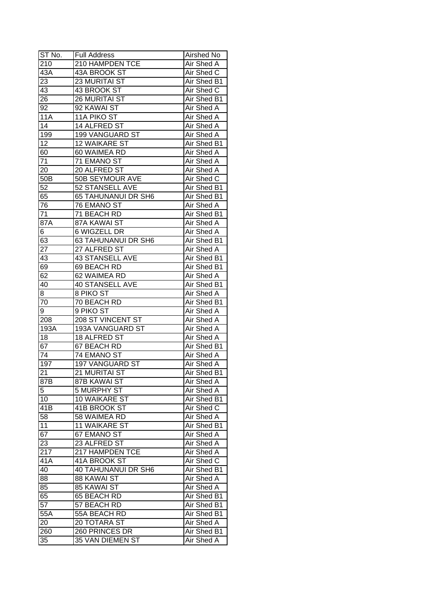| ST No.           | <b>Full Address</b>        | Airshed No        |
|------------------|----------------------------|-------------------|
| $\overline{210}$ | 210 HAMPDEN TCE            | Air Shed A        |
| 43A              | 43A BROOK ST               | Air Shed C        |
| 23               | 23 MURITAI ST              | Air Shed B1       |
| 43               | 43 BROOK ST                | Air Shed C        |
| 26               | <b>26 MURITAI ST</b>       | Air Shed B1       |
| 92               | 92 KAWAI ST                | Air Shed A        |
| 11A              | 11A PIKO ST                | Air Shed A        |
| 14               | 14 ALFRED ST               | Air Shed A        |
| 199              | 199 VANGUARD ST            | Air Shed A        |
| 12               | 12 WAIKARE ST              | Air Shed B1       |
| 60               | 60 WAIMEA RD               | Air Shed A        |
| 71               | 71 EMANO ST                | <b>Air Shed A</b> |
| 20               | 20 ALFRED ST               | Air Shed A        |
| 50 <sub>B</sub>  | 50B SEYMOUR AVE            | Air Shed C        |
| 52               | 52 STANSELL AVE            | Air Shed B1       |
| 65               | 65 TAHUNANUI DR SH6        | Air Shed B1       |
| 76               | 76 EMANO ST                | Air Shed A        |
| 71               | 71 BEACH RD                | Air Shed B1       |
| 87A              | 87A KAWAI ST               | Air Shed A        |
| 6                | 6 WIGZELL DR               | Air Shed A        |
| 63               | 63 TAHUNANUI DR SH6        | Air Shed B1       |
| 27               | 27 ALFRED ST               | Air Shed A        |
| 43               | <b>43 STANSELL AVE</b>     | Air Shed B1       |
| 69               | 69 BEACH RD                | Air Shed B1       |
| 62               | 62 WAIMEA RD               | Air Shed A        |
| 40               | 40 STANSELL AVE            | Air Shed B1       |
| 8                | 8 PIKO ST                  | Air Shed A        |
| 70               | 70 BEACH RD                | Air Shed B1       |
| 9                | 9 PIKO ST                  | Air Shed A        |
| 208              | 208 ST VINCENT ST          | Air Shed A        |
| 193A             | 193A VANGUARD ST           | Air Shed A        |
| 18               | <b>18 ALFRED ST</b>        | Air Shed A        |
| 67               | 67 BEACH RD                | Air Shed B1       |
| $\overline{74}$  | 74 EMANO ST                | Air Shed A        |
| 197              | <b>197 VANGUARD ST</b>     | <b>Air Shed A</b> |
| $\overline{21}$  | 21 MURITAI ST              | Air Shed B1       |
| 87B              | 87B KAWAI ST               | Air Shed A        |
| 5                | 5 MURPHY ST                | Air Shed A        |
| 10               | <b>10 WAIKARE ST</b>       | Air Shed B1       |
| 41B              | 41B BROOK ST               | Air Shed C        |
| 58               | 58 WAIMEA RD               | Air Shed A        |
| 11               | <b>11 WAIKARE ST</b>       | Air Shed B1       |
| 67               | 67 EMANO ST                | Air Shed A        |
| 23               | 23 ALFRED ST               | Air Shed A        |
| 217              | 217 HAMPDEN TCE            | Air Shed A        |
| 41A              | 41A BROOK ST               | Air Shed C        |
| 40               | <b>40 TAHUNANUI DR SH6</b> | Air Shed B1       |
| 88               | 88 KAWAI ST                | Air Shed A        |
| 85               | 85 KAWAI ST                | Air Shed A        |
| 65               | 65 BEACH RD                | Air Shed B1       |
| 57               | 57 BEACH RD                | Air Shed B1       |
| 55A              | 55A BEACH RD               | Air Shed B1       |
|                  |                            | Air Shed A        |
| 20               | 20 TOTARA ST               |                   |
| 260              | 260 PRINCES DR             | Air Shed B1       |
| 35               | 35 VAN DIEMEN ST           | Air Shed A        |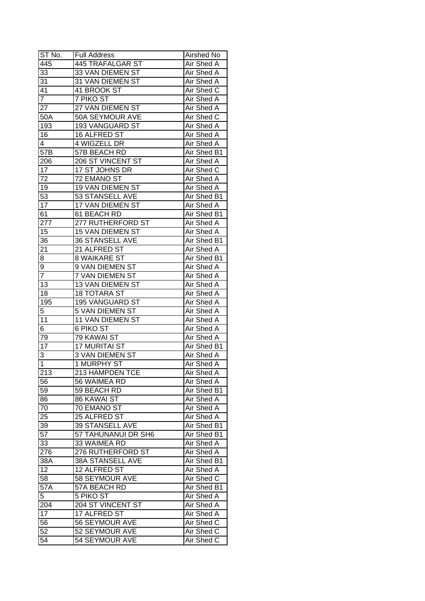| $ST$ No.         | <b>Full Address</b>     | Airshed No        |
|------------------|-------------------------|-------------------|
| 445              | <b>445 TRAFALGAR ST</b> | Air Shed A        |
| 33               | 33 VAN DIEMEN ST        | Air Shed A        |
| 31               | 31 VAN DIEMEN ST        | Air Shed A        |
| 41               | 41 BROOK ST             | Air Shed C        |
| $\overline{7}$   | 7 PIKO ST               | Air Shed A        |
| 27               | 27 VAN DIEMEN ST        | Air Shed A        |
| 50A              | 50A SEYMOUR AVE         | Air Shed C        |
| 193              | 193 VANGUARD ST         | Air Shed A        |
| 16               | 16 ALFRED ST            | Air Shed A        |
| 4                | 4 WIGZELL DR            | Air Shed A        |
| 57B              | 57B BEACH RD            | Air Shed B1       |
| 206              | 206 ST VINCENT ST       | Air Shed A        |
| 17               | 17 ST JOHNS DR          | Air Shed C        |
| 72               | 72 EMANO ST             | Air Shed A        |
| 19               | 19 VAN DIEMEN ST        | Air Shed A        |
| 53               | 53 STANSELL AVE         | Air Shed B1       |
| $\overline{17}$  | 17 VAN DIEMEN ST        | Air Shed A        |
| 61               | 61 BEACH RD             | Air Shed B1       |
| 277              | 277 RUTHERFORD ST       | Air Shed A        |
| 15               | 15 VAN DIEMEN ST        | Air Shed A        |
| 36               | 36 STANSELL AVE         | Air Shed B1       |
| 21               | 21 ALFRED ST            | Air Shed A        |
| 8                | <b>8 WAIKARE ST</b>     | Air Shed B1       |
| 9                | 9 VAN DIEMEN ST         | Air Shed A        |
| $\overline{7}$   | 7 VAN DIEMEN ST         | Air Shed A        |
| 13               | 13 VAN DIEMEN ST        | Air Shed A        |
| 18               | <b>18 TOTARA ST</b>     | <b>Air Shed A</b> |
| 195              | 195 VANGUARD ST         | <b>Air Shed A</b> |
| 5                | 5 VAN DIEMEN ST         | Air Shed A        |
| 11               | 11 VAN DIEMEN ST        | Air Shed A        |
| 6                | 6 PIKO ST               | Air Shed A        |
| $\overline{79}$  | <b>79 KAWAI ST</b>      | Air Shed A        |
| $\overline{17}$  | <b>17 MURITAI ST</b>    | Air Shed B1       |
| 3                | <b>3 VAN DIEMEN ST</b>  | <b>Air Shed A</b> |
| $\overline{1}$   | 1 MURPHY ST             | <b>Air Shed A</b> |
| $\overline{213}$ | 213 HAMPDEN TCE         | Air Shed A        |
| 56               | 56 WAIMEA RD            | Air Shed A        |
| 59               | 59 BEACH RD             | Air Shed B1       |
| 86               | 86 KAWAI ST             | Air Shed A        |
| 70               | 70 EMANO ST             | Air Shed A        |
| 25               | 25 ALFRED ST            | Air Shed A        |
| 39               | 39 STANSELL AVE         | Air Shed B1       |
| $\overline{57}$  | 57 TAHUNANUI DR SH6     | Air Shed B1       |
| 33               | 33 WAIMEA RD            | Air Shed A        |
| 276              | 276 RUTHERFORD ST       | Air Shed A        |
| $38\overline{A}$ | 38A STANSELL AVE        | Air Shed B1       |
| 12               | 12 ALFRED ST            | Air Shed A        |
| 58               | 58 SEYMOUR AVE          | Air Shed C        |
| 57A              | 57A BEACH RD            | Air Shed B1       |
| 5                | 5 PIKO ST               | Air Shed A        |
|                  | 204 ST VINCENT ST       | Air Shed A        |
| 204<br>17        |                         | Air Shed A        |
| 56               | 17 ALFRED ST            |                   |
|                  | 56 SEYMOUR AVE          | Air Shed C        |
| 52               | 52 SEYMOUR AVE          | Air Shed C        |
| 54               | 54 SEYMOUR AVE          | Air Shed C        |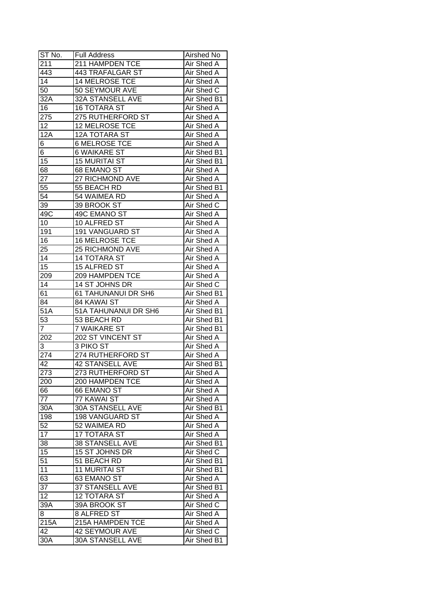| ST No.           | <b>Full Address</b>     | Airshed No        |
|------------------|-------------------------|-------------------|
| 211              | 211 HAMPDEN TCE         | Air Shed A        |
| 443              | 443 TRAFALGAR ST        | <b>Air Shed A</b> |
| 14               | <b>14 MELROSE TCE</b>   | Air Shed A        |
| 50               | 50 SEYMOUR AVE          | Air Shed C        |
| 32A              | 32A STANSELL AVE        | Air Shed B1       |
| 16               | <b>16 TOTARA ST</b>     | Air Shed A        |
| 275              | 275 RUTHERFORD ST       | Air Shed A        |
| 12               | <b>12 MELROSE TCE</b>   | Air Shed A        |
| 12A              | 12A TOTARA ST           | Air Shed A        |
| 6                | <b>6 MELROSE TCE</b>    | Air Shed A        |
| 6                | <b>6 WAIKARE ST</b>     | Air Shed B1       |
| 15               | <b>15 MURITAI ST</b>    | Air Shed B1       |
| 68               | 68 EMANO ST             | Air Shed A        |
| 27               | 27 RICHMOND AVE         | Air Shed A        |
| 55               | 55 BEACH RD             | Air Shed B1       |
| 54               | 54 WAIMEA RD            | Air Shed A        |
| 39               | 39 BROOK ST             | Air Shed C        |
| 49C              | 49C EMANO ST            | Air Shed A        |
| 10               | 10 ALFRED ST            | Air Shed A        |
| 191              | <b>191 VANGUARD ST</b>  | Air Shed A        |
| 16               | 16 MELROSE TCE          | Air Shed A        |
| 25               | 25 RICHMOND AVE         | Air Shed A        |
| 14               | <b>14 TOTARA ST</b>     | Air Shed A        |
| 15               | 15 ALFRED ST            | Air Shed A        |
| 209              | 209 HAMPDEN TCE         | Air Shed A        |
| 14               | 14 ST JOHNS DR          | Air Shed C        |
| 61               | 61 TAHUNANUI DR SH6     | Air Shed B1       |
| 84               | 84 KAWAI ST             | Air Shed A        |
| 51A              | 51A TAHUNANUI DR SH6    | Air Shed B1       |
| 53               | 53 BEACH RD             | Air Shed B1       |
| $\overline{7}$   | <b>7 WAIKARE ST</b>     | Air Shed B1       |
| 202              | 202 ST VINCENT ST       | Air Shed A        |
| 3                | 3 PIKO ST               | Air Shed A        |
| 274              | 274 RUTHERFORD ST       | Air Shed A        |
| 42               | <b>42 STANSELL AVE</b>  | Air Shed B1       |
| $\overline{273}$ | 273 RUTHERFORD ST       | Air Shed A        |
| 200              | 200 HAMPDEN TCE         | Air Shed A        |
| 66               | 66 EMANO ST             | Air Shed A        |
| 77               | 77 KAWAI ST             | Air Shed A        |
| 30A              | <b>30A STANSELL AVE</b> | Air Shed B1       |
| 198              | 198 VANGUARD ST         | Air Shed A        |
| 52               | 52 WAIMEA RD            | Air Shed A        |
| 17               | 17 TOTARA ST            | Air Shed A        |
| 38               | 38 STANSELL AVE         | Air Shed B1       |
| 15               | 15 ST JOHNS DR          | Air Shed C        |
| 51               | 51 BEACH RD             | Air Shed B1       |
| 11               | <b>11 MURITAI ST</b>    | Air Shed B1       |
| 63               | 63 EMANO ST             | Air Shed A        |
| 37               | 37 STANSELL AVE         | Air Shed B1       |
| 12               | <b>12 TOTARA ST</b>     | Air Shed A        |
| 39A              | 39A BROOK ST            | Air Shed C        |
| 8                | 8 ALFRED ST             | Air Shed A        |
| 215A             | 215A HAMPDEN TCE        | Air Shed A        |
| 42               | 42 SEYMOUR AVE          | Air Shed C        |
|                  | 30A STANSELL AVE        |                   |
| 30A              |                         | Air Shed B1       |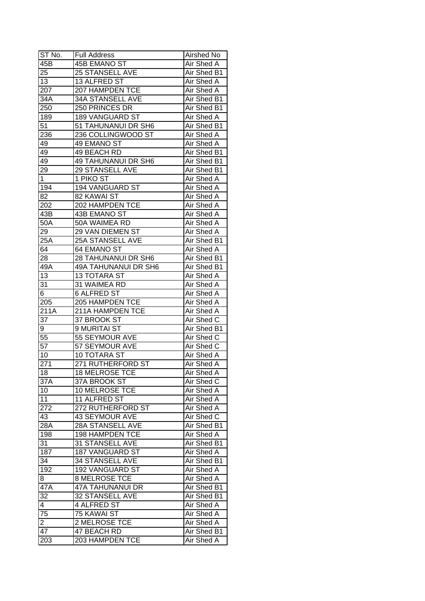| ST No.           | <b>Full Address</b>            | Airshed No                |
|------------------|--------------------------------|---------------------------|
| 45B              | <b>45B EMANO ST</b>            | Air Shed A                |
| 25               | 25 STANSELL AVE                | Air Shed B1               |
| 13               | 13 ALFRED ST                   | Air Shed A                |
| 207              | 207 HAMPDEN TCE                | Air Shed A                |
| 34A              | <b>34A STANSELL AVE</b>        | Air Shed B1               |
| 250              | 250 PRINCES DR                 | Air Shed B1               |
| 189              | 189 VANGUARD ST                | Air Shed A                |
| 51               | 51 TAHUNANUI DR SH6            | Air Shed B1               |
| 236              | 236 COLLINGWOOD ST             | Air Shed A                |
| 49               | 49 EMANO ST                    | Air Shed A                |
| 49               | 49 BEACH RD                    | Air Shed B1               |
| 49               | 49 TAHUNANUI DR SH6            | Air Shed B1               |
| 29               | 29 STANSELL AVE                | Air Shed B1               |
| 1                | 1 PIKO ST                      | Air Shed A                |
| 194              | 194 VANGUARD ST                | Air Shed A                |
| 82               | 82 KAWAI ST                    | Air Shed A                |
| 202              | 202 HAMPDEN TCE                | Air Shed A                |
| 43B              | 43B EMANO ST                   | Air Shed A                |
| 50A              | 50A WAIMEA RD                  | Air Shed A                |
| 29               | 29 VAN DIEMEN ST               | Air Shed A                |
| 25A              | 25A STANSELL AVE               | Air Shed B1               |
| 64               | 64 EMANO ST                    | Air Shed A                |
| 28               | 28 TAHUNANUI DR SH6            | Air Shed B1               |
| 49A              | 49A TAHUNANUI DR SH6           | Air Shed B1               |
| 13               | <b>13 TOTARA ST</b>            | Air Shed A                |
| 31               | 31 WAIMEA RD                   | Air Shed A                |
| 6                | <b>6 ALFRED ST</b>             | Air Shed A                |
| 205              | 205 HAMPDEN TCE                | Air Shed A                |
| 211A             | 211A HAMPDEN TCE               | Air Shed A                |
| 37               | 37 BROOK ST                    | Air Shed C                |
| 9                | 9 MURITAI ST                   | Air Shed B1               |
| 55               | <b>55 SEYMOUR AVE</b>          | Air Shed C                |
| $\overline{57}$  | <b>57 SEYMOUR AVE</b>          | Air Shed C                |
| 10               | <b>10 TOTARA ST</b>            | Air Shed A                |
| 271              | 271 RUTHERFORD ST              | <b>Air Shed A</b>         |
| $\overline{18}$  | <b>18 MELROSE TCE</b>          | Air Shed A                |
| 37A              | 37A BROOK ST                   | Air Shed C                |
| 10               | 10 MELROSE TCE                 | Air Shed A                |
| 11               | 11 ALFRED ST                   | Air Shed A                |
| 272              | 272 RUTHERFORD ST              | Air Shed A                |
| 43               | 43 SEYMOUR AVE                 | Air Shed C                |
| 28A              | 28A STANSELL AVE               | Air Shed B1               |
| 198              | 198 HAMPDEN TCE                | Air Shed A                |
| 31               | 31 STANSELL AVE                | Air Shed B1               |
| $18\overline{7}$ | 187 VANGUARD ST                | Air Shed A                |
| 34               | <b>34 STANSELL AVE</b>         | Air Shed B1               |
| 192              | 192 VANGUARD ST                | Air Shed A                |
| 8                | <b>8 MELROSE TCE</b>           | Air Shed A                |
| 47A              | <b>47A TAHUNANUI DR</b>        | Air Shed B1               |
| 32               | 32 STANSELL AVE                | Air Shed B1               |
| 4                | 4 ALFRED ST                    | Air Shed A                |
| 75               | 75 KAWAI ST                    | Air Shed A                |
| $\overline{2}$   | 2 MELROSE TCE                  | Air Shed A                |
| 47               |                                |                           |
| 203              | 47 BEACH RD<br>203 HAMPDEN TCE | Air Shed B1<br>Air Shed A |
|                  |                                |                           |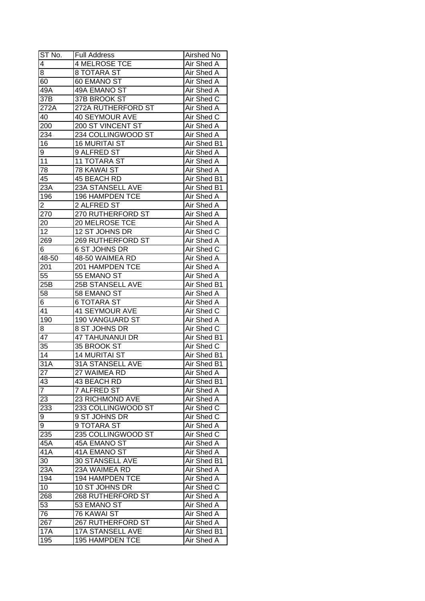| ST No.               | <b>Full Address</b>      | Airshed No               |
|----------------------|--------------------------|--------------------------|
| 4                    | <b>4 MELROSE TCE</b>     | Air Shed A               |
| $\overline{8}$       | 8 TOTARA ST              | Air Shed A               |
| 60                   | 60 EMANO ST              | Air Shed A               |
| 49A                  | <b>49A EMANO ST</b>      | <b>Air Shed A</b>        |
| 37B                  | 37B BROOK ST             | Air Shed C               |
| 272A                 | 272A RUTHERFORD ST       | Air Shed A               |
| 40                   | <b>40 SEYMOUR AVE</b>    | Air Shed C               |
| 200                  | 200 ST VINCENT ST        | Air Shed A               |
| 234                  | 234 COLLINGWOOD ST       | Air Shed A               |
| 16                   | <b>16 MURITAI ST</b>     | Air Shed B1              |
| 9                    | 9 ALFRED ST              | Air Shed A               |
| 11                   | <b>11 TOTARA ST</b>      | Air Shed A               |
| 78                   | 78 KAWAI ST              | <b>Air Shed A</b>        |
| 45                   | 45 BEACH RD              | Air Shed B1              |
| 23A                  | 23A STANSELL AVE         | Air Shed B1              |
| 196                  | 196 HAMPDEN TCE          | Air Shed A               |
| 2                    | 2 ALFRED ST              | Air Shed A               |
| 270                  | 270 RUTHERFORD ST        | Air Shed A               |
| 20                   | 20 MELROSE TCE           | Air Shed A               |
| 12                   | 12 ST JOHNS DR           | Air Shed C               |
| 269                  | <b>269 RUTHERFORD ST</b> | Air Shed A               |
| 6                    | 6 ST JOHNS DR            | Air Shed C               |
| 48-50                | 48-50 WAIMEA RD          | Air Shed A               |
| 201                  | 201 HAMPDEN TCE          | Air Shed A               |
| 55                   | 55 EMANO ST              | Air Shed A               |
| 25B                  | 25B STANSELL AVE         | Air Shed B1              |
| 58                   | 58 EMANO ST              |                          |
| 6                    | <b>6 TOTARA ST</b>       | Air Shed A<br>Air Shed A |
| 41                   | 41 SEYMOUR AVE           | Air Shed C               |
| 190                  | 190 VANGUARD ST          | Air Shed A               |
|                      | 8 ST JOHNS DR            | Air Shed C               |
| 8<br>$\overline{47}$ | <b>47 TAHUNANUI DR</b>   | Air Shed B1              |
| $\overline{35}$      | 35 BROOK ST              | Air Shed C               |
| $\overline{14}$      | <b>14 MURITAI ST</b>     | Air Shed B1              |
| $\overline{31A}$     | <b>31A STANSELL AVE</b>  | Air Shed B1              |
| 27                   | 27 WAIMEA RD             | <b>Air Shed A</b>        |
|                      | 43 BEACH RD              | Air Shed B1              |
| 43<br>$\overline{7}$ |                          |                          |
|                      | 7 ALFRED ST              | Air Shed A               |
| 23                   | 23 RICHMOND AVE          | Air Shed A               |
| 233                  | 233 COLLINGWOOD ST       | Air Shed C               |
| 9                    | 9 ST JOHNS DR            | Air Shed C               |
| 9                    | 9 TOTARA ST              | Air Shed A               |
| 235                  | 235 COLLINGWOOD ST       | Air Shed C               |
| 45A                  | 45A EMANO ST             | Air Shed A               |
| 41A                  | 41A EMANO ST             | Air Shed A               |
| 30                   | 30 STANSELL AVE          | Air Shed B1              |
| 23A                  | 23A WAIMEA RD            | Air Shed A               |
| 194                  | 194 HAMPDEN TCE          | Air Shed A               |
| 10                   | 10 ST JOHNS DR           | Air Shed C               |
| 268                  | <b>268 RUTHERFORD ST</b> | Air Shed A               |
| 53                   | 53 EMANO ST              | Air Shed A               |
| 76                   | 76 KAWAI ST              | Air Shed A               |
| 267                  | <b>267 RUTHERFORD ST</b> | Air Shed A               |
| <b>17A</b>           | 17A STANSELL AVE         | Air Shed B1              |
| 195                  | 195 HAMPDEN TCE          | Air Shed A               |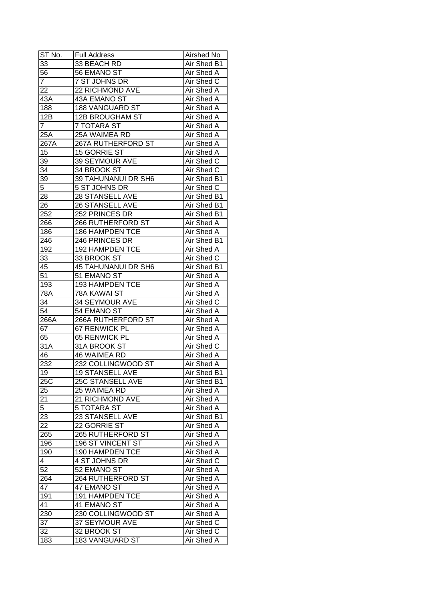| ST No.          | <b>Full Address</b>        | Airshed No        |
|-----------------|----------------------------|-------------------|
| 33              | 33 BEACH RD                | Air Shed B1       |
| 56              | 56 EMANO ST                | Air Shed A        |
| $\overline{7}$  | 7 ST JOHNS DR              | Air Shed C        |
| 22              | <b>22 RICHMOND AVE</b>     | <b>Air Shed A</b> |
| 43A             | 43A EMANO ST               | Air Shed A        |
| 188             | 188 VANGUARD ST            | Air Shed A        |
| 12B             | <b>12B BROUGHAM ST</b>     | Air Shed A        |
| $\overline{7}$  | 7 TOTARA ST                | Air Shed A        |
| 25A             | 25A WAIMEA RD              | Air Shed A        |
| 267A            | 267A RUTHERFORD ST         | Air Shed A        |
| 15              | 15 GORRIE ST               | Air Shed A        |
| 39              | 39 SEYMOUR AVE             | Air Shed C        |
| $\overline{34}$ | 34 BROOK ST                | Air Shed C        |
| 39              | 39 TAHUNANUI DR SH6        | Air Shed B1       |
| $\overline{5}$  | 5 ST JOHNS DR              | Air Shed C        |
| 28              | 28 STANSELL AVE            | Air Shed B1       |
| 26              | 26 STANSELL AVE            | Air Shed B1       |
| 252             | 252 PRINCES DR             | Air Shed B1       |
| 266             | 266 RUTHERFORD ST          | Air Shed A        |
| 186             | 186 HAMPDEN TCE            | Air Shed A        |
| 246             | 246 PRINCES DR             | Air Shed B1       |
| 192             | <b>192 HAMPDEN TCE</b>     | Air Shed A        |
| 33              | 33 BROOK ST                | Air Shed C        |
| 45              | <b>45 TAHUNANUI DR SH6</b> | Air Shed B1       |
| 51              | 51 EMANO ST                | Air Shed A        |
| 193             | 193 HAMPDEN TCE            | Air Shed A        |
| 78A             | 78A KAWAI ST               | Air Shed A        |
| 34              | 34 SEYMOUR AVE             | Air Shed C        |
| 54              | 54 EMANO ST                | Air Shed A        |
| 266A            | 266A RUTHERFORD ST         | Air Shed A        |
| 67              | 67 RENWICK PL              | <b>Air Shed A</b> |
| 65              | <b>65 RENWICK PL</b>       | Air Shed A        |
| 31A             | 31A BROOK ST               | Air Shed C        |
| 46              | <b>46 WAIMEA RD</b>        | Air Shed A        |
| 232             | 232 COLLINGWOOD ST         | <b>Air Shed A</b> |
| 19              | <b>19 STANSELL AVE</b>     | Air Shed B1       |
| 25C             | 25C STANSELL AVE           | Air Shed B1       |
| 25              | 25 WAIMEA RD               | Air Shed A        |
| 21              | 21 RICHMOND AVE            | Air Shed A        |
| 5               | 5 TOTARA ST                | Air Shed A        |
| 23              | 23 STANSELL AVE            | Air Shed B1       |
| 22              | 22 GORRIE ST               | Air Shed A        |
| 265             | 265 RUTHERFORD ST          | Air Shed A        |
| 196             | 196 ST VINCENT ST          | Air Shed A        |
| 190             | 190 HAMPDEN TCE            | Air Shed A        |
| $\overline{4}$  | 4 ST JOHNS DR              | Air Shed C        |
| $\overline{52}$ | 52 EMANO ST                | Air Shed A        |
| 264             | 264 RUTHERFORD ST          | Air Shed A        |
| 47              | 47 EMANO ST                | Air Shed A        |
| 191             | 191 HAMPDEN TCE            | Air Shed A        |
| 41              | 41 EMANO ST                | Air Shed A        |
| 230             | 230 COLLINGWOOD ST         | Air Shed A        |
| 37              | 37 SEYMOUR AVE             | Air Shed C        |
| 32              | 32 BROOK ST                | Air Shed C        |
| 183             | <b>183 VANGUARD ST</b>     | Air Shed A        |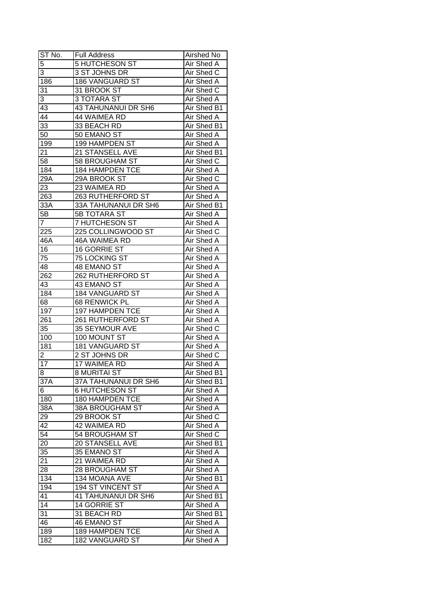| ST No.                        | <b>Full Address</b>                         | Airshed No                       |
|-------------------------------|---------------------------------------------|----------------------------------|
| 5                             | <b>5 HUTCHESON ST</b>                       | Air Shed A                       |
| 3                             | 3 ST JOHNS DR                               | Air Shed C                       |
| 186                           | 186 VANGUARD ST                             | Air Shed A                       |
| 31                            | 31 BROOK ST                                 | Air Shed C                       |
| 3                             | 3 TOTARA ST                                 | Air Shed A                       |
| 43                            | 43 TAHUNANUI DR SH6                         | Air Shed B1                      |
| 44                            | 44 WAIMEA RD                                | Air Shed A                       |
| 33                            | 33 BEACH RD                                 | Air Shed B1                      |
| 50                            | 50 EMANO ST                                 | Air Shed A                       |
| 199                           | 199 HAMPDEN ST                              | Air Shed A                       |
| 21                            | 21 STANSELL AVE                             | Air Shed B1                      |
| $\overline{58}$               | 58 BROUGHAM ST                              | Air Shed C                       |
| 184                           | 184 HAMPDEN TCE                             | Air Shed A                       |
| 29A                           | 29A BROOK ST                                | Air Shed C                       |
| 23                            | 23 WAIMEA RD                                | Air Shed A                       |
| 263                           | 263 RUTHERFORD ST                           | Air Shed A                       |
| 33A                           | 33A TAHUNANUI DR SH6                        | Air Shed B1                      |
| 5Β                            | <b>5B TOTARA ST</b>                         | Air Shed A                       |
| $\overline{7}$                | 7 HUTCHESON ST                              | Air Shed A                       |
| 225                           | 225 COLLINGWOOD ST                          | Air Shed C                       |
| 46A                           | 46A WAIMEA RD                               | Air Shed A                       |
| 16                            | 16 GORRIE ST                                | Air Shed A                       |
| 75                            | 75 LOCKING ST                               | Air Shed A                       |
| 48                            | 48 EMANO ST                                 | Air Shed A                       |
| 262                           | 262 RUTHERFORD ST                           | Air Shed A                       |
| 43                            | 43 EMANO ST                                 |                                  |
| 184                           | 184 VANGUARD ST                             | Air Shed A<br>Air Shed A         |
| 68                            |                                             | Air Shed A                       |
|                               | 68 RENWICK PL                               |                                  |
| 197                           | 197 HAMPDEN TCE<br><b>261 RUTHERFORD ST</b> | Air Shed A<br>Air Shed A         |
| 261<br>35                     | 35 SEYMOUR AVE                              | Air Shed C                       |
| 100                           | 100 MOUNT ST                                | <b>Air Shed A</b>                |
| 181                           | <b>181 VANGUARD ST</b>                      | <b>Air Shed A</b>                |
|                               | 2 ST JOHNS DR                               | Air Shed C                       |
| $\overline{\mathbf{c}}$<br>17 | <b>17 WAIMEA RD</b>                         |                                  |
|                               |                                             | <b>Air Shed A</b><br>Air Shed B1 |
| $\overline{8}$                | <b>8 MURITAI ST</b>                         |                                  |
| 37A                           | 37A TAHUNANUI DR SH6                        | Air Shed B1                      |
| 6                             | <b>6 HUTCHESON ST</b>                       | Air Shed A                       |
| 180                           | 180 HAMPDEN TCE                             | Air Shed A                       |
| 38A                           | 38A BROUGHAM ST                             | Air Shed A                       |
| 29                            | 29 BROOK ST                                 | Air Shed C                       |
| 42                            | 42 WAIMEA RD                                | Air Shed A                       |
| 54                            | 54 BROUGHAM ST                              | Air Shed C                       |
| 20                            | 20 STANSELL AVE                             | Air Shed B1                      |
| 35                            | 35 EMANO ST                                 | Air Shed A                       |
| 21                            | 21 WAIMEA RD                                | Air Shed A                       |
| 28                            | 28 BROUGHAM ST                              | Air Shed A                       |
| 134                           | 134 MOANA AVE                               | Air Shed B1                      |
| 194                           | <b>194 ST VINCENT ST</b>                    | Air Shed A                       |
| 41                            | <b>41 TAHUNANUI DR SH6</b>                  | Air Shed B1                      |
| $\overline{14}$               | 14 GORRIE ST                                | Air Shed A                       |
| 31                            | 31 BEACH RD                                 | Air Shed B1                      |
| 46                            | <b>46 EMANO ST</b>                          | Air Shed A                       |
| 189                           | <b>189 HAMPDEN TCE</b>                      | Air Shed A                       |
| 182                           | <b>182 VANGUARD ST</b>                      | Air Shed A                       |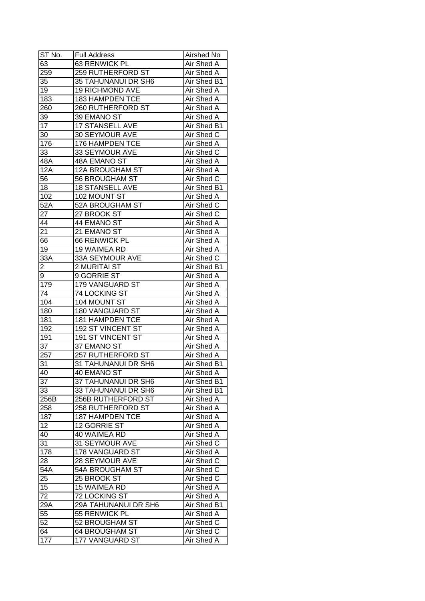| ST No.          | <b>Full Address</b>      | Airshed No        |
|-----------------|--------------------------|-------------------|
| 63              | 63 RENWICK PL            | Air Shed A        |
| 259             | 259 RUTHERFORD ST        | Air Shed A        |
| 35              | 35 TAHUNANUI DR SH6      | Air Shed B1       |
| $\overline{19}$ | <b>19 RICHMOND AVE</b>   | Air Shed A        |
| 183             | <b>183 HAMPDEN TCE</b>   | Air Shed A        |
| 260             | 260 RUTHERFORD ST        | Air Shed A        |
| 39              | 39 EMANO ST              | Air Shed A        |
| 17              | 17 STANSELL AVE          | Air Shed B1       |
| 30              | 30 SEYMOUR AVE           | Air Shed C        |
| 176             | 176 HAMPDEN TCE          | Air Shed A        |
| 33              | 33 SEYMOUR AVE           | Air Shed C        |
| 48A             | 48A EMANO ST             | Air Shed A        |
| 12A             | 12A BROUGHAM ST          | <b>Air Shed A</b> |
| 56              | 56 BROUGHAM ST           | Air Shed C        |
| 18              | <b>18 STANSELL AVE</b>   | Air Shed B1       |
| 102             | 102 MOUNT ST             | Air Shed A        |
| 52A             | 52A BROUGHAM ST          | Air Shed C        |
| 27              | 27 BROOK ST              | Air Shed C        |
| 44              | 44 EMANO ST              | Air Shed A        |
| 21              | 21 EMANO ST              | Air Shed A        |
| 66              | 66 RENWICK PL            | Air Shed A        |
| 19              | 19 WAIMEA RD             | Air Shed A        |
| 33A             | 33A SEYMOUR AVE          | Air Shed C        |
| 2               | 2 MURITAI ST             | Air Shed B1       |
| 9               | 9 GORRIE ST              | Air Shed A        |
| 179             | 179 VANGUARD ST          | Air Shed A        |
| 74              | 74 LOCKING ST            | Air Shed A        |
| 104             | 104 MOUNT ST             | <b>Air Shed A</b> |
| 180             | 180 VANGUARD ST          | Air Shed A        |
| 181             | 181 HAMPDEN TCE          | Air Shed A        |
| 192             | 192 ST VINCENT ST        | Air Shed A        |
| 191             | <b>191 ST VINCENT ST</b> | Air Shed A        |
| 37              | 37 EMANO ST              | Air Shed A        |
| 257             | 257 RUTHERFORD ST        | Air Shed A        |
| 31              | 31 TAHUNANUI DR SH6      | Air Shed B1       |
| 40              | 40 EMANO ST              | Air Shed A        |
| 37              | 37 TAHUNANUI DR SH6      | Air Shed B1       |
| 33              | 33 TAHUNANUI DR SH6      | Air Shed B1       |
| 256B            | 256B RUTHERFORD ST       | Air Shed A        |
| 258             | 258 RUTHERFORD ST        | Air Shed A        |
| 187             | <b>187 HAMPDEN TCE</b>   | Air Shed A        |
| 12              | 12 GORRIE ST             | Air Shed A        |
| 40              | 40 WAIMEA RD             | Air Shed A        |
| 31              | 31 SEYMOUR AVE           | Air Shed C        |
| 178             | 178 VANGUARD ST          | Air Shed A        |
| 28              | 28 SEYMOUR AVE           | Air Shed C        |
| 54A             | 54A BROUGHAM ST          | Air Shed C        |
| 25              | 25 BROOK ST              | Air Shed C        |
| 15              | 15 WAIMEA RD             | Air Shed A        |
| 72              | 72 LOCKING ST            | Air Shed A        |
| 29A             | 29A TAHUNANUI DR SH6     | Air Shed B1       |
| $5\overline{5}$ | 55 RENWICK PL            | Air Shed A        |
| 52              | 52 BROUGHAM ST           | Air Shed C        |
| 64              | <b>64 BROUGHAM ST</b>    | Air Shed C        |
| 177             | 177 VANGUARD ST          | Air Shed A        |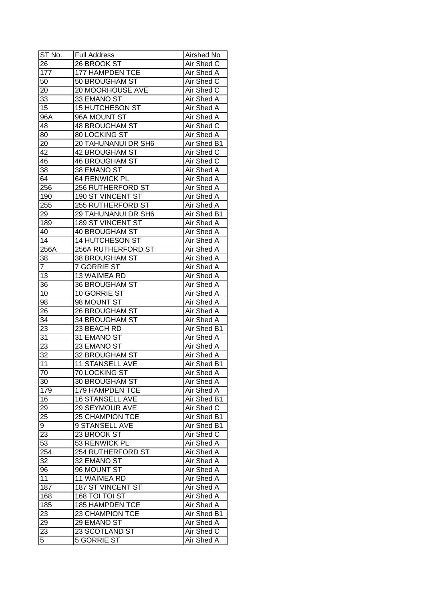| ST No.          | Full Address             | Airshed No        |
|-----------------|--------------------------|-------------------|
| 26              | 26 BROOK ST              | Air Shed C        |
| 177             | <b>177 HAMPDEN TCE</b>   | Air Shed A        |
| 50              | 50 BROUGHAM ST           | Air Shed C        |
| 20              | 20 MOORHOUSE AVE         | Air Shed C        |
| 33              | 33 EMANO ST              | Air Shed A        |
| 15              | <b>15 HUTCHESON ST</b>   | Air Shed A        |
| 96A             | 96A MOUNT ST             | Air Shed A        |
| 48              | <b>48 BROUGHAM ST</b>    | Air Shed C        |
| 80              | 80 LOCKING ST            | Air Shed A        |
| 20              | 20 TAHUNANUI DR SH6      | Air Shed B1       |
| 42              | 42 BROUGHAM ST           | Air Shed C        |
| 46              | <b>46 BROUGHAM ST</b>    | Air Shed C        |
| 38              | 38 EMANO ST              | Air Shed A        |
| 64              | 64 RENWICK PL            | Air Shed A        |
| 256             | 256 RUTHERFORD ST        | Air Shed A        |
| 190             | 190 ST VINCENT ST        | Air Shed A        |
| 255             | 255 RUTHERFORD ST        | Air Shed A        |
| 29              | 29 TAHUNANUI DR SH6      | Air Shed B1       |
| 189             | <b>189 ST VINCENT ST</b> | Air Shed A        |
| 40              | <b>40 BROUGHAM ST</b>    | Air Shed A        |
| 14              | 14 HUTCHESON ST          | Air Shed A        |
| 256A            | 256A RUTHERFORD ST       | Air Shed A        |
| 38              | 38 BROUGHAM ST           | Air Shed A        |
| 7               | <b>7 GORRIE ST</b>       | Air Shed A        |
| 13              | 13 WAIMEA RD             | Air Shed A        |
| 36              | 36 BROUGHAM ST           | Air Shed A        |
| 10              | 10 GORRIE ST             | Air Shed A        |
| 98              | 98 MOUNT ST              | Air Shed A        |
| 26              | 26 BROUGHAM ST           | Air Shed A        |
| $3\overline{4}$ | 34 BROUGHAM ST           | Air Shed A        |
| 23              | 23 BEACH RD              | Air Shed B1       |
| 31              | 31 EMANO ST              | Air Shed A        |
| 23              | 23 EMANO ST              | Air Shed A        |
| $\overline{32}$ | <b>32 BROUGHAM ST</b>    | <b>Air Shed A</b> |
| 11              | <b>11 STANSELL AVE</b>   | Air Shed B1       |
| 70              | 70 LOCKING ST            | <b>Air Shed A</b> |
| 30              | 30 BROUGHAM ST           | Air Shed A        |
| 179             | 179 HAMPDEN TCE          | Air Shed A        |
| 16              | 16 STANSELL AVE          | Air Shed B1       |
| 29              | 29 SEYMOUR AVE           | Air Shed C        |
| 25              | 25 CHAMPION TCE          | Air Shed B1       |
| 9               | 9 STANSELL AVE           | Air Shed B1       |
| 23              | 23 BROOK ST              | Air Shed C        |
| 53              | 53 RENWICK PL            | Air Shed A        |
| 254             | 254 RUTHERFORD ST        | Air Shed A        |
| 32              | 32 EMANO ST              | Air Shed A        |
| 96              | 96 MOUNT ST              | Air Shed A        |
| 11              | 11 WAIMEA RD             | Air Shed A        |
| 187             | 187 ST VINCENT ST        | Air Shed A        |
|                 | 168 TOI TOI ST           |                   |
| 168             |                          | Air Shed A        |
| 185             | <b>185 HAMPDEN TCE</b>   | Air Shed A        |
| 23              | 23 CHAMPION TCE          | Air Shed B1       |
| 29              | 29 EMANO ST              | Air Shed A        |
| $2\overline{3}$ | 23 SCOTLAND ST           | Air Shed C        |
| 5               | 5 GORRIE ST              | Air Shed A        |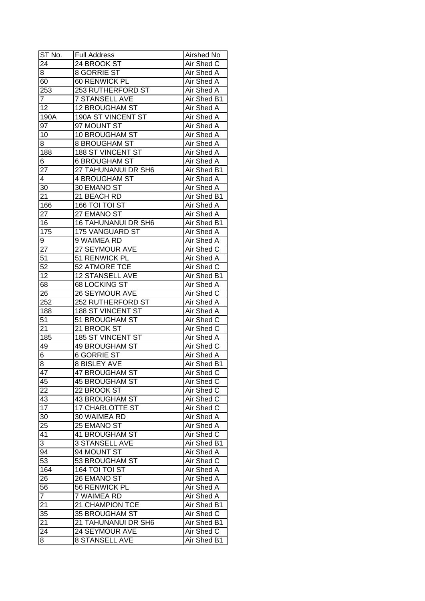| ST No.           | <b>Full Address</b>      | Airshed No         |
|------------------|--------------------------|--------------------|
| 24               | 24 BROOK ST              | Air Shed C         |
| 8                | <b>8 GORRIE ST</b>       | Air Shed A         |
| 60               | 60 RENWICK PL            | Air Shed A         |
| 253              | 253 RUTHERFORD ST        | <b>Air Shed A</b>  |
| 7                | <b>7 STANSELL AVE</b>    | Air Shed B1        |
| 12               | <b>12 BROUGHAM ST</b>    | Air Shed A         |
| 190A             | 190A ST VINCENT ST       | Air Shed A         |
| 97               | 97 MOUNT ST              | Air Shed A         |
| 10               | 10 BROUGHAM ST           | Air Shed A         |
| 8                | 8 BROUGHAM ST            | Air Shed A         |
| 188              | 188 ST VINCENT ST        | Air Shed A         |
| 6                | <b>6 BROUGHAM ST</b>     | Air Shed A         |
| 27               | 27 TAHUNANUI DR SH6      | Air Shed B1        |
| 4                | 4 BROUGHAM ST            | Air Shed A         |
| 30               | 30 EMANO ST              | Air Shed A         |
| 21               | 21 BEACH RD              | Air Shed B1        |
| 166              | 166 TOI TOI ST           | Air Shed A         |
| 27               | 27 EMANO ST              | Air Shed A         |
| 16               | 16 TAHUNANUI DR SH6      | Air Shed B1        |
| $\overline{175}$ | <b>175 VANGUARD ST</b>   | Air Shed A         |
| 9                | 9 WAIMEA RD              | Air Shed A         |
| 27               | 27 SEYMOUR AVE           | Air Shed C         |
| 51               | 51 RENWICK PL            | Air Shed A         |
| 52               | 52 ATMORE TCE            | Air Shed C         |
| 12               | 12 STANSELL AVE          | Air Shed B1        |
| 68               | <b>68 LOCKING ST</b>     | Air Shed A         |
| 26               | 26 SEYMOUR AVE           | Air Shed C         |
| 252              | 252 RUTHERFORD ST        | Air Shed A         |
| 188              | 188 ST VINCENT ST        | Air Shed A         |
| 51               | 51 BROUGHAM ST           | Air Shed C         |
| 21               | 21 BROOK ST              | Air Shed C         |
| 185              | <b>185 ST VINCENT ST</b> | <b>Air Shed A</b>  |
| 49               | <b>49 BROUGHAM ST</b>    | <b>Air Shed C</b>  |
| $\overline{6}$   | <b>6 GORRIE ST</b>       | <b>Air Shed A</b>  |
| $\overline{8}$   | <b>8 BISLEY AVE</b>      | <b>Air Shed B1</b> |
| 47               | <b>47 BROUGHAM ST</b>    | Air Shed C         |
| 45               | <b>45 BROUGHAM ST</b>    | Air Shed C         |
| 22               | 22 BROOK ST              | Air Shed C         |
| 43               | <b>43 BROUGHAM ST</b>    | Air Shed C         |
| $\overline{17}$  | 17 CHARLOTTE ST          | Air Shed C         |
| 30               | 30 WAIMEA RD             | Air Shed A         |
| 25               | 25 EMANO ST              | Air Shed A         |
| 41               | <b>41 BROUGHAM ST</b>    | Air Shed C         |
| 3                | 3 STANSELL AVE           | Air Shed B1        |
| 94               | 94 MOUNT ST              | Air Shed A         |
| $\overline{53}$  | 53 BROUGHAM ST           | Air Shed C         |
| 164              | 164 TOI TOI ST           | Air Shed A         |
| 26               | 26 EMANO ST              | Air Shed A         |
| 56               | 56 RENWICK PL            | Air Shed A         |
| $\overline{7}$   | 7 WAIMEA RD              | Air Shed A         |
| 21               | 21 CHAMPION TCE          | Air Shed B1        |
| 35               | 35 BROUGHAM ST           | Air Shed C         |
| 21               | 21 TAHUNANUI DR SH6      | Air Shed B1        |
| 24               | 24 SEYMOUR AVE           | Air Shed C         |
| 8                | 8 STANSELL AVE           | Air Shed B1        |
|                  |                          |                    |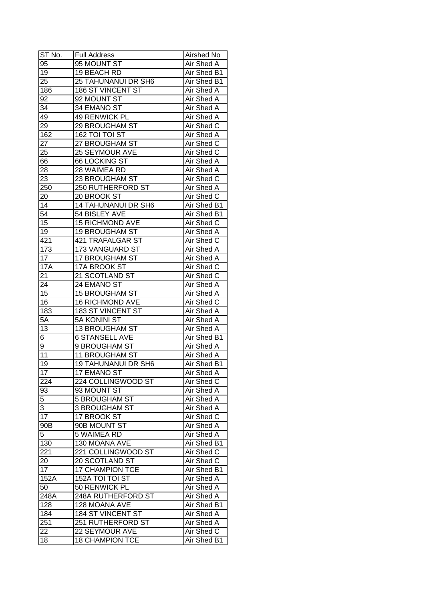| ST No.          | <b>Full Address</b>        | Airshed No        |
|-----------------|----------------------------|-------------------|
| 95              | 95 MOUNT ST                | Air Shed A        |
| 19              | 19 BEACH RD                | Air Shed B1       |
| 25              | 25 TAHUNANUI DR SH6        | Air Shed B1       |
| 186             | 186 ST VINCENT ST          | Air Shed A        |
| 92              | 92 MOUNT ST                | Air Shed A        |
| 34              | 34 EMANO ST                | Air Shed A        |
| 49              | <b>49 RENWICK PL</b>       | Air Shed A        |
| 29              | 29 BROUGHAM ST             | Air Shed C        |
| 162             | 162 TOI TOI ST             | Air Shed A        |
| 27              | 27 BROUGHAM ST             | Air Shed C        |
| 25              | 25 SEYMOUR AVE             | Air Shed C        |
| 66              | <b>66 LOCKING ST</b>       | Air Shed A        |
| 28              | 28 WAIMEA RD               | Air Shed A        |
| 23              | 23 BROUGHAM ST             | Air Shed C        |
| 250             | 250 RUTHERFORD ST          | Air Shed A        |
| 20              | 20 BROOK ST                | Air Shed C        |
| 14              | <b>14 TAHUNANUI DR SH6</b> | Air Shed B1       |
| 54              | 54 BISLEY AVE              | Air Shed B1       |
| 15              | <b>15 RICHMOND AVE</b>     | Air Shed C        |
| 19              | <b>19 BROUGHAM ST</b>      | Air Shed A        |
| 421             | 421 TRAFALGAR ST           | Air Shed C        |
| 173             | 173 VANGUARD ST            | Air Shed A        |
| 17              | <b>17 BROUGHAM ST</b>      | Air Shed A        |
| <b>17A</b>      | 17A BROOK ST               | Air Shed C        |
| 21              | 21 SCOTLAND ST             | Air Shed C        |
| 24              | 24 EMANO ST                | Air Shed A        |
| 15              | <b>15 BROUGHAM ST</b>      | Air Shed A        |
| 16              | <b>16 RICHMOND AVE</b>     | Air Shed C        |
| 183             | 183 ST VINCENT ST          | Air Shed A        |
| 5A              | 5A KONINI ST               | Air Shed A        |
| 13              | <b>13 BROUGHAM ST</b>      | Air Shed A        |
| 6               | <b>6 STANSELL AVE</b>      | Air Shed B1       |
| 9               | 9 BROUGHAM ST              | Air Shed A        |
| $\overline{11}$ | <b>11 BROUGHAM ST</b>      | <b>Air Shed A</b> |
| 19              | <b>19 TAHUNANUI DR SH6</b> | Air Shed B1       |
| 17              | 17 EMANO ST                | <b>Air Shed A</b> |
| 224             | 224 COLLINGWOOD ST         | Air Shed C        |
| 93              | 93 MOUNT ST                | Air Shed A        |
| 5               | <b>5 BROUGHAM ST</b>       | Air Shed A        |
| 3               | <b>3 BROUGHAM ST</b>       | Air Shed A        |
| 17              | 17 BROOK ST                | Air Shed C        |
| 90B             | 90B MOUNT ST               | Air Shed A        |
| 5               | 5 WAIMEA RD                | Air Shed A        |
| 130             | 130 MOANA AVE              | Air Shed B1       |
| 221             | 221 COLLINGWOOD ST         | Air Shed C        |
| 20              | 20 SCOTLAND ST             | Air Shed C        |
| 17              | 17 CHAMPION TCE            | Air Shed B1       |
| 152A            | 152A TOI TOI ST            | Air Shed A        |
| 50              | 50 RENWICK PL              | Air Shed A        |
| 248A            | 248A RUTHERFORD ST         | Air Shed A        |
| 128             | 128 MOANA AVE              | Air Shed B1       |
| 184             | 184 ST VINCENT ST          | Air Shed A        |
| 251             | 251 RUTHERFORD ST          | Air Shed A        |
| 22              | 22 SEYMOUR AVE             | Air Shed C        |
| 18              | <b>18 CHAMPION TCE</b>     | Air Shed B1       |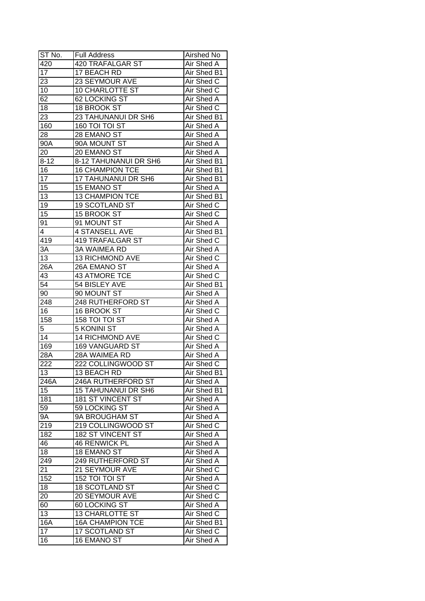| ST No.           | <b>Full Address</b>        | Airshed No         |
|------------------|----------------------------|--------------------|
| 420              | 420 TRAFALGAR ST           | Air Shed A         |
| 17               | 17 BEACH RD                | <b>Air Shed B1</b> |
| 23               | 23 SEYMOUR AVE             | Air Shed C         |
| 10               | 10 CHARLOTTE ST            | Air Shed C         |
| 62               | 62 LOCKING ST              | Air Shed A         |
| 18               | 18 BROOK ST                | Air Shed C         |
| 23               | 23 TAHUNANUI DR SH6        | Air Shed B1        |
| 160              | 160 TOI TOI ST             | Air Shed A         |
| 28               | 28 EMANO ST                | Air Shed A         |
| $90\overline{A}$ | 90A MOUNT ST               | Air Shed A         |
| 20               | 20 EMANO ST                | Air Shed A         |
| $8 - 12$         | 8-12 TAHUNANUI DR SH6      | Air Shed B1        |
| 16               | 16 CHAMPION TCE            | Air Shed B1        |
| 17               | 17 TAHUNANUI DR SH6        | Air Shed B1        |
| 15               | 15 EMANO ST                | Air Shed A         |
| 13               | <b>13 CHAMPION TCE</b>     | Air Shed B1        |
| 19               | <b>19 SCOTLAND ST</b>      | Air Shed C         |
| 15               | 15 BROOK ST                | Air Shed C         |
|                  |                            |                    |
| 91               | 91 MOUNT ST                | Air Shed A         |
| 4                | <b>4 STANSELL AVE</b>      | Air Shed B1        |
| 419              | 419 TRAFALGAR ST           | Air Shed C         |
| 3A               | <b>3A WAIMEA RD</b>        | Air Shed A         |
| 13               | <b>13 RICHMOND AVE</b>     | Air Shed C         |
| 26A              | 26A EMANO ST               | Air Shed A         |
| 43               | 43 ATMORE TCE              | Air Shed C         |
| $\overline{54}$  | 54 BISLEY AVE              | Air Shed B1        |
| 90               | 90 MOUNT ST                | Air Shed A         |
| 248              | 248 RUTHERFORD ST          | Air Shed A         |
| 16               | 16 BROOK ST                | Air Shed C         |
| 158              | 158 TOI TOI ST             | Air Shed A         |
| 5                | 5 KONINI ST                | Air Shed A         |
| 14               | <b>14 RICHMOND AVE</b>     | Air Shed C         |
| 169              | 169 VANGUARD ST            | Air Shed A         |
| 28A              | 28A WAIMEA RD              | Air Shed A         |
| 222              | 222 COLLINGWOOD ST         | Air Shed C         |
| 13               | <b>13 BEACH RD</b>         | Air Shed B1        |
| 246A             | 246A RUTHERFORD ST         | Air Shed A         |
| 15               | <b>15 TAHUNANUI DR SH6</b> | Air Shed B1        |
| 181              | <b>181 ST VINCENT ST</b>   | Air Shed A         |
| 59               | 59 LOCKING ST              | Air Shed A         |
| <b>9A</b>        | 9A BROUGHAM ST             | Air Shed A         |
| 219              | 219 COLLINGWOOD ST         | Air Shed C         |
| 182              | 182 ST VINCENT ST          | Air Shed A         |
| 46               | <b>46 RENWICK PL</b>       | Air Shed A         |
| 18               | 18 EMANO ST                | Air Shed A         |
| 249              | 249 RUTHERFORD ST          | Air Shed A         |
| 21               | 21 SEYMOUR AVE             | Air Shed C         |
| 152              | 152 TOI TOI ST             | Air Shed A         |
| 18               | 18 SCOTLAND ST             | Air Shed C         |
| 20               | 20 SEYMOUR AVE             | Air Shed C         |
| 60               | 60 LOCKING ST              | Air Shed A         |
| 13               | <b>13 CHARLOTTE ST</b>     | Air Shed C         |
| 16A              | <b>16A CHAMPION TCE</b>    | Air Shed B1        |
| 17               | 17 SCOTLAND ST             | Air Shed C         |
| 16               | 16 EMANO ST                | Air Shed A         |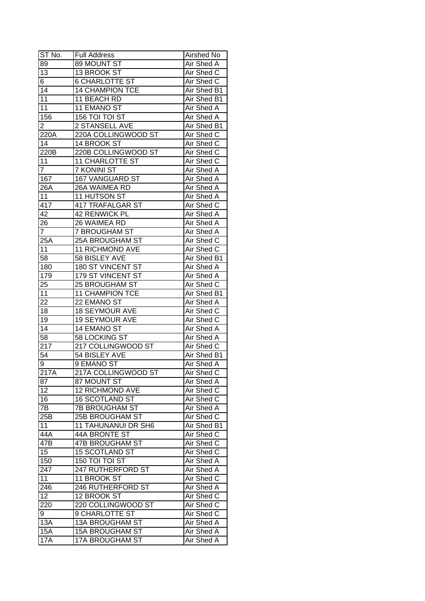| ST No.               | <b>Full Address</b>                  | Airshed No        |
|----------------------|--------------------------------------|-------------------|
| 89                   | 89 MOUNT ST                          | Air Shed A        |
| $\overline{13}$      | 13 BROOK ST                          | Air Shed C        |
| 6                    | <b>6 CHARLOTTE ST</b>                | Air Shed C        |
| $\overline{14}$      | <b>14 CHAMPION TCE</b>               | Air Shed B1       |
| 11                   | 11 BEACH RD                          | Air Shed B1       |
| 11                   | 11 EMANO ST                          | Air Shed A        |
| 156                  | 156 TOI TOI ST                       | Air Shed A        |
| 2                    | 2 STANSELL AVE                       | Air Shed B1       |
| 220A                 | 220A COLLINGWOOD ST                  | Air Shed C        |
| 14                   | 14 BROOK ST                          | Air Shed C        |
| 220B                 | 220B COLLINGWOOD ST                  | Air Shed C        |
| 11                   | <b>11 CHARLOTTE ST</b>               | Air Shed C        |
| $\overline{7}$       | 7 KONINI ST                          | Air Shed A        |
| 167                  | 167 VANGUARD ST                      | <b>Air Shed A</b> |
| 26A                  | 26A WAIMEA RD                        | Air Shed A        |
| 11                   | 11 HUTSON ST                         | Air Shed A        |
| 417                  | 417 TRAFALGAR ST                     | Air Shed C        |
| 42                   | 42 RENWICK PL                        | Air Shed A        |
|                      |                                      |                   |
| 26<br>$\overline{7}$ | 26 WAIMEA RD<br><b>7 BROUGHAM ST</b> | Air Shed A        |
|                      |                                      | Air Shed A        |
| 25A                  | 25A BROUGHAM ST                      | Air Shed C        |
| 11                   | <b>11 RICHMOND AVE</b>               | Air Shed C        |
| 58                   | 58 BISLEY AVE                        | Air Shed B1       |
| 180                  | 180 ST VINCENT ST                    | Air Shed A        |
| 179                  | 179 ST VINCENT ST                    | Air Shed A        |
| 25                   | 25 BROUGHAM ST                       | Air Shed C        |
| 11                   | <b>11 CHAMPION TCE</b>               | Air Shed B1       |
| 22                   | 22 EMANO ST                          | Air Shed A        |
| 18                   | <b>18 SEYMOUR AVE</b>                | Air Shed C        |
| 19                   | <b>19 SEYMOUR AVE</b>                | Air Shed C        |
| 14                   | 14 EMANO ST                          | Air Shed A        |
| $\overline{58}$      | 58 LOCKING ST                        | Air Shed A        |
| 217                  | 217 COLLINGWOOD ST                   | Air Shed C        |
| 54                   | 54 BISLEY AVE                        | Air Shed B1       |
| 9                    | 9 EMANO ST                           | <b>Air Shed A</b> |
| 217A                 | 217A COLLINGWOOD ST                  | <b>Air Shed C</b> |
| 87                   | 87 MOUNT ST                          | <b>Air Shed A</b> |
| 12                   | <b>12 RICHMOND AVE</b>               | Air Shed C        |
| 16                   | 16 SCOTLAND ST                       | Air Shed C        |
| 7В                   | <b>7B BROUGHAM ST</b>                | Air Shed A        |
| 25B                  | 25B BROUGHAM ST                      | Air Shed C        |
| 11                   | <b>11 TAHUNANUI DR SH6</b>           | Air Shed B1       |
| 44A                  | 44A BRONTE ST                        | Air Shed C        |
| $\overline{47}B$     | 47B BROUGHAM ST                      | Air Shed C        |
| 15                   | <b>15 SCOTLAND ST</b>                | Air Shed C        |
| 150                  | 150 TOI TOI ST                       | Air Shed A        |
| 247                  | 247 RUTHERFORD ST                    | Air Shed A        |
| 11                   | 11 BROOK ST                          | Air Shed C        |
| 246                  | 246 RUTHERFORD ST                    | Air Shed A        |
| 12                   | 12 BROOK ST                          | Air Shed C        |
| 220                  | 220 COLLINGWOOD ST                   | Air Shed C        |
| 9                    | 9 CHARLOTTE ST                       | Air Shed C        |
| 13A                  | 13A BROUGHAM ST                      | Air Shed A        |
| 15A                  | <b>15A BROUGHAM ST</b>               | Air Shed A        |
| 17A                  | 17A BROUGHAM ST                      | Air Shed A        |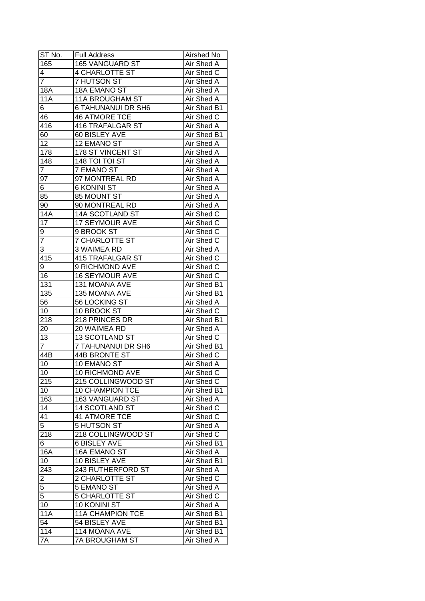| ST No.                  | <b>Full Address</b>       | Airshed No        |
|-------------------------|---------------------------|-------------------|
| 165                     | 165 VANGUARD ST           | Air Shed A        |
| 4                       | 4 CHARLOTTE ST            | Air Shed C        |
| $\overline{7}$          | 7 HUTSON ST               | Air Shed A        |
| 18A                     | 18A EMANO ST              | Air Shed A        |
| 11A                     | <b>11A BROUGHAM ST</b>    | Air Shed A        |
| 6                       | <b>6 TAHUNANUI DR SH6</b> | Air Shed B1       |
| 46                      | <b>46 ATMORE TCE</b>      | Air Shed C        |
| 416                     | 416 TRAFALGAR ST          | Air Shed A        |
| 60                      | 60 BISLEY AVE             | Air Shed B1       |
| 12                      | 12 EMANO ST               | Air Shed A        |
| 178                     | 178 ST VINCENT ST         | Air Shed A        |
| $\overline{1}$ 48       | 148 TOI TOI ST            | Air Shed A        |
| $\overline{7}$          | 7 EMANO ST                | Air Shed A        |
| 97                      | 97 MONTREAL RD            | Air Shed A        |
| 6                       | <b>6 KONINI ST</b>        | Air Shed A        |
| 85                      | 85 MOUNT ST               | Air Shed A        |
| 90                      | 90 MONTREAL RD            | Air Shed A        |
| 14A                     | 14A SCOTLAND ST           | Air Shed C        |
| 17                      | 17 SEYMOUR AVE            | Air Shed C        |
| 9                       | 9 BROOK ST                | Air Shed C        |
| $\overline{7}$          | 7 CHARLOTTE ST            | Air Shed C        |
| 3                       | 3 WAIMEA RD               | Air Shed A        |
| 415                     | <b>415 TRAFALGAR ST</b>   | Air Shed C        |
| 9                       | 9 RICHMOND AVE            | Air Shed C        |
| 16                      | <b>16 SEYMOUR AVE</b>     | Air Shed C        |
| 131                     | 131 MOANA AVE             | Air Shed B1       |
| 135                     | 135 MOANA AVE             | Air Shed B1       |
| 56                      | 56 LOCKING ST             | Air Shed A        |
| 10                      | 10 BROOK ST               | Air Shed C        |
| 218                     | 218 PRINCES DR            | Air Shed B1       |
| 20                      | 20 WAIMEA RD              | Air Shed A        |
| 13                      | <b>13 SCOTLAND ST</b>     | Air Shed C        |
| $\overline{7}$          | <b>7 TAHUNANUI DR SH6</b> | Air Shed B1       |
| $\overline{44B}$        | <b>44B BRONTE ST</b>      | Air Shed C        |
| 10                      | 10 EMANO ST               | <b>Air Shed A</b> |
| 10                      | <b>10 RICHMOND AVE</b>    | Air Shed C        |
| 215                     | 215 COLLINGWOOD ST        | Air Shed C        |
| 10                      | 10 CHAMPION TCE           | Air Shed B1       |
| 163                     | 163 VANGUARD ST           | Air Shed A        |
| 14                      | 14 SCOTLAND ST            | Air Shed C        |
| 41                      | <b>41 ATMORE TCE</b>      | Air Shed C        |
| $\overline{5}$          | 5 HUTSON ST               | Air Shed A        |
| 218                     | 218 COLLINGWOOD ST        | Air Shed C        |
| 6                       | <b>6 BISLEY AVE</b>       | Air Shed B1       |
| 16A                     | 16A EMANO ST              | Air Shed A        |
| 10                      | 10 BISLEY AVE             | Air Shed B1       |
| 243                     | 243 RUTHERFORD ST         | Air Shed A        |
| $\overline{\mathbf{c}}$ | 2 CHARLOTTE ST            | Air Shed C        |
| $\overline{5}$          | 5 EMANO ST                | Air Shed A        |
| $\overline{5}$          | <b>5 CHARLOTTE ST</b>     | Air Shed C        |
| 10                      | 10 KONINI ST              | Air Shed A        |
| <b>11A</b>              | <b>11A CHAMPION TCE</b>   | Air Shed B1       |
| 54                      | 54 BISLEY AVE             | Air Shed B1       |
| 114                     | 114 MOANA AVE             | Air Shed B1       |
| 7A                      | <b>7A BROUGHAM ST</b>     | Air Shed A        |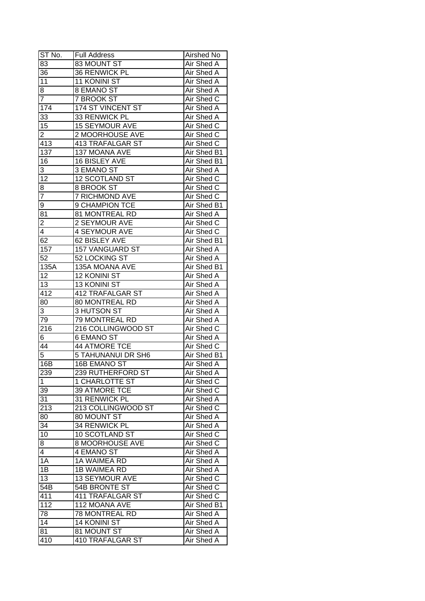| ST No.          | <b>Full Address</b>       | Airshed No        |
|-----------------|---------------------------|-------------------|
| 83              | 83 MOUNT ST               | Air Shed A        |
| 36              | 36 RENWICK PL             | Air Shed A        |
| 11              | 11 KONINI ST              | Air Shed A        |
| 8               | 8 EMANO ST                | Air Shed A        |
| $\overline{7}$  | 7 BROOK ST                | Air Shed C        |
| 174             | 174 ST VINCENT ST         | Air Shed A        |
| 33              | 33 RENWICK PL             | Air Shed A        |
| 15              | <b>15 SEYMOUR AVE</b>     | Air Shed C        |
| $\overline{2}$  | 2 MOORHOUSE AVE           | Air Shed C        |
| 413             | 413 TRAFALGAR ST          | Air Shed C        |
| 137             | 137 MOANA AVE             | Air Shed B1       |
| 16              | 16 BISLEY AVE             | Air Shed B1       |
| 3               | 3 EMANO ST                | Air Shed A        |
| 12              | 12 SCOTLAND ST            | Air Shed C        |
| 8               | 8 BROOK ST                | Air Shed C        |
| 7               | <b>7 RICHMOND AVE</b>     | Air Shed C        |
| 9               | 9 CHAMPION TCE            | Air Shed B1       |
| 81              | 81 MONTREAL RD            | Air Shed A        |
| $\overline{2}$  | 2 SEYMOUR AVE             | Air Shed C        |
| 4               | <b>4 SEYMOUR AVE</b>      | Air Shed C        |
| 62              | 62 BISLEY AVE             | Air Shed B1       |
| 157             | <b>157 VANGUARD ST</b>    | Air Shed A        |
| 52              | 52 LOCKING ST             | Air Shed A        |
| 135A            | 135A MOANA AVE            | Air Shed B1       |
| 12              | 12 KONINI ST              | Air Shed A        |
| 13              | 13 KONINI ST              | Air Shed A        |
| 412             | 412 TRAFALGAR ST          | Air Shed A        |
| 80              | 80 MONTREAL RD            | <b>Air Shed A</b> |
| 3               | 3 HUTSON ST               | <b>Air Shed A</b> |
| 79              | 79 MONTREAL RD            | Air Shed A        |
| 216             | 216 COLLINGWOOD ST        | Air Shed C        |
| 6               | <b>6 EMANO ST</b>         | <b>Air Shed A</b> |
| 44              | <b>44 ATMORE TCE</b>      | Air Shed C        |
| 5               | <b>5 TAHUNANUI DR SH6</b> | Air Shed B1       |
| 16B             | 16B EMANO ST              | Air Shed A        |
| 239             | 239 RUTHERFORD ST         | <b>Air Shed A</b> |
| $\mathbf{1}$    | <b>1 CHARLOTTE ST</b>     | Air Shed C        |
| 39              | 39 ATMORE TCE             | Air Shed C        |
| 31              | 31 RENWICK PL             | Air Shed A        |
| 213             | 213 COLLINGWOOD ST        | Air Shed C        |
| 80              | 80 MOUNT ST               | Air Shed A        |
| 34              | 34 RENWICK PL             | Air Shed A        |
| 10              | 10 SCOTLAND ST            | Air Shed C        |
| 8               | 8 MOORHOUSE AVE           | Air Shed C        |
| 4               | 4 EMANO ST                | Air Shed A        |
| 1A              | 1A WAIMEA RD              | Air Shed A        |
| $1\overline{B}$ | 1B WAIMEA RD              | Air Shed A        |
| 13              | 13 SEYMOUR AVE            | Air Shed C        |
| 54B             | 54B BRONTE ST             |                   |
| 411             | <b>411 TRAFALGAR ST</b>   | Air Shed C        |
|                 |                           | Air Shed C        |
| 112             | 112 MOANA AVE             | Air Shed B1       |
| 78              | 78 MONTREAL RD            | Air Shed A        |
| 14              | 14 KONINI ST              | Air Shed A        |
| 81              | 81 MOUNT ST               | Air Shed A        |
| 410             | 410 TRAFALGAR ST          | Air Shed A        |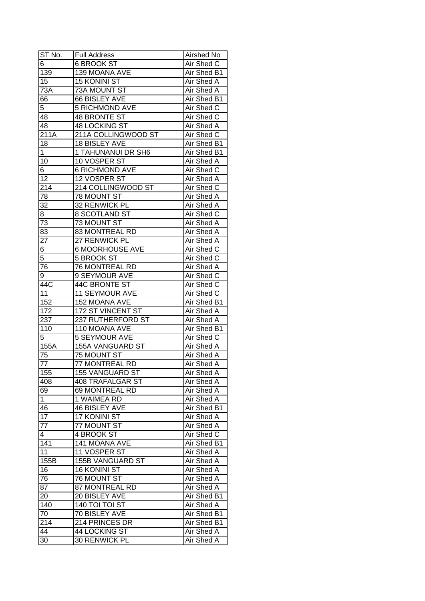| ST No.           | <b>Full Address</b>     | Airshed No        |
|------------------|-------------------------|-------------------|
| $\overline{6}$   | <b>6 BROOK ST</b>       | Air Shed C        |
| 139              | 139 MOANA AVE           | Air Shed B1       |
| 15               | <b>15 KONINI ST</b>     | Air Shed A        |
| 73A              | <b>73A MOUNT ST</b>     | Air Shed A        |
| 66               | 66 BISLEY AVE           | Air Shed B1       |
| 5                | <b>5 RICHMOND AVE</b>   | Air Shed C        |
| 48               | 48 BRONTE ST            | Air Shed C        |
| 48               | <b>48 LOCKING ST</b>    | Air Shed A        |
| 211A             | 211A COLLINGWOOD ST     | Air Shed C        |
| 18               | 18 BISLEY AVE           | Air Shed B1       |
| $\mathbf 1$      | 1 TAHUNANUI DR SH6      | Air Shed B1       |
| 10               | 10 VOSPER ST            | Air Shed A        |
| 6                | <b>6 RICHMOND AVE</b>   | Air Shed C        |
| 12               | 12 VOSPER ST            | Air Shed A        |
| 214              | 214 COLLINGWOOD ST      | Air Shed C        |
| 78               | 78 MOUNT ST             | Air Shed A        |
| 32               | 32 RENWICK PL           | Air Shed A        |
| 8                | 8 SCOTLAND ST           | Air Shed C        |
| $\overline{73}$  |                         | Air Shed A        |
| 83               | 73 MOUNT ST             | Air Shed A        |
|                  | 83 MONTREAL RD          |                   |
| 27               | 27 RENWICK PL           | Air Shed A        |
| 6                | <b>6 MOORHOUSE AVE</b>  | Air Shed C        |
| 5                | 5 BROOK ST              | Air Shed C        |
| 76               | 76 MONTREAL RD          | Air Shed A        |
| 9                | 9 SEYMOUR AVE           | Air Shed C        |
| 44C              | 44C BRONTE ST           | Air Shed C        |
| 11               | 11 SEYMOUR AVE          | Air Shed C        |
| 152              | 152 MOANA AVE           | Air Shed B1       |
| 172              | 172 ST VINCENT ST       | Air Shed A        |
| 237              | 237 RUTHERFORD ST       | Air Shed A        |
| 110              | 110 MOANA AVE           | Air Shed B1       |
| 5                | 5 SEYMOUR AVE           | Air Shed C        |
| 155A             | <b>155A VANGUARD ST</b> | <b>Air Shed A</b> |
| $\overline{75}$  | <b>75 MOUNT ST</b>      | Air Shed A        |
| $\overline{77}$  | <b>77 MONTREAL RD</b>   | <b>Air Shed A</b> |
| 155              | <b>155 VANGUARD ST</b>  | <b>Air Shed A</b> |
| 408              | <b>408 TRAFALGAR ST</b> | Air Shed A        |
| 69               | 69 MONTREAL RD          | Air Shed A        |
| $\mathbf 1$      | 1 WAIMEA RD             | Air Shed A        |
| 46               | <b>46 BISLEY AVE</b>    | Air Shed B1       |
| 17               | 17 KONINI ST            | Air Shed A        |
| 77               | 77 MOUNT ST             | Air Shed A        |
| 4                | 4 BROOK ST              | Air Shed C        |
| $14\overline{1}$ | 141 MOANA AVE           | Air Shed B1       |
| 11               | 11 VOSPER ST            | Air Shed A        |
| 155B             | 155B VANGUARD ST        | Air Shed A        |
| 16               | <b>16 KONINI ST</b>     | Air Shed A        |
| 76               | 76 MOUNT ST             | Air Shed A        |
| 87               | 87 MONTREAL RD          | Air Shed A        |
| 20               | 20 BISLEY AVE           | Air Shed B1       |
| 140              | 140 TOI TOI ST          | Air Shed A        |
| 70               | 70 BISLEY AVE           | Air Shed B1       |
| 214              | 214 PRINCES DR          | Air Shed B1       |
| 44               | 44 LOCKING ST           | Air Shed A        |
| 30               | 30 RENWICK PL           | Air Shed A        |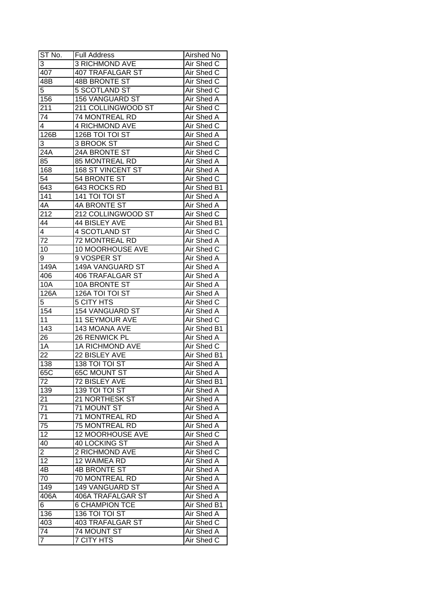| ST No.          | <b>Full Address</b>     | Airshed No        |
|-----------------|-------------------------|-------------------|
| 3               | <b>3 RICHMOND AVE</b>   | Air Shed C        |
| 407             | 407 TRAFALGAR ST        | Air Shed C        |
| 48B             | 48B BRONTE ST           | Air Shed C        |
| 5               | <b>5 SCOTLAND ST</b>    | Air Shed C        |
| 156             | <b>156 VANGUARD ST</b>  | Air Shed A        |
| 211             | 211 COLLINGWOOD ST      | Air Shed C        |
| 74              | 74 MONTREAL RD          | Air Shed A        |
| 4               | 4 RICHMOND AVE          | Air Shed C        |
| 126B            | 126B TOI TOI ST         | Air Shed A        |
| 3               | 3 BROOK ST              | Air Shed C        |
| 24A             | 24A BRONTE ST           | Air Shed C        |
| 85              | 85 MONTREAL RD          | Air Shed A        |
| 168             | 168 ST VINCENT ST       | Air Shed A        |
| 54              | 54 BRONTE ST            | Air Shed C        |
| 643             | 643 ROCKS RD            | Air Shed B1       |
| 141             | 141 TOI TOI ST          | Air Shed A        |
| 4A              | 4A BRONTE ST            | Air Shed A        |
| 212             | 212 COLLINGWOOD ST      | Air Shed C        |
| 44              | 44 BISLEY AVE           | Air Shed B1       |
| 4               | 4 SCOTLAND ST           | Air Shed C        |
| 72              | 72 MONTREAL RD          | Air Shed A        |
| 10              | 10 MOORHOUSE AVE        | Air Shed C        |
| 9               | 9 VOSPER ST             | Air Shed A        |
| 149A            | 149A VANGUARD ST        | Air Shed A        |
| 406             | <b>406 TRAFALGAR ST</b> | Air Shed A        |
| 10A             | 10A BRONTE ST           | Air Shed A        |
| 126A            | 126A TOI TOI ST         | Air Shed A        |
| 5               | <b>5 CITY HTS</b>       | Air Shed C        |
| 154             | 154 VANGUARD ST         | Air Shed A        |
| 11              | 11 SEYMOUR AVE          | Air Shed C        |
| 143             | 143 MOANA AVE           | Air Shed B1       |
| 26              | 26 RENWICK PL           | Air Shed A        |
| 1A              | <b>1A RICHMOND AVE</b>  | Air Shed C        |
| $\overline{22}$ | 22 BISLEY AVE           | Air Shed B1       |
| 138             | <b>138 TOI TOI ST</b>   | Air Shed A        |
| 65C             | <b>65C MOUNT ST</b>     | <b>Air Shed A</b> |
| 72              | 72 BISLEY AVE           | Air Shed B1       |
| 139             | <b>139 TOI TOI ST</b>   | Air Shed A        |
| 21              | 21 NORTHESK ST          | Air Shed A        |
| 71              | 71 MOUNT ST             | Air Shed A        |
| 71              | 71 MONTREAL RD          | Air Shed A        |
| 75              | 75 MONTREAL RD          | Air Shed A        |
| 12              | 12 MOORHOUSE AVE        | Air Shed C        |
| 40              | 40 LOCKING ST           | Air Shed A        |
| $\overline{2}$  | 2 RICHMOND AVE          | Air Shed C        |
| $\overline{12}$ | 12 WAIMEA RD            | Air Shed A        |
| 4B              | <b>4B BRONTE ST</b>     | <b>Air Shed A</b> |
| 70              | 70 MONTREAL RD          | Air Shed A        |
| 149             | 149 VANGUARD ST         | Air Shed A        |
| 406A            | 406A TRAFALGAR ST       | Air Shed A        |
| 6               | <b>6 CHAMPION TCE</b>   | Air Shed B1       |
| 136             | 136 TOI TOI ST          | Air Shed A        |
| 403             | <b>403 TRAFALGAR ST</b> | Air Shed C        |
| 74              | 74 MOUNT ST             | Air Shed A        |
|                 |                         |                   |
| 7               | 7 CITY HTS              | Air Shed C        |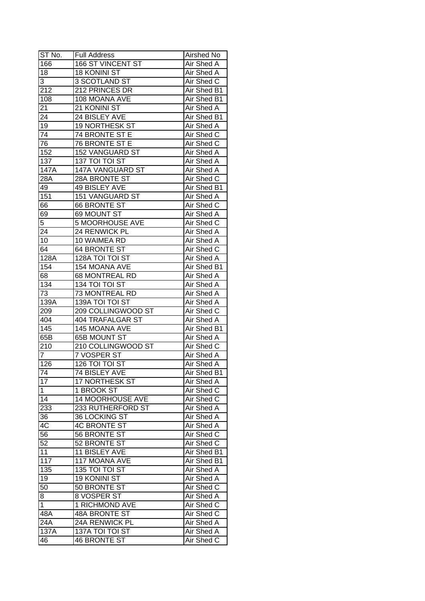| ST No.         | <b>Full Address</b>     | Airshed No        |
|----------------|-------------------------|-------------------|
| 166            | 166 ST VINCENT ST       | Air Shed A        |
| 18             | <b>18 KONINI ST</b>     | <b>Air Shed A</b> |
| 3              | 3 SCOTLAND ST           | Air Shed C        |
| 212            | 212 PRINCES DR          | Air Shed B1       |
| 108            | 108 MOANA AVE           | Air Shed B1       |
| 21             | 21 KONINI ST            | Air Shed A        |
| 24             | 24 BISLEY AVE           | Air Shed B1       |
| 19             | 19 NORTHESK ST          | Air Shed A        |
| 74             | 74 BRONTE ST E          | Air Shed C        |
| 76             | 76 BRONTE ST E          | Air Shed C        |
| 152            | 152 VANGUARD ST         | Air Shed A        |
| 137            | 137 TOI TOI ST          | Air Shed A        |
| 147A           | 147A VANGUARD ST        | Air Shed A        |
| 28A            | 28A BRONTE ST           | Air Shed C        |
| 49             | 49 BISLEY AVE           | Air Shed B1       |
| 151            | 151 VANGUARD ST         | Air Shed A        |
| 66             | <b>66 BRONTE ST</b>     | Air Shed C        |
| 69             | 69 MOUNT ST             | Air Shed A        |
| 5              | <b>5 MOORHOUSE AVE</b>  | Air Shed C        |
| 24             | 24 RENWICK PL           | Air Shed A        |
| 10             | 10 WAIMEA RD            | Air Shed A        |
| 64             | <b>64 BRONTE ST</b>     | Air Shed C        |
| 128A           | 128A TOI TOI ST         | Air Shed A        |
| 154            | 154 MOANA AVE           | Air Shed B1       |
| 68             | <b>68 MONTREAL RD</b>   | Air Shed A        |
| 134            | 134 TOI TOI ST          | Air Shed A        |
| 73             | 73 MONTREAL RD          | Air Shed A        |
| 139A           | 139A TOI TOI ST         | Air Shed A        |
| 209            | 209 COLLINGWOOD ST      | Air Shed C        |
| 404            | <b>404 TRAFALGAR ST</b> | Air Shed A        |
| 145            | 145 MOANA AVE           | Air Shed B1       |
| 65B            | <b>65B MOUNT ST</b>     | Air Shed A        |
| 210            | 210 COLLINGWOOD ST      | Air Shed C        |
| $\overline{7}$ | 7 VOSPER ST             | Air Shed A        |
| 126            | 126 TOI TOI ST          | <b>Air Shed A</b> |
| 74             | <b>74 BISLEY AVE</b>    | Air Shed B1       |
| 17             | 17 NORTHESK ST          | Air Shed A        |
| 1              | 1 BROOK ST              | Air Shed C        |
| 14             | <b>14 MOORHOUSE AVE</b> | Air Shed C        |
| 233            | 233 RUTHERFORD ST       | Air Shed A        |
| 36             | 36 LOCKING ST           | Air Shed A        |
| 4C             | <b>4C BRONTE ST</b>     | Air Shed A        |
| 56             | 56 BRONTE ST            | Air Shed C        |
| 52             | 52 BRONTE ST            | Air Shed C        |
| 11             | <b>11 BISLEY AVE</b>    | Air Shed B1       |
| 117            | 117 MOANA AVE           | Air Shed B1       |
| 135            | 135 TOI TOI ST          | <b>Air Shed A</b> |
| 19             | 19 KONINI ST            | Air Shed A        |
| 50             | 50 BRONTE ST            | Air Shed C        |
| 8              | 8 VOSPER ST             | Air Shed A        |
| $\overline{1}$ | 1 RICHMOND AVE          | Air Shed C        |
| 48A            | 48A BRONTE ST           | Air Shed C        |
| 24A            | 24A RENWICK PL          | Air Shed A        |
| 137A           | 137A TOI TOI ST         | Air Shed A        |
| 46             | <b>46 BRONTE ST</b>     | Air Shed C        |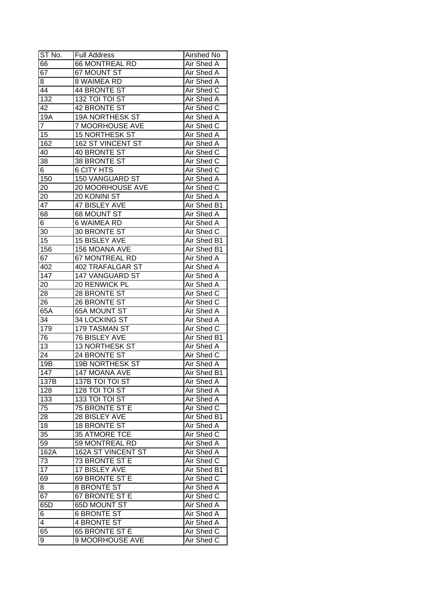| ST No.          | <b>Full Address</b>       | Airshed No        |
|-----------------|---------------------------|-------------------|
| 66              | 66 MONTREAL RD            | Air Shed A        |
| $\overline{67}$ | 67 MOUNT ST               | Air Shed A        |
| 8               | 8 WAIMEA RD               | <b>Air Shed A</b> |
| 44              | <b>44 BRONTE ST</b>       | Air Shed C        |
| 132             | 132 TOI TOI ST            | Air Shed A        |
| 42              | 42 BRONTE ST              | Air Shed C        |
| 19A             | 19A NORTHESK ST           | Air Shed A        |
| $\overline{7}$  | <b>7 MOORHOUSE AVE</b>    | Air Shed C        |
| 15              | <b>15 NORTHESK ST</b>     | Air Shed A        |
| 162             | 162 ST VINCENT ST         | Air Shed A        |
| 40              | 40 BRONTE ST              | Air Shed C        |
| 38              | 38 BRONTE ST              | Air Shed C        |
| 6               | <b>6 CITY HTS</b>         | Air Shed C        |
| 150             | 150 VANGUARD ST           | Air Shed A        |
| 20              | 20 MOORHOUSE AVE          | Air Shed C        |
| 20              | 20 KONINI ST              | Air Shed A        |
| $\overline{47}$ | 47 BISLEY AVE             | Air Shed B1       |
| 68              | 68 MOUNT ST               | Air Shed A        |
| 6               | 6 WAIMEA RD               | Air Shed A        |
| 30              | 30 BRONTE ST              | Air Shed C        |
| 15              | 15 BISLEY AVE             | Air Shed B1       |
| 156             | 156 MOANA AVE             | Air Shed B1       |
| 67              | 67 MONTREAL RD            | Air Shed A        |
| 402             | <b>402 TRAFALGAR ST</b>   | Air Shed A        |
| 147             | 147 VANGUARD ST           | Air Shed A        |
| 20              | 20 RENWICK PL             | Air Shed A        |
| 28              | 28 BRONTE ST              | Air Shed C        |
| 26              | 26 BRONTE ST              | Air Shed C        |
| 65A             | 65A MOUNT ST              | <b>Air Shed A</b> |
| 34              | 34 LOCKING ST             | <b>Air Shed A</b> |
| 179             | 179 TASMAN ST             | Air Shed C        |
| 76              | <b>76 BISLEY AVE</b>      | Air Shed B1       |
| $\overline{13}$ | <b>13 NORTHESK ST</b>     | Air Shed A        |
| $\overline{24}$ | 24 BRONTE ST              | Air Shed C        |
| 19B             | <b>19B NORTHESK ST</b>    | <b>Air Shed A</b> |
| 147             | 147 MOANA AVE             | Air Shed B1       |
| 137B            | 137B TOI TOI ST           | Air Shed A        |
| 128             | 128 TOI TOI ST            | Air Shed A        |
| 133             | 133 TOI TOI ST            | Air Shed A        |
| 75              | 75 BRONTE ST E            | Air Shed C        |
| 28              | 28 BISLEY AVE             | Air Shed B1       |
| 18              | 18 BRONTE ST              | Air Shed A        |
| 35              | 35 ATMORE TCE             | Air Shed C        |
| 59              | 59 MONTREAL RD            | Air Shed A        |
| 162A            | <b>162A ST VINCENT ST</b> | Air Shed A        |
| 73              | 73 BRONTE ST E            | Air Shed C        |
| 17              | 17 BISLEY AVE             | Air Shed B1       |
| 69              | 69 BRONTE ST E            | Air Shed C        |
| 8               | 8 BRONTE ST               | Air Shed A        |
| 67              | 67 BRONTE ST E            | Air Shed C        |
| 65D             | 65D MOUNT ST              | Air Shed A        |
| 6               | <b>6 BRONTE ST</b>        | Air Shed A        |
| 4               | 4 BRONTE ST               | Air Shed A        |
| 65              | 65 BRONTE ST E            | Air Shed C        |
| 9               | 9 MOORHOUSE AVE           | Air Shed C        |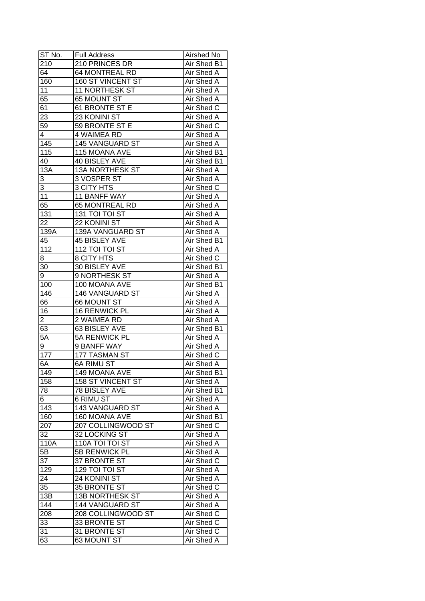| ST No.             | <b>Full Address</b>      | Airshed No        |
|--------------------|--------------------------|-------------------|
| 210                | 210 PRINCES DR           | Air Shed B1       |
| 64                 | <b>64 MONTREAL RD</b>    | Air Shed A        |
| 160                | <b>160 ST VINCENT ST</b> | Air Shed A        |
| 11                 | <b>11 NORTHESK ST</b>    | Air Shed A        |
| 65                 | 65 MOUNT ST              | Air Shed A        |
| 61                 | 61 BRONTE ST E           | Air Shed C        |
| 23                 | 23 KONINI ST             | Air Shed A        |
| 59                 | 59 BRONTE ST E           | Air Shed C        |
| 4                  | 4 WAIMEA RD              | Air Shed A        |
| 145                | 145 VANGUARD ST          | Air Shed A        |
| 115                | 115 MOANA AVE            | Air Shed B1       |
| 40                 | 40 BISLEY AVE            | Air Shed B1       |
| 13A                | 13A NORTHESK ST          | Air Shed A        |
| 3                  | 3 VOSPER ST              | <b>Air Shed A</b> |
| 3                  | 3 CITY HTS               | Air Shed C        |
| 11                 | 11 BANFF WAY             | Air Shed A        |
| 65                 | 65 MONTREAL RD           | Air Shed A        |
| 131                | 131 TOI TOI ST           | Air Shed A        |
| 22                 | 22 KONINI ST             | Air Shed A        |
| 139A               | 139A VANGUARD ST         | Air Shed A        |
| 45                 | 45 BISLEY AVE            | Air Shed B1       |
| 112                | 112 TOI TOI ST           | Air Shed A        |
| 8                  | 8 CITY HTS               | Air Shed C        |
| 30                 | 30 BISLEY AVE            | Air Shed B1       |
| 9                  | 9 NORTHESK ST            | Air Shed A        |
| 100                | 100 MOANA AVE            | Air Shed B1       |
| 146                | 146 VANGUARD ST          | Air Shed A        |
| 66                 | 66 MOUNT ST              | Air Shed A        |
| 16                 | 16 RENWICK PL            | Air Shed A        |
| 2                  | 2 WAIMEA RD              | <b>Air Shed A</b> |
| 63                 | 63 BISLEY AVE            | Air Shed B1       |
| 5A                 | 5A RENWICK PL            | <b>Air Shed A</b> |
| 9                  | 9 BANFF WAY              | Air Shed A        |
| 177                | <b>177 TASMAN ST</b>     | Air Shed C        |
| 6A                 | <b>6A RIMU ST</b>        | <b>Air Shed A</b> |
| 149                | 149 MOANA AVE            | Air Shed B1       |
| 158                | <b>158 ST VINCENT ST</b> | Air Shed A        |
| 78                 | 78 BISLEY AVE            | Air Shed B1       |
| 6                  | 6 RIMU ST                | Air Shed A        |
| 143                | 143 VANGUARD ST          | Air Shed A        |
| 160                | 160 MOANA AVE            | Air Shed B1       |
| 207                | 207 COLLINGWOOD ST       | Air Shed C        |
| 32                 | 32 LOCKING ST            | Air Shed A        |
| $\overline{1}$ 10A | 110A TOI TOI ST          | Air Shed A        |
| 5B                 | 5B RENWICK PL            | Air Shed A        |
| 37                 | 37 BRONTE ST             | Air Shed C        |
| 129                | 129 TOI TOI ST           | Air Shed A        |
| 24                 | 24 KONINI ST             | Air Shed A        |
| 35                 | 35 BRONTE ST             | Air Shed C        |
| 13B                | <b>13B NORTHESK ST</b>   | Air Shed A        |
| 144                | 144 VANGUARD ST          | Air Shed A        |
| 208                | 208 COLLINGWOOD ST       | Air Shed C        |
| 33                 | 33 BRONTE ST             | Air Shed C        |
| $3\overline{1}$    | 31 BRONTE ST             | Air Shed C        |
| 63                 | 63 MOUNT ST              | Air Shed A        |
|                    |                          |                   |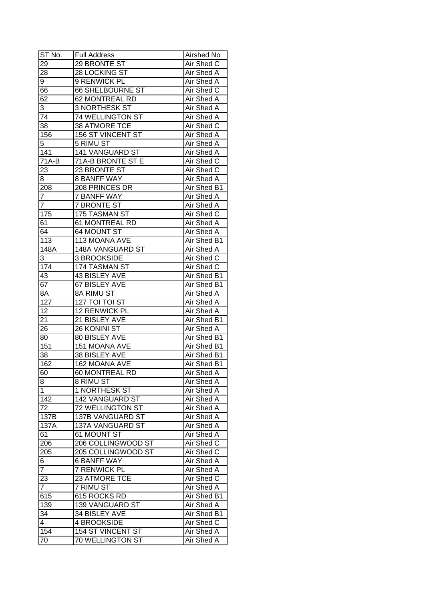| ST No.          | <b>Full Address</b>     | <b>Airshed No</b> |
|-----------------|-------------------------|-------------------|
| 29              | 29 BRONTE ST            | Air Shed C        |
| $2\overline{8}$ | 28 LOCKING ST           | Air Shed A        |
| 9               | 9 RENWICK PL            | <b>Air Shed A</b> |
| 66              | <b>66 SHELBOURNE ST</b> | Air Shed C        |
| 62              | 62 MONTREAL RD          | Air Shed A        |
| 3               | 3 NORTHESK ST           | Air Shed A        |
| 74              | 74 WELLINGTON ST        | Air Shed A        |
| 38              | 38 ATMORE TCE           | Air Shed C        |
| 156             | 156 ST VINCENT ST       | Air Shed A        |
| 5               | 5 RIMU ST               | Air Shed A        |
| 141             | 141 VANGUARD ST         | Air Shed A        |
| 71A-B           | 71A-B BRONTE ST E       | Air Shed C        |
| 23              | 23 BRONTE ST            | Air Shed C        |
| 8               | 8 BANFF WAY             | <b>Air Shed A</b> |
| 208             | 208 PRINCES DR          | Air Shed B1       |
| 7               | <b>7 BANFF WAY</b>      | Air Shed A        |
| $\overline{7}$  | <b>7 BRONTE ST</b>      | Air Shed A        |
| 175             | 175 TASMAN ST           | Air Shed C        |
| 61              | 61 MONTREAL RD          | Air Shed A        |
| 64              | <b>64 MOUNT ST</b>      | Air Shed A        |
| 113             | 113 MOANA AVE           | Air Shed B1       |
| 148A            | 148A VANGUARD ST        | Air Shed A        |
| 3               | 3 BROOKSIDE             | Air Shed C        |
| 174             | 174 TASMAN ST           | Air Shed C        |
| 43              | 43 BISLEY AVE           | Air Shed B1       |
| 67              | 67 BISLEY AVE           | Air Shed B1       |
| 8A              | 8A RIMU ST              | Air Shed A        |
| 127             | 127 TOI TOI ST          | Air Shed A        |
| 12              | 12 RENWICK PL           | Air Shed A        |
| 21              | 21 BISLEY AVE           | Air Shed B1       |
| 26              | 26 KONINI ST            | <b>Air Shed A</b> |
| 80              | 80 BISLEY AVE           | Air Shed B1       |
| 151             | 151 MOANA AVE           | Air Shed B1       |
| 38              | 38 BISLEY AVE           | Air Shed B1       |
| 162             | 162 MOANA AVE           | Air Shed B1       |
| 60              | 60 MONTREAL RD          | <b>Air Shed A</b> |
| 8               | 8 RIMU ST               | Air Shed A        |
| $\mathbf{1}$    | 1 NORTHESK ST           | Air Shed A        |
| 142             | 142 VANGUARD ST         | Air Shed A        |
| 72              | 72 WELLINGTON ST        | Air Shed A        |
| 137B            | 137B VANGUARD ST        | Air Shed A        |
| 137A            | 137A VANGUARD ST        | Air Shed A        |
| 61              | 61 MOUNT ST             | Air Shed A        |
| 206             | 206 COLLINGWOOD ST      | Air Shed C        |
| 205             | 205 COLLINGWOOD ST      | Air Shed C        |
| 6               | <b>6 BANFF WAY</b>      | Air Shed A        |
| $\overline{7}$  | 7 RENWICK PL            | Air Shed A        |
| 23              | 23 ATMORE TCE           | Air Shed C        |
| $\overline{7}$  | 7 RIMU ST               | Air Shed A        |
| 615             | 615 ROCKS RD            | Air Shed B1       |
| 139             | 139 VANGUARD ST         | Air Shed A        |
| 34              | 34 BISLEY AVE           | Air Shed B1       |
| $\overline{4}$  | 4 BROOKSIDE             | Air Shed C        |
| 154             | 154 ST VINCENT ST       | Air Shed A        |
| 70              | 70 WELLINGTON ST        | Air Shed A        |
|                 |                         |                   |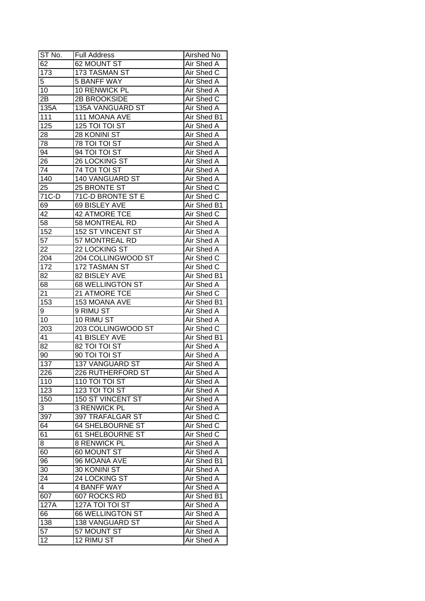| ST No.          | <b>Full Address</b>     | Airshed No        |
|-----------------|-------------------------|-------------------|
| 62              | 62 MOUNT ST             | Air Shed A        |
| 173             | 173 TASMAN ST           | Air Shed C        |
| 5               | 5 BANFF WAY             | Air Shed A        |
| 10              | 10 RENWICK PL           | Air Shed A        |
| 2B              | <b>2B BROOKSIDE</b>     | Air Shed C        |
| 135A            | 135A VANGUARD ST        | Air Shed A        |
| 111             | 111 MOANA AVE           | Air Shed B1       |
| 125             | 125 TOI TOI ST          | Air Shed A        |
| 28              | 28 KONINI ST            | Air Shed A        |
| 78              | 78 TOI TOI ST           | Air Shed A        |
| 94              | 94 TOI TOI ST           | Air Shed A        |
| $\overline{26}$ | 26 LOCKING ST           | Air Shed A        |
| 74              | 74 TOI TOI ST           | Air Shed A        |
| 140             | 140 VANGUARD ST         | <b>Air Shed A</b> |
| 25              | 25 BRONTE ST            | Air Shed C        |
| 71C-D           | 71C-D BRONTE ST E       | Air Shed C        |
| 69              | 69 BISLEY AVE           | Air Shed B1       |
| 42              | 42 ATMORE TCE           | Air Shed C        |
| 58              | 58 MONTREAL RD          | Air Shed A        |
| 152             | 152 ST VINCENT ST       | Air Shed A        |
| 57              | 57 MONTREAL RD          | Air Shed A        |
| 22              | 22 LOCKING ST           | Air Shed A        |
| 204             | 204 COLLINGWOOD ST      | Air Shed C        |
| 172             | 172 TASMAN ST           | Air Shed C        |
| 82              | 82 BISLEY AVE           | Air Shed B1       |
| 68              | 68 WELLINGTON ST        | Air Shed A        |
| 21              | 21 ATMORE TCE           | Air Shed C        |
| 153             | 153 MOANA AVE           | Air Shed B1       |
| 9               | 9 RIMU ST               | Air Shed A        |
| 10              | 10 RIMU ST              | Air Shed A        |
| 203             | 203 COLLINGWOOD ST      | Air Shed C        |
| 41              | <b>41 BISLEY AVE</b>    | Air Shed B1       |
| $\overline{82}$ | 82 TOI TOI ST           | Air Shed A        |
| 90              | 90 TOI TOI ST           | Air Shed A        |
| 137             | <b>137 VANGUARD ST</b>  | <b>Air Shed A</b> |
| 226             | 226 RUTHERFORD ST       | <b>Air Shed A</b> |
| 110             | 110 TOI TOI ST          | Air Shed A        |
| 123             | 123 TOI TOI ST          | Air Shed A        |
| 150             | 150 ST VINCENT ST       | Air Shed A        |
| 3               | 3 RENWICK PL            | Air Shed A        |
| 397             | 397 TRAFALGAR ST        | Air Shed C        |
| 64              | <b>64 SHELBOURNE ST</b> | Air Shed C        |
| 61              | <b>61 SHELBOURNE ST</b> | Air Shed C        |
| 8               | 8 RENWICK PL            | Air Shed A        |
| 60              | 60 MOUNT ST             | Air Shed A        |
| 96              | 96 MOANA AVE            | Air Shed B1       |
| 30              | 30 KONINI ST            | Air Shed A        |
| 24              | 24 LOCKING ST           | Air Shed A        |
| $\overline{4}$  | 4 BANFF WAY             | Air Shed A        |
| 607             | 607 ROCKS RD            | Air Shed B1       |
| 127A            | 127A TOI TOI ST         | Air Shed A        |
| 66              | 66 WELLINGTON ST        | Air Shed A        |
| 138             | <b>138 VANGUARD ST</b>  | Air Shed A        |
| 57              | 57 MOUNT ST             | Air Shed A        |
| 12              | 12 RIMU ST              | Air Shed A        |
|                 |                         |                   |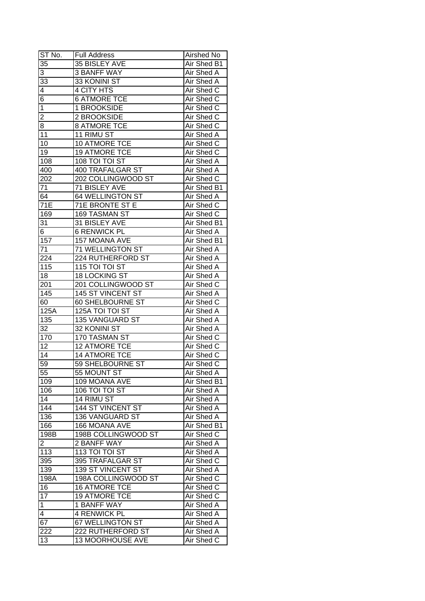| ST No.           | <b>Full Address</b>                  | Airshed No        |
|------------------|--------------------------------------|-------------------|
| 35               | 35 BISLEY AVE                        | Air Shed B1       |
| 3                | <b>3 BANFF WAY</b>                   | Air Shed A        |
| 33               | 33 KONINI ST                         | Air Shed A        |
| 4                | <b>4 CITY HTS</b>                    | Air Shed C        |
| $\overline{6}$   | <b>6 ATMORE TCE</b>                  | Air Shed C        |
| $\overline{1}$   | 1 BROOKSIDE                          | Air Shed C        |
| 2                | 2 BROOKSIDE                          | Air Shed C        |
| 8                | <b>8 ATMORE TCE</b>                  | Air Shed C        |
| 11               | 11 RIMU ST                           | Air Shed A        |
| 10               | 10 ATMORE TCE                        | Air Shed C        |
| 19               | 19 ATMORE TCE                        | Air Shed C        |
| 108              | 108 TOI TOI ST                       | Air Shed A        |
| 400              | 400 TRAFALGAR ST                     | Air Shed A        |
| 202              | 202 COLLINGWOOD ST                   | Air Shed C        |
| 71               | 71 BISLEY AVE                        | Air Shed B1       |
| 64               | 64 WELLINGTON ST                     | Air Shed A        |
| $\overline{71}E$ | 71E BRONTE ST E                      | Air Shed C        |
| 169              | 169 TASMAN ST                        | Air Shed C        |
|                  |                                      | Air Shed B1       |
| 31               | 31 BISLEY AVE<br><b>6 RENWICK PL</b> | Air Shed A        |
| 6                |                                      |                   |
| 157              | 157 MOANA AVE                        | Air Shed B1       |
| 71               | 71 WELLINGTON ST                     | Air Shed A        |
| 224              | 224 RUTHERFORD ST                    | Air Shed A        |
| 115              | 115 TOI TOI ST                       | Air Shed A        |
| 18               | <b>18 LOCKING ST</b>                 | Air Shed A        |
| 201              | 201 COLLINGWOOD ST                   | Air Shed C        |
| 145              | 145 ST VINCENT ST                    | Air Shed A        |
| 60               | 60 SHELBOURNE ST                     | Air Shed C        |
| 125A             | 125A TOI TOI ST                      | Air Shed A        |
| 135              | 135 VANGUARD ST                      | Air Shed A        |
| 32               | 32 KONINI ST                         | <b>Air Shed A</b> |
| 170              | 170 TASMAN ST                        | Air Shed C        |
| $\overline{12}$  | <b>12 ATMORE TCE</b>                 | <b>Air Shed C</b> |
| 14               | <b>14 ATMORE TCE</b>                 | Air Shed C        |
| $\overline{59}$  | <b>59 SHELBOURNE ST</b>              | Air Shed C        |
| 55               | 55 MOUNT ST                          | <b>Air Shed A</b> |
| 109              | 109 MOANA AVE                        | Air Shed B1       |
| 106              | 106 TOI TOI ST                       | Air Shed A        |
| 14               | 14 RIMU ST                           | Air Shed A        |
| 144              | 144 ST VINCENT ST                    | Air Shed A        |
| 136              | 136 VANGUARD ST                      | Air Shed A        |
| 166              | 166 MOANA AVE                        | Air Shed B1       |
| 198B             | 198B COLLINGWOOD ST                  | Air Shed C        |
| $\overline{2}$   | 2 BANFF WAY                          | Air Shed A        |
| 113              | 113 TOI TOI ST                       | Air Shed A        |
| 395              | 395 TRAFALGAR ST                     | Air Shed C        |
| 139              | 139 ST VINCENT ST                    | Air Shed A        |
| 198A             | 198A COLLINGWOOD ST                  | Air Shed C        |
| 16               | <b>16 ATMORE TCE</b>                 | Air Shed C        |
| 17               | <b>19 ATMORE TCE</b>                 | Air Shed C        |
| $\overline{1}$   | 1 BANFF WAY                          | Air Shed A        |
| $\overline{4}$   | <b>4 RENWICK PL</b>                  | Air Shed A        |
| 67               | 67 WELLINGTON ST                     | Air Shed A        |
| 222              | 222 RUTHERFORD ST                    | Air Shed A        |
| 13               | 13 MOORHOUSE AVE                     | Air Shed C        |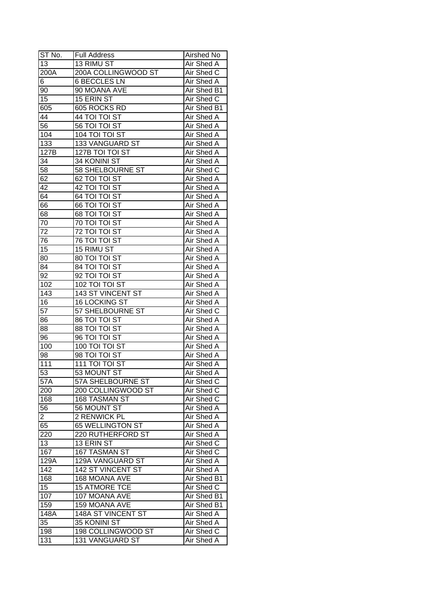| ST No.         | <b>Full Address</b>      | Airshed No        |
|----------------|--------------------------|-------------------|
| 13             | 13 RIMU ST               | Air Shed A        |
| 200A           | 200A COLLINGWOOD ST      | Air Shed C        |
| 6              | <b>6 BECCLES LN</b>      | <b>Air Shed A</b> |
| 90             | 90 MOANA AVE             | Air Shed B1       |
| 15             | 15 ERIN ST               | Air Shed C        |
| 605            | 605 ROCKS RD             | Air Shed B1       |
| 44             | 44 TOI TOI ST            | Air Shed A        |
| 56             | 56 TOI TOI ST            | Air Shed A        |
| 104            | 104 TOI TOI ST           | Air Shed A        |
| 133            | 133 VANGUARD ST          | Air Shed A        |
| 127B           | 127B TOI TOI ST          | Air Shed A        |
| 34             | 34 KONINI ST             | Air Shed A        |
| 58             | 58 SHELBOURNE ST         | Air Shed C        |
| 62             | 62 TOI TOI ST            | <b>Air Shed A</b> |
| 42             | 42 TOI TOI ST            | Air Shed A        |
| 64             | 64 TOI TOI ST            | Air Shed A        |
| 66             | 66 TOI TOI ST            | Air Shed A        |
| 68             | 68 TOI TOI ST            | Air Shed A        |
| 70             | 70 TOI TOI ST            | Air Shed A        |
| 72             | 72 TOI TOI ST            | Air Shed A        |
| 76             | 76 TOI TOI ST            | Air Shed A        |
| 15             | 15 RIMU ST               | Air Shed A        |
| 80             | 80 TOI TOI ST            | Air Shed A        |
| 84             | 84 TOI TOI ST            | Air Shed A        |
| 92             | 92 TOI TOI ST            | Air Shed A        |
| 102            | 102 TOI TOI ST           | Air Shed A        |
| 143            | 143 ST VINCENT ST        | Air Shed A        |
| 16             | 16 LOCKING ST            | <b>Air Shed A</b> |
| 57             | 57 SHELBOURNE ST         | Air Shed C        |
| 86             | 86 TOI TOI ST            | <b>Air Shed A</b> |
| 88             | 88 TOI TOI ST            | Air Shed A        |
| 96             | 96 TOI TOI ST            | <b>Air Shed A</b> |
| 100            | 100 TOI TOI ST           | Air Shed A        |
| 98             | 98 TOI TOI ST            | <b>Air Shed A</b> |
| 111            | <b>111 TOI TOI ST</b>    | <b>Air Shed A</b> |
| 53             | 53 MOUNT ST              | <b>Air Shed A</b> |
| 57A            | 57A SHELBOURNE ST        | Air Shed C        |
| 200            | 200 COLLINGWOOD ST       | Air Shed C        |
| 168            | 168 TASMAN ST            | Air Shed C        |
| 56             | 56 MOUNT ST              | Air Shed A        |
| $\overline{c}$ | 2 RENWICK PL             | Air Shed A        |
| 65             | 65 WELLINGTON ST         | Air Shed A        |
| 220            | 220 RUTHERFORD ST        | Air Shed A        |
| 13             | 13 ERIN ST               | Air Shed C        |
| 167            | <b>167 TASMAN ST</b>     | Air Shed C        |
| 129A           | 129A VANGUARD ST         | Air Shed A        |
| 142            | <b>142 ST VINCENT ST</b> | <b>Air Shed A</b> |
| 168            | 168 MOANA AVE            | Air Shed B1       |
| 15             | <b>15 ATMORE TCE</b>     | Air Shed C        |
| 107            | 107 MOANA AVE            | Air Shed B1       |
| 159            | 159 MOANA AVE            | Air Shed B1       |
| 148A           | 148A ST VINCENT ST       | Air Shed A        |
| 35             | 35 KONINI ST             | Air Shed A        |
| 198            | 198 COLLINGWOOD ST       | Air Shed C        |
| 131            | 131 VANGUARD ST          | Air Shed A        |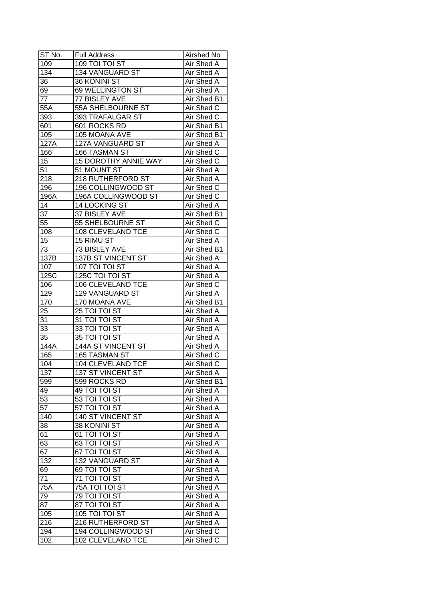| ST No.            | <b>Full Address</b>         | Airshed No        |
|-------------------|-----------------------------|-------------------|
| 109               | 109 TOI TOI ST              | Air Shed A        |
| 134               | 134 VANGUARD ST             | <b>Air Shed A</b> |
| 36                | 36 KONINI ST                | <b>Air Shed A</b> |
| 69                | 69 WELLINGTON ST            | Air Shed A        |
| 77                | 77 BISLEY AVE               | Air Shed B1       |
| 55A               | 55A SHELBOURNE ST           | Air Shed C        |
| 393               | 393 TRAFALGAR ST            | Air Shed C        |
| 601               | 601 ROCKS RD                | Air Shed B1       |
| 105               | 105 MOANA AVE               | Air Shed B1       |
| 127A              | 127A VANGUARD ST            | Air Shed A        |
| 166               | 166 TASMAN ST               | Air Shed C        |
| 15                | <b>15 DOROTHY ANNIE WAY</b> | Air Shed C        |
| $\overline{51}$   | 51 MOUNT ST                 | Air Shed A        |
| $\overline{218}$  | 218 RUTHERFORD ST           | Air Shed A        |
| 196               | 196 COLLINGWOOD ST          | Air Shed C        |
| 196A              | 196A COLLINGWOOD ST         | Air Shed C        |
| 14                | 14 LOCKING ST               | Air Shed A        |
| 37                | 37 BISLEY AVE               | Air Shed B1       |
| 55                | 55 SHELBOURNE ST            | Air Shed C        |
| 108               | 108 CLEVELAND TCE           | Air Shed C        |
| 15                | 15 RIMU ST                  | Air Shed A        |
| 73                | 73 BISLEY AVE               | Air Shed B1       |
| 137B              | 137B ST VINCENT ST          | Air Shed A        |
| 107               | 107 TOI TOI ST              | Air Shed A        |
| $\overline{1}25C$ | 125C TOI TOI ST             | Air Shed A        |
| 106               | 106 CLEVELAND TCE           | Air Shed C        |
| 129               | 129 VANGUARD ST             | Air Shed A        |
| 170               | 170 MOANA AVE               | Air Shed B1       |
| 25                | 25 TOI TOI ST               | Air Shed A        |
| 31                | 31 TOI TOI ST               | Air Shed A        |
| 33                | 33 TOI TOI ST               | Air Shed A        |
| 35                | 35 TOI TOI ST               | Air Shed A        |
| 144A              | <b>144A ST VINCENT ST</b>   | Air Shed A        |
| 165               | <b>165 TASMAN ST</b>        | Air Shed C        |
| 104               | <b>104 CLEVELAND TCE</b>    | Air Shed C        |
| 137               | 137 ST VINCENT ST           | <b>Air Shed A</b> |
| 599               | 599 ROCKS RD                | Air Shed B1       |
| 49                | 49 TOI TOI ST               | Air Shed A        |
| 53                | 53 TOI TOI ST               | Air Shed A        |
| 57                | 57 TOI TOI ST               | Air Shed A        |
| 140               | 140 ST VINCENT ST           | Air Shed A        |
| 38                | 38 KONINI ST                | Air Shed A        |
| 61                | 61 TOI TOI ST               | Air Shed A        |
| 63                | 63 TOI TOI ST               | Air Shed A        |
| 67                | 67 TOI TOI ST               | Air Shed A        |
| 132               | 132 VANGUARD ST             | <b>Air Shed A</b> |
| 69                | 69 TOI TOI ST               | Air Shed A        |
| 71                | 71 TOI TOI ST               | Air Shed A        |
| 75A               | 75A TOI TOI ST              | Air Shed A        |
| 79                | <b>79 TOI TOI ST</b>        | Air Shed A        |
| $8\overline{7}$   | 87 TOI TOI ST               | Air Shed A        |
| 105               | 105 TOI TOI ST              | Air Shed A        |
| 216               | 216 RUTHERFORD ST           | Air Shed A        |
| 194               | 194 COLLINGWOOD ST          | Air Shed C        |
| 102               | 102 CLEVELAND TCE           | Air Shed C        |
|                   |                             |                   |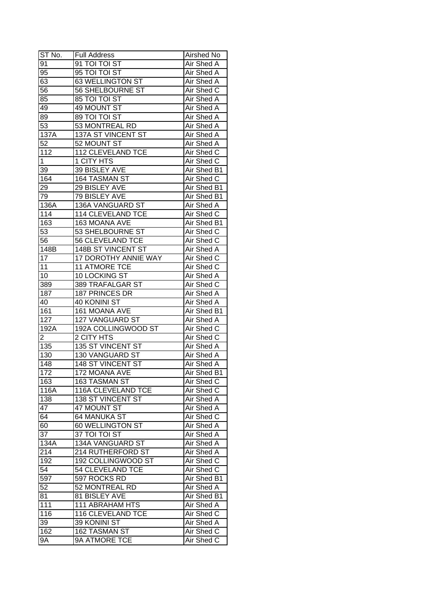| ST No.           | <b>Full Address</b>      | Airshed No        |
|------------------|--------------------------|-------------------|
| 91               | 91 TOI TOI ST            | Air Shed A        |
| 95               | 95 TOI TOI ST            | Air Shed A        |
| 63               | <b>63 WELLINGTON ST</b>  | Air Shed A        |
| $\overline{56}$  | 56 SHELBOURNE ST         | Air Shed C        |
| 85               | 85 TOI TOI ST            | Air Shed A        |
| 49               | 49 MOUNT ST              | Air Shed A        |
| 89               | 89 TOI TOI ST            | Air Shed A        |
| 53               | 53 MONTREAL RD           | Air Shed A        |
| 137A             | 137A ST VINCENT ST       | Air Shed A        |
| 52               | 52 MOUNT ST              | Air Shed A        |
| 112              | <b>112 CLEVELAND TCE</b> | Air Shed C        |
| $\mathbf 1$      | 1 CITY HTS               | Air Shed C        |
| 39               | 39 BISLEY AVE            | Air Shed B1       |
| 164              | 164 TASMAN ST            | Air Shed C        |
| 29               | 29 BISLEY AVE            | Air Shed B1       |
| 79               | 79 BISLEY AVE            | Air Shed B1       |
| 136A             | 136A VANGUARD ST         | Air Shed A        |
| 114              | 114 CLEVELAND TCE        | Air Shed C        |
| 163              | 163 MOANA AVE            | Air Shed B1       |
| 53               | 53 SHELBOURNE ST         | Air Shed C        |
| 56               | 56 CLEVELAND TCE         | Air Shed C        |
| 148B             | 148B ST VINCENT ST       | Air Shed A        |
| 17               | 17 DOROTHY ANNIE WAY     | Air Shed C        |
| 11               | <b>11 ATMORE TCE</b>     | Air Shed C        |
| 10               | 10 LOCKING ST            | Air Shed A        |
| 389              | 389 TRAFALGAR ST         | Air Shed C        |
| 187              | 187 PRINCES DR           | Air Shed A        |
| 40               | 40 KONINI ST             | Air Shed A        |
| 161              | 161 MOANA AVE            | Air Shed B1       |
| 127              | 127 VANGUARD ST          | Air Shed A        |
| 192A             | 192A COLLINGWOOD ST      | Air Shed C        |
| $\overline{2}$   | 2 CITY HTS               | Air Shed C        |
| 135              | <b>135 ST VINCENT ST</b> | Air Shed A        |
| 130              | 130 VANGUARD ST          | Air Shed A        |
| $\overline{148}$ | <b>148 ST VINCENT ST</b> | <b>Air Shed A</b> |
| 172              | 172 MOANA AVE            | Air Shed B1       |
| 163              | 163 TASMAN ST            | Air Shed C        |
| 116A             | 116A CLEVELAND TCE       | Air Shed C        |
| 138              | <b>138 ST VINCENT ST</b> | Air Shed A        |
| 47               | 47 MOUNT ST              | Air Shed A        |
| 64               | 64 MANUKA ST             | Air Shed C        |
| 60               | 60 WELLINGTON ST         | Air Shed A        |
| 37               | 37 TOI TOI ST            | Air Shed A        |
| 134A             | 134A VANGUARD ST         | Air Shed A        |
| 214              | 214 RUTHERFORD ST        | Air Shed A        |
| 192              | 192 COLLINGWOOD ST       | Air Shed C        |
| 54               | 54 CLEVELAND TCE         | Air Shed C        |
| 597              | 597 ROCKS RD             | Air Shed B1       |
| 52               | 52 MONTREAL RD           | Air Shed A        |
| 81               | 81 BISLEY AVE            | Air Shed B1       |
| $\overline{1}11$ | 111 ABRAHAM HTS          | Air Shed A        |
| 116              | 116 CLEVELAND TCE        | Air Shed C        |
| 39               | 39 KONINI ST             | Air Shed A        |
| 162              | 162 TASMAN ST            | Air Shed C        |
| 9Α               | 9A ATMORE TCE            | Air Shed C        |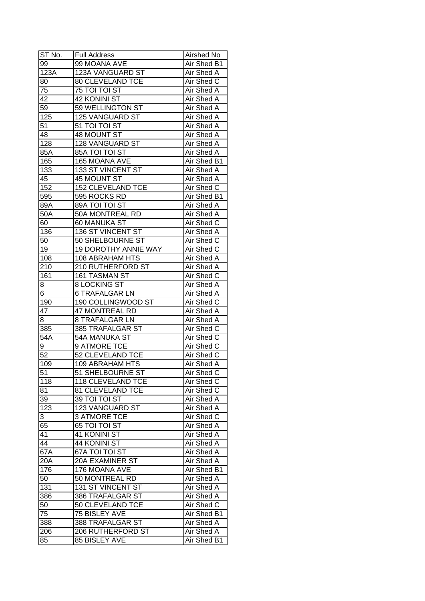| ST No. | Full Address                | Airshed No        |
|--------|-----------------------------|-------------------|
| 99     | 99 MOANA AVE                | Air Shed B1       |
| 123A   | 123A VANGUARD ST            | Air Shed A        |
| 80     | 80 CLEVELAND TCE            | Air Shed C        |
| 75     | 75 TOI TOI ST               | Air Shed A        |
| 42     | 42 KONINI ST                | Air Shed A        |
| 59     | 59 WELLINGTON ST            | Air Shed A        |
| 125    | 125 VANGUARD ST             | Air Shed A        |
| 51     | 51 TOI TOI ST               | Air Shed A        |
| 48     | 48 MOUNT ST                 | Air Shed A        |
| 128    | 128 VANGUARD ST             | Air Shed A        |
| 85A    | 85A TOI TOI ST              | Air Shed A        |
| 165    | 165 MOANA AVE               | Air Shed B1       |
| 133    | 133 ST VINCENT ST           | Air Shed A        |
| 45     | 45 MOUNT ST                 | Air Shed A        |
| 152    | <b>152 CLEVELAND TCE</b>    | Air Shed C        |
| 595    | 595 ROCKS RD                | Air Shed B1       |
| 89A    | 89A TOI TOI ST              | Air Shed A        |
| 50A    | 50A MONTREAL RD             | Air Shed A        |
| 60     | 60 MANUKA ST                | Air Shed C        |
| 136    | <b>136 ST VINCENT ST</b>    | Air Shed A        |
| 50     | 50 SHELBOURNE ST            | Air Shed C        |
| 19     | <b>19 DOROTHY ANNIE WAY</b> | Air Shed C        |
| 108    | 108 ABRAHAM HTS             | Air Shed A        |
| 210    | 210 RUTHERFORD ST           | Air Shed A        |
| 161    | 161 TASMAN ST               | Air Shed C        |
| 8      | 8 LOCKING ST                | Air Shed A        |
| 6      | <b>6 TRAFALGAR LN</b>       | Air Shed A        |
| 190    | 190 COLLINGWOOD ST          | Air Shed C        |
| 47     | <b>47 MONTREAL RD</b>       | Air Shed A        |
| 8      | 8 TRAFALGAR LN              | Air Shed A        |
| 385    | 385 TRAFALGAR ST            | Air Shed C        |
| 54A    | 54A MANUKA ST               | Air Shed C        |
| 9      | 9 ATMORE TCE                | Air Shed C        |
| 52     | <b>52 CLEVELAND TCE</b>     | Air Shed C        |
| 109    | <b>109 ABRAHAM HTS</b>      | <b>Air Shed A</b> |
| 51     | 51 SHELBOURNE ST            | Air Shed C        |
| 118    | <b>118 CLEVELAND TCE</b>    | Air Shed C        |
| 81     | 81 CLEVELAND TCE            | Air Shed C        |
| 39     | 39 TOI TOI ST               | Air Shed A        |
| 123    | 123 VANGUARD ST             | Air Shed A        |
| 3      | <b>3 ATMORE TCE</b>         | Air Shed C        |
| 65     | 65 TOI TOI ST               | Air Shed A        |
| 41     | 41 KONINI ST                | Air Shed A        |
| 44     | 44 KONINI ST                | Air Shed A        |
| 67A    | 67A TOI TOI ST              | Air Shed A        |
| 20A    | 20A EXAMINER ST             | Air Shed A        |
| 176    | 176 MOANA AVE               | Air Shed B1       |
| 50     | 50 MONTREAL RD              | Air Shed A        |
| 131    | 131 ST VINCENT ST           | Air Shed A        |
| 386    | 386 TRAFALGAR ST            | Air Shed A        |
| 50     | 50 CLEVELAND TCE            | Air Shed C        |
| 75     | 75 BISLEY AVE               | Air Shed B1       |
| 388    | 388 TRAFALGAR ST            | Air Shed A        |
|        | <b>206 RUTHERFORD ST</b>    | Air Shed A        |
| 206    | 85 BISLEY AVE               |                   |
| 85     |                             | Air Shed B1       |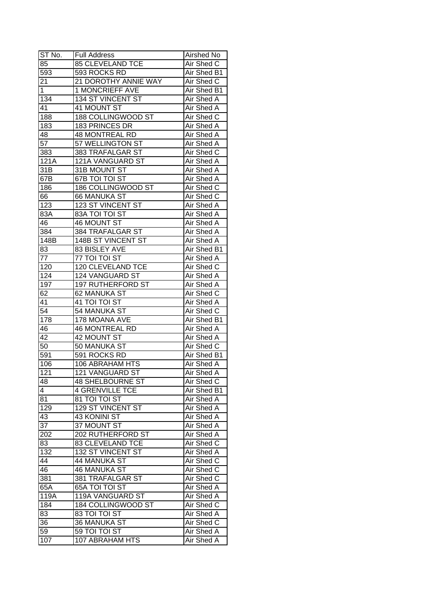| ST No.                  | <b>Full Address</b>      | Airshed No        |
|-------------------------|--------------------------|-------------------|
| 85                      | <b>85 CLEVELAND TCE</b>  | Air Shed C        |
| 593                     | 593 ROCKS RD             | Air Shed B1       |
| 21                      | 21 DOROTHY ANNIE WAY     | Air Shed C        |
| $\mathbf{1}$            | <b>1 MONCRIEFF AVE</b>   | Air Shed B1       |
| 134                     | 134 ST VINCENT ST        | Air Shed A        |
| 41                      | 41 MOUNT ST              | Air Shed A        |
| 188                     | 188 COLLINGWOOD ST       | Air Shed C        |
| 183                     | 183 PRINCES DR           | Air Shed A        |
| 48                      | <b>48 MONTREAL RD</b>    | Air Shed A        |
| 57                      | 57 WELLINGTON ST         | Air Shed A        |
| 383                     | 383 TRAFALGAR ST         | Air Shed C        |
| 121A                    | 121A VANGUARD ST         | Air Shed A        |
| 31B                     | 31B MOUNT ST             | Air Shed A        |
| 67B                     | 67B TOI TOI ST           | Air Shed A        |
| 186                     | 186 COLLINGWOOD ST       | Air Shed C        |
| 66                      | <b>66 MANUKA ST</b>      | Air Shed C        |
| 123                     | 123 ST VINCENT ST        | Air Shed A        |
| 83A                     | 83A TOI TOI ST           | Air Shed A        |
| 46                      | 46 MOUNT ST              | Air Shed A        |
| 384                     | 384 TRAFALGAR ST         | Air Shed A        |
| 148B                    | 148B ST VINCENT ST       | Air Shed A        |
| 83                      | 83 BISLEY AVE            | Air Shed B1       |
| 77                      | 77 TOI TOI ST            | Air Shed A        |
| 120                     | 120 CLEVELAND TCE        | Air Shed C        |
| 124                     | 124 VANGUARD ST          | Air Shed A        |
| 197                     | <b>197 RUTHERFORD ST</b> | Air Shed A        |
| 62                      | 62 MANUKA ST             | Air Shed C        |
| 41                      | 41 TOI TOI ST            | Air Shed A        |
| 54                      | 54 MANUKA ST             | Air Shed C        |
| 178                     | 178 MOANA AVE            | Air Shed B1       |
| 46                      | <b>46 MONTREAL RD</b>    | Air Shed A        |
| 42                      | 42 MOUNT ST              | Air Shed A        |
| 50                      | 50 MANUKA ST             | Air Shed C        |
| 591                     | 591 ROCKS RD             | Air Shed B1       |
| 106                     | <b>106 ABRAHAM HTS</b>   | <b>Air Shed A</b> |
| 121                     | <b>121 VANGUARD ST</b>   | Air Shed A        |
| 48                      | <b>48 SHELBOURNE ST</b>  | Air Shed C        |
| $\overline{\mathbf{4}}$ | <b>4 GRENVILLE TCE</b>   | Air Shed B1       |
| 81                      | 81 TOI TOI ST            | Air Shed A        |
| 129                     | 129 ST VINCENT ST        | Air Shed A        |
| 43                      | 43 KONINI ST             | Air Shed A        |
| 37                      | 37 MOUNT ST              | Air Shed A        |
| 202                     | 202 RUTHERFORD ST        | Air Shed A        |
| 83                      | <b>83 CLEVELAND TCE</b>  | Air Shed C        |
| 132                     | 132 ST VINCENT ST        | Air Shed A        |
|                         | 44 MANUKA ST             | Air Shed C        |
| 44<br>46                | <b>46 MANUKA ST</b>      | Air Shed C        |
|                         |                          |                   |
| 381                     | 381 TRAFALGAR ST         | Air Shed C        |
| 65A                     | 65A TOI TOI ST           | Air Shed A        |
| 119A                    | 119A VANGUARD ST         | Air Shed A        |
| 184                     | 184 COLLINGWOOD ST       | Air Shed C        |
| 83                      | 83 TOI TOI ST            | Air Shed A        |
| 36                      | 36 MANUKA ST             | Air Shed C        |
| 59                      | 59 TOI TOI ST            | Air Shed A        |
| 107                     | 107 ABRAHAM HTS          | Air Shed A        |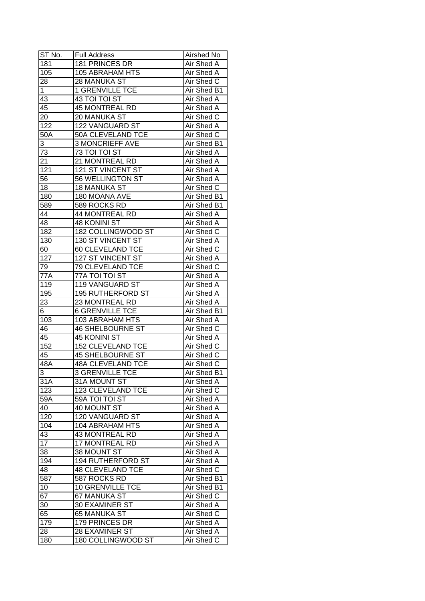| ST No.           | <b>Full Address</b>      | Airshed No        |
|------------------|--------------------------|-------------------|
| 181              | 181 PRINCES DR           | Air Shed A        |
| 105              | <b>105 ABRAHAM HTS</b>   | Air Shed A        |
| 28               | 28 MANUKA ST             | Air Shed C        |
| 1                | <b>1 GRENVILLE TCE</b>   | Air Shed B1       |
| 43               | 43 TOI TOI ST            | Air Shed A        |
| 45               | <b>45 MONTREAL RD</b>    | Air Shed A        |
| 20               | 20 MANUKA ST             | Air Shed C        |
| 122              | 122 VANGUARD ST          | Air Shed A        |
| 50A              | 50A CLEVELAND TCE        | Air Shed C        |
| 3                | <b>3 MONCRIEFF AVE</b>   | Air Shed B1       |
| 73               | 73 TOI TOI ST            | Air Shed A        |
| 21               | 21 MONTREAL RD           | Air Shed A        |
| $\overline{121}$ | 121 ST VINCENT ST        | Air Shed A        |
| 56               | 56 WELLINGTON ST         | <b>Air Shed A</b> |
| 18               | 18 MANUKA ST             | Air Shed C        |
| 180              | 180 MOANA AVE            | Air Shed B1       |
| 589              | 589 ROCKS RD             | Air Shed B1       |
| 44               | 44 MONTREAL RD           | Air Shed A        |
| 48               | 48 KONINI ST             | Air Shed A        |
| 182              | 182 COLLINGWOOD ST       | Air Shed C        |
| 130              | 130 ST VINCENT ST        | Air Shed A        |
| 60               | 60 CLEVELAND TCE         | Air Shed C        |
| 127              | 127 ST VINCENT ST        | Air Shed A        |
| 79               | 79 CLEVELAND TCE         | Air Shed C        |
| 77A              | 77A TOI TOI ST           | Air Shed A        |
| 119              | 119 VANGUARD ST          | Air Shed A        |
| 195              | <b>195 RUTHERFORD ST</b> | Air Shed A        |
| 23               | 23 MONTREAL RD           | Air Shed A        |
| 6                | <b>6 GRENVILLE TCE</b>   | Air Shed B1       |
| 103              | 103 ABRAHAM HTS          | <b>Air Shed A</b> |
| 46               | <b>46 SHELBOURNE ST</b>  | Air Shed C        |
| 45               | 45 KONINI ST             | <b>Air Shed A</b> |
| 152              | <b>152 CLEVELAND TCE</b> | Air Shed C        |
| 45               | <b>45 SHELBOURNE ST</b>  | Air Shed C        |
| 48A              | <b>48A CLEVELAND TCE</b> | <b>Air Shed C</b> |
| $\overline{3}$   | <b>3 GRENVILLE TCE</b>   | Air Shed B1       |
| $31\overline{A}$ | 31A MOUNT ST             | Air Shed A        |
| 123              | 123 CLEVELAND TCE        | Air Shed C        |
| 59A              | 59A TOI TOI ST           | Air Shed A        |
| 40               | 40 MOUNT ST              | Air Shed A        |
| 120              | 120 VANGUARD ST          | Air Shed A        |
| 104              | 104 ABRAHAM HTS          | Air Shed A        |
| 43               | 43 MONTREAL RD           | Air Shed A        |
| 17               | 17 MONTREAL RD           | Air Shed A        |
| $\overline{38}$  | 38 MOUNT ST              | Air Shed A        |
| 194              | 194 RUTHERFORD ST        | Air Shed A        |
| 48               | <b>48 CLEVELAND TCE</b>  | Air Shed C        |
| 587              | 587 ROCKS RD             | Air Shed B1       |
| 10               | <b>10 GRENVILLE TCE</b>  | Air Shed B1       |
| 67               | 67 MANUKA ST             | Air Shed C        |
| 30               | 30 EXAMINER ST           | Air Shed A        |
| 65               | 65 MANUKA ST             | Air Shed C        |
| 179              | 179 PRINCES DR           | Air Shed A        |
| 28               | 28 EXAMINER ST           | Air Shed A        |
| 180              | 180 COLLINGWOOD ST       | Air Shed C        |
|                  |                          |                   |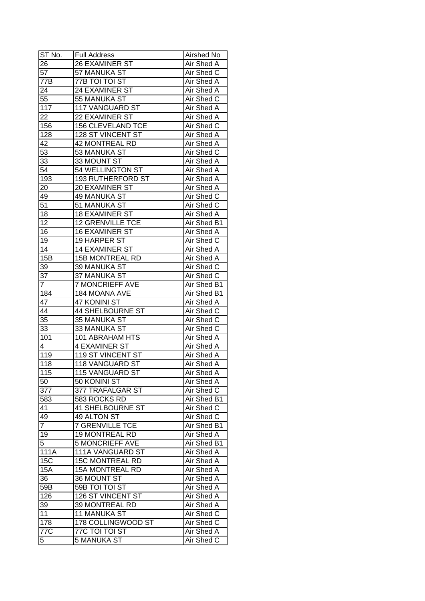| ST No.           | <b>Full Address</b>      | <b>Airshed No</b> |
|------------------|--------------------------|-------------------|
| 26               | 26 EXAMINER ST           | Air Shed A        |
| $\overline{57}$  | 57 MANUKA ST             | Air Shed C        |
| $\overline{77}B$ | 77B TOI TOI ST           | Air Shed A        |
| 24               | 24 EXAMINER ST           | Air Shed A        |
| 55               | 55 MANUKA ST             | Air Shed C        |
| 117              | 117 VANGUARD ST          | Air Shed A        |
| 22               | 22 EXAMINER ST           | Air Shed A        |
| 156              | <b>156 CLEVELAND TCE</b> | Air Shed C        |
| 128              | 128 ST VINCENT ST        | Air Shed A        |
| 42               | 42 MONTREAL RD           | Air Shed A        |
| 53               | 53 MANUKA ST             | Air Shed C        |
| 33               | 33 MOUNT ST              | Air Shed A        |
| 54               | 54 WELLINGTON ST         | Air Shed A        |
| 193              | 193 RUTHERFORD ST        | <b>Air Shed A</b> |
| 20               | 20 EXAMINER ST           | Air Shed A        |
| 49               | 49 MANUKA ST             | Air Shed C        |
| 51               | 51 MANUKA ST             | Air Shed C        |
| 18               | <b>18 EXAMINER ST</b>    | Air Shed A        |
| 12               | <b>12 GRENVILLE TCE</b>  | Air Shed B1       |
| 16               | <b>16 EXAMINER ST</b>    | Air Shed A        |
| 19               | 19 HARPER ST             | Air Shed C        |
| 14               | 14 EXAMINER ST           | Air Shed A        |
| 15B              | <b>15B MONTREAL RD</b>   | Air Shed A        |
| 39               | 39 MANUKA ST             | Air Shed C        |
| 37               | 37 MANUKA ST             | Air Shed C        |
| 7                | <b>7 MONCRIEFF AVE</b>   | Air Shed B1       |
| 184              | 184 MOANA AVE            | Air Shed B1       |
| 47               | 47 KONINI ST             | Air Shed A        |
| $\overline{44}$  | <b>44 SHELBOURNE ST</b>  | Air Shed C        |
| 35               | 35 MANUKA ST             | Air Shed C        |
| 33               | 33 MANUKA ST             | Air Shed C        |
| 101              | <b>101 ABRAHAM HTS</b>   | Air Shed A        |
| 4                | 4 EXAMINER ST            | Air Shed A        |
| 119              | <b>119 ST VINCENT ST</b> | Air Shed A        |
| $\overline{118}$ | <b>118 VANGUARD ST</b>   | Air Shed A        |
| 115              | <b>115 VANGUARD ST</b>   | <b>Air Shed A</b> |
| 50               | 50 KONINI ST             | Air Shed A        |
| 377              | 377 TRAFALGAR ST         | Air Shed C        |
| 583              | 583 ROCKS RD             | Air Shed B1       |
| 41               | <b>41 SHELBOURNE ST</b>  | Air Shed C        |
| 49               | 49 ALTON ST              | Air Shed C        |
| $\overline{7}$   | <b>7 GRENVILLE TCE</b>   | Air Shed B1       |
| 19               | <b>19 MONTREAL RD</b>    | Air Shed A        |
| $\overline{5}$   | <b>5 MONCRIEFF AVE</b>   | Air Shed B1       |
| 111A             | 111A VANGUARD ST         | Air Shed A        |
| <b>15C</b>       | <b>15C MONTREAL RD</b>   | <b>Air Shed A</b> |
| <b>15A</b>       | <b>15A MONTREAL RD</b>   | Air Shed A        |
| 36               | 36 MOUNT ST              | Air Shed A        |
| 59B              | 59B TOI TOI ST           | Air Shed A        |
| 126              | 126 ST VINCENT ST        | Air Shed A        |
| 39               | 39 MONTREAL RD           | Air Shed A        |
| 11               | 11 MANUKA ST             | Air Shed C        |
| 178              | 178 COLLINGWOOD ST       | Air Shed C        |
| 77C              | 77C TOI TOI ST           | Air Shed A        |
| 5                | 5 MANUKA ST              | Air Shed C        |
|                  |                          |                   |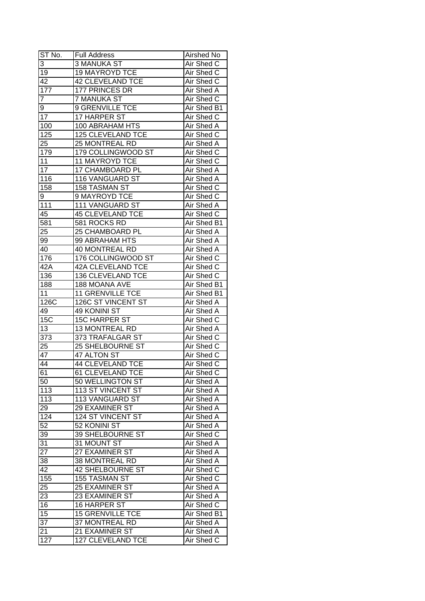| ST No.           | <b>Full Address</b>                        | Airshed No               |
|------------------|--------------------------------------------|--------------------------|
| 3                | <b>3 MANUKA ST</b>                         | Air Shed C               |
| 19               | <b>19 MAYROYD TCE</b>                      | Air Shed C               |
| $\overline{42}$  | <b>42 CLEVELAND TCE</b>                    | Air Shed C               |
| $\overline{177}$ | 177 PRINCES DR                             | Air Shed A               |
| 7                | 7 MANUKA ST                                | Air Shed C               |
| 9                | 9 GRENVILLE TCE                            | Air Shed B1              |
| 17               | 17 HARPER ST                               | Air Shed C               |
| 100              | 100 ABRAHAM HTS                            | Air Shed A               |
| 125              | 125 CLEVELAND TCE                          | Air Shed C               |
| 25               | 25 MONTREAL RD                             | Air Shed A               |
| 179              | 179 COLLINGWOOD ST                         | Air Shed C               |
| 11               | 11 MAYROYD TCE                             | Air Shed C               |
| 17               | 17 CHAMBOARD PL                            | Air Shed A               |
| 116              | 116 VANGUARD ST                            | <b>Air Shed A</b>        |
| 158              | 158 TASMAN ST                              | Air Shed C               |
| 9                | 9 MAYROYD TCE                              | Air Shed C               |
| 111              | 111 VANGUARD ST                            | Air Shed A               |
| 45               | <b>45 CLEVELAND TCE</b>                    | Air Shed C               |
| 581              | 581 ROCKS RD                               | Air Shed B1              |
| 25               | 25 CHAMBOARD PL                            | Air Shed A               |
| 99               | 99 ABRAHAM HTS                             | Air Shed A               |
| 40               | <b>40 MONTREAL RD</b>                      | Air Shed A               |
| 176              | 176 COLLINGWOOD ST                         | Air Shed C               |
| 42A              | 42A CLEVELAND TCE                          | Air Shed C               |
| 136              | 136 CLEVELAND TCE                          | Air Shed C               |
| 188              | 188 MOANA AVE                              | Air Shed B1              |
| 11               | 11 GRENVILLE TCE                           | Air Shed B1              |
| 126C             | 126C ST VINCENT ST                         | Air Shed A               |
| 49               | 49 KONINI ST                               | Air Shed A               |
| 15C              | <b>15C HARPER ST</b>                       | Air Shed C               |
| 13               | 13 MONTREAL RD                             | Air Shed A               |
| $\overline{373}$ | 373 TRAFALGAR ST                           | Air Shed C               |
| 25               | <b>25 SHELBOURNE ST</b>                    | Air Shed C               |
| 47               | 47 ALTON ST                                | Air Shed C               |
| $\overline{44}$  | <b>44 CLEVELAND TCE</b>                    | <b>Air Shed C</b>        |
| 61               | 61 CLEVELAND TCE                           | Air Shed C               |
| 50               | 50 WELLINGTON ST                           | Air Shed A               |
| 113              | 113 ST VINCENT ST                          | Air Shed A               |
| 113              | 113 VANGUARD ST                            | Air Shed A               |
| 29               | <b>29 EXAMINER ST</b>                      | Air Shed A               |
| 124              | 124 ST VINCENT ST                          | Air Shed A               |
| 52               | 52 KONINI ST                               | Air Shed A               |
| 39               | 39 SHELBOURNE ST                           | Air Shed C               |
| 31               | 31 MOUNT ST                                | Air Shed A               |
| $\overline{27}$  | 27 EXAMINER ST                             | <b>Air Shed A</b>        |
| 38               | 38 MONTREAL RD                             | Air Shed A               |
| 42               | 42 SHELBOURNE ST                           | Air Shed C               |
| 155              | 155 TASMAN ST                              | Air Shed C               |
| 25               | 25 EXAMINER ST                             | Air Shed A               |
| 23               | 23 EXAMINER ST                             | Air Shed A               |
| 16               |                                            |                          |
|                  |                                            |                          |
|                  | 16 HARPER ST                               | Air Shed C               |
| 15               | <b>15 GRENVILLE TCE</b>                    | Air Shed B1              |
| $3\overline{7}$  | 37 MONTREAL RD                             | Air Shed A               |
| 21<br>127        | 21 EXAMINER ST<br><b>127 CLEVELAND TCE</b> | Air Shed A<br>Air Shed C |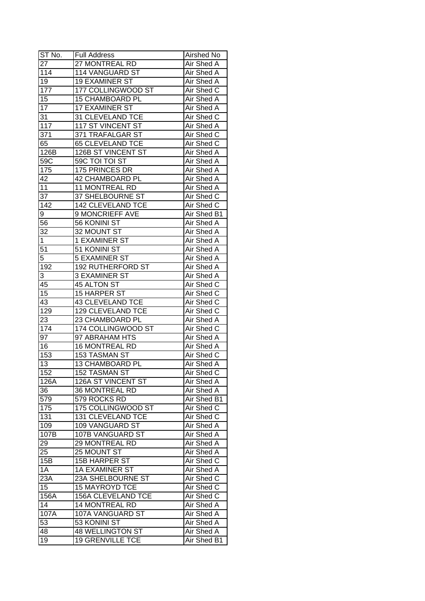| ST No.           | <b>Full Address</b>      | Airshed No        |
|------------------|--------------------------|-------------------|
| 27               | 27 MONTREAL RD           | Air Shed A        |
| 114              | 114 VANGUARD ST          | Air Shed A        |
| 19               | <b>19 EXAMINER ST</b>    | Air Shed A        |
| 177              | 177 COLLINGWOOD ST       | Air Shed C        |
| 15               | 15 CHAMBOARD PL          | Air Shed A        |
| 17               | <b>17 EXAMINER ST</b>    | Air Shed A        |
| 31               | 31 CLEVELAND TCE         | Air Shed C        |
| 117              | 117 ST VINCENT ST        | Air Shed A        |
| 371              | 371 TRAFALGAR ST         | Air Shed C        |
| 65               | 65 CLEVELAND TCE         | Air Shed C        |
| 126B             | 126B ST VINCENT ST       | Air Shed A        |
| 59 <sub>C</sub>  | 59C TOI TOI ST           | Air Shed A        |
| 175              | 175 PRINCES DR           | <b>Air Shed A</b> |
| 42               | 42 CHAMBOARD PL          | Air Shed A        |
| 11               | 11 MONTREAL RD           | Air Shed A        |
| $3\overline{7}$  | 37 SHELBOURNE ST         | Air Shed C        |
| $\overline{142}$ | 142 CLEVELAND TCE        | Air Shed C        |
| 9                | 9 MONCRIEFF AVE          | Air Shed B1       |
| 56               | 56 KONINI ST             | Air Shed A        |
| 32               | 32 MOUNT ST              | Air Shed A        |
| 1                | 1 EXAMINER ST            | Air Shed A        |
| 51               | 51 KONINI ST             | Air Shed A        |
| 5                | <b>5 EXAMINER ST</b>     | Air Shed A        |
| 192              | <b>192 RUTHERFORD ST</b> | Air Shed A        |
| 3                | <b>3 EXAMINER ST</b>     | Air Shed A        |
| 45               | 45 ALTON ST              | Air Shed C        |
| 15               | 15 HARPER ST             | Air Shed C        |
| 43               | <b>43 CLEVELAND TCE</b>  | Air Shed C        |
| 129              | 129 CLEVELAND TCE        | Air Shed C        |
| 23               | 23 CHAMBOARD PL          | Air Shed A        |
| 174              | 174 COLLINGWOOD ST       | Air Shed C        |
| 97               | 97 ABRAHAM HTS           | Air Shed A        |
| 16               | <b>16 MONTREAL RD</b>    | Air Shed A        |
| 153              | 153 TASMAN ST            | Air Shed C        |
| 13               | <b>13 CHAMBOARD PL</b>   | <b>Air Shed A</b> |
| 152              | 152 TASMAN ST            | Air Shed C        |
| 126A             | 126A ST VINCENT ST       | Air Shed A        |
| 36               | <b>36 MONTREAL RD</b>    | Air Shed A        |
| 579              | 579 ROCKS RD             | Air Shed B1       |
| 175              | 175 COLLINGWOOD ST       | Air Shed C        |
| 131              | 131 CLEVELAND TCE        | Air Shed C        |
| 109              | 109 VANGUARD ST          | Air Shed A        |
| 107B             | 107B VANGUARD ST         | Air Shed A        |
| 29               | 29 MONTREAL RD           | Air Shed A        |
| 25               | 25 MOUNT ST              | Air Shed A        |
| 15B              | 15B HARPER ST            | Air Shed C        |
| 1A               | <b>1A EXAMINER ST</b>    | Air Shed A        |
| 23A              | 23A SHELBOURNE ST        | Air Shed C        |
| 15               | <b>15 MAYROYD TCE</b>    | Air Shed C        |
| 156A             | 156A CLEVELAND TCE       | Air Shed C        |
| 14               | 14 MONTREAL RD           | Air Shed A        |
| 107A             | 107A VANGUARD ST         | Air Shed A        |
| 53               | 53 KONINI ST             | Air Shed A        |
| 48               | <b>48 WELLINGTON ST</b>  | Air Shed A        |
| 19               | <b>19 GRENVILLE TCE</b>  | Air Shed B1       |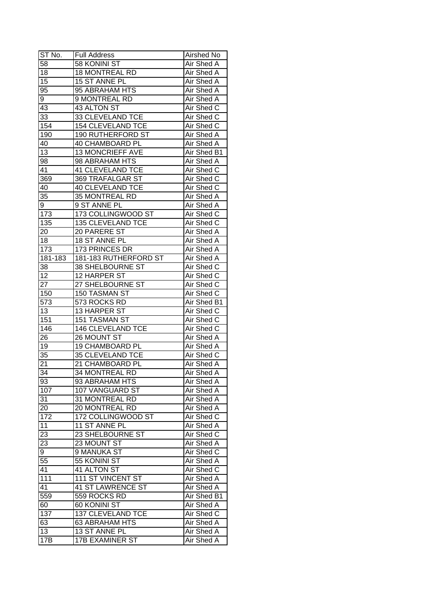| ST No.          | Full Address             | Airshed No        |
|-----------------|--------------------------|-------------------|
| 58              | 58 KONINI ST             | Air Shed A        |
| 18              | <b>18 MONTREAL RD</b>    | Air Shed A        |
| 15              | 15 ST ANNE PL            | Air Shed A        |
| 95              | 95 ABRAHAM HTS           | Air Shed A        |
| 9               | 9 MONTREAL RD            | Air Shed A        |
| 43              | 43 ALTON ST              | Air Shed C        |
| 33              | 33 CLEVELAND TCE         | Air Shed C        |
| 154             | <b>154 CLEVELAND TCE</b> | Air Shed C        |
| 190             | 190 RUTHERFORD ST        | Air Shed A        |
| 40              | 40 CHAMBOARD PL          | Air Shed A        |
| 13              | 13 MONCRIEFF AVE         | Air Shed B1       |
| 98              | 98 ABRAHAM HTS           | Air Shed A        |
| 41              | <b>41 CLEVELAND TCE</b>  | Air Shed C        |
| 369             | 369 TRAFALGAR ST         | Air Shed C        |
| 40              | <b>40 CLEVELAND TCE</b>  | Air Shed C        |
| 35              | 35 MONTREAL RD           | Air Shed A        |
| 9               | 9 ST ANNE PL             | Air Shed A        |
| 173             | 173 COLLINGWOOD ST       | Air Shed C        |
| 135             | 135 CLEVELAND TCE        | Air Shed C        |
| 20              | 20 PARERE ST             | Air Shed A        |
| 18              | 18 ST ANNE PL            | Air Shed A        |
| 173             | 173 PRINCES DR           | Air Shed A        |
| 181-183         | 181-183 RUTHERFORD ST    | Air Shed A        |
| 38              | 38 SHELBOURNE ST         | Air Shed C        |
| 12              | 12 HARPER ST             | Air Shed C        |
| 27              | 27 SHELBOURNE ST         | Air Shed C        |
| 150             | 150 TASMAN ST            | Air Shed C        |
| 573             | 573 ROCKS RD             | Air Shed B1       |
| 13              | 13 HARPER ST             | Air Shed C        |
| 151             | 151 TASMAN ST            | Air Shed C        |
| 146             | 146 CLEVELAND TCE        | Air Shed C        |
| 26              | 26 MOUNT ST              | Air Shed A        |
| 19              | 19 CHAMBOARD PL          | Air Shed A        |
| 35              | 35 CLEVELAND TCE         | Air Shed C        |
| 21              | 21 CHAMBOARD PL          | <b>Air Shed A</b> |
| $\overline{34}$ | 34 MONTREAL RD           | Air Shed A        |
| 93              | 93 ABRAHAM HTS           | Air Shed A        |
| 107             | 107 VANGUARD ST          | Air Shed A        |
| 31              | 31 MONTREAL RD           | Air Shed A        |
| 20              | 20 MONTREAL RD           | Air Shed A        |
| 172             | 172 COLLINGWOOD ST       | Air Shed C        |
| 11              | 11 ST ANNE PL            | Air Shed A        |
| 23              | 23 SHELBOURNE ST         | Air Shed C        |
| 23              | 23 MOUNT ST              | Air Shed A        |
| 9               | 9 MANUKA ST              | Air Shed C        |
| 55              | 55 KONINI ST             | Air Shed A        |
| 41              | 41 ALTON ST              | Air Shed C        |
| 111             | 111 ST VINCENT ST        | Air Shed A        |
| 41              | <b>41 ST LAWRENCE ST</b> | Air Shed A        |
| 559             | 559 ROCKS RD             | Air Shed B1       |
| 60              | 60 KONINI ST             | Air Shed A        |
| 137             | 137 CLEVELAND TCE        | Air Shed C        |
| 63              | 63 ABRAHAM HTS           | Air Shed A        |
| 13              | 13 ST ANNE PL            | Air Shed A        |
| 17B             |                          |                   |
|                 | <b>17B EXAMINER ST</b>   | Air Shed A        |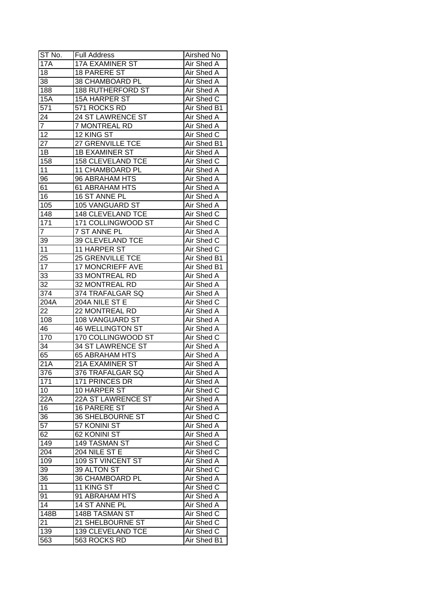| $ST N0$ .              | <b>Full Address</b>                        | Airshed No               |
|------------------------|--------------------------------------------|--------------------------|
| <b>17A</b>             | <b>17A EXAMINER ST</b>                     | Air Shed A               |
| 18                     | <b>18 PARERE ST</b>                        | <b>Air Shed A</b>        |
| 38                     | 38 CHAMBOARD PL                            | <b>Air Shed A</b>        |
| 188                    | <b>188 RUTHERFORD ST</b>                   | <b>Air Shed A</b>        |
| <b>15A</b>             | <b>15A HARPER ST</b>                       | Air Shed C               |
| 571                    | 571 ROCKS RD                               | Air Shed B1              |
| 24                     | 24 ST LAWRENCE ST                          | Air Shed A               |
| 7                      | 7 MONTREAL RD                              | Air Shed A               |
| 12                     | 12 KING ST                                 | Air Shed C               |
| 27                     | 27 GRENVILLE TCE                           | Air Shed B1              |
| 1B                     | <b>1B EXAMINER ST</b>                      | Air Shed A               |
| 158                    | <b>158 CLEVELAND TCE</b>                   | Air Shed C               |
| 11                     | 11 CHAMBOARD PL                            | Air Shed A               |
| 96                     | 96 ABRAHAM HTS                             | Air Shed A               |
| 61                     | 61 ABRAHAM HTS                             | Air Shed A               |
| $\overline{16}$        | 16 ST ANNE PL                              | Air Shed A               |
| 105                    | 105 VANGUARD ST                            | Air Shed A               |
| 148                    | 148 CLEVELAND TCE                          | Air Shed C               |
| 171                    | 171 COLLINGWOOD ST                         | Air Shed C               |
| $\overline{7}$         | 7 ST ANNE PL                               | Air Shed A               |
| 39                     | 39 CLEVELAND TCE                           | Air Shed C               |
| 11                     | 11 HARPER ST                               | Air Shed C               |
| 25                     | 25 GRENVILLE TCE                           | Air Shed B1              |
| 17                     | 17 MONCRIEFF AVE                           | Air Shed B1              |
| 33                     | 33 MONTREAL RD                             | Air Shed A               |
| 32                     |                                            |                          |
|                        | 32 MONTREAL RD                             | Air Shed A               |
| 374                    | 374 TRAFALGAR SQ                           | Air Shed A               |
| 204A                   | 204A NILE ST E                             | Air Shed C               |
| 22                     | 22 MONTREAL RD                             | Air Shed A               |
| 108                    | 108 VANGUARD ST<br><b>46 WELLINGTON ST</b> | Air Shed A               |
| 46<br>$\overline{170}$ | 170 COLLINGWOOD ST                         | Air Shed A<br>Air Shed C |
| 34                     | <b>34 ST LAWRENCE ST</b>                   | Air Shed A               |
|                        |                                            |                          |
| 65                     | <b>65 ABRAHAM HTS</b>                      | <b>Air Shed A</b>        |
| $\overline{21A}$       | <b>21A EXAMINER ST</b>                     | <b>Air Shed A</b>        |
| 376                    | 376 TRAFALGAR SQ                           | <b>Air Shed A</b>        |
| 171                    | 171 PRINCES DR                             | Air Shed A               |
| 10                     | 10 HARPER ST                               | Air Shed C               |
| 22A                    | 22A ST LAWRENCE ST                         | Air Shed A               |
| 16                     | 16 PARERE ST                               | Air Shed A               |
| 36                     | 36 SHELBOURNE ST                           | Air Shed C               |
| 57                     | 57 KONINI ST                               | Air Shed A               |
| 62                     | 62 KONINI ST                               | Air Shed A               |
| $\overline{149}$       | 149 TASMAN ST                              | Air Shed C               |
| 204                    | 204 NILE ST E                              | Air Shed C               |
| 109                    | 109 ST VINCENT ST                          | Air Shed A               |
| 39                     | 39 ALTON ST                                | Air Shed C               |
| 36                     | 36 CHAMBOARD PL                            | Air Shed A               |
| 11                     | 11 KING ST                                 | Air Shed C               |
| 91                     | 91 ABRAHAM HTS                             | Air Shed A               |
| 14                     | 14 ST ANNE PL                              | Air Shed A               |
| 148B                   | 148B TASMAN ST                             | Air Shed C               |
| 21                     | 21 SHELBOURNE ST                           | Air Shed C               |
| 139                    | 139 CLEVELAND TCE                          | Air Shed C               |
| 563                    | 563 ROCKS RD                               | Air Shed B1              |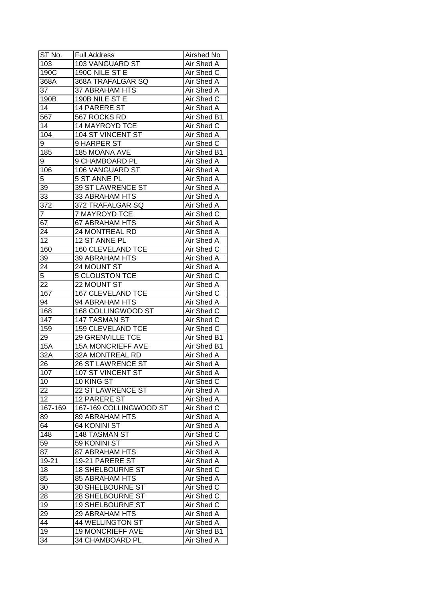| ST No.           | <b>Full Address</b>      | Airshed No        |
|------------------|--------------------------|-------------------|
| 103              | 103 VANGUARD ST          | Air Shed A        |
| 190C             | 190C NILE ST E           | Air Shed C        |
| 368A             | 368A TRAFALGAR SQ        | <b>Air Shed A</b> |
| 37               | <b>37 ABRAHAM HTS</b>    | Air Shed A        |
| 190B             | 190B NILE ST E           | Air Shed C        |
| 14               | 14 PARERE ST             | Air Shed A        |
| 567              | 567 ROCKS RD             | Air Shed B1       |
| 14               | 14 MAYROYD TCE           | Air Shed C        |
| 104              | 104 ST VINCENT ST        | Air Shed A        |
| 9                | 9 HARPER ST              | Air Shed C        |
| 185              | 185 MOANA AVE            | Air Shed B1       |
| 9                | 9 CHAMBOARD PL           | Air Shed A        |
| 106              | 106 VANGUARD ST          | Air Shed A        |
| 5                | 5 ST ANNE PL             | Air Shed A        |
| 39               | 39 ST LAWRENCE ST        | Air Shed A        |
| 33               | 33 ABRAHAM HTS           | Air Shed A        |
| 372              | 372 TRAFALGAR SQ         | Air Shed A        |
| $\overline{7}$   | 7 MAYROYD TCE            | Air Shed C        |
| 67               | 67 ABRAHAM HTS           | Air Shed A        |
| 24               | 24 MONTREAL RD           | Air Shed A        |
| 12               | 12 ST ANNE PL            | Air Shed A        |
| 160              | <b>160 CLEVELAND TCE</b> | Air Shed C        |
| 39               | 39 ABRAHAM HTS           | Air Shed A        |
| 24               | 24 MOUNT ST              | Air Shed A        |
| 5                | <b>5 CLOUSTON TCE</b>    | Air Shed C        |
| 22               | 22 MOUNT ST              | Air Shed A        |
| 167              | <b>167 CLEVELAND TCE</b> | Air Shed C        |
| 94               | 94 ABRAHAM HTS           | <b>Air Shed A</b> |
| 168              | 168 COLLINGWOOD ST       | Air Shed C        |
| 147              | 147 TASMAN ST            | Air Shed C        |
| 159              | <b>159 CLEVELAND TCE</b> | Air Shed C        |
| 29               | 29 GRENVILLE TCE         | Air Shed B1       |
| 15A              | <b>15A MONCRIEFF AVE</b> | Air Shed B1       |
| $\overline{32A}$ | <b>32A MONTREAL RD</b>   | <b>Air Shed A</b> |
| 26               | <b>26 ST LAWRENCE ST</b> | <b>Air Shed A</b> |
| 107              | 107 ST VINCENT ST        | <b>Air Shed A</b> |
| 10               | 10 KING ST               | Air Shed C        |
| 22               | 22 ST LAWRENCE ST        | Air Shed A        |
| 12               | 12 PARERE ST             | Air Shed A        |
| 167-169          | 167-169 COLLINGWOOD ST   | Air Shed C        |
| 89               | 89 ABRAHAM HTS           | Air Shed A        |
| 64               | 64 KONINI ST             | Air Shed A        |
| 148              | 148 TASMAN ST            | Air Shed C        |
| 59               | 59 KONINI ST             | Air Shed A        |
| 87               | 87 ABRAHAM HTS           | Air Shed A        |
| 19-21            | 19-21 PARERE ST          | Air Shed A        |
| 18               | <b>18 SHELBOURNE ST</b>  | Air Shed C        |
| 85               | <b>85 ABRAHAM HTS</b>    | Air Shed A        |
| 30               | 30 SHELBOURNE ST         | Air Shed C        |
| 28               | 28 SHELBOURNE ST         | Air Shed C        |
| 19               | 19 SHELBOURNE ST         | Air Shed C        |
| 29               | 29 ABRAHAM HTS           | Air Shed A        |
| 44               | <b>44 WELLINGTON ST</b>  | Air Shed A        |
| 19               | <b>19 MONCRIEFF AVE</b>  | Air Shed B1       |
| 34               | 34 CHAMBOARD PL          | Air Shed A        |
|                  |                          |                   |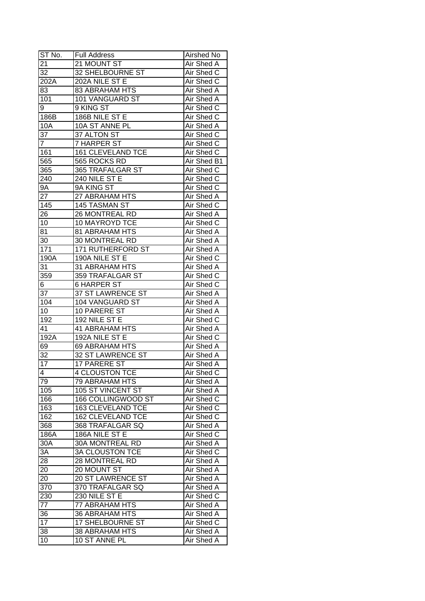| ST No.          | <b>Full Address</b>      | Airshed No        |
|-----------------|--------------------------|-------------------|
| 21              | 21 MOUNT ST              | Air Shed A        |
| 32              | <b>32 SHELBOURNE ST</b>  | Air Shed C        |
| 202A            | 202A NILE ST E           | Air Shed C        |
| 83              | <b>83 ABRAHAM HTS</b>    | Air Shed A        |
| 101             | 101 VANGUARD ST          | Air Shed A        |
| 9               | 9 KING ST                | Air Shed C        |
| 186B            | 186B NILE ST E           | Air Shed C        |
| 10A             | 10A ST ANNE PL           | Air Shed A        |
| 37              | 37 ALTON ST              | Air Shed C        |
| $\mathbf{7}$    | 7 HARPER ST              | Air Shed C        |
| 161             | 161 CLEVELAND TCE        | Air Shed C        |
| 565             | 565 ROCKS RD             | Air Shed B1       |
| 365             | 365 TRAFALGAR ST         | Air Shed C        |
| 240             | 240 NILE ST E            | Air Shed C        |
| 9Α              | 9A KING ST               | Air Shed C        |
| 27              | 27 ABRAHAM HTS           | Air Shed A        |
| 145             | 145 TASMAN ST            | Air Shed C        |
|                 | 26 MONTREAL RD           | Air Shed A        |
| 26<br>10        | 10 MAYROYD TCE           | Air Shed C        |
| 81              | 81 ABRAHAM HTS           | Air Shed A        |
| 30              | 30 MONTREAL RD           | Air Shed A        |
|                 | <b>171 RUTHERFORD ST</b> |                   |
| 171             |                          | Air Shed A        |
| 190A            | 190A NILE ST E           | Air Shed C        |
| 31              | 31 ABRAHAM HTS           | Air Shed A        |
| 359             | 359 TRAFALGAR ST         | Air Shed C        |
| 6               | <b>6 HARPER ST</b>       | Air Shed C        |
| 37              | 37 ST LAWRENCE ST        | Air Shed A        |
| 104             | 104 VANGUARD ST          | <b>Air Shed A</b> |
| 10              | 10 PARERE ST             | <b>Air Shed A</b> |
| 192             | 192 NILE ST E            | Air Shed C        |
| 41              | <b>41 ABRAHAM HTS</b>    | <b>Air Shed A</b> |
| 192A            | 192A NILE ST E           | Air Shed C        |
| 69              | <b>69 ABRAHAM HTS</b>    | Air Shed A        |
| $\overline{32}$ | <b>32 ST LAWRENCE ST</b> | Air Shed A        |
| $\overline{17}$ | <b>17 PARERE ST</b>      | <b>Air Shed A</b> |
| $\overline{4}$  | <b>4 CLOUSTON TCE</b>    | Air Shed C        |
| 79              | 79 ABRAHAM HTS           | Air Shed A        |
| 105             | 105 ST VINCENT ST        | Air Shed A        |
| 166             | 166 COLLINGWOOD ST       | Air Shed C        |
| 163             | <b>163 CLEVELAND TCE</b> | Air Shed C        |
| 162             | 162 CLEVELAND TCE        | Air Shed C        |
| 368             | 368 TRAFALGAR SQ         | Air Shed A        |
| 186A            | 186A NILE ST E           | Air Shed C        |
| 30A             | <b>30A MONTREAL RD</b>   | Air Shed A        |
| 3A              | <b>3A CLOUSTON TCE</b>   | Air Shed C        |
| 28              | <b>28 MONTREAL RD</b>    | Air Shed A        |
| 20              | 20 MOUNT ST              | Air Shed A        |
| 20              | 20 ST LAWRENCE ST        | Air Shed A        |
| 370             | 370 TRAFALGAR SQ         | Air Shed A        |
| 230             | 230 NILE ST E            | Air Shed C        |
| 77              | 77 ABRAHAM HTS           | Air Shed A        |
| 36              | <b>36 ABRAHAM HTS</b>    | Air Shed A        |
| 17              | <b>17 SHELBOURNE ST</b>  | Air Shed C        |
| 38              | 38 ABRAHAM HTS           | Air Shed A        |
| 10              | 10 ST ANNE PL            | Air Shed A        |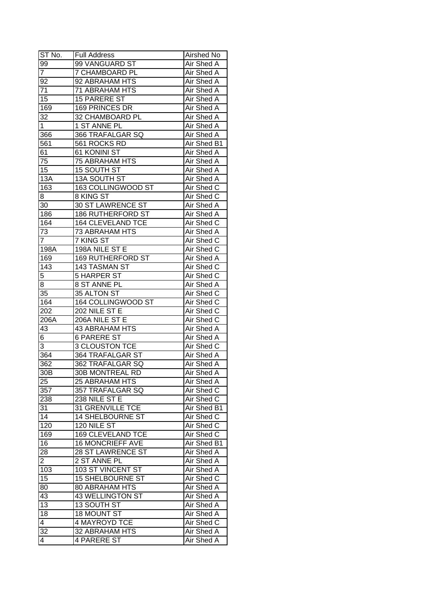| ST No.         | <b>Full Address</b>      | Airshed No               |
|----------------|--------------------------|--------------------------|
| 99             | 99 VANGUARD ST           | Air Shed A               |
| $\overline{7}$ | <b>7 CHAMBOARD PL</b>    | Air Shed A               |
| 92             | 92 ABRAHAM HTS           | Air Shed A               |
| 71             | 71 ABRAHAM HTS           | <b>Air Shed A</b>        |
| 15             | <b>15 PARERE ST</b>      | Air Shed A               |
| 169            | 169 PRINCES DR           | Air Shed A               |
| 32             | 32 CHAMBOARD PL          | Air Shed A               |
| 1              | 1 ST ANNE PL             | Air Shed A               |
| 366            | 366 TRAFALGAR SQ         | Air Shed A               |
| 561            | 561 ROCKS RD             | Air Shed B1              |
| 61             | 61 KONINI ST             | Air Shed A               |
| 75             | <b>75 ABRAHAM HTS</b>    | Air Shed A               |
| 15             | 15 SOUTH ST              | Air Shed A               |
| 13A            | 13A SOUTH ST             | <b>Air Shed A</b>        |
| 163            | 163 COLLINGWOOD ST       | Air Shed C               |
| 8              | 8 KING ST                | Air Shed C               |
| 30             | 30 ST LAWRENCE ST        | Air Shed A               |
| 186            | <b>186 RUTHERFORD ST</b> | Air Shed A               |
| 164            | 164 CLEVELAND TCE        |                          |
| 73             | <b>73 ABRAHAM HTS</b>    | Air Shed C<br>Air Shed A |
| $\overline{7}$ | 7 KING ST                | Air Shed C               |
|                | 198A NILE ST E           | Air Shed C               |
| 198A           |                          |                          |
| 169            | <b>169 RUTHERFORD ST</b> | Air Shed A               |
| 143            | 143 TASMAN ST            | Air Shed C               |
| 5              | 5 HARPER ST              | Air Shed C               |
| 8              | 8 ST ANNE PL             | Air Shed A               |
| 35             | 35 ALTON ST              | Air Shed C               |
| 164            | 164 COLLINGWOOD ST       | Air Shed C               |
| 202            | 202 NILE ST E            | Air Shed C               |
| 206A           | 206A NILE ST E           | Air Shed C               |
| 43             | 43 ABRAHAM HTS           | <b>Air Shed A</b>        |
| 6              | <b>6 PARERE ST</b>       | <b>Air Shed A</b>        |
| 3              | <b>3 CLOUSTON TCE</b>    | Air Shed C               |
| 364            | <b>364 TRAFALGAR ST</b>  | Air Shed A               |
| 362            | <b>362 TRAFALGAR SQ</b>  | <b>Air Shed A</b>        |
| 30B            | 30B MONTREAL RD          | <b>Air Shed A</b>        |
| 25             | 25 ABRAHAM HTS           | Air Shed A               |
| 357            | 357 TRAFALGAR SQ         | Air Shed C               |
| 238            | 238 NILE ST E            | Air Shed C               |
| 31             | <b>31 GRENVILLE TCE</b>  | Air Shed B1              |
| 14             | <b>14 SHELBOURNE ST</b>  | Air Shed C               |
| 120            | 120 NILE ST              | Air Shed C               |
| 169            | <b>169 CLEVELAND TCE</b> | Air Shed C               |
| 16             | <b>16 MONCRIEFF AVE</b>  | Air Shed B1              |
| 28             | 28 ST LAWRENCE ST        | Air Shed A               |
| $\overline{2}$ | 2 ST ANNE PL             | Air Shed A               |
| 103            | 103 ST VINCENT ST        | Air Shed A               |
| 15             | <b>15 SHELBOURNE ST</b>  | Air Shed C               |
| 80             | 80 ABRAHAM HTS           | Air Shed A               |
| 43             | 43 WELLINGTON ST         | Air Shed A               |
| 13             | 13 SOUTH ST              | Air Shed A               |
| 18             | 18 MOUNT ST              | Air Shed A               |
| 4              | 4 MAYROYD TCE            | Air Shed C               |
| 32             | 32 ABRAHAM HTS           | Air Shed A               |
| 4              | <b>4 PARERE ST</b>       | Air Shed A               |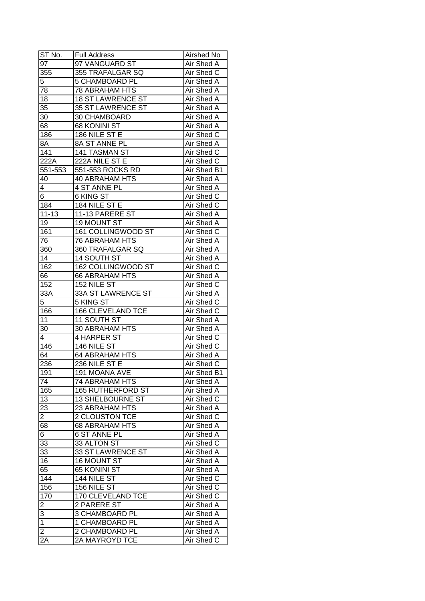| $ST N0$ .         | <b>Full Address</b>      | Airshed No        |
|-------------------|--------------------------|-------------------|
| $9\overline{7}$   | 97 VANGUARD ST           | Air Shed A        |
| 355               | 355 TRAFALGAR SQ         | <b>Air Shed C</b> |
| 5                 | 5 CHAMBOARD PL           | Air Shed A        |
| 78                | <b>78 ABRAHAM HTS</b>    | Air Shed A        |
| 18                | <b>18 ST LAWRENCE ST</b> | Air Shed A        |
| 35                | <b>35 ST LAWRENCE ST</b> | Air Shed A        |
| 30                | 30 CHAMBOARD             | Air Shed A        |
| 68                | <b>68 KONINI ST</b>      | Air Shed A        |
| 186               | 186 NILE ST E            | Air Shed C        |
| $8\overline{A}$   | 8A ST ANNE PL            | Air Shed A        |
| 141               | 141 TASMAN ST            | Air Shed C        |
| $22\overline{2A}$ | 222A NILE ST E           | Air Shed C        |
| 551-553           | 551-553 ROCKS RD         | Air Shed B1       |
| 40                | 40 ABRAHAM HTS           | Air Shed A        |
| 4                 | 4 ST ANNE PL             | Air Shed A        |
| 6                 | 6 KING ST                | Air Shed C        |
| 184               | 184 NILE ST E            | Air Shed C        |
| $11 - 13$         | 11-13 PARERE ST          | Air Shed A        |
| 19                | 19 MOUNT ST              | Air Shed A        |
| 161               | 161 COLLINGWOOD ST       | Air Shed C        |
| 76                | <b>76 ABRAHAM HTS</b>    | Air Shed A        |
| 360               | 360 TRAFALGAR SQ         | Air Shed A        |
| 14                | 14 SOUTH ST              | Air Shed A        |
| 162               | 162 COLLINGWOOD ST       | Air Shed C        |
| 66                | <b>66 ABRAHAM HTS</b>    | Air Shed A        |
| 152               | 152 NILE ST              | Air Shed C        |
| 33A               | 33A ST LAWRENCE ST       | Air Shed A        |
| 5                 | 5 KING ST                | Air Shed C        |
| 166               | 166 CLEVELAND TCE        | Air Shed C        |
| 11                | 11 SOUTH ST              | Air Shed A        |
| 30                | <b>30 ABRAHAM HTS</b>    | <b>Air Shed A</b> |
| 4                 | 4 HARPER ST              | Air Shed C        |
| 146               | 146 NILE ST              | Air Shed C        |
| 64                | <b>64 ABRAHAM HTS</b>    | Air Shed A        |
| 236               | 236 NILE ST E            | <b>Air Shed C</b> |
| 191               | <b>191 MOANA AVE</b>     | Air Shed B1       |
| 74                | <b>74 ABRAHAM HTS</b>    | Air Shed A        |
| 165               | <b>165 RUTHERFORD ST</b> | Air Shed A        |
| 13                | 13 SHELBOURNE ST         | Air Shed C        |
| 23                | 23 ABRAHAM HTS           | Air Shed A        |
| $\overline{c}$    | 2 CLOUSTON TCE           | Air Shed C        |
| 68                | <b>68 ABRAHAM HTS</b>    | Air Shed A        |
| 6                 | <b>6 ST ANNE PL</b>      | Air Shed A        |
| 33                | 33 ALTON ST              | Air Shed C        |
| 33                | 33 ST LAWRENCE ST        | Air Shed A        |
| 16                | 16 MOUNT ST              | Air Shed A        |
| 65                | 65 KONINI ST             | Air Shed A        |
| 144               | 144 NILE ST              | Air Shed C        |
| 156               | 156 NILE ST              | Air Shed C        |
| 170               | <b>170 CLEVELAND TCE</b> | Air Shed C        |
| $\overline{2}$    | 2 PARERE ST              | Air Shed A        |
| $\overline{3}$    | 3 CHAMBOARD PL           | Air Shed A        |
| $\overline{1}$    | 1 CHAMBOARD PL           | Air Shed A        |
| $\overline{2}$    | 2 CHAMBOARD PL           | Air Shed A        |
| 2A                | 2A MAYROYD TCE           | Air Shed C        |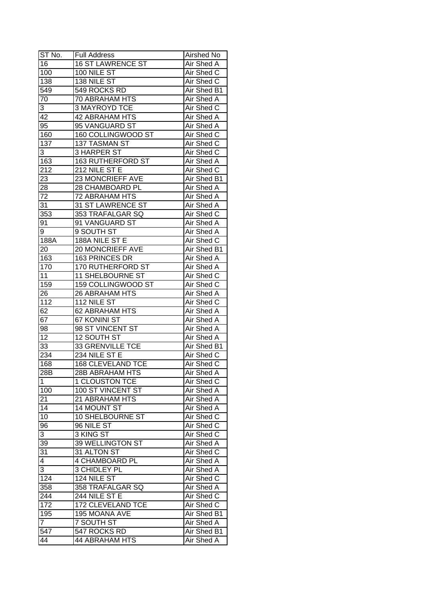| ST No.         | <b>Full Address</b>      | Airshed No  |
|----------------|--------------------------|-------------|
| 16             | <b>16 ST LAWRENCE ST</b> | Air Shed A  |
| 100            | 100 NILE ST              | Air Shed C  |
| 138            | 138 NILE ST              | Air Shed C  |
| 549            | 549 ROCKS RD             | Air Shed B1 |
| 70             | 70 ABRAHAM HTS           | Air Shed A  |
| 3              | <b>3 MAYROYD TCE</b>     | Air Shed C  |
| 42             | <b>42 ABRAHAM HTS</b>    | Air Shed A  |
| 95             | 95 VANGUARD ST           | Air Shed A  |
| 160            | 160 COLLINGWOOD ST       | Air Shed C  |
| 137            | 137 TASMAN ST            | Air Shed C  |
| 3              | 3 HARPER ST              | Air Shed C  |
| 163            | 163 RUTHERFORD ST        | Air Shed A  |
| 212            | 212 NILE ST E            | Air Shed C  |
| 23             | 23 MONCRIEFF AVE         | Air Shed B1 |
| 28             | 28 CHAMBOARD PL          | Air Shed A  |
| 72             | 72 ABRAHAM HTS           | Air Shed A  |
| 31             | 31 ST LAWRENCE ST        | Air Shed A  |
| 353            | 353 TRAFALGAR SQ         | Air Shed C  |
| 91             | 91 VANGUARD ST           | Air Shed A  |
| 9              | 9 SOUTH ST               | Air Shed A  |
| 188A           | 188A NILE ST E           | Air Shed C  |
| 20             | 20 MONCRIEFF AVE         | Air Shed B1 |
| 163            | 163 PRINCES DR           | Air Shed A  |
| 170            | 170 RUTHERFORD ST        | Air Shed A  |
| 11             | 11 SHELBOURNE ST         | Air Shed C  |
| 159            | 159 COLLINGWOOD ST       | Air Shed C  |
| 26             | 26 ABRAHAM HTS           | Air Shed A  |
| 112            | 112 NILE ST              | Air Shed C  |
| 62             | 62 ABRAHAM HTS           | Air Shed A  |
| 67             | 67 KONINI ST             | Air Shed A  |
| 98             | 98 ST VINCENT ST         | Air Shed A  |
| 12             | 12 SOUTH ST              | Air Shed A  |
| 33             | <b>33 GRENVILLE TCE</b>  | Air Shed B1 |
| 234            | 234 NILE ST E            | Air Shed C  |
| 168            | <b>168 CLEVELAND TCE</b> | Air Shed C  |
| 28B            | <b>28B ABRAHAM HTS</b>   | Air Shed A  |
| 1              | <b>1 CLOUSTON TCE</b>    | Air Shed C  |
| 100            | 100 ST VINCENT ST        | Air Shed A  |
| 21             | 21 ABRAHAM HTS           | Air Shed A  |
| 14             | 14 MOUNT ST              | Air Shed A  |
| 10             | <b>10 SHELBOURNE ST</b>  | Air Shed C  |
| 96             | 96 NILE ST               | Air Shed C  |
| 3              | 3 KING ST                | Air Shed C  |
| 39             | 39 WELLINGTON ST         | Air Shed A  |
| 31             | 31 ALTON ST              | Air Shed C  |
| $\overline{4}$ | <b>4 CHAMBOARD PL</b>    | Air Shed A  |
| 3              | 3 CHIDLEY PL             | Air Shed A  |
| 124            | <b>124 NILE ST</b>       | Air Shed C  |
| 358            | 358 TRAFALGAR SQ         | Air Shed A  |
| 244            | 244 NILE ST E            | Air Shed C  |
| 172            | 172 CLEVELAND TCE        | Air Shed C  |
| 195            | 195 MOANA AVE            | Air Shed B1 |
| $\overline{7}$ | 7 SOUTH ST               | Air Shed A  |
| 547            | 547 ROCKS RD             | Air Shed B1 |
| 44             | <b>44 ABRAHAM HTS</b>    | Air Shed A  |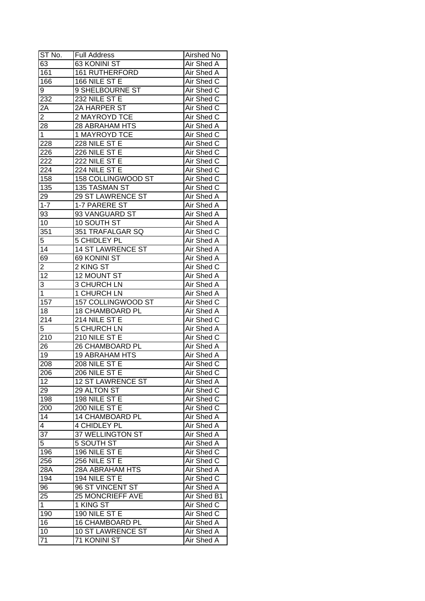| ST No.           | <b>Full Address</b>      | Airshed No        |
|------------------|--------------------------|-------------------|
| 63               | 63 KONINI ST             | Air Shed A        |
| 161              | <b>161 RUTHERFORD</b>    | Air Shed A        |
| 166              | 166 NILE ST E            | Air Shed C        |
| 9                | 9 SHELBOURNE ST          | Air Shed C        |
| 232              | 232 NILE ST E            | Air Shed C        |
| 2A               | 2A HARPER ST             | Air Shed C        |
| $\overline{2}$   | 2 MAYROYD TCE            | Air Shed C        |
| 28               | 28 ABRAHAM HTS           | Air Shed A        |
| $\mathbf{1}$     | 1 MAYROYD TCE            | Air Shed C        |
| 228              | 228 NILE ST E            | Air Shed C        |
| 226              | 226 NILE ST E            | Air Shed C        |
| 222              | 222 NILE ST E            | Air Shed C        |
| 224              | 224 NILE ST E            | Air Shed C        |
| 158              | 158 COLLINGWOOD ST       | Air Shed C        |
| 135              | 135 TASMAN ST            | Air Shed C        |
| 29               | 29 ST LAWRENCE ST        | Air Shed A        |
| $1 - 7$          | 1-7 PARERE ST            | Air Shed A        |
| 93               | 93 VANGUARD ST           | Air Shed A        |
| 10               | 10 SOUTH ST              | Air Shed A        |
| 351              | 351 TRAFALGAR SQ         | Air Shed C        |
| 5                | 5 CHIDLEY PL             | Air Shed A        |
| 14               | <b>14 ST LAWRENCE ST</b> | Air Shed A        |
| 69               | 69 KONINI ST             | Air Shed A        |
| 2                | 2 KING ST                | Air Shed C        |
| 12               | 12 MOUNT ST              | Air Shed A        |
| 3                | 3 CHURCH LN              | Air Shed A        |
| $\mathbf 1$      | 1 CHURCH LN              | Air Shed A        |
| 157              | 157 COLLINGWOOD ST       | Air Shed C        |
| 18               | 18 CHAMBOARD PL          | Air Shed A        |
| 214              | 214 NILE ST E            | Air Shed C        |
| 5                | <b>5 CHURCH LN</b>       | Air Shed A        |
| $\overline{210}$ | 210 NILE ST E            | Air Shed C        |
| 26               | <b>26 CHAMBOARD PL</b>   | Air Shed A        |
| $\overline{19}$  | <b>19 ABRAHAM HTS</b>    | Air Shed A        |
| 208              | 208 NILE ST E            | <b>Air Shed C</b> |
| 206              | 206 NILE ST E            | Air Shed C        |
| 12               | 12 ST LAWRENCE ST        | Air Shed A        |
| 29               | 29 ALTON ST              | Air Shed C        |
| 198              | 198 NILE ST E            | Air Shed C        |
| 200              | 200 NILE ST E            | Air Shed C        |
| 14               | 14 CHAMBOARD PL          | Air Shed A        |
| $\overline{4}$   | 4 CHIDLEY PL             | Air Shed A        |
| 37               | 37 WELLINGTON ST         | Air Shed A        |
| 5                | <b>5 SOUTH ST</b>        | Air Shed A        |
| 196              | 196 NILE ST E            | Air Shed C        |
| 256              | 256 NILE ST E            | Air Shed C        |
| 28A              | 28A ABRAHAM HTS          | Air Shed A        |
| 194              | 194 NILE ST E            | Air Shed C        |
| 96               | 96 ST VINCENT ST         | Air Shed A        |
| 25               | <b>25 MONCRIEFF AVE</b>  | Air Shed B1       |
| $\mathbf{1}$     | 1 KING ST                | Air Shed C        |
| 190              | 190 NILE ST E            | Air Shed C        |
| 16               | 16 CHAMBOARD PL          | Air Shed A        |
| 10               | 10 ST LAWRENCE ST        | Air Shed A        |
| 71               | 71 KONINI ST             | Air Shed A        |
|                  |                          |                   |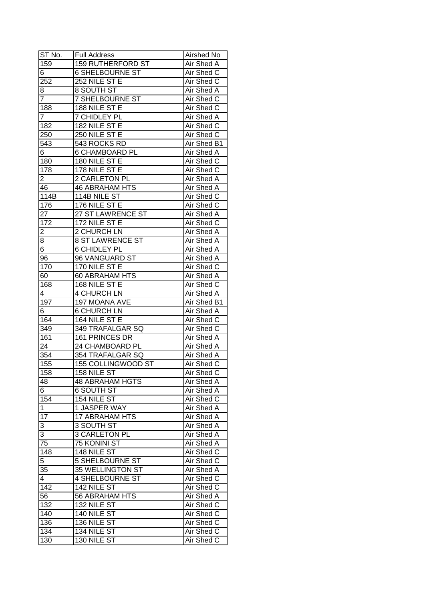| ST No.         | <b>Full Address</b>       | Airshed No        |
|----------------|---------------------------|-------------------|
| 159            | <b>159 RUTHERFORD ST</b>  | Air Shed A        |
| 6              | <b>6 SHELBOURNE ST</b>    | Air Shed C        |
| 252            | 252 NILE ST E             | Air Shed C        |
| 8              | 8 SOUTH ST                | Air Shed A        |
| 7              | <b>7 SHELBOURNE ST</b>    | Air Shed C        |
| 188            | 188 NILE ST E             | Air Shed C        |
| 7              | 7 CHIDLEY PL              | Air Shed A        |
| 182            | 182 NILE ST E             | Air Shed C        |
| 250            | 250 NILE ST E             | Air Shed C        |
| 543            | 543 ROCKS RD              | Air Shed B1       |
| 6              | <b>6 CHAMBOARD PL</b>     | Air Shed A        |
| 180            | 180 NILE ST E             | Air Shed C        |
| 178            | 178 NILE ST E             | Air Shed C        |
| 2              | 2 CARLETON PL             | <b>Air Shed A</b> |
| 46             | <b>46 ABRAHAM HTS</b>     | Air Shed A        |
| 114B           | 114B NILE ST              | Air Shed C        |
| 176            | 176 NILE ST E             | Air Shed C        |
| 27             | 27 ST LAWRENCE ST         | Air Shed A        |
| 172            | 172 NILE ST E             | Air Shed C        |
| 2              | 2 CHURCH LN               | Air Shed A        |
| 8              | <b>8 ST LAWRENCE ST</b>   | Air Shed A        |
| 6              | <b>6 CHIDLEY PL</b>       | Air Shed A        |
| 96             | 96 VANGUARD ST            | Air Shed A        |
| 170            | 170 NILE ST E             | Air Shed C        |
| 60             | 60 ABRAHAM HTS            | Air Shed A        |
| 168            | 168 NILE ST E             | Air Shed C        |
| 4              | 4 CHURCH LN               | Air Shed A        |
| 197            | 197 MOANA AVE             | Air Shed B1       |
| 6              | <b>6 CHURCH LN</b>        | <b>Air Shed A</b> |
| 164            | 164 NILE ST E             | Air Shed C        |
| 349            | 349 TRAFALGAR SQ          | Air Shed C        |
| 161            | 161 PRINCES DR            | Air Shed A        |
| 24             | 24 CHAMBOARD PL           | Air Shed A        |
| 354            | <b>354 TRAFALGAR SQ</b>   | Air Shed A        |
| 155            | <b>155 COLLINGWOOD ST</b> | <b>Air Shed C</b> |
| 158            | <b>158 NILE ST</b>        | Air Shed C        |
| 48             | <b>48 ABRAHAM HGTS</b>    | Air Shed A        |
| 6              | 6 SOUTH ST                | Air Shed A        |
| 154            | 154 NILE ST               | Air Shed C        |
| 1              | 1 JASPER WAY              | Air Shed A        |
| 17             | <b>17 ABRAHAM HTS</b>     | Air Shed A        |
| 3              | 3 SOUTH ST                | Air Shed A        |
| 3              | <b>3 CARLETON PL</b>      | Air Shed A        |
| 75             | 75 KONINI ST              | Air Shed A        |
| 148            | <b>148 NILE ST</b>        | Air Shed C        |
| $\overline{5}$ | <b>5 SHELBOURNE ST</b>    | Air Shed C        |
| 35             | 35 WELLINGTON ST          | Air Shed A        |
| 4              | 4 SHELBOURNE ST           | Air Shed C        |
| 142            | <b>142 NILE ST</b>        | Air Shed C        |
| 56             | 56 ABRAHAM HTS            | Air Shed A        |
| 132            | 132 NILE ST               | Air Shed C        |
| 140            | 140 NILE ST               | Air Shed C        |
| 136            | 136 NILE ST               | Air Shed C        |
| 134            | 134 NILE ST               | Air Shed C        |
| 130            | 130 NILE ST               | Air Shed C        |
|                |                           |                   |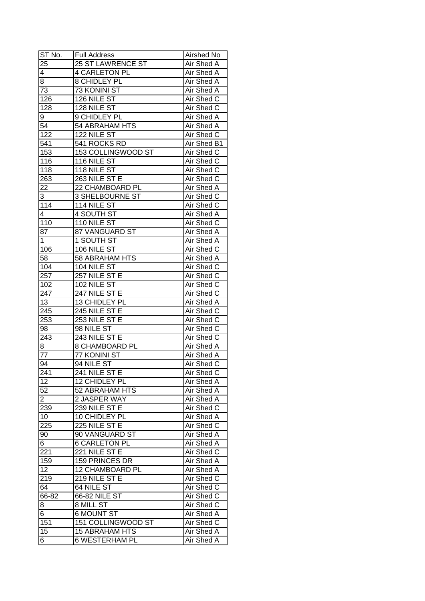| ST No.            | <b>Full Address</b>      | Airshed No        |
|-------------------|--------------------------|-------------------|
| 25                | <b>25 ST LAWRENCE ST</b> | Air Shed A        |
| $\overline{4}$    | <b>4 CARLETON PL</b>     | Air Shed A        |
| 8                 | 8 CHIDLEY PL             | Air Shed A        |
| $\overline{73}$   | <b>73 KONINI ST</b>      | <b>Air Shed A</b> |
| 126               | 126 NILE ST              | Air Shed C        |
| 128               | 128 NILE ST              | Air Shed C        |
| 9                 | 9 CHIDLEY PL             | Air Shed A        |
| 54                | 54 ABRAHAM HTS           | Air Shed A        |
| $\overline{1}22$  | 122 NILE ST              | Air Shed C        |
| 541               | 541 ROCKS RD             | Air Shed B1       |
| 153               | 153 COLLINGWOOD ST       | Air Shed C        |
| 116               | <b>116 NILE ST</b>       | Air Shed C        |
| 118               | <b>118 NILE ST</b>       | Air Shed C        |
| 263               | 263 NILE ST E            | Air Shed C        |
| 22                | 22 CHAMBOARD PL          | <b>Air Shed A</b> |
| 3                 | <b>3 SHELBOURNE ST</b>   | Air Shed C        |
| 114               | 114 NILE $ST$            | Air Shed C        |
| $\overline{4}$    | 4 SOUTH ST               | Air Shed A        |
| 110               | 110 NILE ST              | Air Shed C        |
| 87                | 87 VANGUARD ST           | Air Shed A        |
| 1                 | 1 SOUTH ST               | Air Shed A        |
| 106               | 106 NILE ST              | Air Shed C        |
| 58                | 58 ABRAHAM HTS           | Air Shed A        |
| 104               | 104 NILE ST              | Air Shed C        |
| 257               | 257 NILE ST E            | Air Shed C        |
| 102               | 102 NILE ST              | Air Shed C        |
| 247               | 247 NILE ST E            | Air Shed C        |
| 13                | 13 CHIDLEY PL            | Air Shed A        |
| $\overline{2}$ 45 | 245 NILE ST E            | Air Shed C        |
| 253               | 253 NILE ST E            | Air Shed C        |
| 98                | 98 NILE ST               | Air Shed C        |
| 243               | 243 NILE ST E            | Air Shed C        |
| 8                 | <b>8 CHAMBOARD PL</b>    | <b>Air Shed A</b> |
| $\overline{77}$   | <b>77 KONINI ST</b>      | Air Shed A        |
| 94                | 94 NILE ST               | <b>Air Shed C</b> |
| $\overline{241}$  | 241 NILE ST E            | Air Shed C        |
| 12                | 12 CHIDLEY PL            | Air Shed A        |
| 52                | 52 ABRAHAM HTS           | Air Shed A        |
| $\overline{2}$    | 2 JASPER WAY             | Air Shed A        |
| 239               | 239 NILE ST E            | Air Shed C        |
| 10                | 10 CHIDLEY PL            | Air Shed A        |
| 225               | 225 NILE ST E            | Air Shed C        |
| 90                | 90 VANGUARD ST           | Air Shed A        |
| 6                 | <b>6 CARLETON PL</b>     | Air Shed A        |
| 221               | 221 NILE ST E            | Air Shed C        |
| 159               | <b>159 PRINCES DR</b>    | <b>Air Shed A</b> |
| 12                | 12 CHAMBOARD PL          | Air Shed A        |
| 219               | 219 NILE ST E            | Air Shed C        |
| 64                | 64 NILE ST               | Air Shed C        |
| 66-82             | 66-82 NILE ST            | Air Shed C        |
| 8                 | 8 MILL ST                | Air Shed C        |
| 6                 | <b>6 MOUNT ST</b>        | Air Shed A        |
| 151               | 151 COLLINGWOOD ST       | Air Shed C        |
| 15                | <b>15 ABRAHAM HTS</b>    | Air Shed A        |
|                   | <b>6 WESTERHAM PL</b>    | Air Shed A        |
| 6                 |                          |                   |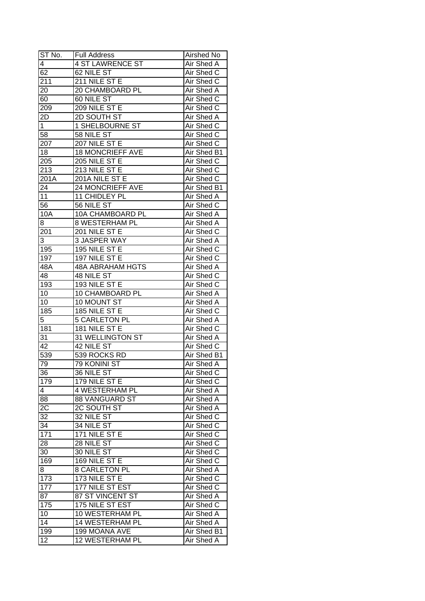| ST No.          | <b>Full Address</b>     | Airshed No        |
|-----------------|-------------------------|-------------------|
| 4               | <b>4 ST LAWRENCE ST</b> | Air Shed A        |
| 62              | 62 NILE ST              | Air Shed C        |
| 211             | 211 NILE ST E           | Air Shed C        |
| 20              | 20 CHAMBOARD PL         | Air Shed A        |
| 60              | 60 NILE ST              | Air Shed C        |
| 209             | 209 NILE ST E           | Air Shed C        |
| 2D              | 2D SOUTH ST             | Air Shed A        |
| 1               | 1 SHELBOURNE ST         | Air Shed C        |
| 58              | 58 NILE ST              | Air Shed C        |
| 207             | 207 NILE ST E           | Air Shed C        |
| 18              | <b>18 MONCRIEFF AVE</b> | Air Shed B1       |
| 205             | 205 NILE ST E           | Air Shed C        |
| 213             | 213 NILE ST E           | Air Shed C        |
| 201A            | 201A NILE ST E          | Air Shed C        |
| 24              | 24 MONCRIEFF AVE        | Air Shed B1       |
| 11              | 11 CHIDLEY PL           | Air Shed A        |
| 56              | 56 NILE ST              | Air Shed C        |
| 10A             | 10A CHAMBOARD PL        | Air Shed A        |
| 8               | <b>8 WESTERHAM PL</b>   | Air Shed A        |
| 201             | 201 NILE ST E           | Air Shed C        |
| 3               | 3 JASPER WAY            | Air Shed A        |
| 195             | 195 NILE ST E           | Air Shed C        |
| 197             | 197 NILE ST E           | Air Shed C        |
| 48A             | <b>48A ABRAHAM HGTS</b> | Air Shed A        |
| 48              | 48 NILE ST              | Air Shed C        |
| 193             | 193 NILE ST E           | Air Shed C        |
| 10              | 10 CHAMBOARD PL         | Air Shed A        |
| 10              | 10 MOUNT ST             | Air Shed A        |
| 185             | 185 NILE ST E           | Air Shed C        |
| 5               | <b>5 CARLETON PL</b>    | Air Shed A        |
| 181             | 181 NILE ST E           | Air Shed C        |
| 31              | <b>31 WELLINGTON ST</b> | Air Shed A        |
| $\overline{42}$ | 42 NILE ST              | Air Shed C        |
| 539             | 539 ROCKS RD            | Air Shed B1       |
| 79              | <b>79 KONINI ST</b>     | <b>Air Shed A</b> |
| 36              | 36 NILE ST              | Air Shed C        |
| 179             | 179 NILE ST E           | Air Shed C        |
| 4               | <b>4 WESTERHAM PL</b>   | Air Shed A        |
| 88              | <b>88 VANGUARD ST</b>   | Air Shed A        |
| 2C              | 2C SOUTH ST             | Air Shed A        |
| 32              | 32 NILE ST              | Air Shed C        |
| 34              | 34 NILE ST              | Air Shed C        |
| 171             | 171 NILE ST E           | Air Shed C        |
| 28              | 28 NILE ST              | Air Shed C        |
| 30              | 30 NILE ST              | Air Shed C        |
| 169             | 169 NILE ST E           | Air Shed C        |
| 8               | <b>8 CARLETON PL</b>    | <b>Air Shed A</b> |
| 173             | 173 NILE ST E           | Air Shed C        |
| 177             | 177 NILE ST EST         | Air Shed C        |
| 87              | 87 ST VINCENT ST        | Air Shed A        |
| 175             | 175 NILE ST EST         | Air Shed C        |
| 10              | 10 WESTERHAM PL         | Air Shed A        |
| 14              | 14 WESTERHAM PL         | Air Shed A        |
|                 | 199 MOANA AVE           | Air Shed B1       |
| 199             |                         |                   |
| 12              | 12 WESTERHAM PL         | Air Shed A        |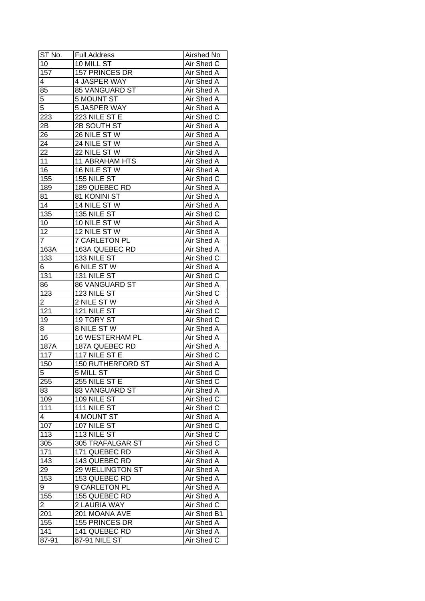| ST No.           | <b>Full Address</b>      | Airshed No        |
|------------------|--------------------------|-------------------|
| 10               | 10 MILL ST               | Air Shed C        |
| 157              | 157 PRINCES DR           | Air Shed A        |
| 4                | 4 JASPER WAY             | <b>Air Shed A</b> |
| 85               | 85 VANGUARD ST           | Air Shed A        |
| 5                | 5 MOUNT ST               | Air Shed A        |
| 5                | 5 JASPER WAY             | Air Shed A        |
| 223              | 223 NILE ST E            | Air Shed C        |
| 2Β               | 2B SOUTH ST              | Air Shed A        |
| 26               | 26 NILE STW              | Air Shed A        |
| 24               | 24 NILE ST W             | Air Shed A        |
| 22               | 22 NILE ST W             | Air Shed A        |
| 11               | 11 ABRAHAM HTS           | Air Shed A        |
| 16               | 16 NILE ST W             | Air Shed A        |
| 155              | 155 NILE ST              | Air Shed C        |
| 189              | 189 QUEBEC RD            | Air Shed A        |
| 81               | 81 KONINI ST             | Air Shed A        |
| 14               | 14 NILE ST W             | Air Shed A        |
| 135              | 135 NILE ST              | Air Shed C        |
| 10               | 10 NILE ST W             | Air Shed A        |
| 12               | 12 NILE ST W             | Air Shed A        |
| $\overline{7}$   | 7 CARLETON PL            | Air Shed A        |
| 163A             | 163A QUEBEC RD           | Air Shed A        |
| 133              | 133 NILE ST              | Air Shed C        |
| 6                | 6 NILE ST W              | Air Shed A        |
| 131              | 131 NILE ST              | Air Shed C        |
| 86               | 86 VANGUARD ST           | Air Shed A        |
| $\overline{123}$ | 123 NILE ST              | Air Shed C        |
| $\overline{2}$   | 2 NILE ST W              | Air Shed A        |
| 121              | 121 NILE ST              | Air Shed C        |
| 19               | 19 TORY ST               | Air Shed C        |
| 8                | <b>8 NILE ST W</b>       | Air Shed A        |
| $\overline{16}$  | <b>16 WESTERHAM PL</b>   | Air Shed A        |
| 187A             | 187A QUEBEC RD           | Air Shed A        |
| 117              | 117 NILE ST E            | Air Shed C        |
| 150              | <b>150 RUTHERFORD ST</b> | <b>Air Shed A</b> |
| $\overline{5}$   | 5 MILL ST                | <b>Air Shed C</b> |
| 255              | 255 NILE ST E            | Air Shed C        |
| 83               | 83 VANGUARD ST           | Air Shed A        |
| 109              | 109 NILE ST              | Air Shed C        |
| 111              | 111 NILE ST              | Air Shed C        |
| 4                | 4 MOUNT ST               | Air Shed A        |
| 107              | 107 NILE ST              | Air Shed C        |
| 113              | 113 NILE ST              | Air Shed C        |
| 305              | 305 TRAFALGAR ST         | Air Shed C        |
| 171              | 171 QUEBEC RD            | Air Shed A        |
| 143              | 143 QUEBEC RD            | Air Shed A        |
| 29               | <b>29 WELLINGTON ST</b>  | Air Shed A        |
| 153              | 153 QUEBEC RD            | Air Shed A        |
| 9                | 9 CARLETON PL            | Air Shed A        |
| 155              | 155 QUEBEC RD            | Air Shed A        |
| 2                | 2 LAURIA WAY             | Air Shed C        |
| 201              | 201 MOANA AVE            | Air Shed B1       |
| 155              | 155 PRINCES DR           | Air Shed A        |
| 141              | 141 QUEBEC RD            | Air Shed A        |
| 87-91            | 87-91 NILE ST            | Air Shed C        |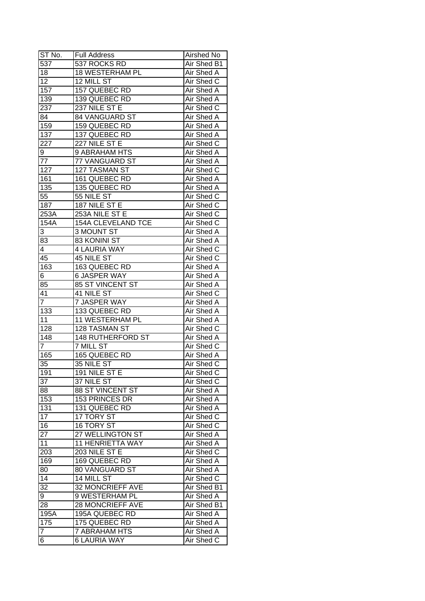| ST No.           | <b>Full Address</b>      | Airshed No        |
|------------------|--------------------------|-------------------|
| 537              | 537 ROCKS RD             | Air Shed B1       |
| 18               | <b>18 WESTERHAM PL</b>   | Air Shed A        |
| 12               | 12 MILL ST               | Air Shed C        |
| 157              | 157 QUEBEC RD            | Air Shed A        |
| 139              | 139 QUEBEC RD            | Air Shed A        |
| 237              | 237 NILE ST E            | Air Shed C        |
| 84               | 84 VANGUARD ST           | Air Shed A        |
| $\overline{159}$ | 159 QUEBEC RD            | Air Shed A        |
| 137              | 137 QUEBEC RD            | Air Shed A        |
| 227              | 227 NILE ST E            | Air Shed C        |
| 9                | 9 ABRAHAM HTS            | Air Shed A        |
| 77               | 77 VANGUARD ST           | Air Shed A        |
| 127              | 127 TASMAN ST            | Air Shed C        |
| 161              | 161 QUEBEC RD            | Air Shed A        |
| 135              | 135 QUEBEC RD            | <b>Air Shed A</b> |
| 55               | 55 NILE ST               | Air Shed C        |
| 187              | 187 NILE ST E            | Air Shed C        |
| 253A             | 253A NILE ST E           | Air Shed C        |
| 154A             | 154A CLEVELAND TCE       | Air Shed C        |
| 3                | 3 MOUNT ST               | Air Shed A        |
| 83               | 83 KONINI ST             | Air Shed A        |
| 4                | 4 LAURIA WAY             | Air Shed C        |
| 45               | 45 NILE ST               | Air Shed C        |
| 163              | 163 QUEBEC RD            | Air Shed A        |
| 6                | <b>6 JASPER WAY</b>      | Air Shed A        |
| 85               | 85 ST VINCENT ST         | Air Shed A        |
| 41               | 41 NILE ST               | Air Shed C        |
| $\overline{7}$   | 7 JASPER WAY             | Air Shed A        |
| 133              | 133 QUEBEC RD            | Air Shed A        |
| 11               | 11 WESTERHAM PL          | <b>Air Shed A</b> |
| 128              | 128 TASMAN ST            | Air Shed C        |
| 148              | <b>148 RUTHERFORD ST</b> | Air Shed A        |
| $\overline{7}$   | <b>7 MILL ST</b>         | Air Shed C        |
| 165              | 165 QUEBEC RD            | Air Shed A        |
| 35               | 35 NILE ST               | Air Shed C        |
| 191              | 191 NILE ST E            | <b>Air Shed C</b> |
| 37               | 37 NILE ST               | Air Shed C        |
| 88               | 88 ST VINCENT ST         | Air Shed A        |
| 153              | 153 PRINCES DR           | Air Shed A        |
| 131              | 131 QUEBEC RD            | Air Shed A        |
| 17               | 17 TORY ST               | Air Shed C        |
| 16               | 16 TORY ST               | Air Shed C        |
| 27               | 27 WELLINGTON ST         | Air Shed A        |
| 11               | 11 HENRIETTA WAY         | Air Shed A        |
| 203              | 203 NILE ST E            | Air Shed C        |
| 169              | 169 QUEBEC RD            | Air Shed A        |
| 80               | 80 VANGUARD ST           | <b>Air Shed A</b> |
| 14               | 14 MILL ST               | Air Shed C        |
| 32               | 32 MONCRIEFF AVE         | Air Shed B1       |
| 9                | 9 WESTERHAM PL           | Air Shed A        |
| 28               | <b>28 MONCRIEFF AVE</b>  | Air Shed B1       |
| 195A             | 195A QUEBEC RD           | Air Shed A        |
| 175              | 175 QUEBEC RD            | Air Shed A        |
| $\overline{7}$   | <b>7 ABRAHAM HTS</b>     | Air Shed A        |
| 6                | 6 LAURIA WAY             | Air Shed C        |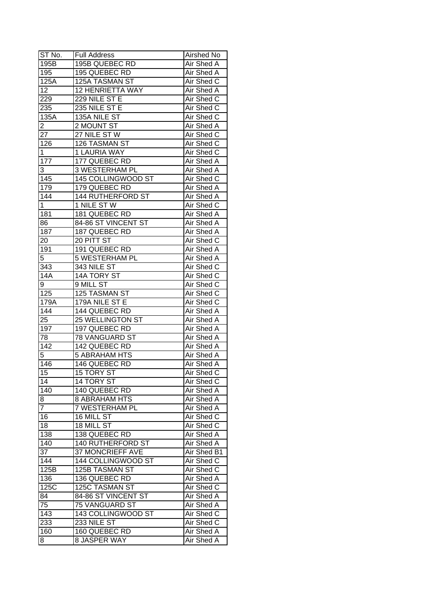| ST No.         | <b>Full Address</b>      | Airshed No               |
|----------------|--------------------------|--------------------------|
| 195B           | 195B QUEBEC RD           | Air Shed A               |
| 195            | 195 QUEBEC RD            | Air Shed A               |
| 125A           | 125A TASMAN ST           | Air Shed C               |
| 12             | <b>12 HENRIETTA WAY</b>  | Air Shed A               |
| 229            | 229 NILE ST E            | Air Shed C               |
| 235            | 235 NILE ST E            | Air Shed C               |
| 135A           | 135A NILE ST             | Air Shed C               |
| $\overline{c}$ | 2 MOUNT ST               | Air Shed A               |
| 27             | 27 NILE ST W             | Air Shed C               |
| 126            | 126 TASMAN ST            | Air Shed C               |
| 1              | 1 LAURIA WAY             | Air Shed C               |
| 177            | 177 QUEBEC RD            | Air Shed A               |
| 3              | 3 WESTERHAM PL           | Air Shed A               |
| 145            | 145 COLLINGWOOD ST       | Air Shed C               |
| 179            | 179 QUEBEC RD            | Air Shed A               |
| 144            | <b>144 RUTHERFORD ST</b> | Air Shed A               |
| $\overline{1}$ | 1 NILE ST W              | Air Shed C               |
| 181            | 181 QUEBEC RD            | Air Shed A               |
| 86             | 84-86 ST VINCENT ST      | Air Shed A               |
| 187            | 187 QUEBEC RD            | Air Shed A               |
| 20             | 20 PITT ST               | Air Shed C               |
| 191            | 191 QUEBEC RD            | Air Shed A               |
| 5              | 5 WESTERHAM PL           | Air Shed A               |
| 343            | 343 NILE ST              | Air Shed C               |
| <b>14A</b>     | 14A TORY ST              | Air Shed C               |
| 9              | 9 MILL ST                | Air Shed C               |
| 125            | 125 TASMAN ST            | Air Shed C               |
| 179A           | 179A NILE ST E           | Air Shed C               |
| 144            | 144 QUEBEC RD            | <b>Air Shed A</b>        |
| 25             | 25 WELLINGTON ST         | Air Shed A               |
| 197            | 197 QUEBEC RD            | <b>Air Shed A</b>        |
| 78             | 78 VANGUARD ST           | Air Shed A               |
| 142            | 142 QUEBEC RD            | Air Shed A               |
| $\overline{5}$ | <b>5 ABRAHAM HTS</b>     | Air Shed A               |
| 146            | 146 QUEBEC RD            | <b>Air Shed A</b>        |
| 15             | <b>15 TORY ST</b>        | Air Shed C               |
| 14             | 14 TORY ST               | Air Shed C               |
| 140            | 140 QUEBEC RD            | Air Shed A               |
| 8              | <b>8 ABRAHAM HTS</b>     | Air Shed A               |
| 7              | 7 WESTERHAM PL           | Air Shed A               |
| 16             | 16 MILL ST               | Air Shed C               |
| 18             | 18 MILL ST               |                          |
| 138            | 138 QUEBEC RD            | Air Shed C<br>Air Shed A |
| 140            | 140 RUTHERFORD ST        | Air Shed A               |
| 37             |                          | Air Shed B1              |
|                | 37 MONCRIEFF AVE         |                          |
| 144            | 144 COLLINGWOOD ST       | Air Shed C               |
| 125B           | 125B TASMAN ST           | Air Shed C               |
| 136            | 136 QUEBEC RD            | Air Shed A               |
| 125C           | 125C TASMAN ST           | Air Shed C               |
| 84             | 84-86 ST VINCENT ST      | Air Shed A               |
| 75             | 75 VANGUARD ST           | Air Shed A               |
| 143            | 143 COLLINGWOOD ST       | Air Shed C               |
| 233            | 233 NILE ST              | Air Shed C               |
| 160            | 160 QUEBEC RD            | Air Shed A               |
| 8              | 8 JASPER WAY             | Air Shed A               |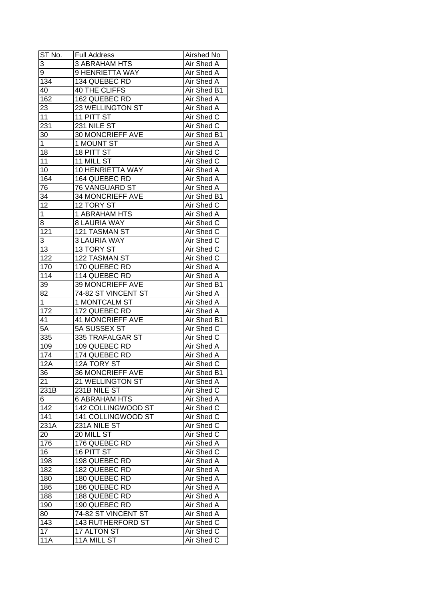| ST No.           | <b>Full Address</b>      | Airshed No         |
|------------------|--------------------------|--------------------|
| 3                | 3 ABRAHAM HTS            | Air Shed A         |
| 9                | 9 HENRIETTA WAY          | Air Shed A         |
| 134              | 134 QUEBEC RD            | Air Shed A         |
| 40               | <b>40 THE CLIFFS</b>     | <b>Air Shed B1</b> |
| 162              | 162 QUEBEC RD            | Air Shed A         |
| 23               | 23 WELLINGTON ST         | Air Shed A         |
| 11               | 11 PITT ST               | Air Shed C         |
| 231              | 231 NILE ST              | Air Shed C         |
| 30               | 30 MONCRIEFF AVE         | Air Shed B1        |
| 1                | 1 MOUNT ST               | Air Shed A         |
| 18               | 18 PITT ST               | Air Shed C         |
| 11               | 11 MILL ST               | Air Shed C         |
| 10               | 10 HENRIETTA WAY         | Air Shed A         |
| 164              | 164 QUEBEC RD            | Air Shed A         |
| 76               | 76 VANGUARD ST           | Air Shed A         |
| 34               | 34 MONCRIEFF AVE         | Air Shed B1        |
| 12               | 12 TORY ST               | Air Shed C         |
| $\overline{1}$   | 1 ABRAHAM HTS            | Air Shed A         |
|                  | <b>8 LAURIA WAY</b>      | Air Shed C         |
| 8                | 121 TASMAN ST            | Air Shed C         |
| 121              |                          |                    |
| 3                | <b>3 LAURIA WAY</b>      | Air Shed C         |
| 13               | 13 TORY ST               | Air Shed C         |
| 122              | 122 TASMAN ST            | Air Shed C         |
| 170              | 170 QUEBEC RD            | Air Shed A         |
| 114              | 114 QUEBEC RD            | Air Shed A         |
| 39               | 39 MONCRIEFF AVE         | Air Shed B1        |
| 82               | 74-82 ST VINCENT ST      | Air Shed A         |
| $\mathbf 1$      | 1 MONTCALM ST            | Air Shed A         |
| 172              | 172 QUEBEC RD            | Air Shed A         |
| 41               | <b>41 MONCRIEFF AVE</b>  | Air Shed B1        |
| 5A               | 5A SUSSEX ST             | Air Shed C         |
| $\overline{335}$ | 335 TRAFALGAR ST         | Air Shed C         |
| 109              | 109 QUEBEC RD            | <b>Air Shed A</b>  |
| 174              | 174 QUEBEC RD            | Air Shed A         |
| 12A              | <b>12A TORY ST</b>       | Air Shed C         |
| 36               | <b>36 MONCRIEFF AVE</b>  | Air Shed B1        |
| 21               | 21 WELLINGTON ST         | Air Shed A         |
| 231B             | 231B NILE ST             | Air Shed C         |
| 6                | 6 ABRAHAM HTS            | Air Shed A         |
| 142              | 142 COLLINGWOOD ST       | Air Shed C         |
| 141              | 141 COLLINGWOOD ST       | Air Shed C         |
| 231A             | 231A NILE ST             | Air Shed C         |
| 20               | 20 MILL ST               | Air Shed C         |
| 176              | 176 QUEBEC RD            | Air Shed A         |
| 16               | 16 PITT ST               | Air Shed C         |
| 198              | 198 QUEBEC RD            | Air Shed A         |
| 182              | 182 QUEBEC RD            | Air Shed A         |
| 180              | 180 QUEBEC RD            | Air Shed A         |
| 186              | 186 QUEBEC RD            | Air Shed A         |
| 188              | 188 QUEBEC RD            | Air Shed A         |
| 190              | 190 QUEBEC RD            | Air Shed A         |
| 80               | 74-82 ST VINCENT ST      | Air Shed A         |
| 143              | <b>143 RUTHERFORD ST</b> | Air Shed C         |
| 17               | 17 ALTON ST              | Air Shed C         |
| 11A              | 11A MILL ST              | Air Shed C         |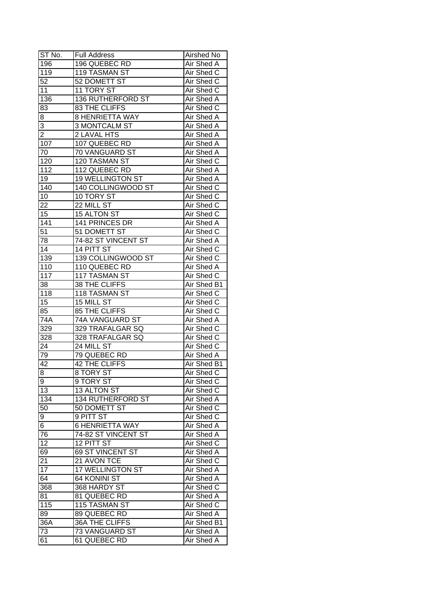| ST No.           | <b>Full Address</b>      | Airshed No        |
|------------------|--------------------------|-------------------|
| 196              | 196 QUEBEC RD            | Air Shed A        |
| $\overline{119}$ | 119 TASMAN ST            | Air Shed C        |
| 52               | 52 DOMETT ST             | Air Shed C        |
| 11               | 11 TORY ST               | Air Shed C        |
| 136              | <b>136 RUTHERFORD ST</b> | Air Shed A        |
| 83               | 83 THE CLIFFS            | Air Shed C        |
| 8                | <b>8 HENRIETTA WAY</b>   | Air Shed A        |
| 3                | 3 MONTCALM ST            | Air Shed A        |
| $\overline{2}$   | 2 LAVAL HTS              | Air Shed A        |
| 107              | 107 QUEBEC RD            | Air Shed A        |
| 70               | 70 VANGUARD ST           | Air Shed A        |
| 120              | 120 TASMAN ST            | Air Shed C        |
| 112              | 112 QUEBEC RD            | Air Shed A        |
| 19               | <b>19 WELLINGTON ST</b>  | <b>Air Shed A</b> |
| 140              | 140 COLLINGWOOD ST       | Air Shed C        |
| 10               | 10 TORY ST               | Air Shed C        |
| 22               | 22 MILL ST               | Air Shed C        |
| 15               | 15 ALTON ST              | Air Shed C        |
| 141              | 141 PRINCES DR           | Air Shed A        |
| 51               | 51 DOMETT ST             | Air Shed C        |
| 78               | 74-82 ST VINCENT ST      | Air Shed A        |
| 14               | 14 PITT ST               | Air Shed C        |
| 139              | 139 COLLINGWOOD ST       | Air Shed C        |
| 110              | 110 QUEBEC RD            | Air Shed A        |
| 117              | 117 TASMAN ST            | Air Shed C        |
| 38               | 38 THE CLIFFS            | Air Shed B1       |
| 118              | 118 TASMAN ST            | Air Shed C        |
| 15               | 15 MILL ST               | Air Shed C        |
| 85               | <b>85 THE CLIFFS</b>     | Air Shed C        |
| 74A              | 74A VANGUARD ST          | Air Shed A        |
| 329              | 329 TRAFALGAR SQ         | Air Shed C        |
| 328              | 328 TRAFALGAR SQ         | Air Shed C        |
| 24               | 24 MILL ST               | Air Shed C        |
| 79               | 79 QUEBEC RD             | <b>Air Shed A</b> |
| $\overline{42}$  | <b>42 THE CLIFFS</b>     | Air Shed B1       |
| $\overline{8}$   | 8 TORY ST                | Air Shed C        |
| 9                | 9 TORY ST                | Air Shed C        |
| 13               | 13 ALTON ST              | Air Shed C        |
| 134              | 134 RUTHERFORD ST        | Air Shed A        |
| 50               | 50 DOMETT ST             | Air Shed C        |
| 9                | 9 PITT ST                | Air Shed C        |
| 6                | <b>6 HENRIETTA WAY</b>   | Air Shed A        |
| 76               | 74-82 ST VINCENT ST      | Air Shed A        |
| 12               | 12 PITT ST               | Air Shed C        |
| 69               | 69 ST VINCENT ST         | <b>Air Shed A</b> |
| 21               | 21 AVON TCE              | Air Shed C        |
| $\overline{17}$  | <b>17 WELLINGTON ST</b>  | Air Shed A        |
| 64               | 64 KONINI ST             | Air Shed A        |
| 368              | 368 HARDY ST             | Air Shed C        |
| 81               | 81 QUEBEC RD             |                   |
|                  |                          | Air Shed A        |
| 115              | 115 TASMAN ST            | Air Shed C        |
| 89               | 89 QUEBEC RD             | Air Shed A        |
| 36A              | <b>36A THE CLIFFS</b>    | Air Shed B1       |
| 73               | 73 VANGUARD ST           | Air Shed A        |
| 61               | 61 QUEBEC RD             | Air Shed A        |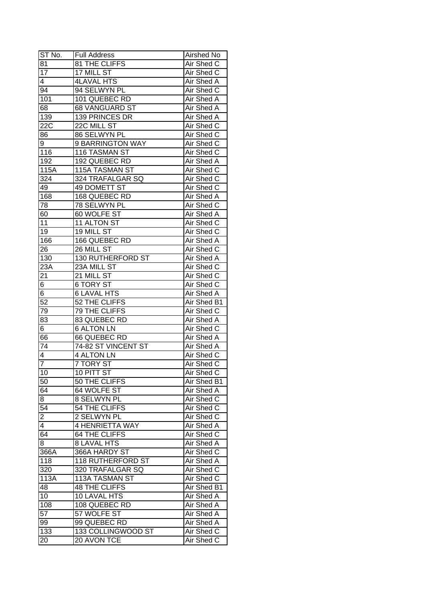| ST No.          | <b>Full Address</b>      | Airshed No        |
|-----------------|--------------------------|-------------------|
| 81              | 81 THE CLIFFS            | Air Shed C        |
| 17              | 17 MILL ST               | Air Shed C        |
| $\overline{4}$  | <b>4LAVAL HTS</b>        | Air Shed A        |
| 94              | 94 SELWYN PL             | Air Shed C        |
| 101             | 101 QUEBEC RD            | Air Shed A        |
| 68              | 68 VANGUARD ST           | Air Shed A        |
| 139             | 139 PRINCES DR           | Air Shed A        |
| 22C             | 22C MILL ST              | Air Shed C        |
| 86              | 86 SELWYN PL             | Air Shed C        |
| 9               | 9 BARRINGTON WAY         | Air Shed C        |
| 116             | 116 TASMAN ST            | Air Shed C        |
| 192             | 192 QUEBEC RD            | Air Shed A        |
| 115A            | 115A TASMAN ST           | Air Shed C        |
| 324             | 324 TRAFALGAR SQ         | Air Shed C        |
| 49              | 49 DOMETT ST             | Air Shed C        |
| 168             | 168 QUEBEC RD            | Air Shed A        |
| 78              | 78 SELWYN PL             | Air Shed C        |
| 60              | 60 WOLFE ST              | Air Shed A        |
| 11              | 11 ALTON ST              | Air Shed C        |
|                 | 19 MILL ST               | Air Shed C        |
| 19              |                          |                   |
| 166             | 166 QUEBEC RD            | Air Shed A        |
| 26              | 26 MILL ST               | Air Shed C        |
| 130             | <b>130 RUTHERFORD ST</b> | Air Shed A        |
| 23A             | 23A MILL ST              | Air Shed C        |
| 21              | 21 MILL ST               | Air Shed C        |
| 6               | 6 TORY ST                | Air Shed C        |
| 6               | <b>6 LAVAL HTS</b>       | Air Shed A        |
| $\overline{52}$ | 52 THE CLIFFS            | Air Shed B1       |
| 79              | 79 THE CLIFFS            | Air Shed C        |
| 83              | 83 QUEBEC RD             | Air Shed A        |
| 6               | <b>6 ALTON LN</b>        | Air Shed C        |
| 66              | 66 QUEBEC RD             | Air Shed A        |
| $\overline{74}$ | 74-82 ST VINCENT ST      | <b>Air Shed A</b> |
| $\overline{4}$  | <b>4 ALTON LN</b>        | Air Shed C        |
| $\overline{7}$  | <b>7 TORY ST</b>         | Air Shed C        |
| 10              | <b>10 PITT ST</b>        | Air Shed C        |
| 50              | 50 THE CLIFFS            | Air Shed B1       |
| 64              | 64 WOLFE ST              | Air Shed A        |
| 8               | 8 SELWYN PL              | Air Shed C        |
| 54              | 54 THE CLIFFS            | Air Shed C        |
| $\overline{c}$  | 2 SELWYN PL              | Air Shed C        |
| 4               | 4 HENRIETTA WAY          | Air Shed A        |
| 64              | 64 THE CLIFFS            | Air Shed C        |
| 8               | <b>8 LAVAL HTS</b>       | Air Shed A        |
| 366A            | 366A HARDY ST            | Air Shed C        |
| 118             | <b>118 RUTHERFORD ST</b> | Air Shed A        |
| 320             | 320 TRAFALGAR SQ         | Air Shed C        |
| 113A            | 113A TASMAN ST           | Air Shed C        |
| 48              | <b>48 THE CLIFFS</b>     | Air Shed B1       |
| 10              | 10 LAVAL HTS             | Air Shed A        |
| 108             | 108 QUEBEC RD            | Air Shed A        |
| 57              | 57 WOLFE ST              | Air Shed A        |
| 99              | 99 QUEBEC RD             | Air Shed A        |
| 133             | 133 COLLINGWOOD ST       | Air Shed C        |
| 20              | 20 AVON TCE              | Air Shed C        |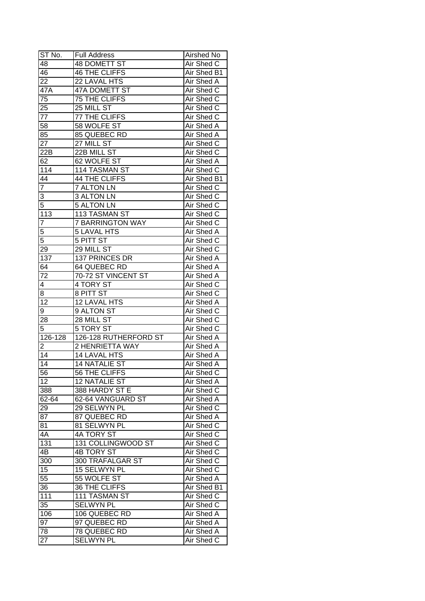| ST No.              | Full Address                     | Airshed No        |
|---------------------|----------------------------------|-------------------|
| 48                  | <b>48 DOMETT ST</b>              | Air Shed C        |
| 46                  | <b>46 THE CLIFFS</b>             | Air Shed B1       |
| 22                  | 22 LAVAL HTS                     | Air Shed A        |
| 47A                 | 47A DOMETT ST                    | Air Shed C        |
| 75                  | 75 THE CLIFFS                    | Air Shed C        |
| 25                  | 25 MILL ST                       | Air Shed C        |
| 77                  | 77 THE CLIFFS                    | Air Shed C        |
| 58                  | 58 WOLFE ST                      | Air Shed A        |
| 85                  | 85 QUEBEC RD                     | Air Shed A        |
| 27                  | 27 MILL ST                       | Air Shed C        |
| $22\overline{B}$    | 22B MILL ST                      | Air Shed C        |
| 62                  | 62 WOLFE ST                      | Air Shed A        |
| 114                 | 114 TASMAN ST                    | Air Shed C        |
| $4\overline{4}$     | 44 THE CLIFFS                    | Air Shed B1       |
| $\overline{7}$      | <b>7 ALTON LN</b>                | Air Shed C        |
|                     | <b>3 ALTON LN</b>                | Air Shed C        |
| 3<br>$\overline{5}$ | <b>5 ALTON LN</b>                |                   |
|                     |                                  | Air Shed C        |
| 113                 | 113 TASMAN ST                    | Air Shed C        |
| $\overline{7}$      | <b>7 BARRINGTON WAY</b>          | Air Shed C        |
| 5                   | <b>5 LAVAL HTS</b>               | Air Shed A        |
| 5                   | 5 PITT ST                        | Air Shed C        |
| 29                  | 29 MILL ST                       | Air Shed C        |
| 137                 | 137 PRINCES DR                   | Air Shed A        |
| 64                  | 64 QUEBEC RD                     | Air Shed A        |
| 72                  | 70-72 ST VINCENT ST              | Air Shed A        |
| 4                   | 4 TORY ST                        | Air Shed C        |
| 8                   | 8 PITT ST                        | Air Shed C        |
| 12                  | 12 LAVAL HTS                     | Air Shed A        |
| 9                   | 9 ALTON ST                       | Air Shed C        |
| 28                  | $28$ MILL $\overline{\text{ST}}$ | Air Shed C        |
| 5                   | 5 TORY ST                        | Air Shed C        |
| 126-128             | 126-128 RUTHERFORD ST            | Air Shed A        |
| 2                   | <b>2 HENRIETTA WAY</b>           | <b>Air Shed A</b> |
| 14                  | <b>14 LAVAL HTS</b>              | Air Shed A        |
| 14                  | <b>14 NATALIE ST</b>             | <b>Air Shed A</b> |
| 56                  | 56 THE CLIFFS                    | Air Shed C        |
| $\overline{1}2$     | <b>12 NATALIE ST</b>             | Air Shed A        |
| 388                 | 388 HARDY ST E                   | Air Shed C        |
| 62-64               | 62-64 VANGUARD ST                | Air Shed A        |
| 29                  | 29 SELWYN PL                     | Air Shed C        |
| 87                  | 87 QUEBEC RD                     | Air Shed A        |
| 81                  | 81 SELWYN PL                     | Air Shed C        |
| 4A                  | 4A TORY ST                       | Air Shed C        |
| 131                 | 131 COLLINGWOOD ST               | Air Shed C        |
| 4B                  | <b>4B TORY ST</b>                | Air Shed C        |
| 300                 | 300 TRAFALGAR ST                 | Air Shed C        |
| 15                  | 15 SELWYN PL                     | Air Shed C        |
| 55                  | 55 WOLFE ST                      | Air Shed A        |
| 36                  | 36 THE CLIFFS                    | Air Shed B1       |
| 111                 | 111 TASMAN ST                    | Air Shed C        |
| 35                  | <b>SELWYN PL</b>                 | Air Shed C        |
| 106                 | 106 QUEBEC RD                    | Air Shed A        |
| 97                  | 97 QUEBEC RD                     | Air Shed A        |
| 78                  | 78 QUEBEC RD                     | Air Shed A        |
| 27                  | <b>SELWYN PL</b>                 | Air Shed C        |
|                     |                                  |                   |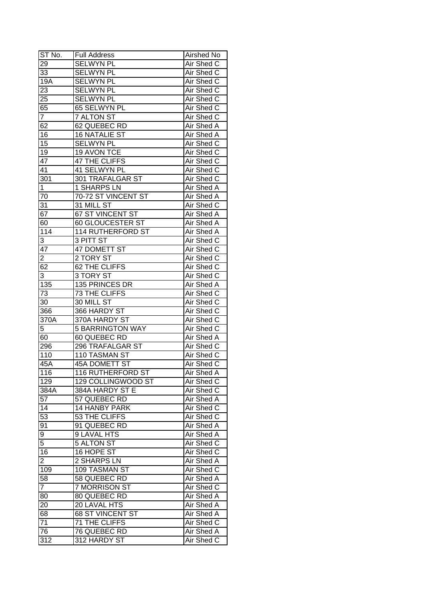| ST No.           | <b>Full Address</b>      | Airshed No        |
|------------------|--------------------------|-------------------|
| 29               | <b>SELWYN PL</b>         | Air Shed C        |
| 33               | <b>SELWYN PL</b>         | Air Shed C        |
| $\overline{19A}$ | <b>SELWYN PL</b>         | Air Shed C        |
| 23               | <b>SELWYN PL</b>         | Air Shed C        |
| 25               | <b>SELWYN PL</b>         | Air Shed C        |
| 65               | 65 SELWYN PL             | Air Shed C        |
| $\overline{7}$   | <b>7 ALTON ST</b>        | Air Shed C        |
| 62               | 62 QUEBEC RD             | Air Shed A        |
| 16               | <b>16 NATALIE ST</b>     | Air Shed A        |
| 15               | <b>SELWYN PL</b>         | Air Shed C        |
| 19               | 19 AVON TCE              | Air Shed C        |
| 47               | 47 THE CLIFFS            | Air Shed C        |
| 41               | 41 SELWYN PL             | Air Shed C        |
| 301              | 301 TRAFALGAR ST         | Air Shed C        |
| $\mathbf{1}$     | 1 SHARPS LN              | Air Shed A        |
| 70               | 70-72 ST VINCENT ST      | <b>Air Shed A</b> |
| 31               | 31 MILL ST               | Air Shed C        |
| 67               | 67 ST VINCENT ST         | Air Shed A        |
|                  | 60 GLOUCESTER ST         | Air Shed A        |
| 60               |                          |                   |
| 114              | 114 RUTHERFORD ST        | Air Shed A        |
| 3                | 3 PITT ST                | Air Shed C        |
| 47               | 47 DOMETT ST             | Air Shed C        |
| 2                | 2 TORY ST                | Air Shed C        |
| 62               | 62 THE CLIFFS            | Air Shed C        |
| 3                | 3 TORY ST                | Air Shed C        |
| $\overline{135}$ | 135 PRINCES DR           | Air Shed A        |
| 73               | 73 THE CLIFFS            | Air Shed C        |
| 30               | 30 MILL ST               | Air Shed C        |
| 366              | 366 HARDY ST             | Air Shed C        |
| 370A             | 370A HARDY ST            | Air Shed C        |
| 5                | <b>5 BARRINGTON WAY</b>  | Air Shed C        |
| 60               | 60 QUEBEC RD             | <b>Air Shed A</b> |
| 296              | 296 TRAFALGAR ST         | Air Shed C        |
| $\overline{110}$ | 110 TASMAN ST            | Air Shed C        |
| 45A              | <b>45A DOMETT ST</b>     | Air Shed C        |
| 116              | <b>116 RUTHERFORD ST</b> | Air Shed A        |
| 129              | 129 COLLINGWOOD ST       | Air Shed C        |
| 384A             | 384A HARDY ST E          | Air Shed C        |
| 57               | 57 QUEBEC RD             | Air Shed A        |
| 14               | <b>14 HANBY PARK</b>     | Air Shed C        |
| 53               | 53 THE CLIFFS            | Air Shed C        |
| $9\overline{1}$  | 91 QUEBEC RD             | Air Shed A        |
| 9                | <b>9 LAVAL HTS</b>       | Air Shed A        |
| 5                | 5 ALTON ST               | Air Shed C        |
| 16               | 16 HOPE ST               | Air Shed C        |
| $\overline{2}$   | 2 SHARPS LN              | Air Shed A        |
| 109              | 109 TASMAN ST            | Air Shed C        |
| 58               | 58 QUEBEC RD             | <b>Air Shed A</b> |
| $\overline{7}$   | <b>7 MORRISON ST</b>     | Air Shed C        |
| 80               | 80 QUEBEC RD             | Air Shed A        |
| 20               | 20 LAVAL HTS             | Air Shed A        |
| 68               | 68 ST VINCENT ST         | Air Shed A        |
| 71               | 71 THE CLIFFS            | Air Shed C        |
| 76               | 76 QUEBEC RD             | Air Shed A        |
| 312              | 312 HARDY ST             | Air Shed C        |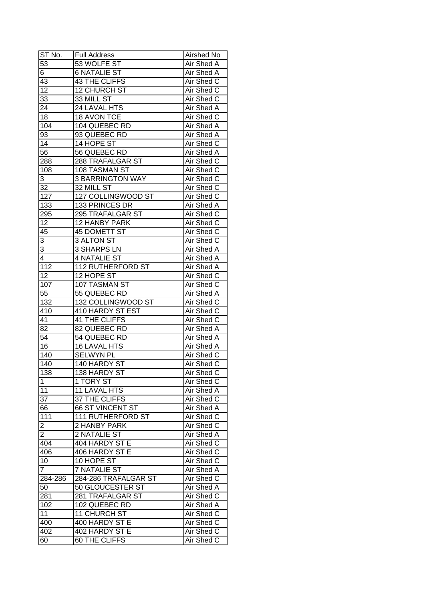| ST No.                  | <b>Full Address</b>      | Airshed No        |
|-------------------------|--------------------------|-------------------|
| 53                      | 53 WOLFE ST              | Air Shed A        |
| 6                       | <b>6 NATALIE ST</b>      | Air Shed A        |
| 43                      | <b>43 THE CLIFFS</b>     | Air Shed C        |
| $\overline{12}$         | 12 CHURCH ST             | <b>Air Shed C</b> |
| 33                      | 33 MILL ST               | Air Shed C        |
| 24                      | 24 LAVAL HTS             | Air Shed A        |
| 18                      | 18 AVON TCE              | Air Shed C        |
| 104                     | 104 QUEBEC RD            | Air Shed A        |
| 93                      | 93 QUEBEC RD             | Air Shed A        |
| 14                      | 14 HOPE ST               | Air Shed C        |
| 56                      | 56 QUEBEC RD             | Air Shed A        |
| 288                     | 288 TRAFALGAR ST         | Air Shed C        |
| 108                     | 108 TASMAN ST            | Air Shed C        |
| 3                       | <b>3 BARRINGTON WAY</b>  | Air Shed C        |
| 32                      | 32 MILL ST               | Air Shed C        |
| 127                     | 127 COLLINGWOOD ST       | Air Shed C        |
| 133                     | 133 PRINCES DR           | Air Shed A        |
| 295                     | 295 TRAFALGAR ST         |                   |
|                         | 12 HANBY PARK            | Air Shed C        |
| 12                      |                          | Air Shed C        |
| 45                      | 45 DOMETT ST             | Air Shed C        |
| 3                       | 3 ALTON ST               | Air Shed C        |
| 3                       | 3 SHARPS LN              | Air Shed A        |
| 4                       | 4 NATALIE ST             | Air Shed A        |
| 112                     | <b>112 RUTHERFORD ST</b> | Air Shed A        |
| 12                      | 12 HOPE ST               | Air Shed C        |
| 107                     | 107 TASMAN ST            | Air Shed C        |
| 55                      | 55 QUEBEC RD             | Air Shed A        |
| 132                     | 132 COLLINGWOOD ST       | Air Shed C        |
| 410                     | 410 HARDY ST EST         | Air Shed C        |
| 41                      | 41 THE CLIFFS            | Air Shed C        |
| 82                      | 82 QUEBEC RD             | <b>Air Shed A</b> |
| 54                      | 54 QUEBEC RD             | <b>Air Shed A</b> |
| $\overline{16}$         | <b>16 LAVAL HTS</b>      | <b>Air Shed A</b> |
| 140                     | <b>SELWYN PL</b>         | <b>Air Shed C</b> |
| 140                     | 140 HARDY ST             | <b>Air Shed C</b> |
| 138                     | 138 HARDY ST             | Air Shed C        |
| 1                       | 1 TORY ST                | Air Shed C        |
| 11                      | 11 LAVAL HTS             | Air Shed A        |
| 37                      | 37 THE CLIFFS            | Air Shed C        |
| 66                      | <b>66 ST VINCENT ST</b>  | Air Shed A        |
| 111                     | <b>111 RUTHERFORD ST</b> | Air Shed C        |
| $\overline{\mathbf{c}}$ | 2 HANBY PARK             | Air Shed C        |
| $\overline{2}$          | 2 NATALIE ST             | Air Shed A        |
| 404                     | 404 HARDY ST E           | Air Shed C        |
| 406                     | 406 HARDY ST E           | Air Shed C        |
| 10                      | 10 HOPE ST               | Air Shed C        |
| $\overline{7}$          | <b>7 NATALIE ST</b>      | Air Shed A        |
| 284-286                 | 284-286 TRAFALGAR ST     | Air Shed C        |
| 50                      | 50 GLOUCESTER ST         | Air Shed A        |
| 281                     | 281 TRAFALGAR ST         | Air Shed C        |
| 102                     | 102 QUEBEC RD            | Air Shed A        |
| 11                      | 11 CHURCH ST             | Air Shed C        |
| 400                     | 400 HARDY ST E           | Air Shed C        |
| 402                     | 402 HARDY ST E           | Air Shed C        |
| 60                      | 60 THE CLIFFS            | Air Shed C        |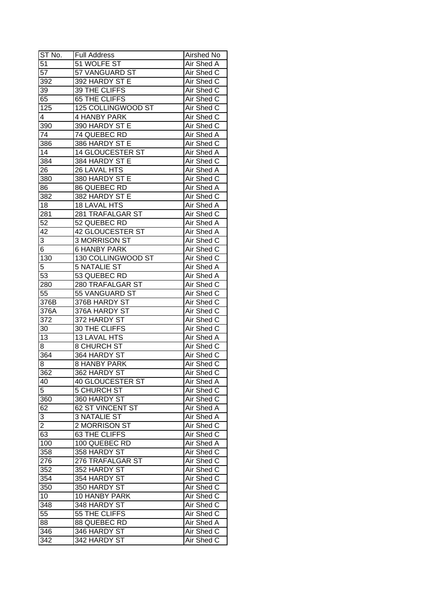| ST No.         | <b>Full Address</b>     | Airshed No        |
|----------------|-------------------------|-------------------|
| 51             | 51 WOLFE ST             | Air Shed A        |
| 57             | 57 VANGUARD ST          | Air Shed C        |
| 392            | 392 HARDY ST E          | Air Shed C        |
| 39             | 39 THE CLIFFS           | Air Shed C        |
| 65             | 65 THE CLIFFS           | Air Shed C        |
| 125            | 125 COLLINGWOOD ST      | Air Shed C        |
| 4              | <b>4 HANBY PARK</b>     | Air Shed C        |
| 390            | 390 HARDY ST E          | Air Shed C        |
| 74             | 74 QUEBEC RD            | Air Shed A        |
| 386            | 386 HARDY ST E          | Air Shed C        |
| 14             | 14 GLOUCESTER ST        | Air Shed A        |
| 384            | 384 HARDY ST E          | Air Shed C        |
| 26             | 26 LAVAL HTS            | Air Shed A        |
| 380            | 380 HARDY ST E          | Air Shed C        |
| 86             | 86 QUEBEC RD            | Air Shed A        |
| 382            | 382 HARDY ST E          | Air Shed C        |
| 18             | 18 LAVAL HTS            | Air Shed A        |
|                | 281 TRAFALGAR ST        | Air Shed C        |
| 281<br>52      | 52 QUEBEC RD            | Air Shed A        |
|                |                         |                   |
| 42             | 42 GLOUCESTER ST        | Air Shed A        |
| 3              | 3 MORRISON ST           | Air Shed C        |
| 6              | <b>6 HANBY PARK</b>     | Air Shed C        |
| 130            | 130 COLLINGWOOD ST      | Air Shed C        |
| 5              | <b>5 NATALIE ST</b>     | Air Shed A        |
| 53             | 53 QUEBEC RD            | Air Shed A        |
| 280            | 280 TRAFALGAR ST        | Air Shed C        |
| 55             | 55 VANGUARD ST          | Air Shed C        |
| 376B           | 376B HARDY ST           | Air Shed C        |
| 376A           | 376A HARDY ST           | Air Shed C        |
| 372            | 372 HARDY ST            | Air Shed C        |
| 30             | 30 THE CLIFFS           | Air Shed C        |
| 13             | 13 LAVAL HTS            | <b>Air Shed A</b> |
| 8              | <b>8 CHURCH ST</b>      | Air Shed C        |
| 364            | 364 HARDY ST            | Air Shed C        |
| 8              | <b>8 HANBY PARK</b>     | <b>Air Shed C</b> |
| 362            | 362 HARDY ST            | Air Shed C        |
| 40             | <b>40 GLOUCESTER ST</b> | Air Shed A        |
| $\overline{5}$ | <b>5 CHURCH ST</b>      | Air Shed C        |
| 360            | 360 HARDY ST            | Air Shed C        |
| 62             | 62 ST VINCENT ST        | Air Shed A        |
| 3              | <b>3 NATALIE ST</b>     | Air Shed A        |
| $\overline{2}$ | 2 MORRISON ST           | Air Shed C        |
| 63             | 63 THE CLIFFS           | Air Shed C        |
| 100            | 100 QUEBEC RD           | Air Shed A        |
| 358            | 358 HARDY ST            | Air Shed C        |
| 276            | 276 TRAFALGAR ST        | Air Shed C        |
| 352            | 352 HARDY ST            | Air Shed C        |
| 354            | 354 HARDY ST            | Air Shed C        |
| 350            | 350 HARDY ST            | Air Shed C        |
| 10             | 10 HANBY PARK           | Air Shed C        |
| 348            | 348 HARDY ST            | Air Shed C        |
| 55             | 55 THE CLIFFS           | Air Shed C        |
| 88             | 88 QUEBEC RD            | Air Shed A        |
| 346            | 346 HARDY ST            | Air Shed C        |
| 342            | 342 HARDY ST            | Air Shed C        |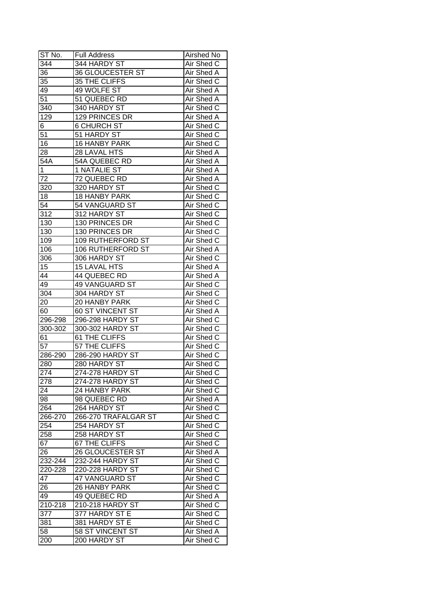| ST No.           | <b>Full Address</b>      | Airshed No        |
|------------------|--------------------------|-------------------|
| 344              | 344 HARDY ST             | Air Shed C        |
| 36               | 36 GLOUCESTER ST         | Air Shed A        |
| 35               | 35 THE CLIFFS            | Air Shed C        |
| 49               | 49 WOLFE ST              | Air Shed A        |
| 51               | 51 QUEBEC RD             | Air Shed A        |
| 340              | 340 HARDY ST             | Air Shed C        |
| 129              | 129 PRINCES DR           | Air Shed A        |
| 6                | <b>6 CHURCH ST</b>       | Air Shed C        |
| 51               | 51 HARDY ST              | Air Shed C        |
| 16               | 16 HANBY PARK            | Air Shed C        |
| 28               | 28 LAVAL HTS             | Air Shed A        |
| 54A              | 54A QUEBEC RD            | Air Shed A        |
| 1                | 1 NATALIE ST             | Air Shed A        |
| 72               | 72 QUEBEC RD             | Air Shed A        |
| 320              | 320 HARDY ST             | Air Shed C        |
| 18               | 18 HANBY PARK            | Air Shed C        |
| 54               | 54 VANGUARD ST           | Air Shed C        |
| 312              | 312 HARDY ST             | Air Shed C        |
| 130              | 130 PRINCES DR           | Air Shed C        |
| 130              | 130 PRINCES DR           | Air Shed C        |
| 109              | <b>109 RUTHERFORD ST</b> | Air Shed C        |
| 106              | <b>106 RUTHERFORD ST</b> | Air Shed A        |
| 306              | 306 HARDY ST             | Air Shed C        |
| 15               | 15 LAVAL HTS             | Air Shed A        |
| 44               | 44 QUEBEC RD             | Air Shed A        |
| 49               | 49 VANGUARD ST           | Air Shed C        |
| 304              | 304 HARDY ST             | Air Shed C        |
| 20               | 20 HANBY PARK            | Air Shed C        |
| 60               | 60 ST VINCENT ST         | Air Shed A        |
| $296 - 298$      | 296-298 HARDY ST         | Air Shed C        |
| 300-302          | 300-302 HARDY ST         | Air Shed C        |
| 61               | 61 THE CLIFFS            | Air Shed C        |
| $\overline{57}$  | 57 THE CLIFFS            | Air Shed C        |
| 286-290          | 286-290 HARDY ST         | Air Shed C        |
| 280              | 280 HARDY ST             | <b>Air Shed C</b> |
| 274              | 274-278 HARDY ST         | Air Shed C        |
| 278              | 274-278 HARDY ST         | Air Shed C        |
| 24               | 24 HANBY PARK            | Air Shed C        |
| 98               | 98 QUEBEC RD             | Air Shed A        |
| 264              | 264 HARDY ST             | Air Shed C        |
| 266-270          | 266-270 TRAFALGAR ST     | Air Shed C        |
| 254              | 254 HARDY ST             | Air Shed C        |
| 258              | 258 HARDY ST             | Air Shed C        |
| 67               | 67 THE CLIFFS            | Air Shed C        |
| 26               | 26 GLOUCESTER ST         | Air Shed A        |
| 232-244          | 232-244 HARDY ST         | Air Shed C        |
| 220-228          | 220-228 HARDY ST         | Air Shed C        |
| 47               | 47 VANGUARD ST           | Air Shed C        |
| 26               | 26 HANBY PARK            | Air Shed C        |
| 49               | 49 QUEBEC RD             | Air Shed A        |
| $210 - 218$      | 210-218 HARDY ST         | Air Shed C        |
| $37\overline{7}$ | 377 HARDY ST E           | Air Shed C        |
| 381              | 381 HARDY ST E           | Air Shed C        |
| 58               | 58 ST VINCENT ST         | Air Shed A        |
| 200              | 200 HARDY ST             | Air Shed C        |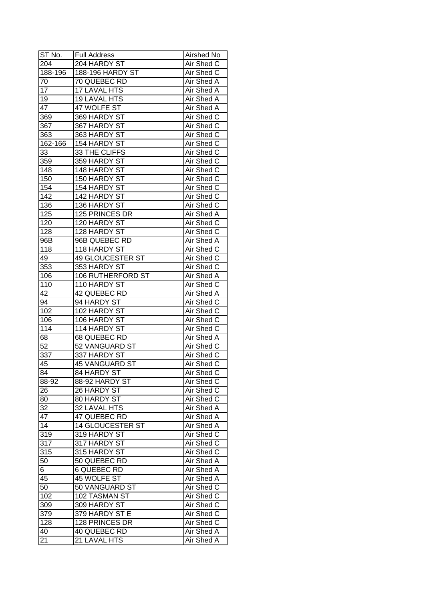| ST No.           | Full Address            | Airshed No        |
|------------------|-------------------------|-------------------|
| 204              | 204 HARDY ST            | Air Shed C        |
| 188-196          | <b>188-196 HARDY ST</b> | Air Shed C        |
| 70               | 70 QUEBEC RD            | Air Shed A        |
| 17               | <b>17 LAVAL HTS</b>     | <b>Air Shed A</b> |
| 19               | <b>19 LAVAL HTS</b>     | Air Shed A        |
| 47               | 47 WOLFE ST             | Air Shed A        |
| 369              | 369 HARDY ST            | Air Shed C        |
| 367              | 367 HARDY ST            | Air Shed C        |
| 363              | 363 HARDY ST            | Air Shed C        |
| 162-166          | 154 HARDY ST            | Air Shed C        |
| 33               | 33 THE CLIFFS           | Air Shed C        |
| 359              | 359 HARDY ST            | Air Shed C        |
| 148              | 148 HARDY ST            | Air Shed C        |
| 150              | 150 HARDY ST            | Air Shed C        |
| 154              | 154 HARDY ST            | Air Shed C        |
| 142              | 142 HARDY ST            | Air Shed C        |
| 136              | 136 HARDY ST            | Air Shed C        |
| 125              | 125 PRINCES DR          | Air Shed A        |
| 120              | 120 HARDY ST            | Air Shed C        |
| 128              | 128 HARDY ST            | Air Shed C        |
| 96B              | 96B QUEBEC RD           | Air Shed A        |
| 118              | 118 HARDY ST            | Air Shed C        |
| 49               | 49 GLOUCESTER ST        | Air Shed C        |
| 353              | 353 HARDY ST            | Air Shed C        |
| 106              | 106 RUTHERFORD ST       | Air Shed A        |
| 110              | 110 HARDY ST            | Air Shed C        |
| 42               | 42 QUEBEC RD            | Air Shed A        |
| 94               | 94 HARDY ST             | Air Shed C        |
| 102              | 102 HARDY ST            | Air Shed C        |
| 106              | 106 HARDY ST            | Air Shed C        |
| 114              | 114 HARDY ST            | Air Shed C        |
| 68               | <b>68 QUEBEC RD</b>     | <b>Air Shed A</b> |
| $\overline{52}$  | 52 VANGUARD ST          | Air Shed C        |
| 337              | 337 HARDY ST            | Air Shed C        |
| 45               | <b>45 VANGUARD ST</b>   | <b>Air Shed C</b> |
| 84               | 84 HARDY ST             | Air Shed C        |
| 88-92            | 88-92 HARDY ST          | Air Shed C        |
| 26               | 26 HARDY ST             | Air Shed C        |
| 80               | 80 HARDY ST             | Air Shed C        |
| 32               | 32 LAVAL HTS            | Air Shed A        |
| 47               | 47 QUEBEC RD            | Air Shed A        |
| 14               | <b>14 GLOUCESTER ST</b> | Air Shed A        |
| 319              | 319 HARDY ST            | Air Shed C        |
| $31\overline{7}$ | 317 HARDY ST            | Air Shed C        |
| 315              | 315 HARDY ST            | Air Shed C        |
| 50               | 50 QUEBEC RD            | Air Shed A        |
| 6                | <b>6 QUEBEC RD</b>      | Air Shed A        |
| 45               | 45 WOLFE ST             | Air Shed A        |
| 50               | 50 VANGUARD ST          | Air Shed C        |
| 102              | 102 TASMAN ST           | Air Shed C        |
| 309              | 309 HARDY ST            | Air Shed C        |
| 379              | 379 HARDY ST E          | Air Shed C        |
| 128              | 128 PRINCES DR          | Air Shed C        |
| 40               | 40 QUEBEC RD            | Air Shed A        |
| 21               | 21 LAVAL HTS            | Air Shed A        |
|                  |                         |                   |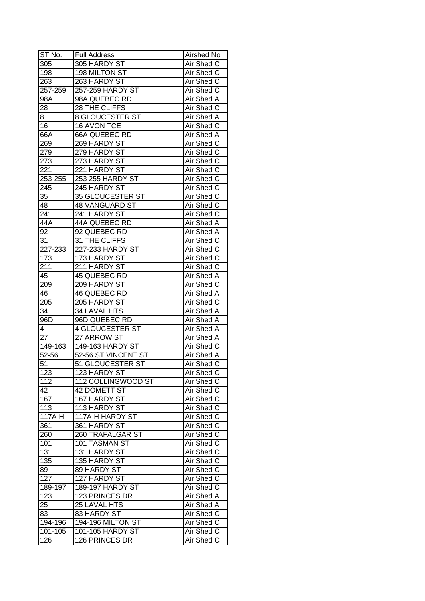| ST No.           | Full Address           | Airshed No        |
|------------------|------------------------|-------------------|
| 305              | 305 HARDY ST           | Air Shed C        |
| 198              | 198 MILTON ST          | Air Shed C        |
| 263              | 263 HARDY ST           | Air Shed C        |
| 257-259          | 257-259 HARDY ST       | Air Shed C        |
| 98A              | 98A QUEBEC RD          | Air Shed A        |
| 28               | 28 THE CLIFFS          | Air Shed C        |
| 8                | <b>8 GLOUCESTER ST</b> | Air Shed A        |
| 16               | 16 AVON TCE            | Air Shed C        |
| 66A              | 66A QUEBEC RD          | Air Shed A        |
| 269              | 269 HARDY ST           | Air Shed C        |
| 279              | 279 HARDY ST           | Air Shed C        |
| 273              | 273 HARDY ST           | Air Shed C        |
| 221              | 221 HARDY ST           | Air Shed C        |
| 253-255          | 253 255 HARDY ST       | Air Shed C        |
| 245              | 245 HARDY ST           | Air Shed C        |
| 35               | 35 GLOUCESTER ST       | Air Shed C        |
| 48               | <b>48 VANGUARD ST</b>  | Air Shed C        |
| 241              | 241 HARDY ST           | Air Shed C        |
| 44A              | 44A QUEBEC RD          | Air Shed A        |
| 92               | 92 QUEBEC RD           | Air Shed A        |
| 31               | 31 THE CLIFFS          | Air Shed C        |
| 227-233          | 227-233 HARDY ST       | Air Shed C        |
| 173              | 173 HARDY ST           | Air Shed C        |
| 211              | 211 HARDY ST           | Air Shed C        |
| 45               | 45 QUEBEC RD           | Air Shed A        |
| 209              | 209 HARDY ST           | Air Shed C        |
| 46               | 46 QUEBEC RD           | Air Shed A        |
| 205              | 205 HARDY ST           | Air Shed C        |
| 34               | 34 LAVAL HTS           | Air Shed A        |
| 96D              | 96D QUEBEC RD          | Air Shed A        |
| 4                | <b>4 GLOUCESTER ST</b> | Air Shed A        |
| 27               | 27 ARROW ST            | Air Shed A        |
| 149-163          | 149-163 HARDY ST       | Air Shed C        |
| $52 - 56$        | 52-56 ST VINCENT ST    | <b>Air Shed A</b> |
| 51               | 51 GLOUCESTER ST       | <b>Air Shed C</b> |
| 123              | 123 HARDY ST           | Air Shed C        |
| $\overline{1}12$ | 112 COLLINGWOOD ST     | Air Shed C        |
| 42               | 42 DOMETT ST           | Air Shed C        |
| 167              | 167 HARDY ST           | Air Shed C        |
| 113              | 113 HARDY ST           | Air Shed C        |
| 117A-H           | 117A-H HARDY ST        | Air Shed C        |
| 361              | 361 HARDY ST           | Air Shed C        |
| 260              | 260 TRAFALGAR ST       | Air Shed C        |
| 101              | 101 TASMAN ST          | Air Shed C        |
| 131              | 131 HARDY ST           | Air Shed C        |
| 135              | 135 HARDY ST           | Air Shed C        |
| 89               | 89 HARDY ST            | Air Shed C        |
| 127              | 127 HARDY ST           | Air Shed C        |
| 189-197          | 189-197 HARDY ST       | Air Shed C        |
| 123              | 123 PRINCES DR         | Air Shed A        |
| 25               | 25 LAVAL HTS           | Air Shed A        |
| 83               | 83 HARDY ST            | Air Shed C        |
| 194-196          | 194-196 MILTON ST      | Air Shed C        |
| 101-105          | 101-105 HARDY ST       | Air Shed C        |
| 126              | 126 PRINCES DR         | Air Shed C        |
|                  |                        |                   |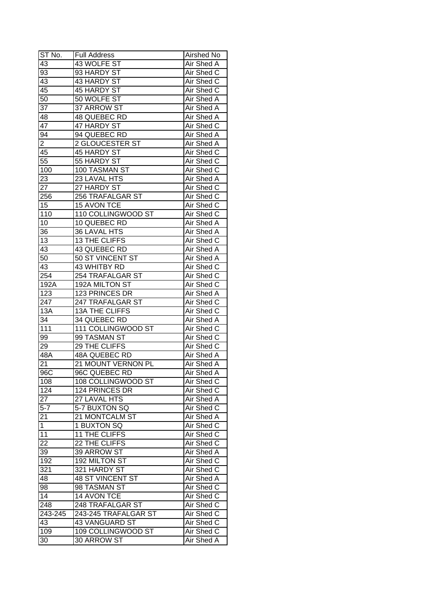| ST No.           | <b>Full Address</b>     | Airshed No        |
|------------------|-------------------------|-------------------|
| 43               | 43 WOLFE ST             | Air Shed A        |
| 93               | 93 HARDY ST             | Air Shed C        |
| 43               | 43 HARDY ST             | Air Shed C        |
| 45               | <b>45 HARDY ST</b>      | Air Shed C        |
| 50               | 50 WOLFE ST             | Air Shed A        |
| 37               | 37 ARROW ST             | Air Shed A        |
| 48               | 48 QUEBEC RD            | Air Shed A        |
| 47               | 47 HARDY ST             | Air Shed C        |
| 94               | 94 QUEBEC RD            | Air Shed A        |
| $\overline{2}$   | <b>2 GLOUCESTER ST</b>  | Air Shed A        |
| 45               | 45 HARDY ST             | Air Shed C        |
| 55               | 55 HARDY ST             | Air Shed C        |
| 100              | 100 TASMAN ST           | Air Shed C        |
| 23               | 23 LAVAL HTS            | Air Shed A        |
| 27               | 27 HARDY ST             | Air Shed C        |
| 256              | 256 TRAFALGAR ST        | Air Shed C        |
|                  |                         |                   |
| 15               | 15 AVON TCE             | Air Shed C        |
| 110              | 110 COLLINGWOOD ST      | Air Shed C        |
| 10               | 10 QUEBEC RD            | Air Shed A        |
| 36               | 36 LAVAL HTS            | Air Shed A        |
| 13               | 13 THE CLIFFS           | Air Shed C        |
| 43               | 43 QUEBEC RD            | Air Shed A        |
| 50               | 50 ST VINCENT ST        | Air Shed A        |
| 43               | 43 WHITBY RD            | Air Shed C        |
| 254              | 254 TRAFALGAR ST        | Air Shed C        |
| 192A             | 192A MILTON ST          | Air Shed C        |
| 123              | 123 PRINCES DR          | Air Shed A        |
| 247              | 247 TRAFALGAR ST        | Air Shed C        |
| 13A              | <b>13A THE CLIFFS</b>   | Air Shed C        |
| 34               | 34 QUEBEC RD            | Air Shed A        |
| 111              | 111 COLLINGWOOD ST      | Air Shed C        |
| 99               | 99 TASMAN ST            | Air Shed C        |
| 29               | 29 THE CLIFFS           | Air Shed C        |
| 48A              | <b>48A QUEBEC RD</b>    | Air Shed A        |
| 21               | 21 MOUNT VERNON PL      | <b>Air Shed A</b> |
| 96C              | 96C QUEBEC RD           | <b>Air Shed A</b> |
| 108              | 108 COLLINGWOOD ST      | Air Shed C        |
| 124              | 124 PRINCES DR          | Air Shed C        |
| 27               | 27 LAVAL HTS            | Air Shed A        |
| $\overline{5-7}$ | 5-7 BUXTON SQ           | Air Shed C        |
| 21               | 21 MONTCALM ST          | Air Shed A        |
| 1                | 1 BUXTON SQ             | Air Shed C        |
| 11               | 11 THE CLIFFS           | Air Shed C        |
| 22               | 22 THE CLIFFS           | Air Shed C        |
| 39               | 39 ARROW ST             | Air Shed A        |
| 192              | 192 MILTON ST           | Air Shed C        |
| 321              | 321 HARDY ST            | Air Shed C        |
| 48               | <b>48 ST VINCENT ST</b> | Air Shed A        |
| 98               | 98 TASMAN ST            | Air Shed C        |
| 14               | 14 AVON TCE             | Air Shed C        |
| 248              | 248 TRAFALGAR ST        | Air Shed C        |
| 243-245          | 243-245 TRAFALGAR ST    | Air Shed C        |
| 43               | 43 VANGUARD ST          | Air Shed C        |
| 109              | 109 COLLINGWOOD ST      | Air Shed C        |
| 30               | 30 ARROW ST             | Air Shed A        |
|                  |                         |                   |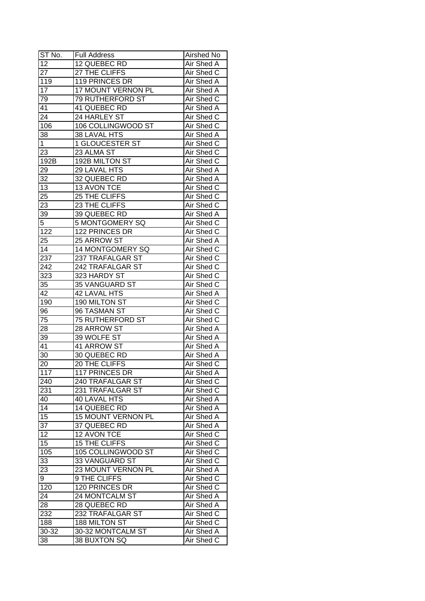| ST No.          | <b>Full Address</b>     | Airshed No |
|-----------------|-------------------------|------------|
| $\overline{12}$ | 12 QUEBEC RD            | Air Shed A |
| $\overline{27}$ | 27 THE CLIFFS           | Air Shed C |
| 119             | 119 PRINCES DR          | Air Shed A |
| 17              | 17 MOUNT VERNON PL      | Air Shed A |
| 79              | 79 RUTHERFORD ST        | Air Shed C |
| 41              | 41 QUEBEC RD            | Air Shed A |
| 24              | 24 HARLEY ST            | Air Shed C |
| 106             | 106 COLLINGWOOD ST      | Air Shed C |
| 38              | 38 LAVAL HTS            | Air Shed A |
| $\mathbf 1$     | 1 GLOUCESTER ST         | Air Shed C |
| 23              | 23 ALMA ST              | Air Shed C |
| 192B            | 192B MILTON ST          | Air Shed C |
| 29              | 29 LAVAL HTS            | Air Shed A |
| 32              | 32 QUEBEC RD            | Air Shed A |
| 13              | 13 AVON TCE             | Air Shed C |
| $2\overline{5}$ | 25 THE CLIFFS           | Air Shed C |
| 23              | 23 THE CLIFFS           | Air Shed C |
| 39              | 39 QUEBEC RD            | Air Shed A |
| 5               | 5 MONTGOMERY SQ         | Air Shed C |
| 122             | 122 PRINCES DR          | Air Shed C |
| 25              | 25 ARROW ST             | Air Shed A |
| 14              | 14 MONTGOMERY SQ        | Air Shed C |
| 237             | 237 TRAFALGAR ST        | Air Shed C |
| 242             | 242 TRAFALGAR ST        | Air Shed C |
| 323             | 323 HARDY ST            | Air Shed C |
| 35              | 35 VANGUARD ST          | Air Shed C |
| 42              | 42 LAVAL HTS            | Air Shed A |
| 190             | 190 MILTON ST           | Air Shed C |
| 96              | 96 TASMAN ST            | Air Shed C |
| 75              | <b>75 RUTHERFORD ST</b> | Air Shed C |
| 28              | 28 ARROW ST             | Air Shed A |
| 39              | 39 WOLFE ST             | Air Shed A |
| 41              | 41 ARROW ST             | Air Shed A |
| $\overline{30}$ | 30 QUEBEC RD            | Air Shed A |
| 20              | 20 THE CLIFFS           | Air Shed C |
| 117             | 117 PRINCES DR          | Air Shed A |
| 240             | 240 TRAFALGAR ST        | Air Shed C |
| 231             | 231 TRAFALGAR ST        | Air Shed C |
| 40              | <b>40 LAVAL HTS</b>     | Air Shed A |
| 14              | 14 QUEBEC RD            | Air Shed A |
| 15              | 15 MOUNT VERNON PL      | Air Shed A |
| 37              | 37 QUEBEC RD            | Air Shed A |
| 12              | 12 AVON TCE             | Air Shed C |
| 15              | 15 THE CLIFFS           | Air Shed C |
| 105             | 105 COLLINGWOOD ST      | Air Shed C |
| 33              | 33 VANGUARD ST          | Air Shed C |
| 23              | 23 MOUNT VERNON PL      | Air Shed A |
| 9               | 9 THE CLIFFS            | Air Shed C |
| 120             | 120 PRINCES DR          | Air Shed C |
| 24              | 24 MONTCALM ST          | Air Shed A |
| 28              | 28 QUEBEC RD            | Air Shed A |
| 232             | 232 TRAFALGAR ST        | Air Shed C |
| 188             | 188 MILTON ST           | Air Shed C |
| 30-32           | 30-32 MONTCALM ST       | Air Shed A |
| 38              | 38 BUXTON SQ            | Air Shed C |
|                 |                         |            |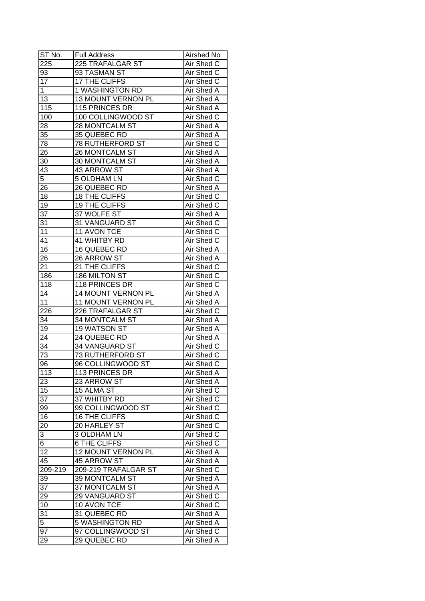| ST No.          | <b>Full Address</b>   | Airshed No        |
|-----------------|-----------------------|-------------------|
| 225             | 225 TRAFALGAR ST      | Air Shed C        |
| 93              | 93 TASMAN ST          | Air Shed C        |
| $\overline{17}$ | 17 THE CLIFFS         | Air Shed C        |
| $\mathbf 1$     | 1 WASHINGTON RD       | Air Shed A        |
| 13              | 13 MOUNT VERNON PL    | Air Shed A        |
| 115             | 115 PRINCES DR        | Air Shed A        |
| 100             | 100 COLLINGWOOD ST    | Air Shed C        |
| 28              | <b>28 MONTCALM ST</b> | Air Shed A        |
| 35              | 35 QUEBEC RD          | Air Shed A        |
| 78              | 78 RUTHERFORD ST      | Air Shed C        |
| 26              | 26 MONTCALM ST        | Air Shed A        |
| 30              | 30 MONTCALM ST        | Air Shed A        |
| 43              | 43 ARROW ST           | Air Shed A        |
| 5               | <b>5 OLDHAM LN</b>    | Air Shed C        |
| 26              | 26 QUEBEC RD          | Air Shed A        |
| 18              | 18 THE CLIFFS         | Air Shed C        |
| 19              | 19 THE CLIFFS         | Air Shed C        |
| 37              | 37 WOLFE ST           | Air Shed A        |
| 31              | 31 VANGUARD ST        | Air Shed C        |
| 11              | 11 AVON TCE           | Air Shed C        |
| 41              | 41 WHITBY RD          | Air Shed C        |
| 16              | 16 QUEBEC RD          | Air Shed A        |
| 26              | 26 ARROW ST           | Air Shed A        |
| 21              | 21 THE CLIFFS         | Air Shed C        |
| 186             | 186 MILTON ST         | Air Shed C        |
| 118             | 118 PRINCES DR        | Air Shed C        |
| 14              | 14 MOUNT VERNON PL    | Air Shed A        |
| 11              | 11 MOUNT VERNON PL    | Air Shed A        |
| 226             | 226 TRAFALGAR ST      | Air Shed C        |
| 34              | 34 MONTCALM ST        | Air Shed A        |
| 19              | 19 WATSON ST          | Air Shed A        |
| 24              | 24 QUEBEC RD          | Air Shed A        |
| 34              | 34 VANGUARD ST        | Air Shed C        |
| 73              | 73 RUTHERFORD ST      | Air Shed C        |
| 96              | 96 COLLINGWOOD ST     | <b>Air Shed C</b> |
| 113             | 113 PRINCES DR        | Air Shed A        |
| 23              | 23 ARROW ST           | Air Shed A        |
| 15              | 15 ALMA ST            | Air Shed C        |
| 37              | 37 WHITBY RD          | Air Shed C        |
| 99              | 99 COLLINGWOOD ST     | Air Shed C        |
| 16              | <b>16 THE CLIFFS</b>  | Air Shed C        |
| 20              | 20 HARLEY ST          | Air Shed C        |
| 3               | 3 OLDHAM LN           | Air Shed C        |
| 6               | <b>6 THE CLIFFS</b>   | Air Shed C        |
| $\overline{12}$ | 12 MOUNT VERNON PL    | Air Shed A        |
| 45              | 45 ARROW ST           | Air Shed A        |
| 209-219         | 209-219 TRAFALGAR ST  | Air Shed C        |
| 39              | 39 MONTCALM ST        | Air Shed A        |
| 37              | 37 MONTCALM ST        | Air Shed A        |
| 29              | 29 VANGUARD ST        | Air Shed C        |
| 10              | 10 AVON TCE           | Air Shed C        |
| 31              | 31 QUEBEC RD          | Air Shed A        |
| 5               | 5 WASHINGTON RD       | Air Shed A        |
| 97              | 97 COLLINGWOOD ST     | Air Shed C        |
| 29              | 29 QUEBEC RD          | Air Shed A        |
|                 |                       |                   |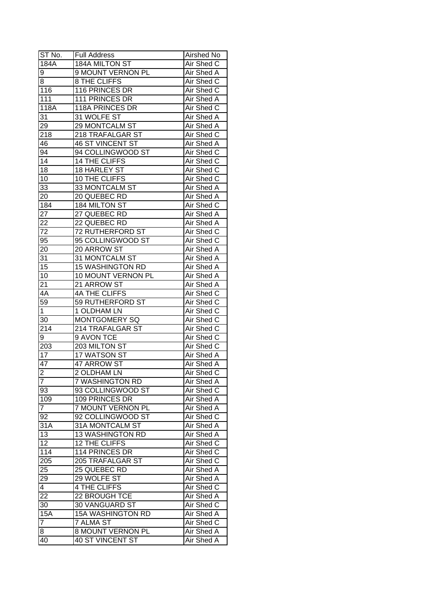| ST No.                            | <b>Full Address</b>      | Airshed No        |
|-----------------------------------|--------------------------|-------------------|
| 184A                              | 184A MILTON ST           | Air Shed C        |
| 9                                 | 9 MOUNT VERNON PL        | Air Shed A        |
| 8                                 | 8 THE CLIFFS             | Air Shed C        |
| 116                               | 116 PRINCES DR           | Air Shed C        |
| 111                               | 111 PRINCES DR           | Air Shed A        |
| 118A                              | 118A PRINCES DR          | Air Shed C        |
| 31                                | 31 WOLFE ST              | Air Shed A        |
| 29                                | 29 MONTCALM ST           | Air Shed A        |
| 218                               | 218 TRAFALGAR ST         | Air Shed C        |
| 46                                | <b>46 ST VINCENT ST</b>  | Air Shed A        |
| 94                                | 94 COLLINGWOOD ST        | Air Shed C        |
| 14                                | 14 THE CLIFFS            | Air Shed C        |
| 18                                | 18 HARLEY ST             | Air Shed C        |
| 10                                | 10 THE CLIFFS            | Air Shed C        |
| 33                                | 33 MONTCALM ST           | Air Shed A        |
| 20                                | 20 QUEBEC RD             | Air Shed A        |
| 184                               | 184 MILTON ST            | Air Shed C        |
| $2\overline{7}$                   | 27 QUEBEC RD             | Air Shed A        |
| 22                                | 22 QUEBEC RD             | Air Shed A        |
| 72                                | <b>72 RUTHERFORD ST</b>  | Air Shed C        |
| 95                                | 95 COLLINGWOOD ST        | Air Shed C        |
| 20                                | 20 ARROW ST              | Air Shed A        |
| 31                                | 31 MONTCALM ST           | Air Shed A        |
| 15                                | <b>15 WASHINGTON RD</b>  | Air Shed A        |
| 10                                | 10 MOUNT VERNON PL       | Air Shed A        |
| 21                                | 21 ARROW ST              | Air Shed A        |
| 4A                                | 4A THE CLIFFS            | Air Shed C        |
| 59                                | 59 RUTHERFORD ST         | Air Shed C        |
| $\mathbf{1}$                      | 1 OLDHAM LN              | Air Shed C        |
| 30                                | <b>MONTGOMERY SQ</b>     | Air Shed C        |
| 214                               | 214 TRAFALGAR ST         | Air Shed C        |
| 9                                 | 9 AVON TCE               | Air Shed C        |
| 203                               | 203 MILTON ST            | Air Shed C        |
| $\overline{17}$                   | 17 WATSON ST             | Air Shed A        |
| 47                                | <b>47 ARROW ST</b>       | <b>Air Shed A</b> |
|                                   | 2 OLDHAM LN              | Air Shed C        |
| <u> 2</u><br>$\overline{7}$       | 7 WASHINGTON RD          | Air Shed A        |
| 93                                | 93 COLLINGWOOD ST        | Air Shed C        |
| 109                               | 109 PRINCES DR           | Air Shed A        |
| $\overline{7}$                    | 7 MOUNT VERNON PL        | Air Shed A        |
| 92                                | 92 COLLINGWOOD ST        | Air Shed C        |
| 31A                               | 31A MONTCALM ST          | Air Shed A        |
| 13                                | <b>13 WASHINGTON RD</b>  | Air Shed A        |
| $\overline{12}$                   | 12 THE CLIFFS            | Air Shed C        |
| 114                               | 114 PRINCES DR           | Air Shed C        |
| 205                               | 205 TRAFALGAR ST         | Air Shed C        |
| 25                                | 25 QUEBEC RD             | Air Shed A        |
|                                   | 29 WOLFE ST              | Air Shed A        |
| $\overline{29}$<br>$\overline{4}$ | 4 THE CLIFFS             | Air Shed C        |
|                                   | 22 BROUGH TCE            | Air Shed A        |
| 22<br>30                          | 30 VANGUARD ST           |                   |
|                                   |                          | Air Shed C        |
| 15A                               | <b>15A WASHINGTON RD</b> | Air Shed A        |
| $\overline{7}$                    | 7 ALMA ST                | Air Shed C        |
| 8                                 | 8 MOUNT VERNON PL        | Air Shed A        |
| 40                                | 40 ST VINCENT ST         | Air Shed A        |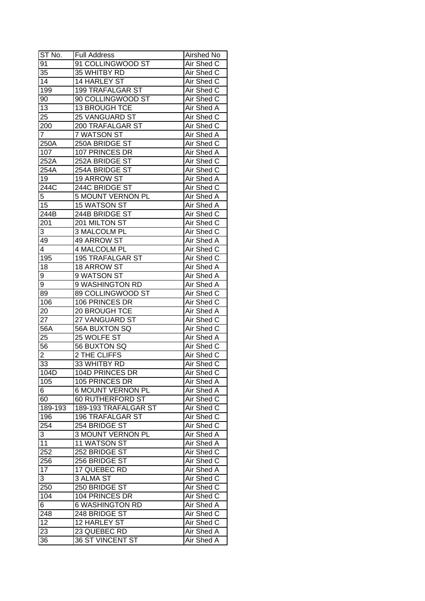| ST No.           | <b>Full Address</b>     | Airshed No        |
|------------------|-------------------------|-------------------|
| $9\overline{1}$  | 91 COLLINGWOOD ST       | Air Shed C        |
| 35               | 35 WHITBY RD            | Air Shed C        |
| $\overline{14}$  | 14 HARLEY ST            | Air Shed C        |
| 199              | <b>199 TRAFALGAR ST</b> | Air Shed C        |
| 90               | 90 COLLINGWOOD ST       | Air Shed C        |
| 13               | 13 BROUGH TCE           | Air Shed A        |
| 25               | <b>25 VANGUARD ST</b>   | Air Shed C        |
| 200              | 200 TRAFALGAR ST        | Air Shed C        |
| $\overline{7}$   | 7 WATSON ST             | Air Shed A        |
| 250A             | 250A BRIDGE ST          | Air Shed C        |
| 107              | 107 PRINCES DR          | Air Shed A        |
| 252A             | 252A BRIDGE ST          | Air Shed C        |
| 254A             | 254A BRIDGE ST          | Air Shed C        |
| 19               | 19 ARROW ST             | Air Shed A        |
| 244C             | 244C BRIDGE ST          | Air Shed C        |
| 5                | 5 MOUNT VERNON PL       | Air Shed A        |
| 15               | 15 WATSON ST            | Air Shed A        |
| 244B             | 244B BRIDGE ST          | Air Shed C        |
| 201              | 201 MILTON ST           | Air Shed C        |
| 3                | 3 MALCOLM PL            | Air Shed C        |
| 49               | 49 ARROW ST             | Air Shed A        |
| 4                | 4 MALCOLM PL            | Air Shed C        |
| 195              | <b>195 TRAFALGAR ST</b> | Air Shed C        |
| 18               | 18 ARROW ST             | Air Shed A        |
| 9                | 9 WATSON ST             | Air Shed A        |
| 9                | 9 WASHINGTON RD         | Air Shed A        |
| 89               | 89 COLLINGWOOD ST       | Air Shed C        |
| 106              | 106 PRINCES DR          | Air Shed C        |
| 20               | 20 BROUGH TCE           | <b>Air Shed A</b> |
| 27               | 27 VANGUARD ST          | Air Shed C        |
| 56A              | 56A BUXTON SQ           | Air Shed C        |
| 25               | 25 WOLFE ST             | <b>Air Shed A</b> |
| 56               | 56 BUXTON SQ            | Air Shed C        |
| $\overline{2}$   | 2 THE CLIFFS            | Air Shed C        |
| 33               | 33 WHITBY RD            | <b>Air Shed C</b> |
| 104D             | <b>104D PRINCES DR</b>  | Air Shed C        |
| 105              | 105 PRINCES DR          | Air Shed A        |
| 6                | 6 MOUNT VERNON PL       | Air Shed A        |
| 60               | 60 RUTHERFORD ST        | Air Shed C        |
| 189-193          | 189-193 TRAFALGAR ST    | Air Shed C        |
| 196              | <b>196 TRAFALGAR ST</b> | Air Shed C        |
| 254              | 254 BRIDGE ST           | Air Shed C        |
| 3                | 3 MOUNT VERNON PL       | Air Shed A        |
| 11               | 11 WATSON ST            | Air Shed A        |
| 252              | 252 BRIDGE ST           | Air Shed C        |
| 256              | 256 BRIDGE ST           | Air Shed C        |
| $\overline{17}$  | 17 QUEBEC RD            | Air Shed A        |
| 3                | 3 ALMA ST               | Air Shed C        |
| 250              | 250 BRIDGE ST           | Air Shed C        |
| 104              | 104 PRINCES DR          | Air Shed C        |
| $6 \overline{6}$ | <b>6 WASHINGTON RD</b>  | Air Shed A        |
| 248              | 248 BRIDGE ST           | Air Shed C        |
| 12               | 12 HARLEY ST            | Air Shed C        |
| 23               | 23 QUEBEC RD            | Air Shed A        |
| 36               | 36 ST VINCENT ST        | Air Shed A        |
|                  |                         |                   |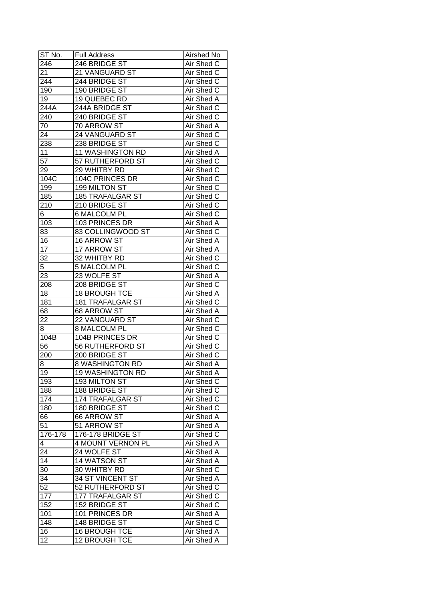| ST No.          | <b>Full Address</b>                           | Airshed No               |
|-----------------|-----------------------------------------------|--------------------------|
| 246             | 246 BRIDGE ST                                 | Air Shed C               |
| 21              | 21 VANGUARD ST                                | Air Shed C               |
| 244             | 244 BRIDGE ST                                 | Air Shed C               |
| 190             | 190 BRIDGE ST                                 | <b>Air Shed C</b>        |
| 19              | 19 QUEBEC RD                                  | Air Shed A               |
| 244A            | 244A BRIDGE ST                                | Air Shed C               |
| 240             | 240 BRIDGE ST                                 | Air Shed C               |
| 70              | 70 ARROW ST                                   | Air Shed A               |
| 24              | 24 VANGUARD ST                                | Air Shed C               |
| 238             | 238 BRIDGE ST                                 | Air Shed C               |
| 11              | 11 WASHINGTON RD                              | Air Shed A               |
| $\overline{57}$ | 57 RUTHERFORD ST                              | Air Shed C               |
| 29              | 29 WHITBY RD                                  | Air Shed C               |
| 104C            | 104C PRINCES DR                               | Air Shed C               |
| 199             | 199 MILTON ST                                 | Air Shed C               |
| 185             | <b>185 TRAFALGAR ST</b>                       | Air Shed C               |
| 210             | 210 BRIDGE ST                                 | Air Shed C               |
| 6               | <b>6 MALCOLM PL</b>                           | Air Shed C               |
| 103             | 103 PRINCES DR                                | Air Shed A               |
| 83              | 83 COLLINGWOOD ST                             | Air Shed C               |
| 16              | 16 ARROW ST                                   | Air Shed A               |
| 17              | 17 ARROW ST                                   | Air Shed A               |
| 32              | 32 WHITBY RD                                  | Air Shed C               |
| 5               | <b>5 MALCOLM PL</b>                           | Air Shed C               |
| 23              | 23 WOLFE ST                                   | Air Shed A               |
| 208             | 208 BRIDGE ST                                 | Air Shed C               |
| 18              | 18 BROUGH TCE                                 | Air Shed A               |
| 181             | <b>181 TRAFALGAR ST</b>                       | Air Shed C               |
| 68              | 68 ARROW ST                                   | <b>Air Shed A</b>        |
| 22              | 22 VANGUARD ST                                | Air Shed C               |
| 8               | 8 MALCOLM PL                                  | Air Shed C               |
| 104B            | 104B PRINCES DR                               | Air Shed C               |
| 56              | <b>56 RUTHERFORD ST</b>                       | Air Shed C               |
| 200             | 200 BRIDGE ST                                 | Air Shed C               |
| 8               | <b>8 WASHINGTON RD</b>                        | <b>Air Shed A</b>        |
| 19              | <b>19 WASHINGTON RD</b>                       | <b>Air Shed A</b>        |
| 193             | 193 MILTON ST                                 | Air Shed C               |
|                 | 188 BRIDGE ST                                 |                          |
| 188<br>174      | 174 TRAFALGAR ST                              | Air Shed C<br>Air Shed C |
| 180             | 180 BRIDGE ST                                 | Air Shed C               |
|                 |                                               |                          |
| 66<br>51        | 66 ARROW ST<br>51 ARROW ST                    | Air Shed A               |
|                 |                                               | Air Shed A               |
| 176-178         | 176-178 BRIDGE ST<br><b>4 MOUNT VERNON PL</b> | Air Shed C               |
| $\overline{4}$  | 24 WOLFE ST                                   | Air Shed A               |
| 24              |                                               | Air Shed A               |
| 14              | 14 WATSON ST<br>30 WHITBY RD                  | Air Shed A               |
| 30              |                                               | Air Shed C               |
| 34              | 34 ST VINCENT ST                              | Air Shed A               |
| 52              | 52 RUTHERFORD ST                              | Air Shed C               |
| 177             | 177 TRAFALGAR ST                              | Air Shed C               |
| 152             | 152 BRIDGE ST                                 | Air Shed C               |
| 101             | 101 PRINCES DR                                | Air Shed A               |
| 148             | 148 BRIDGE ST                                 | Air Shed C               |
| 16              | 16 BROUGH TCE                                 | Air Shed A               |
| 12              | 12 BROUGH TCE                                 | Air Shed A               |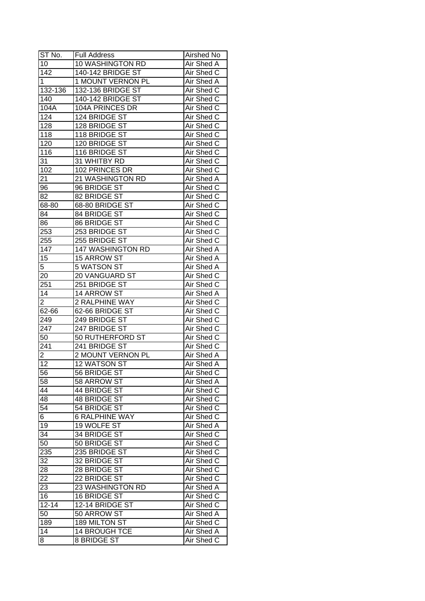| ST No.                  | Full Address             | Airshed No        |
|-------------------------|--------------------------|-------------------|
| 10                      | 10 WASHINGTON RD         | Air Shed A        |
| $\overline{142}$        | 140-142 BRIDGE ST        | Air Shed C        |
| $\mathbf 1$             | 1 MOUNT VERNON PL        | Air Shed A        |
| 132-136                 | 132-136 BRIDGE ST        | Air Shed C        |
| 140                     | 140-142 BRIDGE ST        | Air Shed C        |
| 104A                    | 104A PRINCES DR          | Air Shed C        |
| 124                     | 124 BRIDGE ST            | Air Shed C        |
| 128                     | 128 BRIDGE ST            | Air Shed C        |
| 118                     | 118 BRIDGE ST            | Air Shed C        |
| 120                     | 120 BRIDGE ST            | Air Shed C        |
| 116                     | 116 BRIDGE ST            | Air Shed C        |
| 31                      | 31 WHITBY RD             | Air Shed C        |
| 102                     | 102 PRINCES DR           | Air Shed C        |
| 21                      | 21 WASHINGTON RD         | Air Shed A        |
| 96                      | 96 BRIDGE ST             | Air Shed C        |
| 82                      | 82 BRIDGE ST             | Air Shed C        |
| 68-80                   | 68-80 BRIDGE ST          | Air Shed C        |
| 84                      | 84 BRIDGE ST             | Air Shed C        |
| 86                      | 86 BRIDGE ST             | Air Shed C        |
| 253                     | 253 BRIDGE ST            | Air Shed C        |
| 255                     | 255 BRIDGE ST            | Air Shed C        |
| 147                     | 147 WASHINGTON RD        | Air Shed A        |
| $1\overline{5}$         | 15 ARROW ST              | Air Shed A        |
| 5                       | 5 WATSON ST              | Air Shed A        |
| 20                      | 20 VANGUARD ST           | Air Shed C        |
| 251                     | 251 BRIDGE ST            | Air Shed C        |
| 14                      | 14 ARROW ST              | Air Shed A        |
| $\overline{2}$          | 2 RALPHINE WAY           | Air Shed C        |
| 62-66                   | 62-66 BRIDGE ST          | Air Shed C        |
| 249                     | 249 BRIDGE ST            | Air Shed C        |
| 247                     | 247 BRIDGE ST            | Air Shed C        |
| 50                      | 50 RUTHERFORD ST         | Air Shed C        |
| 241                     | 241 BRIDGE ST            | Air Shed C        |
| $\overline{\mathbf{c}}$ | <b>2 MOUNT VERNON PL</b> | Air Shed A        |
| 12                      | <b>12 WATSON ST</b>      | <b>Air Shed A</b> |
| 56                      | 56 BRIDGE ST             | Air Shed C        |
| 58                      | 58 ARROW ST              | Air Shed A        |
| 44                      | 44 BRIDGE ST             | Air Shed C        |
| 48                      | 48 BRIDGE ST             | Air Shed C        |
| 54                      | 54 BRIDGE ST             | Air Shed C        |
| 6                       | <b>6 RALPHINE WAY</b>    | Air Shed C        |
| 19                      | 19 WOLFE ST              | Air Shed A        |
| 34                      | 34 BRIDGE ST             | Air Shed C        |
| 50                      | 50 BRIDGE ST             | Air Shed C        |
| 235                     | 235 BRIDGE ST            | Air Shed C        |
| 32                      | 32 BRIDGE ST             | Air Shed C        |
| 28                      | 28 BRIDGE ST             | Air Shed C        |
| 22                      | 22 BRIDGE ST             | Air Shed C        |
| 23                      | 23 WASHINGTON RD         | Air Shed A        |
| 16                      | 16 BRIDGE ST             | Air Shed C        |
| $12 - 14$               | 12-14 BRIDGE ST          | Air Shed C        |
| 50                      | 50 ARROW ST              | Air Shed A        |
| 189                     | 189 MILTON ST            | Air Shed C        |
| 14                      | 14 BROUGH TCE            | Air Shed A        |
| 8                       | 8 BRIDGE ST              | Air Shed C        |
|                         |                          |                   |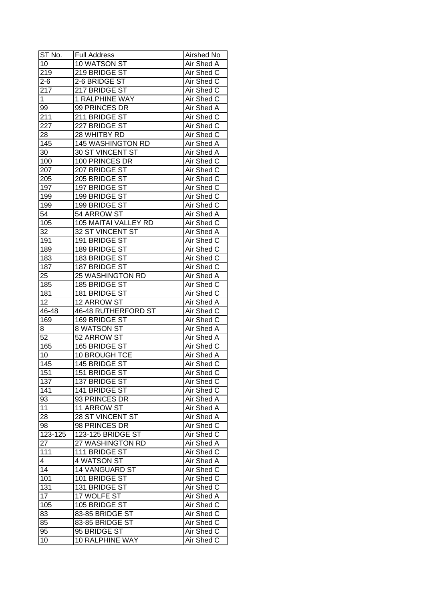| ST No.           | <b>Full Address</b>  | Airshed No        |
|------------------|----------------------|-------------------|
| 10               | 10 WATSON ST         | Air Shed A        |
| 219              | 219 BRIDGE ST        | Air Shed C        |
| $2 - 6$          | 2-6 BRIDGE ST        | Air Shed C        |
| 217              | 217 BRIDGE ST        | Air Shed C        |
| 1                | 1 RALPHINE WAY       | Air Shed C        |
| 99               | 99 PRINCES DR        | Air Shed A        |
| 211              | 211 BRIDGE ST        | Air Shed C        |
| 227              | 227 BRIDGE ST        | Air Shed C        |
| 28               | 28 WHITBY RD         | Air Shed C        |
| 145              | 145 WASHINGTON RD    | Air Shed A        |
| 30               | 30 ST VINCENT ST     | Air Shed A        |
| 100              | 100 PRINCES DR       | Air Shed C        |
| 207              | 207 BRIDGE ST        | Air Shed C        |
| 205              | 205 BRIDGE ST        | Air Shed C        |
| 197              | 197 BRIDGE ST        | Air Shed C        |
| 199              | 199 BRIDGE ST        | Air Shed C        |
| 199              | 199 BRIDGE ST        | Air Shed C        |
| 54               | 54 ARROW ST          | Air Shed A        |
| 105              | 105 MAITAI VALLEY RD | Air Shed C        |
| 32               | 32 ST VINCENT ST     | Air Shed A        |
| 191              | 191 BRIDGE ST        | Air Shed C        |
| 189              | 189 BRIDGE ST        | Air Shed C        |
| 183              | 183 BRIDGE ST        | Air Shed C        |
| 187              | 187 BRIDGE ST        | Air Shed C        |
| 25               | 25 WASHINGTON RD     | Air Shed A        |
| 185              | 185 BRIDGE ST        | Air Shed C        |
| 181              | 181 BRIDGE ST        | Air Shed C        |
| 12               | 12 ARROW ST          | Air Shed A        |
| 46-48            | 46-48 RUTHERFORD ST  | Air Shed C        |
| 169              | 169 BRIDGE ST        | Air Shed C        |
| 8                | 8 WATSON ST          | <b>Air Shed A</b> |
| $\overline{52}$  | 52 ARROW ST          | Air Shed A        |
| 165              | 165 BRIDGE ST        | Air Shed C        |
| 10               | 10 BROUGH TCE        | Air Shed A        |
| $\overline{145}$ | 145 BRIDGE ST        | Air Shed C        |
| 151              | 151 BRIDGE ST        | Air Shed C        |
| 137              | 137 BRIDGE ST        | Air Shed C        |
| 141              | 141 BRIDGE ST        | Air Shed C        |
| 93               | 93 PRINCES DR        | Air Shed A        |
| 11               | 11 ARROW ST          | Air Shed A        |
| 28               | 28 ST VINCENT ST     | Air Shed A        |
| 98               | 98 PRINCES DR        | Air Shed C        |
| 123-125          | 123-125 BRIDGE ST    | Air Shed C        |
| 27               | 27 WASHINGTON RD     | Air Shed A        |
| 111              | 111 BRIDGE ST        | Air Shed C        |
| 4                | 4 WATSON ST          | Air Shed A        |
| 14               | 14 VANGUARD ST       | Air Shed C        |
| 101              | 101 BRIDGE ST        | Air Shed C        |
| 131              | 131 BRIDGE ST        | Air Shed C        |
| 17               | 17 WOLFE ST          | Air Shed A        |
| 105              | 105 BRIDGE ST        | Air Shed C        |
| 83               | 83-85 BRIDGE ST      | Air Shed C        |
| 85               | 83-85 BRIDGE ST      | Air Shed C        |
| 95               | 95 BRIDGE ST         | Air Shed C        |
| 10               | 10 RALPHINE WAY      | Air Shed C        |
|                  |                      |                   |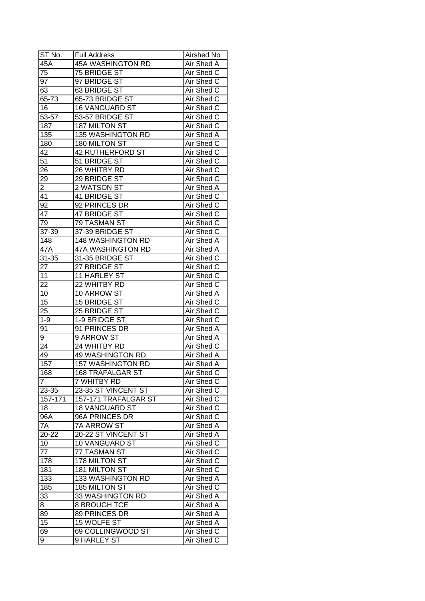| ST No.          | <b>Full Address</b>      | Airshed No        |
|-----------------|--------------------------|-------------------|
| 45A             | 45A WASHINGTON RD        | Air Shed A        |
| 75              | 75 BRIDGE ST             | Air Shed C        |
| 97              | 97 BRIDGE ST             | Air Shed C        |
| 63              | 63 BRIDGE ST             | Air Shed C        |
| 65-73           | 65-73 BRIDGE ST          | Air Shed C        |
| 16              | <b>16 VANGUARD ST</b>    | Air Shed C        |
| 53-57           | 53-57 BRIDGE ST          | Air Shed C        |
| 187             | 187 MILTON ST            | Air Shed C        |
| 135             | 135 WASHINGTON RD        | Air Shed A        |
| 180             | 180 MILTON ST            | Air Shed C        |
| 42              | 42 RUTHERFORD ST         | Air Shed C        |
| 51              | 51 BRIDGE ST             | Air Shed C        |
| 26              | 26 WHITBY RD             | Air Shed C        |
| 29              | 29 BRIDGE ST             | Air Shed C        |
| $\overline{2}$  | 2 WATSON ST              | Air Shed A        |
| 41              | 41 BRIDGE ST             | Air Shed C        |
| 92              | 92 PRINCES DR            | Air Shed C        |
| 47              | 47 BRIDGE ST             | Air Shed C        |
| 79              | 79 TASMAN ST             | Air Shed C        |
| 37-39           | 37-39 BRIDGE ST          | Air Shed C        |
| 148             | <b>148 WASHINGTON RD</b> | Air Shed A        |
| 47A             | 47A WASHINGTON RD        | Air Shed A        |
| $31 - 35$       | 31-35 BRIDGE ST          | Air Shed C        |
| 27              | 27 BRIDGE ST             | Air Shed C        |
| 11              | 11 HARLEY ST             | Air Shed C        |
| 22              | 22 WHITBY RD             | Air Shed C        |
| 10              | 10 ARROW ST              | Air Shed A        |
| 15              | 15 BRIDGE ST             | Air Shed C        |
| 25              | 25 BRIDGE ST             | Air Shed C        |
| $1 - 9$         | 1-9 BRIDGE ST            | Air Shed C        |
| 91              | 91 PRINCES DR            | Air Shed A        |
| 9               | 9 ARROW ST               | Air Shed A        |
| 24              | 24 WHITBY RD             | Air Shed C        |
| 49              | <b>49 WASHINGTON RD</b>  | Air Shed A        |
| 157             | 157 WASHINGTON RD        | Air Shed A        |
| 168             | <b>168 TRAFALGAR ST</b>  | <b>Air Shed C</b> |
| $\overline{7}$  | 7 WHITBY RD              | Air Shed C        |
| 23-35           | 23-35 ST VINCENT ST      | Air Shed C        |
| 157-171         | 157-171 TRAFALGAR ST     | Air Shed C        |
| 18              | <b>18 VANGUARD ST</b>    | Air Shed C        |
| 96A             | 96A PRINCES DR           | Air Shed C        |
| 7A              | 7A ARROW ST              | Air Shed A        |
| $20 - 22$       | 20-22 ST VINCENT ST      | Air Shed A        |
| 10              | 10 VANGUARD ST           | Air Shed C        |
| $\overline{77}$ | 77 TASMAN ST             | Air Shed C        |
| 178             | 178 MILTON ST            | Air Shed C        |
| 181             | 181 MILTON ST            | Air Shed C        |
| 133             | 133 WASHINGTON RD        | Air Shed A        |
| 185             | 185 MILTON ST            | Air Shed C        |
| 33              | 33 WASHINGTON RD         | Air Shed A        |
| 8               | <b>8 BROUGH TCE</b>      | Air Shed A        |
| 89              | 89 PRINCES DR            | Air Shed A        |
| 15              | 15 WOLFE ST              | Air Shed A        |
| 69              | 69 COLLINGWOOD ST        | Air Shed C        |
| 9               | 9 HARLEY ST              | Air Shed C        |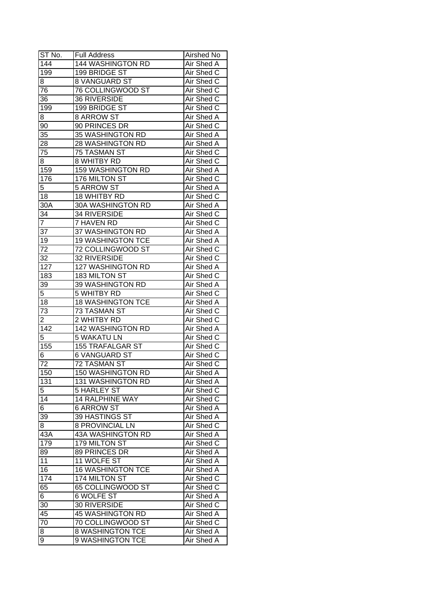| ST No.            | <b>Full Address</b>      | Airshed No        |
|-------------------|--------------------------|-------------------|
| $\overline{1}$ 44 | 144 WASHINGTON RD        | Air Shed A        |
| 199               | 199 BRIDGE ST            | Air Shed C        |
| 8                 | <b>8 VANGUARD ST</b>     | Air Shed C        |
| 76                | 76 COLLINGWOOD ST        | Air Shed C        |
| 36                | <b>36 RIVERSIDE</b>      | Air Shed C        |
| 199               | 199 BRIDGE ST            | Air Shed C        |
| 8                 | 8 ARROW ST               | Air Shed A        |
| 90                | 90 PRINCES DR            | Air Shed C        |
| 35                | 35 WASHINGTON RD         | Air Shed A        |
| 28                | 28 WASHINGTON RD         | Air Shed A        |
| 75                | 75 TASMAN ST             | Air Shed C        |
| 8                 | 8 WHITBY RD              | Air Shed C        |
| 159               | 159 WASHINGTON RD        | Air Shed A        |
| 176               | 176 MILTON ST            | Air Shed C        |
| 5                 | <b>5 ARROW ST</b>        | Air Shed A        |
| 18                | 18 WHITBY RD             | Air Shed C        |
| 30A               | 30A WASHINGTON RD        | Air Shed A        |
| 34                | <b>34 RIVERSIDE</b>      | Air Shed C        |
| $\overline{7}$    | 7 HAVEN RD               | Air Shed C        |
| 37                | 37 WASHINGTON RD         | Air Shed A        |
| 19                | <b>19 WASHINGTON TCE</b> | Air Shed A        |
| 72                | 72 COLLINGWOOD ST        | Air Shed C        |
| 32                | 32 RIVERSIDE             | Air Shed C        |
| 127               | 127 WASHINGTON RD        | Air Shed A        |
| 183               | 183 MILTON ST            | Air Shed C        |
| 39                | 39 WASHINGTON RD         | Air Shed A        |
| $\overline{5}$    | 5 WHITBY RD              | Air Shed C        |
| 18                | <b>18 WASHINGTON TCE</b> | Air Shed A        |
| 73                | 73 TASMAN ST             | Air Shed C        |
| $\overline{2}$    | 2 WHITBY RD              | Air Shed C        |
| 142               | 142 WASHINGTON RD        | Air Shed A        |
| $\overline{5}$    | <b>5 WAKATU LN</b>       | Air Shed C        |
| 155               | <b>155 TRAFALGAR ST</b>  | Air Shed C        |
| 6                 | <b>6 VANGUARD ST</b>     | Air Shed C        |
| $\overline{72}$   | 72 TASMAN ST             | Air Shed C        |
| 150               | <b>150 WASHINGTON RD</b> | Air Shed A        |
| 131               | 131 WASHINGTON RD        | Air Shed A        |
| 5                 | <b>5 HARLEY ST</b>       | Air Shed C        |
| 14                | <b>14 RALPHINE WAY</b>   | Air Shed C        |
| 6                 | <b>6 ARROW ST</b>        | Air Shed A        |
| 39                | 39 HASTINGS ST           | Air Shed A        |
| 8                 | <b>8 PROVINCIAL LN</b>   | Air Shed C        |
| 43A               | 43A WASHINGTON RD        | Air Shed A        |
| 179               | 179 MILTON ST            | Air Shed C        |
| 89                | 89 PRINCES DR            | <b>Air Shed A</b> |
| 11                | 11 WOLFE ST              | Air Shed A        |
| 16                | <b>16 WASHINGTON TCE</b> | Air Shed A        |
| 174               | 174 MILTON ST            | Air Shed C        |
| 65                | 65 COLLINGWOOD ST        | Air Shed C        |
| 6                 | 6 WOLFE ST               | Air Shed A        |
| 30                | 30 RIVERSIDE             | Air Shed C        |
| 45                | <b>45 WASHINGTON RD</b>  | Air Shed A        |
| 70                | 70 COLLINGWOOD ST        | Air Shed C        |
| 8                 | <b>8 WASHINGTON TCE</b>  | Air Shed A        |
| 9                 | <b>9 WASHINGTON TCE</b>  | Air Shed A        |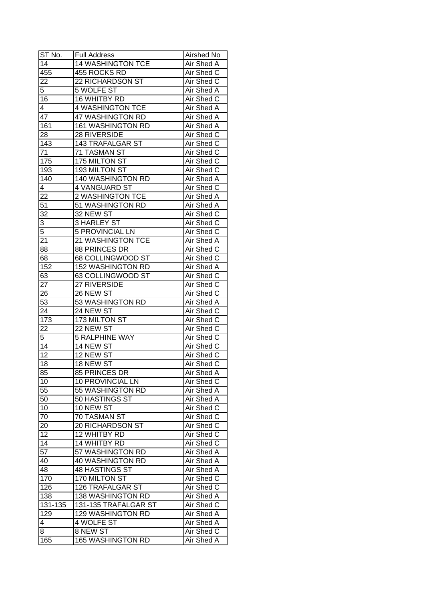| ST No.          | <b>Full Address</b>      | Airshed No        |
|-----------------|--------------------------|-------------------|
| 14              | <b>14 WASHINGTON TCE</b> | Air Shed A        |
| 455             | 455 ROCKS RD             | Air Shed C        |
| 22              | 22 RICHARDSON ST         | Air Shed C        |
| 5               | <b>5 WOLFE ST</b>        | Air Shed A        |
| 16              | 16 WHITBY RD             | Air Shed C        |
| 4               | <b>4 WASHINGTON TCE</b>  | Air Shed A        |
| 47              | 47 WASHINGTON RD         | Air Shed A        |
| 161             | 161 WASHINGTON RD        | Air Shed A        |
| 28              | 28 RIVERSIDE             | Air Shed C        |
| 143             | 143 TRAFALGAR ST         | Air Shed C        |
| 71              | 71 TASMAN ST             | Air Shed C        |
| 175             | 175 MILTON ST            | Air Shed C        |
| 193             | 193 MILTON ST            | Air Shed C        |
| 140             | 140 WASHINGTON RD        | Air Shed A        |
| 4               | 4 VANGUARD ST            | Air Shed C        |
| 22              | 2 WASHINGTON TCE         | Air Shed A        |
| 51              | 51 WASHINGTON RD         | Air Shed A        |
| 32              | 32 NEW ST                | Air Shed C        |
| $\overline{3}$  | 3 HARLEY ST              | Air Shed C        |
| $\overline{5}$  | <b>5 PROVINCIAL LN</b>   | Air Shed C        |
| 21              | 21 WASHINGTON TCE        | Air Shed A        |
| 88              | 88 PRINCES DR            | Air Shed C        |
| 68              | 68 COLLINGWOOD ST        | Air Shed C        |
| 152             | <b>152 WASHINGTON RD</b> | Air Shed A        |
| 63              | 63 COLLINGWOOD ST        | Air Shed C        |
| 27              | 27 RIVERSIDE             | Air Shed C        |
| 26              | 26 NEW ST                | Air Shed C        |
| 53              | 53 WASHINGTON RD         | <b>Air Shed A</b> |
| 24              | 24 NEW ST                | Air Shed C        |
| 173             | 173 MILTON ST            | Air Shed C        |
| 22              | 22 NEW ST                | Air Shed C        |
| 5               | <b>5 RALPHINE WAY</b>    | Air Shed C        |
| $\overline{14}$ | 14 NEW ST                | Air Shed C        |
| $\overline{12}$ | 12 NEW ST                | Air Shed C        |
| 18              | 18 NEW ST                | <b>Air Shed C</b> |
| 85              | 85 PRINCES DR            | Air Shed A        |
| 10              | <b>10 PROVINCIAL LN</b>  | Air Shed C        |
| 55              | 55 WASHINGTON RD         | Air Shed A        |
| 50              | 50 HASTINGS ST           | Air Shed A        |
| 10              | 10 NEW ST                | Air Shed C        |
| 70              | 70 TASMAN ST             | Air Shed C        |
| 20              | 20 RICHARDSON ST         | Air Shed C        |
| 12              | 12 WHITBY RD             | Air Shed C        |
| 14              | 14 WHITBY RD             | Air Shed C        |
| $\overline{57}$ | 57 WASHINGTON RD         | Air Shed A        |
| 40              | <b>40 WASHINGTON RD</b>  | Air Shed A        |
| 48              | 48 HASTINGS ST           | Air Shed A        |
| 170             | 170 MILTON ST            | Air Shed C        |
| 126             | <b>126 TRAFALGAR ST</b>  | Air Shed C        |
| 138             | 138 WASHINGTON RD        | Air Shed A        |
| 131-135         | 131-135 TRAFALGAR ST     | Air Shed C        |
| 129             | <b>129 WASHINGTON RD</b> | Air Shed A        |
| 4               | 4 WOLFE ST               | Air Shed A        |
| 8               | 8 NEW ST                 | Air Shed C        |
| 165             | <b>165 WASHINGTON RD</b> | Air Shed A        |
|                 |                          |                   |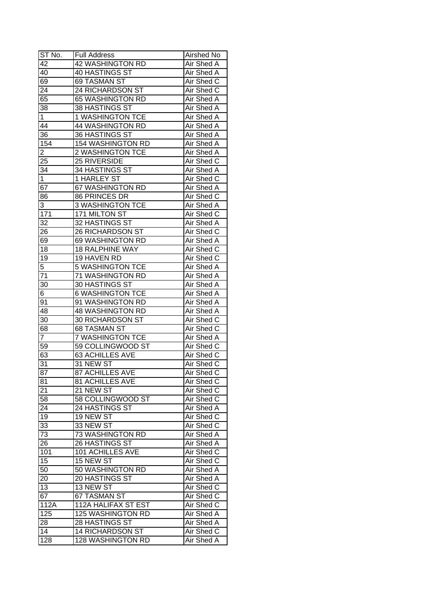| ST No.          | <b>Full Address</b>      | Airshed No        |
|-----------------|--------------------------|-------------------|
| 42              | <b>42 WASHINGTON RD</b>  | Air Shed A        |
| 40              | <b>40 HASTINGS ST</b>    | <b>Air Shed A</b> |
| 69              | 69 TASMAN ST             | Air Shed C        |
| $2\overline{4}$ | 24 RICHARDSON ST         | Air Shed C        |
| 65              | 65 WASHINGTON RD         | Air Shed A        |
| 38              | 38 HASTINGS ST           | Air Shed A        |
| 1               | <b>1 WASHINGTON TCE</b>  | Air Shed A        |
| 44              | 44 WASHINGTON RD         | Air Shed A        |
| 36              | 36 HASTINGS ST           | Air Shed A        |
| 154             | 154 WASHINGTON RD        | Air Shed A        |
| $\overline{2}$  | 2 WASHINGTON TCE         | Air Shed A        |
| 25              | 25 RIVERSIDE             | Air Shed C        |
| 34              | 34 HASTINGS ST           | Air Shed A        |
| $\mathbf{1}$    | 1 HARLEY ST              | Air Shed C        |
| 67              | 67 WASHINGTON RD         | Air Shed A        |
| 86              | 86 PRINCES DR            | Air Shed C        |
| 3               | <b>3 WASHINGTON TCE</b>  | Air Shed A        |
| 171             | 171 MILTON ST            | Air Shed C        |
| 32              | 32 HASTINGS ST           | Air Shed A        |
| 26              | 26 RICHARDSON ST         | Air Shed C        |
| 69              | 69 WASHINGTON RD         | Air Shed A        |
| 18              | <b>18 RALPHINE WAY</b>   | Air Shed C        |
| 19              | 19 HAVEN RD              | Air Shed C        |
| 5               | <b>5 WASHINGTON TCE</b>  | Air Shed A        |
| 71              | 71 WASHINGTON RD         | Air Shed A        |
| 30              | 30 HASTINGS ST           | Air Shed A        |
| 6               | <b>6 WASHINGTON TCE</b>  | Air Shed A        |
| 91              | 91 WASHINGTON RD         | Air Shed A        |
| 48              | 48 WASHINGTON RD         | Air Shed A        |
| 30              | 30 RICHARDSON ST         | Air Shed C        |
| 68              | 68 TASMAN ST             | Air Shed C        |
| $\overline{7}$  | <b>7 WASHINGTON TCE</b>  | Air Shed A        |
| 59              | 59 COLLINGWOOD ST        | Air Shed C        |
| 63              | <b>63 ACHILLES AVE</b>   | Air Shed C        |
| 31              | 31 NEW ST                | <b>Air Shed C</b> |
| 87              | <b>87 ACHILLES AVE</b>   | Air Shed C        |
| 81              | <b>81 ACHILLES AVE</b>   | Air Shed C        |
| 21              | 21 NEW ST                | Air Shed C        |
| 58              | 58 COLLINGWOOD ST        | Air Shed C        |
| 24              | 24 HASTINGS ST           | Air Shed A        |
| 19              | 19 NEW ST                | Air Shed C        |
| 33              | 33 NEW ST                | Air Shed C        |
| 73              | 73 WASHINGTON RD         | Air Shed A        |
| 26              | 26 HASTINGS ST           | Air Shed A        |
| 101             | 101 ACHILLES AVE         | Air Shed C        |
| 15              | 15 NEW ST                | Air Shed C        |
| 50              | 50 WASHINGTON RD         | Air Shed A        |
| 20              | 20 HASTINGS ST           | Air Shed A        |
| 13              | 13 NEW ST                | Air Shed C        |
| 67              | 67 TASMAN ST             | Air Shed C        |
| 112A            | 112A HALIFAX ST EST      | Air Shed C        |
| 125             | 125 WASHINGTON RD        | Air Shed A        |
| 28              | 28 HASTINGS ST           | Air Shed A        |
| 14              | <b>14 RICHARDSON ST</b>  | Air Shed C        |
| 128             | <b>128 WASHINGTON RD</b> | Air Shed A        |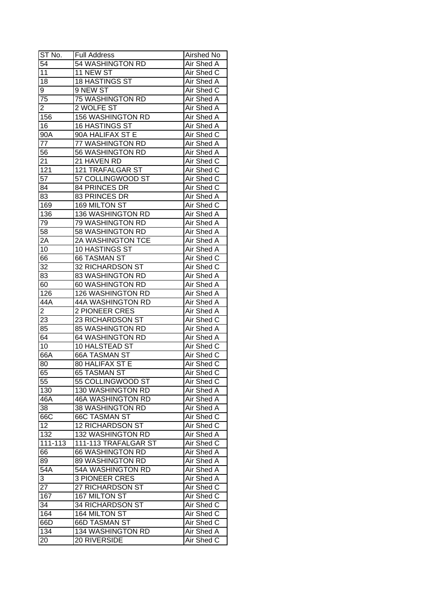| ST No.           | Full Address             | Airshed No        |
|------------------|--------------------------|-------------------|
| 54               | 54 WASHINGTON RD         | Air Shed A        |
| 11               | 11 NEW ST                | Air Shed C        |
| 18               | 18 HASTINGS ST           | Air Shed A        |
| 9                | 9 NEW ST                 | Air Shed C        |
| 75               | 75 WASHINGTON RD         | Air Shed A        |
| 2                | 2 WOLFE ST               | Air Shed A        |
| 156              | 156 WASHINGTON RD        | Air Shed A        |
| 16               | 16 HASTINGS ST           | Air Shed A        |
| 90A              | 90A HALIFAX ST E         | Air Shed C        |
| 77               | 77 WASHINGTON RD         | Air Shed A        |
| 56               | 56 WASHINGTON RD         | Air Shed A        |
| 21               | 21 HAVEN RD              | Air Shed C        |
| 121              | 121 TRAFALGAR ST         | Air Shed C        |
| 57               | 57 COLLINGWOOD ST        | Air Shed C        |
| 84               | 84 PRINCES DR            | Air Shed C        |
| 83               | 83 PRINCES DR            | Air Shed A        |
| 169              | 169 MILTON ST            | Air Shed C        |
| 136              | 136 WASHINGTON RD        | Air Shed A        |
| 79               | 79 WASHINGTON RD         | Air Shed A        |
| 58               | 58 WASHINGTON RD         | Air Shed A        |
| 2A               | 2A WASHINGTON TCE        | Air Shed A        |
| 10               | 10 HASTINGS ST           | Air Shed A        |
| 66               | <b>66 TASMAN ST</b>      | Air Shed C        |
| 32               | 32 RICHARDSON ST         | Air Shed C        |
| 83               | 83 WASHINGTON RD         | Air Shed A        |
| 60               | 60 WASHINGTON RD         | Air Shed A        |
| 126              | 126 WASHINGTON RD        | Air Shed A        |
| 44A              | 44A WASHINGTON RD        | Air Shed A        |
| $\overline{2}$   | 2 PIONEER CRES           | Air Shed A        |
| 23               | 23 RICHARDSON ST         | Air Shed C        |
| 85               | 85 WASHINGTON RD         | Air Shed A        |
| 64               | <b>64 WASHINGTON RD</b>  | Air Shed A        |
| 10               | 10 HALSTEAD ST           | Air Shed C        |
| 66A              | <b>66A TASMAN ST</b>     | Air Shed C        |
| 80               | <b>80 HALIFAX ST E</b>   | <b>Air Shed C</b> |
| 65               | <b>65 TASMAN ST</b>      | <b>Air Shed C</b> |
| $\overline{55}$  | 55 COLLINGWOOD ST        | Air Shed C        |
| 130              | 130 WASHINGTON RD        | Air Shed A        |
| 46A              | <b>46A WASHINGTON RD</b> | Air Shed A        |
| 38               | 38 WASHINGTON RD         | Air Shed A        |
| 66C              | <b>66C TASMAN ST</b>     | Air Shed C        |
| 12               | <b>12 RICHARDSON ST</b>  | Air Shed C        |
| 132              | 132 WASHINGTON RD        | Air Shed A        |
| 111-113          | 111-113 TRAFALGAR ST     | Air Shed C        |
| 66               | 66 WASHINGTON RD         | Air Shed A        |
| 89               | 89 WASHINGTON RD         | Air Shed A        |
| $54\overline{A}$ | 54A WASHINGTON RD        | Air Shed A        |
| 3                | <b>3 PIONEER CRES</b>    | Air Shed A        |
| 27               | 27 RICHARDSON ST         | Air Shed C        |
| 167              | 167 MILTON ST            | Air Shed C        |
| $3\overline{4}$  | 34 RICHARDSON ST         | Air Shed C        |
| 164              | 164 MILTON ST            | Air Shed C        |
| 66D              | 66D TASMAN ST            | Air Shed C        |
| 134              | 134 WASHINGTON RD        | Air Shed A        |
| 20               | 20 RIVERSIDE             | Air Shed C        |
|                  |                          |                   |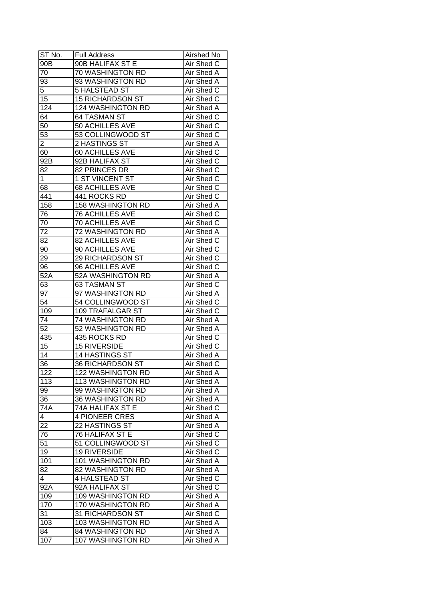| ST No.          | <b>Full Address</b>      | <b>Airshed No</b> |
|-----------------|--------------------------|-------------------|
| 90B             | 90B HALIFAX ST E         | Air Shed C        |
| 70              | 70 WASHINGTON RD         | Air Shed A        |
| 93              | 93 WASHINGTON RD         | <b>Air Shed A</b> |
| 5               | 5 HALSTEAD ST            | Air Shed C        |
| 15              | <b>15 RICHARDSON ST</b>  | Air Shed C        |
| 124             | <b>124 WASHINGTON RD</b> | Air Shed A        |
| 64              | 64 TASMAN ST             | Air Shed C        |
| 50              | 50 ACHILLES AVE          | Air Shed C        |
| 53              | 53 COLLINGWOOD ST        | Air Shed C        |
| $\overline{2}$  | 2 HASTINGS ST            | Air Shed A        |
| 60              | 60 ACHILLES AVE          | Air Shed C        |
| 92B             | 92B HALIFAX ST           | Air Shed C        |
| 82              | 82 PRINCES DR            | Air Shed C        |
| $\mathbf{1}$    | 1 ST VINCENT ST          | Air Shed C        |
| 68              | <b>68 ACHILLES AVE</b>   | Air Shed C        |
| 441             | 441 ROCKS RD             | Air Shed C        |
| 158             | 158 WASHINGTON RD        | Air Shed A        |
| 76              | <b>76 ACHILLES AVE</b>   | Air Shed C        |
| 70              | <b>70 ACHILLES AVE</b>   | Air Shed C        |
| 72              | 72 WASHINGTON RD         | Air Shed A        |
| 82              | 82 ACHILLES AVE          | Air Shed C        |
| 90              |                          |                   |
|                 | 90 ACHILLES AVE          | Air Shed C        |
| 29              | 29 RICHARDSON ST         | Air Shed C        |
| 96              | 96 ACHILLES AVE          | Air Shed C        |
| 52A             | 52A WASHINGTON RD        | Air Shed A        |
| 63              | 63 TASMAN ST             | Air Shed C        |
| 97              | 97 WASHINGTON RD         | Air Shed A        |
| $\overline{54}$ | 54 COLLINGWOOD ST        | Air Shed C        |
| 109             | 109 TRAFALGAR ST         | Air Shed C        |
| 74              | 74 WASHINGTON RD         | Air Shed A        |
| 52              | 52 WASHINGTON RD         | Air Shed A        |
| 435             | 435 ROCKS RD             | Air Shed C        |
| 15              | <b>15 RIVERSIDE</b>      | Air Shed C        |
| $\overline{14}$ | 14 HASTINGS ST           | Air Shed A        |
| 36              | <b>36 RICHARDSON ST</b>  | <b>Air Shed C</b> |
| 122             | <b>122 WASHINGTON RD</b> | <b>Air Shed A</b> |
| 113             | 113 WASHINGTON RD        | Air Shed A        |
| 99              | 99 WASHINGTON RD         | Air Shed A        |
| 36              | 36 WASHINGTON RD         | Air Shed A        |
| 74A             | 74A HALIFAX ST E         | Air Shed C        |
| 4               | <b>4 PIONEER CRES</b>    | Air Shed A        |
| 22              | 22 HASTINGS ST           | Air Shed A        |
| 76              | 76 HALIFAX ST E          | Air Shed C        |
| 51              | 51 COLLINGWOOD ST        | Air Shed C        |
| 19              | <b>19 RIVERSIDE</b>      | Air Shed C        |
| 101             | 101 WASHINGTON RD        | Air Shed A        |
| 82              | 82 WASHINGTON RD         | Air Shed A        |
| 4               | 4 HALSTEAD ST            | Air Shed C        |
| 92A             | 92A HALIFAX ST           | Air Shed C        |
| 109             | 109 WASHINGTON RD        | Air Shed A        |
| 170             | 170 WASHINGTON RD        | Air Shed A        |
| 31              | 31 RICHARDSON ST         | Air Shed C        |
| 103             | 103 WASHINGTON RD        | Air Shed A        |
| 84              | 84 WASHINGTON RD         | Air Shed A        |
| 107             | 107 WASHINGTON RD        | Air Shed A        |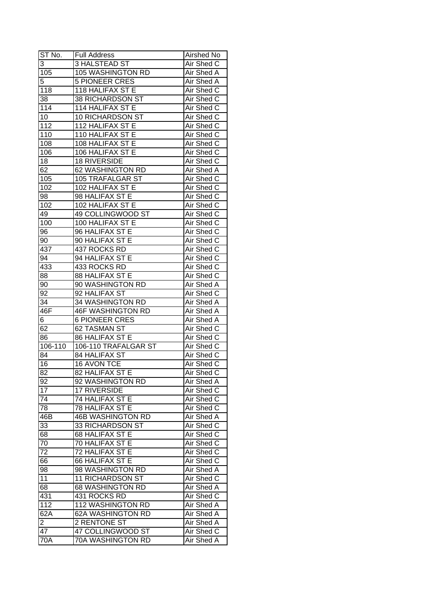| ST No.          | <b>Full Address</b>      | Airshed No        |
|-----------------|--------------------------|-------------------|
| 3               | 3 HALSTEAD ST            | Air Shed C        |
| 105             | 105 WASHINGTON RD        | <b>Air Shed A</b> |
| 5               | <b>5 PIONEER CRES</b>    | Air Shed A        |
| 118             | <b>118 HALIFAX ST E</b>  | Air Shed C        |
| 38              | 38 RICHARDSON ST         | Air Shed C        |
| 114             | 114 HALIFAX ST E         | Air Shed C        |
| 10              | 10 RICHARDSON ST         | Air Shed C        |
| 112             | 112 HALIFAX ST E         | Air Shed C        |
| 110             | 110 HALIFAX ST E         | Air Shed C        |
| 108             | 108 HALIFAX ST E         | Air Shed C        |
| 106             | 106 HALIFAX ST E         | Air Shed C        |
| 18              | <b>18 RIVERSIDE</b>      | Air Shed C        |
| 62              | 62 WASHINGTON RD         | Air Shed A        |
| 105             | 105 TRAFALGAR ST         | Air Shed C        |
| 102             | 102 HALIFAX ST E         | Air Shed C        |
| 98              | 98 HALIFAX ST E          | Air Shed C        |
| 102             | 102 HALIFAX ST E         | Air Shed C        |
| 49              | 49 COLLINGWOOD ST        | Air Shed C        |
| 100             | 100 HALIFAX ST E         | Air Shed C        |
| 96              | 96 HALIFAX ST E          | Air Shed C        |
| 90              | 90 HALIFAX ST E          | Air Shed C        |
| 437             | 437 ROCKS RD             | Air Shed C        |
| 94              | 94 HALIFAX ST E          | Air Shed C        |
| 433             | 433 ROCKS RD             | Air Shed C        |
| 88              | 88 HALIFAX ST E          | Air Shed C        |
| 90              | 90 WASHINGTON RD         | Air Shed A        |
| $9\overline{2}$ | 92 HALIFAX ST            | Air Shed C        |
| 34              | 34 WASHINGTON RD         | Air Shed A        |
| 46F             | <b>46F WASHINGTON RD</b> | Air Shed A        |
| 6               | <b>6 PIONEER CRES</b>    | Air Shed A        |
| 62              | 62 TASMAN ST             | Air Shed C        |
| 86              | 86 HALIFAX ST E          | Air Shed C        |
| $106 - 110$     | 106-110 TRAFALGAR ST     | Air Shed C        |
| 84              | 84 HALIFAX ST            | Air Shed C        |
| $\overline{16}$ | <b>16 AVON TCE</b>       | <b>Air Shed C</b> |
| 82              | 82 HALIFAX ST E          | Air Shed C        |
| 92              | 92 WASHINGTON RD         | Air Shed A        |
| 17              | <b>17 RIVERSIDE</b>      | Air Shed C        |
| 74              | 74 HALIFAX ST E          | Air Shed C        |
| 78              | 78 HALIFAX ST E          | Air Shed C        |
| 46B             | <b>46B WASHINGTON RD</b> | Air Shed A        |
| 33              | 33 RICHARDSON ST         | Air Shed C        |
| 68              | 68 HALIFAX ST E          | Air Shed C        |
| 70              | 70 HALIFAX ST E          | Air Shed C        |
| 72              | <b>72 HALIFAX ST E</b>   | Air Shed C        |
| 66              | 66 HALIFAX ST E          | Air Shed C        |
| 98              | 98 WASHINGTON RD         | Air Shed A        |
| 11              | 11 RICHARDSON ST         | Air Shed C        |
| 68              | 68 WASHINGTON RD         | Air Shed A        |
| 431             | 431 ROCKS RD             | Air Shed C        |
| 112             | 112 WASHINGTON RD        | Air Shed A        |
| 62A             | 62A WASHINGTON RD        | Air Shed A        |
| $\overline{2}$  | 2 RENTONE ST             | Air Shed A        |
| 47              | 47 COLLINGWOOD ST        | Air Shed C        |
| 70A             | 70A WASHINGTON RD        | Air Shed A        |
|                 |                          |                   |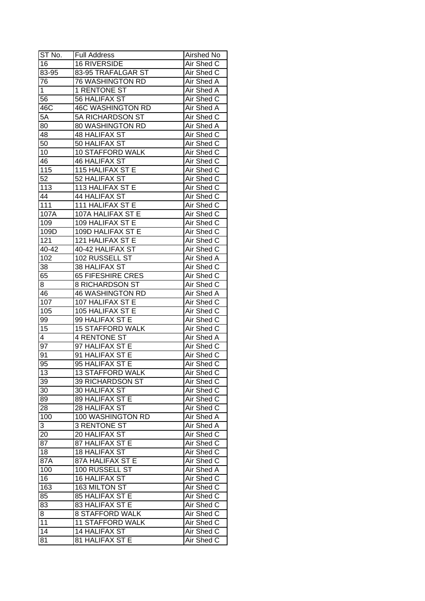| ST No.          | <b>Full Address</b>      | Airshed No        |
|-----------------|--------------------------|-------------------|
| 16              | <b>16 RIVERSIDE</b>      | Air Shed C        |
| 83-95           | 83-95 TRAFALGAR ST       | Air Shed C        |
| 76              | <b>76 WASHINGTON RD</b>  | Air Shed A        |
| $\mathbf 1$     | 1 RENTONE ST             | Air Shed A        |
| 56              | 56 HALIFAX ST            | Air Shed C        |
| 46C             | <b>46C WASHINGTON RD</b> | Air Shed A        |
| 5A              | 5A RICHARDSON ST         | Air Shed C        |
| 80              | 80 WASHINGTON RD         | Air Shed A        |
| 48              | <b>48 HALIFAX ST</b>     | Air Shed C        |
| 50              | 50 HALIFAX ST            | Air Shed C        |
| 10              | <b>10 STAFFORD WALK</b>  | Air Shed C        |
| 46              | <b>46 HALIFAX ST</b>     | Air Shed C        |
| 115             | 115 HALIFAX ST E         | Air Shed C        |
| $\overline{52}$ | 52 HALIFAX ST            | Air Shed C        |
| 113             | 113 HALIFAX ST E         | Air Shed C        |
| 44              | 44 HALIFAX ST            | Air Shed C        |
| 111             | 111 HALIFAX ST E         | Air Shed C        |
| 107A            | 107A HALIFAX ST E        | Air Shed C        |
| 109             | 109 HALIFAX ST E         | Air Shed C        |
| 109D            | 109D HALIFAX ST E        | Air Shed C        |
| 121             | 121 HALIFAX ST E         | Air Shed C        |
| 40-42           | 40-42 HALIFAX ST         | Air Shed C        |
| 102             | 102 RUSSELL ST           | Air Shed A        |
| 38              | 38 HALIFAX ST            | Air Shed C        |
| 65              | <b>65 FIFESHIRE CRES</b> | Air Shed C        |
| 8               | 8 RICHARDSON ST          | Air Shed C        |
| 46              | <b>46 WASHINGTON RD</b>  | Air Shed A        |
| 107             | 107 HALIFAX ST E         | Air Shed C        |
| 105             | 105 HALIFAX ST E         | Air Shed C        |
| 99              | 99 HALIFAX ST E          | Air Shed C        |
| 15              | <b>15 STAFFORD WALK</b>  | Air Shed C        |
| 4               | <b>4 RENTONE ST</b>      | Air Shed A        |
| 97              | 97 HALIFAX ST E          | Air Shed C        |
| $9\overline{1}$ | 91 HALIFAX ST E          | Air Shed C        |
| 95              | 95 HALIFAX ST E          | <b>Air Shed C</b> |
| 13              | <b>13 STAFFORD WALK</b>  | Air Shed C        |
| 39              | 39 RICHARDSON ST         | Air Shed C        |
| 30              | 30 HALIFAX ST            | Air Shed C        |
| 89              | 89 HALIFAX ST E          | Air Shed C        |
| 28              | 28 HALIFAX ST            | Air Shed C        |
| 100             | 100 WASHINGTON RD        | Air Shed A        |
| 3               | <b>3 RENTONE ST</b>      | Air Shed A        |
| 20              | 20 HALIFAX ST            | Air Shed C        |
| 87              | 87 HALIFAX ST E          | Air Shed C        |
| 18              | 18 HALIFAX ST            | Air Shed C        |
| 87A             | 87A HALIFAX ST E         | Air Shed C        |
| 100             | 100 RUSSELL ST           | Air Shed A        |
| 16              | 16 HALIFAX ST            | Air Shed C        |
| 163             | 163 MILTON ST            | Air Shed C        |
| 85              | 85 HALIFAX ST E          | Air Shed C        |
| 83              | 83 HALIFAX ST E          | Air Shed C        |
| 8               | 8 STAFFORD WALK          | Air Shed C        |
| 11              | <b>11 STAFFORD WALK</b>  | Air Shed C        |
| $1\overline{4}$ | 14 HALIFAX ST            | Air Shed C        |
| 81              | 81 HALIFAX ST E          | Air Shed C        |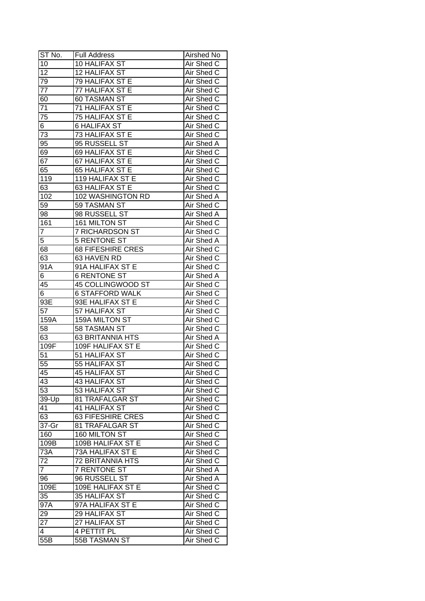| ST No.          | <b>Full Address</b>      | <b>Airshed No</b> |
|-----------------|--------------------------|-------------------|
| 10              | 10 HALIFAX ST            | Air Shed C        |
| $\overline{12}$ | 12 HALIFAX ST            | Air Shed C        |
| 79              | <b>79 HALIFAX ST E</b>   | Air Shed C        |
| 77              | <b>77 HALIFAX ST E</b>   | Air Shed C        |
| 60              | <b>60 TASMAN ST</b>      | Air Shed C        |
| 71              | 71 HALIFAX ST E          | Air Shed C        |
| 75              | 75 HALIFAX ST E          | Air Shed C        |
| 6               | <b>6 HALIFAX ST</b>      | Air Shed C        |
| 73              | 73 HALIFAX ST E          | Air Shed C        |
| 95              | 95 RUSSELL ST            | Air Shed A        |
| 69              | 69 HALIFAX ST E          | Air Shed C        |
| 67              | 67 HALIFAX ST E          | Air Shed C        |
| 65              | <b>65 HALIFAX ST E</b>   | Air Shed C        |
| 119             | 119 HALIFAX ST E         | Air Shed C        |
| 63              | 63 HALIFAX ST E          | Air Shed C        |
| 102             | 102 WASHINGTON RD        | Air Shed A        |
| 59              | 59 TASMAN ST             | Air Shed C        |
| 98              | 98 RUSSELL ST            | Air Shed A        |
| 161             | 161 MILTON ST            | Air Shed C        |
| $\overline{7}$  | 7 RICHARDSON ST          | Air Shed C        |
| 5               | <b>5 RENTONE ST</b>      | Air Shed A        |
| 68              | <b>68 FIFESHIRE CRES</b> | Air Shed C        |
| 63              | 63 HAVEN RD              | Air Shed C        |
| 91A             | 91A HALIFAX ST E         | Air Shed C        |
| 6               | <b>6 RENTONE ST</b>      | Air Shed A        |
| 45              | 45 COLLINGWOOD ST        | Air Shed C        |
| 6               | <b>6 STAFFORD WALK</b>   | Air Shed C        |
| 93E             | 93E HALIFAX ST E         | Air Shed C        |
| 57              | 57 HALIFAX ST            | Air Shed C        |
| 159A            | 159A MILTON ST           | Air Shed C        |
| 58              | 58 TASMAN ST             | Air Shed C        |
| 63              | 63 BRITANNIA HTS         | Air Shed A        |
| 109F            | 109F HALIFAX ST E        | Air Shed C        |
| 51              | 51 HALIFAX ST            | Air Shed C        |
| 55              | 55 HALIFAX ST            | <b>Air Shed C</b> |
| 45              | <b>45 HALIFAX ST</b>     | Air Shed C        |
| 43              | 43 HALIFAX ST            | Air Shed C        |
| $\overline{53}$ | 53 HALIFAX ST            | Air Shed C        |
| 39-Up           | 81 TRAFALGAR ST          | Air Shed C        |
| 41              | 41 HALIFAX ST            | Air Shed C        |
| 63              | <b>63 FIFESHIRE CRES</b> | Air Shed C        |
| 37-Gr           | 81 TRAFALGAR ST          | Air Shed C        |
| 160             | 160 MILTON ST            | Air Shed C        |
| 109B            | 109B HALIFAX ST E        | Air Shed C        |
| 73A             | 73A HALIFAX ST E         | Air Shed C        |
| 72              | <b>72 BRITANNIA HTS</b>  | Air Shed C        |
| $\overline{7}$  | 7 RENTONE ST             | Air Shed A        |
| 96              | 96 RUSSELL ST            | Air Shed A        |
| 109E            | 109E HALIFAX ST E        | Air Shed C        |
| 35              | 35 HALIFAX ST            | Air Shed C        |
| 97A             | 97A HALIFAX ST E         | Air Shed C        |
| 29              | 29 HALIFAX ST            | Air Shed C        |
| 27              | 27 HALIFAX ST            | Air Shed C        |
| $\overline{4}$  | 4 PETTIT PL              | Air Shed C        |
|                 |                          |                   |
| 55B             | 55B TASMAN ST            | Air Shed C        |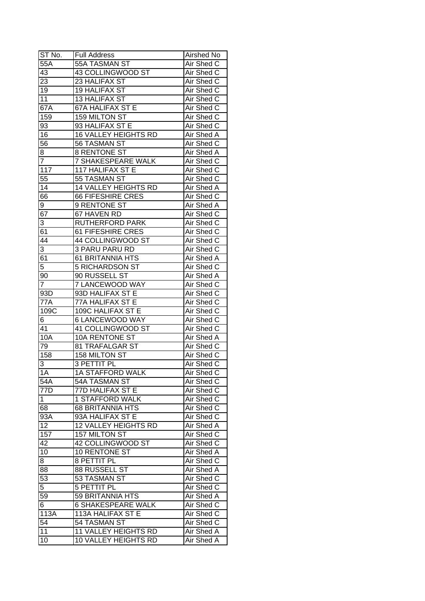| ST No.          | <b>Full Address</b>         | Airshed No        |
|-----------------|-----------------------------|-------------------|
| 55A             | 55A TASMAN ST               | Air Shed C        |
| 43              | 43 COLLINGWOOD ST           | Air Shed C        |
| 23              | 23 HALIFAX ST               | Air Shed C        |
| 19              | 19 HALIFAX ST               | Air Shed C        |
| 11              | 13 HALIFAX ST               | Air Shed C        |
| 67A             | 67A HALIFAX ST E            | Air Shed C        |
| 159             | 159 MILTON ST               | Air Shed C        |
| 93              | 93 HALIFAX ST E             | Air Shed C        |
| 16              | 16 VALLEY HEIGHTS RD        | Air Shed A        |
| 56              | 56 TASMAN ST                | Air Shed C        |
| 8               | 8 RENTONE ST                | Air Shed A        |
| $\overline{7}$  | 7 SHAKESPEARE WALK          | Air Shed C        |
| 117             | 117 HALIFAX ST E            | Air Shed C        |
| $\overline{55}$ | 55 TASMAN ST                | Air Shed C        |
| 14              | 14 VALLEY HEIGHTS RD        | Air Shed A        |
| 66              | <b>66 FIFESHIRE CRES</b>    | Air Shed C        |
| 9               | 9 RENTONE ST                | Air Shed A        |
| 67              | 67 HAVEN RD                 | Air Shed C        |
| 3               | <b>RUTHERFORD PARK</b>      | Air Shed C        |
| 61              | 61 FIFESHIRE CRES           | Air Shed C        |
| $4\overline{4}$ | 44 COLLINGWOOD ST           | Air Shed C        |
| 3               | <b>3 PARU PARU RD</b>       | Air Shed C        |
| 61              | <b>61 BRITANNIA HTS</b>     | Air Shed A        |
| 5               | <b>5 RICHARDSON ST</b>      | Air Shed C        |
| 90              | 90 RUSSELL ST               | Air Shed A        |
| 7               | 7 LANCEWOOD WAY             | Air Shed C        |
| 93D             | 93D HALIFAX ST E            | Air Shed C        |
| 77A             | 77A HALIFAX ST E            | Air Shed C        |
| 109C            | 109C HALIFAX ST E           | Air Shed C        |
| 6               | <b>6 LANCEWOOD WAY</b>      | Air Shed C        |
| 41              | 41 COLLINGWOOD ST           | Air Shed C        |
| 10A             | <b>10A RENTONE ST</b>       | Air Shed A        |
| 79              | <b>81 TRAFALGAR ST</b>      | Air Shed C        |
| 158             | 158 MILTON ST               | Air Shed C        |
| 3               | <b>3 PETTIT PL</b>          | <b>Air Shed C</b> |
| 1A              | <b>1A STAFFORD WALK</b>     | Air Shed C        |
| 54A             | 54A TASMAN ST               | Air Shed C        |
| 77D             | 77D HALIFAX ST E            | Air Shed C        |
| 1               | 1 STAFFORD WALK             | Air Shed C        |
| 68              | <b>68 BRITANNIA HTS</b>     | Air Shed C        |
| 93A             | 93A HALIFAX ST E            | Air Shed C        |
| 12              | 12 VALLEY HEIGHTS RD        | Air Shed A        |
| 157             | 157 MILTON ST               | Air Shed C        |
| 42              | 42 COLLINGWOOD ST           | Air Shed C        |
| 10              | 10 RENTONE ST               | Air Shed A        |
| 8               | 8 PETTIT PL                 | Air Shed C        |
| 88              | 88 RUSSELL ST               | Air Shed A        |
| 53              | 53 TASMAN ST                | Air Shed C        |
| 5               | 5 PETTIT PL                 | Air Shed C        |
| 59              | 59 BRITANNIA HTS            | Air Shed A        |
| 6               | <b>6 SHAKESPEARE WALK</b>   | Air Shed C        |
| 113A            | 113A HALIFAX ST E           | Air Shed C        |
| 54              | 54 TASMAN ST                | Air Shed C        |
| 11              | <b>11 VALLEY HEIGHTS RD</b> | Air Shed A        |
| 10              | <b>10 VALLEY HEIGHTS RD</b> | Air Shed A        |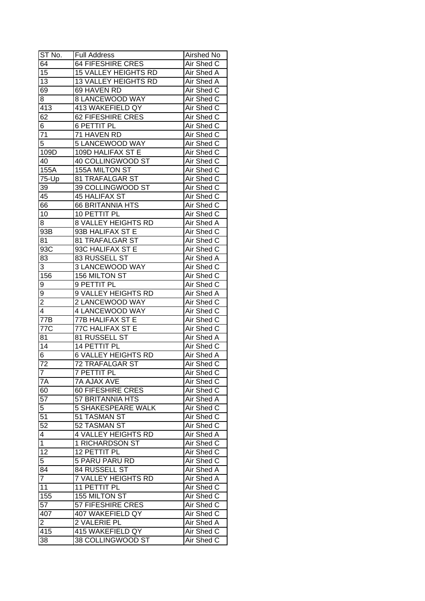| ST No.                     | Full Address                | Airshed No               |
|----------------------------|-----------------------------|--------------------------|
| 64                         | <b>64 FIFESHIRE CRES</b>    | Air Shed C               |
| $\overline{15}$            | <b>15 VALLEY HEIGHTS RD</b> | Air Shed A               |
| $\overline{13}$            | 13 VALLEY HEIGHTS RD        | Air Shed A               |
| 69                         | 69 HAVEN RD                 | Air Shed C               |
| 8                          | 8 LANCEWOOD WAY             | Air Shed C               |
| 413                        | 413 WAKEFIELD QY            | Air Shed C               |
| 62                         | 62 FIFESHIRE CRES           | Air Shed C               |
| 6                          | <b>6 PETTIT PL</b>          | Air Shed C               |
| 71                         | 71 HAVEN RD                 | Air Shed C               |
| 5                          | 5 LANCEWOOD WAY             | Air Shed C               |
| 109D                       | 109D HALIFAX ST E           | Air Shed C               |
| 40                         | 40 COLLINGWOOD ST           | Air Shed C               |
| 155A                       | 155A MILTON ST              | Air Shed C               |
| 75-Up                      | 81 TRAFALGAR ST             | Air Shed C               |
| 39                         | 39 COLLINGWOOD ST           | Air Shed C               |
| 45                         | <b>45 HALIFAX ST</b>        | Air Shed C               |
| 66                         | <b>66 BRITANNIA HTS</b>     | Air Shed C               |
| 10                         | 10 PETTIT PL                | Air Shed C               |
| 8                          | <b>8 VALLEY HEIGHTS RD</b>  | Air Shed A               |
| 93B                        | 93B HALIFAX ST E            | Air Shed C               |
| 81                         | 81 TRAFALGAR ST             | Air Shed C               |
| 93C                        | 93C HALIFAX ST E            | Air Shed C               |
| 83                         | 83 RUSSELL ST               | Air Shed A               |
| 3                          | 3 LANCEWOOD WAY             | Air Shed C               |
| 156                        | 156 MILTON ST               | Air Shed C               |
| 9                          | 9 PETTIT PL                 | Air Shed C               |
| 9                          | 9 VALLEY HEIGHTS RD         | <b>Air Shed A</b>        |
| $\overline{2}$             | 2 LANCEWOOD WAY             | Air Shed C               |
| 4                          | 4 LANCEWOOD WAY             | Air Shed C               |
| 77B                        | 77B HALIFAX ST E            | Air Shed C               |
| 77C                        | 77C HALIFAX ST E            | Air Shed C               |
| 81                         | 81 RUSSELL ST               | Air Shed A               |
| $\overline{14}$            | 14 PETTIT PL                | Air Shed C               |
| 6                          | <b>6 VALLEY HEIGHTS RD</b>  | Air Shed A               |
| $\overline{72}$            | <b>72 TRAFALGAR ST</b>      | <b>Air Shed C</b>        |
|                            |                             | Air Shed C               |
| $\mathcal{I}$<br><b>7A</b> | 7 PETTIT PL<br>7A AJAX AVE  | Air Shed C               |
| 60                         | 60 FIFESHIRE CRES           | Air Shed C               |
| 57                         | 57 BRITANNIA HTS            | Air Shed A               |
| 5                          | <b>5 SHAKESPEARE WALK</b>   | Air Shed C               |
| 51                         | 51 TASMAN ST                | Air Shed C               |
| 52                         | 52 TASMAN ST                |                          |
| 4                          | <b>4 VALLEY HEIGHTS RD</b>  | Air Shed C<br>Air Shed A |
| $\mathbf 1$                | 1 RICHARDSON ST             | Air Shed C               |
| $\overline{12}$            | 12 PETTIT PL                | Air Shed C               |
| $\overline{5}$             | 5 PARU PARU RD              | Air Shed C               |
| 84                         | 84 RUSSELL ST               | Air Shed A               |
| $\overline{7}$             | 7 VALLEY HEIGHTS RD         | Air Shed A               |
| 11                         | 11 PETTIT PL                | Air Shed C               |
| 155                        | 155 MILTON ST               | Air Shed C               |
| 57                         | 57 FIFESHIRE CRES           | Air Shed C               |
| 407                        | 407 WAKEFIELD QY            | Air Shed C               |
| $\overline{2}$             | 2 VALERIE PL                | Air Shed A               |
| 415                        | 415 WAKEFIELD QY            | Air Shed C               |
|                            | 38 COLLINGWOOD ST           |                          |
| 38                         |                             | Air Shed C               |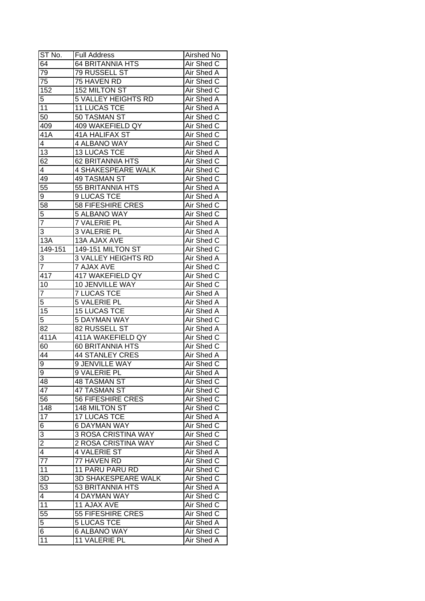| ST No.                  | <b>Full Address</b>        | Airshed No        |
|-------------------------|----------------------------|-------------------|
| 64                      | <b>64 BRITANNIA HTS</b>    | Air Shed C        |
| 79                      | 79 RUSSELL ST              | <b>Air Shed A</b> |
| 75                      | 75 HAVEN RD                | Air Shed C        |
| 152                     | 152 MILTON ST              | Air Shed C        |
| 5                       | 5 VALLEY HEIGHTS RD        | Air Shed A        |
| 11                      | 11 LUCAS TCE               | Air Shed A        |
| 50                      | 50 TASMAN ST               | Air Shed C        |
| 409                     | 409 WAKEFIELD QY           | Air Shed C        |
| 41A                     | 41A HALIFAX ST             | Air Shed C        |
| $\overline{\mathbf{4}}$ | 4 ALBANO WAY               | Air Shed C        |
| 13                      | <b>13 LUCAS TCE</b>        | Air Shed A        |
| 62                      | 62 BRITANNIA HTS           | Air Shed C        |
| 4                       | 4 SHAKESPEARE WALK         | Air Shed C        |
| 49                      | 49 TASMAN ST               | Air Shed C        |
| 55                      | 55 BRITANNIA HTS           | Air Shed A        |
|                         |                            |                   |
| 9                       | 9 LUCAS TCE                | Air Shed A        |
| 58                      | 58 FIFESHIRE CRES          | Air Shed C        |
| 5                       | 5 ALBANO WAY               | Air Shed C        |
| $\overline{7}$          | 7 VALERIE PL               | Air Shed A        |
| 3                       | 3 VALERIE PL               | Air Shed A        |
| 13A                     | 13A AJAX AVE               | Air Shed C        |
| 149-151                 | 149-151 MILTON ST          | Air Shed C        |
| 3                       | <b>3 VALLEY HEIGHTS RD</b> | Air Shed A        |
| 7                       | <b>7 AJAX AVE</b>          | Air Shed C        |
| 417                     | 417 WAKEFIELD QY           | Air Shed C        |
| 10                      | 10 JENVILLE WAY            | Air Shed C        |
| $\overline{7}$          | <b>7 LUCAS TCE</b>         | Air Shed A        |
| 5                       | 5 VALERIE PL               | Air Shed A        |
| 15                      | <b>15 LUCAS TCE</b>        | Air Shed A        |
| 5                       | <b>5 DAYMAN WAY</b>        | Air Shed C        |
| 82                      | 82 RUSSELL ST              | Air Shed A        |
| 411A                    | 411A WAKEFIELD QY          | Air Shed C        |
| 60                      | <b>60 BRITANNIA HTS</b>    | Air Shed C        |
| 44                      | <b>44 STANLEY CRES</b>     | Air Shed A        |
| 9                       | <b>9 JENVILLE WAY</b>      | <b>Air Shed C</b> |
| $\overline{9}$          | 9 VALERIE PL               | <b>Air Shed A</b> |
| 48                      | <b>48 TASMAN ST</b>        | Air Shed C        |
| 47                      | 47 TASMAN ST               | Air Shed C        |
| 56                      | 56 FIFESHIRE CRES          | Air Shed C        |
| 148                     | 148 MILTON ST              | Air Shed C        |
| 17                      | 17 LUCAS TCE               | Air Shed A        |
| 6                       | <b>6 DAYMAN WAY</b>        | Air Shed C        |
| $\overline{3}$          | 3 ROSA CRISTINA WAY        | Air Shed C        |
| $\overline{2}$          | 2 ROSA CRISTINA WAY        | Air Shed C        |
| $\overline{4}$          | 4 VALERIE ST               | Air Shed A        |
| $\overline{77}$         | 77 HAVEN RD                | Air Shed C        |
| 11                      | 11 PARU PARU RD            | Air Shed C        |
| 3D                      | 3D SHAKESPEARE WALK        | Air Shed C        |
| 53                      | 53 BRITANNIA HTS           | Air Shed A        |
| $\overline{4}$          | <b>4 DAYMAN WAY</b>        | Air Shed C        |
| 11                      | 11 AJAX AVE                | Air Shed C        |
| 55                      | 55 FIFESHIRE CRES          | Air Shed C        |
| 5                       | <b>5 LUCAS TCE</b>         | Air Shed A        |
| 6                       | <b>6 ALBANO WAY</b>        | Air Shed C        |
| 11                      | 11 VALERIE PL              | Air Shed A        |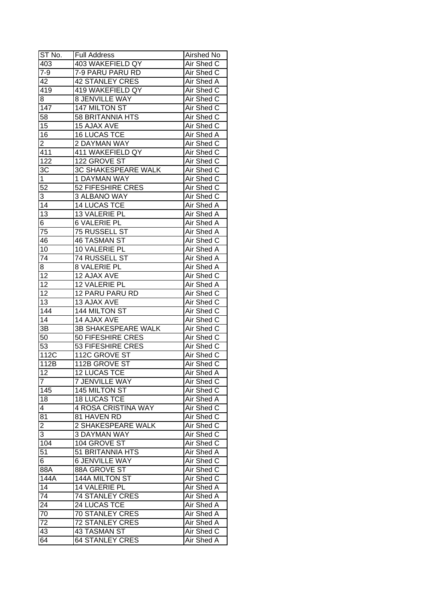| ST No.                  | <b>Full Address</b>      | Airshed No               |
|-------------------------|--------------------------|--------------------------|
| 403                     | 403 WAKEFIELD QY         | Air Shed C               |
| $7-9$                   | 7-9 PARU PARU RD         | Air Shed C               |
| 42                      | <b>42 STANLEY CRES</b>   | Air Shed A               |
| 419                     | 419 WAKEFIELD QY         | Air Shed C               |
| 8                       | 8 JENVILLE WAY           | Air Shed C               |
| 147                     | 147 MILTON ST            | Air Shed C               |
| 58                      | 58 BRITANNIA HTS         | Air Shed C               |
| 15                      | 15 AJAX AVE              | Air Shed C               |
| 16                      | <b>16 LUCAS TCE</b>      | Air Shed A               |
| $\overline{2}$          | 2 DAYMAN WAY             | Air Shed C               |
| 411                     | 411 WAKEFIELD QY         | Air Shed C               |
| 122                     | 122 GROVE ST             | Air Shed C               |
| 3C                      | 3C SHAKESPEARE WALK      | Air Shed C               |
| $\mathbf{1}$            | 1 DAYMAN WAY             | Air Shed C               |
| 52                      | 52 FIFESHIRE CRES        | Air Shed C               |
| 3                       | 3 ALBANO WAY             | Air Shed C               |
| 14                      | <b>14 LUCAS TCE</b>      | Air Shed A               |
| 13                      | 13 VALERIE PL            | Air Shed A               |
| 6                       | <b>6 VALERIE PL</b>      | Air Shed A               |
| 75                      | 75 RUSSELL ST            | Air Shed A               |
| 46                      | <b>46 TASMAN ST</b>      | Air Shed C               |
| 10                      | 10 VALERIE PL            | Air Shed A               |
| 74                      | 74 RUSSELL ST            | Air Shed A               |
| 8                       | 8 VALERIE PL             | Air Shed A               |
| 12                      | 12 AJAX AVE              | Air Shed C               |
| 12                      | 12 VALERIE PL            | Air Shed A               |
| $\overline{12}$         | 12 PARU PARU RD          | Air Shed C               |
| 13                      | 13 AJAX AVE              | Air Shed C               |
| 144                     | 144 MILTON ST            | Air Shed C               |
| 14                      | 14 AJAX AVE              | Air Shed C               |
| 3B                      | 3B SHAKESPEARE WALK      | Air Shed C               |
| 50                      | 50 FIFESHIRE CRES        | Air Shed C               |
| $\overline{53}$         | <b>53 FIFESHIRE CRES</b> | Air Shed C               |
| 112C                    | 112C GROVE ST            | Air Shed C               |
| 112B                    | 112B GROVE ST            | <b>Air Shed C</b>        |
| 12                      | <b>12 LUCAS TCE</b>      | Air Shed A               |
| 7                       | <b>7 JENVILLE WAY</b>    | Air Shed C               |
| 145                     | 145 MILTON ST            | Air Shed C               |
| 18                      | <b>18 LUCAS TCE</b>      |                          |
|                         | 4 ROSA CRISTINA WAY      | Air Shed A<br>Air Shed C |
| 4<br>81                 |                          | Air Shed C               |
|                         | 81 HAVEN RD              |                          |
| $\overline{\mathbf{c}}$ | 2 SHAKESPEARE WALK       | Air Shed C               |
| 3                       | <b>3 DAYMAN WAY</b>      | Air Shed C               |
| $10\overline{4}$        | 104 GROVE ST             | Air Shed C               |
| 51                      | 51 BRITANNIA HTS         | Air Shed A               |
| 6                       | <b>6 JENVILLE WAY</b>    | Air Shed C               |
| 88A                     | 88A GROVE ST             | Air Shed C               |
| 144A                    | 144A MILTON ST           | Air Shed C               |
| 14                      | 14 VALERIE PL            | Air Shed A               |
| 74                      | 74 STANLEY CRES          | Air Shed A               |
| 24                      | 24 LUCAS TCE             | Air Shed A               |
| 70                      | 70 STANLEY CRES          | Air Shed A               |
| 72                      | <b>72 STANLEY CRES</b>   | Air Shed A               |
| 43                      | 43 TASMAN ST             | Air Shed C               |
| 64                      | <b>64 STANLEY CRES</b>   | Air Shed A               |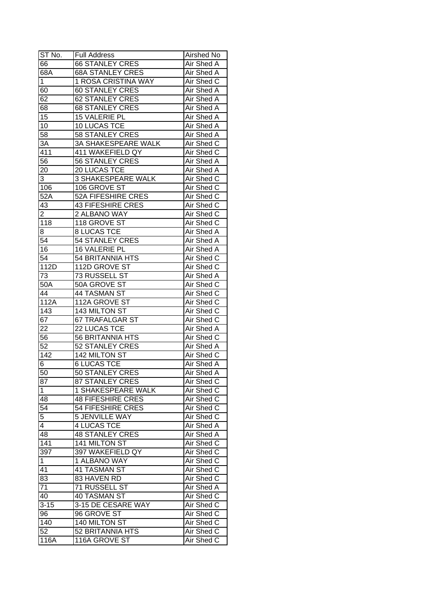| ST No.          | <b>Full Address</b>        | Airshed No        |
|-----------------|----------------------------|-------------------|
| 66              | <b>66 STANLEY CRES</b>     | Air Shed A        |
| 68A             | <b>68A STANLEY CRES</b>    | Air Shed A        |
| 1               | 1 ROSA CRISTINA WAY        | Air Shed C        |
| 60              | <b>60 STANLEY CRES</b>     | Air Shed A        |
| 62              | <b>62 STANLEY CRES</b>     | Air Shed A        |
| 68              | <b>68 STANLEY CRES</b>     | Air Shed A        |
| 15              | 15 VALERIE PL              | Air Shed A        |
| 10              | 10 LUCAS TCE               | Air Shed A        |
| 58              | 58 STANLEY CRES            | Air Shed A        |
| 3A              | <b>3A SHAKESPEARE WALK</b> | Air Shed C        |
| 411             | 411 WAKEFIELD QY           | Air Shed C        |
| 56              | 56 STANLEY CRES            | <b>Air Shed A</b> |
| 20              | 20 LUCAS TCE               | Air Shed A        |
| 3               | <b>3 SHAKESPEARE WALK</b>  | Air Shed C        |
| 106             | 106 GROVE ST               | Air Shed C        |
| 52A             | 52A FIFESHIRE CRES         | Air Shed C        |
| 43              | <b>43 FIFESHIRE CRES</b>   | Air Shed C        |
| 2               | 2 ALBANO WAY               | Air Shed C        |
| 118             | 118 GROVE ST               | Air Shed C        |
| 8               | <b>8 LUCAS TCE</b>         | Air Shed A        |
| 54              | 54 STANLEY CRES            | Air Shed A        |
| 16              | 16 VALERIE PL              | Air Shed A        |
| 54              | 54 BRITANNIA HTS           | Air Shed C        |
| 112D            | 112D GROVE ST              | Air Shed C        |
| 73              | 73 RUSSELL ST              | Air Shed A        |
| 50A             | 50A GROVE ST               | Air Shed C        |
| 44              | 44 TASMAN ST               | Air Shed C        |
| 112A            | 112A GROVE ST              | Air Shed C        |
| 143             | 143 MILTON ST              | Air Shed C        |
| 67              | 67 TRAFALGAR ST            | Air Shed C        |
| 22              | 22 LUCAS TCE               | Air Shed A        |
| 56              | <b>56 BRITANNIA HTS</b>    | Air Shed C        |
| $\overline{52}$ | 52 STANLEY CRES            | Air Shed A        |
| 142             | 142 MILTON ST              | Air Shed C        |
| 6               | <b>6 LUCAS TCE</b>         | <b>Air Shed A</b> |
| 50              | 50 STANLEY CRES            | Air Shed A        |
| 87              | 87 STANLEY CRES            | Air Shed C        |
| 1               | 1 SHAKESPEARE WALK         | Air Shed C        |
| 48              | <b>48 FIFESHIRE CRES</b>   | Air Shed C        |
| 54              | 54 FIFESHIRE CRES          | Air Shed C        |
| $\overline{5}$  | <b>5 JENVILLE WAY</b>      | Air Shed C        |
| 4               | <b>4 LUCAS TCE</b>         | Air Shed A        |
| 48              | <b>48 STANLEY CRES</b>     | Air Shed A        |
| 141             | 141 MILTON ST              | Air Shed C        |
| 397             | 397 WAKEFIELD QY           | Air Shed C        |
| $\mathbf 1$     | 1 ALBANO WAY               | Air Shed C        |
| 41              | 41 TASMAN ST               | Air Shed C        |
| 83              | 83 HAVEN RD                | Air Shed C        |
| 71              | 71 RUSSELL ST              | Air Shed A        |
| 40              | 40 TASMAN ST               | Air Shed C        |
| $3 - 15$        | 3-15 DE CESARE WAY         | Air Shed C        |
| 96              | 96 GROVE ST                | Air Shed C        |
| 140             | 140 MILTON ST              | Air Shed C        |
| 52              | 52 BRITANNIA HTS           | Air Shed C        |
| 116A            | 116A GROVE ST              | Air Shed C        |
|                 |                            |                   |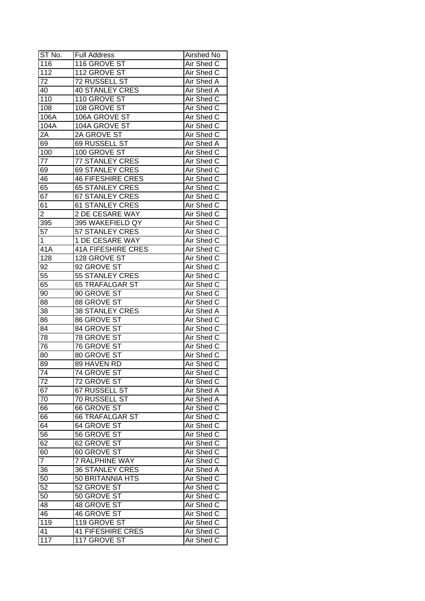| ST No.          | <b>Full Address</b>       | Airshed No        |
|-----------------|---------------------------|-------------------|
| 116             | 116 GROVE ST              | Air Shed C        |
| 112             | 112 GROVE ST              | Air Shed C        |
| 72              | <b>72 RUSSELL ST</b>      | Air Shed A        |
| 40              | <b>40 STANLEY CRES</b>    | <b>Air Shed A</b> |
| 110             | 110 GROVE ST              | Air Shed C        |
| 108             | 108 GROVE ST              | Air Shed C        |
| 106A            | 106A GROVE ST             | Air Shed C        |
| 104A            | 104A GROVE ST             | Air Shed C        |
| 2A              | 2A GROVE ST               | Air Shed C        |
| 69              | 69 RUSSELL ST             | Air Shed A        |
| 100             | 100 GROVE ST              | Air Shed C        |
| 77              | 77 STANLEY CRES           | Air Shed C        |
| 69              | 69 STANLEY CRES           | Air Shed C        |
| 46              | <b>46 FIFESHIRE CRES</b>  | Air Shed C        |
| 65              | <b>65 STANLEY CRES</b>    | Air Shed C        |
| 67              | <b>67 STANLEY CRES</b>    | Air Shed C        |
| 61              | <b>61 STANLEY CRES</b>    | Air Shed C        |
| $\overline{2}$  | 2 DE CESARE WAY           | Air Shed C        |
| 395             | 395 WAKEFIELD QY          | Air Shed C        |
| 57              | 57 STANLEY CRES           | Air Shed C        |
| 1               | 1 DE CESARE WAY           | Air Shed C        |
| 41A             | <b>41A FIFESHIRE CRES</b> | Air Shed C        |
|                 |                           |                   |
| 128             | 128 GROVE ST              | Air Shed C        |
| 92              | 92 GROVE ST               | Air Shed C        |
| 55              | 55 STANLEY CRES           | Air Shed C        |
| 65              | <b>65 TRAFALGAR ST</b>    | Air Shed C        |
| 90              | 90 GROVE ST               | Air Shed C        |
| 88              | 88 GROVE ST               | Air Shed C        |
| 38              | <b>38 STANLEY CRES</b>    | Air Shed A        |
| 86              | <b>86 GROVE ST</b>        | Air Shed C        |
| 84              | 84 GROVE ST               | Air Shed C        |
| 78              | <b>78 GROVE ST</b>        | Air Shed C        |
| 76              | <b>76 GROVE ST</b>        | Air Shed C        |
| 80              | 80 GROVE ST               | Air Shed C        |
| $8\overline{9}$ | 89 HAVEN RD               | Air Shed C        |
| $\overline{74}$ | 74 GROVE ST               | Air Shed C        |
| 72              | 72 GROVE ST               | Air Shed C        |
| 67              | 67 RUSSELL ST             | Air Shed A        |
| 70              | 70 RUSSELL ST             | Air Shed A        |
| 66              | 66 GROVE ST               | Air Shed C        |
| 66              | <b>66 TRAFALGAR ST</b>    | Air Shed C        |
| 64              | 64 GROVE ST               | Air Shed C        |
| 56              | 56 GROVE ST               | Air Shed C        |
| 62              | 62 GROVE ST               | Air Shed C        |
| 60              | 60 GROVE ST               | Air Shed C        |
| $\overline{7}$  | 7 RALPHINE WAY            | Air Shed C        |
| 36              | <b>36 STANLEY CRES</b>    | Air Shed A        |
| 50              | 50 BRITANNIA HTS          | Air Shed C        |
| 52              | 52 GROVE ST               | Air Shed C        |
| 50              | 50 GROVE ST               | Air Shed C        |
| 48              | 48 GROVE ST               | Air Shed C        |
| 46              | 46 GROVE ST               | Air Shed C        |
| 119             | 119 GROVE ST              | Air Shed C        |
| 41              | <b>41 FIFESHIRE CRES</b>  | Air Shed C        |
| 117             | 117 GROVE ST              | Air Shed C        |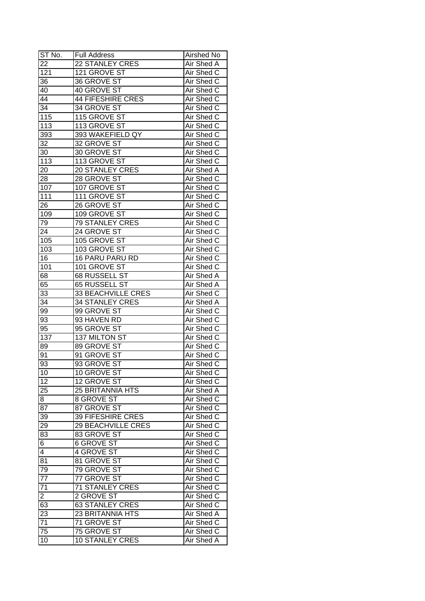| ST No.           | <b>Full Address</b>            | Airshed No                      |
|------------------|--------------------------------|---------------------------------|
| 22               | <b>22 STANLEY CRES</b>         | Air Shed A                      |
| $\overline{121}$ | 121 GROVE ST                   | Air Shed C                      |
| 36               | 36 GROVE ST                    | Air Shed C                      |
| 40               | 40 GROVE ST                    | Air Shed C                      |
| 44               | <b>44 FIFESHIRE CRES</b>       | Air Shed C                      |
| 34               | 34 GROVE ST                    | Air Shed C                      |
| 115              | 115 GROVE ST                   | Air Shed C                      |
| 113              | 113 GROVE ST                   | Air Shed C                      |
| 393              | 393 WAKEFIELD QY               | Air Shed C                      |
| 32               | 32 GROVE ST                    | Air Shed C                      |
| 30               | 30 GROVE ST                    | Air Shed C                      |
| 113              | 113 GROVE ST                   | Air Shed C                      |
| 20               | 20 STANLEY CRES                | Air Shed A                      |
| 28               | 28 GROVE ST                    | Air Shed C                      |
| 107              | 107 GROVE ST                   | Air Shed C                      |
| 111              | 111 GROVE ST                   | Air Shed C                      |
|                  | 26 GROVE ST                    | Air Shed C                      |
| 26<br>109        | 109 GROVE ST                   | Air Shed C                      |
|                  |                                |                                 |
| 79<br>24         | 79 STANLEY CRES<br>24 GROVE ST | Air Shed C<br>Air Shed C        |
|                  | 105 GROVE ST                   | Air Shed C                      |
| 105              |                                |                                 |
| 103              | 103 GROVE ST                   | Air Shed C                      |
| 16               | 16 PARU PARU RD                | Air Shed C                      |
| 101              | 101 GROVE ST                   | Air Shed C                      |
| 68               | 68 RUSSELL ST                  | Air Shed A                      |
| 65               | 65 RUSSELL ST                  | Air Shed A                      |
| $3\overline{3}$  | 33 BEACHVILLE CRES             | Air Shed C                      |
| 34               | <b>34 STANLEY CRES</b>         | Air Shed A                      |
| 99<br>93         | 99 GROVE ST<br>93 HAVEN RD     | Air Shed C<br>Air Shed C        |
| $\overline{95}$  | 95 GROVE ST                    | Air Shed C                      |
| 137              | <b>137 MILTON ST</b>           | Air Shed C                      |
| 89               | 89 GROVE ST                    | Air Shed C                      |
| 91               | 91 GROVE ST                    | Air Shed C                      |
| 93               |                                |                                 |
| 10               | 93 GROVE ST<br>10 GROVE ST     | <b>Air Shed C</b><br>Air Shed C |
|                  |                                |                                 |
| 12               | 12 GROVE ST                    | Air Shed C                      |
| 25               | <b>25 BRITANNIA HTS</b>        | Air Shed A                      |
| 8                | 8 GROVE ST                     | Air Shed C                      |
| 87               | 87 GROVE ST                    | Air Shed C                      |
| 39               | 39 FIFESHIRE CRES              | Air Shed C                      |
| 29               | 29 BEACHVILLE CRES             | Air Shed C                      |
| 83               | 83 GROVE ST                    | Air Shed C                      |
| 6 <sup>2</sup>   | <b>6 GROVE ST</b>              | Air Shed C                      |
| $\overline{4}$   | 4 GROVE ST                     | Air Shed C                      |
| 81               | 81 GROVE ST                    | Air Shed C                      |
| 79               | 79 GROVE ST                    | Air Shed C                      |
| $\overline{77}$  | 77 GROVE ST                    | Air Shed C                      |
| 71               | <b>71 STANLEY CRES</b>         | Air Shed C                      |
| $\overline{2}$   | 2 GROVE ST                     | Air Shed C                      |
| 63               | <b>63 STANLEY CRES</b>         | Air Shed C                      |
| $\overline{23}$  | 23 BRITANNIA HTS               | Air Shed A                      |
| 71               | 71 GROVE ST                    | Air Shed C                      |
| 75               | 75 GROVE ST                    | Air Shed C                      |
| 10               | <b>10 STANLEY CRES</b>         | Air Shed A                      |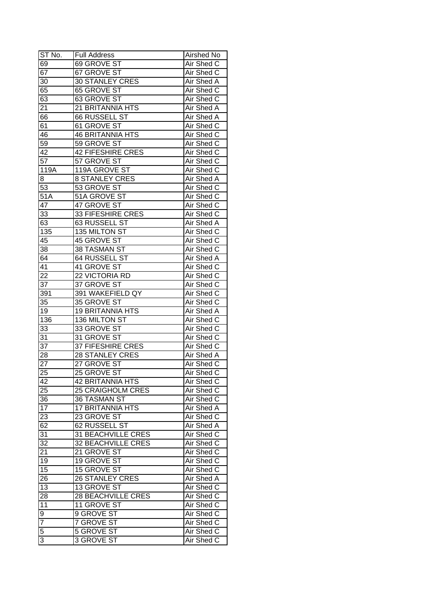| ST No.          | <b>Full Address</b>       | Airshed No        |
|-----------------|---------------------------|-------------------|
| 69              | 69 GROVE ST               | Air Shed C        |
| 67              | 67 GROVE ST               | Air Shed C        |
| 30              | <b>30 STANLEY CRES</b>    | Air Shed A        |
| 65              | <b>65 GROVE ST</b>        | Air Shed C        |
| 63              | 63 GROVE ST               | Air Shed C        |
| $2\overline{1}$ | 21 BRITANNIA HTS          | Air Shed A        |
| 66              | 66 RUSSELL ST             | Air Shed A        |
| 61              | 61 GROVE ST               | Air Shed C        |
| 46              | <b>46 BRITANNIA HTS</b>   | Air Shed C        |
| 59              | 59 GROVE ST               | Air Shed C        |
| 42              | <b>42 FIFESHIRE CRES</b>  | Air Shed C        |
| $5\overline{7}$ | 57 GROVE ST               | Air Shed C        |
| 119A            | 119A GROVE ST             | Air Shed C        |
| 8               | <b>8 STANLEY CRES</b>     | Air Shed A        |
| 53              | 53 GROVE ST               | Air Shed C        |
| 51A             | 51A GROVE ST              | Air Shed C        |
| 47              | 47 GROVE ST               | Air Shed C        |
| 33              | 33 FIFESHIRE CRES         | Air Shed C        |
| 63              | 63 RUSSELL ST             | Air Shed A        |
| 135             | 135 MILTON ST             | Air Shed C        |
| 45              | 45 GROVE ST               | Air Shed C        |
| 38              | 38 TASMAN ST              | Air Shed C        |
| 64              | 64 RUSSELL ST             | Air Shed A        |
| 41              | 41 GROVE ST               | Air Shed C        |
| 22              | 22 VICTORIA RD            | Air Shed C        |
| 37              | 37 GROVE ST               | Air Shed C        |
| 391             | 391 WAKEFIELD QY          | Air Shed C        |
| 35              | 35 GROVE ST               | Air Shed C        |
| 19              | <b>19 BRITANNIA HTS</b>   | Air Shed A        |
| 136             | 136 MILTON ST             | Air Shed C        |
| 33              | 33 GROVE ST               | Air Shed C        |
| 31              | 31 GROVE ST               | Air Shed C        |
| $\overline{37}$ | <b>37 FIFESHIRE CRES</b>  | Air Shed C        |
| $2\overline{8}$ | <b>28 STANLEY CRES</b>    | Air Shed A        |
| $\overline{27}$ | 27 GROVE ST               | <b>Air Shed C</b> |
| 25              | 25 GROVE ST               | Air Shed C        |
| 42              | <b>42 BRITANNIA HTS</b>   | Air Shed C        |
| 25              | <b>25 CRAIGHOLM CRES</b>  | Air Shed C        |
| 36              | 36 TASMAN ST              | Air Shed C        |
| 17              | <b>17 BRITANNIA HTS</b>   | Air Shed A        |
| 23              | 23 GROVE ST               | Air Shed C        |
| 62              | 62 RUSSELL ST             | Air Shed A        |
| 31              | 31 BEACHVILLE CRES        | Air Shed C        |
| 32              | <b>32 BEACHVILLE CRES</b> | Air Shed C        |
| 21              | 21 GROVE ST               | Air Shed C        |
| 19              | 19 GROVE ST               | Air Shed C        |
| $\overline{15}$ | 15 GROVE ST               | Air Shed C        |
| 26              | <b>26 STANLEY CRES</b>    | Air Shed A        |
| 13              | 13 GROVE ST               | Air Shed C        |
| 28              | <b>28 BEACHVILLE CRES</b> | Air Shed C        |
| 11              | 11 GROVE ST               | Air Shed C        |
| $\overline{9}$  | 9 GROVE ST                | Air Shed C        |
| $\overline{7}$  | 7 GROVE ST                | Air Shed C        |
| 5               | 5 GROVE ST                | Air Shed C        |
| 3               | 3 GROVE ST                | Air Shed C        |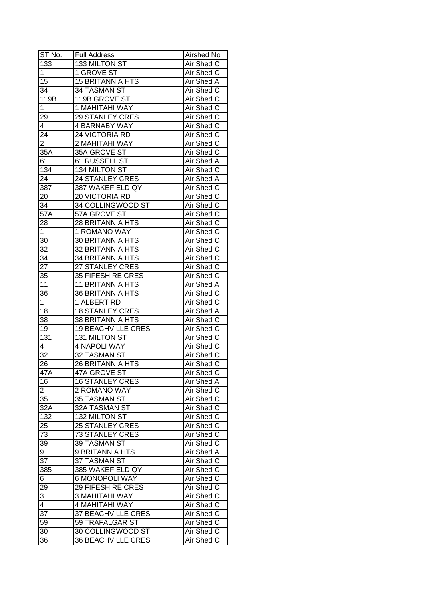| ST No.          | <b>Full Address</b>       | Airshed No |
|-----------------|---------------------------|------------|
| 133             | 133 MILTON ST             | Air Shed C |
| $\mathbf 1$     | 1 GROVE ST                | Air Shed C |
| 15              | <b>15 BRITANNIA HTS</b>   | Air Shed A |
| 34              | 34 TASMAN ST              | Air Shed C |
| 119B            | 119B GROVE ST             | Air Shed C |
| 1               | 1 MAHITAHI WAY            | Air Shed C |
| 29              | <b>29 STANLEY CRES</b>    | Air Shed C |
| 4               | <b>4 BARNABY WAY</b>      | Air Shed C |
| 24              | 24 VICTORIA RD            | Air Shed C |
| $\overline{2}$  | 2 MAHITAHI WAY            | Air Shed C |
| 35A             | 35A GROVE ST              | Air Shed C |
| 61              | 61 RUSSELL ST             | Air Shed A |
| 134             | 134 MILTON ST             | Air Shed C |
| 24              | 24 STANLEY CRES           | Air Shed A |
| 387             | 387 WAKEFIELD QY          | Air Shed C |
| 20              | 20 VICTORIA RD            | Air Shed C |
| 34              | 34 COLLINGWOOD ST         | Air Shed C |
| 57A             | 57A GROVE ST              | Air Shed C |
| 28              | <b>28 BRITANNIA HTS</b>   | Air Shed C |
| 1               | 1 ROMANO WAY              | Air Shed C |
| 30              | <b>30 BRITANNIA HTS</b>   | Air Shed C |
| $3\overline{2}$ | <b>32 BRITANNIA HTS</b>   | Air Shed C |
| 34              | <b>34 BRITANNIA HTS</b>   | Air Shed C |
| 27              | 27 STANLEY CRES           | Air Shed C |
| 35              | <b>35 FIFESHIRE CRES</b>  | Air Shed C |
| 11              | <b>11 BRITANNIA HTS</b>   | Air Shed A |
| 36              | <b>36 BRITANNIA HTS</b>   | Air Shed C |
| $\mathbf{1}$    | 1 ALBERT RD               | Air Shed C |
| 18              | <b>18 STANLEY CRES</b>    | Air Shed A |
| 38              | <b>38 BRITANNIA HTS</b>   | Air Shed C |
| 19              | <b>19 BEACHVILLE CRES</b> | Air Shed C |
| 131             | 131 MILTON ST             | Air Shed C |
| 4               | 4 NAPOLI WAY              | Air Shed C |
| $\overline{32}$ | 32 TASMAN ST              | Air Shed C |
| 26              | <b>26 BRITANNIA HTS</b>   | Air Shed C |
| 47A             | 47A GROVE ST              | Air Shed C |
| 16              | <b>16 STANLEY CRES</b>    | Air Shed A |
| $\overline{2}$  | 2 ROMANO WAY              | Air Shed C |
| 35              | 35 TASMAN ST              | Air Shed C |
| 32A             | 32A TASMAN ST             | Air Shed C |
| 132             | 132 MILTON ST             | Air Shed C |
| 25              | <b>25 STANLEY CRES</b>    | Air Shed C |
| 73              | <b>73 STANLEY CRES</b>    | Air Shed C |
| 39              | 39 TASMAN ST              | Air Shed C |
| 9               | 9 BRITANNIA HTS           | Air Shed A |
| 37              | 37 TASMAN ST              | Air Shed C |
| 385             | 385 WAKEFIELD QY          | Air Shed C |
| 6               | <b>6 MONOPOLI WAY</b>     | Air Shed C |
| 29              | <b>29 FIFESHIRE CRES</b>  | Air Shed C |
| 3               | <b>3 MAHITAHI WAY</b>     | Air Shed C |
| $\overline{4}$  | <b>4 MAHITAHI WAY</b>     | Air Shed C |
| $3\overline{7}$ | <b>37 BEACHVILLE CRES</b> | Air Shed C |
| 59              | 59 TRAFALGAR ST           | Air Shed C |
| 30              | 30 COLLINGWOOD ST         | Air Shed C |
| 36              | <b>36 BEACHVILLE CRES</b> | Air Shed C |
|                 |                           |            |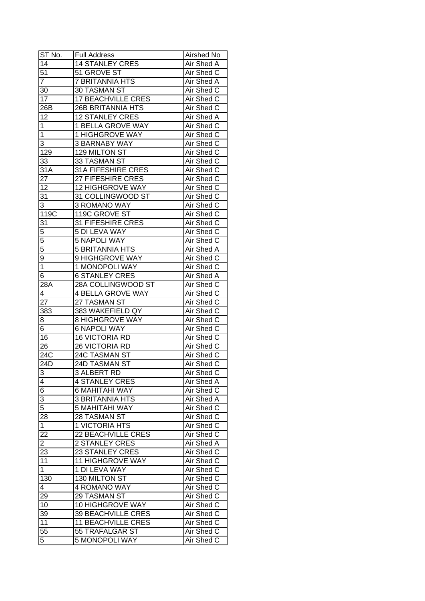| ST No.                           | <b>Full Address</b>       | Airshed No |
|----------------------------------|---------------------------|------------|
| 14                               | <b>14 STANLEY CRES</b>    | Air Shed A |
| 51                               | 51 GROVE ST               | Air Shed C |
| $\overline{7}$                   | 7 BRITANNIA HTS           | Air Shed A |
| 30                               | 30 TASMAN ST              | Air Shed C |
| 17                               | <b>17 BEACHVILLE CRES</b> | Air Shed C |
| 26B                              | <b>26B BRITANNIA HTS</b>  | Air Shed C |
| 12                               | <b>12 STANLEY CRES</b>    | Air Shed A |
| 1                                | 1 BELLA GROVE WAY         | Air Shed C |
| $\mathbf 1$                      | 1 HIGHGROVE WAY           | Air Shed C |
| 3                                | <b>3 BARNABY WAY</b>      | Air Shed C |
| 129                              | 129 MILTON ST             | Air Shed C |
| 33                               | 33 TASMAN ST              | Air Shed C |
| 31A                              | 31A FIFESHIRE CRES        | Air Shed C |
| 27                               | 27 FIFESHIRE CRES         | Air Shed C |
| 12                               | 12 HIGHGROVE WAY          | Air Shed C |
| 31                               | 31 COLLINGWOOD ST         | Air Shed C |
| $\overline{3}$                   | 3 ROMANO WAY              | Air Shed C |
| 119C                             | 119C GROVE ST             | Air Shed C |
| 31                               | 31 FIFESHIRE CRES         | Air Shed C |
| $\overline{5}$                   | 5 DI LEVA WAY             | Air Shed C |
| 5                                | <b>5 NAPOLI WAY</b>       | Air Shed C |
| $\overline{5}$                   | <b>5 BRITANNIA HTS</b>    | Air Shed A |
| 9                                | 9 HIGHGROVE WAY           | Air Shed C |
| $\overline{1}$                   | 1 MONOPOLI WAY            | Air Shed C |
| 6                                | <b>6 STANLEY CRES</b>     | Air Shed A |
| 28A                              | 28A COLLINGWOOD ST        | Air Shed C |
| 4                                | 4 BELLA GROVE WAY         | Air Shed C |
| 27                               | 27 TASMAN ST              | Air Shed C |
| 383                              | 383 WAKEFIELD QY          | Air Shed C |
| 8                                | <b>8 HIGHGROVE WAY</b>    | Air Shed C |
| 6                                | <b>6 NAPOLI WAY</b>       | Air Shed C |
| 16                               | <b>16 VICTORIA RD</b>     | Air Shed C |
| 26                               | 26 VICTORIA RD            | Air Shed C |
| 24C                              | 24C TASMAN ST             | Air Shed C |
| $\overline{24D}$                 | 24D TASMAN ST             | Air Shed C |
|                                  | 3 ALBERT RD               | Air Shed C |
| 3<br>$\overline{\mathcal{A}}$    | <b>4 STANLEY CRES</b>     | Air Shed A |
| 6                                | 6 MAHITAHI WAY            | Air Shed C |
|                                  | <b>3 BRITANNIA HTS</b>    | Air Shed A |
| $\overline{3}$<br>$\overline{5}$ | <b>5 MAHITAHI WAY</b>     | Air Shed C |
|                                  | 28 TASMAN ST              |            |
| 28                               |                           | Air Shed C |
| $\mathbf{1}$                     | 1 VICTORIA HTS            | Air Shed C |
| 22                               | <b>22 BEACHVILLE CRES</b> | Air Shed C |
| $\overline{2}$                   | <b>2 STANLEY CRES</b>     | Air Shed A |
| $\overline{23}$                  | <b>23 STANLEY CRES</b>    | Air Shed C |
| 11                               | 11 HIGHGROVE WAY          | Air Shed C |
| $\mathbf{1}$                     | 1 DI LEVA WAY             | Air Shed C |
| 130                              | 130 MILTON ST             | Air Shed C |
| 4                                | 4 ROMANO WAY              | Air Shed C |
| 29                               | 29 TASMAN ST              | Air Shed C |
| 10                               | 10 HIGHGROVE WAY          | Air Shed C |
| 39                               | 39 BEACHVILLE CRES        | Air Shed C |
| 11                               | <b>11 BEACHVILLE CRES</b> | Air Shed C |
| 55                               | 55 TRAFALGAR ST           | Air Shed C |
| 5                                | 5 MONOPOLI WAY            | Air Shed C |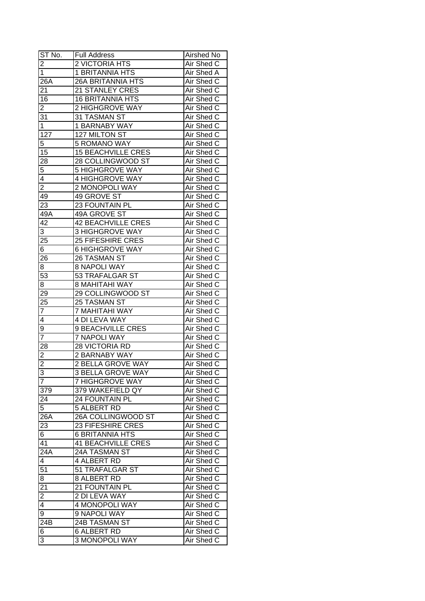| ST No.                  | <b>Full Address</b>       | Airshed No        |
|-------------------------|---------------------------|-------------------|
| $\overline{2}$          | 2 VICTORIA HTS            | Air Shed C        |
| $\overline{1}$          | <b>1 BRITANNIA HTS</b>    | Air Shed A        |
| 26A                     | <b>26A BRITANNIA HTS</b>  | Air Shed C        |
| 21                      | 21 STANLEY CRES           | Air Shed C        |
| 16                      | <b>16 BRITANNIA HTS</b>   | Air Shed C        |
| $\overline{2}$          | 2 HIGHGROVE WAY           | Air Shed C        |
| 31                      | 31 TASMAN ST              | Air Shed C        |
| 1                       | 1 BARNABY WAY             | Air Shed C        |
| 127                     | 127 MILTON ST             | Air Shed C        |
| 5                       | 5 ROMANO WAY              | Air Shed C        |
| 15                      | <b>15 BEACHVILLE CRES</b> | Air Shed C        |
| <u>28</u>               | 28 COLLINGWOOD ST         | Air Shed C        |
| $\overline{5}$          | <b>5 HIGHGROVE WAY</b>    | Air Shed C        |
| $\overline{4}$          | 4 HIGHGROVE WAY           | Air Shed C        |
| $\overline{2}$          | 2 MONOPOLI WAY            | Air Shed C        |
| 49                      | 49 GROVE ST               | Air Shed C        |
| 23                      | <b>23 FOUNTAIN PL</b>     | Air Shed C        |
| 49A                     | 49A GROVE ST              | Air Shed C        |
| 42                      | <b>42 BEACHVILLE CRES</b> | Air Shed C        |
| 3                       | <b>3 HIGHGROVE WAY</b>    | Air Shed C        |
| $\overline{25}$         | 25 FIFESHIRE CRES         | Air Shed C        |
| 6                       | <b>6 HIGHGROVE WAY</b>    | Air Shed C        |
| 26                      | 26 TASMAN ST              | Air Shed C        |
| 8                       | 8 NAPOLI WAY              | Air Shed C        |
| 53                      | 53 TRAFALGAR ST           | Air Shed C        |
| 8                       | <b>8 MAHITAHI WAY</b>     | Air Shed C        |
| 29                      | 29 COLLINGWOOD ST         | Air Shed C        |
| 25                      | 25 TASMAN ST              | Air Shed C        |
| $\overline{7}$          | 7 MAHITAHI WAY            | Air Shed C        |
| 4                       | <b>4 DI LEVA WAY</b>      | Air Shed C        |
| 9                       | 9 BEACHVILLE CRES         | Air Shed C        |
| $\overline{7}$          | <b>7 NAPOLI WAY</b>       | Air Shed C        |
| $\overline{28}$         | <b>28 VICTORIA RD</b>     | Air Shed C        |
| $\overline{2}$          | <b>2 BARNABY WAY</b>      | <b>Air Shed C</b> |
| $\overline{\mathbf{c}}$ | <b>2 BELLA GROVE WAY</b>  | <b>Air Shed C</b> |
|                         | <b>3 BELLA GROVE WAY</b>  | Air Shed C        |
| $rac{3}{7}$             | <b>7 HIGHGROVE WAY</b>    | Air Shed C        |
| 379                     | 379 WAKEFIELD QY          | Air Shed C        |
| 24                      | 24 FOUNTAIN PL            | Air Shed C        |
| $\overline{5}$          | 5 ALBERT RD               | Air Shed C        |
| 26A                     | 26A COLLINGWOOD ST        | Air Shed C        |
| 23                      | <b>23 FIFESHIRE CRES</b>  | Air Shed C        |
| $\sqrt{6}$              | <b>6 BRITANNIA HTS</b>    | Air Shed C        |
| 41                      | <b>41 BEACHVILLE CRES</b> | Air Shed C        |
| 24A                     | 24A TASMAN ST             | Air Shed C        |
| 4                       | 4 ALBERT RD               | Air Shed C        |
| 51                      | 51 TRAFALGAR ST           | Air Shed C        |
| 8                       | 8 ALBERT RD               | Air Shed C        |
|                         | 21 FOUNTAIN PL            | Air Shed C        |
| $\frac{21}{2}$          | 2 DI LEVA WAY             | Air Shed C        |
| $\overline{4}$          | 4 MONOPOLI WAY            | Air Shed C        |
| 9                       | 9 NAPOLI WAY              | Air Shed C        |
| 24B                     | 24B TASMAN ST             | Air Shed C        |
| 6                       | 6 ALBERT RD               | Air Shed C        |
| 3                       | 3 MONOPOLI WAY            | Air Shed C        |
|                         |                           |                   |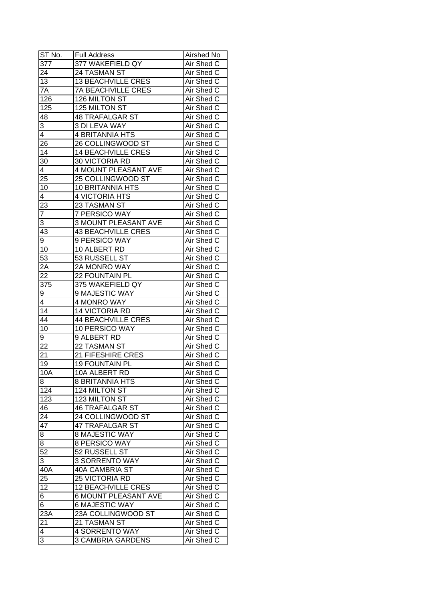| ST <sub>No.</sub>       | <b>Full Address</b>         | Airshed No |
|-------------------------|-----------------------------|------------|
| 377                     | 377 WAKEFIELD QY            | Air Shed C |
| 24                      | 24 TASMAN ST                | Air Shed C |
| 13                      | <b>13 BEACHVILLE CRES</b>   | Air Shed C |
| 7A                      | <b>7A BEACHVILLE CRES</b>   | Air Shed C |
| 126                     | 126 MILTON ST               | Air Shed C |
| 125                     | 125 MILTON ST               | Air Shed C |
| 48                      | <b>48 TRAFALGAR ST</b>      | Air Shed C |
| 3                       | 3 DI LEVA WAY               | Air Shed C |
| 4                       | 4 BRITANNIA HTS             | Air Shed C |
| 26                      | 26 COLLINGWOOD ST           | Air Shed C |
| 14                      | <b>14 BEACHVILLE CRES</b>   | Air Shed C |
| 30                      | 30 VICTORIA RD              | Air Shed C |
| $\overline{\mathbf{4}}$ | 4 MOUNT PLEASANT AVE        | Air Shed C |
| 25                      | 25 COLLINGWOOD ST           | Air Shed C |
| 10                      | <b>10 BRITANNIA HTS</b>     | Air Shed C |
| $\overline{\mathbf{4}}$ | 4 VICTORIA HTS              | Air Shed C |
|                         | 23 TASMAN ST                | Air Shed C |
| 23<br>$\overline{7}$    | 7 PERSICO WAY               | Air Shed C |
| 3                       | 3 MOUNT PLEASANT AVE        | Air Shed C |
| 43                      | <b>43 BEACHVILLE CRES</b>   | Air Shed C |
|                         | 9 PERSICO WAY               | Air Shed C |
| 9<br>10                 | 10 ALBERT RD                | Air Shed C |
| 53                      | 53 RUSSELL ST               | Air Shed C |
|                         |                             |            |
| 2A<br>22                | 2A MONRO WAY                | Air Shed C |
|                         | 22 FOUNTAIN PL              | Air Shed C |
| 375                     | 375 WAKEFIELD QY            | Air Shed C |
| 9                       | 9 MAJESTIC WAY              | Air Shed C |
| 4                       | 4 MONRO WAY                 | Air Shed C |
| $1\overline{4}$         | 14 VICTORIA RD              | Air Shed C |
| 44                      | <b>44 BEACHVILLE CRES</b>   | Air Shed C |
| 10                      | 10 PERSICO WAY              | Air Shed C |
| 9                       | 9 ALBERT RD                 | Air Shed C |
| $\overline{22}$         | 22 TASMAN ST                | Air Shed C |
| 21                      | 21 FIFESHIRE CRES           | Air Shed C |
| 19                      | <b>19 FOUNTAIN PL</b>       | Air Shed C |
| 10A                     | 10A ALBERT RD               | Air Shed C |
| 8                       | 8 BRITANNIA HTS             | Air Shed C |
| 124                     | 124 MILTON ST               | Air Shed C |
| 123                     | 123 MILTON ST               | Air Shed C |
| 46                      | <b>46 TRAFALGAR ST</b>      | Air Shed C |
| 24                      | 24 COLLINGWOOD ST           | Air Shed C |
| $4\overline{7}$         | 47 TRAFALGAR ST             | Air Shed C |
| 8                       | 8 MAJESTIC WAY              | Air Shed C |
| 8                       | 8 PERSICO WAY               | Air Shed C |
| 52                      | 52 RUSSELL ST               | Air Shed C |
| 3                       | 3 SORRENTO WAY              | Air Shed C |
| 40A                     | <b>40A CAMBRIA ST</b>       | Air Shed C |
| 25                      | 25 VICTORIA RD              | Air Shed C |
| 12                      | <b>12 BEACHVILLE CRES</b>   | Air Shed C |
| 6                       | <b>6 MOUNT PLEASANT AVE</b> | Air Shed C |
| 6                       | <b>6 MAJESTIC WAY</b>       | Air Shed C |
| 23A                     | 23A COLLINGWOOD ST          | Air Shed C |
| 21                      | 21 TASMAN ST                | Air Shed C |
| 4                       | <b>4 SORRENTO WAY</b>       | Air Shed C |
| 3                       | <b>3 CAMBRIA GARDENS</b>    | Air Shed C |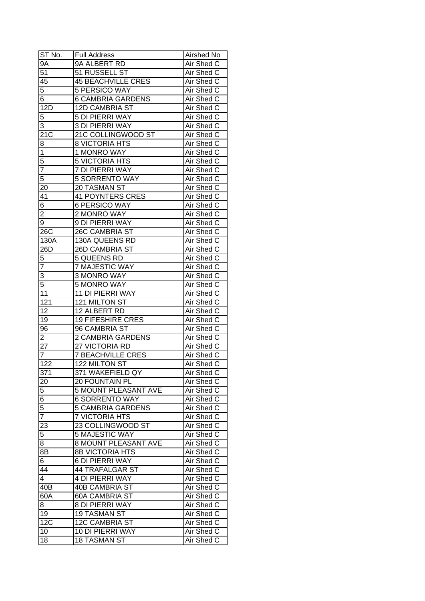| ST No.              | <b>Full Address</b>                      | Airshed No               |
|---------------------|------------------------------------------|--------------------------|
| $9\overline{A}$     | 9A ALBERT RD                             | Air Shed C               |
| $\overline{51}$     | 51 RUSSELL ST                            | Air Shed C               |
| 45                  | <b>45 BEACHVILLE CRES</b>                | Air Shed C               |
| 5                   | 5 PERSICO WAY                            | Air Shed C               |
| 6                   | <b>6 CAMBRIA GARDENS</b>                 | Air Shed C               |
| 12D                 | <b>12D CAMBRIA ST</b>                    | Air Shed C               |
| 5                   | 5 DI PIERRI WAY                          | Air Shed C               |
| 3                   | <b>3 DI PIERRI WAY</b>                   | Air Shed C               |
| 21C                 | 21C COLLINGWOOD ST                       | Air Shed C               |
| 8                   | <b>8 VICTORIA HTS</b>                    | Air Shed C               |
| $\mathbf 1$         | 1 MONRO WAY                              | Air Shed C               |
| 5                   | <b>5 VICTORIA HTS</b>                    | Air Shed C               |
| 7                   | 7 DI PIERRI WAY                          | Air Shed C               |
| 5                   | <b>5 SORRENTO WAY</b>                    | Air Shed C               |
| 20                  | 20 TASMAN ST                             | Air Shed C               |
| 41                  | <b>41 POYNTERS CRES</b>                  | Air Shed C               |
|                     | 6 PERSICO WAY                            | Air Shed C               |
| 6<br>$\overline{2}$ | 2 MONRO WAY                              | Air Shed C               |
| 9                   | 9 DI PIERRI WAY                          | Air Shed C               |
| 26C                 | <b>26C CAMBRIA ST</b>                    | Air Shed C               |
| 130A                | 130A QUEENS RD                           | Air Shed C               |
| 26D                 | <b>26D CAMBRIA ST</b>                    | Air Shed C               |
|                     | 5 QUEENS RD                              | Air Shed C               |
| 5<br>$\overline{7}$ |                                          |                          |
|                     | 7 MAJESTIC WAY<br>3 MONRO WAY            | Air Shed C               |
| $\overline{3}$      |                                          | Air Shed C               |
| 5                   | 5 MONRO WAY                              | Air Shed C               |
| 11                  | 11 DI PIERRI WAY                         | Air Shed C               |
| 121<br>12           | 121 MILTON ST                            | Air Shed C               |
|                     | 12 ALBERT RD<br><b>19 FIFESHIRE CRES</b> | Air Shed C<br>Air Shed C |
| 19<br>96            | 96 CAMBRIA ST                            | Air Shed C               |
| $\overline{2}$      | <b>2 CAMBRIA GARDENS</b>                 | Air Shed C               |
| $\overline{27}$     | 27 VICTORIA RD                           | Air Shed C               |
| $\overline{7}$      | <b>7 BEACHVILLE CRES</b>                 | Air Shed C               |
| 122                 | 122 MILTON ST                            | <b>Air Shed C</b>        |
|                     |                                          |                          |
| 371                 | 371 WAKEFIELD QY                         | Air Shed C               |
| $\overline{20}$     | 20 FOUNTAIN PL                           | Air Shed C               |
| 5                   | 5 MOUNT PLEASANT AVE                     | Air Shed C               |
| $\overline{6}$      | <b>6 SORRENTO WAY</b>                    | Air Shed C               |
| 5                   | <b>5 CAMBRIA GARDENS</b>                 | Air Shed C               |
| $\overline{7}$      | <b>7 VICTORIA HTS</b>                    | Air Shed C               |
| 23                  | 23 COLLINGWOOD ST                        | Air Shed C               |
| 5                   | 5 MAJESTIC WAY                           | Air Shed C               |
| 8                   | 8 MOUNT PLEASANT AVE                     | Air Shed C               |
| $8\overline{B}$     | <b>8B VICTORIA HTS</b>                   | Air Shed C               |
| 6                   | 6 DI PIERRI WAY                          | Air Shed C               |
| 44                  | <b>44 TRAFALGAR ST</b>                   | Air Shed C               |
| $\overline{4}$      | <b>4 DI PIERRI WAY</b>                   | Air Shed C               |
| 40B                 | <b>40B CAMBRIA ST</b>                    | Air Shed C               |
| 60A                 | <b>60A CAMBRIA ST</b>                    | Air Shed C               |
| 8                   | 8 DI PIERRI WAY                          | Air Shed C               |
| 19                  | 19 TASMAN ST                             | Air Shed C               |
| 12 <sub>C</sub>     | <b>12C CAMBRIA ST</b>                    | Air Shed C               |
| 10                  | 10 DI PIERRI WAY                         | Air Shed C               |
| 18                  | <b>18 TASMAN ST</b>                      | Air Shed C               |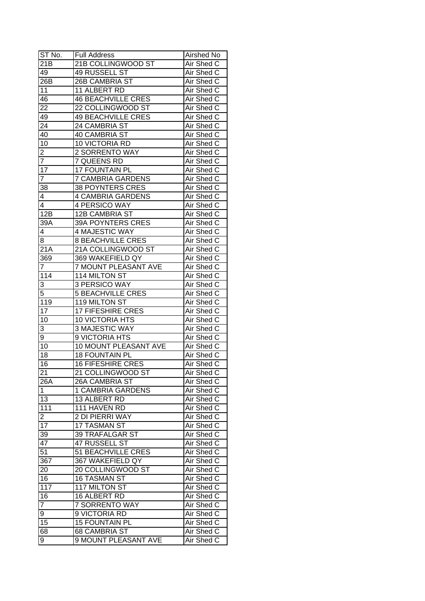| ST No.          | <b>Full Address</b>          | Airshed No               |
|-----------------|------------------------------|--------------------------|
| 21B             | 21B COLLINGWOOD ST           | Air Shed C               |
| 49              | 49 RUSSELL ST                | Air Shed C               |
| 26B             | <b>26B CAMBRIA ST</b>        | Air Shed C               |
| 11              | 11 ALBERT RD                 | Air Shed C               |
| 46              | <b>46 BEACHVILLE CRES</b>    | Air Shed C               |
| 22              | 22 COLLINGWOOD ST            | Air Shed C               |
| 49              | <b>49 BEACHVILLE CRES</b>    | Air Shed C               |
| 24              | 24 CAMBRIA ST                | Air Shed C               |
| 40              | <b>40 CAMBRIA ST</b>         | Air Shed C               |
| 10              | 10 VICTORIA RD               | Air Shed C               |
| 2               | 2 SORRENTO WAY               | Air Shed C               |
| $\overline{7}$  | 7 QUEENS RD                  | Air Shed C               |
| $1\overline{7}$ | 17 FOUNTAIN PL               | Air Shed C               |
| $\overline{7}$  | <b>7 CAMBRIA GARDENS</b>     | Air Shed C               |
| 38              | <b>38 POYNTERS CRES</b>      | Air Shed C               |
| 4               | <b>4 CAMBRIA GARDENS</b>     | Air Shed C               |
| $\overline{4}$  | 4 PERSICO WAY                | Air Shed C               |
| 12B             |                              |                          |
| 39A             | 12B CAMBRIA ST               | Air Shed C<br>Air Shed C |
|                 | 39A POYNTERS CRES            |                          |
| 4               | 4 MAJESTIC WAY               | Air Shed C               |
| 8               | <b>8 BEACHVILLE CRES</b>     | Air Shed C               |
| 21A             | 21A COLLINGWOOD ST           | Air Shed C               |
| 369             | 369 WAKEFIELD QY             | Air Shed C               |
| 7               | 7 MOUNT PLEASANT AVE         | Air Shed C               |
| 114             | 114 MILTON ST                | Air Shed C               |
| 3               | 3 PERSICO WAY                | Air Shed C               |
| 5               | <b>5 BEACHVILLE CRES</b>     | Air Shed C               |
| 119             | 119 MILTON ST                | Air Shed C               |
| $1\overline{7}$ | <b>17 FIFESHIRE CRES</b>     | Air Shed C               |
| 10              | 10 VICTORIA HTS              | Air Shed C               |
| 3               | 3 MAJESTIC WAY               | Air Shed C               |
| 9               | 9 VICTORIA HTS               | Air Shed C               |
| 10              | <b>10 MOUNT PLEASANT AVE</b> | Air Shed C               |
| 18              | <b>18 FOUNTAIN PL</b>        | Air Shed C               |
| $\overline{16}$ | <b>16 FIFESHIRE CRES</b>     | <b>Air Shed C</b>        |
| $\overline{21}$ | 21 COLLINGWOOD ST            | Air Shed C               |
| 26A             | <b>26A CAMBRIA ST</b>        | Air Shed C               |
| $\mathbf{1}$    | 1 CAMBRIA GARDENS            | Air Shed C               |
| 13              | 13 ALBERT RD                 | Air Shed C               |
| 111             | 111 HAVEN RD                 | Air Shed C               |
| $\overline{c}$  | 2 DI PIERRI WAY              | Air Shed C               |
| 17              | 17 TASMAN ST                 | Air Shed C               |
| 39              | 39 TRAFALGAR ST              | Air Shed C               |
| 47              | 47 RUSSELL ST                | Air Shed C               |
| $\overline{51}$ | <b>51 BEACHVILLE CRES</b>    | Air Shed C               |
| 367             | 367 WAKEFIELD QY             | Air Shed C               |
| 20              | 20 COLLINGWOOD ST            | Air Shed C               |
| 16              | <b>16 TASMAN ST</b>          | Air Shed C               |
| 117             | 117 MILTON ST                | Air Shed C               |
| 16              | 16 ALBERT RD                 | Air Shed C               |
| $\overline{7}$  | 7 SORRENTO WAY               | Air Shed C               |
| 9               | 9 VICTORIA RD                | Air Shed C               |
| 15              | <b>15 FOUNTAIN PL</b>        | Air Shed C               |
| 68              | 68 CAMBRIA ST                | Air Shed C               |
| 9               | 9 MOUNT PLEASANT AVE         | Air Shed C               |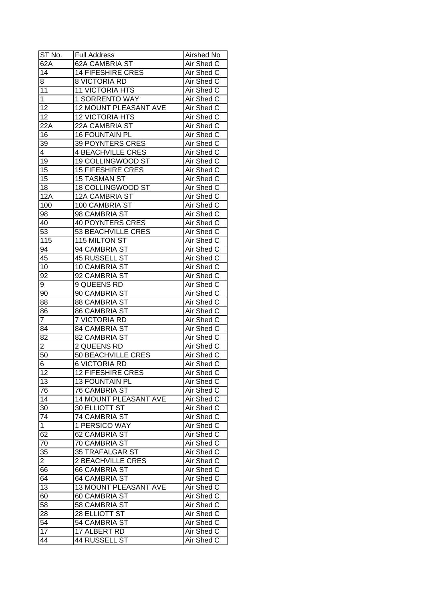| ST No.          | <b>Full Address</b>       | <b>Airshed No</b> |
|-----------------|---------------------------|-------------------|
| 62A             | <b>62A CAMBRIA ST</b>     | Air Shed C        |
| $\overline{14}$ | <b>14 FIFESHIRE CRES</b>  | Air Shed C        |
| 8               | <b>8 VICTORIA RD</b>      | Air Shed C        |
| 11              | <b>11 VICTORIA HTS</b>    | Air Shed C        |
| $\mathbf{1}$    | 1 SORRENTO WAY            | Air Shed C        |
| 12              | 12 MOUNT PLEASANT AVE     | Air Shed C        |
| 12              | <b>12 VICTORIA HTS</b>    | Air Shed C        |
| 22A             | 22A CAMBRIA ST            | Air Shed C        |
| 16              | <b>16 FOUNTAIN PL</b>     | Air Shed C        |
| 39              | <b>39 POYNTERS CRES</b>   | Air Shed C        |
| 4               | <b>4 BEACHVILLE CRES</b>  | Air Shed C        |
| 19              | 19 COLLINGWOOD ST         | Air Shed C        |
| 15              | 15 FIFESHIRE CRES         | Air Shed C        |
| 15              | <b>15 TASMAN ST</b>       | Air Shed C        |
| 18              | 18 COLLINGWOOD ST         | Air Shed C        |
| 12A             | 12A CAMBRIA ST            | Air Shed C        |
| 100             | 100 CAMBRIA ST            | Air Shed C        |
| 98              | 98 CAMBRIA ST             | Air Shed C        |
| 40              | <b>40 POYNTERS CRES</b>   | Air Shed C        |
| 53              | 53 BEACHVILLE CRES        | Air Shed C        |
| 115             | 115 MILTON ST             | Air Shed C        |
| 94              | 94 CAMBRIA ST             | Air Shed C        |
| 45              | 45 RUSSELL ST             | Air Shed C        |
| 10              | 10 CAMBRIA ST             | Air Shed C        |
| 92              | 92 CAMBRIA ST             | Air Shed C        |
| 9               | 9 QUEENS RD               | Air Shed C        |
| 90              | 90 CAMBRIA ST             | Air Shed C        |
| 88              | 88 CAMBRIA ST             | Air Shed C        |
| 86              | 86 CAMBRIA ST             | Air Shed C        |
| $\overline{7}$  | 7 VICTORIA RD             | Air Shed C        |
| 84              | 84 CAMBRIA ST             | Air Shed C        |
| 82              | 82 CAMBRIA ST             | Air Shed C        |
| $\overline{2}$  | 2 QUEENS RD               | Air Shed C        |
| 50              | <b>50 BEACHVILLE CRES</b> | <b>Air Shed C</b> |
| 6               | <b>6 VICTORIA RD</b>      | <b>Air Shed C</b> |
| $\overline{12}$ | <b>12 FIFESHIRE CRES</b>  | <b>Air Shed C</b> |
| 13              | <b>13 FOUNTAIN PL</b>     | Air Shed C        |
| 76              | <b>76 CAMBRIA ST</b>      | Air Shed C        |
| 14              | 14 MOUNT PLEASANT AVE     | Air Shed C        |
| 30              | 30 ELLIOTT ST             | Air Shed C        |
| 74              | 74 CAMBRIA ST             | Air Shed C        |
| $\mathbf{1}$    | 1 PERSICO WAY             | Air Shed C        |
| 62              | 62 CAMBRIA ST             | Air Shed C        |
| 70              | 70 CAMBRIA ST             | Air Shed C        |
| 35              | 35 TRAFALGAR ST           | Air Shed C        |
| $\overline{2}$  | <b>2 BEACHVILLE CRES</b>  | Air Shed C        |
| 66              | 66 CAMBRIA ST             | Air Shed C        |
| 64              | <b>64 CAMBRIA ST</b>      | Air Shed C        |
| 13              | 13 MOUNT PLEASANT AVE     | Air Shed C        |
| 60              | 60 CAMBRIA ST             | Air Shed C        |
| 58              | 58 CAMBRIA ST             | Air Shed C        |
| 28              | 28 ELLIOTT ST             | Air Shed C        |
| 54              | 54 CAMBRIA ST             | Air Shed C        |
| 17              | 17 ALBERT RD              | Air Shed C        |
| 44              | <b>44 RUSSELL ST</b>      | Air Shed C        |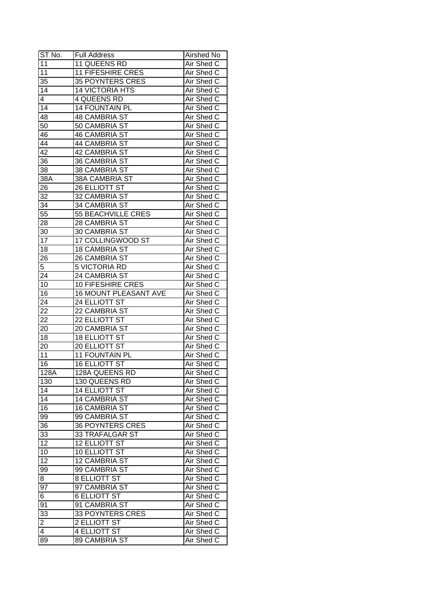| $ST N0$ .           | <b>Full Address</b>      | <b>Airshed No</b> |
|---------------------|--------------------------|-------------------|
| 11                  | 11 QUEENS RD             | Air Shed C        |
| 11                  | <b>11 FIFESHIRE CRES</b> | Air Shed C        |
| 35                  | <b>35 POYNTERS CRES</b>  | Air Shed C        |
| 14                  | <b>14 VICTORIA HTS</b>   | Air Shed C        |
| 4                   | <b>4 QUEENS RD</b>       | Air Shed C        |
| 14                  | <b>14 FOUNTAIN PL</b>    | Air Shed C        |
| 48                  | <b>48 CAMBRIA ST</b>     | Air Shed C        |
| 50                  | 50 CAMBRIA ST            | Air Shed C        |
| 46                  | <b>46 CAMBRIA ST</b>     | Air Shed C        |
| 44                  | 44 CAMBRIA ST            | Air Shed C        |
| 42                  | 42 CAMBRIA ST            | Air Shed C        |
| 36                  | 36 CAMBRIA ST            | Air Shed C        |
| 38                  | 38 CAMBRIA ST            | Air Shed C        |
| 38A                 | 38A CAMBRIA ST           | Air Shed C        |
| 26                  | 26 ELLIOTT ST            | Air Shed C        |
| 32                  | 32 CAMBRIA ST            | Air Shed C        |
| 34                  | 34 CAMBRIA ST            | Air Shed C        |
| 55                  | 55 BEACHVILLE CRES       | Air Shed C        |
| 28                  | 28 CAMBRIA ST            | Air Shed C        |
| 30                  | 30 CAMBRIA ST            | Air Shed C        |
| 17                  | 17 COLLINGWOOD ST        | Air Shed C        |
| 18                  | <b>18 CAMBRIA ST</b>     | Air Shed C        |
| 26                  | 26 CAMBRIA ST            | Air Shed C        |
| 5                   | 5 VICTORIA RD            | Air Shed C        |
| 24                  | 24 CAMBRIA ST            | Air Shed C        |
| 10                  | 10 FIFESHIRE CRES        | Air Shed C        |
| 16                  | 16 MOUNT PLEASANT AVE    | Air Shed C        |
| $2\overline{4}$     | 24 ELLIOTT ST            | Air Shed C        |
| 22                  | 22 CAMBRIA ST            | Air Shed C        |
| 22                  | 22 ELLIOTT ST            | Air Shed C        |
| 20                  | 20 CAMBRIA ST            | Air Shed C        |
| 18                  | <b>18 ELLIOTT ST</b>     | Air Shed C        |
| 20                  | <b>20 ELLIOTT ST</b>     | Air Shed C        |
| 11                  | 11 FOUNTAIN PL           | Air Shed C        |
| 16                  | <b>16 ELLIOTT ST</b>     | Air Shed C        |
| 128A                | <b>128A QUEENS RD</b>    | <b>Air Shed C</b> |
| 130                 | 130 QUEENS RD            | Air Shed C        |
| 14                  | <b>14 ELLIOTT ST</b>     | Air Shed C        |
| 14                  | <b>14 CAMBRIA ST</b>     | Air Shed C        |
| 16                  | <b>16 CAMBRIA ST</b>     | Air Shed C        |
| 99                  | 99 CAMBRIA ST            | Air Shed C        |
| 36                  | <b>36 POYNTERS CRES</b>  | Air Shed C        |
| 33                  | 33 TRAFALGAR ST          | Air Shed C        |
| 12                  | <b>12 ELLIOTT ST</b>     | Air Shed C        |
| 10                  | 10 ELLIOTT ST            | Air Shed C        |
| $\overline{12}$     | <b>12 CAMBRIA ST</b>     | Air Shed C        |
| 99                  | 99 CAMBRIA ST            | Air Shed C        |
| 8                   | <b>8 ELLIOTT ST</b>      | Air Shed C        |
| 97                  | 97 CAMBRIA ST            | Air Shed C        |
| $\overline{6}$      | <b>6 ELLIOTT ST</b>      | Air Shed C        |
| 91                  | 91 CAMBRIA ST            | Air Shed C        |
| 33                  | <b>33 POYNTERS CRES</b>  | Air Shed C        |
|                     | 2 ELLIOTT ST             | Air Shed C        |
| $\overline{2}$<br>4 | <b>4 ELLIOTT ST</b>      | Air Shed C        |
| 89                  | 89 CAMBRIA ST            | Air Shed C        |
|                     |                          |                   |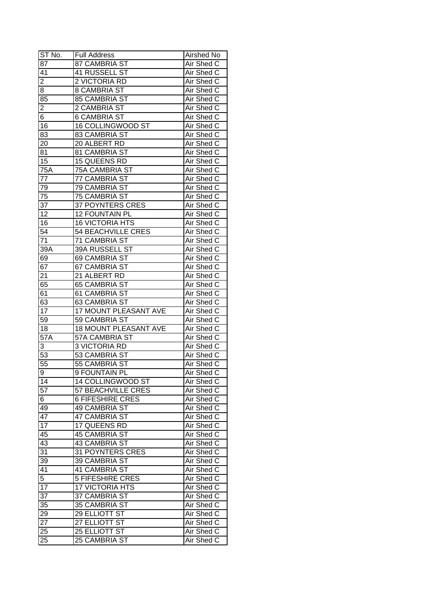| ST No.           | Full Address                 | Airshed No |
|------------------|------------------------------|------------|
| 87               | 87 CAMBRIA ST                | Air Shed C |
| 41               | 41 RUSSELL ST                | Air Shed C |
| 2                | 2 VICTORIA RD                | Air Shed C |
| 8                | 8 CAMBRIA ST                 | Air Shed C |
| 85               | 85 CAMBRIA ST                | Air Shed C |
| $\overline{2}$   | 2 CAMBRIA ST                 | Air Shed C |
| 6                | <b>6 CAMBRIA ST</b>          | Air Shed C |
| 16               | <b>16 COLLINGWOOD ST</b>     | Air Shed C |
| 83               | <b>83 CAMBRIA ST</b>         | Air Shed C |
| 20               | 20 ALBERT RD                 | Air Shed C |
| 81               | 81 CAMBRIA ST                | Air Shed C |
| 15               | 15 QUEENS RD                 | Air Shed C |
| 75A              | 75A CAMBRIA ST               | Air Shed C |
| 77               | 77 CAMBRIA ST                | Air Shed C |
| 79               | 79 CAMBRIA ST                | Air Shed C |
| 75               | 75 CAMBRIA ST                | Air Shed C |
| 37               | <b>37 POYNTERS CRES</b>      | Air Shed C |
| 12               | 12 FOUNTAIN PL               | Air Shed C |
| 16               | <b>16 VICTORIA HTS</b>       | Air Shed C |
| $5\overline{4}$  | <b>54 BEACHVILLE CRES</b>    | Air Shed C |
| 71               | 71 CAMBRIA ST                | Air Shed C |
| 39A              | 39A RUSSELL ST               | Air Shed C |
| 69               | 69 CAMBRIA ST                | Air Shed C |
| 67               | 67 CAMBRIA ST                | Air Shed C |
| 21               | 21 ALBERT RD                 | Air Shed C |
| 65               | 65 CAMBRIA ST                | Air Shed C |
| 61               | 61 CAMBRIA ST                | Air Shed C |
| 63               | 63 CAMBRIA ST                | Air Shed C |
| 17               | 17 MOUNT PLEASANT AVE        | Air Shed C |
| 59               | 59 CAMBRIA ST                | Air Shed C |
| 18               | <b>18 MOUNT PLEASANT AVE</b> | Air Shed C |
| 57A              | <b>57A CAMBRIA ST</b>        | Air Shed C |
| 3                | <b>3 VICTORIA RD</b>         | Air Shed C |
| 53               | 53 CAMBRIA ST                | Air Shed C |
| $\overline{55}$  | 55 CAMBRIA ST                | Air Shed C |
| $\overline{9}$   | <b>9 FOUNTAIN PL</b>         | Air Shed C |
| 14               | 14 COLLINGWOOD ST            | Air Shed C |
| $5\overline{7}$  | 57 BEACHVILLE CRES           | Air Shed C |
| $6 \overline{6}$ | <b>6 FIFESHIRE CRES</b>      | Air Shed C |
| 49               | 49 CAMBRIA ST                | Air Shed C |
| 47               | 47 CAMBRIA ST                | Air Shed C |
| 17               | 17 QUEENS RD                 | Air Shed C |
| 45               | <b>45 CAMBRIA ST</b>         | Air Shed C |
| 43               | 43 CAMBRIA ST                | Air Shed C |
| 31               | 31 POYNTERS CRES             | Air Shed C |
| 39               | 39 CAMBRIA ST                | Air Shed C |
| 41               | 41 CAMBRIA ST                | Air Shed C |
| $\overline{5}$   | 5 FIFESHIRE CRES             | Air Shed C |
| 17               | 17 VICTORIA HTS              | Air Shed C |
| 37               | 37 CAMBRIA ST                | Air Shed C |
| 35               | 35 CAMBRIA ST                | Air Shed C |
| 29               | 29 ELLIOTT ST                | Air Shed C |
| 27               | 27 ELLIOTT ST                | Air Shed C |
| $2\overline{5}$  | 25 ELLIOTT ST                | Air Shed C |
| 25               | 25 CAMBRIA ST                | Air Shed C |
|                  |                              |            |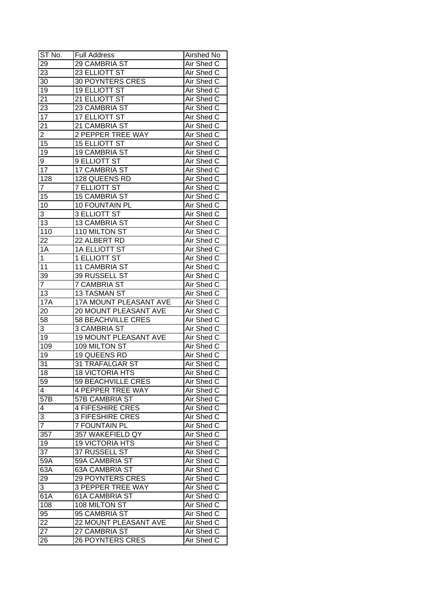| ST No.                  | <b>Full Address</b>          | <b>Airshed No</b> |
|-------------------------|------------------------------|-------------------|
| 29                      | 29 CAMBRIA ST                | Air Shed C        |
| 23                      | 23 ELLIOTT ST                | Air Shed C        |
| 30                      | <b>30 POYNTERS CRES</b>      | Air Shed C        |
| 19                      | <b>19 ELLIOTT ST</b>         | Air Shed C        |
| 21                      | 21 ELLIOTT ST                | Air Shed C        |
| 23                      | 23 CAMBRIA ST                | Air Shed C        |
| 17                      | <b>17 ELLIOTT ST</b>         | Air Shed C        |
| 21                      | 21 CAMBRIA ST                | Air Shed C        |
| $\overline{2}$          | 2 PEPPER TREE WAY            | Air Shed C        |
| 15                      | <b>15 ELLIOTT ST</b>         | Air Shed C        |
| 19                      | <b>19 CAMBRIA ST</b>         | Air Shed C        |
| 9                       | 9 ELLIOTT ST                 | Air Shed C        |
| 17                      | 17 CAMBRIA ST                | Air Shed C        |
| 128                     | 128 QUEENS RD                | Air Shed C        |
| $\overline{7}$          | <b>7 ELLIOTT ST</b>          | Air Shed C        |
| 15                      | <b>15 CAMBRIA ST</b>         | Air Shed C        |
| 10                      | 10 FOUNTAIN PL               | Air Shed C        |
| 3                       | 3 ELLIOTT ST                 | Air Shed C        |
| 13                      | 13 CAMBRIA ST                | Air Shed C        |
| 110                     | 110 MILTON ST                | Air Shed C        |
| 22                      | 22 ALBERT RD                 | Air Shed C        |
| 1A                      | <b>1A ELLIOTT ST</b>         | Air Shed C        |
| 1                       | 1 ELLIOTT ST                 | Air Shed C        |
| 11                      | 11 CAMBRIA ST                | Air Shed C        |
| 39                      | 39 RUSSELL ST                | Air Shed C        |
| $\overline{7}$          | <b>7 CAMBRIA ST</b>          | Air Shed C        |
| 13                      | <b>13 TASMAN ST</b>          | Air Shed C        |
| <b>17A</b>              | 17A MOUNT PLEASANT AVE       | Air Shed C        |
| 20                      | 20 MOUNT PLEASANT AVE        | Air Shed C        |
| 58                      | <b>58 BEACHVILLE CRES</b>    | Air Shed C        |
| 3                       | <b>3 CAMBRIA ST</b>          | Air Shed C        |
| 19                      | <b>19 MOUNT PLEASANT AVE</b> | Air Shed C        |
| 109                     | 109 MILTON ST                | Air Shed C        |
| 19                      | 19 QUEENS RD                 | Air Shed C        |
| 31                      | <b>31 TRAFALGAR ST</b>       | <b>Air Shed C</b> |
| 18                      | <b>18 VICTORIA HTS</b>       | Air Shed C        |
| 59                      | 59 BEACHVILLE CRES           | Air Shed C        |
| $\overline{\mathbf{4}}$ | <b>4 PEPPER TREE WAY</b>     | Air Shed C        |
| 57B                     | 57B CAMBRIA ST               | Air Shed C        |
| 4                       | <b>4 FIFESHIRE CRES</b>      | Air Shed C        |
| 3                       | <b>3 FIFESHIRE CRES</b>      | Air Shed C        |
| $\overline{7}$          | <b>7 FOUNTAIN PL</b>         | Air Shed C        |
| 357                     | 357 WAKEFIELD QY             | Air Shed C        |
| 19                      | <b>19 VICTORIA HTS</b>       | Air Shed C        |
| $\overline{37}$         | 37 RUSSELL ST                | Air Shed C        |
| 59A                     | 59A CAMBRIA ST               | Air Shed C        |
| $63\overline{A}$        | 63A CAMBRIA ST               | Air Shed C        |
| 29                      | <b>29 POYNTERS CRES</b>      | Air Shed C        |
| 3                       | <b>3 PEPPER TREE WAY</b>     | Air Shed C        |
| 61A                     | <b>61A CAMBRIA ST</b>        | Air Shed C        |
| 108                     | 108 MILTON ST                | Air Shed C        |
| 95                      | 95 CAMBRIA ST                | Air Shed C        |
| 22                      | 22 MOUNT PLEASANT AVE        | Air Shed C        |
| 27                      | 27 CAMBRIA ST                | Air Shed C        |
| 26                      | <b>26 POYNTERS CRES</b>      | Air Shed C        |
|                         |                              |                   |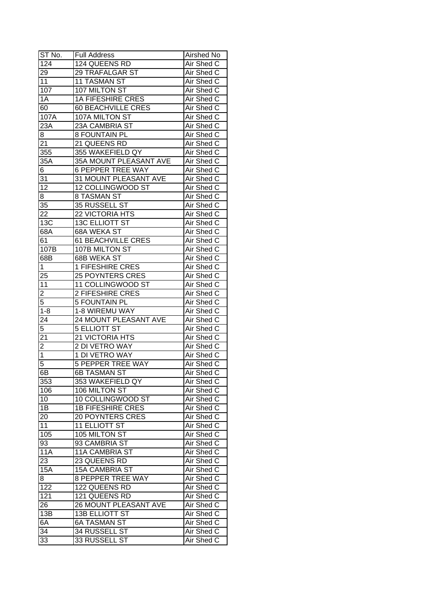| $ST$ No.                | <b>Full Address</b>          | Airshed No        |
|-------------------------|------------------------------|-------------------|
| 124                     | <b>124 QUEENS RD</b>         | Air Shed C        |
| 29                      | 29 TRAFALGAR ST              | Air Shed C        |
| 11                      | <b>11 TASMAN ST</b>          | Air Shed C        |
| 107                     | 107 MILTON ST                | Air Shed C        |
| 1A                      | <b>1A FIFESHIRE CRES</b>     | Air Shed C        |
| 60                      | 60 BEACHVILLE CRES           | Air Shed C        |
| 107A                    | 107A MILTON ST               | Air Shed C        |
| 23A                     | 23A CAMBRIA ST               | Air Shed C        |
| 8                       | <b>8 FOUNTAIN PL</b>         | Air Shed C        |
| 21                      | 21 QUEENS RD                 | Air Shed C        |
| 355                     | 355 WAKEFIELD QY             | Air Shed C        |
| 35A                     | 35A MOUNT PLEASANT AVE       | Air Shed C        |
| 6                       | <b>6 PEPPER TREE WAY</b>     | Air Shed C        |
| 31                      | 31 MOUNT PLEASANT AVE        | Air Shed C        |
| $\overline{12}$         | 12 COLLINGWOOD ST            | Air Shed C        |
| 8                       | 8 TASMAN ST                  | Air Shed C        |
| 35                      | 35 RUSSELL ST                | Air Shed C        |
| 22                      | 22 VICTORIA HTS              | Air Shed C        |
| 13C                     | <b>13C ELLIOTT ST</b>        | Air Shed C        |
| 68A                     | 68A WEKA ST                  | Air Shed C        |
| 61                      | 61 BEACHVILLE CRES           | Air Shed C        |
| 107B                    | 107B MILTON ST               | Air Shed C        |
| 68B                     | 68B WEKA ST                  | Air Shed C        |
| 1                       | 1 FIFESHIRE CRES             | Air Shed C        |
| 25                      | <b>25 POYNTERS CRES</b>      | Air Shed C        |
| 11                      | 11 COLLINGWOOD ST            | Air Shed C        |
| $\overline{\mathbf{c}}$ | 2 FIFESHIRE CRES             | Air Shed C        |
| $\overline{5}$          | 5 FOUNTAIN PL                | Air Shed C        |
| $1 - 8$                 | 1-8 WIREMU WAY               | Air Shed C        |
| 24                      | 24 MOUNT PLEASANT AVE        | Air Shed C        |
| 5                       | <b>5 ELLIOTT ST</b>          | Air Shed C        |
| 21                      | 21 VICTORIA HTS              | Air Shed C        |
| $\overline{2}$          | 2 DI VETRO WAY               | Air Shed C        |
| $\overline{1}$          | <b>1 DI VETRO WAY</b>        | <b>Air Shed C</b> |
| $\overline{5}$          | <b>5 PEPPER TREE WAY</b>     | Air Shed C        |
| 6B                      | <b>6B TASMAN ST</b>          | Air Shed C        |
| 353                     | 353 WAKEFIELD QY             | Air Shed C        |
| 106                     | 106 MILTON ST                | Air Shed C        |
| 10                      | 10 COLLINGWOOD ST            | Air Shed C        |
| 1B                      | <b>1B FIFESHIRE CRES</b>     | Air Shed C        |
| 20                      | <b>20 POYNTERS CRES</b>      | Air Shed C        |
| 11                      | <b>11 ELLIOTT ST</b>         | Air Shed C        |
| 105                     | 105 MILTON ST                | Air Shed C        |
| 93                      | 93 CAMBRIA ST                | Air Shed C        |
|                         |                              | Air Shed C        |
| 11A                     | 11A CAMBRIA ST               |                   |
| 23                      | 23 QUEENS RD                 | Air Shed C        |
| 15A                     | 15A CAMBRIA ST               | Air Shed C        |
| 8                       | <b>8 PEPPER TREE WAY</b>     | Air Shed C        |
| 122                     | 122 QUEENS RD                | Air Shed C        |
| 121                     | 121 QUEENS RD                | Air Shed C        |
| 26                      | <b>26 MOUNT PLEASANT AVE</b> | Air Shed C        |
| 13B                     | <b>13B ELLIOTT ST</b>        | Air Shed C        |
| 6A                      | 6A TASMAN ST                 | Air Shed C        |
| 34                      | <b>34 RUSSELL ST</b>         | Air Shed C        |
| 33                      | 33 RUSSELL ST                | Air Shed C        |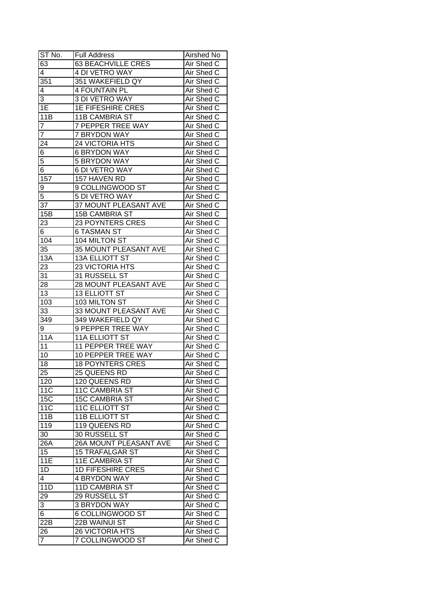| ST No.           | <b>Full Address</b>       | Airshed No        |
|------------------|---------------------------|-------------------|
| $6\overline{3}$  | <b>63 BEACHVILLE CRES</b> | Air Shed C        |
| $\overline{4}$   | 4 DI VETRO WAY            | Air Shed C        |
| 351              | 351 WAKEFIELD QY          | Air Shed C        |
| 4                | <b>4 FOUNTAIN PL</b>      | Air Shed C        |
| 3                | <b>3 DI VETRO WAY</b>     | Air Shed C        |
| 1E               | <b>1E FIFESHIRE CRES</b>  | Air Shed C        |
| 11B              | <b>11B CAMBRIA ST</b>     | Air Shed C        |
| 7                | <b>7 PEPPER TREE WAY</b>  | Air Shed C        |
| $\overline{7}$   | 7 BRYDON WAY              | Air Shed C        |
| 24               | 24 VICTORIA HTS           | Air Shed C        |
| 6                | <b>6 BRYDON WAY</b>       | Air Shed C        |
| 5                | <b>5 BRYDON WAY</b>       | Air Shed C        |
| 6                | <b>6 DI VETRO WAY</b>     | Air Shed C        |
| 157              | 157 HAVEN RD              | Air Shed C        |
| 9                | 9 COLLINGWOOD ST          | Air Shed C        |
| 5                | 5 DI VETRO WAY            | Air Shed C        |
| 37               | 37 MOUNT PLEASANT AVE     | Air Shed C        |
| 15B              | <b>15B CAMBRIA ST</b>     | Air Shed C        |
| 23               | 23 POYNTERS CRES          | Air Shed C        |
| 6                | <b>6 TASMAN ST</b>        | Air Shed C        |
| 104              | 104 MILTON ST             | Air Shed C        |
| 35               | 35 MOUNT PLEASANT AVE     | Air Shed C        |
| 13A              | <b>13A ELLIOTT ST</b>     | Air Shed C        |
| 23               | 23 VICTORIA HTS           | Air Shed C        |
| 31               | 31 RUSSELL ST             | Air Shed C        |
| 28               | 28 MOUNT PLEASANT AVE     | Air Shed C        |
| 13               | <b>13 ELLIOTT ST</b>      | Air Shed C        |
| 103              | 103 MILTON ST             | Air Shed C        |
| $\overline{33}$  | 33 MOUNT PLEASANT AVE     | Air Shed C        |
| 349              | 349 WAKEFIELD QY          | Air Shed C        |
| 9                | 9 PEPPER TREE WAY         | Air Shed C        |
| <b>11A</b>       | <b>11A ELLIOTT ST</b>     | Air Shed C        |
| 11               | <b>11 PEPPER TREE WAY</b> | Air Shed C        |
| 10               | 10 PEPPER TREE WAY        | <b>Air Shed C</b> |
| 18               | <b>18 POYNTERS CRES</b>   | <b>Air Shed C</b> |
| 25               | 25 QUEENS RD              | Air Shed C        |
| 120              | 120 QUEENS RD             | Air Shed C        |
| 11 <sub>C</sub>  | <b>11C CAMBRIA ST</b>     | Air Shed C        |
| <b>15C</b>       | <b>15C CAMBRIA ST</b>     | Air Shed C        |
| 11 <sub>C</sub>  | <b>11C ELLIOTT ST</b>     | Air Shed C        |
| 11B              | <b>11B ELLIOTT ST</b>     | Air Shed C        |
| 119              | 119 QUEENS RD             | Air Shed C        |
| 30               | 30 RUSSELL ST             | Air Shed C        |
| 26A              | 26A MOUNT PLEASANT AVE    | Air Shed C        |
| 15               | <b>15 TRAFALGAR ST</b>    | Air Shed C        |
| 11E              | 11E CAMBRIA ST            | Air Shed C        |
| $1\overline{D}$  | <b>1D FIFESHIRE CRES</b>  | Air Shed C        |
| 4                | <b>4 BRYDON WAY</b>       | Air Shed C        |
| $11\overline{D}$ | 11D CAMBRIA ST            | Air Shed C        |
| 29               | 29 RUSSELL ST             | Air Shed C        |
| $\overline{3}$   | 3 BRYDON WAY              | Air Shed C        |
| 6                | 6 COLLINGWOOD ST          | Air Shed C        |
| 22B              | 22B WAINUI ST             | Air Shed C        |
| 26               | 26 VICTORIA HTS           | Air Shed C        |
| $\overline{7}$   | 7 COLLINGWOOD ST          | Air Shed C        |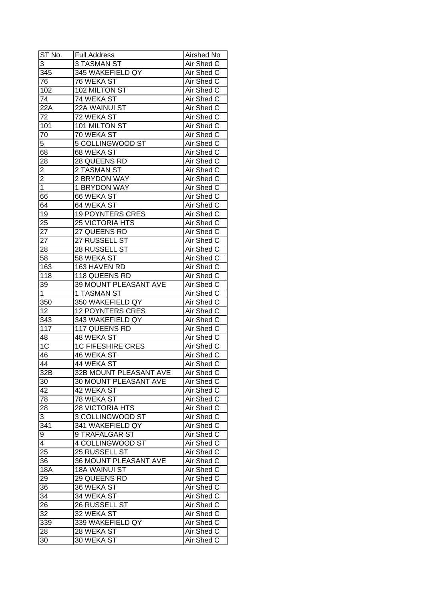| ST No.          | <b>Full Address</b>          | Airshed No        |
|-----------------|------------------------------|-------------------|
| 3               | <b>3 TASMAN ST</b>           | Air Shed C        |
| 345             | 345 WAKEFIELD QY             | Air Shed C        |
| 76              | 76 WEKA ST                   | Air Shed C        |
| 102             | 102 MILTON ST                | Air Shed C        |
| 74              | 74 WEKA ST                   | Air Shed C        |
| 22A             | 22A WAINUI ST                | Air Shed C        |
| 72              | 72 WEKA ST                   | Air Shed C        |
| 101             | 101 MILTON ST                | Air Shed C        |
| 70              | 70 WEKA ST                   | Air Shed C        |
| 5               | 5 COLLINGWOOD ST             | Air Shed C        |
| 68              | 68 WEKA ST                   | Air Shed C        |
| 28              | 28 QUEENS RD                 | Air Shed C        |
| $\overline{2}$  | 2 TASMAN ST                  | Air Shed C        |
| $\overline{2}$  | 2 BRYDON WAY                 | Air Shed C        |
| $\overline{1}$  | 1 BRYDON WAY                 | Air Shed C        |
| 66              | 66 WEKA ST                   | Air Shed C        |
| 64              | 64 WEKA ST                   | Air Shed C        |
| 19              | <b>19 POYNTERS CRES</b>      | Air Shed C        |
| 25              | 25 VICTORIA HTS              | Air Shed C        |
| 27              | 27 QUEENS RD                 | Air Shed C        |
| 27              | 27 RUSSELL ST                | Air Shed C        |
| 28              | 28 RUSSELL ST                | Air Shed C        |
| 58              | 58 WEKA ST                   | Air Shed C        |
| 163             | 163 HAVEN RD                 | Air Shed C        |
| 118             | 118 QUEENS RD                | Air Shed C        |
| 39              | 39 MOUNT PLEASANT AVE        | Air Shed C        |
| $\mathbf 1$     | 1 TASMAN ST                  | Air Shed C        |
| 350             | 350 WAKEFIELD QY             | Air Shed C        |
| 12              | <b>12 POYNTERS CRES</b>      | Air Shed C        |
| 343             | 343 WAKEFIELD QY             | Air Shed C        |
| 117             | 117 QUEENS RD                | Air Shed C        |
| 48              | 48 WEKA ST                   | Air Shed C        |
| 1 <sup>C</sup>  | <b>1C FIFESHIRE CRES</b>     | Air Shed C        |
| 46              | <b>46 WEKA ST</b>            | Air Shed C        |
| $\overline{44}$ | 44 WEKA ST                   | <b>Air Shed C</b> |
| 32B             | 32B MOUNT PLEASANT AVE       | Air Shed C        |
| 30              | 30 MOUNT PLEASANT AVE        | Air Shed C        |
| 42              | 42 WEKA ST                   | Air Shed C        |
| 78              | 78 WEKA ST                   | Air Shed C        |
| 28              | <b>28 VICTORIA HTS</b>       | Air Shed C        |
| 3               | 3 COLLINGWOOD ST             | Air Shed C        |
| 341             | 341 WAKEFIELD QY             | Air Shed C        |
| 9               | 9 TRAFALGAR ST               | Air Shed C        |
| 4               | 4 COLLINGWOOD ST             | Air Shed C        |
| 25              | 25 RUSSELL ST                | Air Shed C        |
| 36              | <b>36 MOUNT PLEASANT AVE</b> | Air Shed C        |
| <b>18A</b>      | 18A WAINUI ST                | Air Shed C        |
| 29              | 29 QUEENS RD                 | Air Shed C        |
| 36              | 36 WEKA ST                   | Air Shed C        |
| 34              | 34 WEKA ST                   | Air Shed C        |
| 26              | 26 RUSSELL ST                | Air Shed C        |
| 32              | 32 WEKA ST                   | Air Shed C        |
| 339             | 339 WAKEFIELD QY             | Air Shed C        |
| 28              | 28 WEKA ST                   | Air Shed C        |
|                 | 30 WEKA ST                   | Air Shed C        |
| 30              |                              |                   |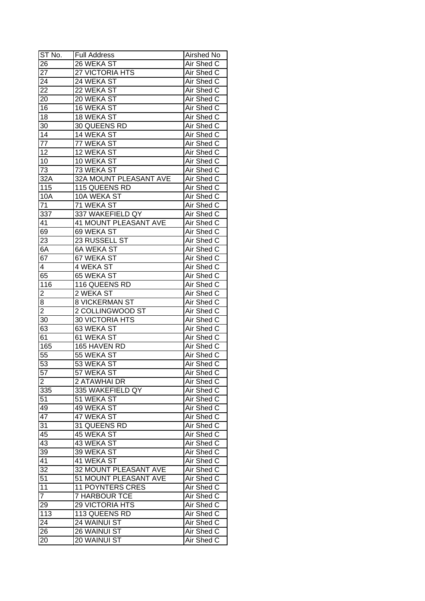| ST No.          | <b>Full Address</b>     | Airshed No        |
|-----------------|-------------------------|-------------------|
| 26              | $\overline{26}$ WEKA ST | Air Shed C        |
| $\overline{27}$ | <b>27 VICTORIA HTS</b>  | Air Shed C        |
| 24              | 24 WEKA ST              | Air Shed C        |
| 22              | 22 WEKA ST              | Air Shed C        |
| 20              | 20 WEKA ST              | Air Shed C        |
| 16              | 16 WEKA ST              | Air Shed C        |
| 18              | 18 WEKA ST              | Air Shed C        |
| 30              | 30 QUEENS RD            | Air Shed C        |
| 14              | 14 WEKA ST              | Air Shed C        |
| 77              | 77 WEKA ST              | Air Shed C        |
| 12              | 12 WEKA ST              | Air Shed C        |
| 10              | 10 WEKA ST              | Air Shed C        |
| 73              | 73 WEKA ST              | Air Shed C        |
| 32A             | 32A MOUNT PLEASANT AVE  | Air Shed C        |
| 115             | 115 QUEENS RD           | Air Shed C        |
| 10A             | 10A WEKA ST             | Air Shed C        |
|                 |                         |                   |
| 71              | 71 WEKA ST              | Air Shed C        |
| 337             | 337 WAKEFIELD QY        | Air Shed C        |
| 41              | 41 MOUNT PLEASANT AVE   | Air Shed C        |
| 69              | 69 WEKA ST              | Air Shed C        |
| 23              | 23 RUSSELL ST           | Air Shed C        |
| 6A              | 6A WEKA ST              | Air Shed C        |
| 67              | 67 WEKA ST              | Air Shed C        |
| 4               | 4 WEKA ST               | Air Shed C        |
| 65              | 65 WEKA ST              | Air Shed C        |
| 116             | 116 QUEENS RD           | Air Shed C        |
| 2               | 2 WEKA ST               | Air Shed C        |
| 8               | <b>8 VICKERMAN ST</b>   | Air Shed C        |
| $\overline{2}$  | 2 COLLINGWOOD ST        | Air Shed C        |
| 30              | 30 VICTORIA HTS         | Air Shed C        |
| 63              | 63 WEKA ST              | Air Shed C        |
| 61              | <b>61 WEKA ST</b>       | Air Shed C        |
| 165             | 165 HAVEN RD            | Air Shed C        |
| 55              | 55 WEKA ST              | Air Shed C        |
| $\overline{53}$ | 53 WEKA ST              | <b>Air Shed C</b> |
| $\overline{57}$ | 57 WEKA ST              | <b>Air Shed C</b> |
| $\overline{c}$  | 2 ATAWHAI DR            | Air Shed C        |
| 335             | 335 WAKEFIELD QY        | Air Shed C        |
| 51              | 51 WEKA ST              | Air Shed C        |
| 49              | 49 WEKA ST              | Air Shed C        |
| 47              | 47 WEKA ST              | Air Shed C        |
| 31              | 31 QUEENS RD            | Air Shed C        |
| 45              | 45 WEKA ST              | Air Shed C        |
| 43              | 43 WEKA ST              | Air Shed C        |
| $\overline{39}$ | 39 WEKA ST              | Air Shed C        |
| 41              | 41 WEKA ST              | Air Shed C        |
| $\overline{32}$ | 32 MOUNT PLEASANT AVE   | Air Shed C        |
| 51              | 51 MOUNT PLEASANT AVE   | Air Shed C        |
| 11              | <b>11 POYNTERS CRES</b> | Air Shed C        |
| $\overline{7}$  | <b>7 HARBOUR TCE</b>    | Air Shed C        |
| 29              | 29 VICTORIA HTS         | Air Shed C        |
| 113             | 113 QUEENS RD           | Air Shed C        |
| 24              | 24 WAINUI ST            | Air Shed C        |
| 26              | 26 WAINUI ST            | Air Shed C        |
| 20              | 20 WAINUI ST            | Air Shed C        |
|                 |                         |                   |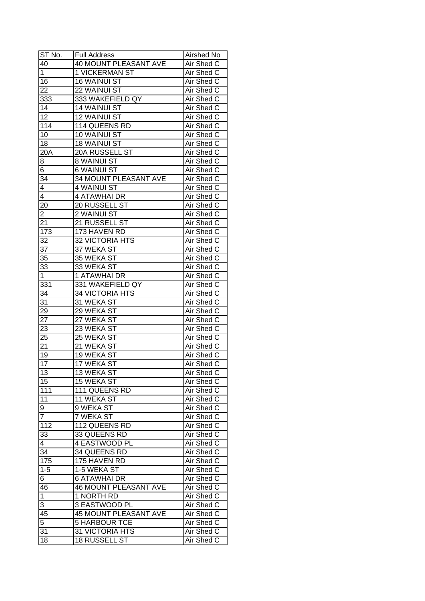| ST No.                        | <b>Full Address</b>             | Airshed No               |
|-------------------------------|---------------------------------|--------------------------|
| 40                            | <b>40 MOUNT PLEASANT AVE</b>    | Air Shed C               |
| $\mathbf{1}$                  | 1 VICKERMAN ST                  | Air Shed C               |
| 16                            | <b>16 WAINUI ST</b>             | Air Shed C               |
| 22                            | 22 WAINUI ST                    | Air Shed C               |
| 333                           | 333 WAKEFIELD QY                | Air Shed C               |
| 14                            | <b>14 WAINUI ST</b>             | Air Shed C               |
| 12                            | 12 WAINUI ST                    | Air Shed C               |
| 114                           | 114 QUEENS RD                   | Air Shed C               |
| 10                            | 10 WAINUI ST                    | Air Shed C               |
| 18                            | <b>18 WAINUI ST</b>             | Air Shed C               |
| 20A                           | 20A RUSSELL ST                  | Air Shed C               |
| 8                             | 8 WAINUI ST                     | Air Shed C               |
| 6                             | 6 WAINUI ST                     | Air Shed C               |
| 34                            | 34 MOUNT PLEASANT AVE           | Air Shed C               |
| 4                             | 4 WAINUI ST                     | Air Shed C               |
| 4                             | <b>4 ATAWHAI DR</b>             | Air Shed C               |
| 20                            | 20 RUSSELL ST                   | Air Shed C               |
|                               |                                 |                          |
| $\overline{\mathbf{c}}$<br>21 | 2 WAINUI ST<br>21 RUSSELL ST    | Air Shed C<br>Air Shed C |
|                               |                                 |                          |
| 173<br>32                     | 173 HAVEN RD<br>32 VICTORIA HTS | Air Shed C<br>Air Shed C |
| 37                            | 37 WEKA ST                      |                          |
|                               |                                 | Air Shed C               |
| 35                            | 35 WEKA ST                      | Air Shed C               |
| 33                            | 33 WEKA ST                      | Air Shed C               |
| $\mathbf{1}$                  | 1 ATAWHAI DR                    | Air Shed C               |
| 331                           | 331 WAKEFIELD QY                | Air Shed C               |
| 34                            | 34 VICTORIA HTS                 | Air Shed C               |
| 31                            | 31 WEKA ST                      | Air Shed C               |
| $2\overline{9}$               | 29 WEKA ST                      | Air Shed C               |
| 27                            | 27 WEKA ST<br>23 WEKA ST        | Air Shed C               |
| 23                            | 25 WEKA ST                      | Air Shed C<br>Air Shed C |
| 25                            |                                 |                          |
| 21<br>$\overline{19}$         | 21 WEKA ST                      | Air Shed C               |
|                               | <b>19 WEKA ST</b>               | Air Shed C               |
| $\overline{17}$               | <b>17 WEKA ST</b>               | <b>Air Shed C</b>        |
| 13                            | 13 WEKA ST                      | Air Shed C               |
| 15                            | 15 WEKA ST                      | Air Shed C               |
| 111                           | 111 QUEENS RD                   | Air Shed C               |
| 11                            | 11 WEKA ST                      | Air Shed C               |
| 9                             | 9 WEKA ST                       | Air Shed C               |
| $\overline{7}$                | 7 WEKA ST                       | Air Shed C               |
| $11\overline{2}$              | 112 QUEENS RD                   | Air Shed C               |
| 33                            | 33 QUEENS RD                    | Air Shed C               |
| $\overline{4}$                | 4 EASTWOOD PL                   | Air Shed C               |
| 34                            | 34 QUEENS RD                    | Air Shed C               |
| 175                           | 175 HAVEN RD                    | Air Shed C               |
| $1 - 5$                       | 1-5 WEKA ST                     | Air Shed C               |
| 6                             | <b>6 ATAWHAI DR</b>             | Air Shed C               |
| 46                            | <b>46 MOUNT PLEASANT AVE</b>    | Air Shed C               |
| $\mathbf{1}$                  | 1 NORTH RD                      | Air Shed C               |
| 3                             | 3 EASTWOOD PL                   | Air Shed C               |
| 45                            | <b>45 MOUNT PLEASANT AVE</b>    | Air Shed C               |
| 5                             | <b>5 HARBOUR TCE</b>            | Air Shed C               |
| 31                            | 31 VICTORIA HTS                 | Air Shed C               |
| 18                            | 18 RUSSELL ST                   | Air Shed C               |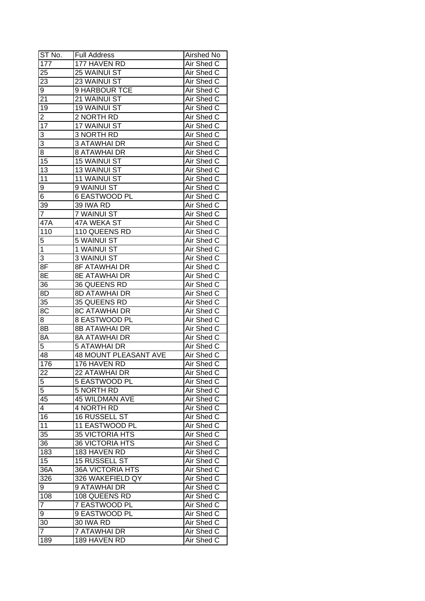| ST No.           | <b>Full Address</b>                | Airshed No |
|------------------|------------------------------------|------------|
| 177              | 177 HAVEN RD                       | Air Shed C |
| 25               | 25 WAINUI ST                       | Air Shed C |
| 23               | 23 WAINUI ST                       | Air Shed C |
| 9                | 9 HARBOUR TCE                      | Air Shed C |
| 21               | 21 WAINUI ST                       | Air Shed C |
| 19               | <b>19 WAINUI ST</b>                | Air Shed C |
| 2                | 2 NORTH RD                         | Air Shed C |
| 17               | 17 WAINUI ST                       | Air Shed C |
| 3                | 3 NORTH RD                         | Air Shed C |
| 3                | <b>3 ATAWHAI DR</b>                | Air Shed C |
| 8                | <b>8 ATAWHAI DR</b>                | Air Shed C |
| 15               | 15 WAINUI ST                       | Air Shed C |
| 13               | 13 WAINUI ST                       | Air Shed C |
| 11               | <b>11 WAINUI ST</b>                | Air Shed C |
| 9                | 9 WAINUI ST                        | Air Shed C |
| 6                | 6 EASTWOOD PL                      | Air Shed C |
| 39               | 39 IWA RD                          | Air Shed C |
| $\overline{7}$   | <b>7 WAINUI ST</b>                 | Air Shed C |
| 47A              | 47A WEKA ST                        | Air Shed C |
| 110              | 110 QUEENS RD                      | Air Shed C |
| 5                | 5 WAINUI ST                        | Air Shed C |
| 1                | 1 WAINUI ST                        | Air Shed C |
| 3                | 3 WAINUI ST                        | Air Shed C |
| 8F               | <b>8F ATAWHAI DR</b>               | Air Shed C |
| 8E               | <b>8E ATAWHAI DR</b>               | Air Shed C |
| 36               | 36 QUEENS RD                       | Air Shed C |
| 8D               | 8D ATAWHAI DR                      | Air Shed C |
| 35               | 35 QUEENS RD                       | Air Shed C |
| $8\overline{C}$  | <b>8C ATAWHAI DR</b>               | Air Shed C |
| 8                | 8 EASTWOOD PL                      | Air Shed C |
| 8B               | <b>8B ATAWHAI DR</b>               | Air Shed C |
| 8A               | <b>8A ATAWHAI DR</b>               | Air Shed C |
| 5                | <b>5 ATAWHAI DR</b>                | Air Shed C |
| 48               | <b>48 MOUNT PLEASANT AVE</b>       | Air Shed C |
| 176              | 176 HAVEN RD                       | Air Shed C |
| $\overline{22}$  | <b>22 ATAWHAI DR</b>               | Air Shed C |
| 5                | 5 EASTWOOD PL                      | Air Shed C |
| 5                | 5 NORTH RD                         | Air Shed C |
| 45               | <b>45 WILDMAN AVE</b>              | Air Shed C |
| 4                | 4 NORTH RD                         | Air Shed C |
| 16               | 16 RUSSELL ST                      | Air Shed C |
| 11               |                                    | Air Shed C |
|                  | 11 EASTWOOD PL                     |            |
| 35               | 35 VICTORIA HTS<br>36 VICTORIA HTS | Air Shed C |
| 36               |                                    | Air Shed C |
| 183              | 183 HAVEN RD                       | Air Shed C |
| 15               | 15 RUSSELL ST                      | Air Shed C |
| $36\overline{A}$ | <b>36A VICTORIA HTS</b>            | Air Shed C |
| 326              | 326 WAKEFIELD QY                   | Air Shed C |
| 9                | 9 ATAWHAI DR                       | Air Shed C |
| 108              | 108 QUEENS RD                      | Air Shed C |
| $\overline{7}$   | 7 EASTWOOD PL                      | Air Shed C |
| 9                | 9 EASTWOOD PL                      | Air Shed C |
| 30               | 30 IWA RD                          | Air Shed C |
| $\overline{7}$   | <b>7 ATAWHAI DR</b>                | Air Shed C |
| 189              | 189 HAVEN RD                       | Air Shed C |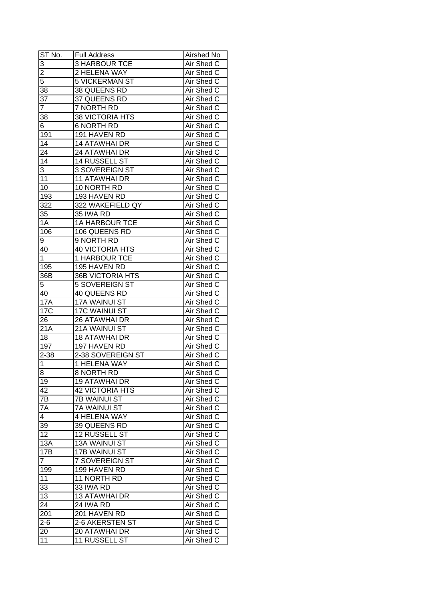| ST No.          | <b>Full Address</b>     | Airshed No        |
|-----------------|-------------------------|-------------------|
| $\overline{3}$  | <b>3 HARBOUR TCE</b>    | Air Shed C        |
| $\overline{2}$  | 2 HELENA WAY            | Air Shed C        |
| 5               | <b>5 VICKERMAN ST</b>   | Air Shed C        |
| 38              | 38 QUEENS RD            | Air Shed C        |
| 37              | 37 QUEENS RD            | Air Shed C        |
| $\overline{7}$  | 7 NORTH RD              | Air Shed C        |
| 38              | 38 VICTORIA HTS         | Air Shed C        |
| 6               | <b>6 NORTH RD</b>       | Air Shed C        |
| 191             | 191 HAVEN RD            | Air Shed C        |
| 14              | <b>14 ATAWHAI DR</b>    | Air Shed C        |
| 24              | <b>24 ATAWHAI DR</b>    | Air Shed C        |
| 14              | 14 RUSSELL ST           | Air Shed C        |
| 3               | 3 SOVEREIGN ST          | Air Shed C        |
| 11              | <b>11 ATAWHAI DR</b>    | Air Shed C        |
| 10              | 10 NORTH RD             | Air Shed C        |
| 193             | 193 HAVEN RD            | Air Shed C        |
| 322             | 322 WAKEFIELD QY        | Air Shed C        |
| 35              | 35 IWA RD               | Air Shed C        |
| 1A              | <b>1A HARBOUR TCE</b>   | Air Shed C        |
| 106             | 106 QUEENS RD           | Air Shed C        |
| 9               | 9 NORTH RD              | Air Shed C        |
| 40              | <b>40 VICTORIA HTS</b>  | Air Shed C        |
| 1               | 1 HARBOUR TCE           | Air Shed C        |
| 195             | 195 HAVEN RD            | Air Shed C        |
| 36B             | <b>36B VICTORIA HTS</b> | Air Shed C        |
| 5               | 5 SOVEREIGN ST          | Air Shed C        |
| 40              | 40 QUEENS RD            | Air Shed C        |
| <b>17A</b>      | 17A WAINUI ST           | Air Shed C        |
| 17 <sub>C</sub> | 17C WAINUI ST           | Air Shed C        |
| 26              | 26 ATAWHAI DR           | Air Shed C        |
| 21A             | 21A WAINUI ST           | Air Shed C        |
| 18              | <b>18 ATAWHAI DR</b>    | Air Shed C        |
| 197             | 197 HAVEN RD            | <b>Air Shed C</b> |
| $2 - 38$        | 2-38 SOVEREIGN ST       | Air Shed C        |
| $\mathbf 1$     | 1 HELENA WAY            | Air Shed C        |
| $\overline{8}$  | <b>8 NORTH RD</b>       | Air Shed C        |
| 19              | <b>19 ATAWHAI DR</b>    | Air Shed C        |
| 42              | <b>42 VICTORIA HTS</b>  | Air Shed C        |
| 7B              | 7B WAINUI ST            | Air Shed C        |
| 7A              | <b>7A WAINUI ST</b>     | Air Shed C        |
| 4               | 4 HELENA WAY            | Air Shed C        |
| 39              | 39 QUEENS RD            | Air Shed C        |
| 12              | 12 RUSSELL ST           | Air Shed C        |
| 13A             | <b>13A WAINUI ST</b>    | Air Shed C        |
| 17B             | 17B WAINUI ST           | Air Shed C        |
| $\overline{7}$  | 7 SOVEREIGN ST          | Air Shed C        |
| 199             | 199 HAVEN RD            | Air Shed C        |
| 11              | 11 NORTH RD             | Air Shed C        |
| 33              | 33 IWA RD               | Air Shed C        |
| 13              | <b>13 ATAWHAI DR</b>    | Air Shed C        |
| $2\overline{4}$ | 24 IWA RD               | Air Shed C        |
| 201             | 201 HAVEN RD            | Air Shed C        |
| $2 - 6$         | 2-6 AKERSTEN ST         | Air Shed C        |
| 20              | 20 ATAWHAI DR           | Air Shed C        |
| 11              | 11 RUSSELL ST           | Air Shed C        |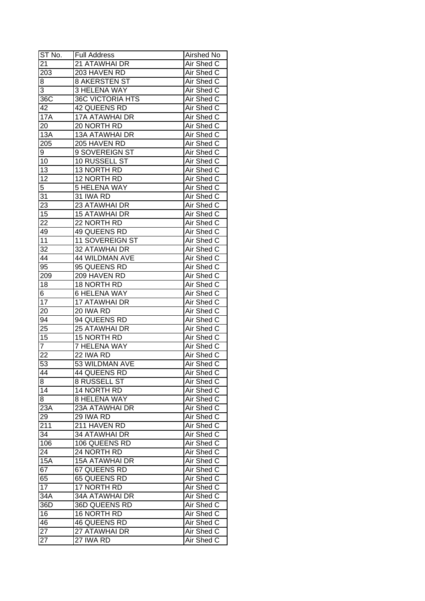| ST No.          | <b>Full Address</b>     | Airshed No        |
|-----------------|-------------------------|-------------------|
| 21              | 21 ATAWHAI DR           | Air Shed C        |
| 203             | 203 HAVEN RD            | Air Shed C        |
| 8               | <b>8 AKERSTEN ST</b>    | Air Shed C        |
| 3               | <b>3 HELENA WAY</b>     | Air Shed C        |
| 36C             | <b>36C VICTORIA HTS</b> | Air Shed C        |
| 42              | 42 QUEENS RD            | Air Shed C        |
| <b>17A</b>      | <b>17A ATAWHAI DR</b>   | Air Shed C        |
| 20              | 20 NORTH RD             | Air Shed C        |
| 13A             | 13A ATAWHAI DR          | Air Shed C        |
| 205             | 205 HAVEN RD            | Air Shed C        |
| 9               | 9 SOVEREIGN ST          | Air Shed C        |
| 10              | 10 RUSSELL ST           | Air Shed C        |
| 13              | 13 NORTH RD             | Air Shed C        |
| $\overline{12}$ | 12 NORTH RD             | Air Shed C        |
| $\overline{5}$  | <b>5 HELENA WAY</b>     | Air Shed C        |
| 31              | 31 IWA RD               | Air Shed C        |
| 23              | 23 ATAWHAI DR           | Air Shed C        |
| 15              | <b>15 ATAWHAI DR</b>    | Air Shed C        |
| 22              | 22 NORTH RD             | Air Shed C        |
| 49              | 49 QUEENS RD            | Air Shed C        |
| 11              | <b>11 SOVEREIGN ST</b>  | Air Shed C        |
| 32              | 32 ATAWHAI DR           | Air Shed C        |
| 44              | <b>44 WILDMAN AVE</b>   | Air Shed C        |
| 95              | 95 QUEENS RD            | Air Shed C        |
| 209             | 209 HAVEN RD            | Air Shed C        |
| 18              | 18 NORTH RD             | Air Shed C        |
| 6               | <b>6 HELENA WAY</b>     | Air Shed C        |
| 17              | 17 ATAWHAI DR           | Air Shed C        |
| 20              | 20 IWA RD               | Air Shed C        |
| 94              | 94 QUEENS RD            | Air Shed C        |
| 25              | 25 ATAWHAI DR           | Air Shed C        |
| 15              | 15 NORTH RD             | Air Shed C        |
| $\overline{7}$  | <b>7 HELENA WAY</b>     | Air Shed C        |
| $\overline{22}$ | 22 IWA RD               | Air Shed C        |
| 53              | 53 WILDMAN AVE          | <b>Air Shed C</b> |
| 44              | 44 QUEENS RD            | Air Shed C        |
| 8               | <b>8 RUSSELL ST</b>     | Air Shed C        |
| 14              | 14 NORTH RD             | Air Shed C        |
| 8               | <b>8 HELENA WAY</b>     | Air Shed C        |
| 23A             | 23A ATAWHAI DR          | Air Shed C        |
| 29              | 29 IWA RD               | Air Shed C        |
| 211             | 211 HAVEN RD            | Air Shed C        |
| 34              | 34 ATAWHAI DR           | Air Shed C        |
| 106             | 106 QUEENS RD           | Air Shed C        |
| 24              | 24 NORTH RD             | Air Shed C        |
| 15A             | <b>15A ATAWHAI DR</b>   | Air Shed C        |
| 67              | 67 QUEENS RD            | Air Shed C        |
| 65              | 65 QUEENS RD            | Air Shed C        |
| 17              | 17 NORTH RD             | Air Shed C        |
| 34A             | <b>34A ATAWHAI DR</b>   | Air Shed C        |
| 36D             | 36D QUEENS RD           | Air Shed C        |
| 16              | 16 NORTH RD             | Air Shed C        |
| 46              | 46 QUEENS RD            | Air Shed C        |
| 27              | 27 ATAWHAI DR           | Air Shed C        |
| 27              | 27 IWA RD               | Air Shed C        |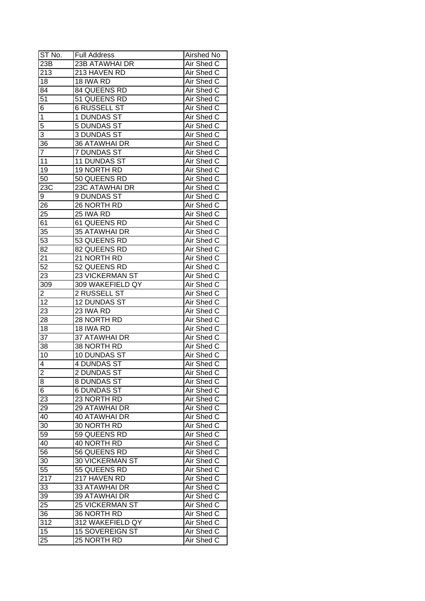| ST No.           | <b>Full Address</b>    | Airshed No        |
|------------------|------------------------|-------------------|
| 23B              | <b>23B ATAWHAI DR</b>  | Air Shed C        |
| 213              | 213 HAVEN RD           | Air Shed C        |
| 18               | 18 IWA RD              | Air Shed C        |
| 84               | 84 QUEENS RD           | Air Shed C        |
| $5\overline{1}$  | 51 QUEENS RD           | Air Shed C        |
| 6                | <b>6 RUSSELL ST</b>    | Air Shed C        |
| 1                | 1 DUNDAS ST            | Air Shed C        |
| 5                | 5 DUNDAS ST            | Air Shed C        |
| 3                | <b>3 DUNDAS ST</b>     | Air Shed C        |
| 36               | 36 ATAWHAI DR          | Air Shed C        |
| 7                | 7 DUNDAS ST            | Air Shed C        |
| 11               | 11 DUNDAS ST           | Air Shed C        |
| 19               | 19 NORTH RD            | Air Shed C        |
| 50               | 50 QUEENS RD           | Air Shed C        |
| 23C              | 23C ATAWHAI DR         | Air Shed C        |
| 9                | 9 DUNDAS ST            | Air Shed C        |
| 26               | 26 NORTH RD            | Air Shed C        |
| $2\overline{5}$  | 25 IWA RD              | Air Shed C        |
| 61               | 61 QUEENS RD           | Air Shed C        |
| 35               | 35 ATAWHAI DR          | Air Shed C        |
| 53               | 53 QUEENS RD           | Air Shed C        |
| 82               | 82 QUEENS RD           | Air Shed C        |
| 21               | 21 NORTH RD            | Air Shed C        |
| $5\overline{2}$  | 52 QUEENS RD           | Air Shed C        |
| 23               | 23 VICKERMAN ST        | Air Shed C        |
| 309              | 309 WAKEFIELD QY       | Air Shed C        |
| 2                | 2 RUSSELL ST           | Air Shed C        |
| 12               | 12 DUNDAS ST           | Air Shed C        |
| 23               | 23 IWA RD              | Air Shed C        |
| 28               | 28 NORTH RD            | Air Shed C        |
| 18               | 18 IWA RD              | Air Shed C        |
| 37               | <b>37 ATAWHAI DR</b>   | Air Shed C        |
| 38               | 38 NORTH RD            | Air Shed C        |
| 10               | <b>10 DUNDAS ST</b>    | Air Shed C        |
| 4                | <b>4 DUNDAS ST</b>     | <b>Air Shed C</b> |
| $\overline{2}$   | <b>2 DUNDAS ST</b>     | Air Shed C        |
| 8                | 8 DUNDAS ST            | Air Shed C        |
| 6                | <b>6 DUNDAS ST</b>     | Air Shed C        |
| 23               | 23 NORTH RD            | Air Shed C        |
| 29               | 29 ATAWHAI DR          | Air Shed C        |
| 40               | <b>40 ATAWHAI DR</b>   | Air Shed C        |
| 30               | 30 NORTH RD            | Air Shed C        |
| 59               | 59 QUEENS RD           | Air Shed C        |
| 40               | 40 NORTH RD            | Air Shed C        |
| 56               | 56 QUEENS RD           | Air Shed C        |
| 30               | <b>30 VICKERMAN ST</b> | Air Shed C        |
| 55               | 55 QUEENS RD           | Air Shed C        |
| $21\overline{7}$ | 217 HAVEN RD           | Air Shed C        |
| 33               | 33 ATAWHAI DR          | Air Shed C        |
| 39               | 39 ATAWHAI DR          | Air Shed C        |
| 25               |                        |                   |
|                  | <b>25 VICKERMAN ST</b> | Air Shed C        |
| 36               | 36 NORTH RD            | Air Shed C        |
| 312              | 312 WAKEFIELD QY       | Air Shed C        |
| 15               | 15 SOVEREIGN ST        | Air Shed C        |
| 25               | 25 NORTH RD            | Air Shed C        |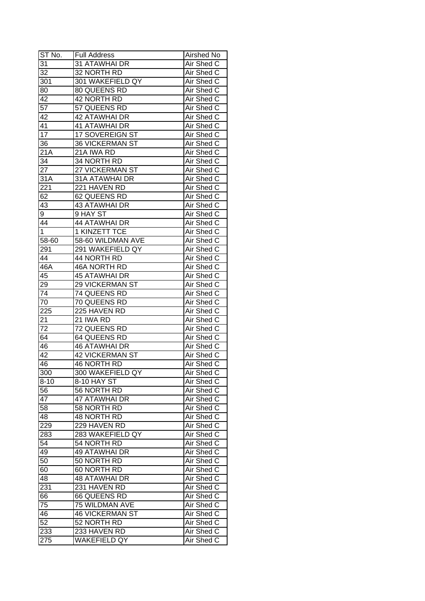| ST No.           | <b>Full Address</b>    | Airshed No        |
|------------------|------------------------|-------------------|
| 31               | 31 ATAWHAI DR          | Air Shed C        |
| 32               | 32 NORTH RD            | Air Shed C        |
| 301              | 301 WAKEFIELD QY       | Air Shed C        |
| 80               | 80 QUEENS RD           | Air Shed C        |
| 42               | 42 NORTH RD            | Air Shed C        |
| 57               | 57 QUEENS RD           | Air Shed C        |
| 42               | <b>42 ATAWHAI DR</b>   | Air Shed C        |
| 41               | <b>41 ATAWHAI DR</b>   | Air Shed C        |
| 17               | 17 SOVEREIGN ST        | Air Shed C        |
| 36               | <b>36 VICKERMAN ST</b> | Air Shed C        |
| 21A              | 21A IWA RD             | Air Shed C        |
| 34               | 34 NORTH RD            | Air Shed C        |
| 27               | 27 VICKERMAN ST        | Air Shed C        |
| 31A              | 31A ATAWHAI DR         | Air Shed C        |
| 221              | 221 HAVEN RD           | Air Shed C        |
| 62               | 62 QUEENS RD           | Air Shed C        |
| 43               | <b>43 ATAWHAI DR</b>   | Air Shed C        |
| 9                | 9 HAY ST               | Air Shed C        |
| 44               | <b>44 ATAWHAI DR</b>   | Air Shed C        |
| $\mathbf{1}$     | 1 KINZETT TCE          | Air Shed C        |
| 58-60            | 58-60 WILDMAN AVE      | Air Shed C        |
| 291              | 291 WAKEFIELD QY       | Air Shed C        |
| 44               | 44 NORTH RD            | Air Shed C        |
| 46A              | 46A NORTH RD           | Air Shed C        |
| 45               | <b>45 ATAWHAI DR</b>   | Air Shed C        |
| 29               | <b>29 VICKERMAN ST</b> | Air Shed C        |
| 74               | 74 QUEENS RD           | Air Shed C        |
| 70               | 70 QUEENS RD           | Air Shed C        |
| $\overline{225}$ | 225 HAVEN RD           | Air Shed C        |
| 21               | 21 IWA RD              | Air Shed C        |
| 72               | 72 QUEENS RD           | Air Shed C        |
| 64               | <b>64 QUEENS RD</b>    | Air Shed C        |
| 46               | <b>46 ATAWHAI DR</b>   | Air Shed C        |
| $\overline{42}$  | <b>42 VICKERMAN ST</b> | Air Shed C        |
| 46               | <b>46 NORTH RD</b>     | <b>Air Shed C</b> |
| 300              | 300 WAKEFIELD QY       | Air Shed C        |
| $8 - 10$         | 8-10 HAY ST            | Air Shed C        |
| 56               | 56 NORTH RD            | Air Shed C        |
| 47               | 47 ATAWHAI DR          | Air Shed C        |
| 58               | 58 NORTH RD            | Air Shed C        |
| 48               | 48 NORTH RD            | Air Shed C        |
| 229              | 229 HAVEN RD           | Air Shed C        |
| 283              | 283 WAKEFIELD QY       | Air Shed C        |
| 54               | 54 NORTH RD            | Air Shed C        |
| 49               | <b>49 ATAWHAI DR</b>   | Air Shed C        |
| 50               | 50 NORTH RD            | Air Shed C        |
| 60               | 60 NORTH RD            | Air Shed C        |
| 48               | <b>48 ATAWHAI DR</b>   | Air Shed C        |
| 231              | 231 HAVEN RD           | Air Shed C        |
| 66               | 66 QUEENS RD           | Air Shed C        |
| 75               | 75 WILDMAN AVE         | Air Shed C        |
| 46               | <b>46 VICKERMAN ST</b> | Air Shed C        |
| 52               | 52 NORTH RD            | Air Shed C        |
| 233              | 233 HAVEN RD           | Air Shed C        |
| 275              | <b>WAKEFIELD QY</b>    | Air Shed C        |
|                  |                        |                   |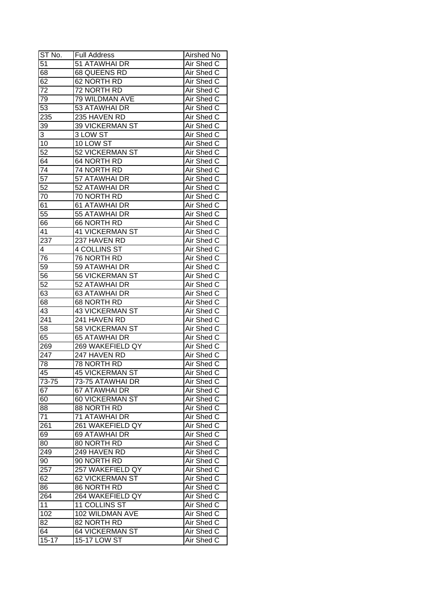| ST No.           | <b>Full Address</b>    | Airshed No        |
|------------------|------------------------|-------------------|
| 51               | 51 ATAWHAI DR          | Air Shed C        |
| 68               | 68 QUEENS RD           | Air Shed C        |
| 62               | 62 NORTH RD            | Air Shed C        |
| 72               | 72 NORTH RD            | Air Shed C        |
| 79               | 79 WILDMAN AVE         | Air Shed C        |
| 53               | 53 ATAWHAI DR          | Air Shed C        |
| 235              | 235 HAVEN RD           | Air Shed C        |
| 39               | <b>39 VICKERMAN ST</b> | Air Shed C        |
| 3                | 3 LOW ST               | Air Shed C        |
| 10               | 10 LOW ST              | Air Shed C        |
| 52               | 52 VICKERMAN ST        | Air Shed C        |
| 64               | 64 NORTH RD            | Air Shed C        |
| 74               | 74 NORTH RD            | Air Shed C        |
| $\overline{57}$  | 57 ATAWHAI DR          | Air Shed C        |
| $\overline{52}$  | 52 ATAWHAI DR          | Air Shed C        |
| 70               | 70 NORTH RD            | Air Shed C        |
| 61               | 61 ATAWHAI DR          | Air Shed C        |
| 55               | 55 ATAWHAI DR          | Air Shed C        |
| 66               | 66 NORTH RD            | Air Shed C        |
| 41               | <b>41 VICKERMAN ST</b> | Air Shed C        |
| 237              | 237 HAVEN RD           | Air Shed C        |
|                  | 4 COLLINS ST           | Air Shed C        |
| 4                |                        |                   |
| 76               | 76 NORTH RD            | Air Shed C        |
| 59               | 59 ATAWHAI DR          | Air Shed C        |
| 56               | 56 VICKERMAN ST        | Air Shed C        |
| 52               | 52 ATAWHAI DR          | Air Shed C        |
| 63               | 63 ATAWHAI DR          | Air Shed C        |
| 68               | 68 NORTH RD            | Air Shed C        |
| 43               | <b>43 VICKERMAN ST</b> | Air Shed C        |
| 241              | 241 HAVEN RD           | Air Shed C        |
| 58               | <b>58 VICKERMAN ST</b> | Air Shed C        |
| 65               | 65 ATAWHAI DR          | Air Shed C        |
| 269              | 269 WAKEFIELD QY       | Air Shed C        |
| $\overline{247}$ | 247 HAVEN RD           | Air Shed C        |
| 78               | <b>78 NORTH RD</b>     | <b>Air Shed C</b> |
| 45               | <b>45 VICKERMAN ST</b> | Air Shed C        |
| 73-75            | 73-75 ATAWHAI DR       | Air Shed C        |
| 67               | 67 ATAWHAI DR          | Air Shed C        |
| 60               | 60 VICKERMAN ST        | Air Shed C        |
| 88               | 88 NORTH RD            | Air Shed C        |
| 71               | 71 ATAWHAI DR          | Air Shed C        |
| 261              | 261 WAKEFIELD QY       | Air Shed C        |
| 69               | 69 ATAWHAI DR          | Air Shed C        |
| 80               | 80 NORTH RD            | Air Shed C        |
| 249              | 249 HAVEN RD           | Air Shed C        |
| 90               | 90 NORTH RD            | Air Shed C        |
| 257              | 257 WAKEFIELD QY       | Air Shed C        |
| 62               | 62 VICKERMAN ST        | Air Shed C        |
| 86               | 86 NORTH RD            | Air Shed C        |
| 264              | 264 WAKEFIELD QY       | Air Shed C        |
| 11               | 11 COLLINS ST          | Air Shed C        |
| 102              | 102 WILDMAN AVE        | Air Shed C        |
| 82               | 82 NORTH RD            | Air Shed C        |
| 64               | 64 VICKERMAN ST        | Air Shed C        |
| $15 - 17$        | 15-17 LOW ST           | Air Shed C        |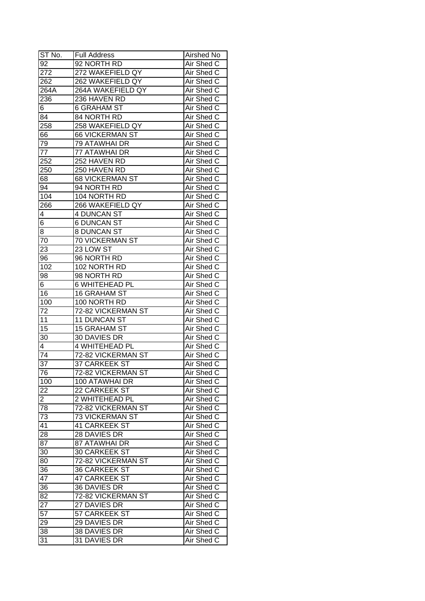| ST No.          | <b>Full Address</b>    | Airshed No        |
|-----------------|------------------------|-------------------|
| $\overline{92}$ | 92 NORTH RD            | Air Shed C        |
| 272             | 272 WAKEFIELD QY       | Air Shed C        |
| 262             | 262 WAKEFIELD QY       | Air Shed C        |
| 264A            | 264A WAKEFIELD QY      | Air Shed C        |
| 236             | 236 HAVEN RD           | Air Shed C        |
| 6               | 6 GRAHAM ST            | Air Shed C        |
| 84              | 84 NORTH RD            | Air Shed C        |
| 258             | 258 WAKEFIELD QY       | Air Shed C        |
| 66              | <b>66 VICKERMAN ST</b> | Air Shed C        |
| 79              | 79 ATAWHAI DR          | Air Shed C        |
| 77              | 77 ATAWHAI DR          | Air Shed C        |
| 252             | 252 HAVEN RD           | Air Shed C        |
| 250             | 250 HAVEN RD           | Air Shed C        |
| 68              | <b>68 VICKERMAN ST</b> | Air Shed C        |
| 94              | 94 NORTH RD            | Air Shed C        |
|                 | 104 NORTH RD           | Air Shed C        |
| 104             |                        |                   |
| 266             | 266 WAKEFIELD QY       | Air Shed C        |
| 4               | 4 DUNCAN ST            | Air Shed C        |
| 6               | <b>6 DUNCAN ST</b>     | Air Shed C        |
| 8               | 8 DUNCAN ST            | Air Shed C        |
| 70              | 70 VICKERMAN ST        | Air Shed C        |
| 23              | 23 LOW ST              | Air Shed C        |
| 96              | 96 NORTH RD            | Air Shed C        |
| 102             | 102 NORTH RD           | Air Shed C        |
| 98              | 98 NORTH RD            | Air Shed C        |
| 6.              | 6 WHITEHEAD PL         | Air Shed C        |
| 16              | <b>16 GRAHAM ST</b>    | Air Shed C        |
| 100             | 100 NORTH RD           | Air Shed C        |
| 72              | 72-82 VICKERMAN ST     | Air Shed C        |
| 11              | 11 DUNCAN ST           | Air Shed C        |
| 15              | 15 GRAHAM ST           | Air Shed C        |
| 30              | <b>30 DAVIES DR</b>    | Air Shed C        |
| 4               | 4 WHITEHEAD PL         | Air Shed C        |
| $\overline{74}$ | 72-82 VICKERMAN ST     | Air Shed C        |
| $\overline{37}$ | <b>37 CARKEEK ST</b>   | <b>Air Shed C</b> |
| 76              | 72-82 VICKERMAN ST     | Air Shed C        |
| 100             | 100 ATAWHAI DR         | Air Shed C        |
| 22              | 22 CARKEEK ST          | Air Shed C        |
| $\overline{c}$  | 2 WHITEHEAD PL         | Air Shed C        |
| 78              | 72-82 VICKERMAN ST     | Air Shed C        |
| 73              | <b>73 VICKERMAN ST</b> | Air Shed C        |
| 41              | 41 CARKEEK ST          | Air Shed C        |
| 28              | 28 DAVIES DR           | Air Shed C        |
| $8\overline{7}$ | 87 ATAWHAI DR          | Air Shed C        |
| 30              | 30 CARKEEK ST          | Air Shed C        |
| 80              | 72-82 VICKERMAN ST     | Air Shed C        |
| 36              | 36 CARKEEK ST          | Air Shed C        |
| 47              | <b>47 CARKEEK ST</b>   | Air Shed C        |
| 36              | 36 DAVIES DR           | Air Shed C        |
| 82              | 72-82 VICKERMAN ST     | Air Shed C        |
| 27              | 27 DAVIES DR           | Air Shed C        |
| 57              | 57 CARKEEK ST          | Air Shed C        |
| 29              | 29 DAVIES DR           | Air Shed C        |
| 38              | 38 DAVIES DR           | Air Shed C        |
| 31              | 31 DAVIES DR           | Air Shed C        |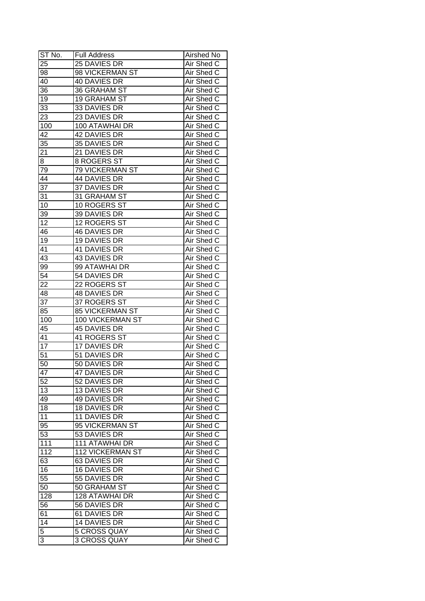| ST No.          | <b>Full Address</b>    | Airshed No        |
|-----------------|------------------------|-------------------|
| 25              | 25 DAVIES DR           | Air Shed C        |
| 98              | 98 VICKERMAN ST        | Air Shed C        |
| 40              | 40 DAVIES DR           | Air Shed C        |
| 36              | <b>36 GRAHAM ST</b>    | Air Shed C        |
| 19              | <b>19 GRAHAM ST</b>    | Air Shed C        |
| 33              | 33 DAVIES DR           | Air Shed C        |
| 23              | 23 DAVIES DR           | Air Shed C        |
| 100             | 100 ATAWHAI DR         | Air Shed C        |
| 42              | 42 DAVIES DR           | Air Shed C        |
| 35              | 35 DAVIES DR           | Air Shed C        |
| 21              | 21 DAVIES DR           | Air Shed C        |
| 8               | 8 ROGERS ST            | Air Shed C        |
| 79              | 79 VICKERMAN ST        | Air Shed C        |
| 44              | 44 DAVIES DR           | Air Shed C        |
| $\overline{37}$ | 37 DAVIES DR           | Air Shed C        |
| 31              | 31 GRAHAM ST           | Air Shed C        |
| 10              | 10 ROGERS ST           | Air Shed C        |
| $3\overline{9}$ | 39 DAVIES DR           | Air Shed C        |
| 12              | 12 ROGERS ST           | Air Shed C        |
| 46              | 46 DAVIES DR           | Air Shed C        |
| 19              | 19 DAVIES DR           | Air Shed C        |
| 41              | 41 DAVIES DR           | Air Shed C        |
| 43              | 43 DAVIES DR           | Air Shed C        |
| 99              | 99 ATAWHAI DR          | Air Shed C        |
| 54              | 54 DAVIES DR           | Air Shed C        |
| 22              | 22 ROGERS ST           | Air Shed C        |
| 48              | 48 DAVIES DR           | Air Shed C        |
| 37              | 37 ROGERS ST           | Air Shed C        |
| 85              | <b>85 VICKERMAN ST</b> | Air Shed C        |
| 100             | 100 VICKERMAN ST       | Air Shed C        |
| 45              | 45 DAVIES DR           | Air Shed C        |
| 41              | 41 ROGERS ST           | Air Shed C        |
| $\overline{17}$ | <b>17 DAVIES DR</b>    | Air Shed C        |
| $\overline{51}$ | 51 DAVIES DR           | Air Shed C        |
| 50              | 50 DAVIES DR           | <b>Air Shed C</b> |
| 47              | <b>47 DAVIES DR</b>    | Air Shed C        |
| 52              | 52 DAVIES DR           | Air Shed C        |
| 13              | 13 DAVIES DR           | Air Shed C        |
| 49              | 49 DAVIES DR           | Air Shed C        |
| 18              | 18 DAVIES DR           | Air Shed C        |
| 11              | 11 DAVIES DR           | Air Shed C        |
| 95              | 95 VICKERMAN ST        | Air Shed C        |
| 53              | 53 DAVIES DR           | Air Shed C        |
| 111             | 111 ATAWHAI DR         | Air Shed C        |
| 112             | 112 VICKERMAN ST       | Air Shed C        |
|                 | <b>63 DAVIES DR</b>    | Air Shed C        |
| 63<br>16        | 16 DAVIES DR           | Air Shed C        |
|                 |                        |                   |
| 55              | 55 DAVIES DR           | Air Shed C        |
| 50              | 50 GRAHAM ST           | Air Shed C        |
| 128             | 128 ATAWHAI DR         | Air Shed C        |
| 56              | 56 DAVIES DR           | Air Shed C        |
| 61              | 61 DAVIES DR           | Air Shed C        |
| $1\overline{4}$ | 14 DAVIES DR           | Air Shed C        |
| 5               | 5 CROSS QUAY           | Air Shed C        |
| 3               | 3 CROSS QUAY           | Air Shed C        |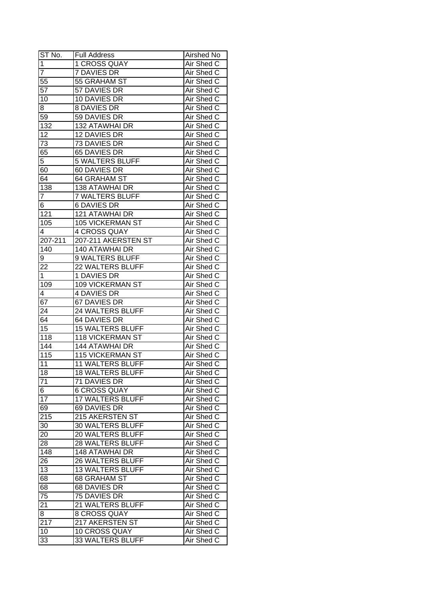| ST No.          | <b>Full Address</b>     | Airshed No |
|-----------------|-------------------------|------------|
| $\overline{1}$  | 1 CROSS QUAY            | Air Shed C |
| $\overline{7}$  | 7 DAVIES DR             | Air Shed C |
| $5\overline{5}$ | 55 GRAHAM ST            | Air Shed C |
| $5\overline{7}$ | 57 DAVIES DR            | Air Shed C |
| 10              | 10 DAVIES DR            | Air Shed C |
| 8               | 8 DAVIES DR             | Air Shed C |
| 59              | 59 DAVIES DR            | Air Shed C |
| 132             | <b>132 ATAWHAI DR</b>   | Air Shed C |
| 12              | 12 DAVIES DR            | Air Shed C |
| 73              | 73 DAVIES DR            | Air Shed C |
| 65              | 65 DAVIES DR            | Air Shed C |
| 5               | <b>5 WALTERS BLUFF</b>  | Air Shed C |
| 60              | 60 DAVIES DR            | Air Shed C |
| 64              | 64 GRAHAM ST            | Air Shed C |
| 138             | 138 ATAWHAI DR          | Air Shed C |
| 7               | <b>7 WALTERS BLUFF</b>  | Air Shed C |
| 6               | <b>6 DAVIES DR</b>      | Air Shed C |
| 121             | 121 ATAWHAI DR          | Air Shed C |
| 105             | <b>105 VICKERMAN ST</b> | Air Shed C |
| 4               | 4 CROSS QUAY            | Air Shed C |
| 207-211         | 207-211 AKERSTEN ST     | Air Shed C |
| 140             | <b>140 ATAWHAI DR</b>   | Air Shed C |
| 9               | 9 WALTERS BLUFF         | Air Shed C |
| 22              | 22 WALTERS BLUFF        | Air Shed C |
| 1               | 1 DAVIES DR             | Air Shed C |
| 109             | <b>109 VICKERMAN ST</b> | Air Shed C |
| 4               | 4 DAVIES DR             | Air Shed C |
| 67              | 67 DAVIES DR            | Air Shed C |
| 24              | 24 WALTERS BLUFF        | Air Shed C |
| 64              | 64 DAVIES DR            | Air Shed C |
| 15              | <b>15 WALTERS BLUFF</b> | Air Shed C |
| 118             | <b>118 VICKERMAN ST</b> | Air Shed C |
| 144             | <b>144 ATAWHAI DR</b>   | Air Shed C |
| 115             | <b>115 VICKERMAN ST</b> | Air Shed C |
| 11              | <b>11 WALTERS BLUFF</b> | Air Shed C |
| 18              | <b>18 WALTERS BLUFF</b> | Air Shed C |
| 71              | 71 DAVIES DR            | Air Shed C |
| 6               | <b>6 CROSS QUAY</b>     | Air Shed C |
| $\overline{17}$ | <b>17 WALTERS BLUFF</b> | Air Shed C |
| 69              | 69 DAVIES DR            | Air Shed C |
| 215             | 215 AKERSTEN ST         | Air Shed C |
| 30              | 30 WALTERS BLUFF        | Air Shed C |
| 20              | 20 WALTERS BLUFF        | Air Shed C |
| 28              | 28 WALTERS BLUFF        | Air Shed C |
| 148             | 148 ATAWHAI DR          | Air Shed C |
| 26              | 26 WALTERS BLUFF        | Air Shed C |
| 13              | 13 WALTERS BLUFF        | Air Shed C |
| 68              | <b>68 GRAHAM ST</b>     | Air Shed C |
| 68              | 68 DAVIES DR            | Air Shed C |
| 75              | 75 DAVIES DR            | Air Shed C |
| $2\overline{1}$ | 21 WALTERS BLUFF        | Air Shed C |
|                 |                         |            |
| $\bf{8}$        | 8 CROSS QUAY            | Air Shed C |
| 217             | 217 AKERSTEN ST         | Air Shed C |
| 10              | 10 CROSS QUAY           | Air Shed C |
| 33              | 33 WALTERS BLUFF        | Air Shed C |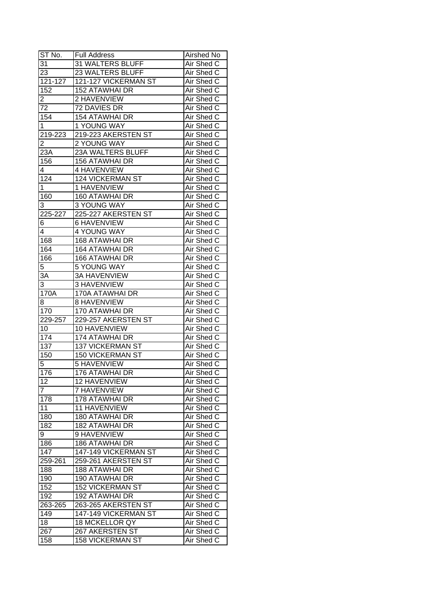| ST No.           | <b>Full Address</b>     | Airshed No |
|------------------|-------------------------|------------|
| 31               | 31 WALTERS BLUFF        | Air Shed C |
| 23               | 23 WALTERS BLUFF        | Air Shed C |
| 121-127          | 121-127 VICKERMAN ST    | Air Shed C |
| 152              | <b>152 ATAWHAI DR</b>   | Air Shed C |
| 2                | 2 HAVENVIEW             | Air Shed C |
| 72               | 72 DAVIES DR            | Air Shed C |
| 154              | <b>154 ATAWHAI DR</b>   | Air Shed C |
| 1                | 1 YOUNG WAY             | Air Shed C |
| 219-223          | 219-223 AKERSTEN ST     | Air Shed C |
| $\overline{2}$   | 2 YOUNG WAY             | Air Shed C |
| 23A              | 23A WALTERS BLUFF       | Air Shed C |
| 156              | 156 ATAWHAI DR          | Air Shed C |
| 4                | 4 HAVENVIEW             | Air Shed C |
| 124              | <b>124 VICKERMAN ST</b> | Air Shed C |
| 1                | 1 HAVENVIEW             | Air Shed C |
| 160              | 160 ATAWHAI DR          | Air Shed C |
| 3                | <b>3 YOUNG WAY</b>      | Air Shed C |
| 225-227          | 225-227 AKERSTEN ST     | Air Shed C |
| 6                | <b>6 HAVENVIEW</b>      | Air Shed C |
| 4                | 4 YOUNG WAY             | Air Shed C |
| 168              | <b>168 ATAWHAI DR</b>   | Air Shed C |
| 164              | <b>164 ATAWHAI DR</b>   | Air Shed C |
| 166              | <b>166 ATAWHAI DR</b>   | Air Shed C |
| 5                | <b>5 YOUNG WAY</b>      | Air Shed C |
| 3A               | <b>3A HAVENVIEW</b>     | Air Shed C |
| 3                | 3 HAVENVIEW             | Air Shed C |
| 170A             | 170A ATAWHAI DR         | Air Shed C |
| 8                | 8 HAVENVIEW             | Air Shed C |
| 170              | 170 ATAWHAI DR          | Air Shed C |
| 229-257          | 229-257 AKERSTEN ST     | Air Shed C |
| 10               | 10 HAVENVIEW            | Air Shed C |
| 174              | 174 ATAWHAI DR          | Air Shed C |
| 137              | <b>137 VICKERMAN ST</b> | Air Shed C |
| $\overline{150}$ | <b>150 VICKERMAN ST</b> | Air Shed C |
| 5                | <b>5 HAVENVIEW</b>      | Air Shed C |
| 176              | 176 ATAWHAI DR          | Air Shed C |
| 12               | 12 HAVENVIEW            | Air Shed C |
| $\overline{7}$   | 7 HAVENVIEW             | Air Shed C |
| 178              | 178 ATAWHAI DR          | Air Shed C |
| 11               | <b>11 HAVENVIEW</b>     | Air Shed C |
| 180              | 180 ATAWHAI DR          | Air Shed C |
| 182              | 182 ATAWHAI DR          | Air Shed C |
| 9                | 9 HAVENVIEW             | Air Shed C |
| 186              | 186 ATAWHAI DR          | Air Shed C |
| 147              | 147-149 VICKERMAN ST    | Air Shed C |
| 259-261          | 259-261 AKERSTEN ST     | Air Shed C |
| 188              | <b>188 ATAWHAI DR</b>   | Air Shed C |
| 190              | 190 ATAWHAI DR          | Air Shed C |
| 152              | <b>152 VICKERMAN ST</b> | Air Shed C |
| 192              | 192 ATAWHAI DR          | Air Shed C |
| 263-265          | 263-265 AKERSTEN ST     | Air Shed C |
| 149              | 147-149 VICKERMAN ST    | Air Shed C |
| 18               | 18 MCKELLOR QY          | Air Shed C |
| 267              | 267 AKERSTEN ST         | Air Shed C |
| 158              | <b>158 VICKERMAN ST</b> | Air Shed C |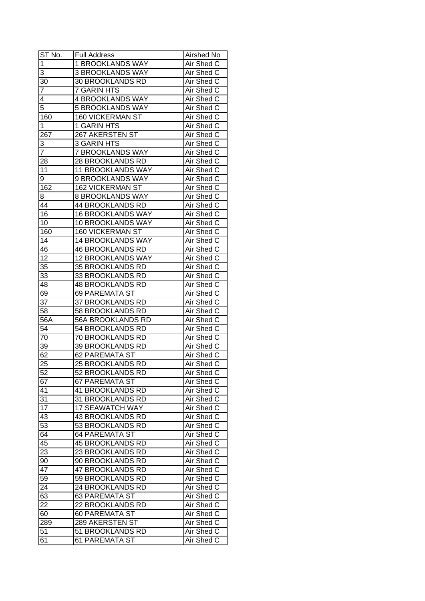| ST No.           | Full Address             | <b>Airshed No</b> |
|------------------|--------------------------|-------------------|
| $\overline{1}$   | 1 BROOKLANDS WAY         | Air Shed C        |
| 3                | <b>3 BROOKLANDS WAY</b>  | Air Shed C        |
| 30               | 30 BROOKLANDS RD         | Air Shed C        |
| $\overline{7}$   | <b>7 GARIN HTS</b>       | Air Shed C        |
| 4                | <b>4 BROOKLANDS WAY</b>  | Air Shed C        |
| 5                | 5 BROOKLANDS WAY         | Air Shed C        |
| 160              | <b>160 VICKERMAN ST</b>  | Air Shed C        |
| 1                | 1 GARIN HTS              | Air Shed C        |
| 267              | 267 AKERSTEN ST          | Air Shed C        |
| 3                | 3 GARIN HTS              | Air Shed C        |
| $\overline{7}$   | 7 BROOKLANDS WAY         | Air Shed C        |
| 28               | 28 BROOKLANDS RD         | Air Shed C        |
| 11               | <b>11 BROOKLANDS WAY</b> | Air Shed C        |
| 9                | 9 BROOKLANDS WAY         | Air Shed C        |
| 162              | <b>162 VICKERMAN ST</b>  | Air Shed C        |
| 8                | 8 BROOKLANDS WAY         | Air Shed C        |
| 44               | 44 BROOKLANDS RD         | Air Shed C        |
| 16               | <b>16 BROOKLANDS WAY</b> | Air Shed C        |
| 10               | 10 BROOKLANDS WAY        | Air Shed C        |
| 160              | <b>160 VICKERMAN ST</b>  | Air Shed C        |
| 14               | <b>14 BROOKLANDS WAY</b> | Air Shed C        |
| 46               | <b>46 BROOKLANDS RD</b>  | Air Shed C        |
| 12               | 12 BROOKLANDS WAY        | Air Shed C        |
| 35               | 35 BROOKLANDS RD         | Air Shed C        |
| 33               | 33 BROOKLANDS RD         | Air Shed C        |
| 48               | <b>48 BROOKLANDS RD</b>  | Air Shed C        |
| 69               | <b>69 PAREMATA ST</b>    | Air Shed C        |
| 37               | 37 BROOKLANDS RD         | Air Shed C        |
| 58               | 58 BROOKLANDS RD         | Air Shed C        |
| $56\overline{A}$ | 56A BROOKLANDS RD        | Air Shed C        |
| 54               | 54 BROOKLANDS RD         | Air Shed C        |
| 70               | 70 BROOKLANDS RD         | Air Shed C        |
| 39               | 39 BROOKLANDS RD         | Air Shed C        |
| 62               | <b>62 PAREMATA ST</b>    | Air Shed C        |
| 25               | 25 BROOKLANDS RD         | <b>Air Shed C</b> |
| 52               | <b>52 BROOKLANDS RD</b>  | Air Shed C        |
| 67               | <b>67 PAREMATA ST</b>    | Air Shed C        |
| 41               | <b>41 BROOKLANDS RD</b>  | Air Shed C        |
| 31               | 31 BROOKLANDS RD         | Air Shed C        |
| 17               | <b>17 SEAWATCH WAY</b>   | Air Shed C        |
| 43               | <b>43 BROOKLANDS RD</b>  | Air Shed C        |
| 53               | 53 BROOKLANDS RD         | Air Shed C        |
| 64               | <b>64 PAREMATA ST</b>    | Air Shed C        |
| 45               | <b>45 BROOKLANDS RD</b>  | Air Shed C        |
| 23               | 23 BROOKLANDS RD         | Air Shed C        |
| 90               | 90 BROOKLANDS RD         | Air Shed C        |
| 47               | 47 BROOKLANDS RD         | Air Shed C        |
| 59               | 59 BROOKLANDS RD         | Air Shed C        |
| 24               | 24 BROOKLANDS RD         | Air Shed C        |
| 63               | <b>63 PAREMATA ST</b>    | Air Shed C        |
| $2\overline{2}$  | 22 BROOKLANDS RD         | Air Shed C        |
| 60               | <b>60 PAREMATA ST</b>    | Air Shed C        |
| 289              | 289 AKERSTEN ST          | Air Shed C        |
| 51               | 51 BROOKLANDS RD         | Air Shed C        |
| 61               | 61 PAREMATA ST           | Air Shed C        |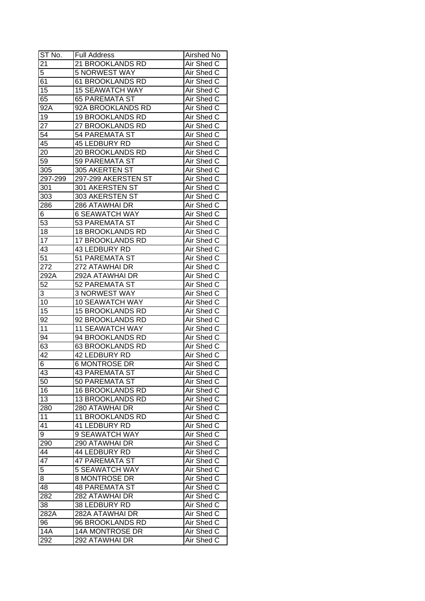| ST No.          | <b>Full Address</b>     | Airshed No        |
|-----------------|-------------------------|-------------------|
| 21              | 21 BROOKLANDS RD        | Air Shed C        |
| 5               | 5 NORWEST WAY           | Air Shed C        |
| 61              | 61 BROOKLANDS RD        | Air Shed C        |
| 15              | <b>15 SEAWATCH WAY</b>  | Air Shed C        |
| 65              | <b>65 PAREMATA ST</b>   | Air Shed C        |
| 92A             | 92A BROOKLANDS RD       | Air Shed C        |
| 19              | <b>19 BROOKLANDS RD</b> | Air Shed C        |
| 27              | 27 BROOKLANDS RD        | Air Shed C        |
| 54              | <b>54 PAREMATA ST</b>   | Air Shed C        |
| 45              | 45 LEDBURY RD           | Air Shed C        |
| 20              | 20 BROOKLANDS RD        | Air Shed C        |
| 59              | <b>59 PAREMATA ST</b>   | Air Shed C        |
| 305             | 305 AKERTEN ST          | Air Shed C        |
| 297-299         | 297-299 AKERSTEN ST     | Air Shed C        |
| 301             | 301 AKERSTEN ST         | Air Shed C        |
| 303             | 303 AKERSTEN ST         | Air Shed C        |
| 286             | 286 ATAWHAI DR          | Air Shed C        |
| 6               | <b>6 SEAWATCH WAY</b>   | Air Shed C        |
| 53              | 53 PAREMATA ST          | Air Shed C        |
| 18              | <b>18 BROOKLANDS RD</b> | Air Shed C        |
| 17              | <b>17 BROOKLANDS RD</b> | Air Shed C        |
| 43              | 43 LEDBURY RD           | Air Shed C        |
| 51              | 51 PAREMATA ST          | Air Shed C        |
| 272             | 272 ATAWHAI DR          | Air Shed C        |
| 292A            | 292A ATAWHAI DR         | Air Shed C        |
| 52              | 52 PAREMATA ST          | Air Shed C        |
| 3               | <b>3 NORWEST WAY</b>    | Air Shed C        |
| 10              | <b>10 SEAWATCH WAY</b>  | Air Shed C        |
| 15              | <b>15 BROOKLANDS RD</b> | Air Shed C        |
| 92              | 92 BROOKLANDS RD        | Air Shed C        |
| 11              | <b>11 SEAWATCH WAY</b>  | Air Shed C        |
| 94              | 94 BROOKLANDS RD        | Air Shed C        |
| 63              | 63 BROOKLANDS RD        | Air Shed C        |
| 42              | 42 LEDBURY RD           | Air Shed C        |
| 6               | <b>6 MONTROSE DR</b>    | <b>Air Shed C</b> |
| 43              | <b>43 PAREMATA ST</b>   | Air Shed C        |
| 50              | 50 PAREMATA ST          | Air Shed C        |
| 16              | 16 BROOKLANDS RD        | Air Shed C        |
| 13              | 13 BROOKLANDS RD        | Air Shed C        |
| 280             | 280 ATAWHAI DR          | Air Shed C        |
| 11              | <b>11 BROOKLANDS RD</b> | Air Shed C        |
| 41              | 41 LEDBURY RD           | Air Shed C        |
| 9               | 9 SEAWATCH WAY          | Air Shed C        |
| 290             | 290 ATAWHAI DR          | Air Shed C        |
| 44              | 44 LEDBURY RD           | Air Shed C        |
| $\overline{47}$ | <b>47 PAREMATA ST</b>   | Air Shed C        |
| 5               | <b>5 SEAWATCH WAY</b>   | Air Shed C        |
| 8               | <b>8 MONTROSE DR</b>    | Air Shed C        |
| 48              | <b>48 PAREMATA ST</b>   | Air Shed C        |
| 282             | 282 ATAWHAI DR          | Air Shed C        |
| 38              | 38 LEDBURY RD           | Air Shed C        |
| 282A            | 282A ATAWHAI DR         | Air Shed C        |
| 96              | 96 BROOKLANDS RD        | Air Shed C        |
| 14A             | 14A MONTROSE DR         | Air Shed C        |
| 292             | 292 ATAWHAI DR          | Air Shed C        |
|                 |                         |                   |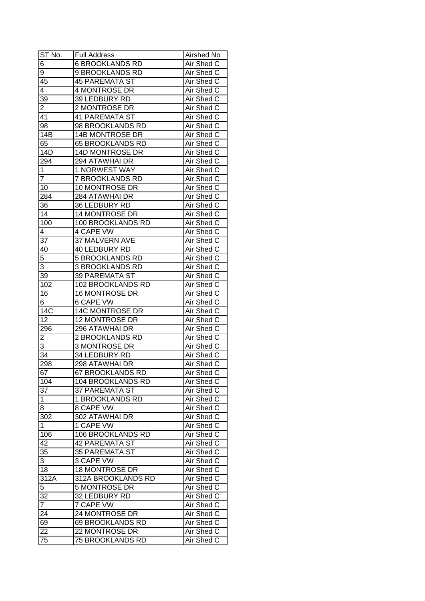| $ST N0$ .               | <b>Full Address</b>     | Airshed No        |
|-------------------------|-------------------------|-------------------|
| $\overline{6}$          | <b>6 BROOKLANDS RD</b>  | Air Shed C        |
| 9                       | 9 BROOKLANDS RD         | Air Shed C        |
| 45                      | 45 PAREMATA ST          | Air Shed C        |
| $\overline{4}$          | 4 MONTROSE DR           | Air Shed C        |
| 39                      | 39 LEDBURY RD           | Air Shed C        |
| 2                       | 2 MONTROSE DR           | Air Shed C        |
| 41                      | <b>41 PAREMATA ST</b>   | Air Shed C        |
| 98                      | 98 BROOKLANDS RD        | Air Shed C        |
| 14B                     | 14B MONTROSE DR         | Air Shed C        |
| 65                      | 65 BROOKLANDS RD        | Air Shed C        |
| 14D                     | 14D MONTROSE DR         | Air Shed C        |
| 294                     | 294 ATAWHAI DR          | Air Shed C        |
| 1                       | 1 NORWEST WAY           | Air Shed C        |
| $\overline{7}$          | 7 BROOKLANDS RD         | Air Shed C        |
| 10                      | 10 MONTROSE DR          | Air Shed C        |
| 284                     | 284 ATAWHAI DR          | Air Shed C        |
| 36                      | 36 LEDBURY RD           | Air Shed C        |
| $\overline{14}$         | <b>14 MONTROSE DR</b>   | Air Shed C        |
| 100                     | 100 BROOKLANDS RD       | Air Shed C        |
| 4                       | 4 CAPE VW               | Air Shed C        |
| 37                      | 37 MALVERN AVE          | Air Shed C        |
| 40                      | 40 LEDBURY RD           | Air Shed C        |
| 5                       | <b>5 BROOKLANDS RD</b>  | Air Shed C        |
| 3                       | <b>3 BROOKLANDS RD</b>  | Air Shed C        |
| 39                      | <b>39 PAREMATA ST</b>   | Air Shed C        |
| 102                     | 102 BROOKLANDS RD       | Air Shed C        |
| 16                      | <b>16 MONTROSE DR</b>   | Air Shed C        |
| $6 \overline{6}$        | 6 CAPE VW               | Air Shed C        |
| 14C                     | 14C MONTROSE DR         | Air Shed C        |
| $1\overline{2}$         | 12 MONTROSE DR          | Air Shed C        |
| 296                     | 296 ATAWHAI DR          | Air Shed C        |
| $\overline{\mathbf{c}}$ | <b>2 BROOKLANDS RD</b>  | Air Shed C        |
| 3                       | 3 MONTROSE DR           | Air Shed C        |
| $\overline{34}$         | 34 LEDBURY RD           | Air Shed C        |
| 298                     | 298 ATAWHAI DR          | <b>Air Shed C</b> |
| 67                      | <b>67 BROOKLANDS RD</b> | <b>Air Shed C</b> |
| 104                     | 104 BROOKLANDS RD       | Air Shed C        |
| 37                      | <b>37 PAREMATA ST</b>   | Air Shed C        |
| $\mathbf 1$             | 1 BROOKLANDS RD         | Air Shed C        |
| 8                       | 8 CAPE VW               | Air Shed C        |
| 302                     | 302 ATAWHAI DR          | Air Shed C        |
| 1                       | 1 CAPE VW               | Air Shed C        |
| 106                     | 106 BROOKLANDS RD       | Air Shed C        |
| 42                      | <b>42 PAREMATA ST</b>   | Air Shed C        |
| 35                      | <b>35 PAREMATA ST</b>   | Air Shed C        |
| 3                       | 3 CAPE VW               | Air Shed C        |
| 18                      | <b>18 MONTROSE DR</b>   | Air Shed C        |
| 312A                    | 312A BROOKLANDS RD      | Air Shed C        |
| 5                       | 5 MONTROSE DR           | Air Shed C        |
| 32                      | 32 LEDBURY RD           | Air Shed C        |
| $\overline{7}$          | 7 CAPE VW               | Air Shed C        |
| 24                      | 24 MONTROSE DR          | Air Shed C        |
|                         | 69 BROOKLANDS RD        | Air Shed C        |
| 69<br>22                | 22 MONTROSE DR          | Air Shed C        |
|                         |                         |                   |
| 75                      | 75 BROOKLANDS RD        | Air Shed C        |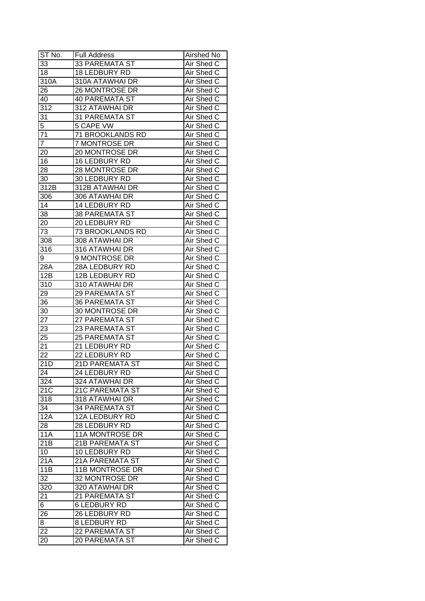| ST No.          | <b>Full Address</b>    | <b>Airshed No</b> |
|-----------------|------------------------|-------------------|
| 33              | <b>33 PAREMATA ST</b>  | Air Shed C        |
| 18              | 18 LEDBURY RD          | <b>Air Shed C</b> |
| 310A            | 310A ATAWHAI DR        | Air Shed C        |
| 26              | 26 MONTROSE DR         | Air Shed C        |
| 40              | <b>40 PAREMATA ST</b>  | Air Shed C        |
| 312             | 312 ATAWHAI DR         | Air Shed C        |
| 31              | <b>31 PAREMATA ST</b>  | Air Shed C        |
| 5               | 5 CAPE VW              | Air Shed C        |
| 71              | 71 BROOKLANDS RD       | Air Shed C        |
| $\overline{7}$  | 7 MONTROSE DR          | Air Shed C        |
| 20              | 20 MONTROSE DR         | Air Shed C        |
| 16              | 16 LEDBURY RD          | Air Shed C        |
| 28              | 28 MONTROSE DR         | Air Shed C        |
| 30              | 30 LEDBURY RD          | Air Shed C        |
| 312B            | 312B ATAWHAI DR        | Air Shed C        |
| 306             | 306 ATAWHAI DR         | Air Shed C        |
| 14              | 14 LEDBURY RD          | Air Shed C        |
| 38              | <b>38 PAREMATA ST</b>  | Air Shed C        |
| 20              | 20 LEDBURY RD          | Air Shed C        |
| 73              | 73 BROOKLANDS RD       | Air Shed C        |
| 308             | 308 ATAWHAI DR         | Air Shed C        |
| 316             | 316 ATAWHAI DR         | Air Shed C        |
| 9               | 9 MONTROSE DR          | Air Shed C        |
| 28A             | 28A LEDBURY RD         | Air Shed C        |
| 12B             | 12B LEDBURY RD         | Air Shed C        |
| 310             | 310 ATAWHAI DR         | Air Shed C        |
| 29              | <b>29 PAREMATA ST</b>  | Air Shed C        |
| 36              | <b>36 PAREMATA ST</b>  | Air Shed C        |
| 30              | 30 MONTROSE DR         | Air Shed C        |
| 27              | 27 PAREMATA ST         | Air Shed C        |
| 23              | 23 PAREMATA ST         | Air Shed C        |
| 25              | <b>25 PAREMATA ST</b>  | Air Shed C        |
| $2\overline{1}$ | 21 LEDBURY RD          | Air Shed C        |
| $\overline{22}$ | 22 LEDBURY RD          | Air Shed C        |
| 21D             | <b>21D PAREMATA ST</b> | <b>Air Shed C</b> |
| 24              | 24 LEDBURY RD          | Air Shed C        |
| 324             | 324 ATAWHAI DR         | Air Shed C        |
| 21C             | <b>21C PAREMATA ST</b> | Air Shed C        |
| 318             | 318 ATAWHAI DR         | Air Shed C        |
| 34              | <b>34 PAREMATA ST</b>  | Air Shed C        |
| 12A             | 12A LEDBURY RD         | Air Shed C        |
| 28              | 28 LEDBURY RD          | Air Shed C        |
| 11A             | 11A MONTROSE DR        | Air Shed C        |
| 21B             | 21B PAREMATA ST        | Air Shed C        |
| 10 <sup>°</sup> | 10 LEDBURY RD          | Air Shed C        |
| 21A             | 21A PAREMATA ST        | Air Shed C        |
| 11B             | 11B MONTROSE DR        | Air Shed C        |
| 32              | 32 MONTROSE DR         | Air Shed C        |
| 320             | 320 ATAWHAI DR         | Air Shed C        |
| 21              | 21 PAREMATA ST         | Air Shed C        |
| 6               | <b>6 LEDBURY RD</b>    | Air Shed C        |
| 26              | 26 LEDBURY RD          | Air Shed C        |
| 8               | 8 LEDBURY RD           | Air Shed C        |
| 22              | 22 PAREMATA ST         | Air Shed C        |
| 20              | <b>20 PAREMATA ST</b>  | Air Shed C        |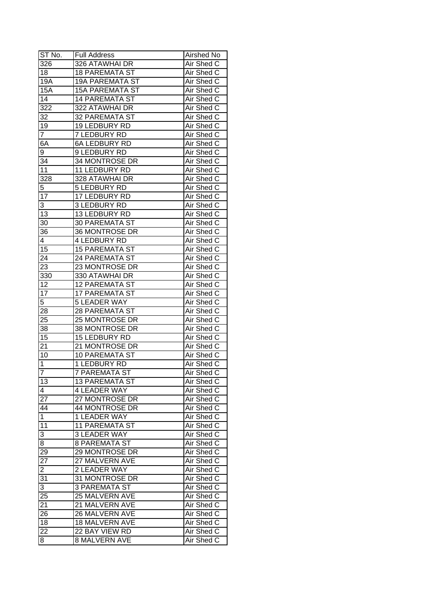| ST No.          | <b>Full Address</b>    | <b>Airshed No</b> |
|-----------------|------------------------|-------------------|
| 326             | 326 ATAWHAI DR         | Air Shed C        |
| 18              | <b>18 PAREMATA ST</b>  | Air Shed C        |
| 19A             | <b>19A PAREMATA ST</b> | Air Shed C        |
| 15A             | <b>15A PAREMATA ST</b> | Air Shed C        |
| 14              | <b>14 PAREMATA ST</b>  | Air Shed C        |
| 322             | 322 ATAWHAI DR         | Air Shed C        |
| 32              | <b>32 PAREMATA ST</b>  | Air Shed C        |
| 19              | 19 LEDBURY RD          | Air Shed C        |
| 7               | 7 LEDBURY RD           | Air Shed C        |
| 6A              | <b>6A LEDBURY RD</b>   | Air Shed C        |
| 9               | 9 LEDBURY RD           | Air Shed C        |
| 34              | 34 MONTROSE DR         | Air Shed C        |
| 11              | 11 LEDBURY RD          | Air Shed C        |
| 328             | 328 ATAWHAI DR         | Air Shed C        |
| 5               | 5 LEDBURY RD           | Air Shed C        |
| 17              | 17 LEDBURY RD          | Air Shed C        |
| 3               | 3 LEDBURY RD           | Air Shed C        |
| 13              | 13 LEDBURY RD          | Air Shed C        |
| 30              | <b>30 PAREMATA ST</b>  | Air Shed C        |
| 36              | 36 MONTROSE DR         | Air Shed C        |
| 4               | <b>4 LEDBURY RD</b>    | Air Shed C        |
| 15              | <b>15 PAREMATA ST</b>  | Air Shed C        |
| 24              | <b>24 PAREMATA ST</b>  | Air Shed C        |
| 23              | 23 MONTROSE DR         | Air Shed C        |
| 330             | 330 ATAWHAI DR         | Air Shed C        |
| 12              | <b>12 PAREMATA ST</b>  | Air Shed C        |
| $1\overline{7}$ | <b>17 PAREMATA ST</b>  | Air Shed C        |
| $\overline{5}$  | <b>5 LEADER WAY</b>    | Air Shed C        |
| 28              | <b>28 PAREMATA ST</b>  | Air Shed C        |
| 25              | 25 MONTROSE DR         | Air Shed C        |
| 38              | 38 MONTROSE DR         | Air Shed C        |
| 15              | 15 LEDBURY RD          | Air Shed C        |
| 21              | 21 MONTROSE DR         | Air Shed C        |
| 10              | <b>10 PAREMATA ST</b>  | Air Shed C        |
| $\mathbf 1$     | 1 LEDBURY RD           | <b>Air Shed C</b> |
| $\overline{7}$  | <b>7 PAREMATA ST</b>   | Air Shed C        |
| 13              | <b>13 PAREMATA ST</b>  | Air Shed C        |
| 4               | <b>4 LEADER WAY</b>    | Air Shed C        |
| 27              | 27 MONTROSE DR         | Air Shed C        |
| 44              | 44 MONTROSE DR         | Air Shed C        |
| $\mathbf{1}$    | 1 LEADER WAY           | Air Shed C        |
| 11              | <b>11 PAREMATA ST</b>  | Air Shed C        |
| 3               | <b>3 LEADER WAY</b>    | Air Shed C        |
| 8               | <b>8 PAREMATA ST</b>   | Air Shed C        |
| 29              | 29 MONTROSE DR         | Air Shed C        |
| $\overline{27}$ | 27 MALVERN AVE         | Air Shed C        |
| $\overline{2}$  | 2 LEADER WAY           | Air Shed C        |
| 31              | 31 MONTROSE DR         | Air Shed C        |
| 3               | <b>3 PAREMATA ST</b>   | Air Shed C        |
| 25              | 25 MALVERN AVE         | Air Shed C        |
| 21              | 21 MALVERN AVE         | Air Shed C        |
| 26              | 26 MALVERN AVE         | Air Shed C        |
| 18              | <b>18 MALVERN AVE</b>  | Air Shed C        |
| $2\overline{2}$ | 22 BAY VIEW RD         | Air Shed C        |
| 8               | <b>8 MALVERN AVE</b>   | Air Shed C        |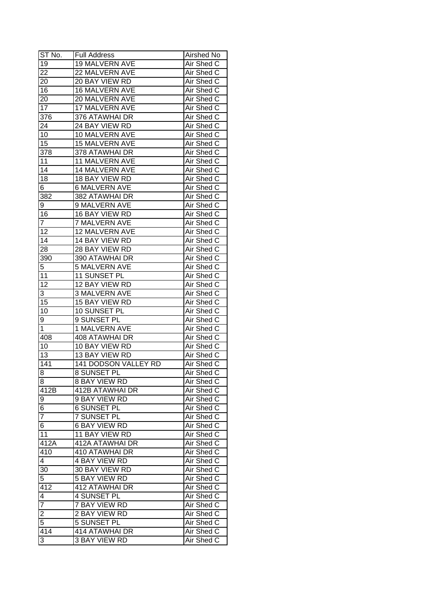| ST No.                                    | <b>Full Address</b>   | Airshed No        |
|-------------------------------------------|-----------------------|-------------------|
| 19                                        | 19 MALVERN AVE        | Air Shed C        |
| $2\overline{2}$                           | 22 MALVERN AVE        | Air Shed C        |
| 20                                        | 20 BAY VIEW RD        | Air Shed C        |
| 16                                        | <b>16 MALVERN AVE</b> | Air Shed C        |
| 20                                        | 20 MALVERN AVE        | Air Shed C        |
| 17                                        | 17 MALVERN AVE        | Air Shed C        |
| 376                                       | 376 ATAWHAI DR        | Air Shed C        |
| 24                                        | 24 BAY VIEW RD        | Air Shed C        |
| 10                                        | 10 MALVERN AVE        | Air Shed C        |
| 15                                        | <b>15 MALVERN AVE</b> | Air Shed C        |
| 378                                       | 378 ATAWHAI DR        | Air Shed C        |
| 11                                        | 11 MALVERN AVE        | Air Shed C        |
| 14                                        | 14 MALVERN AVE        | Air Shed C        |
| 18                                        | 18 BAY VIEW RD        | Air Shed C        |
| 6                                         | <b>6 MALVERN AVE</b>  | Air Shed C        |
| 382                                       | 382 ATAWHAI DR        | Air Shed C        |
| 9                                         | 9 MALVERN AVE         | Air Shed C        |
| 16                                        | 16 BAY VIEW RD        | Air Shed C        |
| $\overline{7}$                            | <b>7 MALVERN AVE</b>  | Air Shed C        |
| 12                                        | 12 MALVERN AVE        | Air Shed C        |
| 14                                        | 14 BAY VIEW RD        | Air Shed C        |
| 28                                        | 28 BAY VIEW RD        | Air Shed C        |
| 390                                       | 390 ATAWHAI DR        | Air Shed C        |
| 5                                         | <b>5 MALVERN AVE</b>  | Air Shed C        |
| 11                                        | 11 SUNSET PL          | Air Shed C        |
| 12                                        | 12 BAY VIEW RD        | Air Shed C        |
| 3                                         | 3 MALVERN AVE         | Air Shed C        |
| 15                                        | 15 BAY VIEW RD        | Air Shed C        |
| 10                                        | 10 SUNSET PL          | Air Shed C        |
| 9                                         | 9 SUNSET PL           | Air Shed C        |
| 1                                         | 1 MALVERN AVE         | Air Shed C        |
| 408                                       | 408 ATAWHAI DR        | Air Shed C        |
| 10                                        | 10 BAY VIEW RD        | Air Shed C        |
| 13                                        | 13 BAY VIEW RD        | Air Shed C        |
| 141                                       | 141 DODSON VALLEY RD  | <b>Air Shed C</b> |
| $\overline{8}$                            | 8 SUNSET PL           | Air Shed C        |
| 8                                         | <b>8 BAY VIEW RD</b>  | Air Shed C        |
| 412B                                      | 412B ATAWHAI DR       | Air Shed C        |
| 9                                         | 9 BAY VIEW RD         | Air Shed C        |
| 6                                         | <b>6 SUNSET PL</b>    | Air Shed C        |
| $\overline{7}$                            | 7 SUNSET PL           | Air Shed C        |
| 6                                         | <b>6 BAY VIEW RD</b>  | Air Shed C        |
| 11                                        | 11 BAY VIEW RD        | Air Shed C        |
| $\overline{4}$ 12A                        | 412A ATAWHAI DR       | Air Shed C        |
| 410                                       | 410 ATAWHAI DR        | Air Shed C        |
| $\overline{4}$                            | 4 BAY VIEW RD         | Air Shed C        |
| 30                                        | 30 BAY VIEW RD        | Air Shed C        |
| 5                                         | <b>5 BAY VIEW RD</b>  | Air Shed C        |
| 412                                       | 412 ATAWHAI DR        | Air Shed C        |
| 4                                         | 4 SUNSET PL           | Air Shed C        |
| $\overline{7}$                            | 7 BAY VIEW RD         | Air Shed C        |
|                                           | 2 BAY VIEW RD         | Air Shed C        |
| $\overline{\mathbf{c}}$<br>$\overline{5}$ | 5 SUNSET PL           | Air Shed C        |
|                                           |                       | Air Shed C        |
| 414                                       | 414 ATAWHAI DR        |                   |
| 3                                         | <b>3 BAY VIEW RD</b>  | Air Shed C        |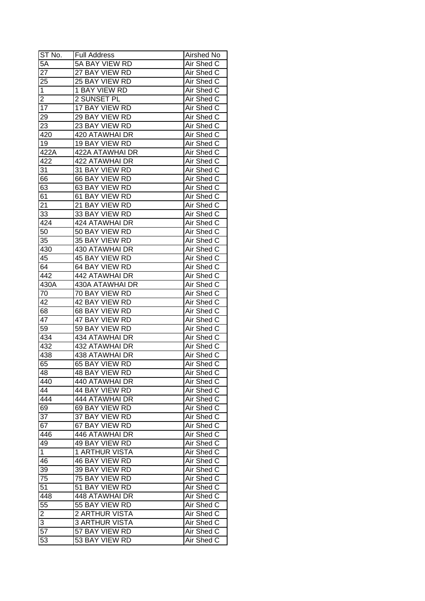| ST No.          | <b>Full Address</b>   | Airshed No        |
|-----------------|-----------------------|-------------------|
| 5A              | 5A BAY VIEW RD        | Air Shed C        |
| $2\overline{7}$ | 27 BAY VIEW RD        | Air Shed C        |
| 25              | 25 BAY VIEW RD        | Air Shed C        |
| $\mathbf 1$     | 1 BAY VIEW RD         | Air Shed C        |
| $\overline{c}$  | 2 SUNSET PL           | Air Shed C        |
| 17              | 17 BAY VIEW RD        | Air Shed C        |
| 29              | 29 BAY VIEW RD        | Air Shed C        |
| 23              | 23 BAY VIEW RD        | Air Shed C        |
| 420             | 420 ATAWHAI DR        | Air Shed C        |
| 19              | 19 BAY VIEW RD        | Air Shed C        |
| 422A            | 422A ATAWHAI DR       | Air Shed C        |
| 422             | 422 ATAWHAI DR        | Air Shed C        |
| 31              | 31 BAY VIEW RD        | Air Shed C        |
| 66              | 66 BAY VIEW RD        | Air Shed C        |
| 63              | 63 BAY VIEW RD        | Air Shed C        |
| 61              | 61 BAY VIEW RD        | Air Shed C        |
| 21              | 21 BAY VIEW RD        | Air Shed C        |
| 33              | 33 BAY VIEW RD        | Air Shed C        |
| 424             | 424 ATAWHAI DR        | Air Shed C        |
| 50              | 50 BAY VIEW RD        | Air Shed C        |
| 35              | 35 BAY VIEW RD        | Air Shed C        |
| 430             | 430 ATAWHAI DR        | Air Shed C        |
| 45              | 45 BAY VIEW RD        | Air Shed C        |
| 64              | 64 BAY VIEW RD        | Air Shed C        |
| 442             | 442 ATAWHAI DR        | Air Shed C        |
| 430A            | 430A ATAWHAI DR       | Air Shed C        |
| 70              | 70 BAY VIEW RD        | Air Shed C        |
| 42              | 42 BAY VIEW RD        | Air Shed C        |
| 68              | 68 BAY VIEW RD        | Air Shed C        |
| 47              | 47 BAY VIEW RD        | Air Shed C        |
| 59              | 59 BAY VIEW RD        | Air Shed C        |
| 434             | 434 ATAWHAI DR        | Air Shed C        |
| 432             | <b>432 ATAWHAI DR</b> | Air Shed C        |
| 438             | 438 ATAWHAI DR        | Air Shed C        |
| 65              | 65 BAY VIEW RD        | <b>Air Shed C</b> |
| 48              | <b>48 BAY VIEW RD</b> | Air Shed C        |
| 440             | 440 ATAWHAI DR        | Air Shed C        |
| 44              | 44 BAY VIEW RD        | Air Shed C        |
| 444             | 444 ATAWHAI DR        | Air Shed C        |
| 69              | 69 BAY VIEW RD        | Air Shed C        |
| 37              | 37 BAY VIEW RD        | Air Shed C        |
| 67              | 67 BAY VIEW RD        | Air Shed C        |
| 446             | 446 ATAWHAI DR        | Air Shed C        |
| 49              | 49 BAY VIEW RD        | Air Shed C        |
| $\mathbf{1}$    | <b>1 ARTHUR VISTA</b> | Air Shed C        |
| 46              | 46 BAY VIEW RD        | Air Shed C        |
| 39              | 39 BAY VIEW RD        | Air Shed C        |
| 75              | <b>75 BAY VIEW RD</b> | Air Shed C        |
| 51              | 51 BAY VIEW RD        | Air Shed C        |
| 448             | 448 ATAWHAI DR        | Air Shed C        |
| 55              | 55 BAY VIEW RD        | Air Shed C        |
|                 | 2 ARTHUR VISTA        | Air Shed C        |
| 2               | <b>3 ARTHUR VISTA</b> | Air Shed C        |
| 3               |                       |                   |
| 57              | 57 BAY VIEW RD        | Air Shed C        |
| 53              | 53 BAY VIEW RD        | Air Shed C        |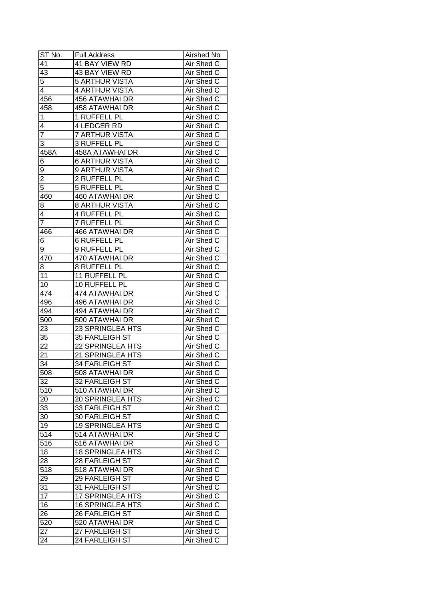| ST No.                  | <b>Full Address</b>     | Airshed No |
|-------------------------|-------------------------|------------|
| 41                      | <b>41 BAY VIEW RD</b>   | Air Shed C |
| $\overline{43}$         | 43 BAY VIEW RD          | Air Shed C |
| 5                       | <b>5 ARTHUR VISTA</b>   | Air Shed C |
| 4                       | <b>4 ARTHUR VISTA</b>   | Air Shed C |
| 456                     | 456 ATAWHAI DR          | Air Shed C |
| 458                     | 458 ATAWHAI DR          | Air Shed C |
| 1                       | 1 RUFFELL PL            | Air Shed C |
| 4                       | 4 LEDGER RD             | Air Shed C |
| 7                       | <b>7 ARTHUR VISTA</b>   | Air Shed C |
| 3                       | 3 RUFFELL PL            | Air Shed C |
| 458A                    | 458A ATAWHAI DR         | Air Shed C |
| 6                       | <b>6 ARTHUR VISTA</b>   | Air Shed C |
| 9                       | 9 ARTHUR VISTA          | Air Shed C |
| $\overline{2}$          | 2 RUFFELL PL            | Air Shed C |
| $\overline{5}$          | 5 RUFFELL PL            | Air Shed C |
| 460                     | 460 ATAWHAI DR          | Air Shed C |
| 8                       | <b>8 ARTHUR VISTA</b>   | Air Shed C |
| $\overline{\mathbf{4}}$ | 4 RUFFELL PL            | Air Shed C |
| $\overline{7}$          | 7 RUFFELL PL            | Air Shed C |
| 466                     | 466 ATAWHAI DR          | Air Shed C |
| 6                       | <b>6 RUFFELL PL</b>     | Air Shed C |
| 9                       | <b>9 RUFFELL PL</b>     | Air Shed C |
| 470                     | 470 ATAWHAI DR          | Air Shed C |
| 8                       | 8 RUFFELL PL            | Air Shed C |
| 11                      | 11 RUFFELL PL           | Air Shed C |
| 10                      | 10 RUFFELL PL           | Air Shed C |
| 474                     | 474 ATAWHAI DR          | Air Shed C |
| 496                     | 496 ATAWHAI DR          | Air Shed C |
| 494                     | 494 ATAWHAI DR          | Air Shed C |
| 500                     | 500 ATAWHAI DR          | Air Shed C |
| 23                      | 23 SPRINGLEA HTS        | Air Shed C |
| 35                      | 35 FARLEIGH ST          | Air Shed C |
| 22                      | <b>22 SPRINGLEA HTS</b> | Air Shed C |
| 21                      | 21 SPRINGLEA HTS        | Air Shed C |
| 34                      | <b>34 FARLEIGH ST</b>   | Air Shed C |
| 508                     | 508 ATAWHAI DR          | Air Shed C |
| 32                      | 32 FARLEIGH ST          | Air Shed C |
| 510                     | 510 ATAWHAI DR          | Air Shed C |
| 20                      | 20 SPRINGLEA HTS        | Air Shed C |
| 33                      | 33 FARLEIGH ST          | Air Shed C |
| 30                      | 30 FARLEIGH ST          | Air Shed C |
| 19                      | <b>19 SPRINGLEA HTS</b> | Air Shed C |
| 514                     | 514 ATAWHAI DR          | Air Shed C |
| 516                     | 516 ATAWHAI DR          | Air Shed C |
| 18                      | <b>18 SPRINGLEA HTS</b> | Air Shed C |
| 28                      | 28 FARLEIGH ST          | Air Shed C |
| 518                     | 518 ATAWHAI DR          | Air Shed C |
| 29                      | 29 FARLEIGH ST          | Air Shed C |
| 31                      | 31 FARLEIGH ST          | Air Shed C |
| $\overline{17}$         | 17 SPRINGLEA HTS        | Air Shed C |
| 16                      | <b>16 SPRINGLEA HTS</b> | Air Shed C |
| 26                      | 26 FARLEIGH ST          | Air Shed C |
| 520                     | 520 ATAWHAI DR          | Air Shed C |
| 27                      | 27 FARLEIGH ST          | Air Shed C |
| 24                      | 24 FARLEIGH ST          | Air Shed C |
|                         |                         |            |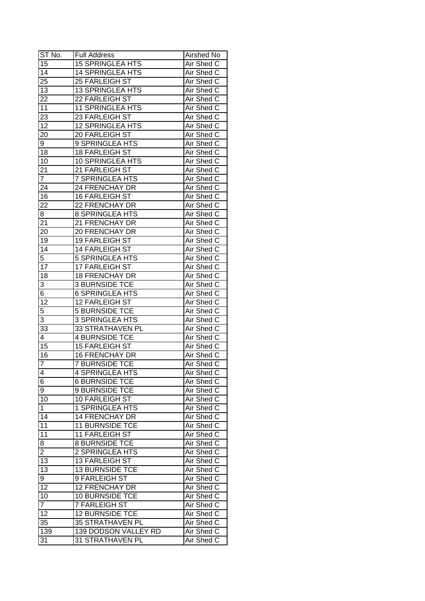| $ST N0$ .            | <b>Full Address</b>                       | Airshed No                      |
|----------------------|-------------------------------------------|---------------------------------|
| $1\overline{5}$      | <b>15 SPRINGLEA HTS</b>                   | Air Shed C                      |
| $\overline{14}$      | <b>14 SPRINGLEA HTS</b>                   | Air Shed C                      |
| $2\overline{5}$      | 25 FARLEIGH ST                            | Air Shed C                      |
| 13                   | <b>13 SPRINGLEA HTS</b>                   | Air Shed C                      |
| 22                   | 22 FARLEIGH ST                            | Air Shed C                      |
| 11                   | <b>11 SPRINGLEA HTS</b>                   | Air Shed C                      |
| 23                   | 23 FARLEIGH ST                            | Air Shed C                      |
| 12                   | 12 SPRINGLEA HTS                          | Air Shed C                      |
| 20                   | 20 FARLEIGH ST                            | Air Shed C                      |
| 9                    | 9 SPRINGLEA HTS                           | Air Shed C                      |
| 18                   | <b>18 FARLEIGH ST</b>                     | Air Shed C                      |
| 10                   | 10 SPRINGLEA HTS                          | Air Shed C                      |
| 21                   | 21 FARLEIGH ST                            | Air Shed C                      |
| $\overline{7}$       | 7 SPRINGLEA HTS                           | Air Shed C                      |
| 24                   | 24 FRENCHAY DR                            | Air Shed C                      |
| 16                   | 16 FARLEIGH ST                            | Air Shed C                      |
| 22                   | 22 FRENCHAY DR                            | Air Shed C                      |
|                      |                                           | Air Shed C                      |
| 8<br>$\overline{21}$ | 8 SPRINGLEA HTS<br>21 FRENCHAY DR         | Air Shed C                      |
|                      | 20 FRENCHAY DR                            | Air Shed C                      |
| 20<br>19             |                                           |                                 |
| 14                   | 19 FARLEIGH ST                            | Air Shed C                      |
|                      | 14 FARLEIGH ST                            | Air Shed C                      |
| 5                    | <b>5 SPRINGLEA HTS</b>                    | Air Shed C                      |
| 17                   | 17 FARLEIGH ST                            | Air Shed C                      |
| 18                   | <b>18 FRENCHAY DR</b>                     | Air Shed C                      |
| 3                    | <b>3 BURNSIDE TCE</b>                     | Air Shed C                      |
| 6                    | <b>6 SPRINGLEA HTS</b>                    | Air Shed C                      |
| $1\overline{2}$      | 12 FARLEIGH ST                            | Air Shed C                      |
| 5                    | <b>5 BURNSIDE TCE</b>                     | Air Shed C                      |
| 3                    | 3 SPRINGLEA HTS                           | Air Shed C                      |
| 33<br>4              | 33 STRATHAVEN PL<br><b>4 BURNSIDE TCE</b> | Air Shed C<br>Air Shed C        |
| 15                   | <b>15 FARLEIGH ST</b>                     | Air Shed C                      |
|                      | <b>16 FRENCHAY DR</b>                     |                                 |
| 16                   |                                           | Air Shed C<br><b>Air Shed C</b> |
| $\overline{7}$       | <b>7 BURNSIDE TCE</b>                     |                                 |
| $\overline{4}$       | 4 SPRINGLEA HTS                           | Air Shed C                      |
| $\overline{6}$       | <b>6 BURNSIDE TCE</b>                     | Air Shed C                      |
| 9                    | <b>9 BURNSIDE TCE</b>                     | Air Shed C                      |
| 10                   | 10 FARLEIGH ST                            | Air Shed C                      |
| $\mathbf{1}$         | 1 SPRINGLEA HTS                           | Air Shed C                      |
| 14                   | <b>14 FRENCHAY DR</b>                     | Air Shed C                      |
| 11                   | <b>11 BURNSIDE TCE</b>                    | Air Shed C                      |
| 11                   | 11 FARLEIGH ST                            | Air Shed C                      |
| 8                    | <b>8 BURNSIDE TCE</b>                     | Air Shed C                      |
| $\overline{2}$       | 2 SPRINGLEA HTS                           | Air Shed C                      |
| 13                   | 13 FARLEIGH ST                            | Air Shed C                      |
| 13                   | <b>13 BURNSIDE TCE</b>                    | Air Shed C                      |
| 9                    | 9 FARLEIGH ST                             | Air Shed C                      |
| 12                   | 12 FRENCHAY DR                            | Air Shed C                      |
| 10                   | 10 BURNSIDE TCE                           | Air Shed C                      |
| $\overline{7}$       | 7 FARLEIGH ST                             | Air Shed C                      |
| 12                   | <b>12 BURNSIDE TCE</b>                    | Air Shed C                      |
| 35                   | <b>35 STRATHAVEN PL</b>                   | Air Shed C                      |
| 139                  | 139 DODSON VALLEY RD                      | Air Shed C                      |
| 31                   | 31 STRATHAVEN PL                          | Air Shed C                      |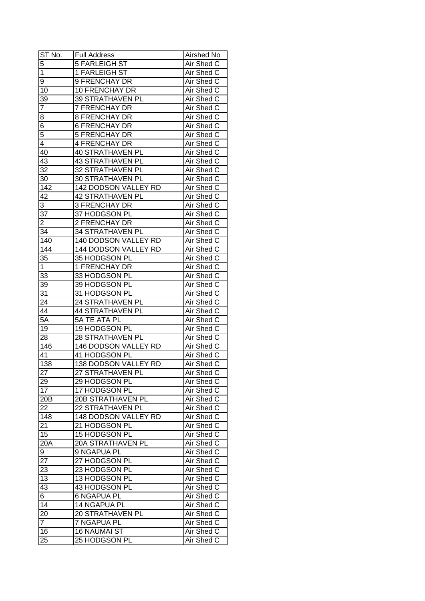| $ST$ No.        | <b>Full Address</b>     | Airshed No        |
|-----------------|-------------------------|-------------------|
| $\overline{5}$  | <b>5 FARLEIGH ST</b>    | Air Shed C        |
| $\overline{1}$  | 1 FARLEIGH ST           | Air Shed C        |
| 9               | 9 FRENCHAY DR           | Air Shed C        |
| 10              | 10 FRENCHAY DR          | Air Shed C        |
| 39              | 39 STRATHAVEN PL        | Air Shed C        |
| 7               | 7 FRENCHAY DR           | Air Shed C        |
| 8               | <b>8 FRENCHAY DR</b>    | Air Shed C        |
| 6               | <b>6 FRENCHAY DR</b>    | Air Shed C        |
| 5               | <b>5 FRENCHAY DR</b>    | Air Shed C        |
| 4               | 4 FRENCHAY DR           | Air Shed C        |
| 40              | <b>40 STRATHAVEN PL</b> | Air Shed C        |
| 43              | <b>43 STRATHAVEN PL</b> | Air Shed C        |
| 32              | 32 STRATHAVEN PL        | Air Shed C        |
| 30              | 30 STRATHAVEN PL        | Air Shed C        |
| 142             | 142 DODSON VALLEY RD    | Air Shed C        |
| 42              | 42 STRATHAVEN PL        | Air Shed C        |
| 3               | 3 FRENCHAY DR           | Air Shed C        |
| 37              | 37 HODGSON PL           | Air Shed C        |
| 2               | 2 FRENCHAY DR           | Air Shed C        |
| 34              | 34 STRATHAVEN PL        | Air Shed C        |
| 140             | 140 DODSON VALLEY RD    | Air Shed C        |
| 144             | 144 DODSON VALLEY RD    | Air Shed C        |
| 35              | 35 HODGSON PL           | Air Shed C        |
| 1               | 1 FRENCHAY DR           | Air Shed C        |
| 33              | 33 HODGSON PL           | Air Shed C        |
| 39              | 39 HODGSON PL           | Air Shed C        |
| 31              | 31 HODGSON PL           | Air Shed C        |
| 24              | 24 STRATHAVEN PL        | Air Shed C        |
| 44              | <b>44 STRATHAVEN PL</b> | Air Shed C        |
| 5A              | 5A TE ATA PL            | Air Shed C        |
| 19              | 19 HODGSON PL           | Air Shed C        |
| 28              | 28 STRATHAVEN PL        | Air Shed C        |
| 146             | 146 DODSON VALLEY RD    | Air Shed C        |
| 41              | 41 HODGSON PL           | Air Shed C        |
| 138             | 138 DODSON VALLEY RD    | <b>Air Shed C</b> |
| $\overline{27}$ | 27 STRATHAVEN PL        | Air Shed C        |
| 29              | 29 HODGSON PL           | Air Shed C        |
| $1\overline{7}$ | 17 HODGSON PL           | Air Shed C        |
| 20 <sub>B</sub> | 20B STRATHAVEN PL       | Air Shed C        |
| 22              | 22 STRATHAVEN PL        | Air Shed C        |
| 148             | 148 DODSON VALLEY RD    | Air Shed C        |
| 21              | 21 HODGSON PL           | Air Shed C        |
| 15              | 15 HODGSON PL           | Air Shed C        |
| 20A             | 20A STRATHAVEN PL       | Air Shed C        |
| 9               | 9 NGAPUA PL             | Air Shed C        |
| 27              | 27 HODGSON PL           | Air Shed C        |
| 23              | 23 HODGSON PL           | Air Shed C        |
| 13              | 13 HODGSON PL           | Air Shed C        |
| 43              | 43 HODGSON PL           | Air Shed C        |
| $\overline{6}$  | <b>6 NGAPUA PL</b>      | Air Shed C        |
| 14              | 14 NGAPUA PL            | Air Shed C        |
| 20              | 20 STRATHAVEN PL        | Air Shed C        |
| $\overline{7}$  | 7 NGAPUA PL             | Air Shed C        |
| 16              | <b>16 NAUMAI ST</b>     | Air Shed C        |
| 25              | 25 HODGSON PL           | Air Shed C        |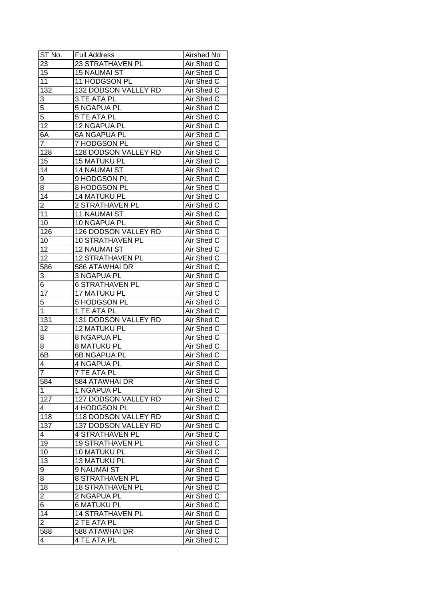| ST No.                  | <b>Full Address</b>                       | <b>Airshed No</b>               |
|-------------------------|-------------------------------------------|---------------------------------|
| 23                      | 23 STRATHAVEN PL                          | Air Shed C                      |
| 15                      | <b>15 NAUMAI ST</b>                       | Air Shed C                      |
| $\overline{11}$         | 11 HODGSON PL                             | Air Shed C                      |
| 132                     | 132 DODSON VALLEY RD                      | Air Shed C                      |
| 3                       | 3 TE ATA PL                               | Air Shed C                      |
| $\overline{5}$          | 5 NGAPUA PL                               | Air Shed C                      |
| $\overline{5}$          | 5 TE ATA PL                               | Air Shed C                      |
| 12                      | 12 NGAPUA PL                              | Air Shed C                      |
| 6A                      | <b>6A NGAPUA PL</b>                       | Air Shed C                      |
| $\overline{7}$          | 7 HODGSON PL                              | Air Shed C                      |
| 128                     | 128 DODSON VALLEY RD                      | Air Shed C                      |
| 15                      | <b>15 MATUKU PL</b>                       | Air Shed C                      |
| 14                      | <b>14 NAUMAI ST</b>                       | Air Shed C                      |
| 9                       | 9 HODGSON PL                              | Air Shed C                      |
| 8                       | 8 HODGSON PL                              | Air Shed C                      |
| 14                      | 14 MATUKU PL                              | Air Shed C                      |
| $\overline{2}$          | 2 STRATHAVEN PL                           |                                 |
| 11                      | <b>11 NAUMAI ST</b>                       | Air Shed C<br>Air Shed C        |
|                         |                                           | Air Shed C                      |
| 10<br>126               | 10 NGAPUA PL<br>126 DODSON VALLEY RD      | Air Shed C                      |
|                         |                                           |                                 |
| 10                      | <b>10 STRATHAVEN PL</b>                   | Air Shed C                      |
| 12                      | <b>12 NAUMAI ST</b>                       | Air Shed C                      |
| 12                      | <b>12 STRATHAVEN PL</b>                   | Air Shed C                      |
| 586                     | 586 ATAWHAI DR                            | Air Shed C                      |
| 3                       | 3 NGAPUA PL                               | Air Shed C                      |
| 6                       | <b>6 STRATHAVEN PL</b>                    | Air Shed C                      |
| 17                      | 17 MATUKU PL                              | Air Shed C                      |
| 5                       | 5 HODGSON PL                              | Air Shed C                      |
| $\mathbf{1}$            | 1 TE ATA PL                               | Air Shed C<br>Air Shed C        |
| 131<br>12               | 131 DODSON VALLEY RD                      | Air Shed C                      |
|                         | <b>12 MATUKU PL</b><br><b>8 NGAPUA PL</b> | Air Shed C                      |
| 8                       | <b>8 MATUKU PL</b>                        | Air Shed C                      |
| 8<br>6B                 |                                           |                                 |
|                         | <b>6B NGAPUA PL</b><br><b>4 NGAPUA PL</b> | Air Shed C<br><b>Air Shed C</b> |
| 4<br>$\overline{7}$     | <b>7 TE ATA PL</b>                        |                                 |
|                         |                                           | Air Shed C                      |
| 584                     | 584 ATAWHAI DR                            | Air Shed C                      |
| 1                       | 1 NGAPUA PL                               | Air Shed C                      |
| 127                     | 127 DODSON VALLEY RD                      | Air Shed C                      |
| 4                       | 4 HODGSON PL                              | Air Shed C                      |
| 118                     | 118 DODSON VALLEY RD                      | Air Shed C                      |
| 137                     | 137 DODSON VALLEY RD                      | Air Shed C                      |
| 4                       | <b>4 STRATHAVEN PL</b>                    | Air Shed C                      |
| 19                      | <b>19 STRATHAVEN PL</b>                   | Air Shed C                      |
| 10                      | 10 MATUKU PL                              | Air Shed C                      |
| $1\overline{3}$         | 13 MATUKU PL                              | Air Shed C                      |
| 9                       | 9 NAUMAI ST                               | Air Shed C                      |
| 8                       | <b>8 STRATHAVEN PL</b>                    | Air Shed C                      |
| 18                      | <b>18 STRATHAVEN PL</b>                   | Air Shed C                      |
| $\overline{\mathbf{c}}$ | 2 NGAPUA PL                               | Air Shed C                      |
| 6                       | <b>6 MATUKU PL</b>                        | Air Shed C                      |
| 14                      | <b>14 STRATHAVEN PL</b>                   | Air Shed C                      |
| $\overline{\mathbf{c}}$ | 2 TE ATA PL                               | Air Shed C                      |
| 588                     | 588 ATAWHAI DR                            | Air Shed C                      |
| 4                       | 4 TE ATA PL                               | Air Shed C                      |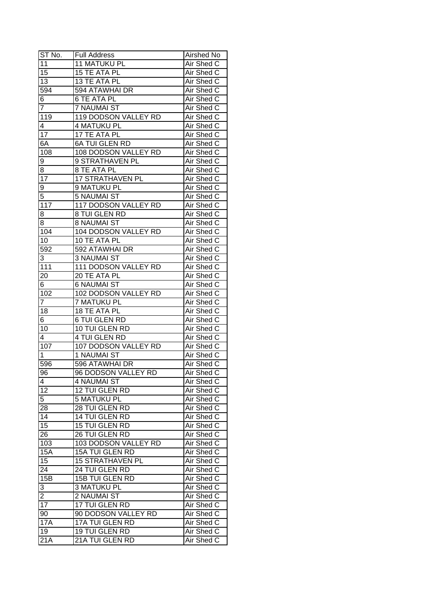| ST No.          | <b>Full Address</b>     | Airshed No |
|-----------------|-------------------------|------------|
| 11              | <b>11 MATUKU PL</b>     | Air Shed C |
| $\overline{15}$ | 15 TE ATA PL            | Air Shed C |
| $\overline{13}$ | 13 TE ATA PL            | Air Shed C |
| 594             | 594 ATAWHAI DR          | Air Shed C |
| 6               | 6 TE ATA PL             | Air Shed C |
| $\overline{7}$  | <b>7 NAUMAI ST</b>      | Air Shed C |
| 119             | 119 DODSON VALLEY RD    | Air Shed C |
| 4               | <b>4 MATUKU PL</b>      | Air Shed C |
| 17              | 17 TE ATA PL            | Air Shed C |
| 6A              | <b>6A TUI GLEN RD</b>   | Air Shed C |
| 108             | 108 DODSON VALLEY RD    | Air Shed C |
| 9               | 9 STRATHAVEN PL         | Air Shed C |
| 8               | 8 TE ATA PL             | Air Shed C |
| 17              | 17 STRATHAVEN PL        | Air Shed C |
| 9               | 9 MATUKU PL             | Air Shed C |
| 5               | 5 NAUMAI ST             | Air Shed C |
| 117             | 117 DODSON VALLEY RD    | Air Shed C |
| 8               | 8 TUI GLEN RD           | Air Shed C |
| 8               | <b>8 NAUMAI ST</b>      | Air Shed C |
| 104             | 104 DODSON VALLEY RD    | Air Shed C |
| 10              | 10 TE ATA PL            | Air Shed C |
| 592             | 592 ATAWHAI DR          | Air Shed C |
| 3               | <b>3 NAUMAI ST</b>      | Air Shed C |
| 111             | 111 DODSON VALLEY RD    | Air Shed C |
| 20              | 20 TE ATA PL            | Air Shed C |
| 6               | <b>6 NAUMAI ST</b>      | Air Shed C |
| 102             | 102 DODSON VALLEY RD    | Air Shed C |
| $\overline{7}$  | 7 MATUKU PL             | Air Shed C |
| 18              | 18 TE ATA PL            | Air Shed C |
| 6               | <b>6 TUI GLEN RD</b>    | Air Shed C |
| 10              | 10 TUI GLEN RD          | Air Shed C |
| 4               | <b>4 TUI GLEN RD</b>    | Air Shed C |
| 107             | 107 DODSON VALLEY RD    | Air Shed C |
| 1               | <b>1 NAUMAI ST</b>      | Air Shed C |
| 596             | 596 ATAWHAI DR          | Air Shed C |
| 96              | 96 DODSON VALLEY RD     | Air Shed C |
| 4               | 4 NAUMAI ST             | Air Shed C |
| 12              | 12 TUI GLEN RD          | Air Shed C |
| 5               | <b>5 MATUKU PL</b>      | Air Shed C |
| 28              | 28 TUI GLEN RD          | Air Shed C |
| 14              | 14 TUI GLEN RD          | Air Shed C |
| 15              | 15 TUI GLEN RD          | Air Shed C |
| 26              | 26 TUI GLEN RD          | Air Shed C |
| 103             | 103 DODSON VALLEY RD    | Air Shed C |
| <b>15A</b>      | 15A TUI GLEN RD         | Air Shed C |
| 15              | <b>15 STRATHAVEN PL</b> | Air Shed C |
| $2\overline{4}$ | 24 TUI GLEN RD          | Air Shed C |
| 15B             | 15B TUI GLEN RD         | Air Shed C |
| 3               | <b>3 MATUKU PL</b>      | Air Shed C |
| 2               | 2 NAUMAI ST             | Air Shed C |
| $\overline{17}$ | 17 TUI GLEN RD          | Air Shed C |
| 90              | 90 DODSON VALLEY RD     | Air Shed C |
| <b>17A</b>      | 17A TUI GLEN RD         | Air Shed C |
| 19              | 19 TUI GLEN RD          | Air Shed C |
| 21A             | 21A TUI GLEN RD         | Air Shed C |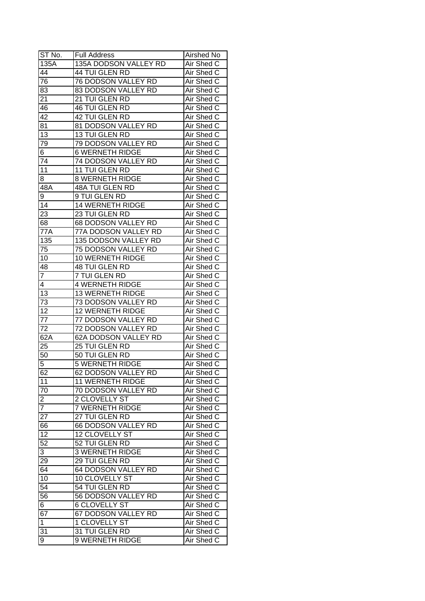| ST No.           | <b>Full Address</b>     | Airshed No        |
|------------------|-------------------------|-------------------|
| 135A             | 135A DODSON VALLEY RD   | Air Shed C        |
| 44               | 44 TUI GLEN RD          | Air Shed C        |
| 76               | 76 DODSON VALLEY RD     | Air Shed C        |
| 83               | 83 DODSON VALLEY RD     | Air Shed C        |
| 21               | 21 TUI GLEN RD          | Air Shed C        |
| 46               | 46 TUI GLEN RD          | Air Shed C        |
| 42               | 42 TUI GLEN RD          | Air Shed C        |
| 81               | 81 DODSON VALLEY RD     | Air Shed C        |
| 13               | 13 TUI GLEN RD          | Air Shed C        |
| 79               | 79 DODSON VALLEY RD     | Air Shed C        |
| 6                | <b>6 WERNETH RIDGE</b>  | Air Shed C        |
| 74               | 74 DODSON VALLEY RD     | Air Shed C        |
| 11               | 11 TUI GLEN RD          | Air Shed C        |
| 8                | <b>8 WERNETH RIDGE</b>  | Air Shed C        |
| 48A              | 48A TUI GLEN RD         | Air Shed C        |
| 9                | 9 TUI GLEN RD           | Air Shed C        |
| 14               | <b>14 WERNETH RIDGE</b> | Air Shed C        |
| 23               | 23 TUI GLEN RD          | Air Shed C        |
| 68               | 68 DODSON VALLEY RD     | Air Shed C        |
| 77A              | 77A DODSON VALLEY RD    | Air Shed C        |
| 135              | 135 DODSON VALLEY RD    | Air Shed C        |
| 75               | 75 DODSON VALLEY RD     | Air Shed C        |
| 10               | 10 WERNETH RIDGE        | Air Shed C        |
| 48               | 48 TUI GLEN RD          | Air Shed C        |
| 7                | 7 TUI GLEN RD           | Air Shed C        |
| 4                | <b>4 WERNETH RIDGE</b>  | Air Shed C        |
| 13               | 13 WERNETH RIDGE        | Air Shed C        |
| 73               | 73 DODSON VALLEY RD     | Air Shed C        |
| 12               | <b>12 WERNETH RIDGE</b> | Air Shed C        |
| 77               | 77 DODSON VALLEY RD     | Air Shed C        |
| 72               | 72 DODSON VALLEY RD     | Air Shed C        |
| 62A              | 62A DODSON VALLEY RD    | Air Shed C        |
| 25               | 25 TUI GLEN RD          | Air Shed C        |
| 50               | 50 TUI GLEN RD          | Air Shed C        |
| 5                | <b>5 WERNETH RIDGE</b>  | <b>Air Shed C</b> |
| 62               | 62 DODSON VALLEY RD     | Air Shed C        |
| 11               | <b>11 WERNETH RIDGE</b> | Air Shed C        |
| 70               | 70 DODSON VALLEY RD     | Air Shed C        |
| $\overline{2}$   | 2 CLOVELLY ST           | Air Shed C        |
| $\overline{7}$   | 7 WERNETH RIDGE         | Air Shed C        |
| 27               | 27 TUI GLEN RD          | Air Shed C        |
| 66               | 66 DODSON VALLEY RD     | Air Shed C        |
| 12               | 12 CLOVELLY ST          | Air Shed C        |
| $\overline{52}$  | 52 TUI GLEN RD          | Air Shed C        |
| 3                | <b>3 WERNETH RIDGE</b>  | Air Shed C        |
| 29               | 29 TUI GLEN RD          | Air Shed C        |
| 64               | 64 DODSON VALLEY RD     | Air Shed C        |
| 10               | 10 CLOVELLY ST          | Air Shed C        |
| 54               | 54 TUI GLEN RD          | Air Shed C        |
| 56               | 56 DODSON VALLEY RD     | Air Shed C        |
| $6 \overline{6}$ | <b>6 CLOVELLY ST</b>    | Air Shed C        |
| 67               | 67 DODSON VALLEY RD     | Air Shed C        |
| $\mathbf{1}$     | 1 CLOVELLY ST           | Air Shed C        |
| 31               | 31 TUI GLEN RD          | Air Shed C        |
| 9                | 9 WERNETH RIDGE         | Air Shed C        |
|                  |                         |                   |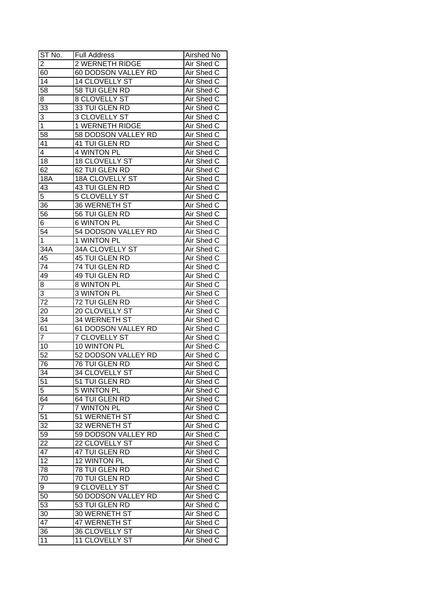| ST No.          | <b>Full Address</b>   | Airshed No        |
|-----------------|-----------------------|-------------------|
| $\overline{2}$  | 2 WERNETH RIDGE       | Air Shed C        |
| 60              | 60 DODSON VALLEY RD   | Air Shed C        |
| $\overline{14}$ | 14 CLOVELLY ST        | Air Shed C        |
| 58              | 58 TUI GLEN RD        | Air Shed C        |
| 8               | 8 CLOVELLY ST         | Air Shed C        |
| 33              | 33 TUI GLEN RD        | Air Shed C        |
| 3               | 3 CLOVELLY ST         | Air Shed C        |
| 1               | 1 WERNETH RIDGE       | Air Shed C        |
| 58              | 58 DODSON VALLEY RD   | Air Shed C        |
| 41              | 41 TUI GLEN RD        | Air Shed C        |
| $\overline{4}$  | 4 WINTON PL           | Air Shed C        |
| 18              | 18 CLOVELLY ST        | Air Shed C        |
| 62              | 62 TUI GLEN RD        | Air Shed C        |
| 18A             | 18A CLOVELLY ST       | Air Shed C        |
| 43              | 43 TUI GLEN RD        | Air Shed C        |
| 5               | <b>5 CLOVELLY ST</b>  | Air Shed C        |
| 36              | 36 WERNETH ST         | Air Shed C        |
| 56              | 56 TUI GLEN RD        | Air Shed C        |
| 6               | <b>6 WINTON PL</b>    | Air Shed C        |
| 54              | 54 DODSON VALLEY RD   | Air Shed C        |
| 1               | 1 WINTON PL           | Air Shed C        |
| 34A             | 34A CLOVELLY ST       | Air Shed C        |
| 45              | 45 TUI GLEN RD        | Air Shed C        |
| 74              | 74 TUI GLEN RD        | Air Shed C        |
| 49              | 49 TUI GLEN RD        | Air Shed C        |
| 8               | 8 WINTON PL           | Air Shed C        |
| 3               | 3 WINTON PL           | Air Shed C        |
| 72              | 72 TUI GLEN RD        | Air Shed C        |
| 20              | 20 CLOVELLY ST        | Air Shed C        |
| 34              | 34 WERNETH ST         | Air Shed C        |
| 61              | 61 DODSON VALLEY RD   | Air Shed C        |
| $\overline{7}$  | <b>7 CLOVELLY ST</b>  | Air Shed C        |
| 10              | 10 WINTON PL          | Air Shed C        |
| $\overline{52}$ | 52 DODSON VALLEY RD   | Air Shed C        |
| 76              | <b>76 TUI GLEN RD</b> | <b>Air Shed C</b> |
| 34              | 34 CLOVELLY ST        | Air Shed C        |
| $5\overline{1}$ | 51 TUI GLEN RD        | Air Shed C        |
| $\overline{5}$  | 5 WINTON PL           | Air Shed C        |
| 64              | 64 TUI GLEN RD        | Air Shed C        |
| $\overline{7}$  | <b>7 WINTON PL</b>    | Air Shed C        |
| 51              | 51 WERNETH ST         | Air Shed C        |
| 32              | 32 WERNETH ST         | Air Shed C        |
| 59              | 59 DODSON VALLEY RD   | Air Shed C        |
| 22              | 22 CLOVELLY ST        | Air Shed C        |
| $\overline{47}$ | 47 TUI GLEN RD        | Air Shed C        |
| $\overline{12}$ | 12 WINTON PL          | Air Shed C        |
| 78              | 78 TUI GLEN RD        | Air Shed C        |
| 70              | 70 TUI GLEN RD        | Air Shed C        |
| 9               | 9 CLOVELLY ST         | Air Shed C        |
| 50              | 50 DODSON VALLEY RD   | Air Shed C        |
| 53              | 53 TUI GLEN RD        | Air Shed C        |
| 30              | 30 WERNETH ST         | Air Shed C        |
| 47              | 47 WERNETH ST         | Air Shed C        |
| 36              | 36 CLOVELLY ST        | Air Shed C        |
| 11              | 11 CLOVELLY ST        | Air Shed C        |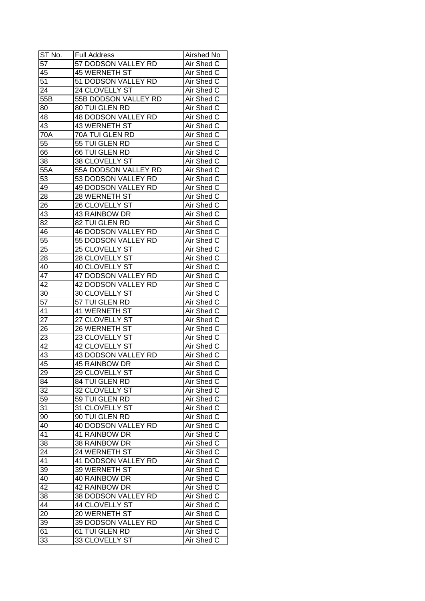| ST No.           | <b>Full Address</b>   | <b>Airshed No</b> |
|------------------|-----------------------|-------------------|
| 57               | 57 DODSON VALLEY RD   | Air Shed C        |
| 45               | <b>45 WERNETH ST</b>  | Air Shed C        |
| $\overline{51}$  | 51 DODSON VALLEY RD   | Air Shed C        |
| $2\overline{4}$  | 24 CLOVELLY ST        | Air Shed C        |
| 55B              | 55B DODSON VALLEY RD  | Air Shed C        |
| 80               | 80 TUI GLEN RD        | Air Shed C        |
| 48               | 48 DODSON VALLEY RD   | Air Shed C        |
| 43               | 43 WERNETH ST         | Air Shed C        |
| 70A              | 70A TUI GLEN RD       | Air Shed C        |
| 55               | 55 TUI GLEN RD        | Air Shed C        |
| 66               | 66 TUI GLEN RD        | Air Shed C        |
| 38               | 38 CLOVELLY ST        | Air Shed C        |
| $55\overline{A}$ | 55A DODSON VALLEY RD  | Air Shed C        |
| 53               | 53 DODSON VALLEY RD   | Air Shed C        |
| 49               | 49 DODSON VALLEY RD   | Air Shed C        |
| 28               | 28 WERNETH ST         | Air Shed C        |
| 26               | 26 CLOVELLY ST        | Air Shed C        |
| 43               | 43 RAINBOW DR         | Air Shed C        |
| 82               | 82 TUI GLEN RD        | Air Shed C        |
| 46               | 46 DODSON VALLEY RD   | Air Shed C        |
| $\overline{55}$  | 55 DODSON VALLEY RD   | Air Shed C        |
| 25               | 25 CLOVELLY ST        | Air Shed C        |
| 28               | 28 CLOVELLY ST        | Air Shed C        |
| 40               | <b>40 CLOVELLY ST</b> | Air Shed C        |
| 47               | 47 DODSON VALLEY RD   | Air Shed C        |
| 42               | 42 DODSON VALLEY RD   | Air Shed C        |
| 30               | 30 CLOVELLY ST        | Air Shed C        |
| $5\overline{7}$  | 57 TUI GLEN RD        | Air Shed C        |
| 41               | 41 WERNETH ST         | Air Shed C        |
| 27               | 27 CLOVELLY ST        | Air Shed C        |
| 26               | 26 WERNETH ST         | Air Shed C        |
| 23               | 23 CLOVELLY ST        | Air Shed C        |
| 42               | <b>42 CLOVELLY ST</b> | Air Shed C        |
| $\overline{43}$  | 43 DODSON VALLEY RD   | Air Shed C        |
| 45               | 45 RAINBOW DR         | <b>Air Shed C</b> |
| 29               | 29 CLOVELLY ST        | <b>Air Shed C</b> |
| 84               | 84 TUI GLEN RD        | Air Shed C        |
| $\overline{32}$  | 32 CLOVELLY ST        | Air Shed C        |
| 59               | 59 TUI GLEN RD        | Air Shed C        |
| 31               | 31 CLOVELLY ST        | Air Shed C        |
| 90               | 90 TUI GLEN RD        | Air Shed C        |
| 40               | 40 DODSON VALLEY RD   | Air Shed C        |
| 41               | 41 RAINBOW DR         | Air Shed C        |
| 38               | 38 RAINBOW DR         | Air Shed C        |
| 24               | 24 WERNETH ST         | Air Shed C        |
| 41               | 41 DODSON VALLEY RD   | Air Shed C        |
| 39               | 39 WERNETH ST         | Air Shed C        |
| 40               | 40 RAINBOW DR         | Air Shed C        |
| 42               | 42 RAINBOW DR         | Air Shed C        |
| 38               | 38 DODSON VALLEY RD   | Air Shed C        |
| 44               | 44 CLOVELLY ST        | Air Shed C        |
| 20               | 20 WERNETH ST         | Air Shed C        |
| 39               | 39 DODSON VALLEY RD   | Air Shed C        |
| 61               | 61 TUI GLEN RD        | Air Shed C        |
| 33               | 33 CLOVELLY ST        |                   |
|                  |                       | Air Shed C        |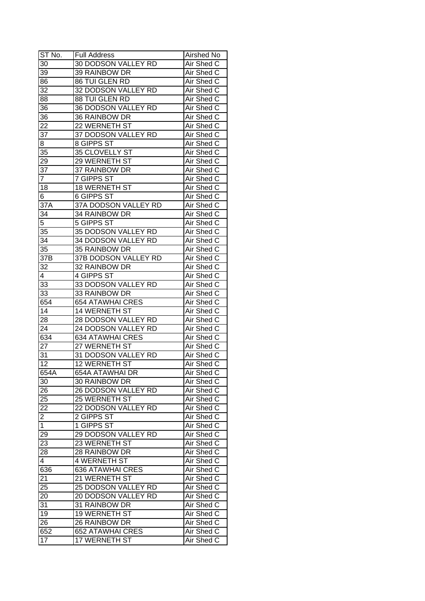| ST No.          | <b>Full Address</b>        | Airshed No        |
|-----------------|----------------------------|-------------------|
| 30              | 30 DODSON VALLEY RD        | Air Shed C        |
| 39              | 39 RAINBOW DR              | Air Shed C        |
| 86              | 86 TUI GLEN RD             | Air Shed C        |
| 32              | 32 DODSON VALLEY RD        | Air Shed C        |
| 88              | 88 TUI GLEN RD             | Air Shed C        |
| 36              | 36 DODSON VALLEY RD        | Air Shed C        |
| 36              | 36 RAINBOW DR              | Air Shed C        |
| 22              | 22 WERNETH ST              | Air Shed C        |
| $3\overline{7}$ | 37 DODSON VALLEY RD        | Air Shed C        |
| 8               | 8 GIPPS ST                 | Air Shed C        |
| 35              | 35 CLOVELLY ST             | Air Shed C        |
| 29              | 29 WERNETH ST              | Air Shed C        |
| 37              | 37 RAINBOW DR              | Air Shed C        |
| $\overline{7}$  | 7 GIPPS ST                 | Air Shed C        |
| 18              | <b>18 WERNETH ST</b>       | Air Shed C        |
| 6               | 6 GIPPS ST                 | Air Shed C        |
| 37 <sub>A</sub> |                            |                   |
|                 | 37A DODSON VALLEY RD       | Air Shed C        |
| 34              | 34 RAINBOW DR              | Air Shed C        |
| 5               | 5 GIPPS ST                 | Air Shed C        |
| 35              | 35 DODSON VALLEY RD        | Air Shed C        |
| 34              | 34 DODSON VALLEY RD        | Air Shed C        |
| 35              | 35 RAINBOW DR              | Air Shed C        |
| 37B             | 37B DODSON VALLEY RD       | Air Shed C        |
| 32              | 32 RAINBOW DR              | Air Shed C        |
| 4               | 4 GIPPS ST                 | Air Shed C        |
| 33              | 33 DODSON VALLEY RD        | Air Shed C        |
| 33              | 33 RAINBOW DR              | Air Shed C        |
| 654             | <b>654 ATAWHAI CRES</b>    | Air Shed C        |
| 14              | 14 WERNETH ST              | Air Shed C        |
| 28              | 28 DODSON VALLEY RD        | Air Shed C        |
| 24              | <b>24 DODSON VALLEY RD</b> | Air Shed C        |
| 634             | <b>634 ATAWHAI CRES</b>    | Air Shed C        |
| $2\overline{7}$ | 27 WERNETH ST              | Air Shed C        |
| 31              | 31 DODSON VALLEY RD        | Air Shed C        |
| $\overline{12}$ | 12 WERNETH ST              | <b>Air Shed C</b> |
| 654A            | 654A ATAWHAI DR            | Air Shed C        |
| 30              | 30 RAINBOW DR              | Air Shed C        |
| 26              | 26 DODSON VALLEY RD        | Air Shed C        |
| 25              | 25 WERNETH ST              | Air Shed C        |
| 22              | 22 DODSON VALLEY RD        | Air Shed C        |
| $\overline{c}$  | 2 GIPPS ST                 | Air Shed C        |
| $\mathbf{1}$    | 1 GIPPS ST                 | Air Shed C        |
| 29              | 29 DODSON VALLEY RD        | Air Shed C        |
| 23              | 23 WERNETH ST              | Air Shed C        |
| 28              | 28 RAINBOW DR              | Air Shed C        |
| $\overline{4}$  | 4 WERNETH ST               | Air Shed C        |
| 636             | <b>636 ATAWHAI CRES</b>    | Air Shed C        |
| 21              | 21 WERNETH ST              | Air Shed C        |
| 25              | 25 DODSON VALLEY RD        | Air Shed C        |
| 20              | 20 DODSON VALLEY RD        | Air Shed C        |
| $3\overline{1}$ | 31 RAINBOW DR              | Air Shed C        |
| 19              | <b>19 WERNETH ST</b>       | Air Shed C        |
| 26              | 26 RAINBOW DR              | Air Shed C        |
| 652             | 652 ATAWHAI CRES           | Air Shed C        |
| 17              | 17 WERNETH ST              | Air Shed C        |
|                 |                            |                   |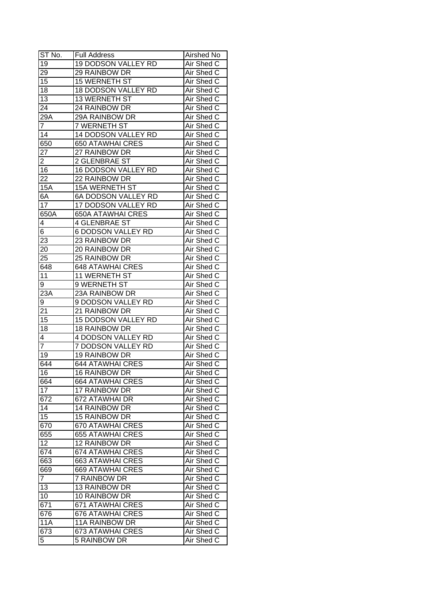| ST No.         | <b>Full Address</b>        | Airshed No |
|----------------|----------------------------|------------|
| 19             | 19 DODSON VALLEY RD        | Air Shed C |
| 29             | 29 RAINBOW DR              | Air Shed C |
| 15             | 15 WERNETH ST              | Air Shed C |
| 18             | <b>18 DODSON VALLEY RD</b> | Air Shed C |
| 13             | 13 WERNETH ST              | Air Shed C |
| 24             | 24 RAINBOW DR              | Air Shed C |
| 29A            | 29A RAINBOW DR             | Air Shed C |
| 7              | 7 WERNETH ST               | Air Shed C |
| 14             | 14 DODSON VALLEY RD        | Air Shed C |
| 650            | <b>650 ATAWHAI CRES</b>    | Air Shed C |
| 27             | 27 RAINBOW DR              | Air Shed C |
| $\overline{2}$ | 2 GLENBRAE ST              | Air Shed C |
| 16             | 16 DODSON VALLEY RD        | Air Shed C |
| 22             | 22 RAINBOW DR              | Air Shed C |
| <b>15A</b>     | <b>15A WERNETH ST</b>      | Air Shed C |
| 6A             | 6A DODSON VALLEY RD        | Air Shed C |
| 17             | 17 DODSON VALLEY RD        | Air Shed C |
| 650A           | <b>650A ATAWHAI CRES</b>   | Air Shed C |
| 4              | <b>4 GLENBRAE ST</b>       | Air Shed C |
| 6              | <b>6 DODSON VALLEY RD</b>  | Air Shed C |
| 23             | 23 RAINBOW DR              | Air Shed C |
| 20             | 20 RAINBOW DR              | Air Shed C |
| 25             | 25 RAINBOW DR              | Air Shed C |
| 648            | <b>648 ATAWHAI CRES</b>    | Air Shed C |
| 11             | 11 WERNETH ST              | Air Shed C |
| 9              | 9 WERNETH ST               | Air Shed C |
| 23A            | 23A RAINBOW DR             | Air Shed C |
| 9              | 9 DODSON VALLEY RD         | Air Shed C |
| 21             | 21 RAINBOW DR              | Air Shed C |
| 15             | <b>15 DODSON VALLEY RD</b> | Air Shed C |
| 18             | 18 RAINBOW DR              | Air Shed C |
| 4              | <b>4 DODSON VALLEY RD</b>  | Air Shed C |
| 7              | <b>7 DODSON VALLEY RD</b>  | Air Shed C |
| 19             | 19 RAINBOW DR              | Air Shed C |
| 644            | <b>644 ATAWHAI CRES</b>    | Air Shed C |
| 16             | <b>16 RAINBOW DR</b>       | Air Shed C |
| 664            | <b>664 ATAWHAI CRES</b>    | Air Shed C |
| 17             | 17 RAINBOW DR              | Air Shed C |
| 672            | 672 ATAWHAI DR             | Air Shed C |
| 14             | 14 RAINBOW DR              | Air Shed C |
| 15             | 15 RAINBOW DR              | Air Shed C |
| 670            | <b>670 ATAWHAI CRES</b>    | Air Shed C |
| 655            | <b>655 ATAWHAI CRES</b>    | Air Shed C |
| 12             | 12 RAINBOW DR              | Air Shed C |
| 674            | <b>674 ATAWHAI CRES</b>    | Air Shed C |
| 663            | <b>663 ATAWHAI CRES</b>    | Air Shed C |
| 669            | <b>669 ATAWHAI CRES</b>    | Air Shed C |
| 7              | 7 RAINBOW DR               | Air Shed C |
| 13             | 13 RAINBOW DR              | Air Shed C |
| 10             | 10 RAINBOW DR              | Air Shed C |
| 671            | 671 ATAWHAI CRES           | Air Shed C |
| 676            | 676 ATAWHAI CRES           | Air Shed C |
| <b>11A</b>     | 11A RAINBOW DR             | Air Shed C |
| 673            | 673 ATAWHAI CRES           | Air Shed C |
| 5              | 5 RAINBOW DR               | Air Shed C |
|                |                            |            |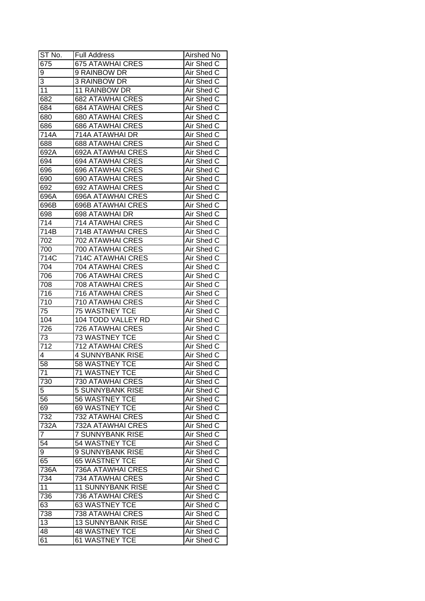| ST No.          | <b>Full Address</b>      | Airshed No |
|-----------------|--------------------------|------------|
| 675             | <b>675 ATAWHAI CRES</b>  | Air Shed C |
| 9               | 9 RAINBOW DR             | Air Shed C |
| 3               | 3 RAINBOW DR             | Air Shed C |
| 11              | <b>11 RAINBOW DR</b>     | Air Shed C |
| 682             | <b>682 ATAWHAI CRES</b>  | Air Shed C |
| 684             | <b>684 ATAWHAI CRES</b>  | Air Shed C |
| 680             | <b>680 ATAWHAI CRES</b>  | Air Shed C |
| 686             | <b>686 ATAWHAI CRES</b>  | Air Shed C |
| 714A            | 714A ATAWHAI DR          | Air Shed C |
| 688             | <b>688 ATAWHAI CRES</b>  | Air Shed C |
| 692A            | 692A ATAWHAI CRES        | Air Shed C |
| 694             | <b>694 ATAWHAI CRES</b>  | Air Shed C |
| 696             | <b>696 ATAWHAI CRES</b>  | Air Shed C |
| 690             | 690 ATAWHAI CRES         | Air Shed C |
| 692             | 692 ATAWHAI CRES         | Air Shed C |
| 696A            | <b>696A ATAWHAI CRES</b> | Air Shed C |
| 696B            | <b>696B ATAWHAI CRES</b> | Air Shed C |
| 698             | 698 ATAWHAI DR           | Air Shed C |
| 714             | <b>714 ATAWHAI CRES</b>  | Air Shed C |
| 714B            | 714B ATAWHAI CRES        | Air Shed C |
| 702             | 702 ATAWHAI CRES         | Air Shed C |
| 700             | 700 ATAWHAI CRES         | Air Shed C |
| 714C            | 714C ATAWHAI CRES        | Air Shed C |
| 704             | 704 ATAWHAI CRES         | Air Shed C |
| 706             | 706 ATAWHAI CRES         | Air Shed C |
| 708             | 708 ATAWHAI CRES         | Air Shed C |
| 716             | 716 ATAWHAI CRES         | Air Shed C |
| 710             | 710 ATAWHAI CRES         | Air Shed C |
| 75              | 75 WASTNEY TCE           | Air Shed C |
| 104             | 104 TODD VALLEY RD       | Air Shed C |
| 726             | <b>726 ATAWHAI CRES</b>  | Air Shed C |
| 73              | <b>73 WASTNEY TCE</b>    | Air Shed C |
| 712             | <b>712 ATAWHAI CRES</b>  | Air Shed C |
| 4               | <b>4 SUNNYBANK RISE</b>  | Air Shed C |
| 58              | 58 WASTNEY TCE           | Air Shed C |
| $\overline{71}$ | <b>71 WASTNEY TCE</b>    | Air Shed C |
| 730             | <b>730 ATAWHAI CRES</b>  | Air Shed C |
| 5               | 5 SUNNYBANK RISE         | Air Shed C |
| 56              | 56 WASTNEY TCE           | Air Shed C |
| 69              | 69 WASTNEY TCE           | Air Shed C |
| 732             | 732 ATAWHAI CRES         | Air Shed C |
| 732A            | 732A ATAWHAI CRES        | Air Shed C |
| $\overline{7}$  | 7 SUNNYBANK RISE         | Air Shed C |
| 54              | 54 WASTNEY TCE           | Air Shed C |
| 9               | 9 SUNNYBANK RISE         | Air Shed C |
| 65              | <b>65 WASTNEY TCE</b>    | Air Shed C |
| 736A            | 736A ATAWHAI CRES        | Air Shed C |
| 734             | <b>734 ATAWHAI CRES</b>  | Air Shed C |
| 11              | <b>11 SUNNYBANK RISE</b> | Air Shed C |
| 736             | <b>736 ATAWHAI CRES</b>  | Air Shed C |
| 63              | 63 WASTNEY TCE           | Air Shed C |
| 738             | <b>738 ATAWHAI CRES</b>  | Air Shed C |
| 13              | <b>13 SUNNYBANK RISE</b> | Air Shed C |
| 48              | <b>48 WASTNEY TCE</b>    | Air Shed C |
|                 |                          |            |
| 61              | 61 WASTNEY TCE           | Air Shed C |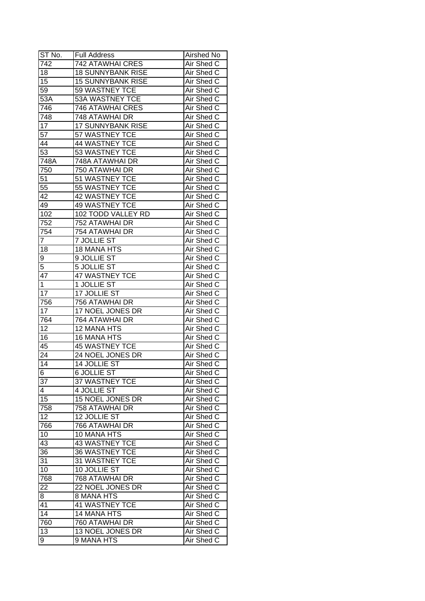| ST No.           | <b>Full Address</b>      | Airshed No |
|------------------|--------------------------|------------|
| $\overline{7}42$ | <b>742 ATAWHAI CRES</b>  | Air Shed C |
| 18               | <b>18 SUNNYBANK RISE</b> | Air Shed C |
| 15               | <b>15 SUNNYBANK RISE</b> | Air Shed C |
| 59               | 59 WASTNEY TCE           | Air Shed C |
| 53A              | 53A WASTNEY TCE          | Air Shed C |
| 746              | <b>746 ATAWHAI CRES</b>  | Air Shed C |
| 748              | 748 ATAWHAI DR           | Air Shed C |
| 17               | <b>17 SUNNYBANK RISE</b> | Air Shed C |
| 57               | 57 WASTNEY TCE           | Air Shed C |
| 44               | 44 WASTNEY TCE           | Air Shed C |
| $\overline{53}$  | 53 WASTNEY TCE           | Air Shed C |
| 748A             | 748A ATAWHAI DR          | Air Shed C |
| 750              | 750 ATAWHAI DR           | Air Shed C |
| 51               | 51 WASTNEY TCE           | Air Shed C |
| 55               | 55 WASTNEY TCE           | Air Shed C |
| 42               | 42 WASTNEY TCE           | Air Shed C |
| 49               | <b>49 WASTNEY TCE</b>    | Air Shed C |
| 102              | 102 TODD VALLEY RD       | Air Shed C |
| 752              | 752 ATAWHAI DR           | Air Shed C |
| 754              | 754 ATAWHAI DR           | Air Shed C |
| 7                | <b>7 JOLLIE ST</b>       | Air Shed C |
| 18               | 18 MANA HTS              | Air Shed C |
| 9                | 9 JOLLIE ST              | Air Shed C |
| 5                | 5 JOLLIE ST              | Air Shed C |
| 47               | 47 WASTNEY TCE           | Air Shed C |
| 1                | 1 JOLLIE ST              | Air Shed C |
| 17               | 17 JOLLIE ST             | Air Shed C |
| 756              | 756 ATAWHAI DR           | Air Shed C |
| 17               | 17 NOEL JONES DR         | Air Shed C |
| 764              | 764 ATAWHAI DR           | Air Shed C |
| 12               | 12 MANA HTS              | Air Shed C |
| 16               | 16 MANA HTS              | Air Shed C |
| 45               | <b>45 WASTNEY TCE</b>    | Air Shed C |
| $2\overline{4}$  | 24 NOEL JONES DR         | Air Shed C |
| $\overline{14}$  | 14 JOLLIE ST             | Air Shed C |
|                  | 6 JOLLIE ST              |            |
| ь                | 37 WASTNEY TCE           | Air Shed C |
| 37               |                          | Air Shed C |
| 4                | 4 JOLLIE ST              | Air Shed C |
| 15               | 15 NOEL JONES DR         | Air Shed C |
| 758              | 758 ATAWHAI DR           | Air Shed C |
| 12               | 12 JOLLIE ST             | Air Shed C |
| 766              | 766 ATAWHAI DR           | Air Shed C |
| 10               | <b>10 MANA HTS</b>       | Air Shed C |
| 43               | 43 WASTNEY TCE           | Air Shed C |
| 36               | 36 WASTNEY TCE           | Air Shed C |
| 31               | 31 WASTNEY TCE           | Air Shed C |
| 10               | 10 JOLLIE ST             | Air Shed C |
| 768              | 768 ATAWHAI DR           | Air Shed C |
| 22               | 22 NOEL JONES DR         | Air Shed C |
| 8                | 8 MANA HTS               | Air Shed C |
| 41               | 41 WASTNEY TCE           | Air Shed C |
| 14               | <b>14 MANA HTS</b>       | Air Shed C |
| 760              | 760 ATAWHAI DR           | Air Shed C |
| 13               | 13 NOEL JONES DR         | Air Shed C |
| 9                | 9 MANA HTS               | Air Shed C |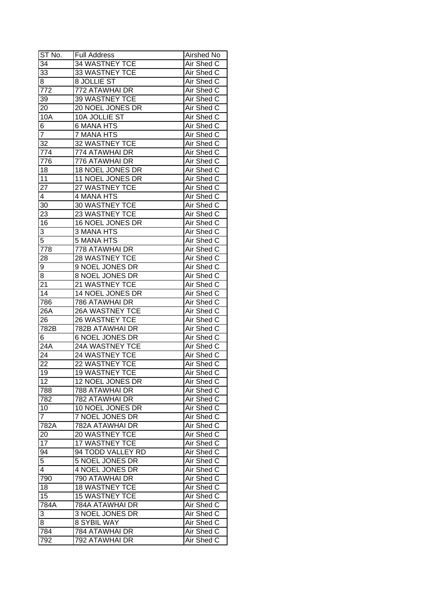| ST No.          | <b>Full Address</b>    | Airshed No |
|-----------------|------------------------|------------|
| 34              | 34 WASTNEY TCE         | Air Shed C |
| 33              | 33 WASTNEY TCE         | Air Shed C |
| 8               | 8 JOLLIE ST            | Air Shed C |
| 772             | 772 ATAWHAI DR         | Air Shed C |
| 39              | 39 WASTNEY TCE         | Air Shed C |
| 20              | 20 NOEL JONES DR       | Air Shed C |
| 10A             | 10A JOLLIE ST          | Air Shed C |
| 6               | <b>6 MANA HTS</b>      | Air Shed C |
| 7               | 7 MANA HTS             | Air Shed C |
| 32              | 32 WASTNEY TCE         | Air Shed C |
| 774             | 774 ATAWHAI DR         | Air Shed C |
| 776             | 776 ATAWHAI DR         | Air Shed C |
| 18              | 18 NOEL JONES DR       | Air Shed C |
| 11              | 11 NOEL JONES DR       | Air Shed C |
| 27              | 27 WASTNEY TCE         | Air Shed C |
| 4               | 4 MANA HTS             | Air Shed C |
| 30              | 30 WASTNEY TCE         | Air Shed C |
| 23              | 23 WASTNEY TCE         | Air Shed C |
| 16              | 16 NOEL JONES DR       | Air Shed C |
| 3               | 3 MANA HTS             | Air Shed C |
| 5               | 5 MANA HTS             | Air Shed C |
| 778             | 778 ATAWHAI DR         | Air Shed C |
| 28              | 28 WASTNEY TCE         | Air Shed C |
| 9               | 9 NOEL JONES DR        | Air Shed C |
| 8               | 8 NOEL JONES DR        | Air Shed C |
| 21              | 21 WASTNEY TCE         | Air Shed C |
| 14              | 14 NOEL JONES DR       | Air Shed C |
| 786             | 786 ATAWHAI DR         | Air Shed C |
| 26A             | 26A WASTNEY TCE        | Air Shed C |
| 26              | <b>26 WASTNEY TCE</b>  | Air Shed C |
| 782B            | 782B ATAWHAI DR        | Air Shed C |
| 6               | <b>6 NOEL JONES DR</b> | Air Shed C |
| 24A             | 24A WASTNEY TCE        | Air Shed C |
| 24              | 24 WASTNEY TCE         | Air Shed C |
| 22              | 22 WASTNEY TCE         | Air Shed C |
| 19              | <b>19 WASTNEY TCE</b>  | Air Shed C |
| 12              | 12 NOEL JONES DR       | Air Shed C |
| 788             | 788 ATAWHAI DR         | Air Shed C |
| 782             | 782 ATAWHAI DR         | Air Shed C |
| 10              | 10 NOEL JONES DR       | Air Shed C |
| $\overline{7}$  | 7 NOEL JONES DR        | Air Shed C |
| 782A            | 782A ATAWHAI DR        | Air Shed C |
| 20              | 20 WASTNEY TCE         | Air Shed C |
| 17              | <b>17 WASTNEY TCE</b>  | Air Shed C |
| $9\overline{4}$ | 94 TODD VALLEY RD      | Air Shed C |
| 5               | 5 NOEL JONES DR        | Air Shed C |
| 4               | 4 NOEL JONES DR        | Air Shed C |
| 790             | 790 ATAWHAI DR         | Air Shed C |
| 18              | <b>18 WASTNEY TCE</b>  | Air Shed C |
| 15              | <b>15 WASTNEY TCE</b>  | Air Shed C |
| 784A            | 784A ATAWHAI DR        | Air Shed C |
| 3               | 3 NOEL JONES DR        | Air Shed C |
| 8               | 8 SYBIL WAY            | Air Shed C |
| 784             | 784 ATAWHAI DR         | Air Shed C |
| 792             | 792 ATAWHAI DR         | Air Shed C |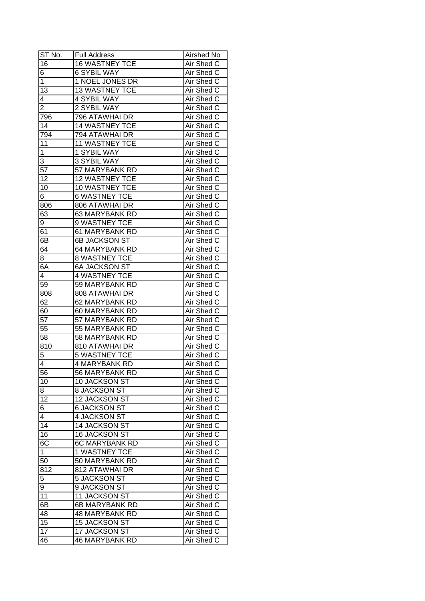| ST No.          | <b>Full Address</b>   | <b>Airshed No</b> |
|-----------------|-----------------------|-------------------|
| 16              | 16 WASTNEY TCE        | Air Shed C        |
| 6               | <b>6 SYBIL WAY</b>    | Air Shed C        |
| 1               | 1 NOEL JONES DR       | Air Shed C        |
| 13              | <b>13 WASTNEY TCE</b> | Air Shed C        |
| 4               | 4 SYBIL WAY           | Air Shed C        |
| $\overline{c}$  | 2 SYBIL WAY           | Air Shed C        |
| 796             | 796 ATAWHAI DR        | Air Shed C        |
| 14              | <b>14 WASTNEY TCE</b> | Air Shed C        |
| 794             | 794 ATAWHAI DR        | Air Shed C        |
| 11              | <b>11 WASTNEY TCE</b> | Air Shed C        |
| 1               | 1 SYBIL WAY           | Air Shed C        |
| 3               | 3 SYBIL WAY           | Air Shed C        |
| $\overline{57}$ | 57 MARYBANK RD        | Air Shed C        |
| 12              | <b>12 WASTNEY TCE</b> | Air Shed C        |
| 10              | 10 WASTNEY TCE        | Air Shed C        |
| 6               | <b>6 WASTNEY TCE</b>  | Air Shed C        |
| 806             | 806 ATAWHAI DR        | Air Shed C        |
| 63              | 63 MARYBANK RD        | Air Shed C        |
| 9               | 9 WASTNEY TCE         | Air Shed C        |
| 61              | 61 MARYBANK RD        | Air Shed C        |
| $6\overline{B}$ | 6B JACKSON ST         | Air Shed C        |
| 64              | 64 MARYBANK RD        | Air Shed C        |
| 8               | <b>8 WASTNEY TCE</b>  | Air Shed C        |
| 6A              | <b>6A JACKSON ST</b>  | Air Shed C        |
| 4               | 4 WASTNEY TCE         | Air Shed C        |
| 59              | 59 MARYBANK RD        | Air Shed C        |
| 808             | 808 ATAWHAI DR        | Air Shed C        |
| 62              | 62 MARYBANK RD        | Air Shed C        |
| 60              | 60 MARYBANK RD        | Air Shed C        |
| 57              | 57 MARYBANK RD        | Air Shed C        |
| 55              | 55 MARYBANK RD        | Air Shed C        |
| 58              | 58 MARYBANK RD        | Air Shed C        |
| 810             | 810 ATAWHAI DR        | Air Shed C        |
| $\overline{5}$  | <b>5 WASTNEY TCE</b>  | Air Shed C        |
| $\overline{4}$  | <b>4 MARYBANK RD</b>  | <b>Air Shed C</b> |
| 56              | 56 MARYBANK RD        | Air Shed C        |
| 10              | 10 JACKSON ST         | Air Shed C        |
| 8               | 8 JACKSON ST          | Air Shed C        |
| 12              | 12 JACKSON ST         | Air Shed C        |
| 6               | <b>6 JACKSON ST</b>   | Air Shed C        |
| 4               | 4 JACKSON ST          | Air Shed C        |
| 14              | 14 JACKSON ST         | Air Shed C        |
| 16              | <b>16 JACKSON ST</b>  | Air Shed C        |
| 6C              | <b>6C MARYBANK RD</b> | Air Shed C        |
| $\mathbf 1$     | <b>1 WASTNEY TCE</b>  | Air Shed C        |
| 50              | 50 MARYBANK RD        | Air Shed C        |
| 812             | 812 ATAWHAI DR        | Air Shed C        |
| 5               | <b>5 JACKSON ST</b>   | Air Shed C        |
| 9               | 9 JACKSON ST          | Air Shed C        |
| 11              | 11 JACKSON ST         | Air Shed C        |
| 6B              | 6B MARYBANK RD        | Air Shed C        |
| 48              | 48 MARYBANK RD        | Air Shed C        |
| 15              | <b>15 JACKSON ST</b>  | Air Shed C        |
| 17              | 17 JACKSON ST         | Air Shed C        |
| 46              | <b>46 MARYBANK RD</b> | Air Shed C        |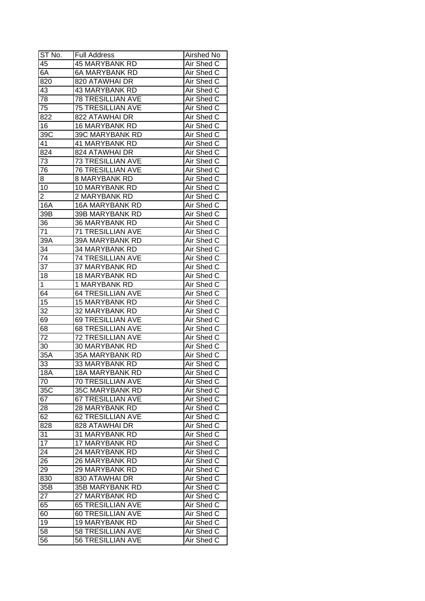| ST No.          | <b>Full Address</b>      | Airshed No        |
|-----------------|--------------------------|-------------------|
| 45              | <b>45 MARYBANK RD</b>    | Air Shed C        |
| 6A              | <b>6A MARYBANK RD</b>    | Air Shed C        |
| 820             | 820 ATAWHAI DR           | Air Shed C        |
| 43              | <b>43 MARYBANK RD</b>    | Air Shed C        |
| 78              | <b>78 TRESILLIAN AVE</b> | Air Shed C        |
| 75              | <b>75 TRESILLIAN AVE</b> | Air Shed C        |
| 822             | 822 ATAWHAI DR           | Air Shed C        |
| 16              | <b>16 MARYBANK RD</b>    | Air Shed C        |
| 39C             | 39C MARYBANK RD          | Air Shed C        |
| 41              | <b>41 MARYBANK RD</b>    | Air Shed C        |
| 824             | 824 ATAWHAI DR           | Air Shed C        |
| 73              | 73 TRESILLIAN AVE        | Air Shed C        |
| 76              | <b>76 TRESILLIAN AVE</b> | Air Shed C        |
| 8               | 8 MARYBANK RD            | Air Shed C        |
| 10              | 10 MARYBANK RD           | Air Shed C        |
| 2               | 2 MARYBANK RD            | Air Shed C        |
| 16A             | <b>16A MARYBANK RD</b>   | Air Shed C        |
| 39B             | 39B MARYBANK RD          | Air Shed C        |
| 36              | <b>36 MARYBANK RD</b>    | Air Shed C        |
| 71              | <b>71 TRESILLIAN AVE</b> | Air Shed C        |
| 39A             | 39A MARYBANK RD          | Air Shed C        |
| 34              | 34 MARYBANK RD           | Air Shed C        |
| 74              | <b>74 TRESILLIAN AVE</b> | Air Shed C        |
| 37              | 37 MARYBANK RD           | Air Shed C        |
| 18              | <b>18 MARYBANK RD</b>    | Air Shed C        |
| 1               | 1 MARYBANK RD            | Air Shed C        |
| 64              | <b>64 TRESILLIAN AVE</b> | Air Shed C        |
| 15              | 15 MARYBANK RD           | Air Shed C        |
| 32              | 32 MARYBANK RD           | Air Shed C        |
| 69              | <b>69 TRESILLIAN AVE</b> | Air Shed C        |
| 68              | <b>68 TRESILLIAN AVE</b> | Air Shed C        |
| 72              | <b>72 TRESILLIAN AVE</b> | Air Shed C        |
| 30              | <b>30 MARYBANK RD</b>    | Air Shed C        |
| 35A             | <b>35A MARYBANK RD</b>   | Air Shed C        |
| 33              | 33 MARYBANK RD           | <b>Air Shed C</b> |
| 18A             | <b>18A MARYBANK RD</b>   | Air Shed C        |
| 70              | <b>70 TRESILLIAN AVE</b> | Air Shed C        |
| 35C             | 35C MARYBANK RD          | Air Shed C        |
| 67              | 67 TRESILLIAN AVE        | Air Shed C        |
| 28              | 28 MARYBANK RD           | Air Shed C        |
| 62              | 62 TRESILLIAN AVE        | Air Shed C        |
| 828             | 828 ATAWHAI DR           | Air Shed C        |
| 31              | 31 MARYBANK RD           | Air Shed C        |
| 17              | 17 MARYBANK RD           | Air Shed C        |
| $2\overline{4}$ | 24 MARYBANK RD           | Air Shed C        |
| 26              | 26 MARYBANK RD           | Air Shed C        |
| 29              | 29 MARYBANK RD           | Air Shed C        |
| 830             | 830 ATAWHAI DR           | Air Shed C        |
| 35B             | 35B MARYBANK RD          | Air Shed C        |
| 27              | 27 MARYBANK RD           | Air Shed C        |
| 65              | <b>65 TRESILLIAN AVE</b> | Air Shed C        |
| 60              | <b>60 TRESILLIAN AVE</b> | Air Shed C        |
| 19              | 19 MARYBANK RD           | Air Shed C        |
| 58              | 58 TRESILLIAN AVE        | Air Shed C        |
|                 |                          |                   |
| 56              | 56 TRESILLIAN AVE        | Air Shed C        |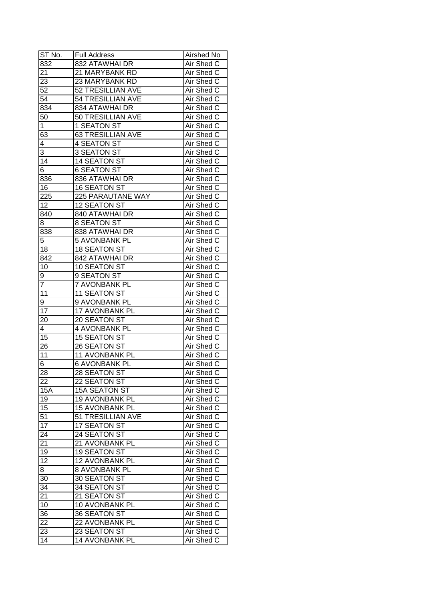| ST No.          | <b>Full Address</b>      | Airshed No |
|-----------------|--------------------------|------------|
| 832             | 832 ATAWHAI DR           | Air Shed C |
| 21              | 21 MARYBANK RD           | Air Shed C |
| 23              | 23 MARYBANK RD           | Air Shed C |
| 52              | <b>52 TRESILLIAN AVE</b> | Air Shed C |
| 54              | 54 TRESILLIAN AVE        | Air Shed C |
| 834             | 834 ATAWHAI DR           | Air Shed C |
| 50              | 50 TRESILLIAN AVE        | Air Shed C |
| 1               | 1 SEATON ST              | Air Shed C |
| 63              | <b>63 TRESILLIAN AVE</b> | Air Shed C |
| 4               | <b>4 SEATON ST</b>       | Air Shed C |
| 3               | 3 SEATON ST              | Air Shed C |
| 14              | 14 SEATON ST             | Air Shed C |
| 6               | <b>6 SEATON ST</b>       | Air Shed C |
| 836             | 836 ATAWHAI DR           | Air Shed C |
| 16              | <b>16 SEATON ST</b>      | Air Shed C |
| 225             | 225 PARAUTANE WAY        | Air Shed C |
| 12              | 12 SEATON ST             | Air Shed C |
| 840             | 840 ATAWHAI DR           | Air Shed C |
| 8               | <b>8 SEATON ST</b>       | Air Shed C |
| 838             | 838 ATAWHAI DR           | Air Shed C |
| 5               | 5 AVONBANK PL            | Air Shed C |
| 18              | <b>18 SEATON ST</b>      | Air Shed C |
| 842             | 842 ATAWHAI DR           | Air Shed C |
| 10              | 10 SEATON ST             | Air Shed C |
| 9               | 9 SEATON ST              | Air Shed C |
| 7               | 7 AVONBANK PL            | Air Shed C |
| 11              | <b>11 SEATON ST</b>      | Air Shed C |
| 9               | 9 AVONBANK PL            | Air Shed C |
| 17              | 17 AVONBANK PL           | Air Shed C |
| 20              | 20 SEATON ST             | Air Shed C |
| 4               | 4 AVONBANK PL            | Air Shed C |
| 15              | <b>15 SEATON ST</b>      | Air Shed C |
| 26              | 26 SEATON ST             | Air Shed C |
| 11              | 11 AVONBANK PL           | Air Shed C |
| 6               | <b>6 AVONBANK PL</b>     | Air Shed C |
| $\overline{28}$ | 28 SEATON ST             | Air Shed C |
| 22              | 22 SEATON ST             | Air Shed C |
| 15A             | <b>15A SEATON ST</b>     | Air Shed C |
| 19              | 19 AVONBANK PL           | Air Shed C |
| 15              | 15 AVONBANK PL           | Air Shed C |
| 51              | 51 TRESILLIAN AVE        | Air Shed C |
| $1\overline{7}$ | 17 SEATON ST             | Air Shed C |
| 24              | 24 SEATON ST             | Air Shed C |
| 21              | 21 AVONBANK PL           | Air Shed C |
| 19              | <b>19 SEATON ST</b>      | Air Shed C |
| $\overline{12}$ | <b>12 AVONBANK PL</b>    | Air Shed C |
| $\sqrt{8}$      | <b>8 AVONBANK PL</b>     | Air Shed C |
| 30              | 30 SEATON ST             | Air Shed C |
| 34              | 34 SEATON ST             | Air Shed C |
| 21              | 21 SEATON ST             | Air Shed C |
| 10              | 10 AVONBANK PL           | Air Shed C |
|                 | 36 SEATON ST             | Air Shed C |
| 36              |                          |            |
| 22              | 22 AVONBANK PL           | Air Shed C |
| 23              | 23 SEATON ST             | Air Shed C |
| 14              | 14 AVONBANK PL           | Air Shed C |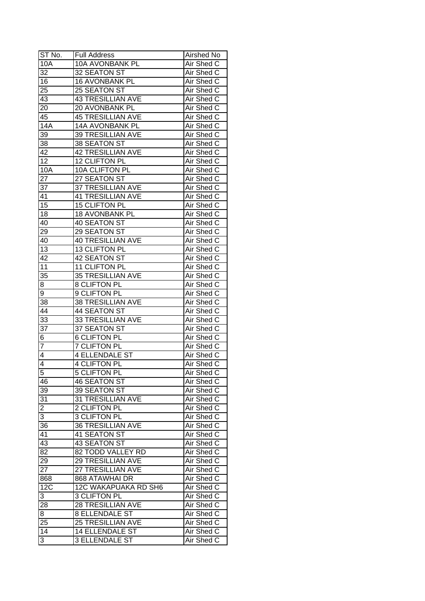| ST No.          | <b>Full Address</b>      | Airshed No |
|-----------------|--------------------------|------------|
| 10A             | <b>10A AVONBANK PL</b>   | Air Shed C |
| 32              | 32 SEATON ST             | Air Shed C |
| $\overline{16}$ | 16 AVONBANK PL           | Air Shed C |
| 25              | 25 SEATON ST             | Air Shed C |
| 43              | <b>43 TRESILLIAN AVE</b> | Air Shed C |
| 20              | 20 AVONBANK PL           | Air Shed C |
| 45              | <b>45 TRESILLIAN AVE</b> | Air Shed C |
| 14A             | 14A AVONBANK PL          | Air Shed C |
| 39              | <b>39 TRESILLIAN AVE</b> | Air Shed C |
| 38              | 38 SEATON ST             | Air Shed C |
| 42              | <b>42 TRESILLIAN AVE</b> | Air Shed C |
| $\overline{12}$ | 12 CLIFTON PL            | Air Shed C |
| 10A             | 10A CLIFTON PL           | Air Shed C |
| 27              | 27 SEATON ST             | Air Shed C |
| 37              | 37 TRESILLIAN AVE        | Air Shed C |
| 41              | <b>41 TRESILLIAN AVE</b> | Air Shed C |
| $\overline{15}$ | 15 CLIFTON PL            | Air Shed C |
| 18              | 18 AVONBANK PL           | Air Shed C |
| 40              | 40 SEATON ST             | Air Shed C |
| 29              | 29 SEATON ST             | Air Shed C |
| 40              | <b>40 TRESILLIAN AVE</b> | Air Shed C |
| 13              | 13 CLIFTON PL            | Air Shed C |
| 42              | 42 SEATON ST             | Air Shed C |
| 11              | 11 CLIFTON PL            | Air Shed C |
| 35              | <b>35 TRESILLIAN AVE</b> | Air Shed C |
| 8               | 8 CLIFTON PL             | Air Shed C |
| 9               | 9 CLIFTON PL             | Air Shed C |
| 38              | <b>38 TRESILLIAN AVE</b> | Air Shed C |
| 44              | 44 SEATON ST             | Air Shed C |
| $3\overline{3}$ | <b>33 TRESILLIAN AVE</b> | Air Shed C |
| 37              | 37 SEATON ST             | Air Shed C |
| 6               | <b>6 CLIFTON PL</b>      | Air Shed C |
| 7               | <b>7 CLIFTON PL</b>      | Air Shed C |
| $\overline{4}$  | <b>4 ELLENDALE ST</b>    | Air Shed C |
| 4               | <b>4 CLIFTON PL</b>      | Air Shed C |
| $\overline{5}$  | <b>5 CLIFTON PL</b>      | Air Shed C |
| 46              | 46 SEATON ST             | Air Shed C |
| 39              | 39 SEATON ST             | Air Shed C |
| 31              | 31 TRESILLIAN AVE        | Air Shed C |
| $\overline{c}$  | 2 CLIFTON PL             | Air Shed C |
| 3               | 3 CLIFTON PL             | Air Shed C |
| 36              | <b>36 TRESILLIAN AVE</b> | Air Shed C |
| 41              | 41 SEATON ST             | Air Shed C |
| 43              | 43 SEATON ST             | Air Shed C |
| $\overline{82}$ | 82 TODD VALLEY RD        | Air Shed C |
| 29              | 29 TRESILLIAN AVE        | Air Shed C |
| $2\overline{7}$ | 27 TRESILLIAN AVE        | Air Shed C |
| 868             | 868 ATAWHAI DR           | Air Shed C |
| 12C             | 12C WAKAPUAKA RD SH6     | Air Shed C |
| 3               | 3 CLIFTON PL             | Air Shed C |
| 28              | <b>28 TRESILLIAN AVE</b> | Air Shed C |
| 8               | <b>8 ELLENDALE ST</b>    | Air Shed C |
| 25              | 25 TRESILLIAN AVE        | Air Shed C |
| 14              | <b>14 ELLENDALE ST</b>   | Air Shed C |
| 3               | <b>3 ELLENDALE ST</b>    | Air Shed C |
|                 |                          |            |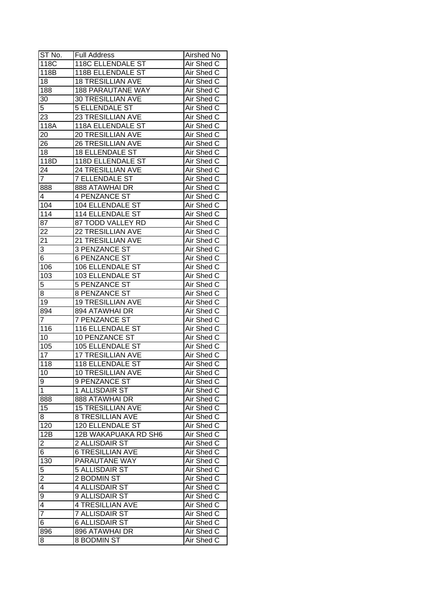| ST No.                  | <b>Full Address</b>      | Airshed No        |
|-------------------------|--------------------------|-------------------|
| 118C                    | 118C ELLENDALE ST        | Air Shed C        |
| 118B                    | 118B ELLENDALE ST        | Air Shed C        |
| 18                      | <b>18 TRESILLIAN AVE</b> | Air Shed C        |
| 188                     | <b>188 PARAUTANE WAY</b> | Air Shed C        |
| 30                      | <b>30 TRESILLIAN AVE</b> | Air Shed C        |
| 5                       | <b>5 ELLENDALE ST</b>    | Air Shed C        |
| 23                      | <b>23 TRESILLIAN AVE</b> | Air Shed C        |
| 118A                    | 118A ELLENDALE ST        | Air Shed C        |
| 20                      | 20 TRESILLIAN AVE        | Air Shed C        |
| 26                      | <b>26 TRESILLIAN AVE</b> | Air Shed C        |
| 18                      | <b>18 ELLENDALE ST</b>   | Air Shed C        |
| 118D                    | 118D ELLENDALE ST        | Air Shed C        |
| 24                      | <b>24 TRESILLIAN AVE</b> | Air Shed C        |
| $\overline{7}$          | <b>7 ELLENDALE ST</b>    | Air Shed C        |
| 888                     | 888 ATAWHAI DR           | Air Shed C        |
| 4                       | 4 PENZANCE ST            | Air Shed C        |
| 104                     | 104 ELLENDALE ST         | Air Shed C        |
| 114                     | 114 ELLENDALE ST         | Air Shed C        |
| 87                      | 87 TODD VALLEY RD        | Air Shed C        |
| 22                      | <b>22 TRESILLIAN AVE</b> | Air Shed C        |
| 21                      | 21 TRESILLIAN AVE        | Air Shed C        |
| 3                       | 3 PENZANCE ST            | Air Shed C        |
| 6                       | <b>6 PENZANCE ST</b>     | Air Shed C        |
| 106                     | 106 ELLENDALE ST         | Air Shed C        |
| 103                     | 103 ELLENDALE ST         | Air Shed C        |
| 5                       | <b>5 PENZANCE ST</b>     | Air Shed C        |
| 8                       | 8 PENZANCE ST            | Air Shed C        |
| 19                      | <b>19 TRESILLIAN AVE</b> | Air Shed C        |
| 894                     | 894 ATAWHAI DR           | Air Shed C        |
| $\overline{7}$          | 7 PENZANCE ST            | Air Shed C        |
| 116                     | 116 ELLENDALE ST         | Air Shed C        |
| 10                      | <b>10 PENZANCE ST</b>    | Air Shed C        |
| 105                     | <b>105 ELLENDALE ST</b>  | Air Shed C        |
| $\overline{17}$         | <b>17 TRESILLIAN AVE</b> | Air Shed C        |
| 118                     | 118 ELLENDALE ST         | <b>Air Shed C</b> |
| 10                      | <b>10 TRESILLIAN AVE</b> | Air Shed C        |
| 9                       | 9 PENZANCE ST            | Air Shed C        |
| 1                       | 1 ALLISDAIR ST           | Air Shed C        |
| 888                     | 888 ATAWHAI DR           | Air Shed C        |
| 15                      | <b>15 TRESILLIAN AVE</b> | Air Shed C        |
| 8                       | <b>8 TRESILLIAN AVE</b>  | Air Shed C        |
| 120                     | 120 ELLENDALE ST         | Air Shed C        |
| 12B                     | 12B WAKAPUAKA RD SH6     | Air Shed C        |
| $\overline{\mathbf{c}}$ | 2 ALLISDAIR ST           | Air Shed C        |
| 6                       | <b>6 TRESILLIAN AVE</b>  | Air Shed C        |
| 130                     | PARAUTANE WAY            | Air Shed C        |
| 5                       | 5 ALLISDAIR ST           | Air Shed C        |
| $\overline{2}$          | 2 BODMIN ST              | Air Shed C        |
| 4                       | 4 ALLISDAIR ST           | Air Shed C        |
| $\overline{9}$          | 9 ALLISDAIR ST           | Air Shed C        |
| $\overline{4}$          | 4 TRESILLIAN AVE         | Air Shed C        |
| $\overline{7}$          | <b>7 ALLISDAIR ST</b>    | Air Shed C        |
| 6                       | <b>6 ALLISDAIR ST</b>    | Air Shed C        |
| 896                     | 896 ATAWHAI DR           | Air Shed C        |
| 8                       | 8 BODMIN ST              | Air Shed C        |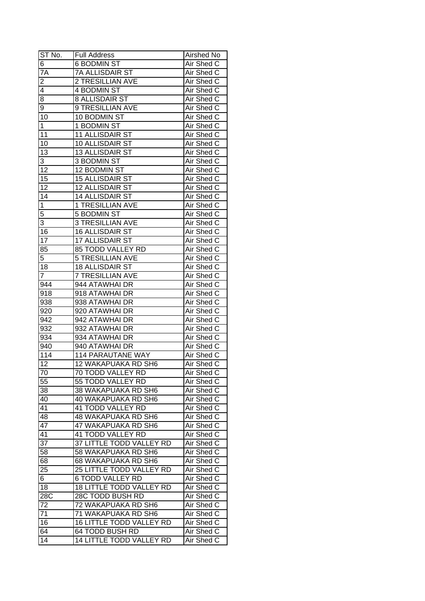| ST No.                  | <b>Full Address</b>             | <b>Airshed No</b> |
|-------------------------|---------------------------------|-------------------|
| 6                       | <b>6 BODMIN ST</b>              | Air Shed C        |
| 7A                      | <b>7A ALLISDAIR ST</b>          | Air Shed C        |
| $\overline{\mathbf{c}}$ | 2 TRESILLIAN AVE                | Air Shed C        |
| 4                       | 4 BODMIN ST                     | Air Shed C        |
| 8                       | <b>8 ALLISDAIR ST</b>           | Air Shed C        |
| 9                       | 9 TRESILLIAN AVE                | Air Shed C        |
| 10                      | 10 BODMIN ST                    | Air Shed C        |
| 1                       | 1 BODMIN ST                     | Air Shed C        |
| 11                      | 11 ALLISDAIR ST                 | Air Shed C        |
| 10                      | 10 ALLISDAIR ST                 | Air Shed C        |
| 13                      | 13 ALLISDAIR ST                 | Air Shed C        |
| 3                       | 3 BODMIN ST                     | Air Shed C        |
| 12                      | 12 BODMIN ST                    | Air Shed C        |
| 15                      | 15 ALLISDAIR ST                 | Air Shed C        |
| 12                      | 12 ALLISDAIR ST                 | Air Shed C        |
| 14                      | 14 ALLISDAIR ST                 | Air Shed C        |
| $\mathbf 1$             | 1 TRESILLIAN AVE                | Air Shed C        |
| 5                       | 5 BODMIN ST                     | Air Shed C        |
| 3                       | <b>3 TRESILLIAN AVE</b>         | Air Shed C        |
| 16                      | 16 ALLISDAIR ST                 | Air Shed C        |
| 17                      | 17 ALLISDAIR ST                 | Air Shed C        |
| 85                      | 85 TODD VALLEY RD               | Air Shed C        |
| 5                       | <b>5 TRESILLIAN AVE</b>         | Air Shed C        |
| 18                      | 18 ALLISDAIR ST                 | Air Shed C        |
| $\overline{7}$          | <b>7 TRESILLIAN AVE</b>         | Air Shed C        |
| 944                     | 944 ATAWHAI DR                  | Air Shed C        |
| 918                     | 918 ATAWHAI DR                  | Air Shed C        |
| 938                     | 938 ATAWHAI DR                  | Air Shed C        |
| 920                     | 920 ATAWHAI DR                  | Air Shed C        |
| 942                     | 942 ATAWHAI DR                  | Air Shed C        |
| 932                     | 932 ATAWHAI DR                  | Air Shed C        |
| 934                     | 934 ATAWHAI DR                  | Air Shed C        |
| 940                     | 940 ATAWHAI DR                  | Air Shed C        |
| 114                     | <b>114 PARAUTANE WAY</b>        | Air Shed C        |
| $\overline{12}$         | <b>12 WAKAPUAKA RD SH6</b>      | <b>Air Shed C</b> |
| 70                      | <b>70 TODD VALLEY RD</b>        | Air Shed C        |
| $\overline{55}$         | 55 TODD VALLEY RD               | Air Shed C        |
| 38                      | 38 WAKAPUAKA RD SH6             | Air Shed C        |
| 40                      | 40 WAKAPUAKA RD SH6             | Air Shed C        |
| 41                      | 41 TODD VALLEY RD               | Air Shed C        |
| 48                      | <b>48 WAKAPUAKA RD SH6</b>      | Air Shed C        |
| 47                      | 47 WAKAPUAKA RD SH6             | Air Shed C        |
| 41                      | 41 TODD VALLEY RD               | Air Shed C        |
| 37                      | 37 LITTLE TODD VALLEY RD        | Air Shed C        |
| 58                      | 58 WAKAPUAKA RD SH6             | Air Shed C        |
| 68                      | 68 WAKAPUAKA RD SH6             | Air Shed C        |
| 25                      | 25 LITTLE TODD VALLEY RD        | Air Shed C        |
| 6                       | <b>6 TODD VALLEY RD</b>         | Air Shed C        |
| 18                      | <b>18 LITTLE TODD VALLEY RD</b> | Air Shed C        |
| 28C                     | 28C TODD BUSH RD                | Air Shed C        |
| 72                      | 72 WAKAPUAKA RD SH6             | Air Shed C        |
| 71                      | 71 WAKAPUAKA RD SH6             | Air Shed C        |
| 16                      | <b>16 LITTLE TODD VALLEY RD</b> | Air Shed C        |
| 64                      | 64 TODD BUSH RD                 | Air Shed C        |
|                         |                                 |                   |
| 14                      | <b>14 LITTLE TODD VALLEY RD</b> | Air Shed C        |